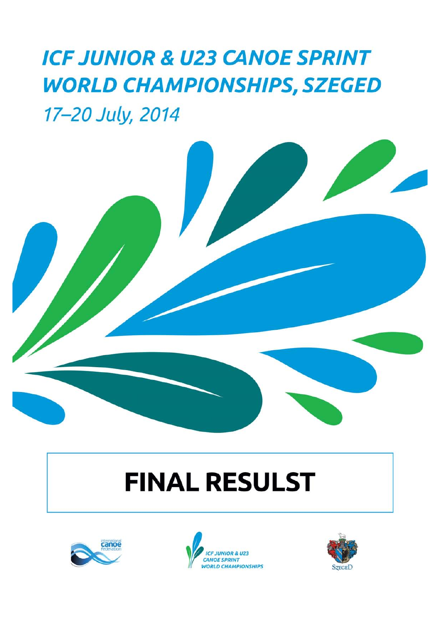## **ICF JUNIOR & U23 CANOE SPRINT WORLD CHAMPIONSHIPS, SZEGED** 17-20 July, 2014



# **FINAL RESULST**





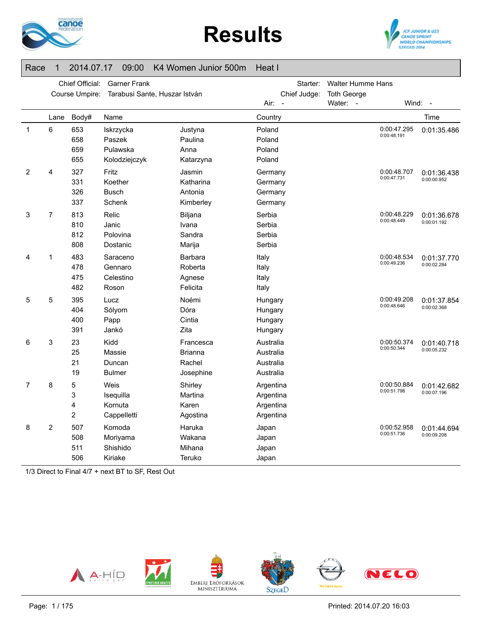





#### Race 1 2014.07.17 09:00 K4 Women Junior 500m Heat I

|                | Chief Official:<br><b>Garner Frank</b><br>Course Umpire:<br>Tarabusi Sante, Huszar István |                               |                                                  |                                                    | Starter:<br>Chief Judge:                         | <b>Walter Humme Hans</b><br><b>Toth George</b> |                            |                            |
|----------------|-------------------------------------------------------------------------------------------|-------------------------------|--------------------------------------------------|----------------------------------------------------|--------------------------------------------------|------------------------------------------------|----------------------------|----------------------------|
|                |                                                                                           |                               |                                                  |                                                    | Air:                                             | Water: -                                       |                            | Wind: -                    |
|                | Lane                                                                                      | Body#                         | Name                                             |                                                    | Country                                          |                                                |                            | Time                       |
| 1              | 6                                                                                         | 653<br>658<br>659<br>655      | Iskrzycka<br>Paszek<br>Pulawska<br>Kolodziejczyk | Justyna<br>Paulina<br>Anna<br>Katarzyna            | Poland<br>Poland<br>Poland<br>Poland             |                                                | 0:00:47.295<br>0:00:48.191 | 0:01:35.486                |
| $\overline{2}$ | 4                                                                                         | 327<br>331<br>326<br>337      | Fritz<br>Koether<br><b>Busch</b><br>Schenk       | Jasmin<br>Katharina<br>Antonia<br>Kimberley        | Germany<br>Germany<br>Germany<br>Germany         |                                                | 0:00:48.707<br>0:00:47.731 | 0:01:36.438<br>0:00:00.952 |
| 3              | 7                                                                                         | 813<br>810<br>812<br>808      | Relic<br>Janic<br>Polovina<br>Dostanic           | Biljana<br>Ivana<br>Sandra<br>Marija               | Serbia<br>Serbia<br>Serbia<br>Serbia             |                                                | 0:00:48.229<br>0:00:48.449 | 0:01:36.678<br>0:00:01.192 |
| 4              | 1                                                                                         | 483<br>478<br>475<br>482      | Saraceno<br>Gennaro<br>Celestino<br>Roson        | <b>Barbara</b><br>Roberta<br>Agnese<br>Felicita    | Italy<br>Italy<br>Italy<br>Italy                 |                                                | 0:00:48.534<br>0:00:49.236 | 0:01:37.770<br>0:00:02.284 |
| 5              | 5                                                                                         | 395<br>404<br>400<br>391      | Lucz<br>Sólyom<br>Papp<br>Jankó                  | Noémi<br>Dóra<br>Cintia<br>Zita                    | Hungary<br>Hungary<br>Hungary<br>Hungary         |                                                | 0:00:49.208<br>0:00:48.646 | 0:01:37.854<br>0:00:02.368 |
| 6              | 3                                                                                         | 23<br>25<br>21<br>19          | Kidd<br>Massie<br>Duncan<br><b>Bulmer</b>        | Francesca<br><b>Brianna</b><br>Rachel<br>Josephine | Australia<br>Australia<br>Australia<br>Australia |                                                | 0:00:50.374<br>0:00:50.344 | 0:01:40.718<br>0:00:05.232 |
| 7              | 8                                                                                         | 5<br>3<br>4<br>$\overline{c}$ | Weis<br>Isequilla<br>Kornuta<br>Cappelletti      | Shirley<br>Martina<br>Karen<br>Agostina            | Argentina<br>Argentina<br>Argentina<br>Argentina |                                                | 0:00:50.884<br>0:00:51.798 | 0:01:42.682<br>0:00:07.196 |
| 8              | $\overline{c}$                                                                            | 507<br>508<br>511<br>506      | Komoda<br>Moriyama<br>Shishido<br>Kiriake        | Haruka<br>Wakana<br>Mihana<br>Teruko               | Japan<br>Japan<br>Japan<br>Japan                 |                                                | 0:00:52.958<br>0:00:51.736 | 0:01:44.694<br>0:00:09.208 |

1/3 Direct to Final 4/7 + next BT to SF, Rest Out

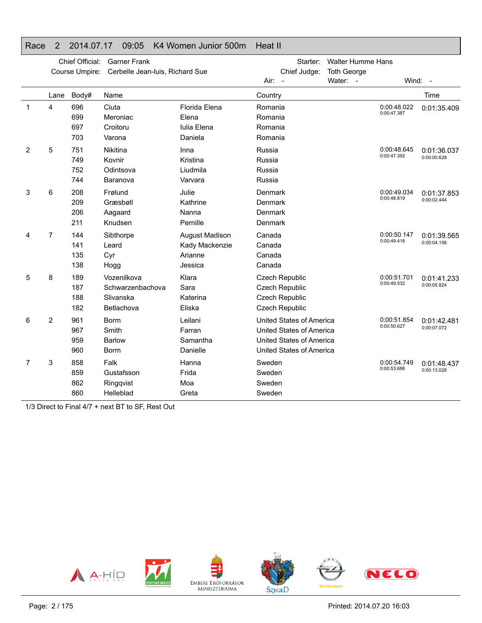#### Race 2 2014.07.17 09:05 K4 Women Junior 500m Heat II

|                |      | Chief Official:          | <b>Garner Frank</b><br>Course Umpire: Cerbelle Jean-luis, Richard Sue |                                                        |                                          | Starter:<br>Chief Judge:                                                                                     | <b>Walter Humme Hans</b><br><b>Toth George</b> |                            |                            |
|----------------|------|--------------------------|-----------------------------------------------------------------------|--------------------------------------------------------|------------------------------------------|--------------------------------------------------------------------------------------------------------------|------------------------------------------------|----------------------------|----------------------------|
|                |      |                          |                                                                       |                                                        | $Air: -$                                 |                                                                                                              | Water: -                                       |                            | Wind: -                    |
|                | Lane | Body#                    | Name                                                                  |                                                        | Country                                  |                                                                                                              |                                                |                            | Time                       |
| 1              | 4    | 696<br>699<br>697<br>703 | Ciuta<br>Meroniac<br>Croitoru<br>Varona                               | Florida Elena<br>Elena<br>Iulia Elena<br>Daniela       | Romania<br>Romania<br>Romania<br>Romania |                                                                                                              |                                                | 0:00:48.022<br>0:00:47.387 | 0:01:35.409                |
| $\overline{2}$ | 5    | 751<br>749<br>752<br>744 | Nikitina<br>Kovnir<br>Odintsova<br>Baranova                           | Inna<br>Kristina<br>Liudmila<br>Varvara                | Russia<br>Russia<br>Russia<br>Russia     |                                                                                                              |                                                | 0:00:48.645<br>0:00:47.392 | 0:01:36.037<br>0:00:00.628 |
| 3              | 6    | 208<br>209<br>206<br>211 | Frølund<br>Græsbøll<br>Aagaard<br>Knudsen                             | Julie<br>Kathrine<br>Nanna<br>Pernille                 | Denmark<br>Denmark<br>Denmark<br>Denmark |                                                                                                              |                                                | 0:00:49.034<br>0:00:48.819 | 0:01:37.853<br>0:00:02.444 |
| 4              | 7    | 144<br>141<br>135<br>138 | Sibthorpe<br>Leard<br>Cyr<br>Hogg                                     | August Madison<br>Kady Mackenzie<br>Arianne<br>Jessica | Canada<br>Canada<br>Canada<br>Canada     |                                                                                                              |                                                | 0:00:50.147<br>0:00:49.418 | 0:01:39.565<br>0:00:04.156 |
| 5              | 8    | 189<br>187<br>188<br>182 | Vozenilkova<br>Schwarzenbachova<br>Slivanska<br>Betlachova            | Klara<br>Sara<br>Katerina<br>Eliska                    |                                          | <b>Czech Republic</b><br><b>Czech Republic</b><br><b>Czech Republic</b><br><b>Czech Republic</b>             |                                                | 0:00:51.701<br>0:00:49.532 | 0:01:41.233<br>0:00:05.824 |
| 6              | 2    | 961<br>967<br>959<br>960 | <b>Borm</b><br>Smith<br><b>Barlow</b><br><b>Borm</b>                  | Leilani<br>Farran<br>Samantha<br>Danielle              |                                          | United States of America<br>United States of America<br>United States of America<br>United States of America |                                                | 0:00:51.854<br>0:00:50.627 | 0:01:42.481<br>0:00:07.072 |
| 7              | 3    | 858<br>859<br>862<br>860 | Falk<br>Gustafsson<br>Ringqvist<br>Helleblad                          | Hanna<br>Frida<br>Moa<br>Greta                         | Sweden<br>Sweden<br>Sweden<br>Sweden     |                                                                                                              |                                                | 0:00:54.749<br>0:00:53.688 | 0:01:48.437<br>0:00:13.028 |

1/3 Direct to Final 4/7 + next BT to SF, Rest Out

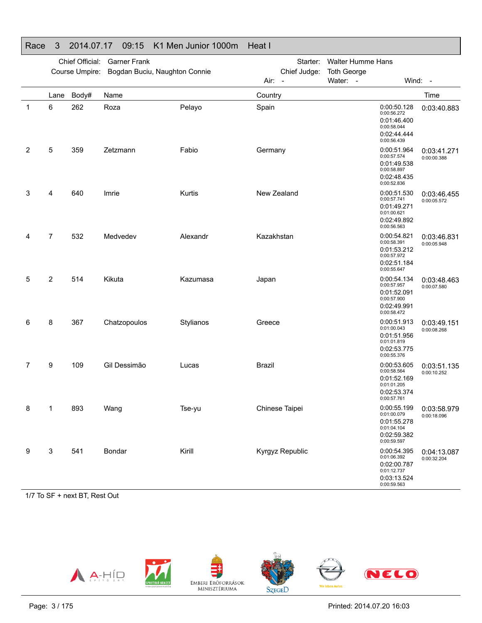#### Race 3 2014.07.17 09:15 K1 Men Junior 1000m Heat IChief Official: Garner FrankCourse Umpire: Bogdan Buciu, Naughton Connie Starter: Walter Humme Hans Chief Judge: **Toth George** Air: -Water: - Wind: -Lane Body# Name**Country Country Country Country Country** Time 1 6 262 RozaPelayo Spain Spain 10:00:50.128 0:00:56.272 0:01:46.400 0:00:58.044 0:02:44.4440:00:56.4390:03:40.883 2 5 359 Zetzmann Fabio Germany 0:00:51.964 0:00:57.574 0:01:49.538 0:00:58.8970:02:48.435 0:00:52.836 0:03:41.2710:00:00.388 3 4 640 Imrie Kurtis New Zealand 0:00:51.530 0:00:57.741 0:01:49.2710:01:00.6210:02:49.892 0:00:56.563 0:03:46.4550:00:05.5724 7 532 Medvedev Alexandr Kazakhstan 0:00:54.821 0:00:54.821 0:01:53.2120:00:57.972 0:02:51.184 $0:00:55.647$ 0:03:46.8310:00:05.9485 2 514 KikutaKazumasa Japan Japan 0:00:54.134 0:00:54.134 0:01:52.0910:00:57.900 0:02:49.9910:00:58.4720:03:48.463 0:00:07.580 6 8 367 Chatzopoulos StylianosGreece 0:00:51.913 0:01:00.043 0:01:51.956 0:01:01.8190:02:53.775 0:00:55.376 0:03:49.1510:00:08.268 7 9 109 Gil Dessimão Lucas Brazil 0:00:53.605 0:00:58.564 0:01:52.1690:01:01.205 0:02:53.374 0:00:57.7610:03:51.135 0:00:10.252 8 1 893 Wang Tse-yu Chinese Taipei 0:00:55.199 0:01:00.0790:01:55.278 0:01:04.104 0:02:59.3820:00:59.5970:03:58.979 0:00:18.096 9 3 541 BondarKirill Kyrgyz Republic 0:00:54.395 0:01:06.392 0:02:00.7870:01:12.7370:03:13.5240:00:59.563 0:04:13.0870:00:32.204

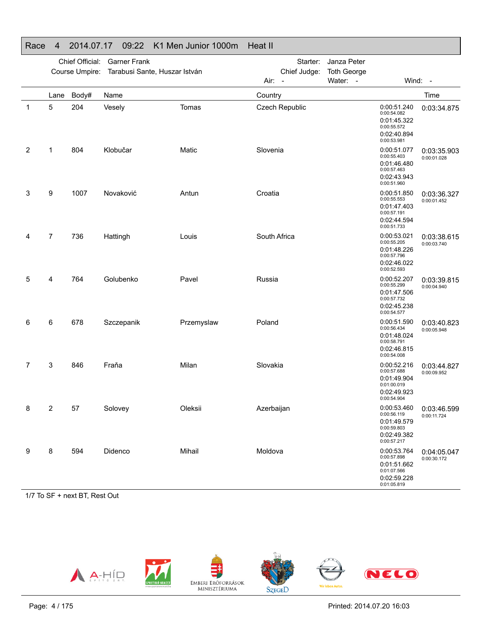| . .uu |                |                 | ◡◡.←←                         | <b>ITTL INCH COLLIGE TOOOIII</b> |              |                |                    |                                                                                        |                            |
|-------|----------------|-----------------|-------------------------------|----------------------------------|--------------|----------------|--------------------|----------------------------------------------------------------------------------------|----------------------------|
|       |                | Chief Official: | <b>Garner Frank</b>           |                                  |              | Starter:       | Janza Peter        |                                                                                        |                            |
|       |                | Course Umpire:  | Tarabusi Sante, Huszar István |                                  |              | Chief Judge:   | <b>Toth George</b> |                                                                                        |                            |
|       |                |                 |                               |                                  | Air:         | $\overline{a}$ | Water: -           |                                                                                        | Wind: -                    |
|       | Lane           | Body#           | Name                          |                                  | Country      |                |                    |                                                                                        | Time                       |
| 1     | 5              | 204             | Vesely                        | Tomas                            |              | Czech Republic |                    | 0:00:51.240<br>0:00:54.082<br>0:01:45.322<br>0:00:55.572<br>0:02:40.894<br>0:00:53.981 | 0:03:34.875                |
| 2     | 1              | 804             | Klobučar                      | Matic                            | Slovenia     |                |                    | 0:00:51.077<br>0:00:55.403<br>0:01:46.480<br>0:00:57.463<br>0:02:43.943<br>0:00:51.960 | 0:03:35.903<br>0:00:01.028 |
| 3     | 9              | 1007            | Novaković                     | Antun                            | Croatia      |                |                    | 0:00:51.850<br>0:00:55.553<br>0:01:47.403<br>0:00:57.191<br>0:02:44.594<br>0:00:51.733 | 0:03:36.327<br>0:00:01.452 |
| 4     | $\overline{7}$ | 736             | Hattingh                      | Louis                            | South Africa |                |                    | 0:00:53.021<br>0:00:55.205<br>0:01:48.226<br>0:00:57.796<br>0:02:46.022<br>0:00:52.593 | 0:03:38.615<br>0:00:03.740 |
| 5     | 4              | 764             | Golubenko                     | Pavel                            | Russia       |                |                    | 0:00:52.207<br>0:00:55.299<br>0:01:47.506<br>0:00:57.732<br>0:02:45.238<br>0:00:54.577 | 0:03:39.815<br>0:00:04.940 |
| 6     | 6              | 678             | Szczepanik                    | Przemyslaw                       | Poland       |                |                    | 0:00:51.590<br>0:00:56.434<br>0:01:48.024<br>0:00:58.791<br>0:02:46.815<br>0:00:54.008 | 0:03:40.823<br>0:00:05.948 |
| 7     | 3              | 846             | Fraňa                         | Milan                            | Slovakia     |                |                    | 0:00:52.216<br>0:00:57.688<br>0:01:49.904<br>0:01:00.019<br>0:02:49.923<br>0:00:54.904 | 0:03:44.827<br>0:00:09.952 |
| 8     | 2              | 57              | Solovey                       | Oleksii                          | Azerbaijan   |                |                    | 0:00:53.460<br>0:00:56.119<br>0:01:49.579<br>0:00:59.803<br>0:02:49.382<br>0:00:57.217 | 0:03:46.599<br>0:00:11.724 |
| 9     | 8              | 594             | Didenco                       | Mihail                           | Moldova      |                |                    | 0:00:53.764<br>0:00:57.898<br>0:01:51.662<br>0:01:07.566<br>0:02:59.228<br>0:01:05.819 | 0:04:05.047<br>0:00:30.172 |

### Race 4 2014.07.17 09:22 K1 Men Junior 1000m Heat II

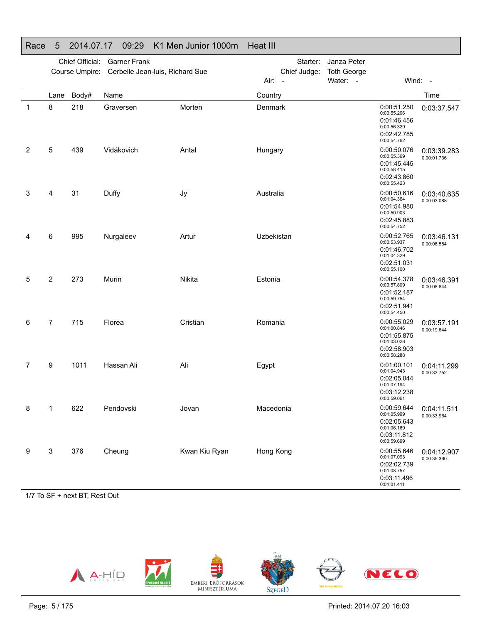| ı wu |                |                 | ◡◡.ಒ◡                           | <b>ITT INIGHT OUTHOL</b> TOOOITH |                        |                    |                                                                                        |                            |
|------|----------------|-----------------|---------------------------------|----------------------------------|------------------------|--------------------|----------------------------------------------------------------------------------------|----------------------------|
|      |                | Chief Official: | <b>Garner Frank</b>             |                                  | Starter:               | Janza Peter        |                                                                                        |                            |
|      |                | Course Umpire:  | Cerbelle Jean-luis, Richard Sue |                                  | Chief Judge:           | <b>Toth George</b> |                                                                                        |                            |
|      |                |                 |                                 |                                  | Air:<br>$\overline{a}$ | Water: -           |                                                                                        | Wind: -                    |
|      | Lane           | Body#           | Name                            |                                  | Country                |                    |                                                                                        | Time                       |
| 1    | 8              | 218             | Graversen                       | Morten                           | Denmark                |                    | 0:00:51.250<br>0:00:55.206<br>0:01:46.456<br>0:00:56.329<br>0:02:42.785<br>0:00:54.762 | 0:03:37.547                |
| 2    | 5              | 439             | Vidákovich                      | Antal                            | Hungary                |                    | 0:00:50.076<br>0:00:55.369<br>0:01:45.445<br>0:00:58.415<br>0:02:43.860<br>0:00:55.423 | 0:03:39.283<br>0:00:01.736 |
| 3    | 4              | 31              | Duffy                           | Jy                               | Australia              |                    | 0:00:50.616<br>0:01:04.364<br>0:01:54.980<br>0:00:50.903<br>0:02:45.883<br>0:00:54.752 | 0:03:40.635<br>0:00:03.088 |
| 4    | 6              | 995             | Nurgaleev                       | Artur                            | Uzbekistan             |                    | 0:00:52.765<br>0:00:53.937<br>0:01:46.702<br>0:01:04.329<br>0:02:51.031<br>0:00:55.100 | 0:03:46.131<br>0:00:08.584 |
| 5    | $\overline{c}$ | 273             | Murin                           | <b>Nikita</b>                    | Estonia                |                    | 0:00:54.378<br>0:00:57.809<br>0:01:52.187<br>0:00:59.754<br>0:02:51.941<br>0:00:54.450 | 0:03:46.391<br>0:00:08.844 |
| 6    | $\overline{7}$ | 715             | Florea                          | Cristian                         | Romania                |                    | 0:00:55.029<br>0:01:00.846<br>0:01:55.875<br>0:01:03.028<br>0:02:58.903<br>0:00:58.288 | 0:03:57.191<br>0:00:19.644 |
| 7    | 9              | 1011            | Hassan Ali                      | Ali                              | Egypt                  |                    | 0:01:00.101<br>0:01:04.943<br>0:02:05.044<br>0:01:07.194<br>0:03:12.238<br>0:00:59.061 | 0:04:11.299<br>0:00:33.752 |
| 8    | 1              | 622             | Pendovski                       | Jovan                            | Macedonia              |                    | 0:00:59.644<br>0:01:05.999<br>0:02:05.643<br>0:01:06.169<br>0:03:11.812<br>0:00:59.699 | 0:04:11.511<br>0:00:33.964 |
| 9    | 3              | 376             | Cheung                          | Kwan Kiu Ryan                    | Hong Kong              |                    | 0:00:55.646<br>0:01:07.093<br>0:02:02.739<br>0:01:08.757<br>0:03:11.496<br>0:01:01.411 | 0:04:12.907<br>0:00:35.360 |

#### Race 5 2014.07.17 09:29 K1 Men Junior 1000m Heat III

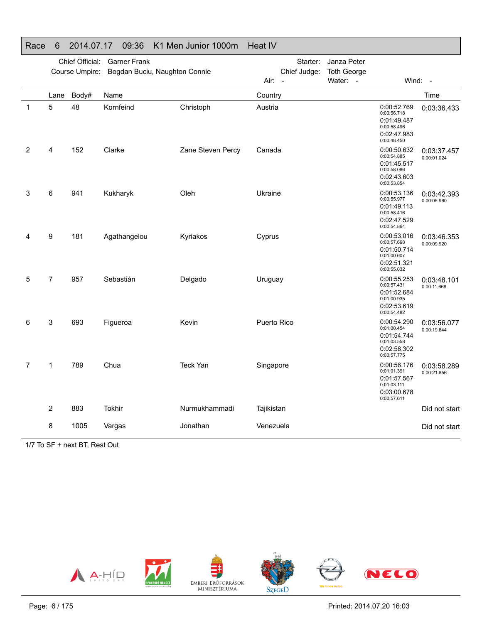| . .uv |      |                 | vv.vv                         | INTERNATIONS INCOMED |             |              |                    |                                                                                        |                            |
|-------|------|-----------------|-------------------------------|----------------------|-------------|--------------|--------------------|----------------------------------------------------------------------------------------|----------------------------|
|       |      | Chief Official: | <b>Garner Frank</b>           |                      |             | Starter:     | Janza Peter        |                                                                                        |                            |
|       |      | Course Umpire:  | Bogdan Buciu, Naughton Connie |                      |             | Chief Judge: | <b>Toth George</b> |                                                                                        |                            |
|       |      |                 |                               |                      | Air: -      |              | Water: -           |                                                                                        | Wind: -                    |
|       | Lane | Body#           | Name                          |                      | Country     |              |                    |                                                                                        | Time                       |
| 1     | 5    | 48              | Kornfeind                     | Christoph            | Austria     |              |                    | 0:00:52.769<br>0:00:56.718<br>0:01:49.487<br>0:00:58.496<br>0:02:47.983<br>0:00:48.450 | 0:03:36.433                |
| 2     | 4    | 152             | Clarke                        | Zane Steven Percy    | Canada      |              |                    | 0:00:50.632<br>0:00:54.885<br>0:01:45.517<br>0:00:58.086<br>0:02:43.603<br>0:00:53.854 | 0:03:37.457<br>0:00:01.024 |
| 3     | 6    | 941             | Kukharyk                      | Oleh                 | Ukraine     |              |                    | 0:00:53.136<br>0:00:55.977<br>0:01:49.113<br>0:00:58.416<br>0:02:47.529<br>0:00:54.864 | 0:03:42.393<br>0:00:05.960 |
| 4     | 9    | 181             | Agathangelou                  | Kyriakos             | Cyprus      |              |                    | 0:00:53.016<br>0:00:57.698<br>0:01:50.714<br>0:01:00.607<br>0:02:51.321<br>0:00:55.032 | 0:03:46.353<br>0:00:09.920 |
| 5     | 7    | 957             | Sebastián                     | Delgado              | Uruguay     |              |                    | 0:00:55.253<br>0:00:57.431<br>0:01:52.684<br>0:01:00.935<br>0:02:53.619<br>0:00:54.482 | 0:03:48.101<br>0:00:11.668 |
| 6     | 3    | 693             | Figueroa                      | Kevin                | Puerto Rico |              |                    | 0:00:54.290<br>0:01:00.454<br>0:01:54.744<br>0:01:03.558<br>0:02:58.302<br>0:00:57.775 | 0:03:56.077<br>0:00:19.644 |
| 7     | 1    | 789             | Chua                          | <b>Teck Yan</b>      | Singapore   |              |                    | 0:00:56.176<br>0:01:01.391<br>0:01:57.567<br>0:01:03.111<br>0:03:00.678<br>0:00:57.611 | 0:03:58.289<br>0:00:21.856 |
|       | 2    | 883             | Tokhir                        | Nurmukhammadi        | Tajikistan  |              |                    |                                                                                        | Did not start              |
|       | 8    | 1005            | Vargas                        | Jonathan             | Venezuela   |              |                    |                                                                                        | Did not start              |

#### Race 6 2014.07.17 09:36 K1 Men Junior 1000m Heat IV

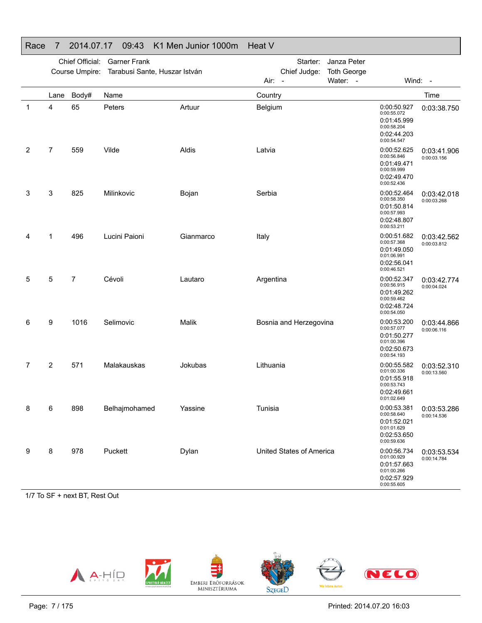|   |      | Chief Official: | <b>Garner Frank</b>           |              |           | Starter:                                 | Janza Peter                    |                                                                                        |                            |
|---|------|-----------------|-------------------------------|--------------|-----------|------------------------------------------|--------------------------------|----------------------------------------------------------------------------------------|----------------------------|
|   |      | Course Umpire:  | Tarabusi Sante, Huszar István |              | Air:      | Chief Judge:<br>$\overline{\phantom{a}}$ | <b>Toth George</b><br>Water: - |                                                                                        | Wind: -                    |
|   |      |                 |                               |              |           |                                          |                                |                                                                                        |                            |
|   | Lane | Body#           | Name                          |              | Country   |                                          |                                |                                                                                        | Time                       |
| 1 | 4    | 65              | Peters                        | Artuur       | Belgium   |                                          |                                | 0:00:50.927<br>0:00:55.072<br>0:01:45.999<br>0:00:58.204<br>0:02:44.203<br>0:00:54.547 | 0:03:38.750                |
| 2 | 7    | 559             | Vilde                         | Aldis        | Latvia    |                                          |                                | 0:00:52.625<br>0:00:56.846<br>0:01:49.471<br>0:00:59.999<br>0:02:49.470<br>0:00:52.436 | 0:03:41.906<br>0:00:03.156 |
| 3 | 3    | 825             | Milinkovic                    | Bojan        | Serbia    |                                          |                                | 0:00:52.464<br>0:00:58.350<br>0:01:50.814<br>0:00:57.993<br>0:02:48.807<br>0:00:53.211 | 0:03:42.018<br>0:00:03.268 |
| 4 | 1    | 496             | Lucini Paioni                 | Gianmarco    | Italy     |                                          |                                | 0:00:51.682<br>0:00:57.368<br>0:01:49.050<br>0:01:06.991<br>0:02:56.041<br>0:00:46.521 | 0:03:42.562<br>0:00:03.812 |
| 5 | 5    | 7               | Cévoli                        | Lautaro      | Argentina |                                          |                                | 0:00:52.347<br>0:00:56.915<br>0:01:49.262<br>0:00:59.462<br>0:02:48.724<br>0:00:54.050 | 0:03:42.774<br>0:00:04.024 |
| 6 | 9    | 1016            | Selimovic                     | <b>Malik</b> |           | Bosnia and Herzegovina                   |                                | 0:00:53.200<br>0:00:57.077<br>0:01:50.277<br>0:01:00.396<br>0:02:50.673<br>0:00:54.193 | 0:03:44.866<br>0:00:06.116 |
| 7 | 2    | 571             | Malakauskas                   | Jokubas      | Lithuania |                                          |                                | 0:00:55.582<br>0:01:00.336<br>0:01:55.918<br>0:00:53.743<br>0:02:49.661<br>0:01:02.649 | 0:03:52.310<br>0:00:13.560 |
| 8 | 6    | 898             | Belhajmohamed                 | Yassine      | Tunisia   |                                          |                                | 0:00:53.381<br>0:00:58.640<br>0:01:52.021<br>0:01:01.629<br>0:02:53.650<br>0:00:59.636 | 0:03:53.286<br>0:00:14.536 |
| 9 | 8    | 978             | Puckett                       | Dylan        |           | United States of America                 |                                | 0:00:56.734<br>0:01:00.929<br>0:01:57.663<br>0:01:00.266<br>0:02:57.929<br>0:00:55.605 | 0:03:53.534<br>0:00:14.784 |

## Race 7 2014.07.17 09:43 K1 Men Junior 1000m Heat V

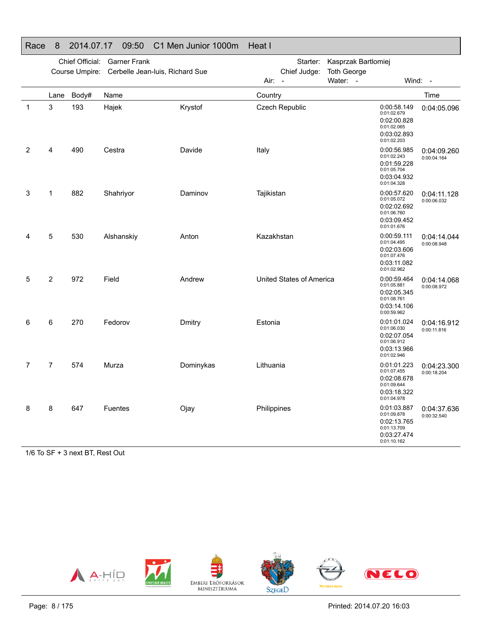|   |                | Chief Official: | <b>Garner Frank</b>                            |           | Starter:                 | Kasprzak Bartlomiej<br><b>Toth George</b> |                                                                                        |                            |
|---|----------------|-----------------|------------------------------------------------|-----------|--------------------------|-------------------------------------------|----------------------------------------------------------------------------------------|----------------------------|
|   |                |                 | Course Umpire: Cerbelle Jean-luis, Richard Sue |           | Chief Judge:<br>Air: -   | Water:<br>$\sim$                          | Wind: -                                                                                |                            |
|   | Lane           | Body#           | Name                                           |           | Country                  |                                           |                                                                                        | Time                       |
| 1 | 3              | 193             | Hajek                                          | Krystof   | Czech Republic           |                                           | 0:00:58.149<br>0:01:02.679<br>0:02:00.828<br>0:01:02.065<br>0:03:02.893<br>0:01:02.203 | 0:04:05.096                |
| 2 | 4              | 490             | Cestra                                         | Davide    | Italy                    |                                           | 0:00:56.985<br>0:01:02.243<br>0:01:59.228<br>0:01:05.704<br>0:03:04.932<br>0:01:04.328 | 0:04:09.260<br>0:00:04.164 |
| 3 | 1              | 882             | Shahriyor                                      | Daminov   | Tajikistan               |                                           | 0:00:57.620<br>0:01:05.072<br>0:02:02.692<br>0:01:06.760<br>0:03:09.452<br>0:01:01.676 | 0:04:11.128<br>0:00:06.032 |
| 4 | 5              | 530             | Alshanskiy                                     | Anton     | Kazakhstan               |                                           | 0:00:59.111<br>0:01:04.495<br>0:02:03.606<br>0:01:07.476<br>0:03:11.082<br>0:01:02.962 | 0:04:14.044<br>0:00:08.948 |
| 5 | 2              | 972             | Field                                          | Andrew    | United States of America |                                           | 0:00:59.464<br>0:01:05.881<br>0:02:05.345<br>0:01:08.761<br>0:03:14.106<br>0:00:59.962 | 0:04:14.068<br>0:00:08.972 |
| 6 | 6              | 270             | Fedorov                                        | Dmitry    | Estonia                  |                                           | 0:01:01.024<br>0:01:06.030<br>0:02:07.054<br>0:01:06.912<br>0:03:13.966<br>0:01:02.946 | 0:04:16.912<br>0:00:11.816 |
| 7 | $\overline{7}$ | 574             | Murza                                          | Dominykas | Lithuania                |                                           | 0:01:01.223<br>0:01:07.455<br>0:02:08.678<br>0:01:09.644<br>0:03:18.322<br>0:01:04.978 | 0:04:23.300<br>0:00:18.204 |
| 8 | 8              | 647             | Fuentes                                        | Ojay      | Philippines              |                                           | 0:01:03.887<br>0:01:09.878<br>0:02:13.765<br>0:01:13.709<br>0:03:27.474<br>0:01:10.162 | 0:04:37.636<br>0:00:32.540 |

### Race 8 2014.07.17 09:50 C1 Men Junior 1000m Heat I

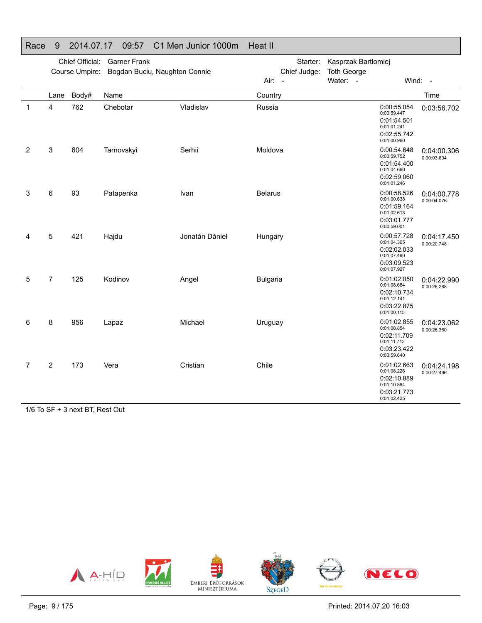#### Race 9 2014.07.17 09:57 C1 Men Junior 1000m Heat II Chief Official: Garner FrankCourse Umpire: Bogdan Buciu, Naughton Connie Starter: Kasprzak BartlomiejChief Judge: **Toth George** Air: -Water: - Wind: -Lane Body# Name**Country Country Country Country Country** Time 1 4 762 Chebotar Vladislav Russia 0:00:55.054 0:00:55.054 0:01:54.5010:01:01.241 0:02:55.742 0:01:00.960 0:03:56.702 2 3 604 TarnovskyiSerhii Moldova 0:00:54.648 0:00:59.752 0:01:54.400 0:01:04.660 0:02:59.060 0:01:01.246 0:04:00.306 0:00:03.6043 6 93 PatapenkaIvan Belarus Belarus 0:00:58.526 0:01:00.638 0:01:59.164 0:01:02.613 0:03:01.7770:00:59.001 0:04:00.778 0:00:04.0764 5 421 Hajdu Jonatán Dániel Hungary 0:00:57.728 0:01:04.3050:02:02.0330:01:07.490 0:03:09.523 0:01:07.927 0:04:17.4500:00:20.7485 7 125 KodinovAngel Bulgaria Bulgaria 0:01:02.050 0:01:08.6840:02:10.7340:01:12.141 0:03:22.875 0:01:00.115 0:04:22.990 0:00:26.288 6 8 956 LapazMichael Uruguay 0:01:02.855 0:01:08.854 0:02:11.709 0:01:11.713 0:03:23.422 0:00:59.640 0:04:23.062 0:00:26.360 7 2 173 Vera Cristian Chile 0:01:02.663 0:01:08.226 0:02:10.8890:01:10.884 0:03:21.773 0:01:02.425 0:04:24.198 0:00:27.496

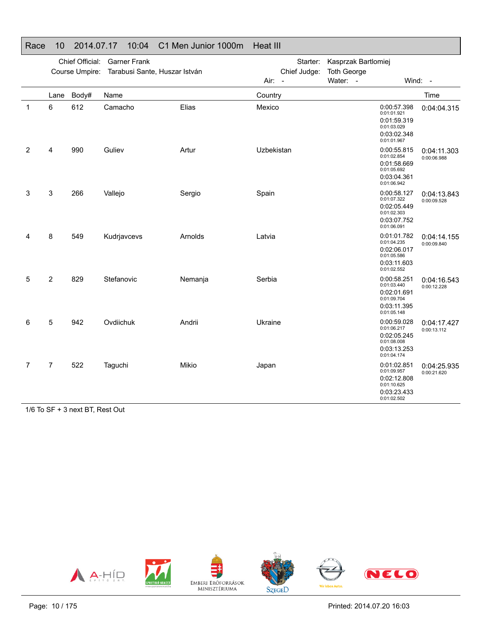|             |                | Chief Official:<br>Course Umpire: | <b>Garner Frank</b><br>Tarabusi Sante, Huszar István |         |            | Starter:<br>Chief Judge: | Kasprzak Bartlomiej<br><b>Toth George</b> |                                                                                        |                            |
|-------------|----------------|-----------------------------------|------------------------------------------------------|---------|------------|--------------------------|-------------------------------------------|----------------------------------------------------------------------------------------|----------------------------|
|             |                |                                   |                                                      |         | Air: -     |                          | Water: -                                  | Wind: -                                                                                |                            |
|             | Lane           | Body#                             | Name                                                 |         | Country    |                          |                                           |                                                                                        | Time                       |
| $\mathbf 1$ | $\,6$          | 612                               | Camacho                                              | Elias   | Mexico     |                          |                                           | 0:00:57.398<br>0:01:01.921<br>0:01:59.319<br>0:01:03.029<br>0:03:02.348<br>0:01:01.967 | 0:04:04.315                |
| 2           | 4              | 990                               | Guliev                                               | Artur   | Uzbekistan |                          |                                           | 0:00:55.815<br>0:01:02.854<br>0:01:58.669<br>0:01:05.692<br>0:03:04.361<br>0:01:06.942 | 0:04:11.303<br>0:00:06.988 |
| 3           | $\mathsf 3$    | 266                               | Vallejo                                              | Sergio  | Spain      |                          |                                           | 0:00:58.127<br>0:01:07.322<br>0:02:05.449<br>0:01:02.303<br>0:03:07.752<br>0:01:06.091 | 0:04:13.843<br>0:00:09.528 |
| 4           | 8              | 549                               | Kudrjavcevs                                          | Arnolds | Latvia     |                          |                                           | 0:01:01.782<br>0:01:04.235<br>0:02:06.017<br>0:01:05.586<br>0:03:11.603<br>0:01:02.552 | 0:04:14.155<br>0:00:09.840 |
| 5           | $\overline{2}$ | 829                               | Stefanovic                                           | Nemanja | Serbia     |                          |                                           | 0:00:58.251<br>0:01:03.440<br>0:02:01.691<br>0:01:09.704<br>0:03:11.395<br>0:01:05.148 | 0:04:16.543<br>0:00:12.228 |
| 6           | 5              | 942                               | Ovdiichuk                                            | Andrii  | Ukraine    |                          |                                           | 0:00:59.028<br>0:01:06.217<br>0:02:05.245<br>0:01:08.008<br>0:03:13.253<br>0:01:04.174 | 0:04:17.427<br>0:00:13.112 |
| 7           | $\overline{7}$ | 522                               | Taguchi                                              | Mikio   | Japan      |                          |                                           | 0:01:02.851<br>0:01:09.957<br>0:02:12.808<br>0:01:10.625<br>0:03:23.433<br>0:01:02.502 | 0:04:25.935<br>0:00:21.620 |

Race 10 2014.07.17 10:04 C1 Men Junior 1000m Heat III

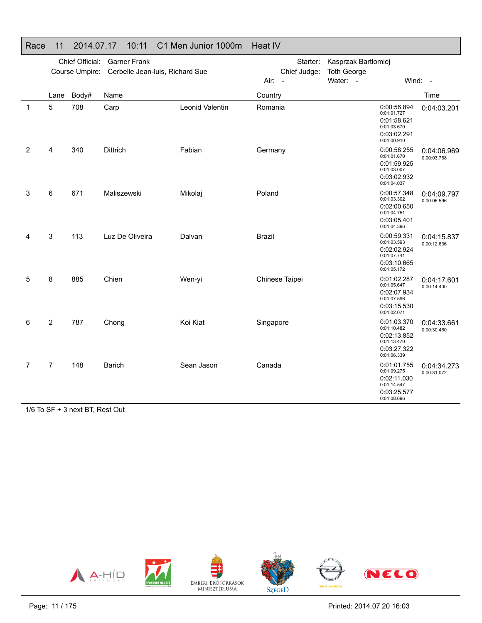|              |                | Chief Official:<br>Course Umpire: | <b>Garner Frank</b><br>Cerbelle Jean-luis, Richard Sue |                 | Starter:<br>Chief Judge: | Kasprzak Bartlomiej<br><b>Toth George</b> |                                                                                        |                            |
|--------------|----------------|-----------------------------------|--------------------------------------------------------|-----------------|--------------------------|-------------------------------------------|----------------------------------------------------------------------------------------|----------------------------|
|              |                |                                   |                                                        |                 | Air: -                   | Water: -                                  |                                                                                        | Wind: -                    |
|              | Lane           | Body#                             | Name                                                   |                 | Country                  |                                           |                                                                                        | Time                       |
| $\mathbf{1}$ | 5              | 708                               | Carp                                                   | Leonid Valentin | Romania                  |                                           | 0:00:56.894<br>0:01:01.727<br>0:01:58.621<br>0:01:03.670<br>0:03:02.291<br>0:01:00.910 | 0:04:03.201                |
| 2            | 4              | 340                               | <b>Dittrich</b>                                        | Fabian          | Germany                  |                                           | 0:00:58.255<br>0:01:01.670<br>0:01:59.925<br>0:01:03.007<br>0:03:02.932<br>0:01:04.037 | 0:04:06.969<br>0:00:03.768 |
| 3            | 6              | 671                               | Maliszewski                                            | Mikolaj         | Poland                   |                                           | 0:00:57.348<br>0:01:03.302<br>0:02:00.650<br>0:01:04.751<br>0:03:05.401<br>0:01:04.396 | 0:04:09.797<br>0:00:06.596 |
| 4            | 3              | 113                               | Luz De Oliveira                                        | Dalvan          | Brazil                   |                                           | 0:00:59.331<br>0:01:03.593<br>0:02:02.924<br>0:01:07.741<br>0:03:10.665<br>0:01:05.172 | 0:04:15.837<br>0:00:12.636 |
| 5            | 8              | 885                               | Chien                                                  | Wen-yi          | Chinese Taipei           |                                           | 0:01:02.287<br>0:01:05.647<br>0:02:07.934<br>0:01:07.596<br>0:03:15.530<br>0:01:02.071 | 0:04:17.601<br>0:00:14.400 |
| 6            | 2              | 787                               | Chong                                                  | Koi Kiat        | Singapore                |                                           | 0:01:03.370<br>0:01:10.482<br>0:02:13.852<br>0:01:13.470<br>0:03:27.322<br>0:01:06.339 | 0:04:33.661<br>0:00:30.460 |
| 7            | $\overline{7}$ | 148                               | <b>Barich</b>                                          | Sean Jason      | Canada                   |                                           | 0:01:01.755<br>0:01:09.275<br>0:02:11.030<br>0:01:14.547<br>0:03:25.577<br>0:01:08.696 | 0:04:34.273<br>0:00:31.072 |

Race 11 2014.07.17 10:11 C1 Men Junior 1000m Heat IV

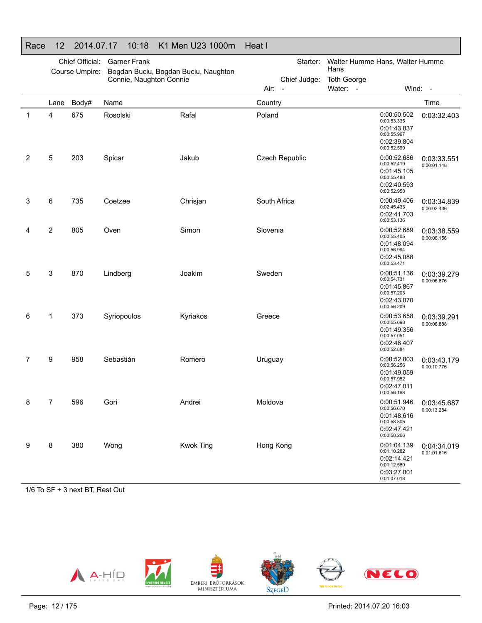| י זטי |      |                                   | 17. V / . I /<br>1 V.IV | INT IVIGHT OF LOOPING                |                                  |                                                                                        |                            |
|-------|------|-----------------------------------|-------------------------|--------------------------------------|----------------------------------|----------------------------------------------------------------------------------------|----------------------------|
|       |      | Chief Official:<br>Course Umpire: | <b>Garner Frank</b>     | Bogdan Buciu, Bogdan Buciu, Naughton | Starter:                         | Walter Humme Hans, Walter Humme<br>Hans                                                |                            |
|       |      |                                   | Connie, Naughton Connie |                                      | Chief Judge:                     | <b>Toth George</b>                                                                     |                            |
|       |      |                                   |                         |                                      | Air:<br>$\overline{\phantom{a}}$ | Water: -                                                                               | Wind: -                    |
|       | Lane | Body#                             | Name                    |                                      | Country                          |                                                                                        | Time                       |
| 1     | 4    | 675                               | Rosolski                | Rafal                                | Poland                           | 0:00:50.502<br>0:00:53.335<br>0:01:43.837<br>0:00:55.967<br>0:02:39.804<br>0:00:52.599 | 0:03:32.403                |
| 2     | 5    | 203                               | Spicar                  | Jakub                                | Czech Republic                   | 0:00:52.686<br>0:00:52.419<br>0:01:45.105<br>0:00:55.488<br>0:02:40.593<br>0:00:52.958 | 0:03:33.551<br>0:00:01.148 |
| 3     | 6    | 735                               | Coetzee                 | Chrisjan                             | South Africa                     | 0:00:49.406<br>0:02:45.433<br>0:02:41.703<br>0:00:53.136                               | 0:03:34.839<br>0:00:02.436 |
| 4     | 2    | 805                               | Oven                    | Simon                                | Slovenia                         | 0:00:52.689<br>0:00:55.405<br>0:01:48.094<br>0:00:56.994<br>0:02:45.088<br>0:00:53.471 | 0:03:38.559<br>0:00:06.156 |
| 5     | 3    | 870                               | Lindberg                | Joakim                               | Sweden                           | 0:00:51.136<br>0:00:54.731<br>0:01:45.867<br>0:00:57.203<br>0:02:43.070<br>0:00:56.209 | 0:03:39.279<br>0:00:06.876 |
| 6     | 1    | 373                               | Syriopoulos             | Kyriakos                             | Greece                           | 0:00:53.658<br>0:00:55.698<br>0:01:49.356<br>0:00:57.051<br>0:02:46.407<br>0:00:52.884 | 0:03:39.291<br>0:00:06.888 |
| 7     | 9    | 958                               | Sebastián               | Romero                               | Uruguay                          | 0:00:52.803<br>0:00:56.256<br>0:01:49.059<br>0:00:57.952<br>0:02:47.011<br>0:00:56.168 | 0:03:43.179<br>0:00:10.776 |
| 8     | 7    | 596                               | Gori                    | Andrei                               | Moldova                          | 0:00:51.946<br>0:00:56.670<br>0:01:48.616<br>0:00:58.805<br>0:02:47.421<br>0:00:58.266 | 0:03:45.687<br>0:00:13.284 |
| 9     | 8    | 380                               | Wong                    | <b>Kwok Ting</b>                     | Hong Kong                        | 0:01:04.139<br>0:01:10.282<br>0:02:14.421<br>0:01:12.580<br>0:03:27.001<br>0:01:07.018 | 0:04:34.019<br>0:01:01.616 |

## Race 12 2014.07.17 10:18 K1 Men U23 1000m Heat I

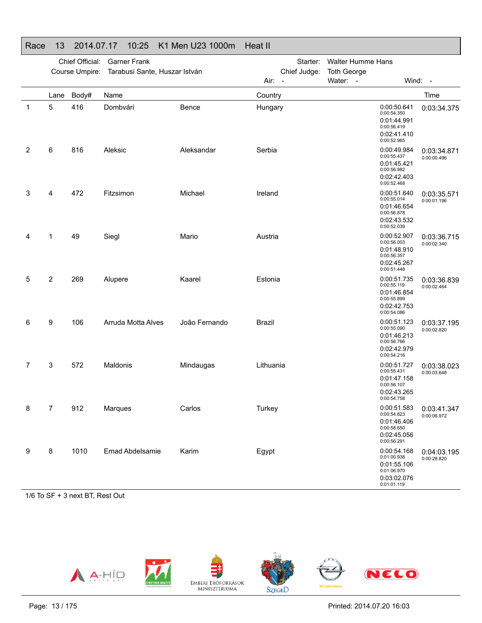|   |                | Chief Official:<br>Course Umpire: | <b>Garner Frank</b><br>Tarabusi Sante, Huszar István |               | Starter:<br>Chief Judge:<br>Air: - | <b>Walter Humme Hans</b><br><b>Toth George</b><br>Water: -                             | Wind: -                    |
|---|----------------|-----------------------------------|------------------------------------------------------|---------------|------------------------------------|----------------------------------------------------------------------------------------|----------------------------|
|   | Lane           | Body#                             | Name                                                 |               | Country                            |                                                                                        | Time                       |
| 1 | 5              | 416                               | Dombvári                                             | Bence         | Hungary                            | 0:00:50.641<br>0:00:54.350<br>0:01:44.991<br>0:00:56.419<br>0:02:41.410<br>0:00:52.965 | 0:03:34.375                |
| 2 | 6              | 816                               | Aleksic                                              | Aleksandar    | Serbia                             | 0:00:49.984<br>0:00:55.437<br>0:01:45.421<br>0:00:56.982<br>0:02:42.403<br>0:00:52.468 | 0:03:34.871<br>0:00:00.496 |
| 3 | 4              | 472                               | Fitzsimon                                            | Michael       | Ireland                            | 0:00:51.640<br>0:00:55.014<br>0:01:46.654<br>0:00:56.878<br>0:02:43.532<br>0:00:52.039 | 0:03:35.571<br>0:00:01.196 |
| 4 | 1              | 49                                | Siegl                                                | Mario         | Austria                            | 0:00:52.907<br>0:00:56.003<br>0:01:48.910<br>0:00:56.357<br>0:02:45.267<br>0:00:51.448 | 0:03:36.715<br>0:00:02.340 |
| 5 | 2              | 269                               | Alupere                                              | Kaarel        | Estonia                            | 0:00:51.735<br>0:00:55.119<br>0:01:46.854<br>0:00:55.899<br>0:02:42.753<br>0:00:54.086 | 0:03:36.839<br>0:00:02.464 |
| 6 | 9              | 106                               | Arruda Motta Alves                                   | João Fernando | <b>Brazil</b>                      | 0:00:51.123<br>0:00:55.090<br>0:01:46.213<br>0:00:56.766<br>0:02:42.979<br>0:00:54.216 | 0:03:37.195<br>0:00:02.820 |
| 7 | 3              | 572                               | Maldonis                                             | Mindaugas     | Lithuania                          | 0:00:51.727<br>0:00:55.431<br>0:01:47.158<br>0:00:56.107<br>0:02:43.265<br>0:00:54.758 | 0:03:38.023<br>0:00:03.648 |
| 8 | $\overline{7}$ | 912                               | Marques                                              | Carlos        | Turkey                             | 0:00:51.583<br>0:00:54.823<br>0:01:46.406<br>0:00:58.650<br>0:02:45.056<br>0:00:56.291 | 0:03:41.347<br>0:00:06.972 |
| 9 | 8              | 1010                              | <b>Emad Abdelsamie</b>                               | Karim         | Egypt                              | 0:00:54.168<br>0:01:00.938<br>0:01:55.106<br>0:01:06.970<br>0:03:02.076<br>0:01:01.119 | 0:04:03.195<br>0:00:28.820 |

## Race 13 2014.07.17 10:25 K1 Men U23 1000m Heat II

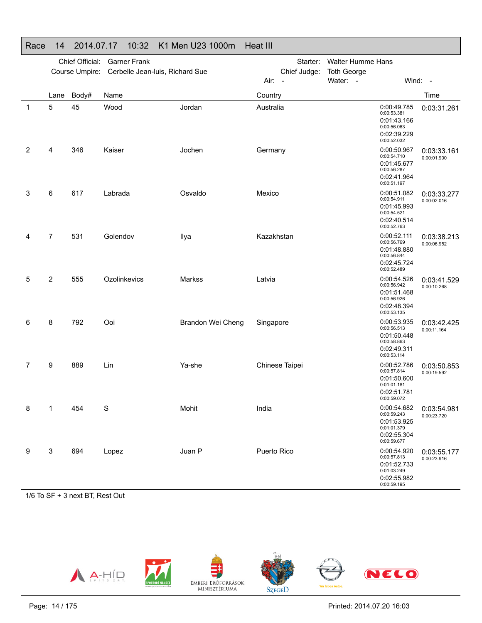|              | Chief Official:<br><b>Garner Frank</b><br>Course Umpire: Cerbelle Jean-luis, Richard Sue |       |              |                   | Starter:<br><b>Walter Humme Hans</b><br>Chief Judge:<br><b>Toth George</b> |          |                                                                                        |                            |
|--------------|------------------------------------------------------------------------------------------|-------|--------------|-------------------|----------------------------------------------------------------------------|----------|----------------------------------------------------------------------------------------|----------------------------|
|              |                                                                                          |       |              |                   | Air: -                                                                     | Water: - |                                                                                        | Wind: -                    |
|              | Lane                                                                                     | Body# | Name         |                   | Country                                                                    |          |                                                                                        | Time                       |
| $\mathbf{1}$ | 5                                                                                        | 45    | Wood         | Jordan            | Australia                                                                  |          | 0:00:49.785<br>0:00:53.381<br>0:01:43.166<br>0:00:56.063<br>0:02:39.229<br>0:00:52.032 | 0:03:31.261                |
| 2            | 4                                                                                        | 346   | Kaiser       | Jochen            | Germany                                                                    |          | 0:00:50.967<br>0:00:54.710<br>0:01:45.677<br>0:00:56.287<br>0:02:41.964<br>0:00:51.197 | 0:03:33.161<br>0:00:01.900 |
| 3            | 6                                                                                        | 617   | Labrada      | Osvaldo           | Mexico                                                                     |          | 0:00:51.082<br>0:00:54.911<br>0:01:45.993<br>0:00:54.521<br>0:02:40.514<br>0:00:52.763 | 0:03:33.277<br>0:00:02.016 |
| 4            | 7                                                                                        | 531   | Golendov     | Ilya              | Kazakhstan                                                                 |          | 0:00:52.111<br>0:00:56.769<br>0:01:48.880<br>0:00:56.844<br>0:02:45.724<br>0:00:52.489 | 0:03:38.213<br>0:00:06.952 |
| 5            | 2                                                                                        | 555   | Ozolinkevics | Markss            | Latvia                                                                     |          | 0:00:54.526<br>0:00:56.942<br>0:01:51.468<br>0:00:56.926<br>0:02:48.394<br>0:00:53.135 | 0:03:41.529<br>0:00:10.268 |
| 6            | 8                                                                                        | 792   | Ooi          | Brandon Wei Cheng | Singapore                                                                  |          | 0:00:53.935<br>0:00:56.513<br>0:01:50.448<br>0:00:58.863<br>0:02:49.311<br>0:00:53.114 | 0:03:42.425<br>0:00:11.164 |
| 7            | 9                                                                                        | 889   | Lin          | Ya-she            | Chinese Taipei                                                             |          | 0:00:52.786<br>0:00:57.814<br>0:01:50.600<br>0:01:01.181<br>0:02:51.781<br>0:00:59.072 | 0:03:50.853<br>0:00:19.592 |
| 8            | 1                                                                                        | 454   | S            | Mohit             | India                                                                      |          | 0:00:54.682<br>0:00:59.243<br>0:01:53.925<br>0:01:01.379<br>0:02:55.304<br>0:00:59.677 | 0:03:54.981<br>0:00:23.720 |
| 9            | 3                                                                                        | 694   | Lopez        | Juan P            | Puerto Rico                                                                |          | 0:00:54.920<br>0:00:57.813<br>0:01:52.733<br>0:01:03.249<br>0:02:55.982<br>0:00:59.195 | 0:03:55.177<br>0:00:23.916 |

## Race 14 2014.07.17 10:32 K1 Men U23 1000m Heat III

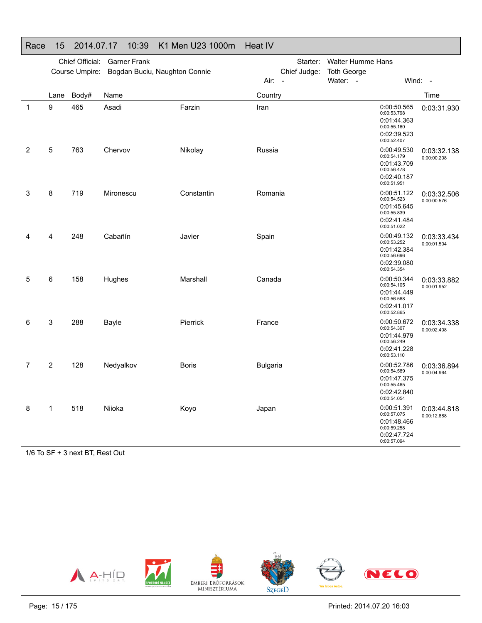### Race 15 2014.07.17 10:39 K1 Men U23 1000m Heat IV

|                |      | Chief Official: | <b>Garner Frank</b>           |              | Starter:                                         | <b>Walter Humme Hans</b>       |                                                                                        |                            |
|----------------|------|-----------------|-------------------------------|--------------|--------------------------------------------------|--------------------------------|----------------------------------------------------------------------------------------|----------------------------|
|                |      | Course Umpire:  | Bogdan Buciu, Naughton Connie |              | Chief Judge:<br>Air:<br>$\overline{\phantom{a}}$ | <b>Toth George</b><br>Water: - |                                                                                        | Wind: -                    |
|                | Lane | Body#           | Name                          |              | Country                                          |                                |                                                                                        | Time                       |
| $\mathbf 1$    | 9    | 465             | Asadi                         | Farzin       | Iran                                             |                                | 0:00:50.565<br>0:00:53.798<br>0:01:44.363<br>0:00:55.160<br>0:02:39.523<br>0:00:52.407 | 0:03:31.930                |
| 2              | 5    | 763             | Chervov                       | Nikolay      | Russia                                           |                                | 0:00:49.530<br>0:00:54.179<br>0:01:43.709<br>0:00:56.478<br>0:02:40.187<br>0:00:51.951 | 0:03:32.138<br>0:00:00.208 |
| 3              | 8    | 719             | Mironescu                     | Constantin   | Romania                                          |                                | 0:00:51.122<br>0:00:54.523<br>0:01:45.645<br>0:00:55.839<br>0:02:41.484<br>0:00:51.022 | 0:03:32.506<br>0:00:00.576 |
| 4              | 4    | 248             | Cabañín                       | Javier       | Spain                                            |                                | 0:00:49.132<br>0:00:53.252<br>0:01:42.384<br>0:00:56.696<br>0:02:39.080<br>0:00:54.354 | 0:03:33.434<br>0:00:01.504 |
| 5              | 6    | 158             | Hughes                        | Marshall     | Canada                                           |                                | 0:00:50.344<br>0:00:54.105<br>0:01:44.449<br>0:00:56.568<br>0:02:41.017<br>0:00:52.865 | 0:03:33.882<br>0:00:01.952 |
| 6              | 3    | 288             | Bayle                         | Pierrick     | France                                           |                                | 0:00:50.672<br>0:00:54.307<br>0:01:44.979<br>0:00:56.249<br>0:02:41.228<br>0:00:53.110 | 0:03:34.338<br>0:00:02.408 |
| $\overline{7}$ | 2    | 128             | Nedyalkov                     | <b>Boris</b> | <b>Bulgaria</b>                                  |                                | 0:00:52.786<br>0:00:54.589<br>0:01:47.375<br>0:00:55.465<br>0:02:42.840<br>0:00:54.054 | 0:03:36.894<br>0:00:04.964 |
| 8              | 1    | 518             | Niioka                        | Koyo         | Japan                                            |                                | 0:00:51.391<br>0:00:57.075<br>0:01:48.466<br>0:00:59.258<br>0:02:47.724<br>0:00:57.094 | 0:03:44.818<br>0:00:12.888 |

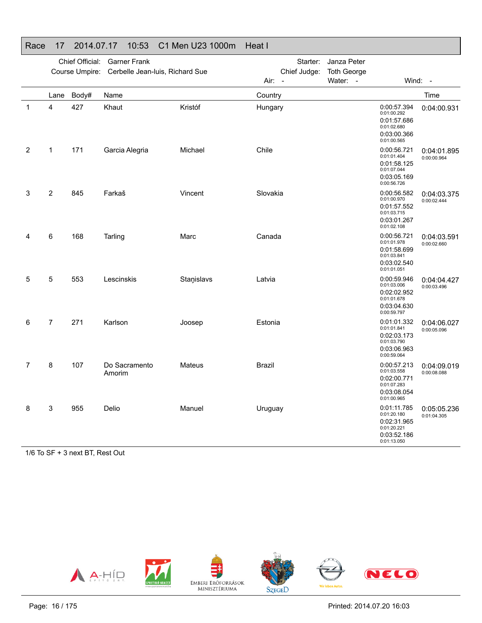### Race 17 2014.07.17 10:53 C1 Men U23 1000m Heat I

|             | Chief Official:<br><b>Garner Frank</b><br>Course Umpire:<br>Cerbelle Jean-luis, Richard Sue |       |                         |            | Starter:                               | Janza Peter                    |                                                                                        |                            |
|-------------|---------------------------------------------------------------------------------------------|-------|-------------------------|------------|----------------------------------------|--------------------------------|----------------------------------------------------------------------------------------|----------------------------|
|             |                                                                                             |       |                         |            | Chief Judge:<br>Air:<br>$\overline{a}$ | <b>Toth George</b><br>Water: - |                                                                                        | Wind: -                    |
|             | Lane                                                                                        | Body# | Name                    |            | Country                                |                                |                                                                                        | Time                       |
| $\mathbf 1$ | 4                                                                                           | 427   | Khaut                   | Kristóf    | Hungary                                |                                | 0:00:57.394<br>0:01:00.292<br>0:01:57.686<br>0:01:02.680<br>0:03:00.366<br>0:01:00.565 | 0:04:00.931                |
| 2           | 1                                                                                           | 171   | Garcia Alegria          | Michael    | Chile                                  |                                | 0:00:56.721<br>0:01:01.404<br>0:01:58.125<br>0:01:07.044<br>0:03:05.169<br>0:00:56.726 | 0:04:01.895<br>0:00:00.964 |
| 3           | 2                                                                                           | 845   | Farkaš                  | Vincent    | Slovakia                               |                                | 0:00:56.582<br>0:01:00.970<br>0:01:57.552<br>0:01:03.715<br>0:03:01.267<br>0:01:02.108 | 0:04:03.375<br>0:00:02.444 |
| 4           | 6                                                                                           | 168   | Tarling                 | Marc       | Canada                                 |                                | 0:00:56.721<br>0:01:01.978<br>0:01:58.699<br>0:01:03.841<br>0:03:02.540<br>0:01:01.051 | 0:04:03.591<br>0:00:02.660 |
| 5           | 5                                                                                           | 553   | Lescinskis              | Staņislavs | Latvia                                 |                                | 0:00:59.946<br>0:01:03.006<br>0:02:02.952<br>0:01:01.678<br>0:03:04.630<br>0:00:59.797 | 0:04:04.427<br>0:00:03.496 |
| 6           | 7                                                                                           | 271   | Karlson                 | Joosep     | Estonia                                |                                | 0:01:01.332<br>0:01:01.841<br>0:02:03.173<br>0:01:03.790<br>0:03:06.963<br>0:00:59.064 | 0:04:06.027<br>0:00:05.096 |
| 7           | 8                                                                                           | 107   | Do Sacramento<br>Amorim | Mateus     | Brazil                                 |                                | 0:00:57.213<br>0:01:03.558<br>0:02:00.771<br>0:01:07.283<br>0:03:08.054<br>0:01:00.965 | 0:04:09.019<br>0:00:08.088 |
| 8           | 3                                                                                           | 955   | Delio                   | Manuel     | Uruguay                                |                                | 0:01:11.785<br>0:01:20.180<br>0:02:31.965<br>0:01:20.221<br>0:03:52.186<br>0:01:13.050 | 0:05:05.236<br>0:01:04.305 |

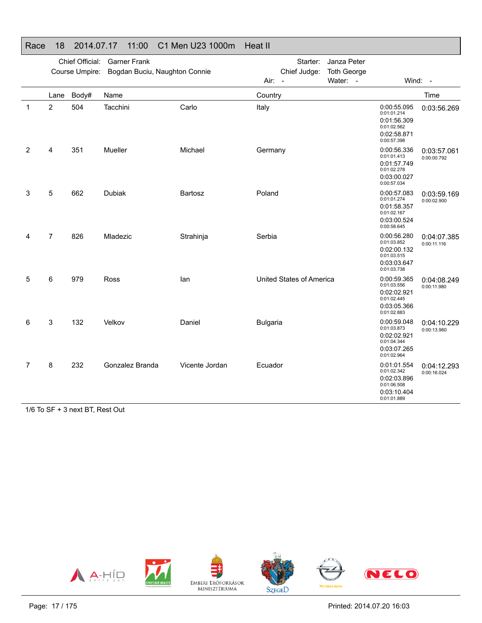## Race 18 2014.07.17 11:00 C1 Men U23 1000m Heat II

|                |                | Chief Official:<br>Course Umpire: | <b>Garner Frank</b><br>Bogdan Buciu, Naughton Connie |                | Starter:<br>Janza Peter<br>Chief Judge:<br><b>Toth George</b> |                                                                                                                      |
|----------------|----------------|-----------------------------------|------------------------------------------------------|----------------|---------------------------------------------------------------|----------------------------------------------------------------------------------------------------------------------|
|                |                |                                   |                                                      |                | Water: -<br>Air: -                                            | Wind: $-$                                                                                                            |
|                | Lane           | Body#                             | Name                                                 |                | Country                                                       | Time                                                                                                                 |
| 1              | 2              | 504                               | Tacchini                                             | Carlo          | Italy                                                         | 0:00:55.095<br>0:03:56.269<br>0:01:01.214<br>0:01:56.309<br>0:01:02.562<br>0:02:58.871<br>0:00:57.398                |
| $\overline{2}$ | 4              | 351                               | Mueller                                              | Michael        | Germany                                                       | 0:00:56.336<br>0:03:57.061<br>0:01:01.413<br>0:00:00.792<br>0:01:57.749<br>0:01:02.278<br>0:03:00.027<br>0:00:57.034 |
| 3              | 5              | 662                               | <b>Dubiak</b>                                        | Bartosz        | Poland                                                        | 0:00:57.083<br>0:03:59.169<br>0:01:01.274<br>0:00:02.900<br>0:01:58.357<br>0:01:02.167<br>0:03:00.524<br>0:00:58.645 |
| 4              | $\overline{7}$ | 826                               | Mladezic                                             | Strahinja      | Serbia                                                        | 0:00:56.280<br>0:04:07.385<br>0:01:03.852<br>0:00:11.116<br>0:02:00.132<br>0:01:03.515<br>0:03:03.647<br>0:01:03.738 |
| 5              | 6              | 979                               | <b>Ross</b>                                          | lan            | United States of America                                      | 0:00:59.365<br>0:04:08.249<br>0:01:03.556<br>0:00:11.980<br>0:02:02.921<br>0:01:02.445<br>0:03:05.366<br>0:01:02.883 |
| 6              | 3              | 132                               | Velkov                                               | Daniel         | <b>Bulgaria</b>                                               | 0:00:59.048<br>0:04:10.229<br>0:01:03.873<br>0:00:13.960<br>0:02:02.921<br>0:01:04.344<br>0:03:07.265<br>0:01:02.964 |
| $\overline{7}$ | 8<br>$ -$      | 232<br>. <b>. .</b> .             | Gonzalez Branda<br>$\sim$ $\sim$                     | Vicente Jordan | Ecuador                                                       | 0:01:01.554<br>0:04:12.293<br>0:01:02.342<br>0:00:16.024<br>0:02:03.896<br>0:01:06.508<br>0:03:10.404<br>0:01:01.889 |

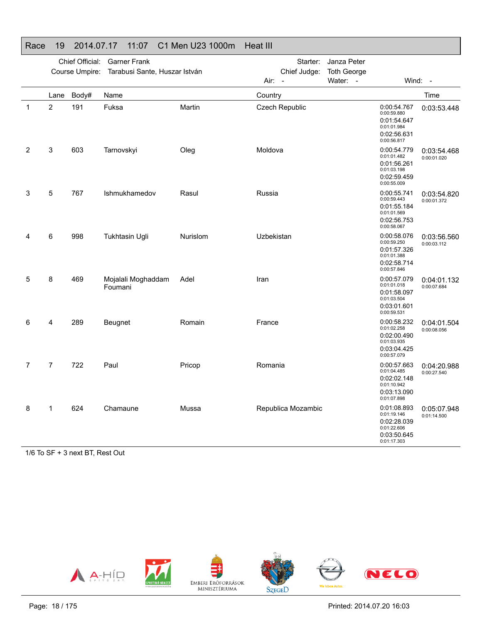|             |                | Chief Official: | <b>Garner Frank</b>                          |                 |            | Starter:                 | Janza Peter        |                                                                                        |                            |
|-------------|----------------|-----------------|----------------------------------------------|-----------------|------------|--------------------------|--------------------|----------------------------------------------------------------------------------------|----------------------------|
|             |                |                 | Course Umpire: Tarabusi Sante, Huszar István |                 |            | Chief Judge:             | <b>Toth George</b> |                                                                                        |                            |
|             |                |                 |                                              |                 | Air:       | $\overline{\phantom{a}}$ | Water: -           |                                                                                        | Wind: -                    |
|             | Lane           | Body#           | Name                                         |                 | Country    |                          |                    |                                                                                        | Time                       |
| $\mathbf 1$ | 2              | 191             | Fuksa                                        | Martin          |            | <b>Czech Republic</b>    |                    | 0:00:54.767<br>0:00:59.880<br>0:01:54.647<br>0:01:01.984<br>0:02:56.631<br>0:00:56.817 | 0:03:53.448                |
| 2           | 3              | 603             | Tarnovskyi                                   | Oleg            | Moldova    |                          |                    | 0:00:54.779<br>0:01:01.482<br>0:01:56.261<br>0:01:03.198<br>0:02:59.459<br>0:00:55.009 | 0:03:54.468<br>0:00:01.020 |
| 3           | 5              | 767             | Ishmukhamedov                                | Rasul           | Russia     |                          |                    | 0:00:55.741<br>0:00:59.443<br>0:01:55.184<br>0:01:01.569<br>0:02:56.753<br>0:00:58.067 | 0:03:54.820<br>0:00:01.372 |
| 4           | 6              | 998             | <b>Tukhtasin Ugli</b>                        | <b>Nurislom</b> | Uzbekistan |                          |                    | 0:00:58.076<br>0:00:59.250<br>0:01:57.326<br>0:01:01.388<br>0:02:58.714<br>0:00:57.846 | 0:03:56.560<br>0:00:03.112 |
| 5           | 8              | 469             | Mojalali Moghaddam<br>Foumani                | Adel            | Iran       |                          |                    | 0:00:57.079<br>0:01:01.018<br>0:01:58.097<br>0:01:03.504<br>0:03:01.601<br>0:00:59.531 | 0:04:01.132<br>0:00:07.684 |
| 6           | 4              | 289             | Beugnet                                      | Romain          | France     |                          |                    | 0:00:58.232<br>0:01:02.258<br>0:02:00.490<br>0:01:03.935<br>0:03:04.425<br>0:00:57.079 | 0:04:01.504<br>0:00:08.056 |
| 7           | $\overline{7}$ | 722             | Paul                                         | Pricop          | Romania    |                          |                    | 0:00:57.663<br>0:01:04.485<br>0:02:02.148<br>0:01:10.942<br>0:03:13.090<br>0:01:07.898 | 0:04:20.988<br>0:00:27.540 |
| 8           | 1              | 624             | Chamaune                                     | Mussa           |            | Republica Mozambic       |                    | 0:01:08.893<br>0:01:19.146<br>0:02:28.039<br>0:01:22.606<br>0:03:50.645<br>0:01:17.303 | 0:05:07.948<br>0:01:14.500 |

#### Race 19 2014.07.17 11:07 C1 Men U23 1000m Heat III

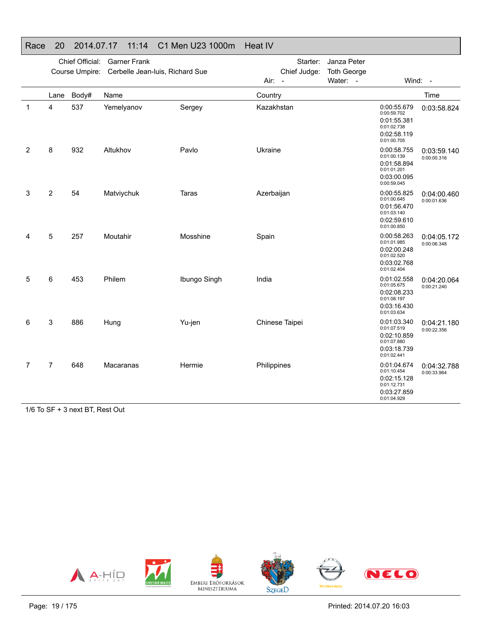### Race 20 2014.07.17 11:14 C1 Men U23 1000m Heat IV

|                | Chief Official:<br><b>Garner Frank</b><br>Course Umpire:<br>Cerbelle Jean-luis, Richard Sue |       |            |              |                                  | Starter:     | Janza Peter                    |                                                                                        |                            |
|----------------|---------------------------------------------------------------------------------------------|-------|------------|--------------|----------------------------------|--------------|--------------------------------|----------------------------------------------------------------------------------------|----------------------------|
|                |                                                                                             |       |            |              | Air:<br>$\overline{\phantom{a}}$ | Chief Judge: | <b>Toth George</b><br>Water: - |                                                                                        | Wind: -                    |
|                | Lane                                                                                        | Body# | Name       |              | Country                          |              |                                |                                                                                        | Time                       |
| $\mathbf 1$    | 4                                                                                           | 537   | Yemelyanov | Sergey       | Kazakhstan                       |              |                                | 0:00:55.679<br>0:00:59.702<br>0:01:55.381<br>0:01:02.738<br>0:02:58.119<br>0:01:00.705 | 0:03:58.824                |
| 2              | 8                                                                                           | 932   | Altukhov   | Pavlo        | Ukraine                          |              |                                | 0:00:58.755<br>0:01:00.139<br>0:01:58.894<br>0:01:01.201<br>0:03:00.095<br>0:00:59.045 | 0:03:59.140<br>0:00:00.316 |
| 3              | 2                                                                                           | 54    | Matviychuk | Taras        | Azerbaijan                       |              |                                | 0:00:55.825<br>0:01:00.645<br>0:01:56.470<br>0:01:03.140<br>0:02:59.610<br>0:01:00.850 | 0:04:00.460<br>0:00:01.636 |
| 4              | 5                                                                                           | 257   | Moutahir   | Mosshine     | Spain                            |              |                                | 0:00:58.263<br>0:01:01.985<br>0:02:00.248<br>0:01:02.520<br>0:03:02.768<br>0:01:02.404 | 0:04:05.172<br>0:00:06.348 |
| 5              | 6                                                                                           | 453   | Philem     | Ibungo Singh | India                            |              |                                | 0:01:02.558<br>0:01:05.675<br>0:02:08.233<br>0:01:08.197<br>0:03:16.430<br>0:01:03.634 | 0:04:20.064<br>0:00:21.240 |
| 6              | 3                                                                                           | 886   | Hung       | Yu-jen       | Chinese Taipei                   |              |                                | 0:01:03.340<br>0:01:07.519<br>0:02:10.859<br>0:01:07.880<br>0:03:18.739<br>0:01:02.441 | 0:04:21.180<br>0:00:22.356 |
| $\overline{7}$ | $\overline{7}$                                                                              | 648   | Macaranas  | Hermie       | Philippines                      |              |                                | 0:01:04.674<br>0:01:10.454<br>0:02:15.128<br>0:01:12.731<br>0:03:27.859<br>0:01:04.929 | 0:04:32.788<br>0:00:33.964 |

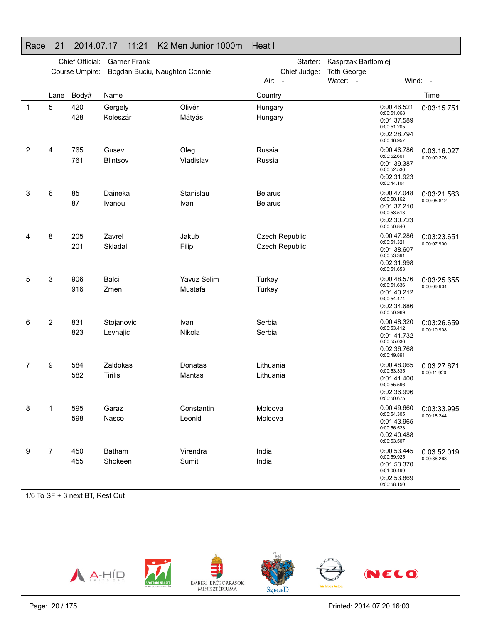|   |                | Chief Official:<br>Course Umpire: | <b>Garner Frank</b><br>Bogdan Buciu, Naughton Connie |                        | Starter:<br>Chief Judge:<br>Air:<br>$\overline{\phantom{a}}$ | Kasprzak Bartlomiej<br><b>Toth George</b><br>Water: -                                  | Wind: -                    |
|---|----------------|-----------------------------------|------------------------------------------------------|------------------------|--------------------------------------------------------------|----------------------------------------------------------------------------------------|----------------------------|
|   | Lane           | Body#                             | Name                                                 |                        | Country                                                      |                                                                                        | Time                       |
| 1 | 5              | 420<br>428                        | Gergely<br>Koleszár                                  | Olivér<br>Mátyás       | Hungary<br>Hungary                                           | 0:00:46.521<br>0:00:51.068<br>0:01:37.589<br>0:00:51.205<br>0:02:28.794<br>0:00:46.957 | 0:03:15.751                |
| 2 | 4              | 765<br>761                        | Gusev<br>Blintsov                                    | Oleg<br>Vladislav      | Russia<br>Russia                                             | 0:00:46.786<br>0:00:52.601<br>0:01:39.387<br>0:00:52.536<br>0:02:31.923<br>0:00:44.104 | 0:03:16.027<br>0:00:00.276 |
| 3 | 6              | 85<br>87                          | Daineka<br>Ivanou                                    | Stanislau<br>Ivan      | <b>Belarus</b><br><b>Belarus</b>                             | 0:00:47.048<br>0:00:50.162<br>0:01:37.210<br>0:00:53.513<br>0:02:30.723<br>0:00:50.840 | 0:03:21.563<br>0:00:05.812 |
| 4 | 8              | 205<br>201                        | Zavrel<br>Skladal                                    | Jakub<br>Filip         | Czech Republic<br><b>Czech Republic</b>                      | 0:00:47.286<br>0:00:51.321<br>0:01:38.607<br>0:00:53.391<br>0:02:31.998<br>0:00:51.653 | 0:03:23.651<br>0:00:07.900 |
| 5 | 3              | 906<br>916                        | <b>Balci</b><br>Zmen                                 | Yavuz Selim<br>Mustafa | Turkey<br>Turkey                                             | 0:00:48.576<br>0:00:51.636<br>0:01:40.212<br>0:00:54.474<br>0:02:34.686<br>0:00:50.969 | 0:03:25.655<br>0:00:09.904 |
| 6 | $\overline{c}$ | 831<br>823                        | Stojanovic<br>Levnajic                               | Ivan<br>Nikola         | Serbia<br>Serbia                                             | 0:00:48.320<br>0:00:53.412<br>0:01:41.732<br>0:00:55.036<br>0:02:36.768<br>0:00:49.891 | 0:03:26.659<br>0:00:10.908 |
| 7 | 9              | 584<br>582                        | Zaldokas<br><b>Tirilis</b>                           | Donatas<br>Mantas      | Lithuania<br>Lithuania                                       | 0:00:48.065<br>0:00:53.335<br>0:01:41.400<br>0:00:55.596<br>0:02:36.996<br>0:00:50.675 | 0:03:27.671<br>0:00:11.920 |
| 8 | 1              | 595<br>598                        | Garaz<br>Nasco                                       | Constantin<br>Leonid   | Moldova<br>Moldova                                           | 0:00:49.660<br>0:00:54.305<br>0:01:43.965<br>0:00:56.523<br>0:02:40.488<br>0:00:53.507 | 0:03:33.995<br>0:00:18.244 |
| 9 | $\overline{7}$ | 450<br>455                        | Batham<br>Shokeen                                    | Virendra<br>Sumit      | India<br>India                                               | 0:00:53.445<br>0:00:59.925<br>0:01:53.370<br>0:01:00.499<br>0:02:53.869<br>0:00:58.150 | 0:03:52.019<br>0:00:36.268 |

#### Race 21 2014.07.17 11:21 K2 Men Junior 1000m Heat I

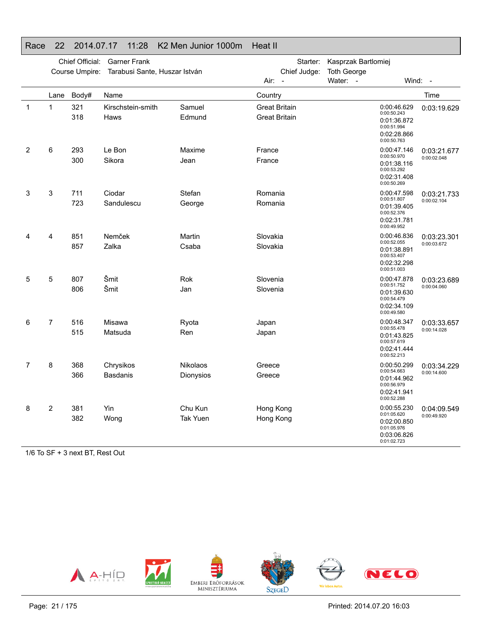|   | Chief Official:<br><b>Garner Frank</b><br>Course Umpire:<br>Tarabusi Sante, Huszar István |            |                              |                              | Starter:<br>Chief Judge:                     | Kasprzak Bartlomiej<br><b>Toth George</b>                                              |                            |
|---|-------------------------------------------------------------------------------------------|------------|------------------------------|------------------------------|----------------------------------------------|----------------------------------------------------------------------------------------|----------------------------|
|   |                                                                                           |            |                              |                              | Air:<br>$\overline{\phantom{a}}$             | Water:<br>$\sim$                                                                       | Wind:<br>$\sim$            |
|   | Lane                                                                                      | Body#      | Name                         |                              | Country                                      |                                                                                        | Time                       |
| 1 | $\mathbf{1}$                                                                              | 321<br>318 | Kirschstein-smith<br>Haws    | Samuel<br>Edmund             | <b>Great Britain</b><br><b>Great Britain</b> | 0:00:46.629<br>0:00:50.243<br>0:01:36.872<br>0:00:51.994<br>0:02:28.866<br>0:00:50.763 | 0:03:19.629                |
| 2 | 6                                                                                         | 293<br>300 | Le Bon<br>Sikora             | Maxime<br>Jean               | France<br>France                             | 0:00:47.146<br>0:00:50.970<br>0:01:38.116<br>0:00:53.292<br>0:02:31.408<br>0:00:50.269 | 0:03:21.677<br>0:00:02.048 |
| 3 | 3                                                                                         | 711<br>723 | Ciodar<br>Sandulescu         | Stefan<br>George             | Romania<br>Romania                           | 0:00:47.598<br>0:00:51.807<br>0:01:39.405<br>0:00:52.376<br>0:02:31.781<br>0:00:49.952 | 0:03:21.733<br>0:00:02.104 |
| 4 | 4                                                                                         | 851<br>857 | Nemček<br>Zalka              | Martin<br>Csaba              | Slovakia<br>Slovakia                         | 0:00:46.836<br>0:00:52.055<br>0:01:38.891<br>0:00:53.407<br>0:02:32.298<br>0:00:51.003 | 0:03:23.301<br>0:00:03.672 |
| 5 | 5                                                                                         | 807<br>806 | Šmit<br>Šmit                 | Rok<br>Jan                   | Slovenia<br>Slovenia                         | 0:00:47.878<br>0:00:51.752<br>0:01:39.630<br>0:00:54.479<br>0:02:34.109<br>0:00:49.580 | 0:03:23.689<br>0:00:04.060 |
| 6 | 7                                                                                         | 516        | Misawa                       | Ryota                        | Japan                                        | 0:00:48.347                                                                            | 0:03:33.657                |
|   |                                                                                           | 515        | Matsuda                      | Ren                          | Japan                                        | 0:00:55.478<br>0:01:43.825<br>0:00:57.619<br>0:02:41.444<br>0:00:52.213                | 0:00:14.028                |
| 7 | 8                                                                                         | 368<br>366 | Chrysikos<br><b>Basdanis</b> | <b>Nikolaos</b><br>Dionysios | Greece<br>Greece                             | 0:00:50.299<br>0:00:54.663<br>0:01:44.962<br>0:00:56.979<br>0:02:41.941<br>0:00:52.288 | 0:03:34.229<br>0:00:14.600 |
| 8 | 2                                                                                         | 381<br>382 | Yin<br>Wong                  | Chu Kun<br>Tak Yuen          | Hong Kong<br>Hong Kong                       | 0:00:55.230<br>0:01:05.620<br>0:02:00.850<br>0:01:05.976<br>0:03:06.826<br>0:01:02.723 | 0:04:09.549<br>0:00:49.920 |

#### Race 22 2014.07.17 11:28 K2 Men Junior 1000m Heat II

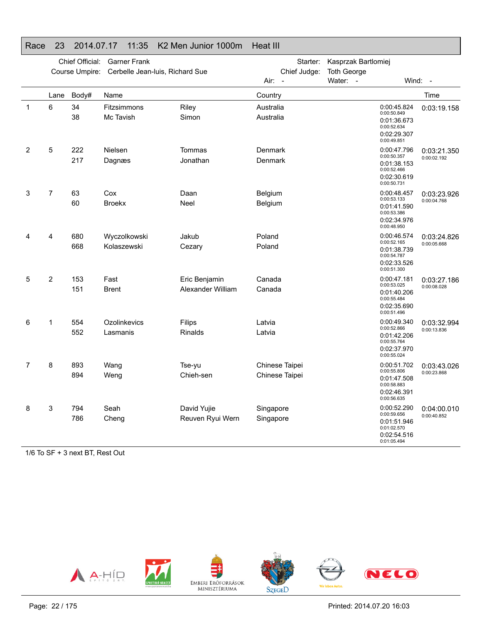|                | Chief Official:<br><b>Garner Frank</b><br>Cerbelle Jean-luis, Richard Sue<br>Course Umpire: |            |                             |                                    | Starter:<br>Chief Judge:         | Kasprzak Bartlomiej<br><b>Toth George</b> |                                                                                        |                            |
|----------------|---------------------------------------------------------------------------------------------|------------|-----------------------------|------------------------------------|----------------------------------|-------------------------------------------|----------------------------------------------------------------------------------------|----------------------------|
|                |                                                                                             |            |                             |                                    | Air:<br>$\sim$                   | Water: -                                  |                                                                                        | Wind: $-$                  |
|                | Lane                                                                                        | Body#      | Name                        |                                    | Country                          |                                           |                                                                                        | Time                       |
| 1              | 6                                                                                           | 34<br>38   | Fitzsimmons<br>Mc Tavish    | Riley<br>Simon                     | Australia<br>Australia           |                                           | 0:00:45.824<br>0:00:50.849<br>0:01:36.673<br>0:00:52.634<br>0:02:29.307<br>0:00:49.851 | 0:03:19.158                |
| $\overline{2}$ | 5                                                                                           | 222<br>217 | Nielsen<br>Dagnæs           | Tommas<br>Jonathan                 | Denmark<br>Denmark               |                                           | 0:00:47.796<br>0:00:50.357<br>0:01:38.153<br>0:00:52.466<br>0:02:30.619<br>0:00:50.731 | 0:03:21.350<br>0:00:02.192 |
| 3              | $\overline{7}$                                                                              | 63<br>60   | Cox<br><b>Broekx</b>        | Daan<br>Neel                       | Belgium<br>Belgium               |                                           | 0:00:48.457<br>0:00:53.133<br>0:01:41.590<br>0:00:53.386<br>0:02:34.976<br>0:00:48.950 | 0:03:23.926<br>0:00:04.768 |
| 4              | 4                                                                                           | 680<br>668 | Wyczolkowski<br>Kolaszewski | Jakub<br>Cezary                    | Poland<br>Poland                 |                                           | 0:00:46.574<br>0:00:52.165<br>0:01:38.739<br>0:00:54.787<br>0:02:33.526<br>0:00:51.300 | 0:03:24.826<br>0:00:05.668 |
| 5              | $\overline{2}$                                                                              | 153<br>151 | Fast<br><b>Brent</b>        | Eric Benjamin<br>Alexander William | Canada<br>Canada                 |                                           | 0:00:47.181<br>0:00:53.025<br>0:01:40.206<br>0:00:55.484<br>0:02:35.690<br>0:00:51.496 | 0:03:27.186<br>0:00:08.028 |
| 6              | 1                                                                                           | 554<br>552 | Ozolinkevics<br>Lasmanis    | Filips<br><b>Rinalds</b>           | Latvia<br>Latvia                 |                                           | 0:00:49.340<br>0:00:52.866<br>0:01:42.206<br>0:00:55.764<br>0:02:37.970<br>0:00:55.024 | 0:03:32.994<br>0:00:13.836 |
| 7              | 8                                                                                           | 893<br>894 | Wang<br>Weng                | Tse-yu<br>Chieh-sen                | Chinese Taipei<br>Chinese Taipei |                                           | 0:00:51.702<br>0:00:55.806<br>0:01:47.508<br>0:00:58.883<br>0:02:46.391<br>0:00:56.635 | 0:03:43.026<br>0:00:23.868 |
| 8              | 3                                                                                           | 794<br>786 | Seah<br>Cheng               | David Yujie<br>Reuven Ryui Wern    | Singapore<br>Singapore           |                                           | 0:00:52.290<br>0:00:59.656<br>0:01:51.946<br>0:01:02.570<br>0:02:54.516<br>0:01:05.494 | 0:04:00.010<br>0:00:40.852 |

#### Race 23 2014.07.17 11:35 K2 Men Junior 1000m Heat III

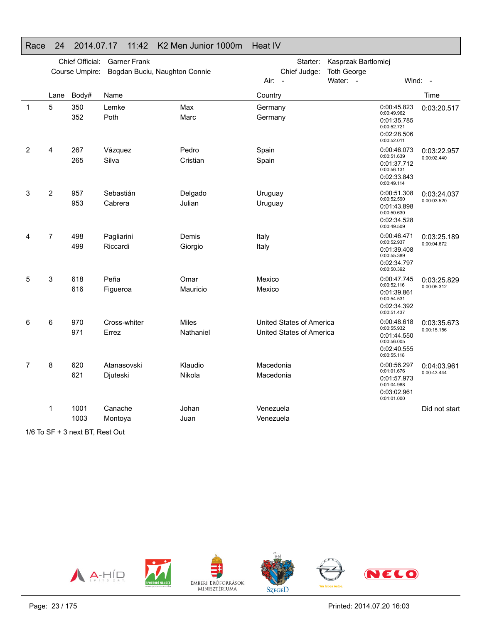|   | Chief Official:<br><b>Garner Frank</b><br>Course Umpire:<br>Bogdan Buciu, Naughton Connie |              |                         | Starter:<br>Chief Judge:  | Kasprzak Bartlomiej<br><b>Toth George</b>            |                      |                                                                                        |                            |
|---|-------------------------------------------------------------------------------------------|--------------|-------------------------|---------------------------|------------------------------------------------------|----------------------|----------------------------------------------------------------------------------------|----------------------------|
|   |                                                                                           |              |                         |                           | Air:<br>$\overline{\phantom{a}}$                     | Water:<br>$\sim$ $-$ |                                                                                        | Wind: -                    |
|   | Lane                                                                                      | Body#        | Name                    |                           | Country                                              |                      |                                                                                        | Time                       |
| 1 | 5                                                                                         | 350<br>352   | Lemke<br>Poth           | Max<br>Marc               | Germany<br>Germany                                   |                      | 0:00:45.823<br>0:00:49.962<br>0:01:35.785<br>0:00:52.721<br>0:02:28.506<br>0:00:52.011 | 0:03:20.517                |
| 2 | 4                                                                                         | 267<br>265   | Vázquez<br>Silva        | Pedro<br>Cristian         | Spain<br>Spain                                       |                      | 0:00:46.073<br>0:00:51.639<br>0:01:37.712<br>0:00:56.131<br>0:02:33.843<br>0:00:49.114 | 0:03:22.957<br>0:00:02.440 |
| 3 | $\overline{c}$                                                                            | 957<br>953   | Sebastián<br>Cabrera    | Delgado<br>Julian         | Uruguay<br>Uruguay                                   |                      | 0:00:51.308<br>0:00:52.590<br>0:01:43.898<br>0:00:50.630<br>0:02:34.528<br>0:00:49.509 | 0:03:24.037<br>0:00:03.520 |
| 4 | $\overline{7}$                                                                            | 498<br>499   | Pagliarini<br>Riccardi  | Demis<br>Giorgio          | Italy<br>Italy                                       |                      | 0:00:46.471<br>0:00:52.937<br>0:01:39.408<br>0:00:55.389<br>0:02:34.797<br>0:00:50.392 | 0:03:25.189<br>0:00:04.672 |
| 5 | 3                                                                                         | 618<br>616   | Peña<br>Figueroa        | Omar<br>Mauricio          | Mexico<br>Mexico                                     |                      | 0:00:47.745<br>0:00:52.116<br>0:01:39.861<br>0:00:54.531<br>0:02:34.392<br>0:00:51.437 | 0:03:25.829<br>0:00:05.312 |
| 6 | 6                                                                                         | 970<br>971   | Cross-whiter<br>Errez   | <b>Miles</b><br>Nathaniel | United States of America<br>United States of America |                      | 0:00:48.618<br>0:00:55.932<br>0:01:44.550<br>0:00:56.005<br>0:02:40.555<br>0:00:55.118 | 0:03:35.673<br>0:00:15.156 |
| 7 | 8                                                                                         | 620<br>621   | Atanasovski<br>Djuteski | Klaudio<br>Nikola         | Macedonia<br>Macedonia                               |                      | 0:00:56.297<br>0:01:01.676<br>0:01:57.973<br>0:01:04.988<br>0:03:02.961<br>0:01:01.000 | 0:04:03.961<br>0:00:43.444 |
|   | 1                                                                                         | 1001<br>1003 | Canache<br>Montoya      | Johan<br>Juan             | Venezuela<br>Venezuela                               |                      |                                                                                        | Did not start              |

#### Race 24 2014.07.17 11:42 K2 Men Junior 1000m Heat IV

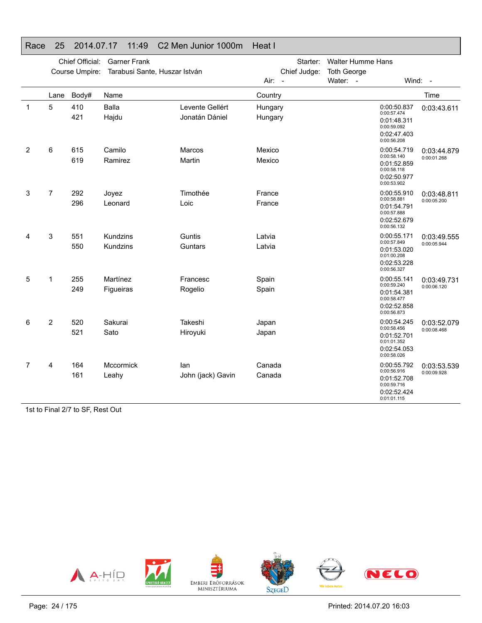|                | Chief Official:<br><b>Garner Frank</b><br>Course Umpire:<br>Tarabusi Sante, Huszar István |            |                       |                                   | Starter:<br>Chief Judge:         | <b>Walter Humme Hans</b><br><b>Toth George</b> |                                                                                        |                            |
|----------------|-------------------------------------------------------------------------------------------|------------|-----------------------|-----------------------------------|----------------------------------|------------------------------------------------|----------------------------------------------------------------------------------------|----------------------------|
|                |                                                                                           |            |                       |                                   | Air:<br>$\overline{\phantom{a}}$ | Water: -                                       |                                                                                        | Wind: -                    |
|                | Lane                                                                                      | Body#      | Name                  |                                   | Country                          |                                                |                                                                                        | Time                       |
| -1             | 5                                                                                         | 410<br>421 | Balla<br>Hajdu        | Levente Gellért<br>Jonatán Dániel | Hungary<br>Hungary               |                                                | 0:00:50.837<br>0:00:57.474<br>0:01:48.311<br>0:00:59.092<br>0:02:47.403<br>0:00:56.208 | 0:03:43.611                |
| $\overline{2}$ | 6                                                                                         | 615<br>619 | Camilo<br>Ramirez     | Marcos<br>Martin                  | Mexico<br>Mexico                 |                                                | 0:00:54.719<br>0:00:58.140<br>0:01:52.859<br>0:00:58.118<br>0:02:50.977<br>0:00:53.902 | 0:03:44.879<br>0:00:01.268 |
| 3              | 7                                                                                         | 292<br>296 | Joyez<br>Leonard      | Timothée<br>Loic                  | France<br>France                 |                                                | 0:00:55.910<br>0:00:58.881<br>0:01:54.791<br>0:00:57.888<br>0:02:52.679<br>0:00:56.132 | 0:03:48.811<br>0:00:05.200 |
| 4              | 3                                                                                         | 551<br>550 | Kundzins<br>Kundzins  | Guntis<br>Guntars                 | Latvia<br>Latvia                 |                                                | 0:00:55.171<br>0:00:57.849<br>0:01:53.020<br>0:01:00.208<br>0:02:53.228<br>0:00:56.327 | 0:03:49.555<br>0:00:05.944 |
| 5              | 1                                                                                         | 255<br>249 | Martínez<br>Figueiras | Francesc<br>Rogelio               | Spain<br>Spain                   |                                                | 0:00:55.141<br>0:00:59.240<br>0:01:54.381<br>0:00:58.477<br>0:02:52.858<br>0:00:56.873 | 0:03:49.731<br>0:00:06.120 |
| 6              | $\overline{2}$                                                                            | 520<br>521 | Sakurai<br>Sato       | Takeshi<br>Hiroyuki               | Japan<br>Japan                   |                                                | 0:00:54.245<br>0:00:58.456<br>0:01:52.701<br>0:01:01.352<br>0:02:54.053<br>0:00:58.026 | 0:03:52.079<br>0:00:08.468 |
| $\overline{7}$ | 4                                                                                         | 164<br>161 | Mccormick<br>Leahy    | lan<br>John (jack) Gavin          | Canada<br>Canada                 |                                                | 0:00:55.792<br>0:00:56.916<br>0:01:52.708<br>0:00:59.716<br>0:02:52.424<br>0:01:01.115 | 0:03:53.539<br>0:00:09.928 |

#### Race 25 2014.07.17 11:49 C2 Men Junior 1000m Heat I

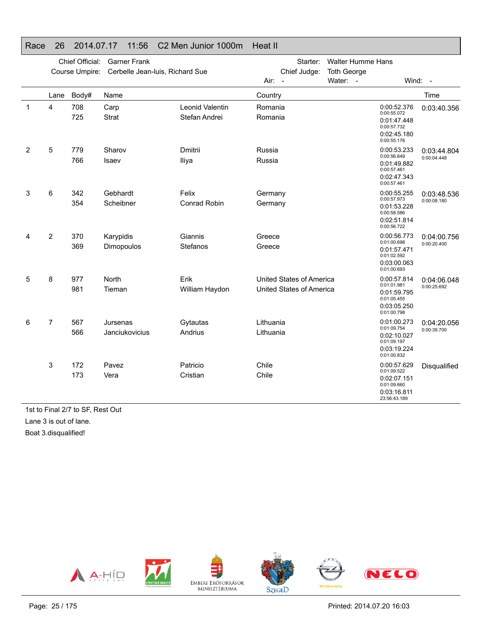|   |                | Chief Official:<br>Course Umpire: | <b>Garner Frank</b><br>Cerbelle Jean-luis, Richard Sue |                                  | Starter:<br>Chief Judge:                             | <b>Walter Humme Hans</b><br><b>Toth George</b> |                                                                                         |                            |
|---|----------------|-----------------------------------|--------------------------------------------------------|----------------------------------|------------------------------------------------------|------------------------------------------------|-----------------------------------------------------------------------------------------|----------------------------|
|   |                |                                   |                                                        |                                  | Air: -                                               | Water: -                                       |                                                                                         | Wind: -                    |
|   | Lane           | Body#                             | Name                                                   |                                  | Country                                              |                                                |                                                                                         | Time                       |
| 1 | 4              | 708<br>725                        | Carp<br><b>Strat</b>                                   | Leonid Valentin<br>Stefan Andrei | Romania<br>Romania                                   |                                                | 0:00:52.376<br>0:00:55.072<br>0:01:47.448<br>0:00:57.732<br>0:02:45.180<br>0:00:55.176  | 0:03:40.356                |
| 2 | 5              | 779<br>766                        | Sharov<br>Isaev                                        | Dmitrii<br>Iliya                 | Russia<br>Russia                                     |                                                | 0:00:53.233<br>0:00:56.649<br>0:01:49.882<br>0:00:57.461<br>0:02:47.343<br>0:00:57.461  | 0:03:44.804<br>0:00:04.448 |
| 3 | 6              | 342<br>354                        | Gebhardt<br>Scheibner                                  | Felix<br><b>Conrad Robin</b>     | Germany<br>Germany                                   |                                                | 0:00:55.255<br>0:00:57.973<br>0:01:53.228<br>0:00:58.586<br>0:02:51.814<br>0:00:56.722  | 0:03:48.536<br>0:00:08.180 |
| 4 | $\overline{2}$ | 370<br>369                        | Karypidis<br>Dimopoulos                                | Giannis<br>Stefanos              | Greece<br>Greece                                     |                                                | 0:00:56.773<br>0:01:00.698<br>0:01:57.471<br>0:01:02.592<br>0:03:00.063<br>0:01:00.693  | 0:04:00.756<br>0:00:20.400 |
| 5 | 8              | 977<br>981                        | North<br>Tieman                                        | Erik<br>William Haydon           | United States of America<br>United States of America |                                                | 0:00:57.814<br>0:01:01.981<br>0:01:59.795<br>0:01:05.455<br>0:03:05.250<br>0:01:00.798  | 0:04:06.048<br>0:00:25.692 |
| 6 | $\overline{7}$ | 567<br>566                        | Jursenas<br>Janciukovicius                             | Gytautas<br>Andrius              | Lithuania<br>Lithuania                               |                                                | 0:01:00.273<br>0:01:09.754<br>0:02:10.027<br>0:01:09.197<br>0:03:19.224<br>0:01:00.832  | 0:04:20.056<br>0:00:39.700 |
|   | 3              | 172<br>173                        | Pavez<br>Vera                                          | Patricio<br>Cristian             | Chile<br>Chile                                       |                                                | 0:00:57.629<br>0:01:09.522<br>0:02:07.151<br>0:01:09.660<br>0:03:16.811<br>23:56:43.189 | Disqualified               |

#### Race 26 2014.07.17 11:56 C2 Men Junior 1000m Heat II

1st to Final 2/7 to SF, Rest Out Lane 3 is out of lane. Boat 3.disqualified!

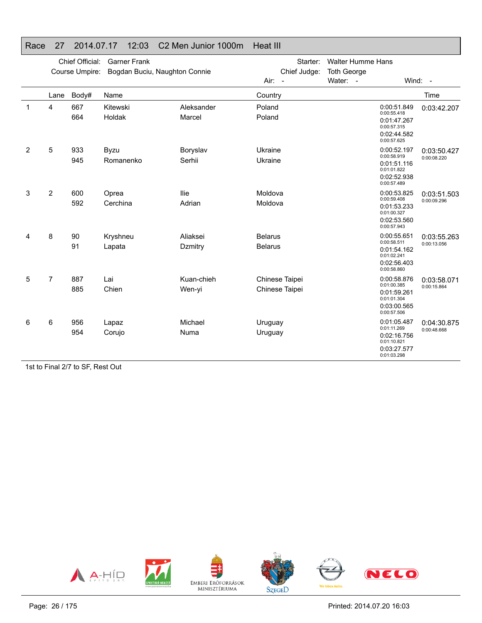|                |      | Chief Official: | <b>Garner Frank</b>           |                      | Starter:                         | <b>Walter Humme Hans</b> |                                                                                        |                            |
|----------------|------|-----------------|-------------------------------|----------------------|----------------------------------|--------------------------|----------------------------------------------------------------------------------------|----------------------------|
|                |      | Course Umpire:  | Bogdan Buciu, Naughton Connie |                      | Chief Judge:                     | <b>Toth George</b>       |                                                                                        |                            |
|                |      |                 |                               |                      | $Air: -$                         | Water: -                 | Wind: -                                                                                |                            |
|                | Lane | Body#           | Name                          |                      | Country                          |                          |                                                                                        | Time                       |
| $\mathbf{1}$   | 4    | 667<br>664      | Kitewski<br>Holdak            | Aleksander<br>Marcel | Poland<br>Poland                 |                          | 0:00:51.849<br>0:00:55.418<br>0:01:47.267<br>0:00:57.315<br>0:02:44.582<br>0:00:57.625 | 0:03:42.207                |
| $\overline{2}$ | 5    | 933<br>945      | Byzu<br>Romanenko             | Boryslav<br>Serhii   | Ukraine<br>Ukraine               |                          | 0:00:52.197<br>0:00:58.919<br>0:01:51.116<br>0:01:01.822<br>0:02:52.938<br>0:00:57.489 | 0:03:50.427<br>0:00:08.220 |
| 3              | 2    | 600<br>592      | Oprea<br>Cerchina             | llie<br>Adrian       | Moldova<br>Moldova               |                          | 0:00:53.825<br>0:00:59.408<br>0:01:53.233<br>0:01:00.327<br>0:02:53.560<br>0:00:57.943 | 0:03:51.503<br>0:00:09.296 |
| 4              | 8    | 90<br>91        | Kryshneu<br>Lapata            | Aliaksei<br>Dzmitry  | <b>Belarus</b><br><b>Belarus</b> |                          | 0:00:55.651<br>0:00:58.511<br>0:01:54.162<br>0:01:02.241<br>0:02:56.403<br>0:00:58.860 | 0:03:55.263<br>0:00:13.056 |
| 5              | 7    | 887<br>885      | Lai<br>Chien                  | Kuan-chieh<br>Wen-yi | Chinese Taipei<br>Chinese Taipei |                          | 0:00:58.876<br>0:01:00.385<br>0:01:59.261<br>0:01:01.304<br>0:03:00.565<br>0:00:57.506 | 0:03:58.071<br>0:00:15.864 |
| 6              | 6    | 956<br>954      | Lapaz<br>Corujo               | Michael<br>Numa      | Uruguay<br>Uruguay               |                          | 0:01:05.487<br>0:01:11.269<br>0:02:16.756<br>0:01:10.821<br>0:03:27.577<br>0:01:03.298 | 0:04:30.875<br>0:00:48.668 |

#### Race 27 2014.07.17 12:03 C2 Men Junior 1000m Heat III

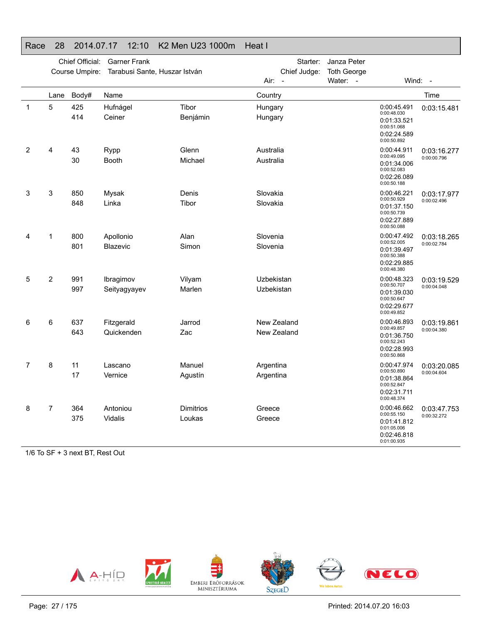|              |                | Chief Official: | <b>Garner Frank</b>           |                     | Starter:                         | Janza Peter        |                                                                                        |                            |
|--------------|----------------|-----------------|-------------------------------|---------------------|----------------------------------|--------------------|----------------------------------------------------------------------------------------|----------------------------|
|              |                | Course Umpire:  | Tarabusi Sante, Huszar István |                     | Chief Judge:                     | <b>Toth George</b> |                                                                                        |                            |
|              |                |                 |                               |                     | Air:<br>$\overline{\phantom{a}}$ | Water: -           |                                                                                        | Wind: -                    |
|              | Lane           | Body#           | Name                          |                     | Country                          |                    |                                                                                        | Time                       |
| $\mathbf{1}$ | 5              | 425<br>414      | Hufnágel<br>Ceiner            | Tibor<br>Benjámin   | Hungary<br>Hungary               |                    | 0:00:45.491<br>0:00:48.030<br>0:01:33.521<br>0:00:51.068<br>0:02:24.589<br>0:00:50.892 | 0:03:15.481                |
| 2            | 4              | 43<br>30        | Rypp<br><b>Booth</b>          | Glenn<br>Michael    | Australia<br>Australia           |                    | 0:00:44.911<br>0:00:49.095<br>0:01:34.006<br>0:00:52.083<br>0:02:26.089<br>0:00:50.188 | 0:03:16.277<br>0:00:00.796 |
| 3            | 3              | 850<br>848      | Mysak<br>Linka                | Denis<br>Tibor      | Slovakia<br>Slovakia             |                    | 0:00:46.221<br>0:00:50.929<br>0:01:37.150<br>0:00:50.739<br>0:02:27.889<br>0:00:50.088 | 0:03:17.977<br>0:00:02.496 |
| 4            | 1              | 800<br>801      | Apollonio<br>Blazevic         | Alan<br>Simon       | Slovenia<br>Slovenia             |                    | 0:00:47.492<br>0:00:52.005<br>0:01:39.497<br>0:00:50.388<br>0:02:29.885<br>0:00:48.380 | 0:03:18.265<br>0:00:02.784 |
| 5            | $\overline{c}$ | 991<br>997      | Ibragimov<br>Seityagyayev     | Vilyam<br>Marlen    | Uzbekistan<br>Uzbekistan         |                    | 0:00:48.323<br>0:00:50.707<br>0:01:39.030<br>0:00:50.647<br>0:02:29.677<br>0:00:49.852 | 0:03:19.529<br>0:00:04.048 |
| 6            | 6              | 637<br>643      | Fitzgerald<br>Quickenden      | Jarrod<br>Zac       | New Zealand<br>New Zealand       |                    | 0:00:46.893<br>0:00:49.857<br>0:01:36.750<br>0:00:52.243<br>0:02:28.993<br>0:00:50.868 | 0:03:19.861<br>0:00:04.380 |
| 7            | 8              | 11<br>17        | Lascano<br>Vernice            | Manuel<br>Agustín   | Argentina<br>Argentina           |                    | 0:00:47.974<br>0:00:50.890<br>0:01:38.864<br>0:00:52.847<br>0:02:31.711<br>0:00:48.374 | 0:03:20.085<br>0:00:04.604 |
| 8            | 7              | 364<br>375      | Antoniou<br>Vidalis           | Dimitrios<br>Loukas | Greece<br>Greece                 |                    | 0:00:46.662<br>0:00:55.150<br>0:01:41.812<br>0:01:05.006<br>0:02:46.818<br>0:01:00.935 | 0:03:47.753<br>0:00:32.272 |

#### Race 28 2014.07.17 12:10 K2 Men U23 1000m Heat I

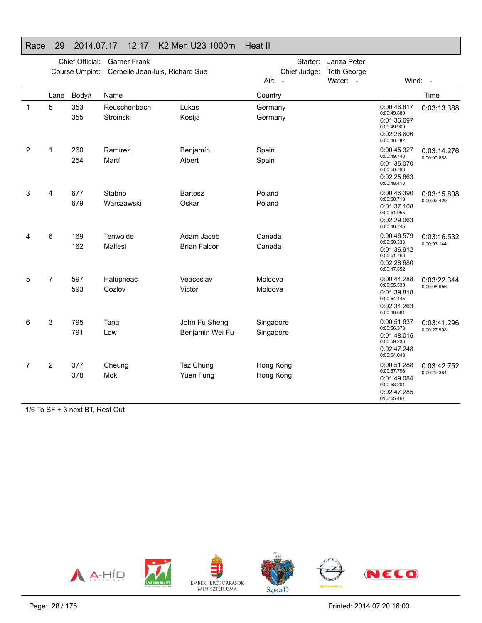#### Race 29 2014.07.17 12:17 K2 Men U23 1000m Heat II Chief Official: Garner Frank Course Umpire: Cerbelle Jean-luis, Richard Sue Starter: Janza Peter Chief Judge: Toth George Air: -Water: - Wind: -Lane Body# Name

|   | Lane           | Body#                                               | Name                      |                                   | Country                |                                                                                        | Time                       |
|---|----------------|-----------------------------------------------------|---------------------------|-----------------------------------|------------------------|----------------------------------------------------------------------------------------|----------------------------|
| 1 | 5              | 353<br>355                                          | Reuschenbach<br>Stroinski | Lukas<br>Kostja                   | Germany<br>Germany     | 0:00:46.817<br>0:00:49.880<br>0:01:36.697<br>0:00:49.909<br>0:02:26.606<br>0:00:46.782 | 0:03:13.388                |
| 2 | 1              | 260<br>254                                          | Ramírez<br>Martí          | Benjamín<br>Albert                | Spain<br>Spain         | 0:00:45.327<br>0:00:49.743<br>0:01:35.070<br>0:00:50.793<br>0:02:25.863<br>0:00:48.413 | 0:03:14.276<br>0:00:00.888 |
| 3 | 4              | 677<br>679                                          | Stabno<br>Warszawski      | Bartosz<br>Oskar                  | Poland<br>Poland       | 0:00:46.390<br>0:00:50.718<br>0:01:37.108<br>0:00:51.955<br>0:02:29.063<br>0:00:46.745 | 0:03:15.808<br>0:00:02.420 |
| 4 | 6              | 169<br>162                                          | Tenwolde<br>Malfesi       | Adam Jacob<br><b>Brian Falcon</b> | Canada<br>Canada       | 0:00:46.579<br>0:00:50.333<br>0:01:36.912<br>0:00:51.768<br>0:02:28.680<br>0:00:47.852 | 0:03:16.532<br>0:00:03.144 |
| 5 | $\overline{7}$ | 597<br>593                                          | Halupneac<br>Cozlov       | Veaceslav<br>Victor               | Moldova<br>Moldova     | 0:00:44.288<br>0:00:55.530<br>0:01:39.818<br>0:00:54.445<br>0:02:34.263<br>0:00:48.081 | 0:03:22.344<br>0:00:08.956 |
| 6 | 3              | 795<br>791                                          | Tang<br>Low               | John Fu Sheng<br>Benjamin Wei Fu  | Singapore<br>Singapore | 0:00:51.637<br>0:00:56.378<br>0:01:48.015<br>0:00:59.233<br>0:02:47.248<br>0:00:54.048 | 0:03:41.296<br>0:00:27.908 |
| 7 | $\overline{2}$ | 377<br>378<br>$4/0.7.05 \cdot 0.1070 \cdot 10^{10}$ | Cheung<br>Mok             | Tsz Chung<br>Yuen Fung            | Hong Kong<br>Hong Kong | 0:00:51.288<br>0:00:57.796<br>0:01:49.084<br>0:00:58.201<br>0:02:47.285<br>0:00:55.467 | 0:03:42.752<br>0:00:29.364 |

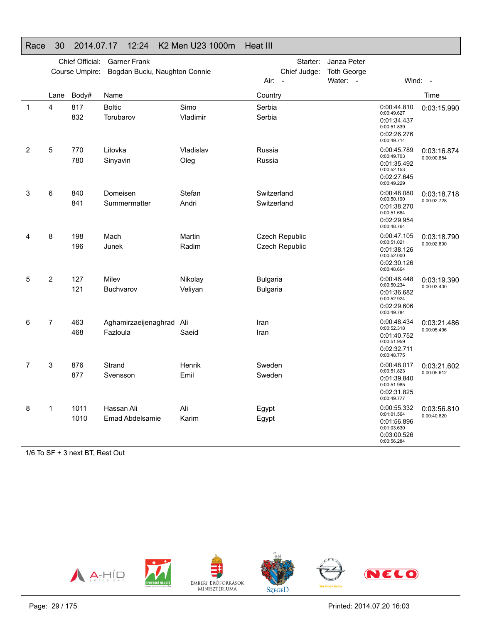### Race 30 2014.07.17 12:24 K2 Men U23 1000m Heat III

|   |      | Chief Official:<br>Course Umpire: | <b>Garner Frank</b><br>Bogdan Buciu, Naughton Connie |                    | Starter:<br>Chief Judge:         | Janza Peter<br><b>Toth George</b> |                                                                                        |                            |
|---|------|-----------------------------------|------------------------------------------------------|--------------------|----------------------------------|-----------------------------------|----------------------------------------------------------------------------------------|----------------------------|
|   |      |                                   |                                                      |                    | Air:<br>$\overline{\phantom{a}}$ | Water: -                          |                                                                                        | Wind: -                    |
|   | Lane | Body#                             | Name                                                 |                    | Country                          |                                   |                                                                                        | Time                       |
| 1 | 4    | 817<br>832                        | <b>Boltic</b><br>Torubarov                           | Simo<br>Vladimir   | Serbia<br>Serbia                 |                                   | 0:00:44.810<br>0:00:49.627<br>0:01:34.437<br>0:00:51.839<br>0:02:26.276<br>0:00:49.714 | 0:03:15.990                |
| 2 | 5    | 770<br>780                        | Litovka<br>Sinyavin                                  | Vladislav<br>Oleg  | Russia<br>Russia                 |                                   | 0:00:45.789<br>0:00:49.703<br>0:01:35.492<br>0:00:52.153<br>0:02:27.645<br>0:00:49.229 | 0:03:16.874<br>0:00:00.884 |
| 3 | 6    | 840<br>841                        | Domeisen<br>Summermatter                             | Stefan<br>Andri    | Switzerland<br>Switzerland       |                                   | 0:00:48.080<br>0:00:50.190<br>0:01:38.270<br>0:00:51.684<br>0:02:29.954<br>0:00:48.764 | 0:03:18.718<br>0:00:02.728 |
| 4 | 8    | 198<br>196                        | Mach<br>Junek                                        | Martin<br>Radim    | Czech Republic<br>Czech Republic |                                   | 0:00:47.105<br>0:00:51.021<br>0:01:38.126<br>0:00:52.000<br>0:02:30.126<br>0:00:48.664 | 0:03:18.790<br>0:00:02.800 |
| 5 | 2    | 127<br>121                        | Milev<br><b>Buchvarov</b>                            | Nikolay<br>Veliyan | <b>Bulgaria</b><br>Bulgaria      |                                   | 0:00:46.448<br>0:00:50.234<br>0:01:36.682<br>0:00:52.924<br>0:02:29.606<br>0:00:49.784 | 0:03:19.390<br>0:00:03.400 |
| 6 | 7    | 463<br>468                        | Aghamirzaeijenaghrad<br>Fazloula                     | Ali<br>Saeid       | Iran<br>Iran                     |                                   | 0:00:48.434<br>0:00:52.318<br>0:01:40.752<br>0:00:51.959<br>0:02:32.711<br>0:00:48.775 | 0:03:21.486<br>0:00:05.496 |
| 7 | 3    | 876<br>877                        | Strand<br>Svensson                                   | Henrik<br>Emil     | Sweden<br>Sweden                 |                                   | 0:00:48.017<br>0:00:51.823<br>0:01:39.840<br>0:00:51.985<br>0:02:31.825<br>0:00:49.777 | 0:03:21.602<br>0:00:05.612 |
| 8 | 1    | 1011<br>1010                      | Hassan Ali<br>Emad Abdelsamie                        | Ali<br>Karim       | Egypt<br>Egypt                   |                                   | 0:00:55.332<br>0:01:01.564<br>0:01:56.896<br>0:01:03.630<br>0:03:00.526<br>0:00:56.284 | 0:03:56.810<br>0:00:40.820 |

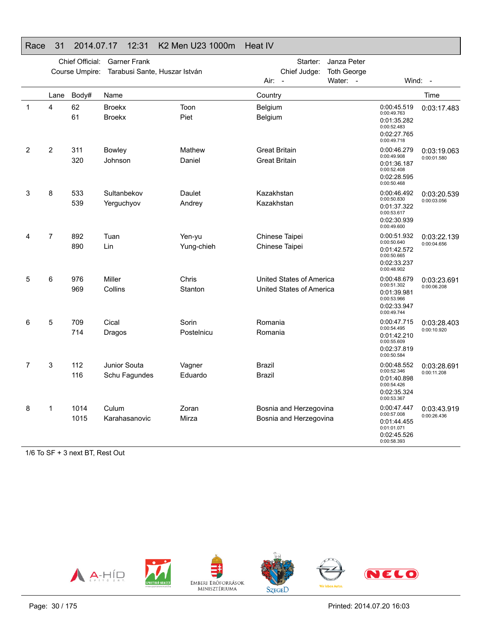|   |                | Chief Official: | <b>Garner Frank</b>            |                      | Starter:                                             | Janza Peter        |                                                                                        |                            |
|---|----------------|-----------------|--------------------------------|----------------------|------------------------------------------------------|--------------------|----------------------------------------------------------------------------------------|----------------------------|
|   |                | Course Umpire:  | Tarabusi Sante, Huszar István  |                      | Chief Judge:                                         | <b>Toth George</b> |                                                                                        |                            |
|   |                |                 |                                |                      | Air: -                                               | Water: -           |                                                                                        | Wind: -                    |
|   | Lane           | Body#           | Name                           |                      | Country                                              |                    |                                                                                        | Time                       |
| 1 | 4              | 62<br>61        | <b>Broekx</b><br><b>Broekx</b> | Toon<br>Piet         | Belgium<br>Belgium                                   |                    | 0:00:45.519<br>0:00:49.763<br>0:01:35.282<br>0:00:52.483<br>0:02:27.765<br>0:00:49.718 | 0:03:17.483                |
| 2 | $\overline{2}$ | 311<br>320      | <b>Bowley</b><br>Johnson       | Mathew<br>Daniel     | <b>Great Britain</b><br><b>Great Britain</b>         |                    | 0:00:46.279<br>0:00:49.908<br>0:01:36.187<br>0:00:52.408<br>0:02:28.595<br>0:00:50.468 | 0:03:19.063<br>0:00:01.580 |
| 3 | 8              | 533<br>539      | Sultanbekov<br>Yerguchyov      | Daulet<br>Andrey     | Kazakhstan<br>Kazakhstan                             |                    | 0:00:46.492<br>0:00:50.830<br>0:01:37.322<br>0:00:53.617<br>0:02:30.939<br>0:00:49.600 | 0:03:20.539<br>0:00:03.056 |
| 4 | 7              | 892<br>890      | Tuan<br>Lin                    | Yen-yu<br>Yung-chieh | Chinese Taipei<br>Chinese Taipei                     |                    | 0:00:51.932<br>0:00:50.640<br>0:01:42.572<br>0:00:50.665<br>0:02:33.237<br>0:00:48.902 | 0:03:22.139<br>0:00:04.656 |
| 5 | 6              | 976<br>969      | Miller<br>Collins              | Chris<br>Stanton     | United States of America<br>United States of America |                    | 0:00:48.679<br>0:00:51.302<br>0:01:39.981<br>0:00:53.966<br>0:02:33.947<br>0:00:49.744 | 0:03:23.691<br>0:00:06.208 |
| 6 | 5              | 709<br>714      | Cical<br>Dragos                | Sorin<br>Postelnicu  | Romania<br>Romania                                   |                    | 0:00:47.715<br>0:00:54.495<br>0:01:42.210<br>0:00:55.609<br>0:02:37.819<br>0:00:50.584 | 0:03:28.403<br>0:00:10.920 |
| 7 | 3              | 112<br>116      | Junior Souta<br>Schu Fagundes  | Vagner<br>Eduardo    | Brazil<br>Brazil                                     |                    | 0:00:48.552<br>0:00:52.346<br>0:01:40.898<br>0:00:54.426<br>0:02:35.324<br>0:00:53.367 | 0:03:28.691<br>0:00:11.208 |
| 8 | 1              | 1014<br>1015    | Culum<br>Karahasanovic         | Zoran<br>Mirza       | Bosnia and Herzegovina<br>Bosnia and Herzegovina     |                    | 0:00:47.447<br>0:00:57.008<br>0:01:44.455<br>0:01:01.071<br>0:02:45.526<br>0:00:58.393 | 0:03:43.919<br>0:00:26.436 |

#### Race 31 2014.07.17 12:31 K2 Men U23 1000m Heat IV

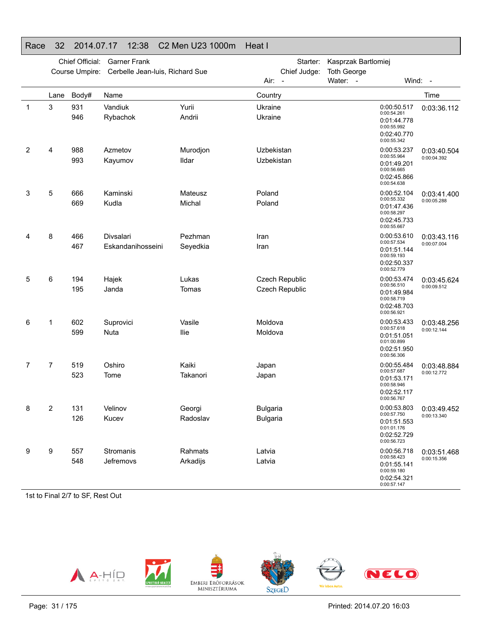### Race 32 2014.07.17 12:38 C2 Men U23 1000m Heat I

|   |      | Chief Official:<br>Course Umpire: | <b>Garner Frank</b><br>Cerbelle Jean-luis, Richard Sue |                     | Starter:<br>Chief Judge:           | Kasprzak Bartlomiej<br><b>Toth George</b>                                              |                            |
|---|------|-----------------------------------|--------------------------------------------------------|---------------------|------------------------------------|----------------------------------------------------------------------------------------|----------------------------|
|   |      |                                   |                                                        |                     | Air:<br>$\sim$                     | Water: -                                                                               | Wind: -                    |
|   | Lane | Body#                             | Name                                                   |                     | Country                            |                                                                                        | Time                       |
| 1 | 3    | 931<br>946                        | Vandiuk<br>Rybachok                                    | Yurii<br>Andrii     | Ukraine<br>Ukraine                 | 0:00:50.517<br>0:00:54.261<br>0:01:44.778<br>0:00:55.992<br>0:02:40.770<br>0:00:55.342 | 0:03:36.112                |
| 2 | 4    | 988<br>993                        | Azmetov<br>Kayumov                                     | Murodjon<br>Ildar   | Uzbekistan<br>Uzbekistan           | 0:00:53.237<br>0:00:55.964<br>0:01:49.201<br>0:00:56.665<br>0:02:45.866<br>0:00:54.638 | 0:03:40.504<br>0:00:04.392 |
| 3 | 5    | 666<br>669                        | Kaminski<br>Kudla                                      | Mateusz<br>Michal   | Poland<br>Poland                   | 0:00:52.104<br>0:00:55.332<br>0:01:47.436<br>0:00:58.297<br>0:02:45.733<br>0:00:55.667 | 0:03:41.400<br>0:00:05.288 |
| 4 | 8    | 466<br>467                        | Divsalari<br>Eskandanihosseini                         | Pezhman<br>Seyedkia | Iran<br>Iran                       | 0:00:53.610<br>0:00:57.534<br>0:01:51.144<br>0:00:59.193<br>0:02:50.337<br>0:00:52.779 | 0:03:43.116<br>0:00:07.004 |
| 5 | 6    | 194<br>195                        | Hajek<br>Janda                                         | Lukas<br>Tomas      | Czech Republic<br>Czech Republic   | 0:00:53.474<br>0:00:56.510<br>0:01:49.984<br>0:00:58.719<br>0:02:48.703<br>0:00:56.921 | 0:03:45.624<br>0:00:09.512 |
| 6 | 1    | 602<br>599                        | Suprovici<br>Nuta                                      | Vasile<br>llie      | Moldova<br>Moldova                 | 0:00:53.433<br>0:00:57.618<br>0:01:51.051<br>0:01:00.899<br>0:02:51.950<br>0:00:56.306 | 0:03:48.256<br>0:00:12.144 |
| 7 | 7    | 519<br>523                        | Oshiro<br>Tome                                         | Kaiki<br>Takanori   | Japan<br>Japan                     | 0:00:55.484<br>0:00:57.687<br>0:01:53.171<br>0:00:58.946<br>0:02:52.117<br>0:00:56.767 | 0:03:48.884<br>0:00:12.772 |
| 8 | 2    | 131<br>126                        | Velinov<br>Kucev                                       | Georgi<br>Radoslav  | <b>Bulgaria</b><br><b>Bulgaria</b> | 0:00:53.803<br>0:00:57.750<br>0:01:51.553<br>0:01:01.176<br>0:02:52.729<br>0:00:56.723 | 0:03:49.452<br>0:00:13.340 |
| 9 | 9    | 557<br>548                        | Stromanis<br>Jefremovs                                 | Rahmats<br>Arkadijs | Latvia<br>Latvia                   | 0:00:56.718<br>0:00:58.423<br>0:01:55.141<br>0:00:59.180<br>0:02:54.321<br>0:00:57.147 | 0:03:51.468<br>0:00:15.356 |

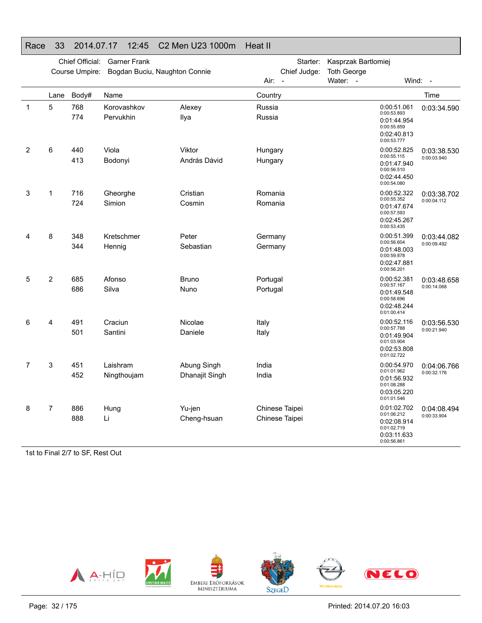### Race 33 2014.07.17 12:45 C2 Men U23 1000m Heat II

|              |      | Chief Official: | <b>Garner Frank</b>           |                               | Starter:                                         | Kasprzak Bartlomiej            |                                                                                        |                            |
|--------------|------|-----------------|-------------------------------|-------------------------------|--------------------------------------------------|--------------------------------|----------------------------------------------------------------------------------------|----------------------------|
|              |      | Course Umpire:  | Bogdan Buciu, Naughton Connie |                               | Chief Judge:<br>Air:<br>$\overline{\phantom{a}}$ | <b>Toth George</b><br>Water: - | Wind:                                                                                  | $\sim$                     |
|              | Lane | Body#           | Name                          |                               | Country                                          |                                |                                                                                        | Time                       |
| $\mathbf{1}$ | 5    | 768<br>774      | Korovashkov<br>Pervukhin      | Alexey<br>Ilya                | Russia<br>Russia                                 |                                | 0:00:51.061<br>0:00:53.893<br>0:01:44.954<br>0:00:55.859<br>0:02:40.813<br>0:00:53.777 | 0:03:34.590                |
| 2            | 6    | 440<br>413      | Viola<br>Bodonyi              | Viktor<br>András Dávid        | Hungary<br>Hungary                               |                                | 0:00:52.825<br>0:00:55.115<br>0:01:47.940<br>0:00:56.510<br>0:02:44.450<br>0:00:54.080 | 0:03:38.530<br>0:00:03.940 |
| 3            | 1    | 716<br>724      | Gheorghe<br>Simion            | Cristian<br>Cosmin            | Romania<br>Romania                               |                                | 0:00:52.322<br>0:00:55.352<br>0:01:47.674<br>0:00:57.593<br>0:02:45.267<br>0:00:53.435 | 0:03:38.702<br>0:00:04.112 |
| 4            | 8    | 348<br>344      | Kretschmer<br>Hennig          | Peter<br>Sebastian            | Germany<br>Germany                               |                                | 0:00:51.399<br>0:00:56.604<br>0:01:48.003<br>0:00:59.878<br>0:02:47.881<br>0:00:56.201 | 0:03:44.082<br>0:00:09.492 |
| 5            | 2    | 685<br>686      | Afonso<br>Silva               | <b>Bruno</b><br>Nuno          | Portugal<br>Portugal                             |                                | 0:00:52.381<br>0:00:57.167<br>0:01:49.548<br>0:00:58.696<br>0:02:48.244<br>0:01:00.414 | 0:03:48.658<br>0:00:14.068 |
| 6            | 4    | 491<br>501      | Craciun<br>Santini            | Nicolae<br>Daniele            | Italy<br>Italy                                   |                                | 0:00:52.116<br>0:00:57.788<br>0:01:49.904<br>0:01:03.904<br>0:02:53.808<br>0:01:02.722 | 0:03:56.530<br>0:00:21.940 |
| 7            | 3    | 451<br>452      | Laishram<br>Ningthoujam       | Abung Singh<br>Dhanajit Singh | India<br>India                                   |                                | 0:00:54.970<br>0:01:01.962<br>0:01:56.932<br>0:01:08.288<br>0:03:05.220<br>0:01:01.546 | 0:04:06.766<br>0:00:32.176 |
| 8            | 7    | 886<br>888      | Hung<br>Li                    | Yu-jen<br>Cheng-hsuan         | Chinese Taipei<br>Chinese Taipei                 |                                | 0:01:02.702<br>0:01:06.212<br>0:02:08.914<br>0:01:02.719<br>0:03:11.633<br>0:00:56.861 | 0:04:08.494<br>0:00:33.904 |

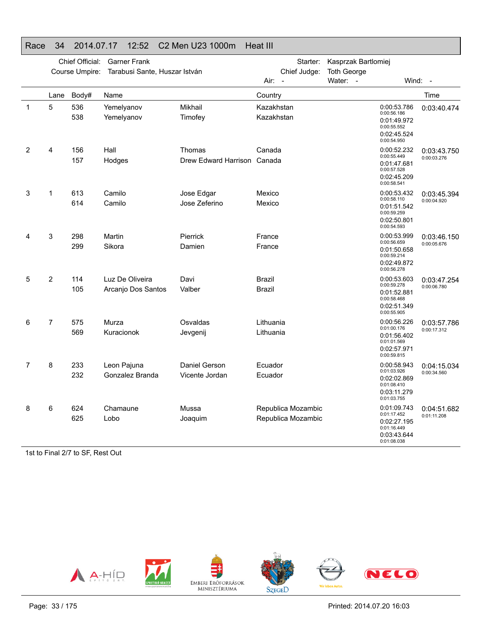### Race 34 2014.07.17 12:52 C2 Men U23 1000m Heat III

|   |                | Chief Official: | <b>Garner Frank</b>                   |                                       | Starter:                                 | Kasprzak Bartlomiej            |                                                                                        |                            |
|---|----------------|-----------------|---------------------------------------|---------------------------------------|------------------------------------------|--------------------------------|----------------------------------------------------------------------------------------|----------------------------|
|   |                | Course Umpire:  | Tarabusi Sante, Huszar István         |                                       | Chief Judge:<br>Air:                     | <b>Toth George</b><br>Water: - | Wind:                                                                                  | $\sim$                     |
|   | Lane           | Body#           | Name                                  |                                       | Country                                  |                                |                                                                                        | Time                       |
| 1 | 5              | 536<br>538      | Yemelyanov<br>Yemelyanov              | Mikhail<br>Timofey                    | Kazakhstan<br>Kazakhstan                 |                                | 0:00:53.786<br>0:00:56.186<br>0:01:49.972<br>0:00:55.552<br>0:02:45.524<br>0:00:54.950 | 0:03:40.474                |
| 2 | 4              | 156<br>157      | Hall<br>Hodges                        | Thomas<br>Drew Edward Harrison Canada | Canada                                   |                                | 0:00:52.232<br>0:00:55.449<br>0:01:47.681<br>0:00:57.528<br>0:02:45.209<br>0:00:58.541 | 0:03:43.750<br>0:00:03.276 |
| 3 | 1              | 613<br>614      | Camilo<br>Camilo                      | Jose Edgar<br>Jose Zeferino           | Mexico<br>Mexico                         |                                | 0:00:53.432<br>0:00:58.110<br>0:01:51.542<br>0:00:59.259<br>0:02:50.801<br>0:00:54.593 | 0:03:45.394<br>0:00:04.920 |
| 4 | 3              | 298<br>299      | Martin<br>Sikora                      | Pierrick<br>Damien                    | France<br>France                         |                                | 0:00:53.999<br>0:00:56.659<br>0:01:50.658<br>0:00:59.214<br>0:02:49.872<br>0:00:56.278 | 0:03:46.150<br>0:00:05.676 |
| 5 | $\overline{2}$ | 114<br>105      | Luz De Oliveira<br>Arcanjo Dos Santos | Davi<br>Valber                        | <b>Brazil</b><br>Brazil                  |                                | 0:00:53.603<br>0:00:59.278<br>0:01:52.881<br>0:00:58.468<br>0:02:51.349<br>0:00:55.905 | 0:03:47.254<br>0:00:06.780 |
| 6 | 7              | 575<br>569      | Murza<br>Kuracionok                   | Osvaldas<br>Jevgenij                  | Lithuania<br>Lithuania                   |                                | 0:00:56.226<br>0:01:00.176<br>0:01:56.402<br>0:01:01.569<br>0:02:57.971<br>0:00:59.815 | 0:03:57.786<br>0:00:17.312 |
| 7 | 8              | 233<br>232      | Leon Pajuna<br>Gonzalez Branda        | Daniel Gerson<br>Vicente Jordan       | Ecuador<br>Ecuador                       |                                | 0:00:58.943<br>0:01:03.926<br>0:02:02.869<br>0:01:08.410<br>0:03:11.279<br>0:01:03.755 | 0:04:15.034<br>0:00:34.560 |
| 8 | 6              | 624<br>625      | Chamaune<br>Lobo                      | Mussa<br>Joaquim                      | Republica Mozambic<br>Republica Mozambic |                                | 0:01:09.743<br>0:01:17.452<br>0:02:27.195<br>0:01:16.449<br>0:03:43.644<br>0:01:08.038 | 0:04:51.682<br>0:01:11.208 |

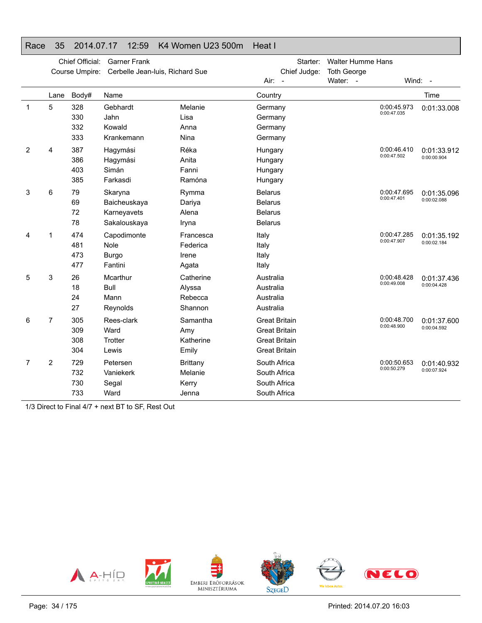#### Race 35 2014.07.17 12:59 K4 Women U23 500m Heat I

|   |                | Chief Official:<br>Course Umpire: | <b>Garner Frank</b><br>Cerbelle Jean-luis, Richard Sue |                 |                      | Starter:<br>Chief Judge: | Walter Humme Hans<br>Toth George |             |             |
|---|----------------|-----------------------------------|--------------------------------------------------------|-----------------|----------------------|--------------------------|----------------------------------|-------------|-------------|
|   |                |                                   |                                                        |                 | Air:<br>$\sim$ $-$   |                          | Water: -                         |             | Wind: $-$   |
|   | Lane           | Body#                             | Name                                                   |                 | Country              |                          |                                  |             | Time        |
| 1 | 5              | 328                               | Gebhardt                                               | Melanie         | Germany              |                          |                                  | 0:00:45.973 | 0:01:33.008 |
|   |                | 330                               | Jahn                                                   | Lisa            | Germany              |                          |                                  | 0:00:47.035 |             |
|   |                | 332                               | Kowald                                                 | Anna            | Germany              |                          |                                  |             |             |
|   |                | 333                               | Krankemann                                             | Nina            | Germany              |                          |                                  |             |             |
| 2 | 4              | 387                               | Hagymási                                               | Réka            | Hungary              |                          |                                  | 0:00:46.410 | 0:01:33.912 |
|   |                | 386                               | Hagymási                                               | Anita           | Hungary              |                          |                                  | 0:00:47.502 | 0:00:00.904 |
|   |                | 403                               | Simán                                                  | Fanni           | Hungary              |                          |                                  |             |             |
|   |                | 385                               | Farkasdi                                               | Ramóna          | Hungary              |                          |                                  |             |             |
| 3 | 6              | 79                                | Skaryna                                                | Rymma           | <b>Belarus</b>       |                          |                                  | 0:00:47.695 | 0:01:35.096 |
|   |                | 69                                | Baicheuskaya                                           | Dariya          | <b>Belarus</b>       |                          |                                  | 0:00:47.401 | 0:00:02.088 |
|   |                | 72                                | Karneyavets                                            | Alena           | <b>Belarus</b>       |                          |                                  |             |             |
|   |                | 78                                | Sakalouskaya                                           | Iryna           | <b>Belarus</b>       |                          |                                  |             |             |
| 4 | 1              | 474                               | Capodimonte                                            | Francesca       | Italy                |                          |                                  | 0:00:47.285 | 0:01:35.192 |
|   |                | 481                               | Nole                                                   | Federica        | Italy                |                          |                                  | 0:00:47.907 | 0:00:02.184 |
|   |                | 473                               | <b>Burgo</b>                                           | Irene           | Italy                |                          |                                  |             |             |
|   |                | 477                               | Fantini                                                | Agata           | Italy                |                          |                                  |             |             |
| 5 | 3              | 26                                | Mcarthur                                               | Catherine       | Australia            |                          |                                  | 0:00:48.428 | 0:01:37.436 |
|   |                | 18                                | Bull                                                   | Alyssa          | Australia            |                          |                                  | 0:00:49.008 | 0:00:04.428 |
|   |                | 24                                | Mann                                                   | Rebecca         | Australia            |                          |                                  |             |             |
|   |                | 27                                | Reynolds                                               | Shannon         | Australia            |                          |                                  |             |             |
| 6 | 7              | 305                               | Rees-clark                                             | Samantha        | <b>Great Britain</b> |                          |                                  | 0:00:48.700 | 0:01:37.600 |
|   |                | 309                               | Ward                                                   | Amy             | <b>Great Britain</b> |                          |                                  | 0:00:48.900 | 0:00:04.592 |
|   |                | 308                               | Trotter                                                | Katherine       | <b>Great Britain</b> |                          |                                  |             |             |
|   |                | 304                               | Lewis                                                  | Emily           | <b>Great Britain</b> |                          |                                  |             |             |
| 7 | $\overline{2}$ | 729                               | Petersen                                               | <b>Brittany</b> | South Africa         |                          |                                  | 0:00:50.653 | 0:01:40.932 |
|   |                | 732                               | Vaniekerk                                              | Melanie         | South Africa         |                          |                                  | 0:00:50.279 | 0:00:07.924 |
|   |                | 730                               | Segal                                                  | Kerry           | South Africa         |                          |                                  |             |             |
|   |                | 733                               | Ward                                                   | Jenna           | South Africa         |                          |                                  |             |             |

1/3 Direct to Final 4/7 + next BT to SF, Rest Out



Printed: 2014.07.20 16:03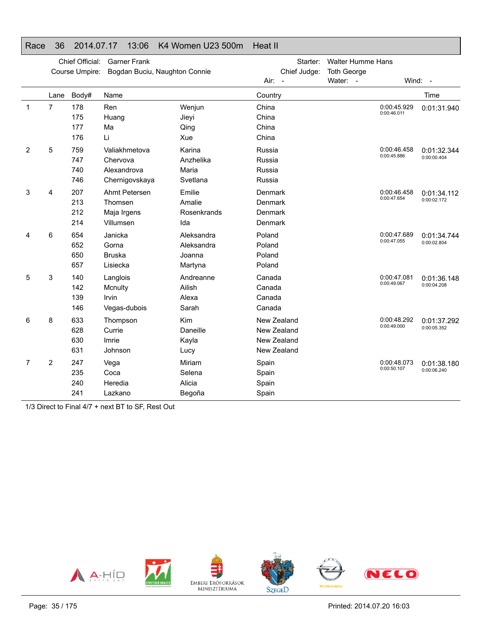#### Race 36 2014.07.17 13:06 K4 Women U23 500m Heat II

|              |                | Chief Official:<br>Course Umpire: | <b>Garner Frank</b><br>Bogdan Buciu, Naughton Connie       |                                               |                                                          | Starter:<br>Chief Judge: | <b>Walter Humme Hans</b><br><b>Toth George</b> |                            |                            |
|--------------|----------------|-----------------------------------|------------------------------------------------------------|-----------------------------------------------|----------------------------------------------------------|--------------------------|------------------------------------------------|----------------------------|----------------------------|
|              |                |                                   |                                                            |                                               | $Air: -$                                                 |                          | Water: -                                       |                            | Wind: $-$                  |
|              | Lane           | Body#                             | Name                                                       |                                               | Country                                                  |                          |                                                |                            | Time                       |
| $\mathbf{1}$ | $\overline{7}$ | 178<br>175<br>177<br>176          | Ren<br>Huang<br>Ma<br>Li                                   | Wenjun<br>Jieyi<br>Qing<br>Xue                | China<br>China<br>China<br>China                         |                          |                                                | 0:00:45.929<br>0:00:46.011 | 0:01:31.940                |
| 2            | 5              | 759<br>747<br>740<br>746          | Valiakhmetova<br>Chervova<br>Alexandrova<br>Chernigovskaya | Karina<br>Anzhelika<br>Maria<br>Svetlana      | Russia<br>Russia<br>Russia<br>Russia                     |                          |                                                | 0:00:46.458<br>0:00:45.886 | 0:01:32.344<br>0:00:00.404 |
| 3            | 4              | 207<br>213<br>212<br>214          | Ahmt Petersen<br>Thomsen<br>Maja Irgens<br>Villumsen       | Emilie<br>Amalie<br>Rosenkrands<br>Ida        | Denmark<br>Denmark<br><b>Denmark</b><br>Denmark          |                          |                                                | 0:00:46.458<br>0:00:47.654 | 0:01:34.112<br>0:00:02.172 |
| 4            | 6              | 654<br>652<br>650<br>657          | Janicka<br>Gorna<br><b>Bruska</b><br>Lisiecka              | Aleksandra<br>Aleksandra<br>Joanna<br>Martyna | Poland<br>Poland<br>Poland<br>Poland                     |                          |                                                | 0:00:47.689<br>0:00:47.055 | 0:01:34.744<br>0:00:02.804 |
| 5            | 3              | 140<br>142<br>139<br>146          | Langlois<br>Mcnulty<br>Irvin<br>Vegas-dubois               | Andreanne<br>Ailish<br>Alexa<br>Sarah         | Canada<br>Canada<br>Canada<br>Canada                     |                          |                                                | 0:00:47.081<br>0:00:49.067 | 0:01:36.148<br>0:00:04.208 |
| 6            | 8              | 633<br>628<br>630<br>631          | Thompson<br>Currie<br>Imrie<br>Johnson                     | Kim<br>Daneille<br>Kayla<br>Lucy              | New Zealand<br>New Zealand<br>New Zealand<br>New Zealand |                          |                                                | 0:00:48.292<br>0:00:49.000 | 0:01:37.292<br>0:00:05.352 |
| 7            | 2              | 247<br>235<br>240<br>241          | Vega<br>Coca<br>Heredia<br>Lazkano                         | Miriam<br>Selena<br>Alicia<br>Begoña          | Spain<br>Spain<br>Spain<br>Spain                         |                          |                                                | 0:00:48.073<br>0:00:50.107 | 0:01:38.180<br>0:00:06.240 |

1/3 Direct to Final 4/7 + next BT to SF, Rest Out

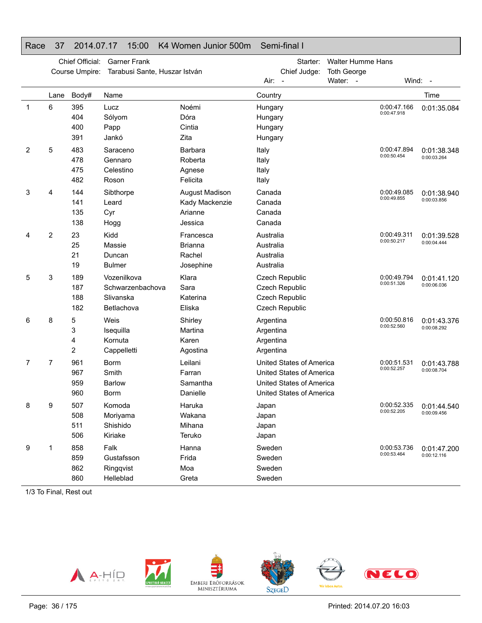### Race 37 2014.07.17 15:00 K4 Women Junior 500m Semi-final I

|   |      | Chief Official:<br>Course Umpire: | <b>Garner Frank</b><br>Tarabusi Sante, Huszar István       |                                                        | Starter:<br>Chief Judge:                                                                                     | <b>Walter Humme Hans</b><br><b>Toth George</b> |                            |                                          |
|---|------|-----------------------------------|------------------------------------------------------------|--------------------------------------------------------|--------------------------------------------------------------------------------------------------------------|------------------------------------------------|----------------------------|------------------------------------------|
|   |      |                                   |                                                            |                                                        | Air: -                                                                                                       | Water: -                                       |                            | Wind: -                                  |
|   | Lane | Body#                             | Name                                                       |                                                        | Country                                                                                                      |                                                |                            | Time                                     |
| 1 | 6    | 395<br>404<br>400<br>391          | Lucz<br>Sólyom<br>Papp<br>Jankó                            | Noémi<br>Dóra<br>Cintia<br>Zita                        | Hungary<br>Hungary<br>Hungary<br>Hungary                                                                     |                                                | 0:00:47.166<br>0:00:47.918 | 0:01:35.084                              |
| 2 | 5    | 483<br>478<br>475<br>482          | Saraceno<br>Gennaro<br>Celestino<br>Roson                  | Barbara<br>Roberta<br>Agnese<br>Felicita               | Italy<br>Italy<br>Italy<br>Italy                                                                             |                                                | 0:00:47.894<br>0:00:50.454 | 0:01:38.348<br>0:00:03.264               |
| 3 | 4    | 144<br>141<br>135<br>138          | Sibthorpe<br>Leard<br>Cyr<br>Hogg                          | August Madison<br>Kady Mackenzie<br>Arianne<br>Jessica | Canada<br>Canada<br>Canada<br>Canada                                                                         |                                                | 0:00:49.085<br>0:00:49.855 | 0:01:38.940<br>0:00:03.856               |
| 4 | 2    | 23<br>25<br>21<br>19              | Kidd<br>Massie<br>Duncan<br><b>Bulmer</b>                  | Francesca<br><b>Brianna</b><br>Rachel<br>Josephine     | Australia<br>Australia<br>Australia<br>Australia                                                             |                                                | 0:00:49.311<br>0:00:50.217 | 0:01:39.528<br>0:00:04.444               |
| 5 | 3    | 189<br>187<br>188<br>182          | Vozenilkova<br>Schwarzenbachova<br>Slivanska<br>Betlachova | Klara<br>Sara<br>Katerina<br>Eliska                    | Czech Republic<br>Czech Republic<br>Czech Republic<br>Czech Republic                                         |                                                | 0:00:49.794<br>0:00:51.326 | 0:01:41.120<br>0:00:06.036               |
| 6 | 8    | 5<br>3<br>4<br>2                  | Weis<br>Isequilla<br>Kornuta<br>Cappelletti                | Shirley<br>Martina<br>Karen<br>Agostina                | Argentina<br>Argentina<br>Argentina<br>Argentina                                                             |                                                | 0:00:50.816<br>0:00:52.560 | 0:01:43.376<br>0:00:08.292               |
| 7 | 7    | 961<br>967<br>959<br>960          | <b>Borm</b><br>Smith<br><b>Barlow</b><br><b>Borm</b>       | Leilani<br>Farran<br>Samantha<br>Danielle              | United States of America<br>United States of America<br>United States of America<br>United States of America |                                                | 0:00:51.531<br>0:00:52.257 | 0:01:43.788<br>0:00:08.704               |
| 8 | 9    | 507<br>508<br>511<br>506          | Komoda<br>Moriyama<br>Shishido<br>Kiriake                  | Haruka<br>Wakana<br>Mihana<br>Teruko                   | Japan<br>Japan<br>Japan<br>Japan                                                                             |                                                | 0:00:52.205                | 0:00:52.335   0:01:44.540<br>0:00:09.456 |
| 9 | 1    | 858<br>859<br>862<br>860          | Falk<br>Gustafsson<br>Ringqvist<br>Helleblad               | Hanna<br>Frida<br>Moa<br>Greta                         | Sweden<br>Sweden<br>Sweden<br>Sweden                                                                         |                                                | 0:00:53.736<br>0:00:53.464 | 0:01:47.200<br>0:00:12.116               |

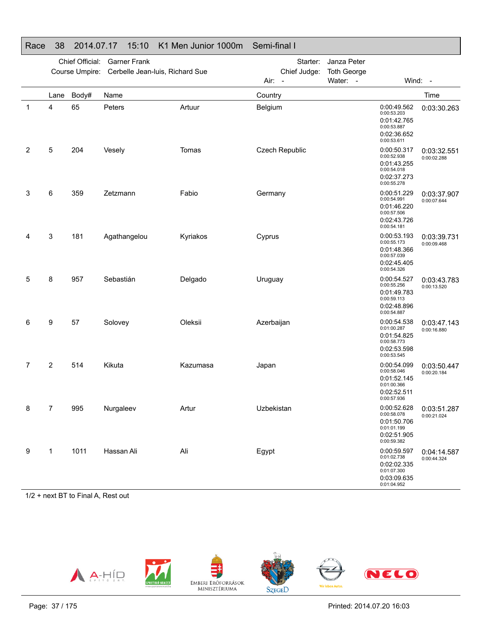|   |      | Chief Official:<br>Course Umpire: | <b>Garner Frank</b><br>Cerbelle Jean-luis, Richard Sue |          | Starter:<br>Chief Judge:<br>Air:<br>$\overline{\phantom{a}}$ | Janza Peter<br><b>Toth George</b><br>Water: - |                                                                                        | Wind: -                    |
|---|------|-----------------------------------|--------------------------------------------------------|----------|--------------------------------------------------------------|-----------------------------------------------|----------------------------------------------------------------------------------------|----------------------------|
|   | Lane | Body#                             | Name                                                   |          | Country                                                      |                                               |                                                                                        | Time                       |
| 1 | 4    | 65                                | Peters                                                 | Artuur   | Belgium                                                      |                                               | 0:00:49.562<br>0:00:53.203<br>0:01:42.765<br>0:00:53.887<br>0:02:36.652<br>0:00:53.611 | 0:03:30.263                |
| 2 | 5    | 204                               | Vesely                                                 | Tomas    | Czech Republic                                               |                                               | 0:00:50.317<br>0:00:52.938<br>0:01:43.255<br>0:00:54.018<br>0:02:37.273<br>0:00:55.278 | 0:03:32.551<br>0:00:02.288 |
| 3 | 6    | 359                               | Zetzmann                                               | Fabio    | Germany                                                      |                                               | 0:00:51.229<br>0:00:54.991<br>0:01:46.220<br>0:00:57.506<br>0:02:43.726<br>0:00:54.181 | 0:03:37.907<br>0:00:07.644 |
| 4 | 3    | 181                               | Agathangelou                                           | Kyriakos | Cyprus                                                       |                                               | 0:00:53.193<br>0:00:55.173<br>0:01:48.366<br>0:00:57.039<br>0:02:45.405<br>0:00:54.326 | 0:03:39.731<br>0:00:09.468 |
| 5 | 8    | 957                               | Sebastián                                              | Delgado  | Uruguay                                                      |                                               | 0:00:54.527<br>0:00:55.256<br>0:01:49.783<br>0:00:59.113<br>0:02:48.896<br>0:00:54.887 | 0:03:43.783<br>0:00:13.520 |
| 6 | 9    | 57                                | Solovey                                                | Oleksii  | Azerbaijan                                                   |                                               | 0:00:54.538<br>0:01:00.287<br>0:01:54.825<br>0:00:58.773<br>0:02:53.598<br>0:00:53.545 | 0:03:47.143<br>0:00:16.880 |
| 7 | 2    | 514                               | Kikuta                                                 | Kazumasa | Japan                                                        |                                               | 0:00:54.099<br>0:00:58.046<br>0:01:52.145<br>0:01:00.366<br>0:02:52.511<br>0:00:57.936 | 0:03:50.447<br>0:00:20.184 |
| 8 | 7    | 995                               | Nurgaleev                                              | Artur    | Uzbekistan                                                   |                                               | 0:00:52.628<br>0:00:58.078<br>0:01:50.706<br>0:01:01.199<br>0:02:51.905<br>0:00:59.382 | 0:03:51.287<br>0:00:21.024 |
| 9 | 1    | 1011                              | Hassan Ali                                             | Ali      | Egypt                                                        |                                               | 0:00:59.597<br>0:01:02.738<br>0:02:02.335<br>0:01:07.300<br>0:03:09.635<br>0.01.04952  | 0:04:14.587<br>0:00:44.324 |

### Race 38 2014.07.17 15:10 K1 Men Junior 1000m Semi-final I

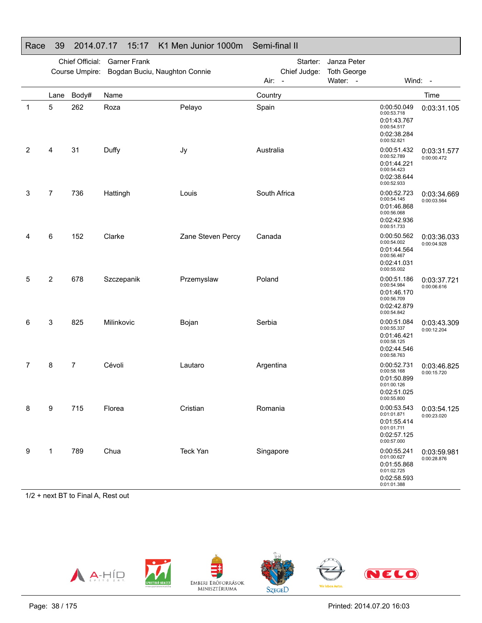|   |              | Chief Official: | <b>Garner Frank</b>           |                   |              | Starter:       | Janza Peter        |                                                                                        |                            |
|---|--------------|-----------------|-------------------------------|-------------------|--------------|----------------|--------------------|----------------------------------------------------------------------------------------|----------------------------|
|   |              | Course Umpire:  | Bogdan Buciu, Naughton Connie |                   |              | Chief Judge:   | <b>Toth George</b> |                                                                                        |                            |
|   |              |                 |                               |                   | Air:         | $\blacksquare$ | Water: -           |                                                                                        | Wind: -                    |
|   | Lane         | Body#           | Name                          |                   | Country      |                |                    |                                                                                        | Time                       |
| 1 | 5            | 262             | Roza                          | Pelayo            | Spain        |                |                    | 0:00:50.049<br>0:00:53.718<br>0:01:43.767<br>0:00:54.517<br>0:02:38.284<br>0:00:52.821 | 0:03:31.105                |
| 2 | 4            | 31              | Duffy                         | Jy                | Australia    |                |                    | 0:00:51.432<br>0:00:52.789<br>0:01:44.221<br>0:00:54.423<br>0:02:38.644<br>0:00:52.933 | 0:03:31.577<br>0:00:00.472 |
| 3 | 7            | 736             | Hattingh                      | Louis             | South Africa |                |                    | 0:00:52.723<br>0:00:54.145<br>0:01:46.868<br>0:00:56.068<br>0:02:42.936<br>0:00:51.733 | 0:03:34.669<br>0:00:03.564 |
| 4 | 6            | 152             | Clarke                        | Zane Steven Percy | Canada       |                |                    | 0:00:50.562<br>0:00:54.002<br>0:01:44.564<br>0:00:56.467<br>0:02:41.031<br>0:00:55.002 | 0:03:36.033<br>0:00:04.928 |
| 5 | 2            | 678             | Szczepanik                    | Przemyslaw        | Poland       |                |                    | 0:00:51.186<br>0:00:54.984<br>0:01:46.170<br>0:00:56.709<br>0:02:42.879<br>0:00:54.842 | 0:03:37.721<br>0:00:06.616 |
| 6 | 3            | 825             | Milinkovic                    | Bojan             | Serbia       |                |                    | 0:00:51.084<br>0:00:55.337<br>0:01:46.421<br>0:00:58.125<br>0:02:44.546<br>0:00:58.763 | 0:03:43.309<br>0:00:12.204 |
| 7 | 8            | $\overline{7}$  | Cévoli                        | Lautaro           | Argentina    |                |                    | 0:00:52.731<br>0:00:58.168<br>0:01:50.899<br>0:01:00.126<br>0:02:51.025<br>0:00:55.800 | 0:03:46.825<br>0:00:15.720 |
| 8 | 9            | 715             | Florea                        | Cristian          | Romania      |                |                    | 0:00:53.543<br>0:01:01.871<br>0:01:55.414<br>0:01:01.711<br>0:02:57.125<br>0:00:57.000 | 0:03:54.125<br>0:00:23.020 |
| 9 | $\mathbf{1}$ | 789             | Chua                          | Teck Yan          | Singapore    |                |                    | 0:00:55.241<br>0:01:00.627<br>0:01:55.868<br>0:01:02.725<br>0:02:58.593<br>0:01:01.388 | 0:03:59.981<br>0:00:28.876 |

# Race 39 2014.07.17 15:17 K1 Men Junior 1000m Semi-final II

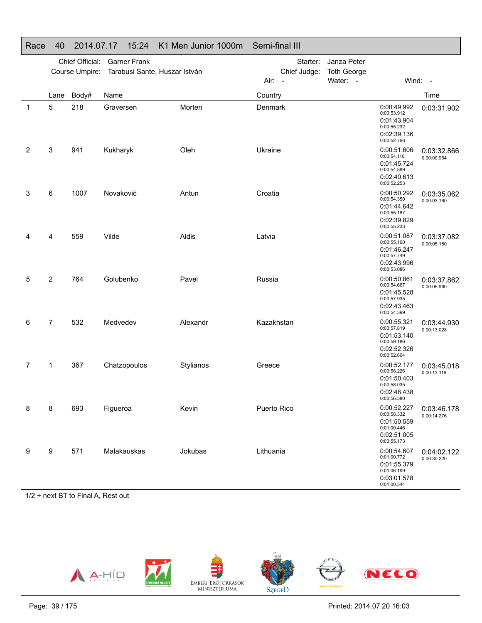|   |                | Chief Official:<br>Course Umpire: | <b>Garner Frank</b><br>Tarabusi Sante, Huszar István |           | Starter:<br>Chief Judge:<br>Air: - | Janza Peter<br><b>Toth George</b><br>Water: - |                                                                                        | Wind: -                    |
|---|----------------|-----------------------------------|------------------------------------------------------|-----------|------------------------------------|-----------------------------------------------|----------------------------------------------------------------------------------------|----------------------------|
|   | Lane           | Body#                             | Name                                                 |           | Country                            |                                               |                                                                                        | Time                       |
| 1 | 5              | 218                               | Graversen                                            | Morten    | Denmark                            |                                               | 0:00:49.992<br>0:00:53.912<br>0:01:43.904<br>0:00:55.232<br>0:02:39.136<br>0:00:52.766 | 0:03:31.902                |
| 2 | 3              | 941                               | Kukharyk                                             | Oleh      | Ukraine                            |                                               | 0:00:51.606<br>0:00:54.118<br>0:01:45.724<br>0:00:54.889<br>0:02:40.613<br>0:00:52.253 | 0:03:32.866<br>0:00:00.964 |
| 3 | 6              | 1007                              | Novaković                                            | Antun     | Croatia                            |                                               | 0:00:50.292<br>0:00:54.350<br>0:01:44.642<br>0:00:55.187<br>0:02:39.829<br>0:00:55.233 | 0:03:35.062<br>0:00:03.160 |
| 4 | 4              | 559                               | Vilde                                                | Aldis     | Latvia                             |                                               | 0:00:51.087<br>0:00:55.160<br>0:01:46.247<br>0:00:57.749<br>0:02:43.996<br>0:00:53.086 | 0:03:37.082<br>0:00:05.180 |
| 5 | $\overline{2}$ | 764                               | Golubenko                                            | Pavel     | Russia                             |                                               | 0:00:50.861<br>0:00:54.667<br>0:01:45.528<br>0:00:57.935<br>0:02:43.463<br>0:00:54.399 | 0:03:37.862<br>0:00:05.960 |
| 6 | $\overline{7}$ | 532                               | Medvedev                                             | Alexandr  | Kazakhstan                         |                                               | 0:00:55.321<br>0:00:57.819<br>0:01:53.140<br>0:00:59.186<br>0:02:52.326<br>0:00:52.604 | 0:03:44.930<br>0:00:13.028 |
| 7 | 1              | 367                               | Chatzopoulos                                         | Stylianos | Greece                             |                                               | 0:00:52.177<br>0:00:58.226<br>0:01:50.403<br>0:00:58.035<br>0:02:48.438<br>0:00:56.580 | 0:03:45.018<br>0:00:13.116 |
| 8 | 8              | 693                               | Figueroa                                             | Kevin     | Puerto Rico                        |                                               | 0:00:52.227<br>0:00:58.332<br>0:01:50.559<br>0:01:00.446<br>0:02:51.005<br>0:00:55.173 | 0:03:46.178<br>0:00:14.276 |
| 9 | 9              | 571                               | Malakauskas                                          | Jokubas   | Lithuania                          |                                               | 0:00:54.607<br>0:01:00.772<br>0:01:55.379<br>0:01:06.199<br>0:03:01.578<br>0.01.00.544 | 0:04:02.122<br>0:00:30.220 |

### Race 40 2014.07.17 15:24 K1 Men Junior 1000m Semi-final III

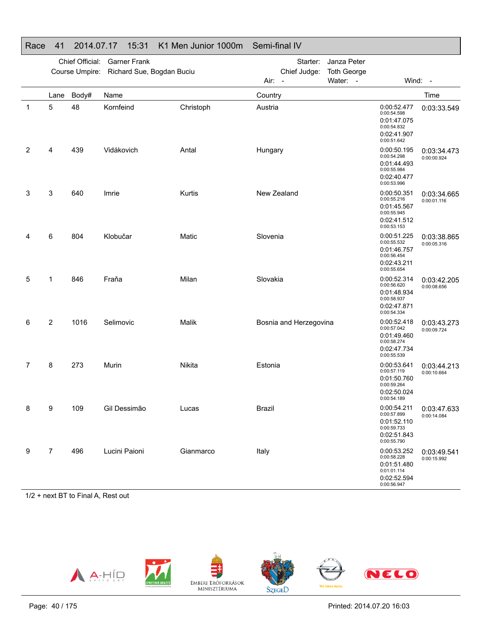| $\sim$ |                |                 | .<br>.                                   |               |                                  |                    |                                                                                        |                            |
|--------|----------------|-----------------|------------------------------------------|---------------|----------------------------------|--------------------|----------------------------------------------------------------------------------------|----------------------------|
|        |                | Chief Official: | <b>Garner Frank</b>                      |               | Starter:                         | Janza Peter        |                                                                                        |                            |
|        |                |                 | Course Umpire: Richard Sue, Bogdan Buciu |               | Chief Judge:                     | <b>Toth George</b> |                                                                                        |                            |
|        |                |                 |                                          |               | Air:<br>$\overline{\phantom{a}}$ | Water: -           |                                                                                        | Wind: -                    |
|        | Lane           | Body#           | Name                                     |               | Country                          |                    |                                                                                        | Time                       |
| 1      | 5              | 48              | Kornfeind                                | Christoph     | Austria                          |                    | 0:00:52.477<br>0:00:54.598<br>0:01:47.075<br>0:00:54.832<br>0:02:41.907<br>0:00:51.642 | 0:03:33.549                |
| 2      | 4              | 439             | Vidákovich                               | Antal         | Hungary                          |                    | 0:00:50.195<br>0:00:54.298<br>0:01:44.493<br>0:00:55.984<br>0:02:40.477<br>0:00:53.996 | 0:03:34.473<br>0:00:00.924 |
| 3      | 3              | 640             | Imrie                                    | <b>Kurtis</b> | New Zealand                      |                    | 0:00:50.351<br>0:00:55.216<br>0:01:45.567<br>0:00:55.945<br>0:02:41.512<br>0:00:53.153 | 0:03:34.665<br>0:00:01.116 |
| 4      | 6              | 804             | Klobučar                                 | Matic         | Slovenia                         |                    | 0:00:51.225<br>0:00:55.532<br>0:01:46.757<br>0:00:56.454<br>0:02:43.211<br>0:00:55.654 | 0:03:38.865<br>0:00:05.316 |
| 5      | 1              | 846             | Fraňa                                    | Milan         | Slovakia                         |                    | 0:00:52.314<br>0:00:56.620<br>0:01:48.934<br>0:00:58.937<br>0:02:47.871<br>0:00:54.334 | 0:03:42.205<br>0:00:08.656 |
| 6      | $\overline{2}$ | 1016            | Selimovic                                | Malik         | Bosnia and Herzegovina           |                    | 0:00:52.418<br>0:00:57.042<br>0:01:49.460<br>0:00:58.274<br>0:02:47.734<br>0:00:55.539 | 0:03:43.273<br>0:00:09.724 |
| 7      | 8              | 273             | Murin                                    | Nikita        | Estonia                          |                    | 0:00:53.641<br>0:00:57.119<br>0:01:50.760<br>0:00:59.264<br>0:02:50.024<br>0:00:54.189 | 0:03:44.213<br>0:00:10.664 |
| 8      | 9              | 109             | Gil Dessimão                             | Lucas         | <b>Brazil</b>                    |                    | 0:00:54.211<br>0:00:57.899<br>0:01:52.110<br>0:00:59.733<br>0:02:51.843<br>0:00:55.790 | 0:03:47.633<br>0:00:14.084 |
| 9      | 7              | 496             | Lucini Paioni                            | Gianmarco     | Italy                            |                    | 0:00:53.252<br>0:00:58.228<br>0:01:51.480<br>0:01:01.114<br>0:02:52.594<br>0:00:56.947 | 0:03:49.541<br>0:00:15.992 |

### Race 41 2014.07.17 15:31 K1 Men Junior 1000m Semi-final IV

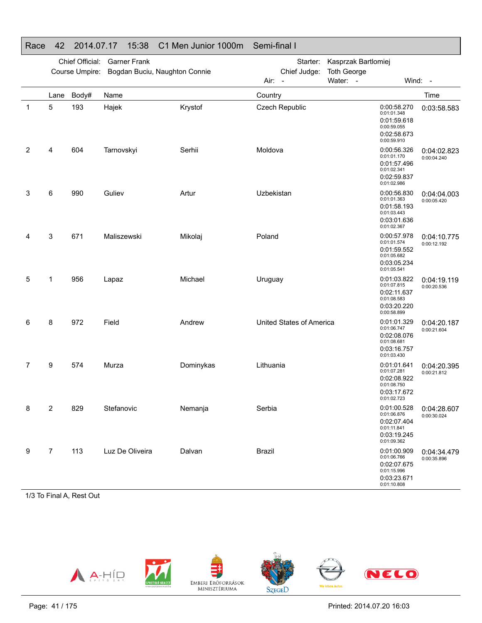| Race | 42             | 2014.07.17                        | 15:38                                                | C1 Men Junior 1000m | Semi-final I                                                 |                                                       |                                                                                        |                            |
|------|----------------|-----------------------------------|------------------------------------------------------|---------------------|--------------------------------------------------------------|-------------------------------------------------------|----------------------------------------------------------------------------------------|----------------------------|
|      |                | Chief Official:<br>Course Umpire: | <b>Garner Frank</b><br>Bogdan Buciu, Naughton Connie |                     | Starter:<br>Chief Judge:<br>Air:<br>$\overline{\phantom{a}}$ | Kasprzak Bartlomiej<br><b>Toth George</b><br>Water: - | Wind:                                                                                  | $\sim$                     |
|      | Lane           | Body#                             | Name                                                 |                     | Country                                                      |                                                       |                                                                                        | Time                       |
| 1    | 5              | 193                               | Hajek                                                | Krystof             | Czech Republic                                               |                                                       | 0:00:58.270<br>0:01:01.348<br>0:01:59.618<br>0:00:59.055<br>0:02:58.673<br>0:00:59.910 | 0:03:58.583                |
| 2    | 4              | 604                               | Tarnovskyi                                           | Serhii              | Moldova                                                      |                                                       | 0:00:56.326<br>0:01:01.170<br>0:01:57.496<br>0:01:02.341<br>0:02:59.837<br>0:01:02.986 | 0:04:02.823<br>0:00:04.240 |
| 3    | 6              | 990                               | Guliev                                               | Artur               | Uzbekistan                                                   |                                                       | 0:00:56.830<br>0:01:01.363<br>0:01:58.193<br>0:01:03.443<br>0:03:01.636<br>0:01:02.367 | 0:04:04.003<br>0:00:05.420 |
| 4    | 3              | 671                               | Maliszewski                                          | Mikolaj             | Poland                                                       |                                                       | 0:00:57.978<br>0:01:01.574<br>0:01:59.552<br>0:01:05.682<br>0:03:05.234<br>0:01:05.541 | 0:04:10.775<br>0:00:12.192 |
| 5    | 1              | 956                               | Lapaz                                                | Michael             | Uruguay                                                      |                                                       | 0:01:03.822<br>0:01:07.815<br>0:02:11.637<br>0:01:08.583<br>0:03:20.220<br>0:00:58.899 | 0:04:19.119<br>0:00:20.536 |
| 6    | 8              | 972                               | Field                                                | Andrew              | United States of America                                     |                                                       | 0:01:01.329<br>0:01:06.747<br>0:02:08.076<br>0:01:08.681<br>0:03:16.757<br>0:01:03.430 | 0:04:20.187<br>0:00:21.604 |
| 7    | 9              | 574                               | Murza                                                | Dominykas           | Lithuania                                                    |                                                       | 0:01:01.641<br>0:01:07.281<br>0:02:08.922<br>0:01:08.750<br>0:03:17.672<br>0:01:02.723 | 0:04:20.395<br>0:00:21.812 |
| 8    | $\overline{2}$ | 829                               | Stefanovic                                           | Nemanja             | Serbia                                                       |                                                       | 0:01:00.528<br>0:01:06.876<br>0:02:07.404<br>0:01:11.841<br>0:03:19.245<br>0:01:09.362 | 0:04:28.607<br>0:00:30.024 |
| 9    | $\overline{7}$ | 113                               | Luz De Oliveira                                      | Dalvan              | <b>Brazil</b>                                                |                                                       | 0:01:00.909<br>0:01:06.766<br>0:02:07.675<br>0:01:15.996<br>0:03:23.671<br>0:01:10.808 | 0:04:34.479<br>0:00:35.896 |

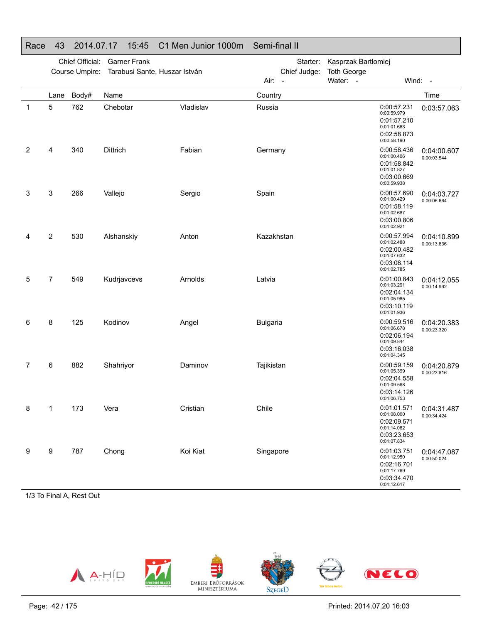|              | Chief Official:<br><b>Garner Frank</b><br>Course Umpire:<br>Tarabusi Sante, Huszar István |              |                  | Starter:<br>Chief Judge: | Kasprzak Bartlomiej<br><b>Toth George</b> |          |                                                                                        |                            |
|--------------|-------------------------------------------------------------------------------------------|--------------|------------------|--------------------------|-------------------------------------------|----------|----------------------------------------------------------------------------------------|----------------------------|
|              |                                                                                           |              |                  |                          | Air:<br>$\overline{\phantom{a}}$          | Water: - | Wind:                                                                                  | $\sim$ $-$                 |
| $\mathbf{1}$ | Lane<br>5                                                                                 | Body#<br>762 | Name<br>Chebotar | Vladislav                | Country<br>Russia                         |          | 0:00:57.231<br>0:00:59.979<br>0:01:57.210<br>0:01:01.663<br>0:02:58.873<br>0:00:58.190 | Time<br>0:03:57.063        |
| 2            | 4                                                                                         | 340          | Dittrich         | Fabian                   | Germany                                   |          | 0:00:58.436<br>0:01:00.406<br>0:01:58.842<br>0:01:01.827<br>0:03:00.669<br>0:00:59.938 | 0:04:00.607<br>0:00:03.544 |
| 3            | 3                                                                                         | 266          | Vallejo          | Sergio                   | Spain                                     |          | 0:00:57.690<br>0:01:00.429<br>0:01:58.119<br>0:01:02.687<br>0:03:00.806<br>0:01:02.921 | 0:04:03.727<br>0:00:06.664 |
| 4            | $\overline{2}$                                                                            | 530          | Alshanskiy       | Anton                    | Kazakhstan                                |          | 0:00:57.994<br>0:01:02.488<br>0:02:00.482<br>0:01:07.632<br>0:03:08.114<br>0:01:02.785 | 0:04:10.899<br>0:00:13.836 |
| 5            | 7                                                                                         | 549          | Kudrjavcevs      | Arnolds                  | Latvia                                    |          | 0:01:00.843<br>0:01:03.291<br>0:02:04.134<br>0:01:05.985<br>0:03:10.119<br>0:01:01.936 | 0:04:12.055<br>0:00:14.992 |
| 6            | 8                                                                                         | 125          | Kodinov          | Angel                    | <b>Bulgaria</b>                           |          | 0:00:59.516<br>0:01:06.678<br>0:02:06.194<br>0:01:09.844<br>0:03:16.038<br>0:01:04.345 | 0:04:20.383<br>0:00:23.320 |
| 7            | 6                                                                                         | 882          | Shahriyor        | Daminov                  | Tajikistan                                |          | 0:00:59.159<br>0:01:05.399<br>0:02:04.558<br>0:01:09.568<br>0:03:14.126<br>0:01:06.753 | 0:04:20.879<br>0:00:23.816 |
| 8            | 1                                                                                         | 173          | Vera             | Cristian                 | Chile                                     |          | 0:01:01.571<br>0:01:08.000<br>0:02:09.571<br>0:01:14.082<br>0:03:23.653<br>0:01:07.834 | 0:04:31.487<br>0:00:34.424 |
| 9            | 9                                                                                         | 787          | Chong            | Koi Kiat                 | Singapore                                 |          | 0:01:03.751<br>0:01:12.950<br>0:02:16.701<br>0:01:17.769<br>0:03:34.470<br>0:01:12.617 | 0:04:47.087<br>0:00:50.024 |

## Race 43 2014.07.17 15:45 C1 Men Junior 1000m Semi-final II

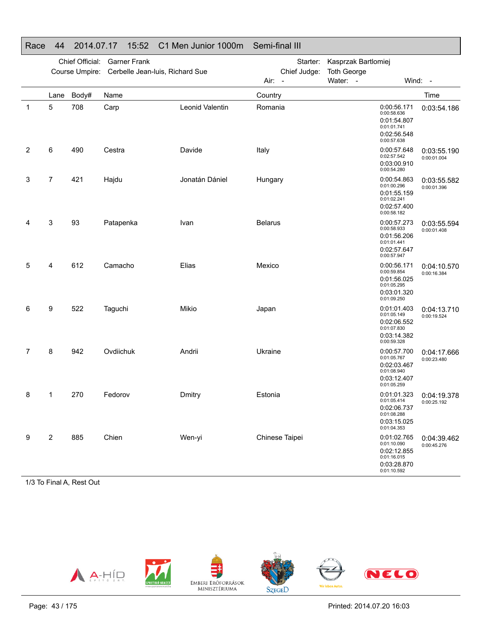#### Race 44 2014.07.17 15:52 C1 Men Junior 1000m Semi-final III Chief Official: Garner FrankCourse Umpire: Cerbelle Jean-luis, Richard SueStarter: Kasprzak BartlomiejChief Judge: **Toth George** Air: -Water: - Wind: -Lane Body# Name**Country Country Country Country Country** Time 1 5 708 CarpLeonid Valentin Romania **CONSET 12000:56.171** 0:00:58.6360:01:54.8070:01:01.741 0:02:56.548 0:00:57.638 0:03:54.186 2 6 490 CestraDavide Italy Italy 1991 1202157.648 0:02:57.542 0:03:00.910 0:00:54.280 0:03:55.190 0:00:01.0043 7 421 HajduJonatán Dániel Hungary **1986** Composition 10:00:54.863 0:01:00.296 0:01:55.159 0:01:02.241 0:02:57.400 0:00:58.182 0:03:55.582 0:00:01.396 4 3 93 Patapenka Ivan Belarus 0:00:57.273 0:00:58.933 0:01:56.206 0:01:01.4410:02:57.6470:00:57.947 0:03:55.594 0:00:01.408 5 4 612 Camacho Elias Mexico 0:00:56.171 0:00:59.854 0:01:56.025 0:01:05.2950:03:01.320 0:01:09.250 0:04:10.5700:00:16.3846 9 522 Taguchi Mikio Japan 0:01:01.403 0:01:01.403 0:02:06.552 0:01:07.830 0:03:14.382 0:00:59.3280:04:13.7100:00:19.5247 8 942 OvdiichukAndrii Ukraine 1980 Ukraine 1990 Ukraine 1990 Ukraine 1990 Ukraine 1990 Ukraine 1990 Ukraine 1990 Ukraine 1990 0:01:05.7670:02:03.4670:01:08.940 0:03:12.4070:01:05.259 0:04:17.666 0:00:23.480 8 1 270 FedorovDmitry **Estonia** esterial estonia estable 0:01:01.323 0:01:05.414 0:02:06.7370:01:08.2880:03:15.025 0:01:04.353 0:04:19.378 0:00:25.192 9 2 885 ChienWen-yi Chinese Taipei 0:01:02.765 0:01:10.090 0:02:12.855 0:01:16.015 0:03:28.870 0:01:10.5920:04:39.462 0:00:45.276

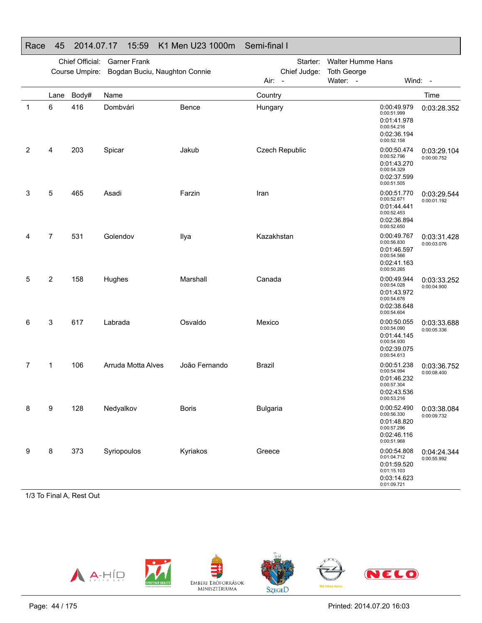#### Chief Official: Garner FrankCourse Umpire: Bogdan Buciu, Naughton Connie Starter: Walter Humme Hans Chief Judge: **Toth George** Air: -Water: - Wind: -Lane Body# Name**Country Country Country Country Country** Time 1 6 416 DombváriBence Hungary **Hungary** 0:00:49.979 0:00:49.979<br>0:00:51.999 0:01:41.978 0:00:54.216 0:02:36.1940:00:52.158 0:03:28.352 2 4 203 Spicar Jakub Czech Republic 0:00:50.474 0:00:52.796 0:01:43.270 0:00:54.3290:02:37.599 0:00:51.505 0:03:29.104 0:00:00.752 3 5 465 Asadi Farzin Iran 0:00:51.770 0:00:52.671 0:01:44.4410:00:52.453 0:02:36.8940:00:52.650 0:03:29.5440:00:01.1924 7 531 Golendov Ilya Kazakhstan 0:00:49.767 0:00:49.767 0:01:46.5970:00:54.566 0:02:41.163 0:00:50.265 0:03:31.4280:00:03.0765 2 158 HughesMarshall Canada 0:00:49.944 0:00:54.0280:01:43.972 0:00:54.676 0:02:38.648 0:00:54.6040:03:33.252 0:00:04.900 6 3 617 Labrada Osvaldo Mexico 0:00:50.055 0:00:54.090 0:01:44.145 0:00:54.9300:02:39.075 0:00:54.613 0:03:33.688 0:00:05.336 7 1 106 Arruda Motta Alves João Fernando Brazil 0:00:51.238 0:00:54.994 0:01:46.2320:00:57.304 0:02:43.536 0:00:53.216 0:03:36.752 0:00:08.400 8 9 128 NedyalkovBoris Bulgaria Bulgaria 0:00:52.490 0:00:56.3300:01:48.820 0:00:57.296 0:02:46.1160:00:51.9680:03:38.0840:00:09.732 9 8 373 SyriopoulosKyriakos Greece 0:00:54.808 0:01:04.712 0:01:59.520 0:01:15.103 0:03:14.6230:01:09.721 0:04:24.344 0:00:55.992

### Race 45 2014.07.17 15:59 K1 Men U23 1000m Semi-final I

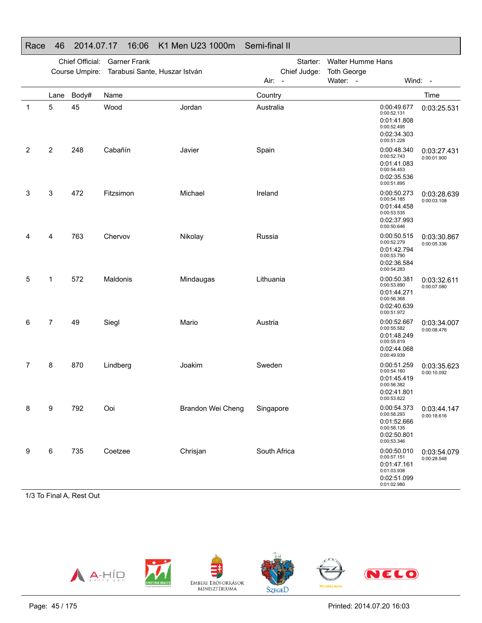#### Chief Official: Garner FrankCourse Umpire: Tarabusi Sante, Huszar István Starter: Walter Humme Hans Chief Judge: **Toth George** Air: -Water: - Wind: -Lane Body# Name**Country Country Country Country Country** Time 1 5 45 Wood Jordan Australia 0:00:49.677 0:00:49.677 0:01:41.808 0:00:52.495 0:02:34.303 0:00:51.228 0:03:25.5312 2 248 CabañínJavier Spain Spain 0:00:48.340 0:00:52.743 0:01:41.083 0:00:54.453 0:02:35.536 0:00:51.895 0:03:27.4310:00:01.900 3 3 472 FitzsimonMichael **Ireland Ireland** 0:00:50.273 0:00:54.185 0:01:44.4580:00:53.535 0:02:37.993 0:00:50.646 0:03:28.639 0:00:03.1084 4 763 ChervovNikolay Russia 20:00:50.515 0:00:52.2790:01:42.7940:00:53.790 0:02:36.5840:00:54.283 0:03:30.8670:00:05.3365 1 572 MaldonisMindaugas Lithuania CDD 200:50.381 0:00:53.8900:01:44.2710:00:56.368 0:02:40.6390:00:51.9720:03:32.6110:00:07.080 6 7 49 SieglMario **Austria** Austria **COLO**:52.667 0:00:55.582 0:01:48.249 0:00:55.8190:02:44.068 0:00:49.939 0:03:34.0070:00:08.476 7 8 870 Lindberg Joakim Sweden 0:00:51.259 0:00:54.160 0:01:45.4190:00:56.382 0:02:41.8010:00:53.822 0:03:35.623 0:00:10.0928 9 792 OoiBrandon Wei Cheng Singapore 0:00:54.373 0:00:58.2930:01:52.666 0:00:58.135 0:02:50.8010:03:44.1470:00:18.616

#### Race 46 2014.07.17 16:06 K1 Men U23 1000m Semi-final II

1/3 To Final A, Rest Out

9 6 735 Coetzee



Chrisjan South Africa 0:00:50.010

0:00:53.346

0:00:57.151 0:01:47.1610:01:03.938 0:02:51.0990:01:02.980

0:03:54.079 0:00:28.548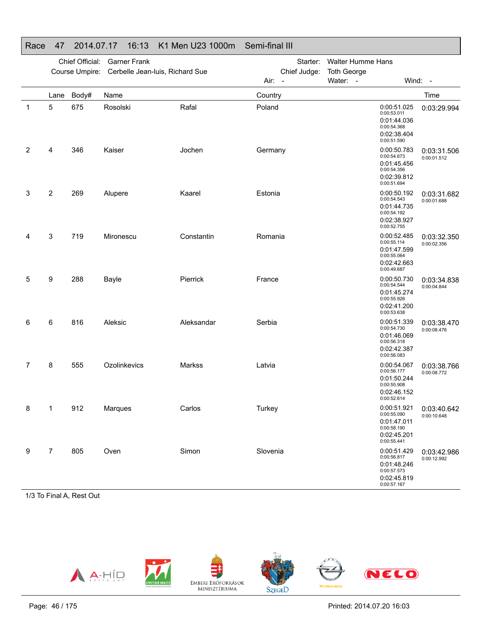|                       |                | Chief Official:<br>Course Umpire: | <b>Garner Frank</b><br>Cerbelle Jean-luis, Richard Sue |            | Starter:<br>Chief Judge:<br>Air: - | <b>Walter Humme Hans</b><br><b>Toth George</b><br>Water: -                             | Wind: -                    |
|-----------------------|----------------|-----------------------------------|--------------------------------------------------------|------------|------------------------------------|----------------------------------------------------------------------------------------|----------------------------|
|                       | Lane           | Body#                             | Name                                                   |            | Country                            |                                                                                        | Time                       |
| $\mathbf{1}$          | 5              | 675                               | Rosolski                                               | Rafal      | Poland                             | 0:00:51.025<br>0:00:53.011<br>0:01:44.036<br>0:00:54.368<br>0:02:38.404<br>0:00:51.590 | 0:03:29.994                |
| $\mathbf{2}^{\prime}$ | 4              | 346                               | Kaiser                                                 | Jochen     | Germany                            | 0:00:50.783<br>0:00:54.673<br>0:01:45.456<br>0:00:54.356<br>0:02:39.812<br>0:00:51.694 | 0:03:31.506<br>0:00:01.512 |
| 3                     | 2              | 269                               | Alupere                                                | Kaarel     | Estonia                            | 0:00:50.192<br>0:00:54.543<br>0:01:44.735<br>0:00:54.192<br>0:02:38.927<br>0:00:52.755 | 0:03:31.682<br>0:00:01.688 |
| 4                     | 3              | 719                               | Mironescu                                              | Constantin | Romania                            | 0:00:52.485<br>0:00:55.114<br>0:01:47.599<br>0:00:55.064<br>0:02:42.663<br>0:00:49.687 | 0:03:32.350<br>0:00:02.356 |
| 5                     | 9              | 288                               | Bayle                                                  | Pierrick   | France                             | 0:00:50.730<br>0:00:54.544<br>0:01:45.274<br>0:00:55.926<br>0:02:41.200<br>0:00:53.638 | 0:03:34.838<br>0:00:04.844 |
| 6                     | 6              | 816                               | Aleksic                                                | Aleksandar | Serbia                             | 0:00:51.339<br>0:00:54.730<br>0:01:46.069<br>0:00:56.318<br>0:02:42.387<br>0:00:56.083 | 0:03:38.470<br>0:00:08.476 |
| 7                     | 8              | 555                               | Ozolinkevics                                           | Markss     | Latvia                             | 0:00:54.067<br>0:00:56.177<br>0:01:50.244<br>0:00:55.908<br>0:02:46.152<br>0:00:52.614 | 0:03:38.766<br>0:00:08.772 |
| 8                     | 1              | 912                               | Marques                                                | Carlos     | Turkey                             | 0:00:51.921<br>0:00:55.090<br>0:01:47.011<br>0:00:58.190<br>0:02:45.201<br>0:00:55.441 | 0:03:40.642<br>0:00:10.648 |
| 9                     | $\overline{7}$ | 805                               | Oven                                                   | Simon      | Slovenia                           | 0:00:51.429<br>0:00:56.817<br>0:01:48.246<br>0:00:57.573<br>0:02:45.819<br>0:00:57.167 | 0:03:42.986<br>0:00:12.992 |

### Race 47 2014.07.17 16:13 K1 Men U23 1000m Semi-final III

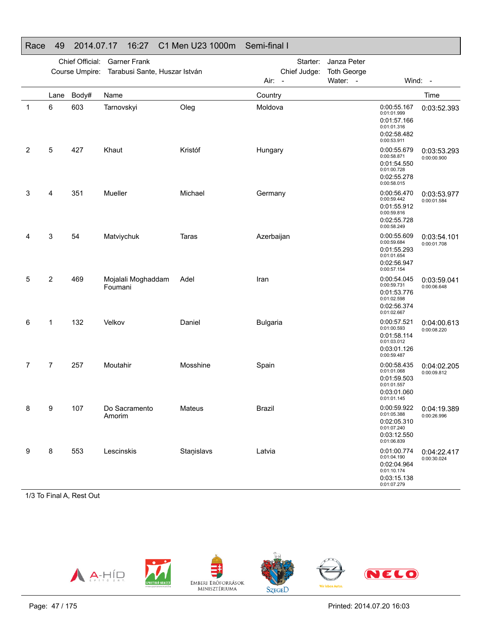### Race 49 2014.07.17 16:27 C1 Men U23 1000m Semi-final I

|   |           | Chief Official:<br>Course Umpire: | <b>Garner Frank</b><br>Tarabusi Sante, Huszar István |            | Starter:<br>Janza Peter<br>Chief Judge:<br><b>Toth George</b><br>Water: -<br>Air: - |  |                                                                                        | Wind: -                    |  |
|---|-----------|-----------------------------------|------------------------------------------------------|------------|-------------------------------------------------------------------------------------|--|----------------------------------------------------------------------------------------|----------------------------|--|
|   |           |                                   |                                                      |            |                                                                                     |  |                                                                                        |                            |  |
| 1 | Lane<br>6 | Body#<br>603                      | Name<br>Tarnovskyi                                   | Oleg       | Country<br>Moldova                                                                  |  | 0:00:55.167<br>0:01:01.999<br>0:01:57.166<br>0:01:01.316<br>0:02:58.482<br>0:00:53.911 | Time<br>0:03:52.393        |  |
| 2 | 5         | 427                               | Khaut                                                | Kristóf    | Hungary                                                                             |  | 0:00:55.679<br>0:00:58.871<br>0:01:54.550<br>0:01:00.728<br>0:02:55.278<br>0:00:58.015 | 0:03:53.293<br>0:00:00.900 |  |
| 3 | 4         | 351                               | Mueller                                              | Michael    | Germany                                                                             |  | 0:00:56.470<br>0:00:59.442<br>0:01:55.912<br>0:00:59.816<br>0:02:55.728<br>0:00:58.249 | 0:03:53.977<br>0:00:01.584 |  |
| 4 | 3         | 54                                | Matviychuk                                           | Taras      | Azerbaijan                                                                          |  | 0:00:55.609<br>0:00:59.684<br>0:01:55.293<br>0:01:01.654<br>0:02:56.947<br>0:00:57.154 | 0:03:54.101<br>0:00:01.708 |  |
| 5 | 2         | 469                               | Mojalali Moghaddam<br>Foumani                        | Adel       | Iran                                                                                |  | 0:00:54.045<br>0:00:59.731<br>0:01:53.776<br>0:01:02.598<br>0:02:56.374<br>0:01:02.667 | 0:03:59.041<br>0:00:06.648 |  |
| 6 | 1         | 132                               | Velkov                                               | Daniel     | <b>Bulgaria</b>                                                                     |  | 0:00:57.521<br>0:01:00.593<br>0:01:58.114<br>0:01:03.012<br>0:03:01.126<br>0:00:59.487 | 0:04:00.613<br>0:00:08.220 |  |
| 7 | 7         | 257                               | Moutahir                                             | Mosshine   | Spain                                                                               |  | 0:00:58.435<br>0:01:01.068<br>0:01:59.503<br>0:01:01.557<br>0:03:01.060<br>0:01:01.145 | 0:04:02.205<br>0:00:09.812 |  |
| 8 | 9         | 107                               | Do Sacramento<br>Amorim                              | Mateus     | <b>Brazil</b>                                                                       |  | 0:00:59.922<br>0:01:05.388<br>0:02:05.310<br>0:01:07.240<br>0:03:12.550<br>0:01:06.839 | 0:04:19.389<br>0:00:26.996 |  |
| 9 | 8         | 553                               | Lescinskis                                           | Stanislavs | Latvia                                                                              |  | 0:01:00.774<br>0:01:04.190<br>0:02:04.964<br>0:01:10.174<br>0:03:15.138<br>0:01:07.279 | 0:04:22.417<br>0:00:30.024 |  |

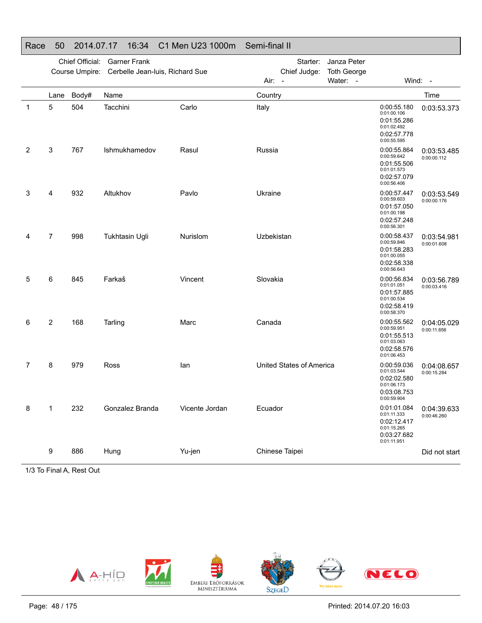### Race 50 2014.07.17 16:34 C1 Men U23 1000m Semi-final II

|   |                | Chief Official: | <b>Garner Frank</b>             |                | Starter:                 | Janza Peter                    |                                                                                        |                            |
|---|----------------|-----------------|---------------------------------|----------------|--------------------------|--------------------------------|----------------------------------------------------------------------------------------|----------------------------|
|   |                | Course Umpire:  | Cerbelle Jean-luis, Richard Sue |                | Chief Judge:<br>Air: -   | <b>Toth George</b><br>Water: - |                                                                                        | Wind: -                    |
|   | Lane           | Body#           | Name                            |                | Country                  |                                |                                                                                        | Time                       |
| 1 | 5              | 504             | Tacchini                        | Carlo          | Italy                    |                                | 0:00:55.180<br>0:01:00.106<br>0:01:55.286<br>0:01:02.492<br>0:02:57.778<br>0:00:55.595 | 0:03:53.373                |
| 2 | 3              | 767             | Ishmukhamedov                   | Rasul          | Russia                   |                                | 0:00:55.864<br>0:00:59.642<br>0:01:55.506<br>0:01:01.573<br>0:02:57.079<br>0:00:56.406 | 0:03:53.485<br>0:00:00.112 |
| 3 | 4              | 932             | Altukhov                        | Pavlo          | Ukraine                  |                                | 0:00:57.447<br>0:00:59.603<br>0:01:57.050<br>0:01:00.198<br>0:02:57.248<br>0:00:56.301 | 0:03:53.549<br>0:00:00.176 |
| 4 | $\overline{7}$ | 998             | Tukhtasin Ugli                  | Nurislom       | Uzbekistan               |                                | 0:00:58.437<br>0:00:59.846<br>0:01:58.283<br>0:01:00.055<br>0:02:58.338<br>0:00:56.643 | 0:03:54.981<br>0:00:01.608 |
| 5 | 6              | 845             | Farkaš                          | Vincent        | Slovakia                 |                                | 0:00:56.834<br>0:01:01.051<br>0:01:57.885<br>0:01:00.534<br>0:02:58.419<br>0:00:58.370 | 0:03:56.789<br>0:00:03.416 |
| 6 | 2              | 168             | Tarling                         | Marc           | Canada                   |                                | 0:00:55.562<br>0:00:59.951<br>0:01:55.513<br>0:01:03.063<br>0:02:58.576<br>0:01:06.453 | 0:04:05.029<br>0:00:11.656 |
| 7 | 8              | 979             | Ross                            | lan            | United States of America |                                | 0:00:59.036<br>0:01:03.544<br>0:02:02.580<br>0:01:06.173<br>0:03:08.753<br>0:00:59.904 | 0:04:08.657<br>0:00:15.284 |
| 8 | $\mathbf{1}$   | 232             | Gonzalez Branda                 | Vicente Jordan | Ecuador                  |                                | 0:01:01.084<br>0:01:11.333<br>0:02:12.417<br>0:01:15.265<br>0:03:27.682<br>0:01:11.951 | 0:04:39.633<br>0:00:46.260 |
|   | 9              | 886             | Hung                            | Yu-jen         | Chinese Taipei           |                                |                                                                                        | Did not start              |
|   |                |                 |                                 |                |                          |                                |                                                                                        |                            |

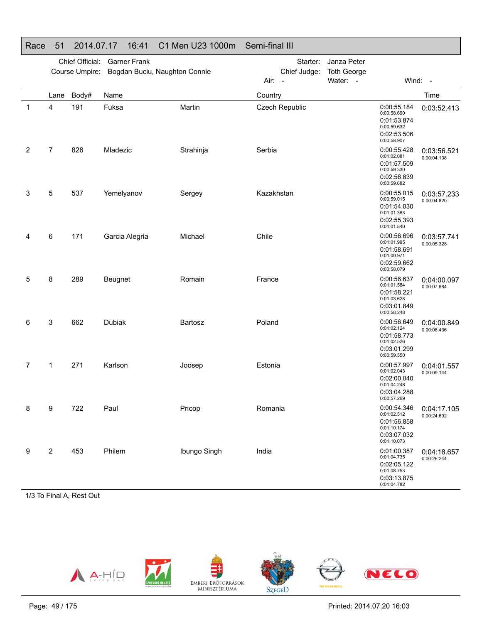### Race 51 2014.07.17 16:41 C1 Men U23 1000m Semi-final III

|   |                | Chief Official:<br>Course Umpire: | <b>Garner Frank</b><br>Bogdan Buciu, Naughton Connie |              | Starter:<br>Chief Judge:<br>Air:<br>$\overline{\phantom{a}}$ | Janza Peter<br><b>Toth George</b><br>Water: - |                                                                                        | Wind: -                    |
|---|----------------|-----------------------------------|------------------------------------------------------|--------------|--------------------------------------------------------------|-----------------------------------------------|----------------------------------------------------------------------------------------|----------------------------|
|   | Lane           | Body#                             | Name                                                 |              | Country                                                      |                                               |                                                                                        | Time                       |
| 1 | 4              | 191                               | Fuksa                                                | Martin       | Czech Republic                                               |                                               | 0:00:55.184<br>0:00:58.690<br>0:01:53.874<br>0:00:59.632<br>0:02:53.506<br>0:00:58.907 | 0:03:52.413                |
| 2 | $\overline{7}$ | 826                               | Mladezic                                             | Strahinja    | Serbia                                                       |                                               | 0:00:55.428<br>0:01:02.081<br>0:01:57.509<br>0:00:59.330<br>0:02:56.839<br>0:00:59.682 | 0:03:56.521<br>0:00:04.108 |
| 3 | 5              | 537                               | Yemelyanov                                           | Sergey       | Kazakhstan                                                   |                                               | 0:00:55.015<br>0:00:59.015<br>0:01:54.030<br>0:01:01.363<br>0:02:55.393<br>0:01:01.840 | 0:03:57.233<br>0:00:04.820 |
| 4 | 6              | 171                               | Garcia Alegria                                       | Michael      | Chile                                                        |                                               | 0:00:56.696<br>0:01:01.995<br>0:01:58.691<br>0:01:00.971<br>0:02:59.662<br>0:00:58.079 | 0:03:57.741<br>0:00:05.328 |
| 5 | 8              | 289                               | Beugnet                                              | Romain       | France                                                       |                                               | 0:00:56.637<br>0:01:01.584<br>0:01:58.221<br>0:01:03.628<br>0:03:01.849<br>0:00:58.248 | 0:04:00.097<br>0:00:07.684 |
| 6 | 3              | 662                               | Dubiak                                               | Bartosz      | Poland                                                       |                                               | 0:00:56.649<br>0:01:02.124<br>0:01:58.773<br>0:01:02.526<br>0:03:01.299<br>0:00:59.550 | 0:04:00.849<br>0:00:08.436 |
| 7 | 1              | 271                               | Karlson                                              | Joosep       | Estonia                                                      |                                               | 0:00:57.997<br>0:01:02.043<br>0:02:00.040<br>0:01:04.248<br>0:03:04.288<br>0:00:57.269 | 0:04:01.557<br>0:00:09.144 |
| 8 | 9              | 722                               | Paul                                                 | Pricop       | Romania                                                      |                                               | 0:00:54.346<br>0:01:02.512<br>0:01:56.858<br>0:01:10.174<br>0:03:07.032<br>0:01:10.073 | 0:04:17.105<br>0:00:24.692 |
| 9 | $\overline{c}$ | 453                               | Philem                                               | Ibungo Singh | India                                                        |                                               | 0:01:00.387<br>0:01:04.735<br>0:02:05.122<br>0:01:08.753<br>0:03:13.875<br>0:01:04.782 | 0:04:18.657<br>0:00:26.244 |

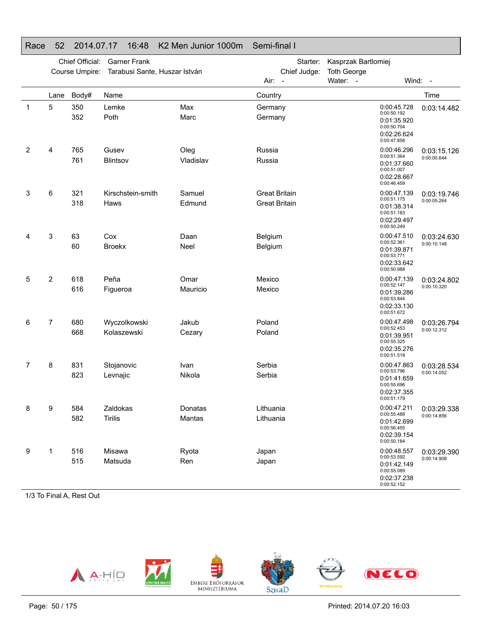|   | Chief Official:<br><b>Garner Frank</b><br>Course Umpire:<br>Tarabusi Sante, Huszar István |            |                             |                   | Starter:<br>Chief Judge:                     | Kasprzak Bartlomiej<br><b>Toth George</b>                                              |                            |
|---|-------------------------------------------------------------------------------------------|------------|-----------------------------|-------------------|----------------------------------------------|----------------------------------------------------------------------------------------|----------------------------|
|   |                                                                                           |            |                             |                   | Air: -                                       | Water: -                                                                               | Wind: -                    |
|   | Lane                                                                                      | Body#      | Name                        |                   | Country                                      |                                                                                        | Time                       |
| 1 | 5                                                                                         | 350<br>352 | Lemke<br>Poth               | Max<br>Marc       | Germany<br>Germany                           | 0:00:45.728<br>0:00:50.192<br>0:01:35.920<br>0:00:50.704<br>0:02:26.624<br>0:00:47.858 | 0:03:14.482                |
| 2 | 4                                                                                         | 765<br>761 | Gusev<br>Blintsov           | Oleg<br>Vladislav | Russia<br>Russia                             | 0:00:46.296<br>0:00:51.364<br>0:01:37.660<br>0:00:51.007<br>0:02:28.667<br>0:00:46.459 | 0:03:15.126<br>0:00:00.644 |
| 3 | 6                                                                                         | 321<br>318 | Kirschstein-smith<br>Haws   | Samuel<br>Edmund  | <b>Great Britain</b><br><b>Great Britain</b> | 0:00:47.139<br>0:00:51.175<br>0:01:38.314<br>0:00:51.183<br>0:02:29.497<br>0:00:50.249 | 0:03:19.746<br>0:00:05.264 |
| 4 | 3                                                                                         | 63<br>60   | Cox<br><b>Broekx</b>        | Daan<br>Neel      | Belgium<br>Belgium                           | 0:00:47.510<br>0:00:52.361<br>0:01:39.871<br>0:00:53.771<br>0:02:33.642<br>0:00:50.988 | 0:03:24.630<br>0:00:10.148 |
| 5 | 2                                                                                         | 618<br>616 | Peña<br>Figueroa            | Omar<br>Mauricio  | Mexico<br>Mexico                             | 0:00:47.139<br>0:00:52.147<br>0:01:39.286<br>0:00:53.844<br>0:02:33.130<br>0:00:51.672 | 0:03:24.802<br>0:00:10.320 |
| 6 | 7                                                                                         | 680<br>668 | Wyczolkowski<br>Kolaszewski | Jakub<br>Cezary   | Poland<br>Poland                             | 0:00:47.498<br>0:00:52.453<br>0:01:39.951<br>0:00:55.325<br>0:02:35.276<br>0:00:51.518 | 0:03:26.794<br>0:00:12.312 |
| 7 | 8                                                                                         | 831<br>823 | Stojanovic<br>Levnajic      | Ivan<br>Nikola    | Serbia<br>Serbia                             | 0:00:47.863<br>0:00:53.796<br>0:01:41.659<br>0:00:55.696<br>0:02:37.355<br>0:00:51.179 | 0:03:28.534<br>0:00:14.052 |
| 8 | 9                                                                                         | 584<br>582 | Zaldokas<br><b>Tirilis</b>  | Donatas<br>Mantas | Lithuania<br>Lithuania                       | 0:00:47.211<br>0:00:55.488<br>0:01:42.699<br>0:00:56.455<br>0:02:39.154<br>0:00:50.184 | 0:03:29.338<br>0:00:14.856 |
| 9 | 1                                                                                         | 516<br>515 | Misawa<br>Matsuda           | Ryota<br>Ren      | Japan<br>Japan                               | 0:00:48.557<br>0:00:53.592<br>0:01:42.149<br>0:00:55.089<br>0:02:37.238<br>0:00:52.152 | 0:03:29.390<br>0:00:14.908 |

### Race 52 2014.07.17 16:48 K2 Men Junior 1000m Semi-final I

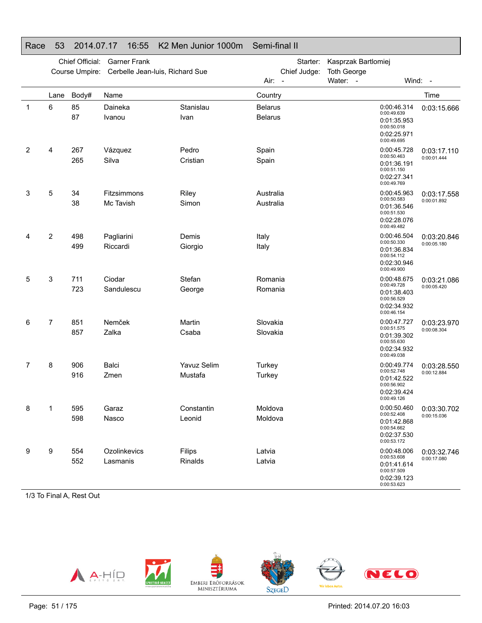|                | Chief Official:<br><b>Garner Frank</b> |                |                                 |                    | Starter:<br>Kasprzak Bartlomiej  |                                                                                        |             |
|----------------|----------------------------------------|----------------|---------------------------------|--------------------|----------------------------------|----------------------------------------------------------------------------------------|-------------|
|                |                                        | Course Umpire: | Cerbelle Jean-luis, Richard Sue |                    | Chief Judge:                     | <b>Toth George</b>                                                                     |             |
|                |                                        |                |                                 |                    | Air: -                           | Water: -                                                                               | Wind: -     |
|                | Lane                                   | Body#          | Name                            |                    | Country                          |                                                                                        | Time        |
| 1              | 6                                      | 85<br>87       | Daineka<br>Ivanou               | Stanislau<br>Ivan  | <b>Belarus</b><br><b>Belarus</b> | 0:00:46.314<br>0:00:49.639<br>0:01:35.953<br>0:00:50.018<br>0:02:25.971<br>0:00:49.695 | 0:03:15.666 |
| $\overline{2}$ | 4                                      | 267            | Vázquez                         | Pedro              | Spain                            | 0:00:45.728                                                                            | 0:03:17.110 |
|                |                                        | 265            | Silva                           | Cristian           | Spain                            | 0:00:50.463<br>0:01:36.191<br>0:00:51.150<br>0:02:27.341<br>0:00:49.769                | 0:00:01.444 |
| 3              | 5                                      | 34             | Fitzsimmons                     | Riley              | Australia                        | 0:00:45.963<br>0:00:50.583                                                             | 0:03:17.558 |
|                |                                        | 38             | Mc Tavish                       | Simon              | Australia                        | 0:01:36.546<br>0:00:51.530<br>0:02:28.076<br>0:00:49.482                               | 0:00:01.892 |
| 4              | 2                                      | 498            | Pagliarini                      | Demis              | Italy                            | 0:00:46.504                                                                            | 0:03:20.846 |
|                |                                        | 499            | Riccardi                        | Giorgio            | Italy                            | 0:00:50.330<br>0:01:36.834<br>0:00:54.112<br>0:02:30.946<br>0:00:49.900                | 0:00:05.180 |
| 5              | 3                                      | 711            | Ciodar                          | Stefan             | Romania                          | 0:00:48.675                                                                            | 0:03:21.086 |
|                |                                        | 723            | Sandulescu                      | George             | Romania                          | 0:00:49.728<br>0:01:38.403<br>0:00:56.529<br>0:02:34.932<br>0:00:46.154                | 0:00:05.420 |
| 6              | 7                                      | 851            | Nemček                          | Martin             | Slovakia                         | 0:00:47.727<br>0:00:51.575                                                             | 0:03:23.970 |
|                |                                        | 857            | Zalka                           | Csaba              | Slovakia                         | 0:01:39.302<br>0:00:55.630<br>0:02:34.932<br>0:00:49.038                               | 0:00:08.304 |
| 7              | 8                                      | 906            | Balci                           | <b>Yavuz Selim</b> | Turkey                           | 0:00:49.774<br>0:00:52.748                                                             | 0:03:28.550 |
|                |                                        | 916            | Zmen                            | Mustafa            | Turkey                           | 0:01:42.522<br>0:00:56.902<br>0:02:39.424<br>0:00:49.126                               | 0:00:12.884 |
| 8              | 1                                      | 595            | Garaz                           | Constantin         | Moldova                          | 0:00:50.460                                                                            | 0:03:30.702 |
|                |                                        | 598            | Nasco                           | Leonid             | Moldova                          | 0:00:52.408<br>0:01:42.868<br>0:00:54.662<br>0:02:37.530<br>0:00:53.172                | 0:00:15.036 |
| 9              | 9                                      | 554            | Ozolinkevics                    | Filips             | Latvia                           | 0:00:48.006<br>0:00:53.608                                                             | 0:03:32.746 |
|                |                                        | 552            | Lasmanis                        | Rinalds            | Latvia                           | 0:01:41.614<br>0:00:57.509<br>0:02:39.123<br>0:00:53.623                               | 0:00:17.080 |

### Race 53 2014.07.17 16:55 K2 Men Junior 1000m Semi-final II

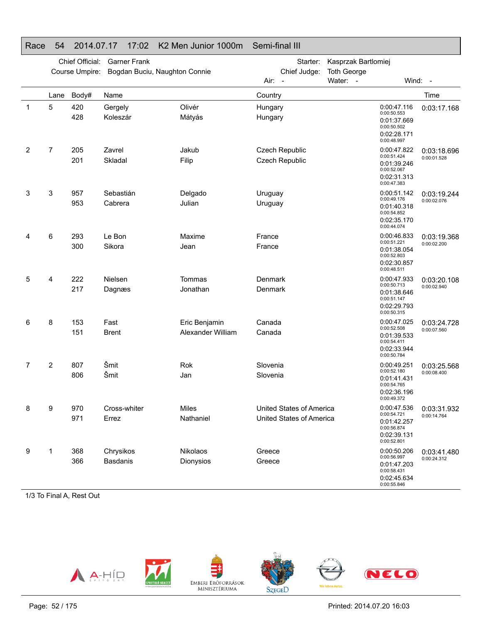|             | Chief Official:<br><b>Garner Frank</b><br>Course Umpire:<br>Bogdan Buciu, Naughton Connie |            |                       |                                    | Starter:<br>Chief Judge:                             | Kasprzak Bartlomiej<br><b>Toth George</b>                                              |                            |
|-------------|-------------------------------------------------------------------------------------------|------------|-----------------------|------------------------------------|------------------------------------------------------|----------------------------------------------------------------------------------------|----------------------------|
|             |                                                                                           |            |                       |                                    | Air:<br>$\overline{a}$                               | Water: -                                                                               | Wind: -                    |
|             | Lane                                                                                      | Body#      | Name                  |                                    | Country                                              |                                                                                        | Time                       |
| $\mathbf 1$ | 5                                                                                         | 420<br>428 | Gergely<br>Koleszár   | Olivér<br>Mátyás                   | Hungary<br>Hungary                                   | 0:00:47.116<br>0:00:50.553<br>0:01:37.669<br>0:00:50.502<br>0:02:28.171<br>0:00:48.997 | 0:03:17.168                |
| 2           | 7                                                                                         | 205<br>201 | Zavrel<br>Skladal     | Jakub<br>Filip                     | Czech Republic<br><b>Czech Republic</b>              | 0:00:47.822<br>0:00:51.424<br>0:01:39.246<br>0:00:52.067<br>0:02:31.313<br>0:00:47.383 | 0:03:18.696<br>0:00:01.528 |
| 3           | 3                                                                                         | 957<br>953 | Sebastián<br>Cabrera  | Delgado<br>Julian                  | Uruguay<br>Uruguay                                   | 0:00:51.142<br>0:00:49.176<br>0:01:40.318<br>0:00:54.852<br>0:02:35.170<br>0:00:44.074 | 0:03:19.244<br>0:00:02.076 |
| 4           | 6                                                                                         | 293<br>300 | Le Bon<br>Sikora      | Maxime<br>Jean                     | France<br>France                                     | 0:00:46.833<br>0:00:51.221<br>0:01:38.054<br>0:00:52.803<br>0:02:30.857<br>0:00:48.511 | 0:03:19.368<br>0:00:02.200 |
| 5           | 4                                                                                         | 222<br>217 | Nielsen<br>Dagnæs     | Tommas<br>Jonathan                 | Denmark<br>Denmark                                   | 0:00:47.933<br>0:00:50.713<br>0:01:38.646<br>0:00:51.147<br>0:02:29.793<br>0:00:50.315 | 0:03:20.108<br>0:00:02.940 |
| 6           | 8                                                                                         | 153<br>151 | Fast<br>Brent         | Eric Benjamin<br>Alexander William | Canada<br>Canada                                     | 0:00:47.025<br>0:00:52.508<br>0:01:39.533<br>0:00:54.411<br>0:02:33.944<br>0:00:50.784 | 0:03:24.728<br>0:00:07.560 |
| 7           | $\overline{2}$                                                                            | 807<br>806 | Šmit<br>Šmit          | Rok<br>Jan                         | Slovenia<br>Slovenia                                 | 0:00:49.251<br>0:00:52.180<br>0:01:41.431<br>0:00:54.765<br>0:02:36.196<br>0:00:49.372 | 0:03:25.568<br>0:00:08.400 |
| ୪           | 9                                                                                         | 970<br>971 | Cross-whiter<br>Errez | Miles<br>Nathaniel                 | United States of America<br>United States of America | 0:00:47.536<br>0:00:54.721<br>0:01:42.257<br>0:00:56.874<br>0:02:39.131<br>0:00:52.801 | 0:03:31.932<br>0:00:14.764 |
| 9           | 1                                                                                         | 368<br>366 | Chrysikos<br>Basdanis | Nikolaos<br>Dionysios              | Greece<br>Greece                                     | 0:00:50.206<br>0:00:56.997<br>0:01:47.203<br>0:00:58.431<br>0:02:45.634<br>0:00:55.846 | 0:03:41.480<br>0:00:24.312 |

### Race 54 2014.07.17 17:02 K2 Men Junior 1000m Semi-final III

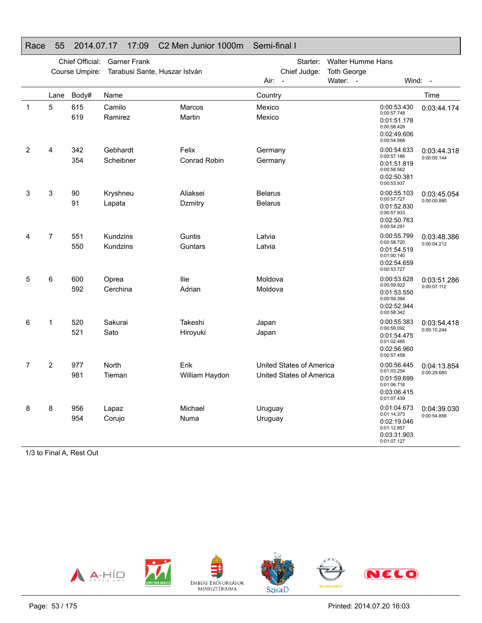|             |      |                 |                               | 1000110011101 1000111 |                          |                          |                                                                         |             |
|-------------|------|-----------------|-------------------------------|-----------------------|--------------------------|--------------------------|-------------------------------------------------------------------------|-------------|
|             |      | Chief Official: | <b>Garner Frank</b>           |                       | Starter:                 | <b>Walter Humme Hans</b> |                                                                         |             |
|             |      | Course Umpire:  | Tarabusi Sante, Huszar István |                       | Chief Judge:             | <b>Toth George</b>       |                                                                         |             |
|             |      |                 |                               |                       | Air:<br>$\sim$           | Water: -                 |                                                                         | Wind: -     |
|             | Lane | Body#           | Name                          |                       | Country                  |                          |                                                                         | Time        |
| $\mathbf 1$ | 5    | 615             | Camilo                        | Marcos                | Mexico                   |                          | 0:00:53.430                                                             | 0:03:44.174 |
|             |      | 619             | Ramirez                       | Martin                | Mexico                   |                          | 0:00:57.748<br>0:01:51.178<br>0:00:58.428<br>0:02:49.606<br>0:00:54.568 |             |
| 2           | 4    | 342             | Gebhardt                      | Felix                 | Germany                  |                          | 0:00:54.633                                                             | 0:03:44.318 |
|             |      | 354             | Scheibner                     | <b>Conrad Robin</b>   | Germany                  |                          | 0:00:57.186<br>0:01:51.819<br>0:00:58.562<br>0:02:50.381<br>0:00:53.937 | 0:00:00.144 |
| 3           | 3    | 90              | Kryshneu                      | Aliaksei              | <b>Belarus</b>           |                          | 0:00:55.103                                                             | 0:03:45.054 |
|             |      | 91              | Lapata                        | Dzmitry               | <b>Belarus</b>           |                          | 0:00:57.727<br>0:01:52.830<br>0:00:57.933<br>0:02:50.763<br>0:00:54.291 | 0:00:00.880 |
| 4           | 7    | 551             | Kundzins                      | Guntis                | Latvia                   |                          | 0:00:55.799                                                             | 0:03:48.386 |
|             |      | 550             | Kundzins                      | Guntars               | Latvia                   |                          | 0:00:58.720<br>0:01:54.519<br>0:01:00.140<br>0:02:54.659<br>0:00:53.727 | 0:00:04.212 |
| 5           | 6    | 600             | Oprea                         | llie                  | Moldova                  |                          | 0:00:53.628                                                             | 0:03:51.286 |
|             |      | 592             | Cerchina                      | Adrian                | Moldova                  |                          | 0:00:59.922<br>0:01:53.550<br>0:00:59.394<br>0:02:52.944<br>0:00:58.342 | 0:00:07.112 |
| 6           | 1    | 520             | Sakurai                       | Takeshi               | Japan                    |                          | 0:00:55.383                                                             | 0:03:54.418 |
|             |      | 521             | Sato                          | Hiroyuki              | Japan                    |                          | 0:00:59.092<br>0:01:54.475<br>0:01:02.485<br>0:02:56.960<br>0:00:57.458 | 0:00:10.244 |
| 7           | 2    | 977             | North                         | Erik                  | United States of America |                          | 0:00:56.445<br>0:01:03.254                                              | 0:04:13.854 |
|             |      | 981             | Tieman                        | William Haydon        | United States of America |                          | 0:01:59.699<br>0:01:06.716<br>0:03:06.415<br>0:01:07.439                | 0:00:29.680 |
| 8           | 8    | 956             | Lapaz                         | Michael               | Uruguay                  |                          | 0:01:04.673<br>0:01:14.373                                              | 0:04:39.030 |
|             |      | 954             | Corujo                        | Numa                  | Uruguay                  |                          | 0:02:19.046<br>0:01:12.857<br>0:03:31.903<br>0:01:07.127                | 0:00:54.856 |

### Race 55 2014.07.17 17:09 C2 Men Junior 1000m Semi-final I

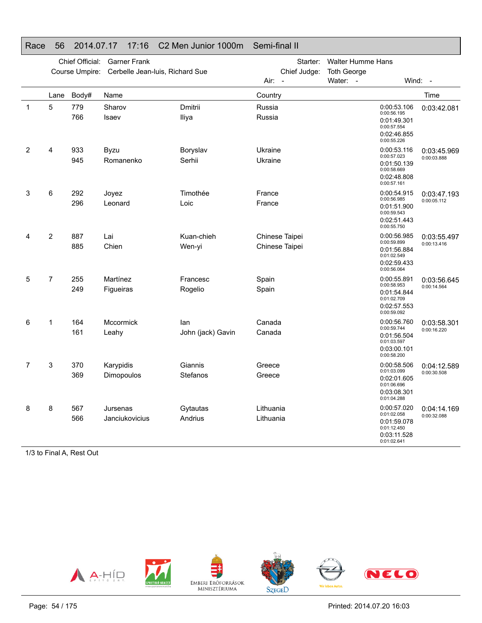|             | Chief Official:<br><b>Garner Frank</b><br>Cerbelle Jean-luis, Richard Sue<br>Course Umpire: |            |                            |                          | Starter:<br>Chief Judge:         | <b>Walter Humme Hans</b><br><b>Toth George</b> |                                                                                        |                            |
|-------------|---------------------------------------------------------------------------------------------|------------|----------------------------|--------------------------|----------------------------------|------------------------------------------------|----------------------------------------------------------------------------------------|----------------------------|
|             |                                                                                             |            |                            |                          | Air: -                           | Water: -                                       |                                                                                        | Wind: -                    |
|             | Lane                                                                                        | Body#      | Name                       |                          | Country                          |                                                |                                                                                        | Time                       |
| $\mathbf 1$ | 5                                                                                           | 779<br>766 | Sharov<br>Isaev            | Dmitrii<br>Iliya         | Russia<br>Russia                 |                                                | 0:00:53.106<br>0:00:56.195<br>0:01:49.301<br>0:00:57.554<br>0:02:46.855<br>0:00:55.226 | 0:03:42.081                |
| 2           | 4                                                                                           | 933<br>945 | <b>Byzu</b><br>Romanenko   | Boryslav<br>Serhii       | Ukraine<br>Ukraine               |                                                | 0:00:53.116<br>0:00:57.023<br>0:01:50.139<br>0:00:58.669<br>0:02:48.808<br>0:00:57.161 | 0:03:45.969<br>0:00:03.888 |
| 3           | 6                                                                                           | 292<br>296 | Joyez<br>Leonard           | Timothée<br>Loic         | France<br>France                 |                                                | 0:00:54.915<br>0:00:56.985<br>0:01:51.900<br>0:00:59.543<br>0:02:51.443<br>0:00:55.750 | 0:03:47.193<br>0:00:05.112 |
| 4           | $\overline{2}$                                                                              | 887<br>885 | Lai<br>Chien               | Kuan-chieh<br>Wen-yi     | Chinese Taipei<br>Chinese Taipei |                                                | 0:00:56.985<br>0:00:59.899<br>0:01:56.884<br>0:01:02.549<br>0:02:59.433<br>0:00:56.064 | 0:03:55.497<br>0:00:13.416 |
| 5           | $\overline{7}$                                                                              | 255<br>249 | Martínez<br>Figueiras      | Francesc<br>Rogelio      | Spain<br>Spain                   |                                                | 0:00:55.891<br>0:00:58.953<br>0:01:54.844<br>0:01:02.709<br>0:02:57.553<br>0:00:59.092 | 0:03:56.645<br>0:00:14.564 |
| 6           | 1                                                                                           | 164<br>161 | Mccormick<br>Leahy         | lan<br>John (jack) Gavin | Canada<br>Canada                 |                                                | 0:00:56.760<br>0:00:59.744<br>0:01:56.504<br>0:01:03.597<br>0:03:00.101<br>0:00:58.200 | 0:03:58.301<br>0:00:16.220 |
| 7           | 3                                                                                           | 370<br>369 | Karypidis<br>Dimopoulos    | Giannis<br>Stefanos      | Greece<br>Greece                 |                                                | 0:00:58.506<br>0:01:03.099<br>0:02:01.605<br>0:01:06.696<br>0:03:08.301<br>0:01:04.288 | 0:04:12.589<br>0:00:30.508 |
| 8           | 8                                                                                           | 567<br>566 | Jursenas<br>Janciukovicius | Gytautas<br>Andrius      | Lithuania<br>Lithuania           |                                                | 0:00:57.020<br>0:01:02.058<br>0:01:59.078<br>0:01:12.450<br>0:03:11.528<br>0:01:02.641 | 0:04:14.169<br>0:00:32.088 |

### Race 56 2014.07.17 17:16 C2 Men Junior 1000m Semi-final II

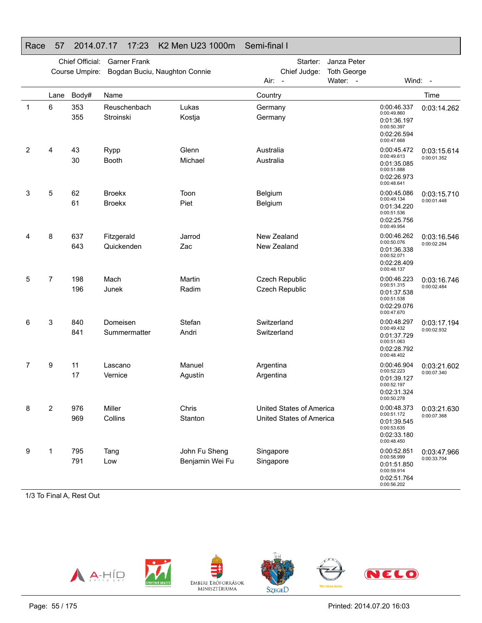#### Race 57 2014.07.17 17:23 K2 Men U23 1000m Semi-final I

|   |                | Chief Official:<br>Course Umpire:<br>Body#<br>Lane | <b>Garner Frank</b><br>Bogdan Buciu, Naughton Connie |                                  | Starter:<br>Chief Judge:<br>Air:<br>$\overline{a}$   | Janza Peter<br><b>Toth George</b><br>Water: - |                                                                                        | Wind: -                    |
|---|----------------|----------------------------------------------------|------------------------------------------------------|----------------------------------|------------------------------------------------------|-----------------------------------------------|----------------------------------------------------------------------------------------|----------------------------|
|   |                |                                                    | Name                                                 |                                  | Country                                              |                                               |                                                                                        | Time                       |
| 1 | 6              | 353<br>355                                         | Reuschenbach<br>Stroinski                            | Lukas<br>Kostja                  | Germany<br>Germany                                   |                                               | 0:00:46.337<br>0:00:49.860<br>0:01:36.197<br>0:00:50.397<br>0:02:26.594<br>0:00:47.668 | 0:03:14.262                |
| 2 | 4              | 43<br>30                                           | Rypp<br>Booth                                        | Glenn<br>Michael                 | Australia<br>Australia                               |                                               | 0:00:45.472<br>0:00:49.613<br>0:01:35.085<br>0:00:51.888<br>0:02:26.973<br>0:00:48.641 | 0:03:15.614<br>0:00:01.352 |
| 3 | 5              | 62<br>61                                           | <b>Broekx</b><br><b>Broekx</b>                       | Toon<br>Piet                     | Belgium<br>Belgium                                   |                                               | 0:00:45.086<br>0:00:49.134<br>0:01:34.220<br>0:00:51.536<br>0:02:25.756<br>0:00:49.954 | 0:03:15.710<br>0:00:01.448 |
| 4 | 8              | 637<br>643                                         | Fitzgerald<br>Quickenden                             | Jarrod<br>Zac                    | New Zealand<br>New Zealand                           |                                               | 0:00:46.262<br>0:00:50.076<br>0:01:36.338<br>0:00:52.071<br>0:02:28.409<br>0:00:48.137 | 0:03:16.546<br>0:00:02.284 |
| 5 | $\overline{7}$ | 198<br>196                                         | Mach<br>Junek                                        | Martin<br>Radim                  | Czech Republic<br>Czech Republic                     |                                               | 0:00:46.223<br>0:00:51.315<br>0:01:37.538<br>0:00:51.538<br>0:02:29.076<br>0:00:47.670 | 0:03:16.746<br>0:00:02.484 |
| 6 | 3              | 840<br>841                                         | Domeisen<br>Summermatter                             | Stefan<br>Andri                  | Switzerland<br>Switzerland                           |                                               | 0:00:48.297<br>0:00:49.432<br>0:01:37.729<br>0:00:51.063<br>0:02:28.792<br>0:00:48.402 | 0:03:17.194<br>0:00:02.932 |
| 7 | 9              | 11<br>17                                           | Lascano<br>Vernice                                   | Manuel<br>Agustín                | Argentina<br>Argentina                               |                                               | 0:00:46.904<br>0:00:52.223<br>0:01:39.127<br>0:00:52.197<br>0:02:31.324<br>0:00:50.278 | 0:03:21.602<br>0:00:07.340 |
| 8 | 2              | 976<br>969                                         | Miller<br>Collins                                    | Chris<br>Stanton                 | United States of America<br>United States of America |                                               | 0:00:48.373<br>0:00:51.172<br>0:01:39.545<br>0:00:53.635<br>0:02:33.180<br>0:00:48.450 | 0:03:21.630<br>0:00:07.368 |
| 9 | 1              | 795<br>791                                         | Tang<br>Low                                          | John Fu Sheng<br>Benjamin Wei Fu | Singapore<br>Singapore                               |                                               | 0:00:52.851<br>0:00:58.999<br>0:01:51.850<br>0:00:59.914<br>0:02:51.764<br>0:00:56.202 | 0:03:47.966<br>0:00:33.704 |

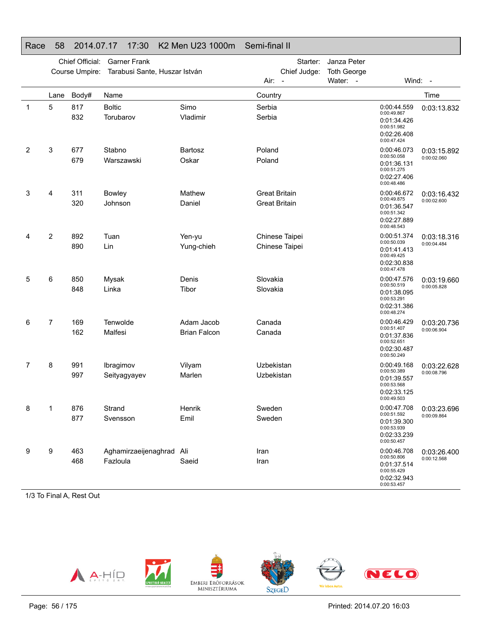### Race 58 2014.07.17 17:30 K2 Men U23 1000m Semi-final II

|   |      | Chief Official: | <b>Garner Frank</b>                  |                                   |                          | Starter:                                     | Janza Peter                    |                                                                                        |                                          |
|---|------|-----------------|--------------------------------------|-----------------------------------|--------------------------|----------------------------------------------|--------------------------------|----------------------------------------------------------------------------------------|------------------------------------------|
|   |      | Course Umpire:  | Tarabusi Sante, Huszar István        |                                   | Air:                     | Chief Judge:<br>$\sim$                       | <b>Toth George</b><br>Water: - |                                                                                        | Wind: -                                  |
|   | Lane | Body#           | Name                                 |                                   | Country                  |                                              |                                |                                                                                        | Time                                     |
| 1 | 5    | 817<br>832      | <b>Boltic</b><br>Torubarov           | Simo<br>Vladimir                  | Serbia<br>Serbia         |                                              |                                | 0:00:44.559<br>0:00:49.867<br>0:01:34.426<br>0:00:51.982<br>0:02:26.408<br>0:00:47.424 | 0:03:13.832                              |
| 2 | 3    | 677<br>679      | Stabno<br>Warszawski                 | <b>Bartosz</b><br>Oskar           | Poland<br>Poland         |                                              |                                | 0:00:46.073<br>0:00:50.058<br>0:01:36.131<br>0:00:51.275<br>0:02:27.406<br>0:00:48.486 | 0:03:15.892<br>0:00:02.060               |
| 3 | 4    | 311<br>320      | <b>Bowley</b><br>Johnson             | Mathew<br>Daniel                  |                          | <b>Great Britain</b><br><b>Great Britain</b> |                                | 0:00:46.672<br>0:00:49.875<br>0:01:36.547<br>0:00:51.342<br>0:02:27.889<br>0:00:48.543 | 0:03:16.432<br>0:00:02.600               |
| 4 | 2    | 892<br>890      | Tuan<br>Lin                          | Yen-yu<br>Yung-chieh              |                          | Chinese Taipei<br>Chinese Taipei             |                                | 0:00:51.374<br>0:00:50.039<br>0:01:41.413<br>0:00:49.425<br>0:02:30.838<br>0:00:47.478 | 0:03:18.316<br>0:00:04.484               |
| 5 | 6    | 850<br>848      | Mysak<br>Linka                       | Denis<br>Tibor                    | Slovakia<br>Slovakia     |                                              |                                | 0:00:47.576<br>0:00:50.519<br>0:01:38.095<br>0:00:53.291<br>0:02:31.386<br>0:00:48.274 | 0:03:19.660<br>0:00:05.828               |
| 6 | 7    | 169<br>162      | Tenwolde<br>Malfesi                  | Adam Jacob<br><b>Brian Falcon</b> | Canada<br>Canada         |                                              |                                | 0:00:46.429<br>0:00:51.407<br>0:01:37.836<br>0:00:52.651<br>0:02:30.487<br>0:00:50.249 | 0:03:20.736<br>0:00:06.904               |
| 7 | 8    | 991<br>997      | Ibragimov<br>Seityagyayev            | Vilyam<br>Marlen                  | Uzbekistan<br>Uzbekistan |                                              |                                | 0:00:49.168<br>0:00:50.389<br>0:01:39.557<br>0:00:53.568<br>0:02:33.125<br>0:00:49.503 | 0:03:22.628<br>0:00:08.796               |
| 8 | 1    | 876<br>877      | Strand<br>Svensson                   | Henrik<br>Emil                    | Sweden<br>Sweden         |                                              |                                | 0:00:51.592<br>0:01:39.300<br>0:00:53.939<br>0:02:33.239<br>0:00:50.457                | 0:00:47.708   0:03:23.696<br>0:00:09.864 |
| 9 | 9    | 463<br>468      | Aghamirzaeijenaghrad Ali<br>Fazloula | Saeid                             | Iran<br>Iran             |                                              |                                | 0:00:46.708<br>0:00:50.806<br>0:01:37.514<br>0:00:55.429<br>0:02:32.943<br>0:00:53.457 | 0:03:26.400<br>0:00:12.568               |

1/3 To Final A, Rest Out



Printed: 2014.07.20 16:03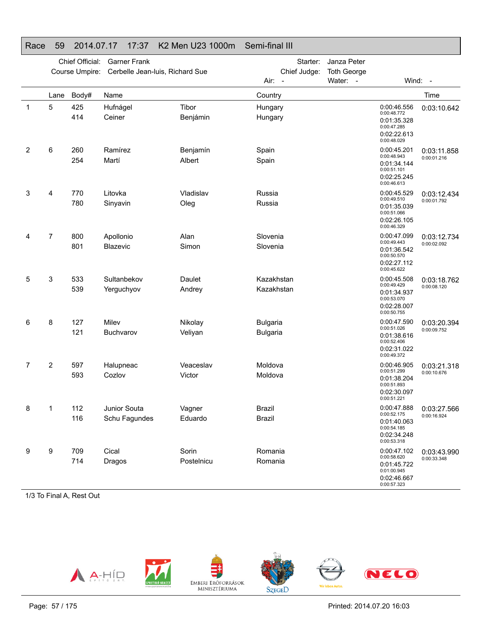### Race 59 2014.07.17 17:37 K2 Men U23 1000m Semi-final III

|   | Chief Official:<br><b>Garner Frank</b><br>Course Umpire:<br>Cerbelle Jean-luis, Richard Sue |            |                               |                     | Starter:<br>Chief Judge:           | Janza Peter<br><b>Toth George</b> |                                                                                        |                            |
|---|---------------------------------------------------------------------------------------------|------------|-------------------------------|---------------------|------------------------------------|-----------------------------------|----------------------------------------------------------------------------------------|----------------------------|
|   |                                                                                             |            |                               |                     | Air:<br>$\overline{\phantom{a}}$   | Water: -                          |                                                                                        | Wind: -                    |
|   | Lane                                                                                        | Body#      | Name                          |                     | Country                            |                                   |                                                                                        | Time                       |
| 1 | 5                                                                                           | 425<br>414 | Hufnágel<br>Ceiner            | Tibor<br>Benjámin   | Hungary<br>Hungary                 |                                   | 0:00:46.556<br>0:00:48.772<br>0:01:35.328<br>0:00:47.285<br>0:02:22.613<br>0:00:48.029 | 0:03:10.642                |
| 2 | 6                                                                                           | 260<br>254 | Ramírez<br>Martí              | Benjamín<br>Albert  | Spain<br>Spain                     |                                   | 0:00:45.201<br>0:00:48.943<br>0:01:34.144<br>0:00:51.101<br>0:02:25.245<br>0:00:46.613 | 0:03:11.858<br>0:00:01.216 |
| 3 | 4                                                                                           | 770<br>780 | Litovka<br>Sinyavin           | Vladislav<br>Oleg   | Russia<br>Russia                   |                                   | 0:00:45.529<br>0:00:49.510<br>0:01:35.039<br>0:00:51.066<br>0:02:26.105<br>0:00:46.329 | 0:03:12.434<br>0:00:01.792 |
| 4 | $\overline{7}$                                                                              | 800<br>801 | Apollonio<br><b>Blazevic</b>  | Alan<br>Simon       | Slovenia<br>Slovenia               |                                   | 0:00:47.099<br>0:00:49.443<br>0:01:36.542<br>0:00:50.570<br>0:02:27.112<br>0:00:45.622 | 0:03:12.734<br>0:00:02.092 |
| 5 | 3                                                                                           | 533<br>539 | Sultanbekov<br>Yerguchyov     | Daulet<br>Andrey    | Kazakhstan<br>Kazakhstan           |                                   | 0:00:45.508<br>0:00:49.429<br>0:01:34.937<br>0:00:53.070<br>0:02:28.007<br>0:00:50.755 | 0:03:18.762<br>0:00:08.120 |
| 6 | 8                                                                                           | 127<br>121 | Milev<br>Buchvarov            | Nikolay<br>Veliyan  | <b>Bulgaria</b><br><b>Bulgaria</b> |                                   | 0:00:47.590<br>0:00:51.026<br>0:01:38.616<br>0:00:52.406<br>0:02:31.022<br>0:00:49.372 | 0:03:20.394<br>0:00:09.752 |
| 7 | 2                                                                                           | 597<br>593 | Halupneac<br>Cozlov           | Veaceslav<br>Victor | Moldova<br>Moldova                 |                                   | 0:00:46.905<br>0:00:51.299<br>0:01:38.204<br>0:00:51.893<br>0:02:30.097<br>0:00:51.221 | 0:03:21.318<br>0:00:10.676 |
| 8 | 1                                                                                           | 112<br>116 | Junior Souta<br>Schu Fagundes | Vagner<br>Eduardo   | Brazil<br><b>Brazil</b>            |                                   | 0:00:47.888<br>0:00:52.175<br>0:01:40.063<br>0:00:54.185<br>0:02:34.248<br>0:00:53.318 | 0:03:27.566<br>0:00:16.924 |
| 9 | 9                                                                                           | 709<br>714 | Cical<br>Dragos               | Sorin<br>Postelnicu | Romania<br>Romania                 |                                   | 0:00:47.102<br>0:00:58.620<br>0:01:45.722<br>0:01:00.945<br>0:02:46.667<br>0:00:57.323 | 0:03:43.990<br>0:00:33.348 |

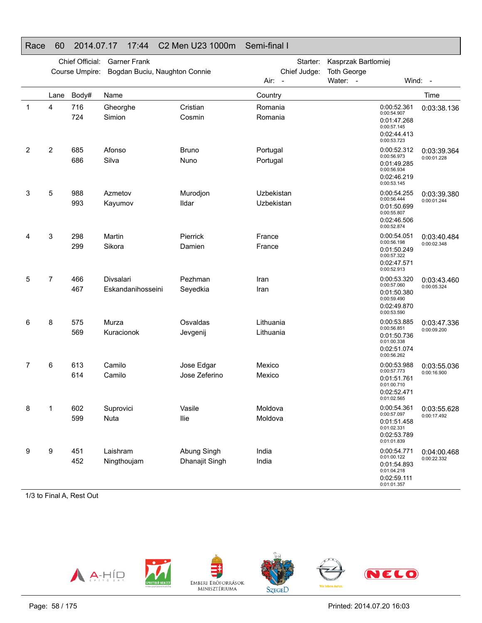### Race 60 2014.07.17 17:44 C2 Men U23 1000m Semi-final I

|             | Chief Official:<br><b>Garner Frank</b> |                |                               |                    | Kasprzak Bartlomiej<br>Starter: |                                                                                        |  |                                          |
|-------------|----------------------------------------|----------------|-------------------------------|--------------------|---------------------------------|----------------------------------------------------------------------------------------|--|------------------------------------------|
|             |                                        | Course Umpire: | Bogdan Buciu, Naughton Connie |                    | Chief Judge:                    | <b>Toth George</b>                                                                     |  |                                          |
|             |                                        |                |                               |                    | Air:<br>$\sim$                  | Water: -                                                                               |  | Wind: -                                  |
|             | Lane                                   | Body#          | Name                          |                    | Country                         |                                                                                        |  | Time                                     |
| $\mathbf 1$ | 4                                      | 716<br>724     | Gheorghe<br>Simion            | Cristian<br>Cosmin | Romania<br>Romania              | 0:00:52.361<br>0:00:54.907<br>0:01:47.268<br>0:00:57.145<br>0:02:44.413<br>0:00:53.723 |  | 0:03:38.136                              |
| 2           | 2                                      | 685            | Afonso                        | <b>Bruno</b>       | Portugal                        | 0:00:52.312                                                                            |  | 0:03:39.364                              |
|             |                                        | 686            | Silva                         | Nuno               | Portugal                        | 0:00:56.973<br>0:01:49.285<br>0:00:56.934                                              |  | 0:00:01.228                              |
|             |                                        |                |                               |                    |                                 | 0:02:46.219<br>0:00:53.145                                                             |  |                                          |
| 3           | 5                                      | 988            | Azmetov                       | Murodjon           | Uzbekistan                      | 0:00:54.255                                                                            |  | 0:03:39.380                              |
|             |                                        | 993            | Kayumov                       | Ildar              | Uzbekistan                      | 0:00:56.444<br>0:01:50.699<br>0:00:55.807<br>0:02:46.506<br>0:00:52.874                |  | 0:00:01.244                              |
| 4           | 3                                      | 298            | Martin                        | Pierrick           | France                          | 0:00:54.051                                                                            |  | 0:03:40.484                              |
|             |                                        | 299            | Sikora                        | Damien             | France                          | 0:00:56.198<br>0:01:50.249<br>0:00:57.322<br>0:02:47.571<br>0:00:52.913                |  | 0:00:02.348                              |
| 5           | 7                                      | 466            | Divsalari                     | Pezhman            | Iran                            | 0:00:53.320                                                                            |  | 0:03:43.460                              |
|             |                                        | 467            | Eskandanihosseini             | Seyedkia           | Iran                            | 0:00:57.060<br>0:01:50.380<br>0:00:59.490<br>0:02:49.870<br>0:00:53.590                |  | 0:00:05.324                              |
| 6           | 8                                      | 575            | Murza                         | Osvaldas           | Lithuania                       | 0:00:53.885<br>0:00:56.851                                                             |  | 0:03:47.336                              |
|             |                                        | 569            | Kuracionok                    | Jevgenij           | Lithuania                       | 0:01:50.736<br>0:01:00.338                                                             |  | 0:00:09.200                              |
|             |                                        |                |                               |                    |                                 | 0:02:51.074<br>0:00:56.262                                                             |  |                                          |
| 7           | 6                                      | 613            | Camilo                        | Jose Edgar         | Mexico                          | 0:00:53.988<br>0:00:57.773                                                             |  | 0:03:55.036                              |
|             |                                        | 614            | Camilo                        | Jose Zeferino      | Mexico                          | 0:01:51.761<br>0:01:00.710<br>0:02:52.471                                              |  | 0:00:16.900                              |
|             |                                        |                |                               |                    |                                 | 0:01:02.565                                                                            |  |                                          |
| 8           | $\mathbf 1$                            | 602            | Suprovici                     | Vasile             | Moldova                         | 0:00:57.097                                                                            |  | 0:00:54.361   0:03:55.628<br>0:00:17.492 |
|             |                                        | 599            | Nuta                          | llie               | Moldova                         | 0:01:51.458<br>0:01:02.331<br>0:02:53.789<br>0:01:01.839                               |  |                                          |
| 9           | 9                                      | 451            | Laishram                      | Abung Singh        | India                           | 0:00:54.771<br>0:01:00.122                                                             |  | 0:04:00.468                              |
|             |                                        | 452            | Ningthoujam                   | Dhanajit Singh     | India                           | 0:01:54.893<br>0:01:04.218<br>0:02:59.111<br>0:01:01.357                               |  | 0:00:22.332                              |

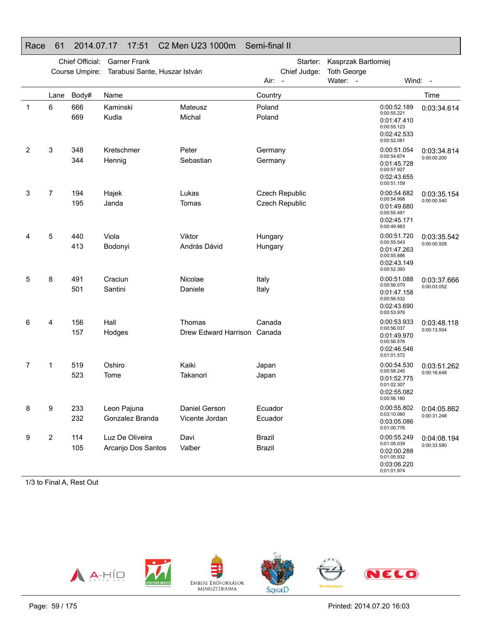### Race 61 2014.07.17 17:51 C2 Men U23 1000m Semi-final II

|              |      | Chief Official: | <b>Garner Frank</b>           |                             |                  | Starter:                 | Kasprzak Bartlomiej |                                                                                        |             |
|--------------|------|-----------------|-------------------------------|-----------------------------|------------------|--------------------------|---------------------|----------------------------------------------------------------------------------------|-------------|
|              |      | Course Umpire:  | Tarabusi Sante, Huszar István |                             |                  | Chief Judge:             | <b>Toth George</b>  |                                                                                        |             |
|              |      |                 |                               |                             | Air:             | $\overline{\phantom{a}}$ | Water: -            | Wind:                                                                                  | $\sim$      |
|              | Lane | Body#           | Name                          |                             | Country          |                          |                     |                                                                                        | Time        |
| $\mathbf{1}$ | 6    | 666<br>669      | Kaminski<br>Kudla             | Mateusz<br>Michal           | Poland<br>Poland |                          |                     | 0:00:52.189<br>0:00:55.221<br>0:01:47.410<br>0:00:55.123<br>0:02:42.533<br>0:00:52.081 | 0:03:34.614 |
| 2            | 3    | 348             | Kretschmer                    | Peter                       | Germany          |                          |                     | 0:00:51.054                                                                            | 0:03:34.814 |
|              |      | 344             | Hennig                        | Sebastian                   | Germany          |                          |                     | 0:00:54.674<br>0:01:45.728<br>0:00:57.927<br>0:02:43.655<br>0:00:51.159                | 0:00:00.200 |
| 3            | 7    | 194             | Hajek                         | Lukas                       |                  | Czech Republic           |                     | 0:00:54.682                                                                            | 0:03:35.154 |
|              |      | 195             | Janda                         | Tomas                       |                  | Czech Republic           |                     | 0:00:54.998<br>0:01:49.680<br>0:00:55.491<br>0:02:45.171<br>0:00:49.983                | 0:00:00.540 |
| 4            | 5    | 440             | Viola                         | Viktor                      | Hungary          |                          |                     | 0:00:51.720                                                                            | 0:03:35.542 |
|              |      | 413             | Bodonyi                       | András Dávid                | Hungary          |                          |                     | 0:00:55.543<br>0:01:47.263<br>0:00:55.886<br>0:02:43.149<br>0:00:52.393                | 0:00:00.928 |
| 5            | 8    | 491             | Craciun                       | Nicolae                     | Italy            |                          |                     | 0:00:51.088                                                                            | 0:03:37.666 |
|              |      | 501             | Santini                       | Daniele                     | Italy            |                          |                     | 0:00:56.070<br>0:01:47.158<br>0:00:56.532<br>0:02:43.690<br>0:00:53.976                | 0:00:03.052 |
| 6            | 4    | 156             | Hall                          | Thomas                      | Canada           |                          |                     | 0:00:53.933<br>0:00:56.037                                                             | 0:03:48.118 |
|              |      | 157             | Hodges                        | Drew Edward Harrison Canada |                  |                          |                     | 0:01:49.970<br>0:00:56.576<br>0:02:46.546<br>0:01:01.572                               | 0:00:13.504 |
| 7            | 1    | 519             | Oshiro                        | Kaiki                       | Japan            |                          |                     | 0:00:54.530<br>0:00:58.245                                                             | 0:03:51.262 |
|              |      | 523             | Tome                          | Takanori                    | Japan            |                          |                     | 0:01:52.775<br>0:01:02.307<br>0:02:55.082<br>0:00:56.180                               | 0:00:16.648 |
| 8            | 9    | 233             | Leon Pajuna                   | Daniel Gerson               | Ecuador          |                          |                     | 0:00:55.802                                                                            | 0:04:05.862 |
|              |      | 232             | Gonzalez Branda               | Vicente Jordan              | Ecuador          |                          |                     | 0:03:10.060<br>0:03:05.086<br>0:01:00.776                                              | 0:00:31.248 |
| 9            | 2    | 114             | Luz De Oliveira               | Davi                        | Brazil           |                          |                     | 0:00:55.249<br>0:01:05.039                                                             | 0:04:08.194 |
|              |      | 105             | Arcanjo Dos Santos            | Valber                      | <b>Brazil</b>    |                          |                     | 0:02:00.288<br>0:01:05.932<br>0:03:06.220<br>0:01:01.974                               | 0:00:33.580 |

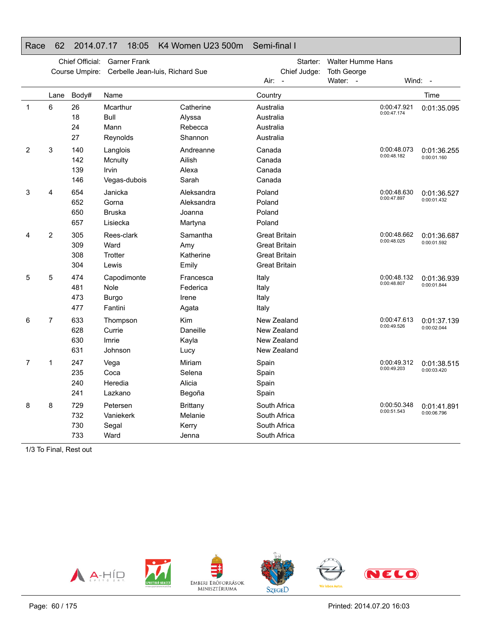### Race 62 2014.07.17 18:05 K4 Women U23 500m Semi-final I

|              |      | Chief Official:<br>Course Umpire: | <b>Garner Frank</b><br>Cerbelle Jean-luis, Richard Sue |                                               | Starter:<br>Chief Judge:                                                                     | <b>Walter Humme Hans</b><br><b>Toth George</b> |                            |                            |
|--------------|------|-----------------------------------|--------------------------------------------------------|-----------------------------------------------|----------------------------------------------------------------------------------------------|------------------------------------------------|----------------------------|----------------------------|
|              |      |                                   |                                                        |                                               | Air:<br>$\overline{\phantom{a}}$                                                             | Water: -                                       |                            | Wind: -                    |
|              | Lane | Body#                             | Name                                                   |                                               | Country                                                                                      |                                                |                            | Time                       |
| $\mathbf{1}$ | 6    | 26<br>18<br>24<br>27              | Mcarthur<br>Bull<br>Mann<br>Reynolds                   | Catherine<br>Alyssa<br>Rebecca<br>Shannon     | Australia<br>Australia<br>Australia<br>Australia                                             |                                                | 0:00:47.921<br>0:00:47.174 | 0:01:35.095                |
| 2            | 3    | 140<br>142<br>139<br>146          | Langlois<br>Mcnulty<br>Irvin<br>Vegas-dubois           | Andreanne<br>Ailish<br>Alexa<br>Sarah         | Canada<br>Canada<br>Canada<br>Canada                                                         |                                                | 0:00:48.073<br>0:00:48.182 | 0:01:36.255<br>0:00:01.160 |
| 3            | 4    | 654<br>652<br>650<br>657          | Janicka<br>Gorna<br><b>Bruska</b><br>Lisiecka          | Aleksandra<br>Aleksandra<br>Joanna<br>Martyna | Poland<br>Poland<br>Poland<br>Poland                                                         |                                                | 0:00:48.630<br>0:00:47.897 | 0:01:36.527<br>0:00:01.432 |
| 4            | 2    | 305<br>309<br>308<br>304          | Rees-clark<br>Ward<br>Trotter<br>Lewis                 | Samantha<br>Amy<br>Katherine<br>Emily         | <b>Great Britain</b><br><b>Great Britain</b><br><b>Great Britain</b><br><b>Great Britain</b> |                                                | 0:00:48.662<br>0:00:48.025 | 0:01:36.687<br>0:00:01.592 |
| 5            | 5    | 474<br>481<br>473<br>477          | Capodimonte<br>Nole<br><b>Burgo</b><br>Fantini         | Francesca<br>Federica<br>Irene<br>Agata       | Italy<br>Italy<br>Italy<br>Italy                                                             |                                                | 0:00:48.132<br>0:00:48.807 | 0:01:36.939<br>0:00:01.844 |
| 6            | 7    | 633<br>628<br>630<br>631          | Thompson<br>Currie<br>Imrie<br>Johnson                 | Kim<br>Daneille<br>Kayla<br>Lucy              | New Zealand<br>New Zealand<br>New Zealand<br>New Zealand                                     |                                                | 0:00:47.613<br>0:00:49.526 | 0:01:37.139<br>0:00:02.044 |
| 7            | 1    | 247<br>235<br>240<br>241          | Vega<br>Coca<br>Heredia<br>Lazkano                     | Miriam<br>Selena<br>Alicia<br>Begoña          | Spain<br>Spain<br>Spain<br>Spain                                                             |                                                | 0:00:49.312<br>0:00:49.203 | 0:01:38.515<br>0:00:03.420 |
| 8            | 8    | 729<br>732<br>730<br>733          | Petersen<br>Vaniekerk<br>Segal<br>Ward                 | <b>Brittany</b><br>Melanie<br>Kerry<br>Jenna  | South Africa<br>South Africa<br>South Africa<br>South Africa                                 |                                                | 0:00:50.348<br>0:00:51.543 | 0:01:41.891<br>0:00:06.796 |

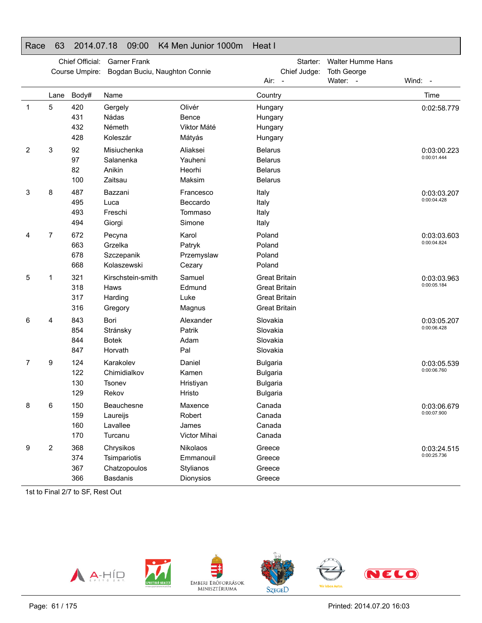| Race        | 63   | 2014.07.18                        | 09:00                                                        | K4 Men Junior 1000m                             | Heat I                                                                                       |                                                            |                            |
|-------------|------|-----------------------------------|--------------------------------------------------------------|-------------------------------------------------|----------------------------------------------------------------------------------------------|------------------------------------------------------------|----------------------------|
|             |      | Chief Official:<br>Course Umpire: | <b>Garner Frank</b><br>Bogdan Buciu, Naughton Connie         |                                                 | Starter:<br>Chief Judge:<br>Air:                                                             | <b>Walter Humme Hans</b><br><b>Toth George</b><br>Water: - | Wind: -                    |
|             | Lane | Body#                             | Name                                                         |                                                 | Country                                                                                      |                                                            | Time                       |
| $\mathbf 1$ | 5    | 420<br>431<br>432<br>428          | Gergely<br>Nádas<br>Németh<br>Koleszár                       | Olivér<br>Bence<br>Viktor Máté<br>Mátyás        | Hungary<br>Hungary<br>Hungary<br>Hungary                                                     |                                                            | 0:02:58.779                |
| 2           | 3    | 92<br>97<br>82<br>100             | Misiuchenka<br>Salanenka<br>Anikin<br>Zaitsau                | Aliaksei<br>Yauheni<br>Heorhi<br>Maksim         | <b>Belarus</b><br><b>Belarus</b><br><b>Belarus</b><br><b>Belarus</b>                         |                                                            | 0:03:00.223<br>0:00:01.444 |
| 3           | 8    | 487<br>495<br>493<br>494          | Bazzani<br>Luca<br>Freschi<br>Giorgi                         | Francesco<br>Beccardo<br>Tommaso<br>Simone      | Italy<br>Italy<br>Italy<br>Italy                                                             |                                                            | 0:03:03.207<br>0:00:04.428 |
| 4           | 7    | 672<br>663<br>678<br>668          | Pecyna<br>Grzelka<br>Szczepanik<br>Kolaszewski               | Karol<br>Patryk<br>Przemyslaw<br>Cezary         | Poland<br>Poland<br>Poland<br>Poland                                                         |                                                            | 0:03:03.603<br>0:00:04.824 |
| 5           | 1    | 321<br>318<br>317<br>316          | Kirschstein-smith<br>Haws<br>Harding<br>Gregory              | Samuel<br>Edmund<br>Luke<br>Magnus              | <b>Great Britain</b><br><b>Great Britain</b><br><b>Great Britain</b><br><b>Great Britain</b> |                                                            | 0:03:03.963<br>0:00:05.184 |
| 6           | 4    | 843<br>854<br>844<br>847          | Bori<br>Stránsky<br><b>Botek</b><br>Horvath                  | Alexander<br>Patrik<br>Adam<br>Pal              | Slovakia<br>Slovakia<br>Slovakia<br>Slovakia                                                 |                                                            | 0:03:05.207<br>0:00:06.428 |
| 7           | 9    | 124<br>122<br>130<br>129          | Karakolev<br>Chimidialkov<br>Tsonev<br>Rekov                 | Daniel<br>Kamen<br>Hristiyan<br>Hristo          | <b>Bulgaria</b><br><b>Bulgaria</b><br><b>Bulgaria</b><br><b>Bulgaria</b>                     |                                                            | 0:03:05.539<br>0:00:06.760 |
| 8           | 6    | 150<br>159<br>160<br>170          | Beauchesne<br>Laureijs<br>Lavallee<br>Turcanu                | Maxence<br>Robert<br>James<br>Victor Mihai      | Canada<br>Canada<br>Canada<br>Canada                                                         |                                                            | 0:03:06.679<br>0:00:07.900 |
| 9           | 2    | 368<br>374<br>367<br>366          | Chrysikos<br>Tsimpariotis<br>Chatzopoulos<br><b>Basdanis</b> | Nikolaos<br>Emmanouil<br>Stylianos<br>Dionysios | Greece<br>Greece<br>Greece<br>Greece                                                         |                                                            | 0:03:24.515<br>0:00:25.736 |

1st to Final 2/7 to SF, Rest Out

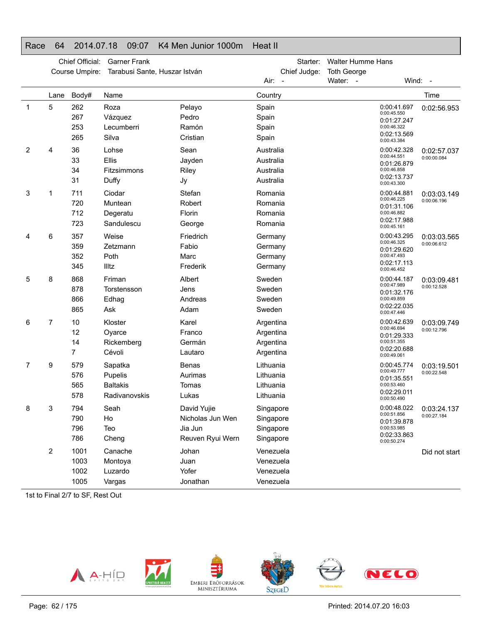### Race 64 2014.07.18 09:07 K4 Men Junior 1000m Heat II

|   |                         | Chief Official:<br>Course Umpire: | <b>Garner Frank</b><br>Tarabusi Sante, Huszar István   |                                                                | Starter:<br>Chief Judge:                         | <b>Walter Humme Hans</b><br><b>Toth George</b>                                         |                            |
|---|-------------------------|-----------------------------------|--------------------------------------------------------|----------------------------------------------------------------|--------------------------------------------------|----------------------------------------------------------------------------------------|----------------------------|
|   |                         |                                   |                                                        |                                                                | Air: -                                           | Water: -                                                                               | Wind: -                    |
|   | Lane                    | Body#                             | Name                                                   |                                                                | Country                                          |                                                                                        | Time                       |
| 1 | 5                       | 262<br>267<br>253<br>265          | Roza<br>Vázquez<br>Lecumberri<br>Silva                 | Pelayo<br>Pedro<br>Ramón<br>Cristian                           | Spain<br>Spain<br>Spain<br>Spain                 | 0:00:41.697<br>0:00:45.550<br>0:01:27.247<br>0:00:46.322<br>0:02:13.569<br>0:00:43.384 | 0:02:56.953                |
| 2 | 4                       | 36<br>33<br>34<br>31              | Lohse<br>Ellis<br>Fitzsimmons<br>Duffy                 | Sean<br>Jayden<br>Riley<br>Jy                                  | Australia<br>Australia<br>Australia<br>Australia | 0:00:42.328<br>0:00:44.551<br>0:01:26.879<br>0:00:46.858<br>0:02:13.737<br>0:00:43.300 | 0:02:57.037<br>0:00:00.084 |
| 3 | 1                       | 711<br>720<br>712<br>723          | Ciodar<br>Muntean<br>Degeratu<br>Sandulescu            | Stefan<br>Robert<br>Florin<br>George                           | Romania<br>Romania<br>Romania<br>Romania         | 0:00:44.881<br>0:00:46.225<br>0:01:31.106<br>0:00:46.882<br>0:02:17.988<br>0:00:45.161 | 0:03:03.149<br>0:00:06.196 |
| 4 | 6                       | 357<br>359<br>352<br>345          | Weise<br>Zetzmann<br>Poth<br>Illtz                     | Friedrich<br>Fabio<br>Marc<br>Frederik                         | Germany<br>Germany<br>Germany<br>Germany         | 0:00:43.295<br>0:00:46.325<br>0:01:29.620<br>0:00:47.493<br>0:02:17.113<br>0:00:46.452 | 0:03:03.565<br>0:00:06.612 |
| 5 | 8                       | 868<br>878<br>866<br>865          | Friman<br>Torstensson<br>Edhag<br>Ask                  | Albert<br>Jens<br>Andreas<br>Adam                              | Sweden<br>Sweden<br>Sweden<br>Sweden             | 0:00:44.187<br>0:00:47.989<br>0:01:32.176<br>0:00:49.859<br>0:02:22.035<br>0:00:47.446 | 0:03:09.481<br>0:00:12.528 |
| 6 | 7                       | 10<br>12<br>14<br>7               | Kloster<br>Oyarce<br>Rickemberg<br>Cévoli              | Karel<br>Franco<br>Germán<br>Lautaro                           | Argentina<br>Argentina<br>Argentina<br>Argentina | 0:00:42.639<br>0:00:46.694<br>0:01:29.333<br>0:00:51.355<br>0:02:20.688<br>0:00:49.061 | 0:03:09.749<br>0:00:12.796 |
| 7 | 9                       | 579<br>576<br>565<br>578          | Sapatka<br>Pupelis<br><b>Baltakis</b><br>Radivanovskis | <b>Benas</b><br>Aurimas<br>Tomas<br>Lukas                      | Lithuania<br>Lithuania<br>Lithuania<br>Lithuania | 0:00:45.774<br>0:00:49.777<br>0:01:35.551<br>0:00:53.460<br>0:02:29.011<br>0:00:50.490 | 0:03:19.501<br>0:00:22.548 |
| 8 | 3                       | 794<br>790<br>796<br>786          | Seah<br>Ho<br>Teo<br>Cheng                             | David Yujie<br>Nicholas Jun Wen<br>Jia Jun<br>Reuven Ryui Wern | Singapore<br>Singapore<br>Singapore<br>Singapore | 0:00:48.022<br>0:00:51.856<br>0:01:39.878<br>0:00:53.985<br>0:02:33.863<br>0:00:50.274 | 0:03:24.137<br>0:00:27.184 |
|   | $\overline{\mathbf{c}}$ | 1001<br>1003<br>1002<br>1005      | Canache<br>Montoya<br>Luzardo<br>Vargas                | Johan<br>Juan<br>Yofer<br>Jonathan                             | Venezuela<br>Venezuela<br>Venezuela<br>Venezuela |                                                                                        | Did not start              |

1st to Final 2/7 to SF, Rest Out

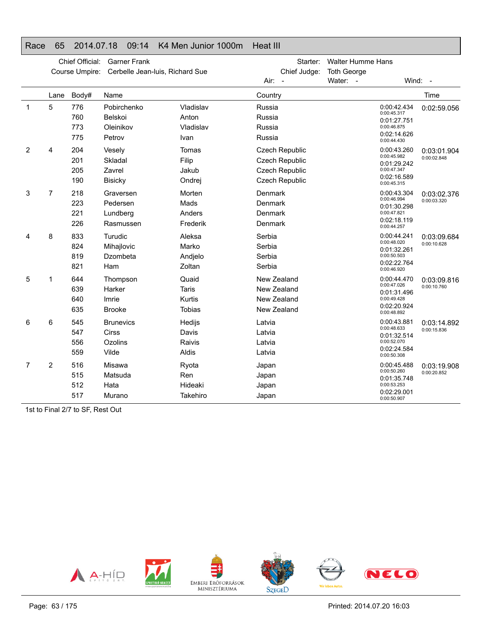### Race 65 2014.07.18 09:14 K4 Men Junior 1000m Heat III

|              | Chief Official:<br><b>Garner Frank</b><br>Course Umpire:<br>Cerbelle Jean-luis, Richard Sue |                          |                                                      |                                                  |                                          | Starter:<br>Chief Judge:                                             | <b>Walter Humme Hans</b><br><b>Toth George</b> |                                                                                        |                            |
|--------------|---------------------------------------------------------------------------------------------|--------------------------|------------------------------------------------------|--------------------------------------------------|------------------------------------------|----------------------------------------------------------------------|------------------------------------------------|----------------------------------------------------------------------------------------|----------------------------|
|              |                                                                                             |                          |                                                      |                                                  | Air:                                     | $\overline{a}$                                                       | Water: -                                       | Wind: $-$                                                                              |                            |
|              | Lane                                                                                        | Body#                    | Name                                                 |                                                  | Country                                  |                                                                      |                                                |                                                                                        | Time                       |
| $\mathbf{1}$ | 5                                                                                           | 776<br>760<br>773<br>775 | Pobirchenko<br><b>Belskoi</b><br>Oleinikov<br>Petrov | Vladislav<br>Anton<br>Vladislav<br>Ivan          | Russia<br>Russia<br>Russia<br>Russia     |                                                                      |                                                | 0:00:42.434<br>0:00:45.317<br>0:01:27.751<br>0:00:46.875<br>0:02:14.626<br>0:00:44.430 | 0:02:59.056                |
| 2            | 4                                                                                           | 204<br>201<br>205<br>190 | Vesely<br>Skladal<br>Zavrel<br><b>Bisicky</b>        | Tomas<br>Filip<br>Jakub<br>Ondrej                |                                          | Czech Republic<br>Czech Republic<br>Czech Republic<br>Czech Republic |                                                | 0:00:43.260<br>0:00:45.982<br>0:01:29.242<br>0:00:47.347<br>0:02:16.589<br>0:00:45.315 | 0:03:01.904<br>0:00:02.848 |
| 3            | 7                                                                                           | 218<br>223<br>221<br>226 | Graversen<br>Pedersen<br>Lundberg<br>Rasmussen       | Morten<br>Mads<br>Anders<br>Frederik             | Denmark<br>Denmark<br>Denmark<br>Denmark |                                                                      |                                                | 0:00:43.304<br>0:00:46.994<br>0:01:30.298<br>0:00:47.821<br>0:02:18.119<br>0:00:44.257 | 0:03:02.376<br>0:00:03.320 |
| 4            | 8                                                                                           | 833<br>824<br>819<br>821 | Turudic<br>Mihajlovic<br>Dzombeta<br>Ham             | Aleksa<br>Marko<br>Andjelo<br>Zoltan             | Serbia<br>Serbia<br>Serbia<br>Serbia     |                                                                      |                                                | 0:00:44.241<br>0:00:48.020<br>0:01:32.261<br>0:00:50.503<br>0:02:22.764<br>0:00:46.920 | 0:03:09.684<br>0:00:10.628 |
| 5            | 1                                                                                           | 644<br>639<br>640<br>635 | Thompson<br>Harker<br>Imrie<br><b>Brooke</b>         | Quaid<br><b>Taris</b><br>Kurtis<br><b>Tobias</b> |                                          | New Zealand<br>New Zealand<br>New Zealand<br>New Zealand             |                                                | 0:00:44.470<br>0:00:47.026<br>0:01:31.496<br>0:00:49.428<br>0:02:20.924<br>0:00:48.892 | 0:03:09.816<br>0:00:10.760 |
| 6            | 6                                                                                           | 545<br>547<br>556<br>559 | <b>Brunevics</b><br><b>Cirss</b><br>Ozolins<br>Vilde | Hedijs<br>Davis<br>Raivis<br>Aldis               | Latvia<br>Latvia<br>Latvia<br>Latvia     |                                                                      |                                                | 0:00:43.881<br>0:00:48.633<br>0:01:32.514<br>0:00:52.070<br>0:02:24.584<br>0:00:50.308 | 0:03:14.892<br>0:00:15.836 |
| 7            | 2                                                                                           | 516<br>515<br>512<br>517 | Misawa<br>Matsuda<br>Hata<br>Murano                  | Ryota<br>Ren<br>Hideaki<br>Takehiro              | Japan<br>Japan<br>Japan<br>Japan         |                                                                      |                                                | 0:00:45.488<br>0:00:50.260<br>0:01:35.748<br>0:00:53.253<br>0:02:29.001<br>0:00:50.907 | 0:03:19.908<br>0:00:20.852 |

1st to Final 2/7 to SF, Rest Out



Printed: 2014.07.20 16:03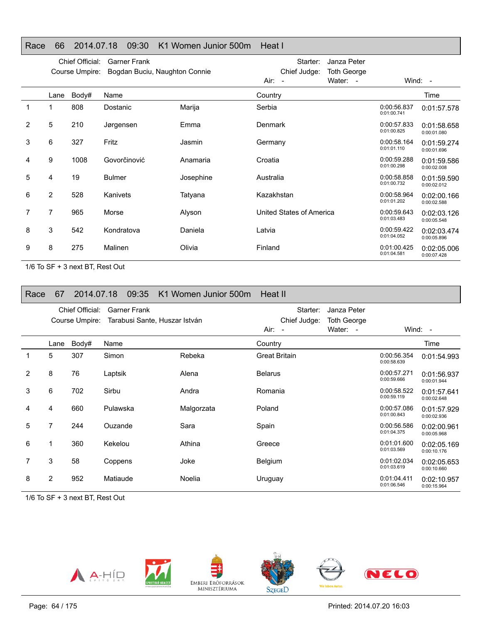### Race 66 2014.07.18 09:30 K1 Women Junior 500m Heat I

|   |                | Chief Official: | <b>Garner Frank</b>           |           | Starter:<br>Janza Peter                                                  |                            |                            |
|---|----------------|-----------------|-------------------------------|-----------|--------------------------------------------------------------------------|----------------------------|----------------------------|
|   |                | Course Umpire:  | Bogdan Buciu, Naughton Connie |           | Chief Judge:<br><b>Toth George</b><br>Water: -<br>Air:<br>$\blacksquare$ |                            | Wind: $-$                  |
|   | Lane           | Body#           | Name                          |           | Country                                                                  |                            | Time                       |
| 1 |                | 808             | Dostanic                      | Marija    | Serbia                                                                   | 0:00:56.837<br>0:01:00.741 | 0:01:57.578                |
| 2 | 5              | 210             | Jørgensen                     | Emma      | Denmark                                                                  | 0:00:57.833<br>0:01:00.825 | 0:01:58.658<br>0:00:01.080 |
| 3 | 6              | 327             | Fritz                         | Jasmin    | Germany                                                                  | 0:00:58.164<br>0:01:01.110 | 0:01:59.274<br>0:00:01.696 |
| 4 | 9              | 1008            | Govorčinović                  | Anamaria  | Croatia                                                                  | 0:00:59.288<br>0:01:00.298 | 0:01:59.586<br>0:00:02.008 |
| 5 | 4              | 19              | <b>Bulmer</b>                 | Josephine | Australia                                                                | 0:00:58.858<br>0:01:00.732 | 0:01:59.590<br>0:00:02.012 |
| 6 | $\overline{2}$ | 528             | Kanivets                      | Tatyana   | Kazakhstan                                                               | 0:00:58.964<br>0:01:01.202 | 0:02:00.166<br>0:00:02.588 |
| 7 | 7              | 965             | Morse                         | Alyson    | United States of America                                                 | 0:00:59.643<br>0:01:03.483 | 0:02:03.126<br>0:00:05.548 |
| 8 | 3              | 542             | Kondratova                    | Daniela   | Latvia                                                                   | 0:00:59.422<br>0:01:04.052 | 0:02:03.474<br>0:00:05.896 |
| 9 | 8              | 275             | Malinen                       | Olivia    | Finland                                                                  | 0:01:00.425<br>0:01:04.581 | 0:02:05.006<br>0:00:07.428 |

1/6 To SF + 3 next BT, Rest Out

| Race | 67             | 2014.07.18                        | 09:35                                                | K1 Women Junior 500m | Heat II                              |                                               |                            |                            |
|------|----------------|-----------------------------------|------------------------------------------------------|----------------------|--------------------------------------|-----------------------------------------------|----------------------------|----------------------------|
|      |                | Chief Official:<br>Course Umpire: | <b>Garner Frank</b><br>Tarabusi Sante, Huszar István |                      | Starter:<br>Chief Judge:<br>$Air: -$ | Janza Peter<br><b>Toth George</b><br>Water: - |                            | Wind: $-$                  |
|      | Lane           | Body#                             | Name                                                 |                      | Country                              |                                               |                            | Time                       |
| 1    | 5              | 307                               | Simon                                                | Rebeka               | <b>Great Britain</b>                 |                                               | 0:00:56.354<br>0:00:58.639 | 0:01:54.993                |
| 2    | 8              | 76                                | Laptsik                                              | Alena                | <b>Belarus</b>                       |                                               | 0:00:57.271<br>0:00:59.666 | 0:01:56.937<br>0:00:01.944 |
| 3    | 6              | 702                               | Sirbu                                                | Andra                | Romania                              |                                               | 0:00:58.522<br>0:00:59.119 | 0:01:57.641<br>0:00:02.648 |
| 4    | 4              | 660                               | Pulawska                                             | Malgorzata           | Poland                               |                                               | 0:00:57.086<br>0:01:00.843 | 0:01:57.929<br>0:00:02.936 |
| 5    | 7              | 244                               | Ouzande                                              | Sara                 | Spain                                |                                               | 0:00:56.586<br>0:01:04.375 | 0:02:00.961<br>0:00:05.968 |
| 6    | 1              | 360                               | Kekelou                                              | Athina               | Greece                               |                                               | 0:01:01.600<br>0:01:03.569 | 0:02:05.169<br>0:00:10.176 |
| 7    | 3              | 58                                | Coppens                                              | Joke                 | Belgium                              |                                               | 0:01:02.034<br>0:01:03.619 | 0:02:05.653<br>0:00:10.660 |
| 8    | $\overline{2}$ | 952                               | Matiaude                                             | Noelia               | Uruguay                              |                                               | 0:01:04.411<br>0:01:06.546 | 0:02:10.957<br>0:00:15.964 |

1/6 To SF + 3 next BT, Rest Out

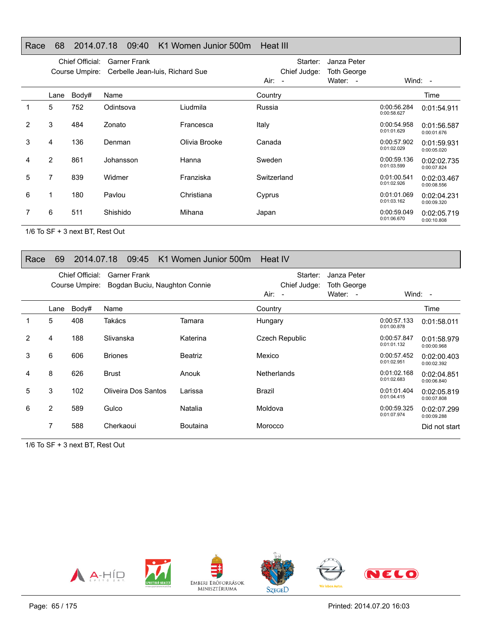### Race 68 2014.07.18 09:40 K1 Women Junior 500m Heat III

|   | Chief Official:<br><b>Garner Frank</b><br>Cerbelle Jean-Iuis, Richard Sue<br>Course Umpire: |       |           |               | Starter:<br>Chief Judge:<br>Air: - | Janza Peter<br><b>Toth George</b><br>Water: - |                            | Wind: -                    |
|---|---------------------------------------------------------------------------------------------|-------|-----------|---------------|------------------------------------|-----------------------------------------------|----------------------------|----------------------------|
|   | Lane                                                                                        | Body# | Name      |               | Country                            |                                               |                            | Time                       |
|   | 5                                                                                           | 752   | Odintsova | Liudmila      | Russia                             |                                               | 0:00:56.284<br>0:00:58.627 | 0:01:54.911                |
| 2 | 3                                                                                           | 484   | Zonato    | Francesca     | Italy                              |                                               | 0:00:54.958<br>0:01:01.629 | 0:01:56.587<br>0:00:01.676 |
| 3 | 4                                                                                           | 136   | Denman    | Olivia Brooke | Canada                             |                                               | 0:00:57.902<br>0:01:02.029 | 0:01:59.931<br>0:00:05.020 |
| 4 | $\overline{2}$                                                                              | 861   | Johansson | Hanna         | Sweden                             |                                               | 0:00:59.136<br>0:01:03.599 | 0:02:02.735<br>0:00:07.824 |
| 5 | 7                                                                                           | 839   | Widmer    | Franziska     | Switzerland                        |                                               | 0:01:00.541<br>0:01:02.926 | 0:02:03.467<br>0:00:08.556 |
| 6 |                                                                                             | 180   | Pavlou    | Christiana    | Cyprus                             |                                               | 0:01:01.069<br>0:01:03.162 | 0:02:04.231<br>0:00:09.320 |
| 7 | 6                                                                                           | 511   | Shishido  | Mihana        | Japan                              |                                               | 0:00:59.049<br>0:01:06.670 | 0:02:05.719<br>0:00:10.808 |

1/6 To SF + 3 next BT, Rest Out

### Race 69 2014.07.18 09:45 K1 Women Junior 500m Heat IV

|                |      | Chief Official:<br>Course Umpire: | <b>Garner Frank</b><br>Bogdan Buciu, Naughton Connie |                 | Starter:<br>Chief Judge:<br>$Air: -$ | Janza Peter<br><b>Toth George</b><br>Water: - |                            | Wind: $-$                  |
|----------------|------|-----------------------------------|------------------------------------------------------|-----------------|--------------------------------------|-----------------------------------------------|----------------------------|----------------------------|
|                | Lane | Body#                             | Name                                                 |                 | Country                              |                                               |                            | Time                       |
|                | 5    | 408                               | Takács                                               | Tamara          | Hungary                              |                                               | 0:00:57.133<br>0:01:00.878 | 0:01:58.011                |
| $\overline{2}$ | 4    | 188                               | Slivanska                                            | Katerina        | Czech Republic                       |                                               | 0:00:57.847<br>0:01:01.132 | 0:01:58.979<br>0:00:00.968 |
| 3              | 6    | 606                               | <b>Briones</b>                                       | <b>Beatriz</b>  | Mexico                               |                                               | 0:00:57.452<br>0:01:02.951 | 0:02:00.403<br>0:00:02.392 |
| 4              | 8    | 626                               | <b>Brust</b>                                         | Anouk           | <b>Netherlands</b>                   |                                               | 0:01:02.168<br>0:01:02.683 | 0:02:04.851<br>0:00:06.840 |
| 5              | 3    | 102                               | Oliveira Dos Santos                                  | Larissa         | Brazil                               |                                               | 0:01:01.404<br>0:01:04.415 | 0:02:05.819<br>0:00:07.808 |
| 6              | 2    | 589                               | Gulco                                                | Natalia         | Moldova                              |                                               | 0:00:59.325<br>0:01:07.974 | 0:02:07.299<br>0:00:09.288 |
|                | 7    | 588                               | Cherkaoui                                            | <b>Boutaina</b> | Morocco                              |                                               |                            | Did not start              |

1/6 To SF + 3 next BT, Rest Out

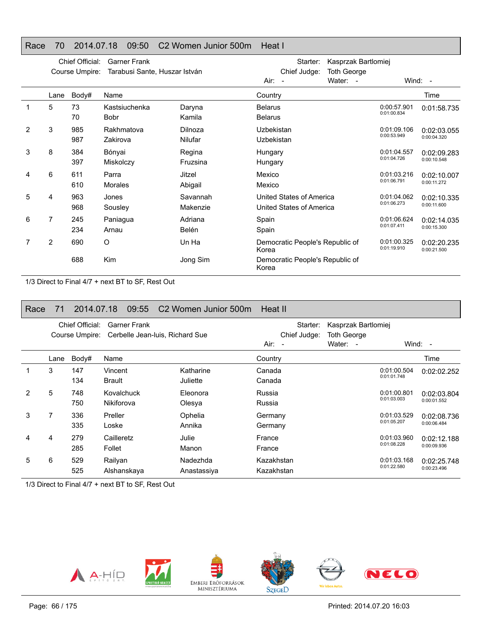### Race 70 2014.07.18 09:50 C2 Women Junior 500m Heat I

|   |      | Chief Official:<br>Course Umpire: | <b>Garner Frank</b><br>Tarabusi Sante, Huszar István |                      | Kasprzak Bartlomiej<br>Starter:<br>Chief Judge:<br><b>Toth George</b> |                                                      |          |                            |                            |
|---|------|-----------------------------------|------------------------------------------------------|----------------------|-----------------------------------------------------------------------|------------------------------------------------------|----------|----------------------------|----------------------------|
|   |      |                                   |                                                      |                      | Air:<br>$\sim$                                                        |                                                      | Water: - |                            | Wind: -                    |
|   | Lane | Body#                             | Name                                                 |                      | Country                                                               |                                                      |          |                            | Time                       |
|   | 5    | 73<br>70                          | Kastsiuchenka<br>Bobr                                | Daryna<br>Kamila     | <b>Belarus</b><br><b>Belarus</b>                                      |                                                      |          | 0:00:57.901<br>0:01:00.834 | 0:01:58.735                |
| 2 | 3    | 985<br>987                        | Rakhmatova<br>Zakirova                               | Dilnoza<br>Nilufar   | Uzbekistan<br>Uzbekistan                                              |                                                      |          | 0:01:09.106<br>0:00:53.949 | 0:02:03.055<br>0:00:04.320 |
| 3 | 8    | 384<br>397                        | Bónyai<br>Miskolczy                                  | Regina<br>Fruzsina   | Hungary<br>Hungary                                                    |                                                      |          | 0:01:04.557<br>0:01:04.726 | 0:02:09.283<br>0:00:10.548 |
| 4 | 6    | 611<br>610                        | Parra<br><b>Morales</b>                              | Jitzel<br>Abigail    | Mexico<br>Mexico                                                      |                                                      |          | 0:01:03.216<br>0:01:06.791 | 0:02:10.007<br>0:00:11.272 |
| 5 | 4    | 963<br>968                        | Jones<br>Sousley                                     | Savannah<br>Makenzie |                                                                       | United States of America<br>United States of America |          | 0:01:04.062<br>0:01:06.273 | 0:02:10.335<br>0:00:11.600 |
| 6 | 7    | 245<br>234                        | Paniagua<br>Arnau                                    | Adriana<br>Belén     | Spain<br>Spain                                                        |                                                      |          | 0:01:06.624<br>0:01:07.411 | 0:02:14.035<br>0:00:15.300 |
|   | 2    | 690                               | O                                                    | Un Ha                | Korea                                                                 | Democratic People's Republic of                      |          | 0:01:00.325<br>0:01:19.910 | 0:02:20.235<br>0:00:21.500 |
|   |      | 688                               | <b>Kim</b>                                           | Jong Sim             | Korea                                                                 | Democratic People's Republic of                      |          |                            |                            |

1/3 Direct to Final 4/7 + next BT to SF, Rest Out

| Race | 71   | 2014.07.18                        | 09:55                    | C <sub>2</sub> Women Junior 500m | Heat II                              |                                                       |                            |                            |
|------|------|-----------------------------------|--------------------------|----------------------------------|--------------------------------------|-------------------------------------------------------|----------------------------|----------------------------|
|      |      | Chief Official:<br>Course Umpire: | <b>Garner Frank</b>      | Cerbelle Jean-Iuis, Richard Sue  | Starter:<br>Chief Judge:<br>$Air: -$ | Kasprzak Bartlomiej<br><b>Toth George</b><br>Water: - |                            | Wind: $-$                  |
|      | Lane | Body#                             | Name                     |                                  | Country                              |                                                       |                            | Time                       |
|      | 3    | 147<br>134                        | Vincent<br><b>Brault</b> | Katharine<br>Juliette            | Canada<br>Canada                     |                                                       | 0:01:00.504<br>0:01:01.748 | 0:02:02.252                |
| 2    | 5    | 748<br>750                        | Kovalchuck<br>Nikiforova | Eleonora<br>Olesya               | Russia<br>Russia                     |                                                       | 0:01:00.801<br>0:01:03.003 | 0:02:03.804<br>0:00:01.552 |
| 3    | 7    | 336<br>335                        | Preller<br>Loske         | Ophelia<br>Annika                | Germany<br>Germany                   |                                                       | 0:01:03.529<br>0:01:05.207 | 0:02:08.736<br>0:00:06.484 |
| 4    | 4    | 279<br>285                        | Cailleretz<br>Follet     | Julie<br>Manon                   | France<br>France                     |                                                       | 0:01:03.960<br>0:01:08.228 | 0:02:12.188<br>0:00:09.936 |
| 5    | 6    | 529<br>525                        | Railyan<br>Alshanskaya   | Nadezhda<br>Anastassiya          | Kazakhstan<br>Kazakhstan             |                                                       | 0:01:03.168<br>0:01:22.580 | 0:02:25.748<br>0:00:23.496 |

1/3 Direct to Final 4/7 + next BT to SF, Rest Out

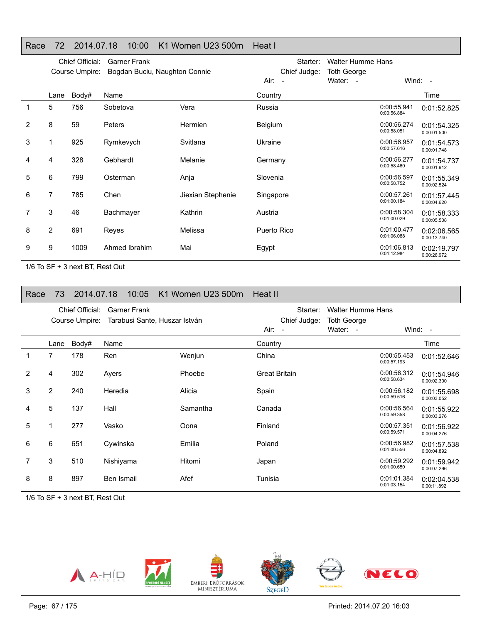### Race 72 2014.07.18 10:00 K1 Women U23 500m Heat I

|   |                | Chief Official:<br>Course Umpire: | <b>Garner Frank</b><br>Bogdan Buciu, Naughton Connie |                   | Starter:<br>Chief Judge: | <b>Walter Humme Hans</b><br><b>Toth George</b> |                            |                            |
|---|----------------|-----------------------------------|------------------------------------------------------|-------------------|--------------------------|------------------------------------------------|----------------------------|----------------------------|
|   |                |                                   |                                                      |                   | Air:<br>$\overline{a}$   | Water: -                                       |                            | Wind: $-$                  |
|   | Lane           | Body#                             | Name                                                 |                   | Country                  |                                                |                            | Time                       |
| 1 | 5              | 756                               | Sobetova                                             | Vera              | Russia                   |                                                | 0:00:55.941<br>0:00:56.884 | 0:01:52.825                |
| 2 | 8              | 59                                | Peters                                               | Hermien           | <b>Belgium</b>           |                                                | 0:00:56.274<br>0:00:58.051 | 0:01:54.325<br>0:00:01.500 |
| 3 |                | 925                               | Rymkevych                                            | Svitlana          | Ukraine                  |                                                | 0:00:56.957<br>0:00:57.616 | 0:01:54.573<br>0:00:01.748 |
| 4 | 4              | 328                               | Gebhardt                                             | Melanie           | Germany                  |                                                | 0:00:56.277<br>0:00:58.460 | 0:01:54.737<br>0:00:01.912 |
| 5 | 6              | 799                               | Osterman                                             | Anja              | Slovenia                 |                                                | 0:00:56.597<br>0:00:58.752 | 0:01:55.349<br>0:00:02.524 |
| 6 | 7              | 785                               | Chen                                                 | Jiexian Stephenie | Singapore                |                                                | 0:00:57.261<br>0:01:00.184 | 0:01:57.445<br>0:00:04.620 |
|   | 3              | 46                                | Bachmayer                                            | Kathrin           | Austria                  |                                                | 0:00:58.304<br>0:01:00.029 | 0:01:58.333<br>0:00:05.508 |
| 8 | $\overline{2}$ | 691                               | Reyes                                                | Melissa           | Puerto Rico              |                                                | 0:01:00.477<br>0:01:06.088 | 0:02:06.565<br>0:00:13.740 |
| 9 | 9              | 1009                              | Ahmed Ibrahim                                        | Mai               | Egypt                    |                                                | 0:01:06.813<br>0:01:12.984 | 0:02:19.797<br>0:00:26.972 |

1/6 To SF + 3 next BT, Rest Out

| Race | 73   | 2014.07.18                        | 10:05                                                | K1 Women U23 500m | Heat II                                    |                                                            |                            |                            |
|------|------|-----------------------------------|------------------------------------------------------|-------------------|--------------------------------------------|------------------------------------------------------------|----------------------------|----------------------------|
|      |      | Chief Official:<br>Course Umpire: | <b>Garner Frank</b><br>Tarabusi Sante, Huszar István |                   | Starter:<br>Chief Judge:<br>Air:<br>$\sim$ | <b>Walter Humme Hans</b><br><b>Toth George</b><br>Water: - |                            | Wind: $-$                  |
|      | Lane | Body#                             | Name                                                 |                   | Country                                    |                                                            |                            | Time                       |
| 1    | 7    | 178                               | Ren                                                  | Wenjun            | China                                      |                                                            | 0:00:55.453<br>0:00:57.193 | 0:01:52.646                |
| 2    | 4    | 302                               | Ayers                                                | Phoebe            | <b>Great Britain</b>                       |                                                            | 0:00:56.312<br>0:00:58.634 | 0:01:54.946<br>0:00:02.300 |
| 3    | 2    | 240                               | Heredia                                              | Alicia            | Spain                                      |                                                            | 0:00:56.182<br>0:00:59.516 | 0:01:55.698<br>0:00:03.052 |
| 4    | 5    | 137                               | Hall                                                 | Samantha          | Canada                                     |                                                            | 0:00:56.564<br>0:00:59.358 | 0:01:55.922<br>0:00:03.276 |
| 5    |      | 277                               | Vasko                                                | Oona              | Finland                                    |                                                            | 0:00:57.351<br>0:00:59.571 | 0:01:56.922<br>0:00:04.276 |
| 6    | 6    | 651                               | Cywinska                                             | Emilia            | Poland                                     |                                                            | 0:00:56.982<br>0:01:00.556 | 0:01:57.538<br>0:00:04.892 |
|      | 3    | 510                               | Nishiyama                                            | Hitomi            | Japan                                      |                                                            | 0:00:59.292<br>0:01:00.650 | 0:01:59.942<br>0:00:07.296 |
| 8    | 8    | 897                               | Ben Ismail                                           | Afef              | Tunisia                                    |                                                            | 0:01:01.384<br>0:01:03.154 | 0:02:04.538<br>0:00:11.892 |

1/6 To SF + 3 next BT, Rest Out

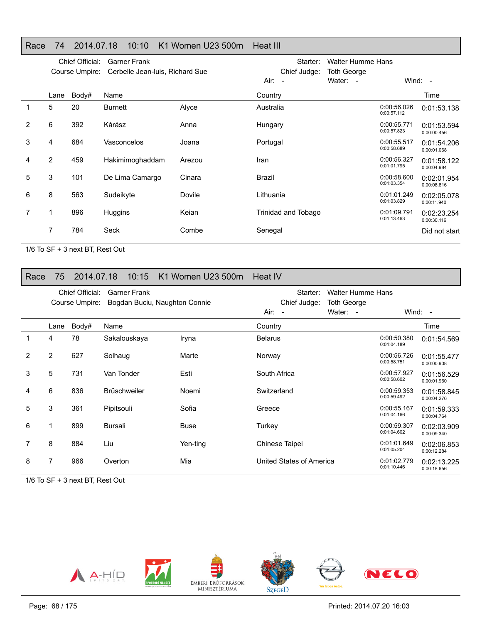### Race 74 2014.07.18 10:10 K1 Women U23 500m Heat III

|                |      | Chief Official: | <b>Garner Frank</b>             |        | <b>Walter Humme Hans</b><br>Starter: |                         |                            |                            |
|----------------|------|-----------------|---------------------------------|--------|--------------------------------------|-------------------------|----------------------------|----------------------------|
|                |      | Course Umpire:  | Cerbelle Jean-Iuis, Richard Sue |        | Chief Judge:<br>Air:<br>$\sim$       | Toth George<br>Water: - |                            | Wind: $-$                  |
|                | Lane | Body#           | Name                            |        | Country                              |                         |                            | Time                       |
|                | 5    | 20              | Burnett                         | Alyce  | Australia                            |                         | 0:00:56.026<br>0:00:57.112 | 0:01:53.138                |
| $\overline{2}$ | 6    | 392             | Kárász                          | Anna   | Hungary                              |                         | 0:00:55.771<br>0:00:57.823 | 0:01:53.594<br>0:00:00.456 |
| 3              | 4    | 684             | Vasconcelos                     | Joana  | Portugal                             |                         | 0:00:55.517<br>0:00:58.689 | 0:01:54.206<br>0:00:01.068 |
| 4              | 2    | 459             | Hakimimoghaddam                 | Arezou | Iran                                 |                         | 0:00:56.327<br>0:01:01.795 | 0:01:58.122<br>0:00:04.984 |
| 5              | 3    | 101             | De Lima Camargo                 | Cinara | Brazil                               |                         | 0:00:58.600<br>0:01:03.354 | 0:02:01.954<br>0:00:08.816 |
| 6              | 8    | 563             | Sudeikyte                       | Dovile | Lithuania                            |                         | 0:01:01.249<br>0:01:03.829 | 0:02:05.078<br>0:00:11.940 |
|                | 1    | 896             | Huggins                         | Keian  | Trinidad and Tobago                  |                         | 0:01:09.791<br>0:01:13.463 | 0:02:23.254<br>0:00:30.116 |
|                | 7    | 784             | Seck                            | Combe  | Senegal                              |                         |                            | Did not start              |

1/6 To SF + 3 next BT, Rest Out

### Race 75 2014.07.18 10:15 K1 Women U23 500m Heat IV

|   |      | Chief Official: | Garner Frank                  |          | Starter:                 | Walter Humme Hans              |                            |                            |
|---|------|-----------------|-------------------------------|----------|--------------------------|--------------------------------|----------------------------|----------------------------|
|   |      | Course Umpire:  | Bogdan Buciu, Naughton Connie |          | Chief Judge:<br>Air:     | <b>Toth George</b><br>Water: - |                            | Wind: $-$                  |
|   |      |                 |                               |          | $\overline{\phantom{a}}$ |                                |                            |                            |
|   | Lane | Body#           | Name                          |          | Country                  |                                |                            | Time                       |
|   | 4    | 78              | Sakalouskaya                  | Iryna    | <b>Belarus</b>           |                                | 0:00:50.380<br>0:01:04.189 | 0:01:54.569                |
| 2 | 2    | 627             | Solhaug                       | Marte    | Norway                   |                                | 0:00:56.726<br>0:00:58.751 | 0:01:55.477<br>0:00:00.908 |
| 3 | 5    | 731             | Van Tonder                    | Esti     | South Africa             |                                | 0:00:57.927<br>0:00:58.602 | 0:01:56.529<br>0:00:01.960 |
| 4 | 6    | 836             | <b>Brüschweiler</b>           | Noemi    | Switzerland              |                                | 0:00:59.353<br>0:00:59.492 | 0:01:58.845<br>0:00:04.276 |
| 5 | 3    | 361             | Pipitsouli                    | Sofia    | Greece                   |                                | 0:00:55.167<br>0:01:04.166 | 0:01:59.333<br>0:00:04.764 |
| 6 | 1    | 899             | Bursali                       | Buse     | Turkey                   |                                | 0:00:59.307<br>0:01:04.602 | 0:02:03.909<br>0:00:09.340 |
| 7 | 8    | 884             | Liu                           | Yen-ting | Chinese Taipei           |                                | 0:01:01.649<br>0:01:05.204 | 0:02:06.853<br>0:00:12.284 |
| 8 | 7    | 966             | Overton                       | Mia      | United States of America |                                | 0:01:02.779<br>0:01:10.446 | 0:02:13.225<br>0:00:18.656 |

1/6 To SF + 3 next BT, Rest Out

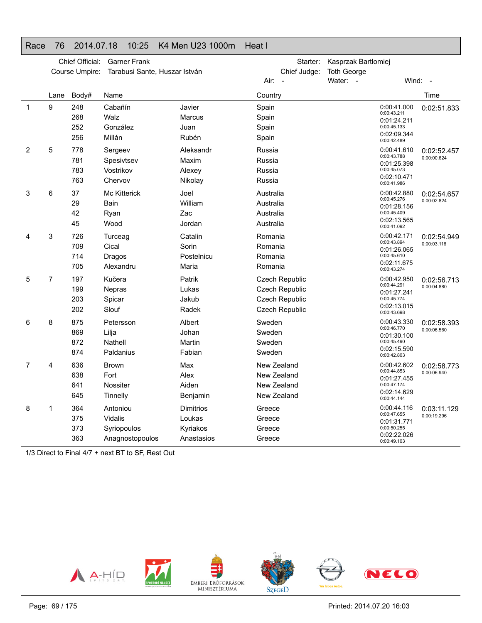### Race 76 2014.07.18 10:25 K4 Men U23 1000m Heat I

|   | Chief Official:<br><b>Garner Frank</b> |                          |                                                              |                                                      | Kasprzak Bartlomiej<br>Starter:                                      |                    |                                                                                        |                            |  |
|---|----------------------------------------|--------------------------|--------------------------------------------------------------|------------------------------------------------------|----------------------------------------------------------------------|--------------------|----------------------------------------------------------------------------------------|----------------------------|--|
|   |                                        | Course Umpire:           | Tarabusi Sante, Huszar István                                |                                                      | Chief Judge:                                                         | <b>Toth George</b> |                                                                                        |                            |  |
|   |                                        |                          |                                                              |                                                      | Air:                                                                 | Water: -           | Wind:                                                                                  | $\sim$                     |  |
|   | Lane                                   | Body#                    | Name                                                         |                                                      | Country                                                              |                    |                                                                                        | Time                       |  |
| 1 | 9                                      | 248<br>268<br>252<br>256 | Cabañín<br>Walz<br>González<br>Millán                        | Javier<br>Marcus<br>Juan<br>Rubén                    | Spain<br>Spain<br>Spain<br>Spain                                     |                    | 0:00:41.000<br>0:00:43.211<br>0:01:24.211<br>0:00:45.133<br>0:02:09.344<br>0:00:42.489 | 0:02:51.833                |  |
| 2 | 5                                      | 778<br>781<br>783<br>763 | Sergeev<br>Spesivtsev<br>Vostrikov<br>Chervov                | Aleksandr<br>Maxim<br>Alexey<br>Nikolay              | Russia<br>Russia<br>Russia<br>Russia                                 |                    | 0:00:41.610<br>0:00:43.788<br>0:01:25.398<br>0:00:45.073<br>0:02:10.471<br>0:00:41.986 | 0:02:52.457<br>0:00:00.624 |  |
| 3 | 6                                      | 37<br>29<br>42<br>45     | <b>Mc Kitterick</b><br>Bain<br>Ryan<br>Wood                  | Joel<br>William<br>Zac<br>Jordan                     | Australia<br>Australia<br>Australia<br>Australia                     |                    | 0:00:42.880<br>0:00:45.276<br>0:01:28.156<br>0:00:45.409<br>0:02:13.565<br>0:00:41.092 | 0:02:54.657<br>0:00:02.824 |  |
| 4 | 3                                      | 726<br>709<br>714<br>705 | Turceag<br>Cical<br>Dragos<br>Alexandru                      | Catalin<br>Sorin<br>Postelnicu<br>Maria              | Romania<br>Romania<br>Romania<br>Romania                             |                    | 0:00:42.171<br>0:00:43.894<br>0:01:26.065<br>0:00:45.610<br>0:02:11.675<br>0:00:43.274 | 0:02:54.949<br>0:00:03.116 |  |
| 5 | 7                                      | 197<br>199<br>203<br>202 | Kučera<br><b>Nepras</b><br>Spicar<br>Slouf                   | Patrik<br>Lukas<br>Jakub<br>Radek                    | Czech Republic<br>Czech Republic<br>Czech Republic<br>Czech Republic |                    | 0:00:42.950<br>0:00:44.291<br>0:01:27.241<br>0:00:45.774<br>0:02:13.015<br>0:00:43.698 | 0:02:56.713<br>0:00:04.880 |  |
| 6 | 8                                      | 875<br>869<br>872<br>874 | Petersson<br>Lilja<br>Nathell<br>Paldanius                   | Albert<br>Johan<br>Martin<br>Fabian                  | Sweden<br>Sweden<br>Sweden<br>Sweden                                 |                    | 0:00:43.330<br>0:00:46.770<br>0:01:30.100<br>0:00:45.490<br>0:02:15.590<br>0:00:42.803 | 0:02:58.393<br>0:00:06.560 |  |
| 7 | 4                                      | 636<br>638<br>641<br>645 | Brown<br>Fort<br>Nossiter<br>Tinnelly                        | Max<br>Alex<br>Aiden<br>Benjamin                     | New Zealand<br>New Zealand<br>New Zealand<br>New Zealand             |                    | 0:00:42.602<br>0:00:44.853<br>0:01:27.455<br>0:00:47.174<br>0:02:14.629<br>0:00:44.144 | 0:02:58.773<br>0:00:06.940 |  |
| 8 | 1                                      | 364<br>375<br>373<br>363 | Antoniou<br><b>Vidalis</b><br>Syriopoulos<br>Anagnostopoulos | <b>Dimitrios</b><br>Loukas<br>Kyriakos<br>Anastasios | Greece<br>Greece<br>Greece<br>Greece                                 |                    | 0:00:44.116<br>0:00:47.655<br>0:01:31.771<br>0:00:50.255<br>0:02:22.026<br>0:00:49.103 | 0:03:11.129<br>0:00:19.296 |  |

1/3 Direct to Final 4/7 + next BT to SF, Rest Out

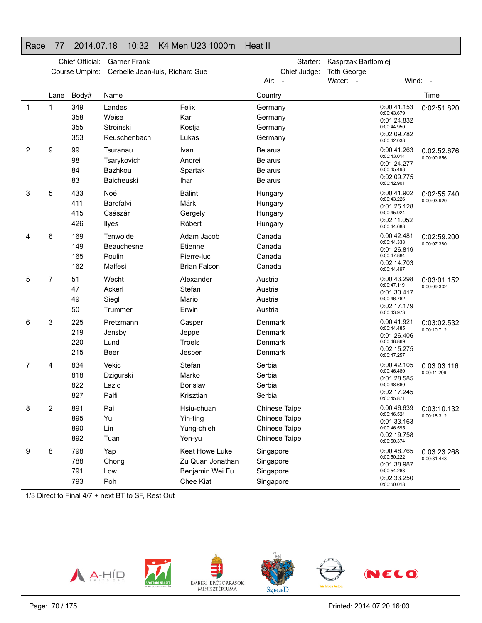#### Race 77 2014.07.18 10:32 K4 Men U23 1000m Heat II

|              | Chief Official:<br><b>Garner Frank</b><br>Cerbelle Jean-luis, Richard Sue<br>Course Umpire: |                          |                                                  |                                                                    | Starter:<br>Chief Judge:<br>Air:<br>$\sim$                           | Kasprzak Bartlomiej<br><b>Toth George</b><br>Water: -                                  | Wind: -                    |  |
|--------------|---------------------------------------------------------------------------------------------|--------------------------|--------------------------------------------------|--------------------------------------------------------------------|----------------------------------------------------------------------|----------------------------------------------------------------------------------------|----------------------------|--|
|              | Lane                                                                                        | Body#                    | Name                                             |                                                                    | Country                                                              |                                                                                        | Time                       |  |
| $\mathbf{1}$ | 1                                                                                           | 349<br>358<br>355<br>353 | Landes<br>Weise<br>Stroinski<br>Reuschenbach     | Felix<br>Karl<br>Kostja<br>Lukas                                   | Germany<br>Germany<br>Germany<br>Germany                             | 0:00:41.153<br>0:00:43.679<br>0:01:24.832<br>0:00:44.950<br>0:02:09.782<br>0:00:42.038 | 0:02:51.820                |  |
| 2            | 9                                                                                           | 99<br>98<br>84<br>83     | Tsuranau<br>Tsarykovich<br>Bazhkou<br>Baicheuski | Ivan<br>Andrei<br>Spartak<br><b>Ihar</b>                           | <b>Belarus</b><br><b>Belarus</b><br><b>Belarus</b><br><b>Belarus</b> | 0:00:41.263<br>0:00:43.014<br>0:01:24.277<br>0:00:45.498<br>0:02:09.775<br>0:00:42.901 | 0:02:52.676<br>0:00:00.856 |  |
| 3            | 5                                                                                           | 433<br>411<br>415<br>426 | Noé<br>Bárdfalvi<br>Császár<br>Ilyés             | <b>Bálint</b><br>Márk<br>Gergely<br>Róbert                         | Hungary<br>Hungary<br>Hungary<br>Hungary                             | 0:00:41.902<br>0:00:43.226<br>0:01:25.128<br>0:00:45.924<br>0:02:11.052<br>0:00:44.688 | 0:02:55.740<br>0:00:03.920 |  |
| 4            | 6                                                                                           | 169<br>149<br>165<br>162 | Tenwolde<br>Beauchesne<br>Poulin<br>Malfesi      | Adam Jacob<br>Etienne<br>Pierre-luc<br><b>Brian Falcon</b>         | Canada<br>Canada<br>Canada<br>Canada                                 | 0:00:42.481<br>0:00:44.338<br>0:01:26.819<br>0:00:47.884<br>0:02:14.703<br>0:00:44.497 | 0:02:59.200<br>0:00:07.380 |  |
| 5            | 7                                                                                           | 51<br>47<br>49<br>50     | Wecht<br>Ackerl<br>Siegl<br>Trummer              | Alexander<br>Stefan<br>Mario<br>Erwin                              | Austria<br>Austria<br>Austria<br>Austria                             | 0:00:43.298<br>0:00:47.119<br>0:01:30.417<br>0:00:46.762<br>0:02:17.179<br>0:00:43.973 | 0:03:01.152<br>0:00:09.332 |  |
| 6            | 3                                                                                           | 225<br>219<br>220<br>215 | Pretzmann<br>Jensby<br>Lund<br><b>Beer</b>       | Casper<br>Jeppe<br>Troels<br>Jesper                                | Denmark<br>Denmark<br>Denmark<br>Denmark                             | 0:00:41.921<br>0:00:44.485<br>0:01:26.406<br>0:00:48.869<br>0:02:15.275<br>0:00:47.257 | 0:03:02.532<br>0:00:10.712 |  |
| 7            | 4                                                                                           | 834<br>818<br>822<br>827 | Vekic<br>Dzigurski<br>Lazic<br>Palfi             | Stefan<br>Marko<br>Borislav<br>Krisztian                           | Serbia<br>Serbia<br>Serbia<br>Serbia                                 | 0:00:42.105<br>0:00:46.480<br>0:01:28.585<br>0:00:48.660<br>0:02:17.245<br>0:00:45.871 | 0:03:03.116<br>0:00:11.296 |  |
| 8            | 2                                                                                           | 891<br>895<br>890<br>892 | Pai<br>Yu<br>Lin<br>Tuan                         | Hsiu-chuan<br>Yin-ting<br>Yung-chieh<br>Yen-yu                     | Chinese Taipei<br>Chinese Taipei<br>Chinese Taipei<br>Chinese Taipei | 0:00:46.639<br>0:00:46.524<br>0:01:33.163<br>0:00:46.595<br>0:02:19.758<br>0:00:50.374 | 0:03:10.132<br>0:00:18.312 |  |
| 9            | 8                                                                                           | 798<br>788<br>791<br>793 | Yap<br>Chong<br>Low<br>Poh                       | Keat Howe Luke<br>Zu Quan Jonathan<br>Benjamin Wei Fu<br>Chee Kiat | Singapore<br>Singapore<br>Singapore<br>Singapore                     | 0:00:48.765<br>0:00:50.222<br>0:01:38.987<br>0:00:54.263<br>0:02:33.250<br>0:00:50.018 | 0:03:23.268<br>0:00:31.448 |  |

1/3 Direct to Final 4/7 + next BT to SF, Rest Out

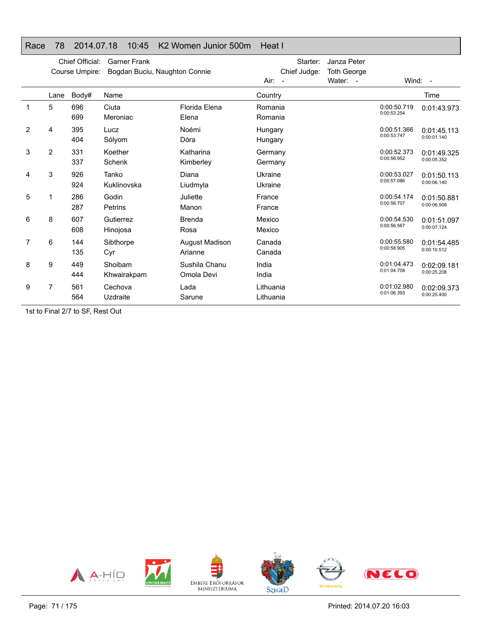#### Race 78 2014.07.18 10:45 K2 Women Junior 500m Heat I

|                |                | Chief Official:<br>Course Umpire: | <b>Garner Frank</b><br>Bogdan Buciu, Naughton Connie |                             | Starter:<br>Chief Judge:<br>$Air: -$ | Janza Peter<br><b>Toth George</b><br>Water: - |                            | Wind: $-$                  |
|----------------|----------------|-----------------------------------|------------------------------------------------------|-----------------------------|--------------------------------------|-----------------------------------------------|----------------------------|----------------------------|
|                | Lane           | Body#                             | Name                                                 |                             | Country                              |                                               |                            | Time                       |
| 1              | 5              | 696<br>699                        | Ciuta<br>Meroniac                                    | Florida Elena<br>Elena      | Romania<br>Romania                   |                                               | 0:00:50.719<br>0:00:53.254 | 0:01:43.973                |
| $\overline{2}$ | 4              | 395<br>404                        | Lucz<br>Sólyom                                       | Noémi<br>Dóra               | Hungary<br>Hungary                   |                                               | 0:00:51.366<br>0:00:53.747 | 0:01:45.113<br>0:00:01.140 |
| 3              | $\overline{2}$ | 331<br>337                        | Koether<br>Schenk                                    | Katharina<br>Kimberley      | Germany<br>Germany                   |                                               | 0:00:52.373<br>0:00:56.952 | 0:01:49.325<br>0:00:05.352 |
| 4              | 3              | 926<br>924                        | Tanko<br>Kuklinovska                                 | Diana<br>Liudmyla           | Ukraine<br>Ukraine                   |                                               | 0:00:53.027<br>0:00:57.086 | 0:01:50.113<br>0:00:06.140 |
| 5              |                | 286<br>287                        | Godin<br><b>Petrins</b>                              | Juliette<br>Manon           | France<br>France                     |                                               | 0:00:54.174<br>0:00:56.707 | 0:01:50.881<br>0:00:06.908 |
| 6              | 8              | 607<br>608                        | Gutierrez<br>Hinojosa                                | Brenda<br>Rosa              | Mexico<br>Mexico                     |                                               | 0:00:54.530<br>0:00:56.567 | 0:01:51.097<br>0:00:07.124 |
| 7              | 6              | 144<br>135                        | Sibthorpe<br>Cyr                                     | August Madison<br>Arianne   | Canada<br>Canada                     |                                               | 0:00:55.580<br>0:00:58.905 | 0:01:54.485<br>0:00:10.512 |
| 8              | 9              | 449<br>444                        | Shoibam<br>Khwairakpam                               | Sushila Chanu<br>Omola Devi | India<br>India                       |                                               | 0:01:04.473<br>0:01:04.708 | 0:02:09.181<br>0:00:25.208 |
| 9              | 7              | 561<br>564                        | Cechova<br>Uzdraite                                  | Lada<br>Sarune              | Lithuania<br>Lithuania               |                                               | 0:01:02.980<br>0:01:06.393 | 0:02:09.373<br>0:00:25.400 |

1st to Final 2/7 to SF, Rest Out

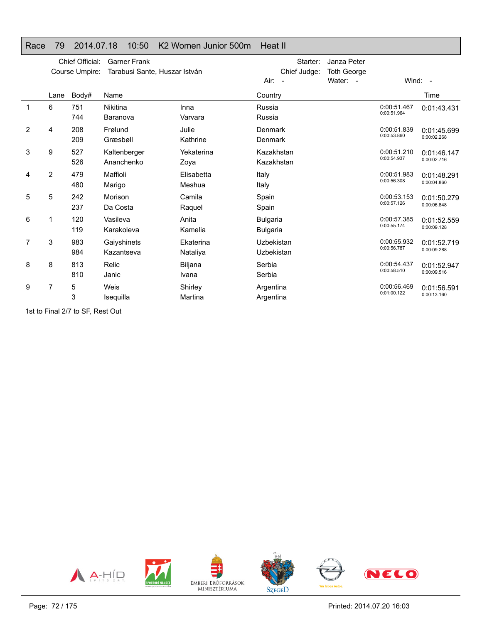## Race 79 2014.07.18 10:50 K2 Women Junior 500m Heat II

|                | Chief Official:<br><b>Garner Frank</b><br>Tarabusi Sante, Huszar István<br>Course Umpire: |            |                            |                       | Starter:<br>Chief Judge:           | Janza Peter<br><b>Toth George</b> |                            |                            |
|----------------|-------------------------------------------------------------------------------------------|------------|----------------------------|-----------------------|------------------------------------|-----------------------------------|----------------------------|----------------------------|
|                |                                                                                           |            |                            |                       | Air:<br>$\sim$                     | Water: -                          |                            | Wind: $-$                  |
|                | Lane                                                                                      | Body#      | Name                       |                       | Country                            |                                   |                            | Time                       |
| 1              | 6                                                                                         | 751<br>744 | Nikitina<br>Baranova       | Inna<br>Varvara       | Russia<br>Russia                   |                                   | 0:00:51.467<br>0:00:51.964 | 0:01:43.431                |
| $\overline{2}$ | 4                                                                                         | 208<br>209 | Frølund<br>Græsbøll        | Julie<br>Kathrine     | Denmark<br>Denmark                 |                                   | 0:00:51.839<br>0:00:53.860 | 0:01:45.699<br>0:00:02.268 |
| 3              | 9                                                                                         | 527<br>526 | Kaltenberger<br>Ananchenko | Yekaterina<br>Zoya    | Kazakhstan<br>Kazakhstan           |                                   | 0:00:51.210<br>0:00:54.937 | 0:01:46.147<br>0:00:02.716 |
| 4              | $\overline{2}$                                                                            | 479<br>480 | Maffioli<br>Marigo         | Elisabetta<br>Meshua  | Italy<br>Italy                     |                                   | 0:00:51.983<br>0:00:56.308 | 0:01:48.291<br>0:00:04.860 |
| 5              | 5                                                                                         | 242<br>237 | Morison<br>Da Costa        | Camila<br>Raquel      | Spain<br>Spain                     |                                   | 0:00:53.153<br>0:00:57.126 | 0:01:50.279<br>0:00:06.848 |
| 6              | 1                                                                                         | 120<br>119 | Vasileva<br>Karakoleva     | Anita<br>Kamelia      | <b>Bulgaria</b><br><b>Bulgaria</b> |                                   | 0:00:57.385<br>0:00:55.174 | 0:01:52.559<br>0:00:09.128 |
| 7              | 3                                                                                         | 983<br>984 | Gaiyshinets<br>Kazantseva  | Ekaterina<br>Nataliya | Uzbekistan<br>Uzbekistan           |                                   | 0:00:55.932<br>0:00:56.787 | 0:01:52.719<br>0:00:09.288 |
| 8              | 8                                                                                         | 813<br>810 | Relic<br>Janic             | Biljana<br>Ivana      | Serbia<br>Serbia                   |                                   | 0:00:54.437<br>0:00:58.510 | 0:01:52.947<br>0:00:09.516 |
| 9              | 7                                                                                         | 5<br>3     | Weis<br>Isequilla          | Shirley<br>Martina    | Argentina<br>Argentina             |                                   | 0:00:56.469<br>0:01:00.122 | 0:01:56.591<br>0:00:13.160 |

1st to Final 2/7 to SF, Rest Out

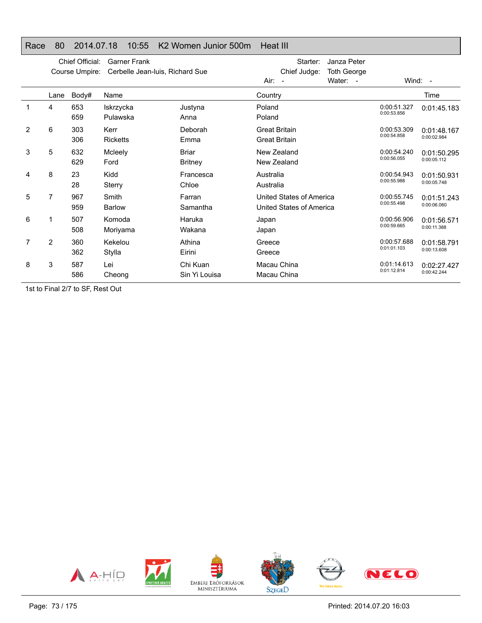## Race 80 2014.07.18 10:55 K2 Women Junior 500m Heat III

|                |      | Chief Official:<br>Course Umpire: | <b>Garner Frank</b><br>Cerbelle Jean-Iuis, Richard Sue |                                | Starter:<br>Janza Peter<br>Chief Judge:<br><b>Toth George</b><br>Water: -<br>Air:<br>$\sim$ |                            | Wind: $-$                  |
|----------------|------|-----------------------------------|--------------------------------------------------------|--------------------------------|---------------------------------------------------------------------------------------------|----------------------------|----------------------------|
|                | Lane | Body#                             | Name                                                   |                                | Country                                                                                     |                            | Time                       |
|                | 4    | 653<br>659                        | Iskrzycka<br>Pulawska                                  | Justyna<br>Anna                | Poland<br>Poland                                                                            | 0:00:51.327<br>0:00:53.856 | 0:01:45.183                |
| $\overline{2}$ | 6    | 303<br>306                        | Kerr<br><b>Ricketts</b>                                | Deborah<br>Emma                | <b>Great Britain</b><br><b>Great Britain</b>                                                | 0:00:53.309<br>0:00:54.858 | 0:01:48.167<br>0:00:02.984 |
| 3              | 5    | 632<br>629                        | Mcleely<br>Ford                                        | <b>Briar</b><br><b>Britney</b> | New Zealand<br>New Zealand                                                                  | 0:00:54.240<br>0:00:56.055 | 0:01:50.295<br>0:00:05.112 |
| 4              | 8    | 23<br>28                          | Kidd<br>Sterry                                         | Francesca<br>Chloe             | Australia<br>Australia                                                                      | 0:00:54.943<br>0:00:55.988 | 0:01:50.931<br>0:00:05.748 |
| 5              | 7    | 967<br>959                        | Smith<br><b>Barlow</b>                                 | Farran<br>Samantha             | United States of America<br>United States of America                                        | 0:00:55.745<br>0:00:55.498 | 0:01:51.243<br>0:00:06.060 |
| 6              |      | 507<br>508                        | Komoda<br>Moriyama                                     | Haruka<br>Wakana               | Japan<br>Japan                                                                              | 0:00:56.906<br>0:00:59.665 | 0:01:56.571<br>0:00:11.388 |
|                | 2    | 360<br>362                        | Kekelou<br>Stylla                                      | Athina<br>Eirini               | Greece<br>Greece                                                                            | 0:00:57.688<br>0:01:01.103 | 0:01:58.791<br>0:00:13.608 |
| 8              | 3    | 587<br>586                        | Lei<br>Cheong                                          | Chi Kuan<br>Sin Yi Louisa      | Macau China<br>Macau China                                                                  | 0:01:14.613<br>0:01:12.814 | 0:02:27.427<br>0:00:42.244 |

1st to Final 2/7 to SF, Rest Out

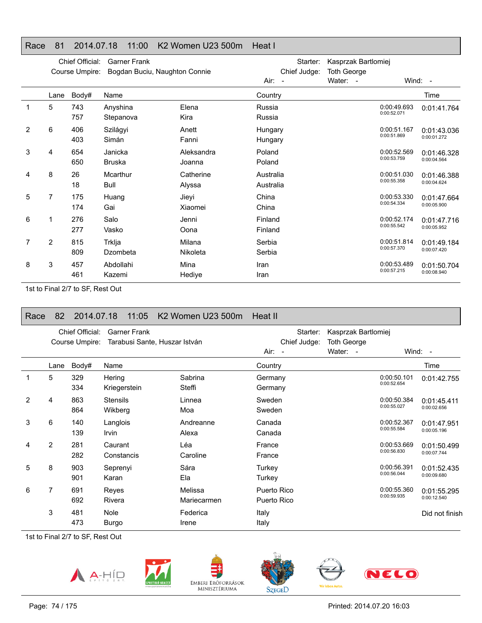## Race 81 2014.07.18 11:00 K2 Women U23 500m Heat I

|                |                | Chief Official:<br>Course Umpire: | <b>Garner Frank</b><br>Bogdan Buciu, Naughton Connie |                      | Air:<br>$\sim$         | Starter:<br>Chief Judge: | Kasprzak Bartlomiej<br><b>Toth George</b><br>Water: - |                            | Wind: $-$                  |
|----------------|----------------|-----------------------------------|------------------------------------------------------|----------------------|------------------------|--------------------------|-------------------------------------------------------|----------------------------|----------------------------|
|                | Lane           | Body#                             | Name                                                 |                      | Country                |                          |                                                       |                            | Time                       |
|                | 5              | 743<br>757                        | Anyshina<br>Stepanova                                | Elena<br>Kira        | Russia<br>Russia       |                          |                                                       | 0:00:49.693<br>0:00:52.071 | 0:01:41.764                |
| $\overline{2}$ | 6              | 406<br>403                        | Szilágyi<br>Simán                                    | Anett<br>Fanni       | Hungary<br>Hungary     |                          |                                                       | 0:00:51.167<br>0:00:51.869 | 0:01:43.036<br>0:00:01.272 |
| 3              | 4              | 654<br>650                        | Janicka<br><b>Bruska</b>                             | Aleksandra<br>Joanna | Poland<br>Poland       |                          |                                                       | 0:00:52.569<br>0:00:53.759 | 0:01:46.328<br>0:00:04.564 |
| 4              | 8              | 26<br>18                          | Mcarthur<br>Bull                                     | Catherine<br>Alyssa  | Australia<br>Australia |                          |                                                       | 0:00:51.030<br>0:00:55.358 | 0:01:46.388<br>0:00:04.624 |
| 5              | 7              | 175<br>174                        | Huang<br>Gai                                         | Jieyi<br>Xiaomei     | China<br>China         |                          |                                                       | 0:00:53.330<br>0:00:54.334 | 0:01:47.664<br>0:00:05.900 |
| 6              | 1              | 276<br>277                        | Salo<br>Vasko                                        | Jenni<br>Oona        | Finland<br>Finland     |                          |                                                       | 0:00:52.174<br>0:00:55.542 | 0:01:47.716<br>0:00:05.952 |
|                | $\overline{2}$ | 815<br>809                        | Trklja<br>Dzombeta                                   | Milana<br>Nikoleta   | Serbia<br>Serbia       |                          |                                                       | 0:00:51.814<br>0:00:57.370 | 0:01:49.184<br>0:00:07.420 |
| 8              | 3              | 457<br>461                        | Abdollahi<br>Kazemi                                  | Mina<br>Hediye       | Iran<br>Iran           |                          |                                                       | 0:00:53.489<br>0:00:57.215 | 0:01:50.704<br>0:00:08.940 |

1st to Final 2/7 to SF, Rest Out

# Race 82 2014.07.18 11:05 K2 Women U23 500m Heat II

|                | Chief Official:<br><b>Garner Frank</b><br>Tarabusi Sante, Huszar István<br>Course Umpire: |            |                            |                        | Starter:<br>Chief Judge:<br>Air:<br>$\overline{\phantom{a}}$ | Kasprzak Bartlomiej<br><b>Toth George</b><br>Water: - |                            | Wind: $-$                  |
|----------------|-------------------------------------------------------------------------------------------|------------|----------------------------|------------------------|--------------------------------------------------------------|-------------------------------------------------------|----------------------------|----------------------------|
|                | Lane                                                                                      | Body#      | Name                       |                        | Country                                                      |                                                       |                            | Time                       |
|                | 5                                                                                         | 329<br>334 | Hering<br>Kriegerstein     | Sabrina<br>Steffi      | Germany<br>Germany                                           |                                                       | 0:00:50.101<br>0:00:52.654 | 0:01:42.755                |
| $\overline{2}$ | 4                                                                                         | 863<br>864 | <b>Stensils</b><br>Wikberg | Linnea<br>Moa          | Sweden<br>Sweden                                             |                                                       | 0:00:50.384<br>0:00:55.027 | 0:01:45.411<br>0:00:02.656 |
| 3              | 6                                                                                         | 140<br>139 | Langlois<br>Irvin          | Andreanne<br>Alexa     | Canada<br>Canada                                             |                                                       | 0:00:52.367<br>0:00:55.584 | 0:01:47.951<br>0:00:05.196 |
| 4              | $\overline{2}$                                                                            | 281<br>282 | Caurant<br>Constancis      | Léa<br>Caroline        | France<br>France                                             |                                                       | 0:00:53.669<br>0:00:56.830 | 0:01:50.499<br>0:00:07.744 |
| 5              | 8                                                                                         | 903<br>901 | Seprenyi<br>Karan          | Sára<br>Ela            | Turkey<br>Turkey                                             |                                                       | 0:00:56.391<br>0:00:56.044 | 0:01:52.435<br>0:00:09.680 |
| 6              | 7                                                                                         | 691<br>692 | Reyes<br>Rivera            | Melissa<br>Mariecarmen | Puerto Rico<br>Puerto Rico                                   |                                                       | 0:00:55.360<br>0:00:59.935 | 0:01:55.295<br>0:00:12.540 |
|                | 3                                                                                         | 481<br>473 | Nole<br>Burgo              | Federica<br>Irene      | Italy<br>Italy                                               |                                                       |                            | Did not finish             |

1st to Final 2/7 to SF, Rest Out





emberi erőforrások<br>Minisztériuma





**VELO**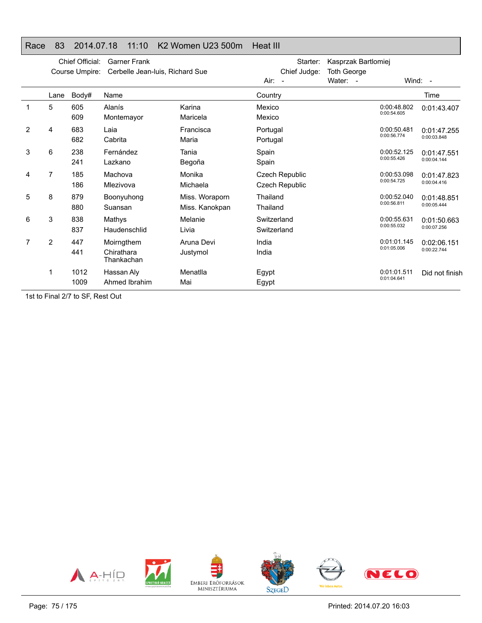## Race 83 2014.07.18 11:10 K2 Women U23 500m Heat III

|                |      | Chief Official:<br>Course Umpire: | <b>Garner Frank</b><br>Cerbelle Jean-Iuis, Richard Sue |                                  | Starter:<br>Chief Judge:<br>Air: -             | Kasprzak Bartlomiej<br><b>Toth George</b><br>Water: - |                            | Wind: -                    |  |
|----------------|------|-----------------------------------|--------------------------------------------------------|----------------------------------|------------------------------------------------|-------------------------------------------------------|----------------------------|----------------------------|--|
|                | Lane | Body#                             | Name                                                   |                                  | Country                                        |                                                       |                            | Time                       |  |
|                | 5    | 605<br>609                        | Alanís<br>Montemayor                                   | Karina<br>Maricela               | Mexico<br>Mexico                               |                                                       | 0:00:48.802<br>0:00:54.605 | 0:01:43.407                |  |
| $\overline{2}$ | 4    | 683<br>682                        | Laia<br>Cabrita                                        | Francisca<br>Maria               | Portugal<br>Portugal                           |                                                       | 0:00:50.481<br>0:00:56.774 | 0:01:47.255<br>0:00:03.848 |  |
| 3              | 6    | 238<br>241                        | Fernández<br>Lazkano                                   | Tania<br>Begoña                  | Spain<br>Spain                                 |                                                       | 0:00:52.125<br>0:00:55.426 | 0:01:47.551<br>0:00:04.144 |  |
| 4              | 7    | 185<br>186                        | Machova<br>Mlezivova                                   | Monika<br>Michaela               | <b>Czech Republic</b><br><b>Czech Republic</b> |                                                       | 0:00:53.098<br>0:00:54.725 | 0:01:47.823<br>0:00:04.416 |  |
| 5              | 8    | 879<br>880                        | Boonyuhong<br>Suansan                                  | Miss. Woraporn<br>Miss. Kanokpan | Thailand<br>Thailand                           |                                                       | 0:00:52.040<br>0:00:56.811 | 0:01:48.851<br>0:00:05.444 |  |
| 6              | 3    | 838<br>837                        | Mathys<br>Haudenschlid                                 | Melanie<br>Livia                 | Switzerland<br>Switzerland                     |                                                       | 0:00:55.631<br>0:00:55.032 | 0:01:50.663<br>0:00:07.256 |  |
| 7              | 2    | 447<br>441                        | Moirngthem<br>Chirathara<br>Thankachan                 | Aruna Devi<br>Justymol           | India<br>India                                 |                                                       | 0:01:01.145<br>0:01:05.006 | 0:02:06.151<br>0:00:22.744 |  |
|                | 1    | 1012<br>1009                      | Hassan Aly<br>Ahmed Ibrahim                            | Menatlla<br>Mai                  | Egypt<br>Egypt                                 |                                                       | 0:01:01.511<br>0:01:04.641 | Did not finish             |  |

1st to Final 2/7 to SF, Rest Out

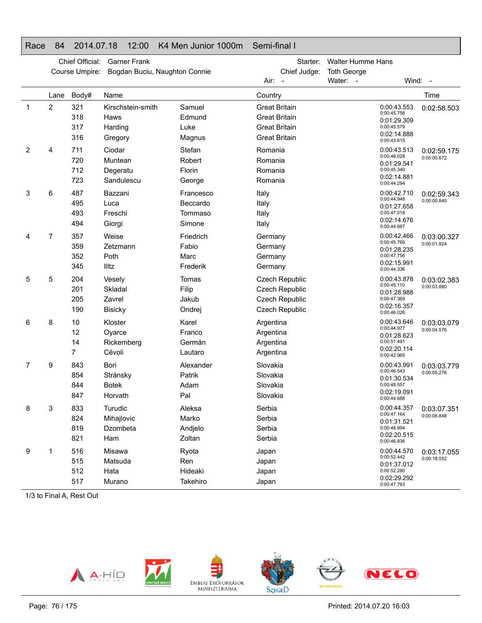## Race 84 2014.07.18 12:00 K4 Men Junior 1000m Semi-final I

|   | Chief Official:<br><b>Garner Frank</b><br>Course Umpire:<br>Bogdan Buciu, Naughton Connie |                          |                                                 |                                            | Starter:<br>Chief Judge:                                                                     | <b>Walter Humme Hans</b><br><b>Toth George</b>                                         |                            |
|---|-------------------------------------------------------------------------------------------|--------------------------|-------------------------------------------------|--------------------------------------------|----------------------------------------------------------------------------------------------|----------------------------------------------------------------------------------------|----------------------------|
|   |                                                                                           |                          |                                                 |                                            | Air:                                                                                         | Water: -                                                                               | Wind: -                    |
|   | Lane                                                                                      | Body#                    | Name                                            |                                            | Country                                                                                      |                                                                                        | Time                       |
| 1 | $\overline{2}$                                                                            | 321<br>318<br>317<br>316 | Kirschstein-smith<br>Haws<br>Harding<br>Gregory | Samuel<br>Edmund<br>Luke<br>Magnus         | <b>Great Britain</b><br><b>Great Britain</b><br><b>Great Britain</b><br><b>Great Britain</b> | 0:00:43.553<br>0:00:45.756<br>0:01:29.309<br>0:00:45.579<br>0:02:14.888<br>0:00:43.615 | 0:02:58.503                |
| 2 | 4                                                                                         | 711<br>720<br>712<br>723 | Ciodar<br>Muntean<br>Degeratu<br>Sandulescu     | Stefan<br>Robert<br>Florin<br>George       | Romania<br>Romania<br>Romania<br>Romania                                                     | 0:00:43.513<br>0:00:46.028<br>0:01:29.541<br>0:00:45.340<br>0:02:14.881<br>0:00:44.294 | 0:02:59.175<br>0:00:00.672 |
| 3 | 6                                                                                         | 487<br>495<br>493<br>494 | Bazzani<br>Luca<br>Freschi<br>Giorgi            | Francesco<br>Beccardo<br>Tommaso<br>Simone | Italy<br>Italy<br>Italy<br>Italy                                                             | 0:00:42.710<br>0:00:44.948<br>0:01:27.658<br>0:00:47.018<br>0:02:14.676<br>0:00:44.667 | 0:02:59.343<br>0:00:00.840 |
| 4 | 7                                                                                         | 357<br>359<br>352<br>345 | Weise<br>Zetzmann<br>Poth<br>Illtz              | Friedrich<br>Fabio<br>Marc<br>Frederik     | Germany<br>Germany<br>Germany<br>Germany                                                     | 0:00:42.466<br>0:00:45.769<br>0:01:28.235<br>0:00:47.756<br>0:02:15.991<br>0:00:44.336 | 0:03:00.327<br>0:00:01.824 |
| 5 | 5                                                                                         | 204<br>201<br>205<br>190 | Vesely<br>Skladal<br>Zavrel<br>Bisicky          | Tomas<br>Filip<br>Jakub<br>Ondrej          | <b>Czech Republic</b><br>Czech Republic<br>Czech Republic<br>Czech Republic                  | 0:00:43.878<br>0:00:45.110<br>0:01:28.988<br>0:00:47.369<br>0:02:16.357<br>0:00:46.026 | 0:03:02.383<br>0:00:03.880 |
| 6 | 8                                                                                         | 10<br>12<br>14<br>7      | Kloster<br>Oyarce<br>Rickemberg<br>Cévoli       | Karel<br>Franco<br>Germán<br>Lautaro       | Argentina<br>Argentina<br>Argentina<br>Argentina                                             | 0:00:43.646<br>0:00:44.977<br>0:01:28.623<br>0:00:51.491<br>0:02:20.114<br>0:00:42.965 | 0:03:03.079<br>0:00:04.576 |
| 7 | 9                                                                                         | 843<br>854<br>844<br>847 | Bori<br>Stránsky<br><b>Botek</b><br>Horvath     | Alexander<br>Patrik<br>Adam<br>Pal         | Slovakia<br>Slovakia<br>Slovakia<br>Slovakia                                                 | 0:00:43.991<br>0:00:46.543<br>0:01:30.534<br>0:00:48.557<br>0:02:19.091<br>0:00:44.688 | 0:03:03.779<br>0:00:05.276 |
| 8 | 3                                                                                         | 833<br>824<br>819<br>821 | Turudic<br>Mihajlovic<br>Dzombeta<br>Ham        | Aleksa<br>Marko<br>Andjelo<br>Zoltan       | Serbia<br>Serbia<br>Serbia<br>Serbia                                                         | 0:00:44.357<br>0:00:47.164<br>0:01:31.521<br>0:00:48.994<br>0:02:20.515<br>0:00:46.836 | 0:03:07.351<br>0:00:08.848 |
| 9 | 1                                                                                         | 516<br>515<br>512<br>517 | Misawa<br>Matsuda<br>Hata<br>Murano             | Ryota<br>Ren<br>Hideaki<br>Takehiro        | Japan<br>Japan<br>Japan<br>Japan                                                             | 0:00:44.570<br>0:00:52.442<br>0:01:37.012<br>0:00:52.280<br>0:02:29.292<br>0:00:47.763 | 0:03:17.055<br>0:00:18.552 |

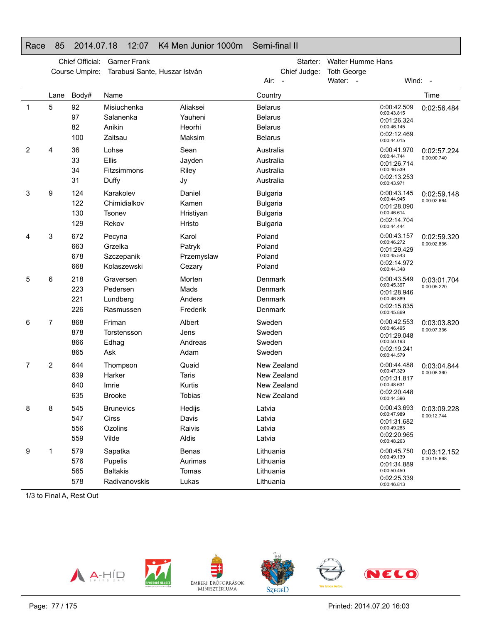## Race 85 2014.07.18 12:07 K4 Men Junior 1000m Semi-final II

|             | Chief Official:<br><b>Garner Frank</b> |                          |                                                        |                                                  | Starter:                                                                 | <b>Walter Humme Hans</b> |                                                                                        |                            |
|-------------|----------------------------------------|--------------------------|--------------------------------------------------------|--------------------------------------------------|--------------------------------------------------------------------------|--------------------------|----------------------------------------------------------------------------------------|----------------------------|
|             |                                        | Course Umpire:           | Tarabusi Sante, Huszar István                          |                                                  | Chief Judge:                                                             | <b>Toth George</b>       |                                                                                        |                            |
|             |                                        |                          |                                                        |                                                  | Air: -                                                                   | Water: -                 | Wind: -                                                                                |                            |
|             | Lane                                   | Body#                    | Name                                                   |                                                  | Country                                                                  |                          |                                                                                        | Time                       |
| $\mathbf 1$ | 5                                      | 92<br>97                 | Misiuchenka<br>Salanenka                               | Aliaksei<br>Yauheni                              | <b>Belarus</b><br><b>Belarus</b>                                         |                          | 0:00:42.509<br>0:00:43.815<br>0:01:26.324                                              | 0:02:56.484                |
|             |                                        | 82<br>100                | Anikin<br>Zaitsau                                      | Heorhi<br>Maksim                                 | <b>Belarus</b><br><b>Belarus</b>                                         |                          | 0:00:46.145<br>0:02:12.469<br>0:00:44.015                                              |                            |
| 2           | 4                                      | 36<br>33<br>34<br>31     | Lohse<br><b>Ellis</b><br>Fitzsimmons<br>Duffy          | Sean<br>Jayden<br>Riley<br>Jy                    | Australia<br>Australia<br>Australia<br>Australia                         |                          | 0:00:41.970<br>0:00:44.744<br>0:01:26.714<br>0:00:46.539<br>0:02:13.253<br>0:00:43.971 | 0:02:57.224<br>0:00:00.740 |
| 3           | 9                                      | 124<br>122<br>130<br>129 | Karakolev<br>Chimidialkov<br>Tsonev<br>Rekov           | Daniel<br>Kamen<br>Hristiyan<br>Hristo           | <b>Bulgaria</b><br><b>Bulgaria</b><br><b>Bulgaria</b><br><b>Bulgaria</b> |                          | 0:00:43.145<br>0:00:44.945<br>0:01:28.090<br>0:00:46.614<br>0:02:14.704<br>0:00:44.444 | 0:02:59.148<br>0:00:02.664 |
| 4           | 3                                      | 672<br>663<br>678<br>668 | Pecyna<br>Grzelka<br>Szczepanik<br>Kolaszewski         | Karol<br>Patryk<br>Przemyslaw<br>Cezary          | Poland<br>Poland<br>Poland<br>Poland                                     |                          | 0:00:43.157<br>0:00:46.272<br>0:01:29.429<br>0:00:45.543<br>0:02:14.972<br>0:00:44.348 | 0:02:59.320<br>0:00:02.836 |
| 5           | 6                                      | 218<br>223<br>221<br>226 | Graversen<br>Pedersen<br>Lundberg<br>Rasmussen         | Morten<br>Mads<br>Anders<br>Frederik             | Denmark<br>Denmark<br>Denmark<br>Denmark                                 |                          | 0:00:43.549<br>0:00:45.397<br>0:01:28.946<br>0:00:46.889<br>0:02:15.835<br>0:00:45.869 | 0:03:01.704<br>0:00:05.220 |
| 6           | 7                                      | 868<br>878<br>866<br>865 | Friman<br>Torstensson<br>Edhag<br>Ask                  | Albert<br>Jens<br>Andreas<br>Adam                | Sweden<br>Sweden<br>Sweden<br>Sweden                                     |                          | 0:00:42.553<br>0:00:46.495<br>0:01:29.048<br>0:00:50.193<br>0:02:19.241<br>0:00:44.579 | 0:03:03.820<br>0:00:07.336 |
| 7           | 2                                      | 644<br>639<br>640<br>635 | Thompson<br>Harker<br>Imrie<br><b>Brooke</b>           | Quaid<br><b>Taris</b><br>Kurtis<br><b>Tobias</b> | New Zealand<br>New Zealand<br>New Zealand<br>New Zealand                 |                          | 0:00:44.488<br>0:00:47.329<br>0:01:31.817<br>0:00:48.631<br>0:02:20.448<br>0:00:44.396 | 0:03:04.844<br>0:00:08.360 |
| 8           | 8                                      | 545<br>547<br>556<br>559 | <b>Brunevics</b><br>Cirss<br>Ozolins<br>Vilde          | Hedijs<br>Davis<br>Raivis<br>Aldis               | Latvia<br>Latvia<br>Latvia<br>Latvia                                     |                          | 0:00:43.693<br>0:00:47.989<br>0:01:31.682<br>0:00:49.283<br>0:02:20.965<br>0:00:48.263 | 0:03:09.228<br>0:00:12.744 |
| 9           | 1                                      | 579<br>576<br>565<br>578 | Sapatka<br>Pupelis<br><b>Baltakis</b><br>Radivanovskis | Benas<br>Aurimas<br>Tomas<br>Lukas               | Lithuania<br>Lithuania<br>Lithuania<br>Lithuania                         |                          | 0:00:45.750<br>0:00:49.139<br>0:01:34.889<br>0:00:50.450<br>0:02:25.339<br>0:00:46.813 | 0:03:12.152<br>0:00:15.668 |

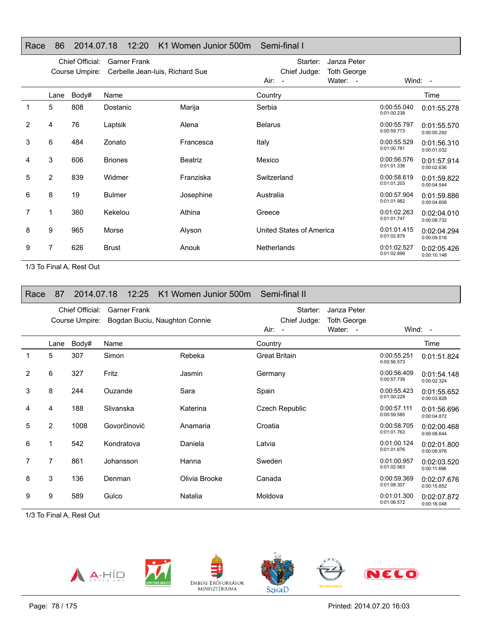## Race 86 2014.07.18 12:20 K1 Women Junior 500m Semi-final I

|   | Chief Official:<br><b>Garner Frank</b><br>Cerbelle Jean-luis, Richard Sue<br>Course Umpire: |       |                |           | Starter:<br>Chief Judge: | Janza Peter<br><b>Toth George</b> |                            |                            |
|---|---------------------------------------------------------------------------------------------|-------|----------------|-----------|--------------------------|-----------------------------------|----------------------------|----------------------------|
|   |                                                                                             |       |                |           | Air:<br>$\sim$           | Water: -                          |                            | Wind: $-$                  |
|   | Lane                                                                                        | Body# | Name           |           | Country                  |                                   |                            | Time                       |
|   | 5                                                                                           | 808   | Dostanic       | Marija    | Serbia                   |                                   | 0:00:55.040<br>0:01:00.238 | 0:01:55.278                |
| 2 | 4                                                                                           | 76    | Laptsik        | Alena     | <b>Belarus</b>           |                                   | 0:00:55.797<br>0:00:59.773 | 0:01:55.570<br>0:00:00.292 |
| 3 | 6                                                                                           | 484   | Zonato         | Francesca | Italy                    |                                   | 0:00:55.529<br>0:01:00.781 | 0:01:56.310<br>0:00:01.032 |
| 4 | 3                                                                                           | 606   | <b>Briones</b> | Beatriz   | Mexico                   |                                   | 0:00:56.576<br>0:01:01.338 | 0:01:57.914<br>0:00:02.636 |
| 5 | $\overline{2}$                                                                              | 839   | Widmer         | Franziska | Switzerland              |                                   | 0:00:58.619<br>0:01:01.203 | 0:01:59.822<br>0:00:04.544 |
| 6 | 8                                                                                           | 19    | <b>Bulmer</b>  | Josephine | Australia                |                                   | 0:00:57.904<br>0:01:01.982 | 0:01:59.886<br>0:00:04.608 |
| 7 | 1                                                                                           | 360   | Kekelou        | Athina    | Greece                   |                                   | 0:01:02.263<br>0:01:01.747 | 0:02:04.010<br>0:00:08.732 |
| 8 | 9                                                                                           | 965   | Morse          | Alyson    | United States of America |                                   | 0:01:01.415<br>0:01:02.879 | 0:02:04.294<br>0:00:09.016 |
| 9 | 7                                                                                           | 626   | <b>Brust</b>   | Anouk     | <b>Netherlands</b>       |                                   | 0:01:02.527<br>0:01:02.899 | 0:02:05.426<br>0:00:10.148 |

1/3 To Final A, Rest Out

| Race           | 87             | 2014.07.18                        | 12:25               | K1 Women Junior 500m Semi-final II |                                      |                                               |                            |                            |
|----------------|----------------|-----------------------------------|---------------------|------------------------------------|--------------------------------------|-----------------------------------------------|----------------------------|----------------------------|
|                |                | Chief Official:<br>Course Umpire: | <b>Garner Frank</b> | Bogdan Buciu, Naughton Connie      | Starter:<br>Chief Judge:<br>$Air: -$ | Janza Peter<br><b>Toth George</b><br>Water: - |                            | Wind: $-$                  |
|                | Lane           | Body#                             | Name                |                                    | Country                              |                                               |                            | Time                       |
|                | 5              | 307                               | Simon               | Rebeka                             | <b>Great Britain</b>                 |                                               | 0:00:55.251<br>0:00:56.573 | 0:01:51.824                |
| $\overline{2}$ | 6              | 327                               | Fritz               | Jasmin                             | Germany                              |                                               | 0:00:56.409<br>0:00:57.739 | 0:01:54.148<br>0:00:02.324 |
| 3              | 8              | 244                               | Ouzande             | Sara                               | Spain                                |                                               | 0:00:55.423<br>0:01:00.229 | 0:01:55.652<br>0:00:03.828 |
| 4              | 4              | 188                               | Slivanska           | Katerina                           | Czech Republic                       |                                               | 0:00:57.111<br>0:00:59.585 | 0:01:56.696<br>0:00:04.872 |
| 5              | $\overline{2}$ | 1008                              | Govorčinović        | Anamaria                           | Croatia                              |                                               | 0:00:58.705<br>0:01:01.763 | 0:02:00.468<br>0:00:08.644 |
| 6              | 1              | 542                               | Kondratova          | Daniela                            | Latvia                               |                                               | 0:01:00.124<br>0:01:01.676 | 0:02:01.800<br>0:00:09.976 |
| 7              | 7              | 861                               | Johansson           | Hanna                              | Sweden                               |                                               | 0:01:00.957<br>0:01:02.563 | 0:02:03.520<br>0:00:11.696 |
| 8              | 3              | 136                               | Denman              | Olivia Brooke                      | Canada                               |                                               | 0:00:59.369<br>0:01:08.307 | 0:02:07.676<br>0:00:15.852 |
| 9              | 9              | 589                               | Gulco               | Natalia                            | Moldova                              |                                               | 0:01:01.300<br>0:01:06.572 | 0:02:07.872<br>0:00:16.048 |

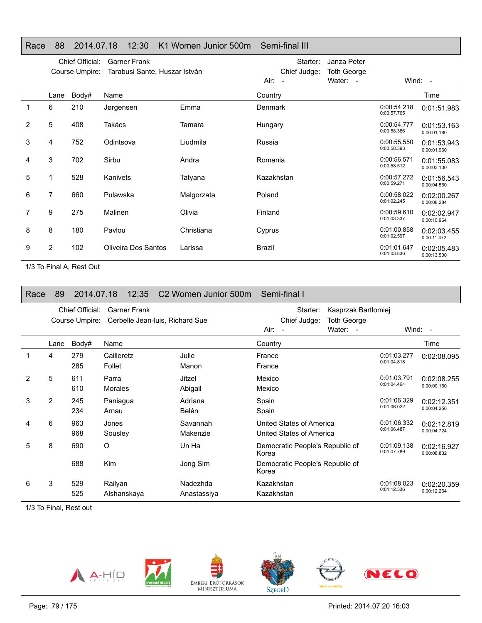| Race           | 88   | 2014.07.18                        | 12:30                                                | K1 Women Junior 500m | Semi-final III                                     |                                               |                            |                            |
|----------------|------|-----------------------------------|------------------------------------------------------|----------------------|----------------------------------------------------|-----------------------------------------------|----------------------------|----------------------------|
|                |      | Chief Official:<br>Course Umpire: | <b>Garner Frank</b><br>Tarabusi Sante, Huszar István |                      | Starter:<br>Chief Judge:<br>Air:<br>$\overline{a}$ | Janza Peter<br><b>Toth George</b><br>Water: - |                            | Wind: $-$                  |
|                | Lane | Body#                             | Name                                                 |                      | Country                                            |                                               |                            | Time                       |
| 1              | 6    | 210                               | Jørgensen                                            | Emma                 | <b>Denmark</b>                                     |                                               | 0:00:54.218<br>0:00:57.765 | 0:01:51.983                |
| $\overline{2}$ | 5    | 408                               | Takács                                               | Tamara               | Hungary                                            |                                               | 0:00:54.777<br>0:00:58.386 | 0:01:53.163<br>0:00:01.180 |
| 3              | 4    | 752                               | Odintsova                                            | Liudmila             | Russia                                             |                                               | 0:00:55.550<br>0:00:58.393 | 0:01:53.943<br>0:00:01.960 |
| 4              | 3    | 702                               | Sirbu                                                | Andra                | Romania                                            |                                               | 0:00:56.571<br>0:00:58.512 | 0:01:55.083<br>0:00:03.100 |
| 5              | 1    | 528                               | Kanivets                                             | Tatyana              | Kazakhstan                                         |                                               | 0:00:57.272<br>0:00:59.271 | 0:01:56.543<br>0:00:04.560 |
| 6              | 7    | 660                               | Pulawska                                             | Malgorzata           | Poland                                             |                                               | 0:00:58.022<br>0:01:02.245 | 0:02:00.267<br>0:00:08.284 |
| 7              | 9    | 275                               | Malinen                                              | Olivia               | Finland                                            |                                               | 0:00:59.610<br>0:01:03.337 | 0:02:02.947<br>0:00:10.964 |
| 8              | 8    | 180                               | Pavlou                                               | Christiana           | Cyprus                                             |                                               | 0:01:00.858<br>0:01:02.597 | 0:02:03.455<br>0:00:11.472 |
| 9              | 2    | 102                               | Oliveira Dos Santos                                  | Larissa              | <b>Brazil</b>                                      |                                               | 0:01:01.647<br>0:01:03.836 | 0:02:05.483<br>0:00:13.500 |

1/3 To Final A, Rest Out

| Race | 89             | 2014.07.18                        | 12:35                | C2 Women Junior 500m            | Semi-final I                                         |                                                       |                            |                            |
|------|----------------|-----------------------------------|----------------------|---------------------------------|------------------------------------------------------|-------------------------------------------------------|----------------------------|----------------------------|
|      |                | Chief Official:<br>Course Umpire: | <b>Garner Frank</b>  | Cerbelle Jean-Iuis, Richard Sue | Starter:<br>Chief Judge:<br>Air:<br>$\blacksquare$   | Kasprzak Bartlomiej<br><b>Toth George</b><br>Water: - |                            | Wind: $-$                  |
|      | Lane           | Body#                             | Name                 |                                 | Country                                              |                                                       |                            | Time                       |
| 1    | 4              | 279<br>285                        | Cailleretz<br>Follet | Julie<br>Manon                  | France<br>France                                     |                                                       | 0:01:03.277<br>0:01:04.818 | 0:02:08.095                |
| 2    | 5              | 611<br>610                        | Parra<br>Morales     | Jitzel<br>Abigail               | Mexico<br>Mexico                                     |                                                       | 0:01:03.791<br>0:01:04.464 | 0:02:08.255<br>0:00:00.160 |
| 3    | $\overline{2}$ | 245<br>234                        | Paniagua<br>Arnau    | Adriana<br>Belén                | Spain<br>Spain                                       |                                                       | 0:01:06.329<br>0:01:06.022 | 0:02:12.351<br>0:00:04.256 |
| 4    | 6              | 963<br>968                        | Jones<br>Sousley     | Savannah<br>Makenzie            | United States of America<br>United States of America |                                                       | 0:01:06.332<br>0:01:06.487 | 0:02:12.819<br>0:00:04.724 |
| 5    | 8              | 690                               | $\circ$              | Un Ha                           | Democratic People's Republic of<br>Korea             |                                                       | 0:01:09.138<br>0:01:07.789 | 0:02:16.927<br>0:00:08.832 |
|      |                | 688                               | <b>Kim</b>           | Jong Sim                        | Democratic People's Republic of<br>Korea             |                                                       |                            |                            |
| 6    | 3              | 529                               | Railyan              | Nadezhda                        | Kazakhstan                                           |                                                       | 0:01:08.023<br>0:01:12.336 | 0:02:20.359                |
|      |                | 525                               | Alshanskaya          | Anastassiya                     | Kazakhstan                                           |                                                       |                            | 0:00:12.264                |

1/3 To Final, Rest out

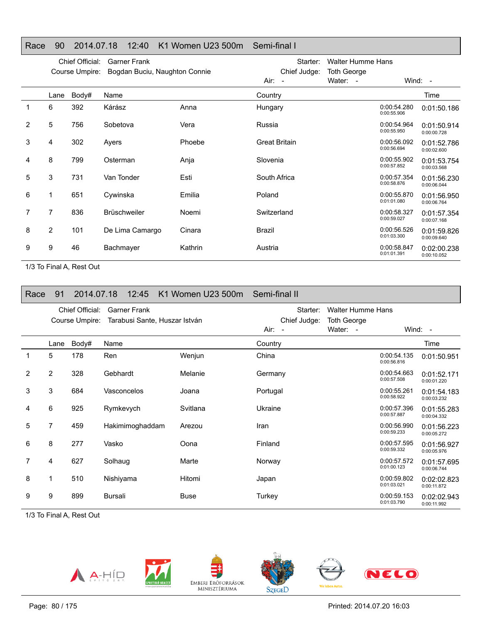## Race 90 2014.07.18 12:40 K1 Women U23 500m Semi-final I

|   | Chief Official:<br><b>Garner Frank</b><br>Course Umpire:<br>Bogdan Buciu, Naughton Connie |       |                     |         | Starter:<br>Chief Judge: | <b>Walter Humme Hans</b><br><b>Toth George</b> |                            |                            |
|---|-------------------------------------------------------------------------------------------|-------|---------------------|---------|--------------------------|------------------------------------------------|----------------------------|----------------------------|
|   |                                                                                           |       |                     |         | Air: -                   | Water: -                                       |                            | Wind: $-$                  |
|   | Lane                                                                                      | Body# | Name                |         | Country                  |                                                |                            | Time                       |
| 1 | 6                                                                                         | 392   | Kárász              | Anna    | Hungary                  |                                                | 0:00:54.280<br>0:00:55.906 | 0:01:50.186                |
| 2 | 5                                                                                         | 756   | Sobetova            | Vera    | Russia                   |                                                | 0:00:54.964<br>0:00:55.950 | 0:01:50.914<br>0:00:00.728 |
| 3 | 4                                                                                         | 302   | Ayers               | Phoebe  | <b>Great Britain</b>     |                                                | 0:00:56.092<br>0:00:56.694 | 0:01:52.786<br>0:00:02.600 |
| 4 | 8                                                                                         | 799   | Osterman            | Anja    | Slovenia                 |                                                | 0:00:55.902<br>0:00:57.852 | 0:01:53.754<br>0:00:03.568 |
| 5 | 3                                                                                         | 731   | Van Tonder          | Esti    | South Africa             |                                                | 0:00:57.354<br>0:00:58.876 | 0:01:56.230<br>0:00:06.044 |
| 6 | 1                                                                                         | 651   | Cywinska            | Emilia  | Poland                   |                                                | 0:00:55.870<br>0:01:01.080 | 0:01:56.950<br>0:00:06.764 |
|   | 7                                                                                         | 836   | <b>Brüschweiler</b> | Noemi   | Switzerland              |                                                | 0:00:58.327<br>0:00:59.027 | 0:01:57.354<br>0:00:07.168 |
| 8 | 2                                                                                         | 101   | De Lima Camargo     | Cinara  | Brazil                   |                                                | 0:00:56.526<br>0:01:03.300 | 0:01:59.826<br>0:00:09.640 |
| 9 | 9                                                                                         | 46    | Bachmayer           | Kathrin | Austria                  |                                                | 0:00:58.847<br>0:01:01.391 | 0:02:00.238<br>0:00:10.052 |

1/3 To Final A, Rest Out

| Race        | 91             | 2014.07.18      | 12:45                         | K1 Women U23 500m | Semi-final II |                          |                            |                            |
|-------------|----------------|-----------------|-------------------------------|-------------------|---------------|--------------------------|----------------------------|----------------------------|
|             |                | Chief Official: | <b>Garner Frank</b>           |                   | Starter:      | <b>Walter Humme Hans</b> |                            |                            |
|             |                | Course Umpire:  | Tarabusi Sante, Huszar István |                   | Chief Judge:  | <b>Toth George</b>       |                            |                            |
|             |                |                 |                               |                   | $Air: -$      | Water: -                 |                            | Wind: $-$                  |
|             | Lane           | Body#           | Name                          |                   | Country       |                          |                            | Time                       |
| $\mathbf 1$ | 5              | 178             | Ren                           | Wenjun            | China         |                          | 0:00:54.135<br>0:00:56.816 | 0:01:50.951                |
| 2           | $\overline{2}$ | 328             | Gebhardt                      | Melanie           | Germany       |                          | 0:00:54.663<br>0:00:57.508 | 0:01:52.171<br>0:00:01.220 |
| 3           | 3              | 684             | Vasconcelos                   | Joana             | Portugal      |                          | 0:00:55.261<br>0:00:58.922 | 0:01:54.183<br>0:00:03.232 |
| 4           | 6              | 925             | Rymkevych                     | Svitlana          | Ukraine       |                          | 0:00:57.396<br>0:00:57.887 | 0:01:55.283<br>0:00:04.332 |
| 5           | 7              | 459             | Hakimimoghaddam               | Arezou            | Iran          |                          | 0:00:56.990<br>0:00:59.233 | 0:01:56.223<br>0:00:05.272 |
| 6           | 8              | 277             | Vasko                         | Oona              | Finland       |                          | 0:00:57.595<br>0:00:59.332 | 0:01:56.927<br>0:00:05.976 |
| 7           | 4              | 627             | Solhaug                       | Marte             | Norway        |                          | 0:00:57.572<br>0:01:00.123 | 0:01:57.695<br>0:00:06.744 |
| 8           |                | 510             | Nishiyama                     | Hitomi            | Japan         |                          | 0:00:59.802<br>0:01:03.021 | 0:02:02.823<br>0:00:11.872 |
| 9           | 9              | 899             | Bursali                       | <b>Buse</b>       | Turkey        |                          | 0:00:59.153<br>0:01:03.790 | 0:02:02.943<br>0:00:11.992 |

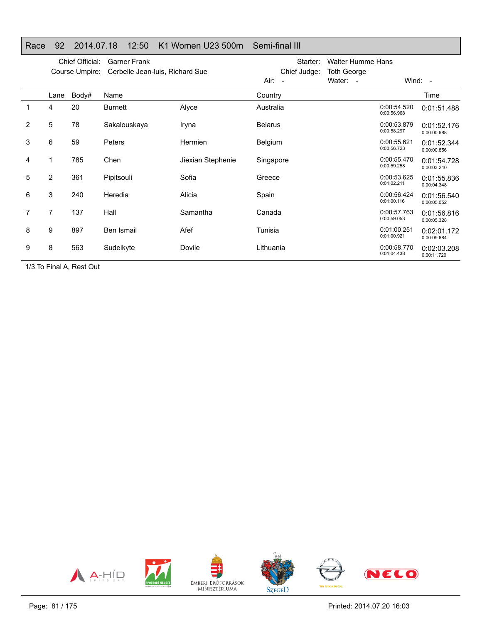| Race           | 92             | 2014.07.18      | 12:50                           | K1 Women U23 500m | Semi-final III |                          |                            |                            |
|----------------|----------------|-----------------|---------------------------------|-------------------|----------------|--------------------------|----------------------------|----------------------------|
|                |                | Chief Official: | <b>Garner Frank</b>             |                   | Starter:       | <b>Walter Humme Hans</b> |                            |                            |
|                |                | Course Umpire:  | Cerbelle Jean-Iuis, Richard Sue |                   | Chief Judge:   | <b>Toth George</b>       |                            |                            |
|                |                |                 |                                 |                   | Air:<br>$\sim$ | Water: -                 |                            | Wind: -                    |
|                | Lane           | Body#           | Name                            |                   | Country        |                          |                            | Time                       |
| 1              | 4              | 20              | Burnett                         | Alyce             | Australia      |                          | 0:00:54.520<br>0:00:56.968 | 0:01:51.488                |
| $\overline{2}$ | 5              | 78              | Sakalouskaya                    | Iryna             | <b>Belarus</b> |                          | 0:00:53.879<br>0:00:58.297 | 0:01:52.176<br>0:00:00.688 |
| 3              | 6              | 59              | <b>Peters</b>                   | Hermien           | Belgium        |                          | 0:00:55.621<br>0:00:56.723 | 0:01:52.344<br>0:00:00.856 |
| 4              |                | 785             | Chen                            | Jiexian Stephenie | Singapore      |                          | 0:00:55.470<br>0:00:59.258 | 0:01:54.728<br>0:00:03.240 |
| 5              | $\overline{2}$ | 361             | Pipitsouli                      | Sofia             | Greece         |                          | 0:00:53.625<br>0:01:02.211 | 0:01:55.836<br>0:00:04.348 |
| 6              | 3              | 240             | Heredia                         | Alicia            | Spain          |                          | 0:00:56.424<br>0:01:00.116 | 0:01:56.540<br>0:00:05.052 |
|                | 7              | 137             | Hall                            | Samantha          | Canada         |                          | 0:00:57.763<br>0:00:59.053 | 0:01:56.816<br>0:00:05.328 |
| 8              | 9              | 897             | Ben Ismail                      | Afef              | Tunisia        |                          | 0:01:00.251<br>0:01:00.921 | 0:02:01.172<br>0:00:09.684 |
| 9              | 8              | 563             | Sudeikyte                       | Dovile            | Lithuania      |                          | 0:00:58.770<br>0:01:04.438 | 0:02:03.208<br>0:00:11.720 |

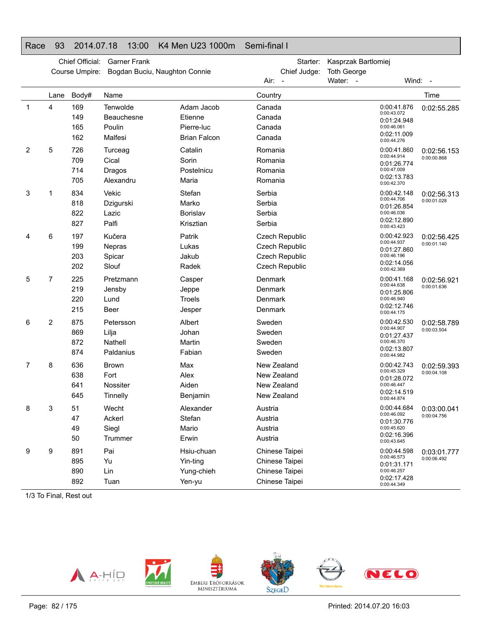#### Race 93 2014.07.18 13:00 K4 Men U23 1000m Semi-final I

|             |      | Chief Official:<br>Course Umpire: | <b>Garner Frank</b><br>Bogdan Buciu, Naughton Connie |                     | Starter:<br>Chief Judge: | Kasprzak Bartlomiej<br><b>Toth George</b> |                            | Wind: -     |
|-------------|------|-----------------------------------|------------------------------------------------------|---------------------|--------------------------|-------------------------------------------|----------------------------|-------------|
|             |      |                                   |                                                      |                     | Air:                     | Water: -                                  |                            |             |
|             | Lane | Body#                             | Name                                                 |                     | Country                  |                                           |                            | Time        |
| $\mathbf 1$ | 4    | 169                               | Tenwolde                                             | Adam Jacob          | Canada                   |                                           | 0:00:41.876<br>0:00:43.072 | 0:02:55.285 |
|             |      | 149                               | Beauchesne                                           | Etienne             | Canada                   |                                           | 0:01:24.948                |             |
|             |      | 165                               | Poulin                                               | Pierre-luc          | Canada                   |                                           | 0:00:46.061<br>0:02:11.009 |             |
|             |      | 162                               | Malfesi                                              | <b>Brian Falcon</b> | Canada                   |                                           | 0:00:44.276                |             |
| 2           | 5    | 726                               | Turceag                                              | Catalin             | Romania                  |                                           | 0:00:41.860<br>0:00:44.914 | 0:02:56.153 |
|             |      | 709                               | Cical                                                | Sorin               | Romania                  |                                           | 0:01:26.774                | 0:00:00.868 |
|             |      | 714                               | Dragos                                               | Postelnicu          | Romania                  |                                           | 0:00:47.009<br>0:02:13.783 |             |
|             |      | 705                               | Alexandru                                            | Maria               | Romania                  |                                           | 0:00:42.370                |             |
| 3           | 1    | 834                               | Vekic                                                | Stefan              | Serbia                   |                                           | 0:00:42.148                | 0:02:56.313 |
|             |      | 818                               | Dzigurski                                            | Marko               | Serbia                   |                                           | 0:00:44.706<br>0:01:26.854 | 0:00:01.028 |
|             |      | 822                               | Lazic                                                | Borislav            | Serbia                   |                                           | 0:00:46.036                |             |
|             |      | 827                               | Palfi                                                | Krisztian           | Serbia                   |                                           | 0:02:12.890<br>0:00:43.423 |             |
| 4           | 6    | 197                               | Kučera                                               | Patrik              | <b>Czech Republic</b>    |                                           | 0:00:42.923                | 0:02:56.425 |
|             |      | 199                               | Nepras                                               | Lukas               | Czech Republic           |                                           | 0:00:44.937<br>0:01:27.860 | 0:00:01.140 |
|             |      | 203                               | Spicar                                               | Jakub               | <b>Czech Republic</b>    |                                           | 0:00:46.196                |             |
|             |      | 202                               | Slouf                                                | Radek               | <b>Czech Republic</b>    |                                           | 0:02:14.056<br>0:00:42.369 |             |
| 5           | 7    | 225                               | Pretzmann                                            | Casper              | Denmark                  |                                           | 0:00:41.168                | 0:02:56.921 |
|             |      | 219                               | Jensby                                               | Jeppe               | Denmark                  |                                           | 0:00:44.638<br>0:01:25.806 | 0:00:01.636 |
|             |      | 220                               | Lund                                                 | Troels              | Denmark                  |                                           | 0:00:46.940                |             |
|             |      | 215                               | Beer                                                 | Jesper              | Denmark                  |                                           | 0:02:12.746<br>0:00:44.175 |             |
| 6           | 2    | 875                               | Petersson                                            | Albert              | Sweden                   |                                           | 0:00:42.530                | 0:02:58.789 |
|             |      | 869                               | Lilja                                                | Johan               | Sweden                   |                                           | 0:00:44.907<br>0:01:27.437 | 0:00:03.504 |
|             |      | 872                               | <b>Nathell</b>                                       | Martin              | Sweden                   |                                           | 0:00:46.370                |             |
|             |      | 874                               | Paldanius                                            | Fabian              | Sweden                   |                                           | 0:02:13.807<br>0:00:44.982 |             |
| 7           | 8    | 636                               | <b>Brown</b>                                         | Max                 | New Zealand              |                                           | 0:00:42.743                | 0:02:59.393 |
|             |      | 638                               | Fort                                                 | Alex                | New Zealand              |                                           | 0:00:45.329<br>0:01:28.072 | 0:00:04.108 |
|             |      | 641                               | Nossiter                                             | Aiden               | New Zealand              |                                           | 0:00:46.447                |             |
|             |      | 645                               | Tinnelly                                             | Benjamin            | New Zealand              |                                           | 0:02:14.519<br>0:00:44.874 |             |
| 8           | 3    | 51                                | Wecht                                                | Alexander           | Austria                  |                                           | 0:00:44.684                | 0:03:00.041 |
|             |      | 47                                | Ackerl                                               | Stefan              | Austria                  |                                           | 0:00:46.092<br>0:01:30.776 | 0:00:04.756 |
|             |      | 49                                | Siegl                                                | Mario               | Austria                  |                                           | 0:00:45.620                |             |
|             |      | 50                                | Trummer                                              | Erwin               | Austria                  |                                           | 0:02:16.396<br>0:00:43.645 |             |
| 9           | 9    | 891                               | Pai                                                  | Hsiu-chuan          | Chinese Taipei           |                                           | 0:00:44.598                | 0:03:01.777 |
|             |      | 895                               | Yu                                                   | Yin-ting            | Chinese Taipei           |                                           | 0:00:46.573<br>0:01:31.171 | 0:00:06.492 |
|             |      | 890                               | Lin                                                  | Yung-chieh          | Chinese Taipei           |                                           | 0:00:46.257                |             |
|             |      | 892                               | Tuan                                                 | Yen-yu              | Chinese Taipei           |                                           | 0:02:17.428<br>0:00:44.349 |             |

1/3 To Final, Rest out

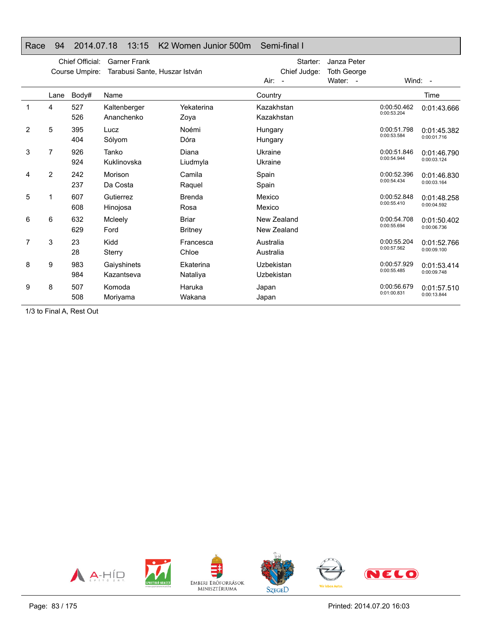|   |                | Chief Official: | <b>Garner Frank</b>           |                | Starter:                           | Janza Peter        |             |             |
|---|----------------|-----------------|-------------------------------|----------------|------------------------------------|--------------------|-------------|-------------|
|   |                | Course Umpire:  | Tarabusi Sante, Huszar István |                | Chief Judge:                       | <b>Toth George</b> |             |             |
|   |                |                 |                               |                | Water: -<br>Air:<br>$\overline{a}$ |                    | Wind: $-$   |             |
|   | Lane           | Body#           | Name                          |                | Country                            |                    |             | Time        |
| 1 | 4              | 527             | Kaltenberger                  | Yekaterina     | Kazakhstan                         |                    | 0:00:50.462 | 0:01:43.666 |
|   |                | 526             | Ananchenko                    | Zoya           | Kazakhstan                         |                    | 0:00:53.204 |             |
| 2 | 5              | 395             | Lucz                          | Noémi          | Hungary                            |                    | 0:00:51.798 | 0:01:45.382 |
|   |                | 404             | Sólyom                        | Dóra           | Hungary                            |                    | 0:00:53.584 | 0:00:01.716 |
| 3 | 7              | 926             | Tanko                         | Diana          | Ukraine                            |                    | 0:00:51.846 | 0:01:46.790 |
|   |                | 924             | Kuklinovska                   | Liudmyla       | Ukraine                            |                    | 0:00:54.944 | 0:00:03.124 |
| 4 | $\overline{2}$ | 242             | Morison                       | Camila         | Spain                              |                    | 0:00:52.396 | 0:01:46.830 |
|   |                | 237             | Da Costa                      | Raquel         | Spain                              |                    | 0:00:54.434 | 0:00:03.164 |
| 5 | 1              | 607             | Gutierrez                     | <b>Brenda</b>  | Mexico                             |                    | 0:00:52.848 | 0:01:48.258 |
|   |                | 608             | Hinojosa                      | Rosa           | Mexico                             |                    | 0:00:55.410 | 0:00:04.592 |
| 6 | 6              | 632             | Mcleely                       | <b>Briar</b>   | New Zealand                        |                    | 0:00:54.708 | 0:01:50.402 |
|   |                | 629             | Ford                          | <b>Britney</b> | New Zealand                        |                    | 0:00:55.694 | 0:00:06.736 |
| 7 | 3              | 23              | Kidd                          | Francesca      | Australia                          |                    | 0:00:55.204 | 0:01:52.766 |
|   |                | 28              | Sterry                        | Chloe          | Australia                          |                    | 0:00:57.562 | 0:00:09.100 |
| 8 | 9              | 983             | Gaiyshinets                   | Ekaterina      | Uzbekistan                         |                    | 0:00:57.929 | 0:01:53.414 |
|   |                | 984             | Kazantseva                    | Nataliya       | Uzbekistan                         |                    | 0:00:55.485 | 0:00:09.748 |
| 9 | 8              | 507             | Komoda                        | Haruka         | Japan                              |                    | 0:00:56.679 | 0:01:57.510 |
|   |                | 508             | Moriyama                      | Wakana         | Japan                              |                    | 0:01:00.831 | 0:00:13.844 |
|   |                |                 |                               |                |                                    |                    |             |             |

#### Race 94 2014.07.18 13:15 K2 Women Junior 500m Semi-final I

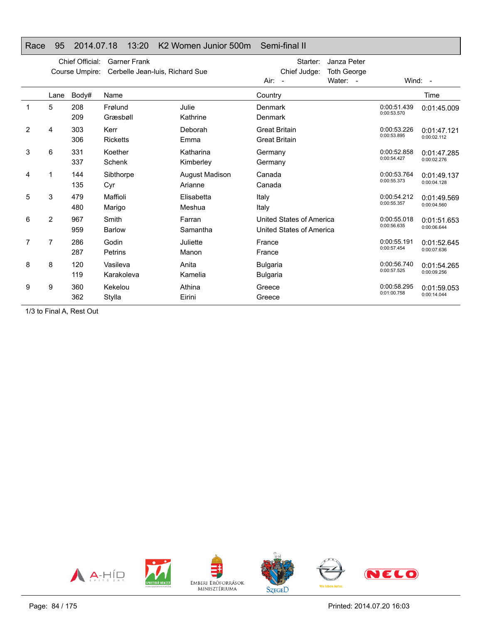|   |                | Chief Official: | <b>Garner Frank</b>             |                           | Janza Peter<br>Starter:                                  |                            |                            |
|---|----------------|-----------------|---------------------------------|---------------------------|----------------------------------------------------------|----------------------------|----------------------------|
|   |                | Course Umpire:  | Cerbelle Jean-luis, Richard Sue |                           | Chief Judge:<br><b>Toth George</b><br>Water: -<br>Air: - | Wind: -                    |                            |
|   | Lane           | Body#           | Name                            |                           | Country                                                  |                            | Time                       |
|   | 5              | 208<br>209      | Frølund<br>Græsbøll             | Julie<br>Kathrine         | Denmark<br>Denmark                                       | 0:00:51.439<br>0:00:53.570 | 0:01:45.009                |
| 2 | 4              | 303<br>306      | Kerr<br><b>Ricketts</b>         | Deborah<br>Emma           | <b>Great Britain</b><br><b>Great Britain</b>             | 0:00:53.226<br>0:00:53.895 | 0:01:47.121<br>0:00:02.112 |
| 3 | 6              | 331<br>337      | Koether<br>Schenk               | Katharina<br>Kimberley    | Germany<br>Germany                                       | 0:00:52.858<br>0:00:54.427 | 0:01:47.285<br>0:00:02.276 |
| 4 | 1              | 144<br>135      | Sibthorpe<br>Cyr                | August Madison<br>Arianne | Canada<br>Canada                                         | 0:00:53.764<br>0:00:55.373 | 0:01:49.137<br>0:00:04.128 |
| 5 | 3              | 479<br>480      | Maffioli<br>Marigo              | Elisabetta<br>Meshua      | Italy<br>Italy                                           | 0:00:54.212<br>0:00:55.357 | 0:01:49.569<br>0:00:04.560 |
| 6 | 2              | 967<br>959      | Smith<br><b>Barlow</b>          | Farran<br>Samantha        | United States of America<br>United States of America     | 0:00:55.018<br>0:00:56.635 | 0:01:51.653<br>0:00:06.644 |
| 7 | $\overline{7}$ | 286<br>287      | Godin<br>Petrins                | Juliette<br>Manon         | France<br>France                                         | 0:00:55.191<br>0:00:57.454 | 0:01:52.645<br>0:00:07.636 |
| 8 | 8              | 120<br>119      | Vasileva<br>Karakoleva          | Anita<br>Kamelia          | <b>Bulgaria</b><br><b>Bulgaria</b>                       | 0:00:56.740<br>0:00:57.525 | 0:01:54.265<br>0:00:09.256 |
| 9 | 9              | 360<br>362      | Kekelou<br>Stylla               | Athina<br>Eirini          | Greece<br>Greece                                         | 0:00:58.295<br>0:01:00.758 | 0:01:59.053<br>0:00:14.044 |

Race 95 2014.07.18 13:20 K2 Women Junior 500m Semi-final II

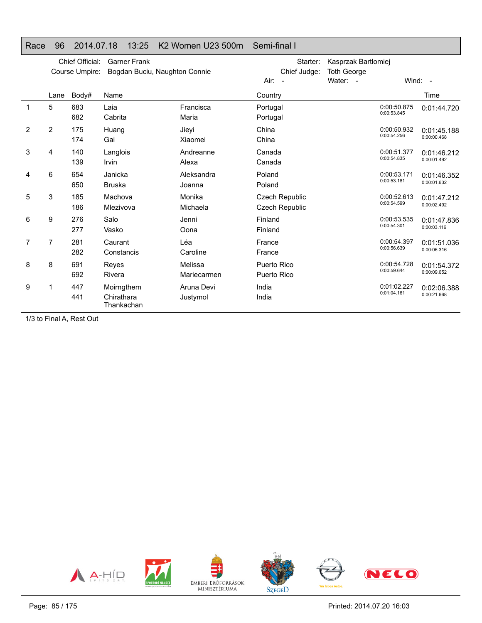## Race 96 2014.07.18 13:25 K2 Women U23 500m Semi-final I

|   |                | Chief Official:<br>Course Umpire: | <b>Garner Frank</b><br>Bogdan Buciu, Naughton Connie |                        | Starter:<br>Chief Judge:         | Kasprzak Bartlomiej<br><b>Toth George</b> |                            |                            |
|---|----------------|-----------------------------------|------------------------------------------------------|------------------------|----------------------------------|-------------------------------------------|----------------------------|----------------------------|
|   |                |                                   |                                                      |                        | Air: -                           | Water: -                                  | Wind: -                    |                            |
|   | Lane           | Body#                             | Name                                                 |                        | Country                          |                                           |                            | Time                       |
| 1 | 5              | 683<br>682                        | Laia<br>Cabrita                                      | Francisca<br>Maria     | Portugal<br>Portugal             |                                           | 0:00:50.875<br>0:00:53.845 | 0:01:44.720                |
| 2 | $\overline{2}$ | 175<br>174                        | Huang<br>Gai                                         | Jieyi<br>Xiaomei       | China<br>China                   |                                           | 0:00:50.932<br>0:00:54.256 | 0:01:45.188<br>0:00:00.468 |
| 3 | 4              | 140<br>139                        | Langlois<br>Irvin                                    | Andreanne<br>Alexa     | Canada<br>Canada                 |                                           | 0:00:51.377<br>0:00:54.835 | 0:01:46.212<br>0:00:01.492 |
| 4 | 6              | 654<br>650                        | Janicka<br><b>Bruska</b>                             | Aleksandra<br>Joanna   | Poland<br>Poland                 |                                           | 0:00:53.171<br>0:00:53.181 | 0:01:46.352<br>0:00:01.632 |
| 5 | 3              | 185<br>186                        | Machova<br>Mlezivova                                 | Monika<br>Michaela     | Czech Republic<br>Czech Republic |                                           | 0:00:52.613<br>0:00:54.599 | 0:01:47.212<br>0:00:02.492 |
| 6 | 9              | 276<br>277                        | Salo<br>Vasko                                        | Jenni<br>Oona          | Finland<br>Finland               |                                           | 0:00:53.535<br>0:00:54.301 | 0:01:47.836<br>0:00:03.116 |
| 7 | 7              | 281<br>282                        | Caurant<br>Constancis                                | Léa<br>Caroline        | France<br>France                 |                                           | 0:00:54.397<br>0:00:56.639 | 0:01:51.036<br>0:00:06.316 |
| 8 | 8              | 691<br>692                        | Reyes<br>Rivera                                      | Melissa<br>Mariecarmen | Puerto Rico<br>Puerto Rico       |                                           | 0:00:54.728<br>0:00:59.644 | 0:01:54.372<br>0:00:09.652 |
| 9 | 1              | 447<br>441                        | Moirngthem<br>Chirathara<br>Thankachan               | Aruna Devi<br>Justymol | India<br>India                   |                                           | 0:01:02.227<br>0:01:04.161 | 0:02:06.388<br>0:00:21.668 |

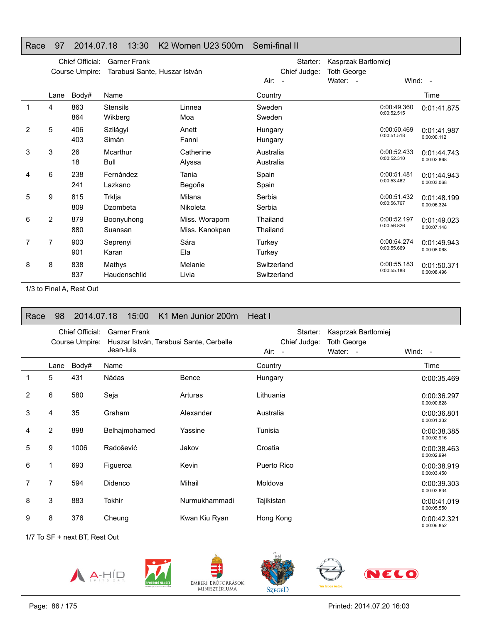## Race 97 2014.07.18 13:30 K2 Women U23 500m Semi-final II

|   |                | Chief Official:<br>Course Umpire: | <b>Garner Frank</b><br>Tarabusi Sante, Huszar István |                |                    | Starter:<br>Chief Judge: | Kasprzak Bartlomiej<br><b>Toth George</b> |                            |             |
|---|----------------|-----------------------------------|------------------------------------------------------|----------------|--------------------|--------------------------|-------------------------------------------|----------------------------|-------------|
|   |                |                                   |                                                      |                | Air:<br>$\sim$ $-$ |                          | Water: -                                  |                            | Wind: -     |
|   | Lane           | Body#                             | Name                                                 |                | Country            |                          |                                           |                            | Time        |
| 1 | 4              | 863                               | <b>Stensils</b>                                      | Linnea         | Sweden             |                          |                                           | 0:00:49.360<br>0:00:52.515 | 0:01:41.875 |
|   |                | 864                               | Wikberg                                              | Moa            | Sweden             |                          |                                           |                            |             |
| 2 | 5              | 406                               | Szilágyi                                             | Anett          | Hungary            |                          |                                           | 0:00:50.469                | 0:01:41.987 |
|   |                | 403                               | Simán                                                | Fanni          | Hungary            |                          |                                           | 0:00:51.518                | 0:00:00.112 |
| 3 | 3              | 26                                | Mcarthur                                             | Catherine      | Australia          |                          |                                           | 0:00:52.433                | 0:01:44.743 |
|   |                | 18                                | Bull                                                 | Alyssa         | Australia          |                          |                                           | 0:00:52.310                | 0:00:02.868 |
| 4 | 6              | 238                               | Fernández                                            | Tania          | Spain              |                          |                                           | 0:00:51.481                | 0:01:44.943 |
|   |                | 241                               | Lazkano                                              | Begoña         | Spain              |                          |                                           | 0:00:53.462                | 0:00:03.068 |
| 5 | 9              | 815                               | Trklja                                               | Milana         | Serbia             |                          |                                           | 0:00:51.432                | 0:01:48.199 |
|   |                | 809                               | Dzombeta                                             | Nikoleta       | Serbia             |                          |                                           | 0:00:56.767                | 0:00:06.324 |
| 6 | $\overline{2}$ | 879                               | Boonyuhong                                           | Miss. Woraporn | Thailand           |                          |                                           | 0:00:52.197                | 0:01:49.023 |
|   |                | 880                               | Suansan                                              | Miss. Kanokpan | Thailand           |                          |                                           | 0:00:56.826                | 0:00:07.148 |
| 7 | 7              | 903                               | Seprenyi                                             | Sára           | Turkey             |                          |                                           | 0:00:54.274                | 0:01:49.943 |
|   |                | 901                               | Karan                                                | Ela            | Turkey             |                          |                                           | 0:00:55.669                | 0:00:08.068 |
| 8 | 8              | 838                               | Mathys                                               | Melanie        | Switzerland        |                          |                                           | 0:00:55.183                | 0:01:50.371 |
|   |                | 837                               | Haudenschlid                                         | Livia          | Switzerland        |                          |                                           | 0:00:55.188                | 0:00:08.496 |
|   |                |                                   |                                                      |                |                    |                          |                                           |                            |             |

1/3 to Final A, Rest Out

| Race | 98   | 2014.07.18                        | 15:00                            | K1 Men Junior 200m                      | Heat I                             |                                                |                            |
|------|------|-----------------------------------|----------------------------------|-----------------------------------------|------------------------------------|------------------------------------------------|----------------------------|
|      |      | Chief Official:<br>Course Umpire: | <b>Garner Frank</b><br>Jean-luis | Huszar István, Tarabusi Sante, Cerbelle | Starter:<br>Chief Judge:<br>Air: - | Kasprzak Bartlomiej<br>Toth George<br>Water: - | Wind: -                    |
|      | Lane | Body#                             | Name                             |                                         | Country                            |                                                | Time                       |
|      | 5    | 431                               | Nádas                            | Bence                                   | Hungary                            |                                                | 0:00:35.469                |
| 2    | 6    | 580                               | Seja                             | Arturas                                 | Lithuania                          |                                                | 0:00:36.297<br>0:00:00.828 |
| 3    | 4    | 35                                | Graham                           | Alexander                               | Australia                          |                                                | 0:00:36.801<br>0:00:01.332 |
| 4    | 2    | 898                               | Belhajmohamed                    | Yassine                                 | Tunisia                            |                                                | 0:00:38.385<br>0:00:02.916 |
| 5    | 9    | 1006                              | Radošević                        | Jakov                                   | Croatia                            |                                                | 0:00:38.463<br>0:00:02.994 |
| 6    | 1    | 693                               | Figueroa                         | Kevin                                   | Puerto Rico                        |                                                | 0:00:38.919<br>0:00:03.450 |
| 7    | 7    | 594                               | Didenco                          | Mihail                                  | Moldova                            |                                                | 0:00:39.303<br>0:00:03.834 |
| 8    | 3    | 883                               | <b>Tokhir</b>                    | Nurmukhammadi                           | Tajikistan                         |                                                | 0:00:41.019<br>0:00:05.550 |
| 9    | 8    | 376                               | Cheung                           | Kwan Kiu Ryan                           | Hong Kong                          |                                                | 0:00:42.321<br>0:00:06.852 |









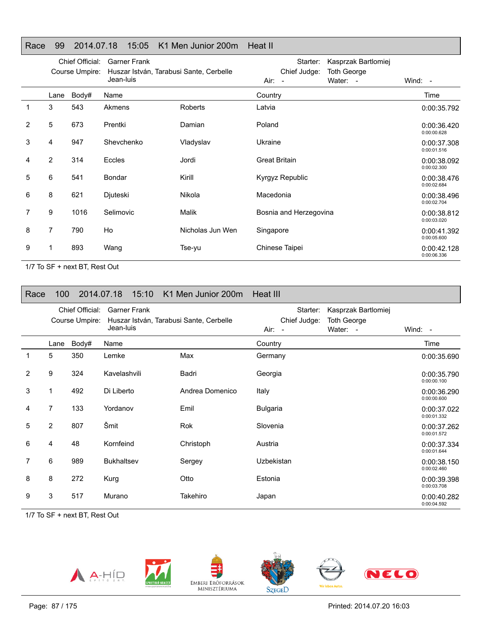## Race 99 2014.07.18 15:05 K1 Men Junior 200m Heat II

|   |      | Chief Official:<br>Course Umpire: | <b>Garner Frank</b><br>Huszar István, Tarabusi Sante, Cerbelle |                  | Kasprzak Bartlomiej<br>Starter:<br>Chief Judge:<br><b>Toth George</b> |                            |
|---|------|-----------------------------------|----------------------------------------------------------------|------------------|-----------------------------------------------------------------------|----------------------------|
|   |      |                                   | Jean-luis                                                      |                  | Water: -<br>Air: -                                                    | Wind: -                    |
|   | Lane | Body#                             | Name                                                           |                  | Country                                                               | Time                       |
|   | 3    | 543                               | Akmens                                                         | Roberts          | Latvia                                                                | 0:00:35.792                |
| 2 | 5    | 673                               | Prentki                                                        | Damian           | Poland                                                                | 0:00:36.420<br>0:00:00.628 |
| 3 | 4    | 947                               | Shevchenko                                                     | Vladyslav        | Ukraine                                                               | 0:00:37.308<br>0:00:01.516 |
| 4 | 2    | 314                               | Eccles                                                         | Jordi            | <b>Great Britain</b>                                                  | 0:00:38.092<br>0:00:02.300 |
| 5 | 6    | 541                               | Bondar                                                         | Kirill           | Kyrgyz Republic                                                       | 0:00:38.476<br>0:00:02.684 |
| 6 | 8    | 621                               | Djuteski                                                       | Nikola           | Macedonia                                                             | 0:00:38.496<br>0:00:02.704 |
| 7 | 9    | 1016                              | Selimovic                                                      | Malik            | Bosnia and Herzegovina                                                | 0:00:38.812<br>0:00:03.020 |
| 8 | 7    | 790                               | Ho                                                             | Nicholas Jun Wen | Singapore                                                             | 0:00:41.392<br>0:00:05.600 |
| 9 |      | 893                               | Wang                                                           | Tse-yu           | Chinese Taipei                                                        | 0:00:42.128<br>0:00:06.336 |

1/7 To SF + next BT, Rest Out

| Race           | 100            |                                   | 2014.07.18<br>15:10                                                         | K1 Men Junior 200m | Heat III                           |                                                       |                            |
|----------------|----------------|-----------------------------------|-----------------------------------------------------------------------------|--------------------|------------------------------------|-------------------------------------------------------|----------------------------|
|                |                | Chief Official:<br>Course Umpire: | <b>Garner Frank</b><br>Huszar István, Tarabusi Sante, Cerbelle<br>Jean-luis |                    | Starter:<br>Chief Judge:<br>Air: - | Kasprzak Bartlomiej<br><b>Toth George</b><br>Water: - | Wind: -                    |
|                | Lane           | Body#                             | Name                                                                        |                    | Country                            |                                                       | Time                       |
| 1              | 5              | 350                               | Lemke                                                                       | Max                | Germany                            |                                                       | 0:00:35.690                |
| $\overline{2}$ | 9              | 324                               | Kavelashvili                                                                | Badri              | Georgia                            |                                                       | 0:00:35.790<br>0:00:00.100 |
| 3              |                | 492                               | Di Liberto                                                                  | Andrea Domenico    | Italy                              |                                                       | 0:00:36.290<br>0:00:00.600 |
| 4              | $\overline{7}$ | 133                               | Yordanov                                                                    | Emil               | <b>Bulgaria</b>                    |                                                       | 0:00:37.022<br>0:00:01.332 |
| 5              | $\overline{2}$ | 807                               | Šmit                                                                        | Rok                | Slovenia                           |                                                       | 0:00:37.262<br>0:00:01.572 |
| 6              | 4              | 48                                | Kornfeind                                                                   | Christoph          | Austria                            |                                                       | 0:00:37.334<br>0:00:01.644 |
| 7              | 6              | 989                               | <b>Bukhaltsev</b>                                                           | Sergey             | Uzbekistan                         |                                                       | 0:00:38.150<br>0:00:02.460 |
| 8              | 8              | 272                               | Kurg                                                                        | Otto               | Estonia                            |                                                       | 0:00:39.398<br>0:00:03.708 |
| 9              | 3              | 517                               | Murano                                                                      | Takehiro           | Japan                              |                                                       | 0:00:40.282<br>0:00:04.592 |

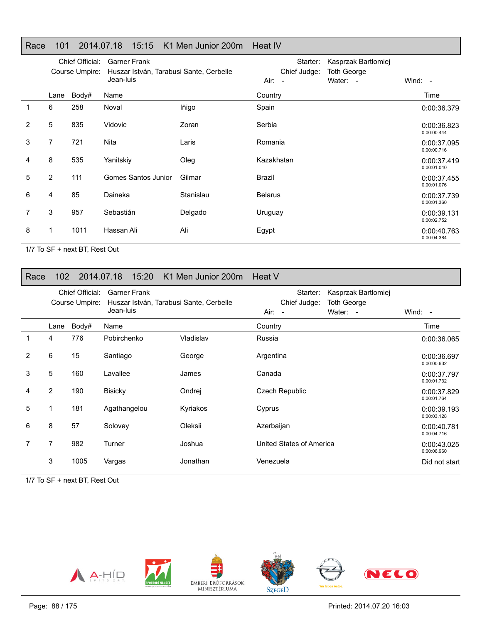## Race 101 2014.07.18 15:15 K1 Men Junior 200m Heat IV

|                |                | Chief Official:<br>Course Umpire: | <b>Garner Frank</b><br>Huszar István, Tarabusi Sante, Cerbelle |           | Starter:<br>Chief Judge: | Kasprzak Bartlomiej<br>Toth George |                            |
|----------------|----------------|-----------------------------------|----------------------------------------------------------------|-----------|--------------------------|------------------------------------|----------------------------|
|                |                |                                   | Jean-luis                                                      |           | Air: -                   | Water: -                           | Wind: -                    |
|                | Lane           | Body#                             | Name                                                           |           | Country                  |                                    | Time                       |
|                | 6              | 258                               | Noval                                                          | lñigo     | Spain                    |                                    | 0:00:36.379                |
| $\overline{2}$ | 5              | 835                               | <b>Vidovic</b>                                                 | Zoran     | Serbia                   |                                    | 0:00:36.823<br>0:00:00.444 |
| 3              | 7              | 721                               | Nita                                                           | Laris     | Romania                  |                                    | 0:00:37.095<br>0:00:00.716 |
| 4              | 8              | 535                               | Yanitskiy                                                      | Oleg      | Kazakhstan               |                                    | 0:00:37.419<br>0:00:01.040 |
| 5              | $\overline{2}$ | 111                               | Gomes Santos Junior                                            | Gilmar    | Brazil                   |                                    | 0:00:37.455<br>0:00:01.076 |
| 6              | 4              | 85                                | Daineka                                                        | Stanislau | <b>Belarus</b>           |                                    | 0:00:37.739<br>0:00:01.360 |
| 7              | 3              | 957                               | Sebastián                                                      | Delgado   | Uruguay                  |                                    | 0:00:39.131<br>0:00:02.752 |
| 8              | 1              | 1011                              | Hassan Ali                                                     | Ali       | Egypt                    |                                    | 0:00:40.763<br>0:00:04.384 |

1/7 To SF + next BT, Rest Out

### Race 102 2014.07.18 15:20 K1 Men Junior 200m Heat V

|   |                | Chief Official:<br>Course Umpire: | <b>Garner Frank</b><br>Huszar István, Tarabusi Sante, Cerbelle<br>Jean-luis |           | Starter:<br>Chief Judge:<br>Air: - | Kasprzak Bartlomiej<br><b>Toth George</b><br>Water: - | Wind: $-$                  |
|---|----------------|-----------------------------------|-----------------------------------------------------------------------------|-----------|------------------------------------|-------------------------------------------------------|----------------------------|
|   | Lane           | Body#                             | Name                                                                        |           | Country                            |                                                       | Time                       |
|   | 4              | 776                               | Pobirchenko                                                                 | Vladislav | Russia                             |                                                       | 0:00:36.065                |
| 2 | 6              | 15                                | Santiago                                                                    | George    | Argentina                          |                                                       | 0:00:36.697<br>0:00:00.632 |
| 3 | 5              | 160                               | Lavallee                                                                    | James     | Canada                             |                                                       | 0:00:37.797<br>0:00:01.732 |
| 4 | $\overline{2}$ | 190                               | <b>Bisicky</b>                                                              | Ondrej    | Czech Republic                     |                                                       | 0:00:37.829<br>0:00:01.764 |
| 5 | 1              | 181                               | Agathangelou                                                                | Kyriakos  | Cyprus                             |                                                       | 0:00:39.193<br>0:00:03.128 |
| 6 | 8              | 57                                | Solovey                                                                     | Oleksii   | Azerbaijan                         |                                                       | 0:00:40.781<br>0:00:04.716 |
|   | 7              | 982                               | Turner                                                                      | Joshua    | United States of America           |                                                       | 0:00:43.025<br>0:00:06.960 |
|   | 3              | 1005                              | Vargas                                                                      | Jonathan  | Venezuela                          |                                                       | Did not start              |

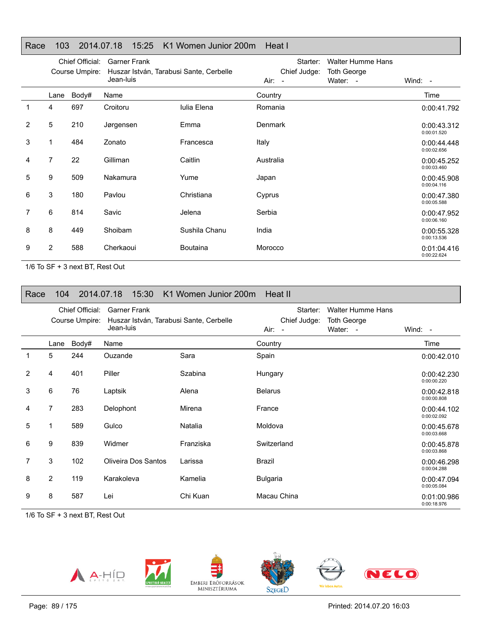## Race 103 2014.07.18 15:25 K1 Women Junior 200m Heat I

|   | Chief Official:<br>Course Umpire: |       | <b>Garner Frank</b><br>Huszar István, Tarabusi Sante, Cerbelle<br>Jean-luis |                 | Starter:<br>Chief Judge: | <b>Walter Humme Hans</b><br><b>Toth George</b> |                            |
|---|-----------------------------------|-------|-----------------------------------------------------------------------------|-----------------|--------------------------|------------------------------------------------|----------------------------|
|   |                                   |       |                                                                             |                 | Air: -                   | Water: -                                       | Wind: -                    |
|   | Lane                              | Body# | Name                                                                        |                 | Country                  |                                                | Time                       |
| 1 | 4                                 | 697   | Croitoru                                                                    | Iulia Elena     | Romania                  |                                                | 0:00:41.792                |
| 2 | 5                                 | 210   | Jørgensen                                                                   | Emma            | <b>Denmark</b>           |                                                | 0:00:43.312<br>0:00:01.520 |
| 3 | 1                                 | 484   | Zonato                                                                      | Francesca       | Italy                    |                                                | 0:00:44.448<br>0:00:02.656 |
| 4 | 7                                 | 22    | Gilliman                                                                    | Caitlin         | Australia                |                                                | 0:00:45.252<br>0:00:03.460 |
| 5 | 9                                 | 509   | Nakamura                                                                    | Yume            | Japan                    |                                                | 0:00:45.908<br>0:00:04.116 |
| 6 | 3                                 | 180   | Pavlou                                                                      | Christiana      | Cyprus                   |                                                | 0:00:47.380<br>0:00:05.588 |
| 7 | 6                                 | 814   | Savic                                                                       | Jelena          | Serbia                   |                                                | 0:00:47.952<br>0:00:06.160 |
| 8 | 8                                 | 449   | Shoibam                                                                     | Sushila Chanu   | India                    |                                                | 0:00:55.328<br>0:00:13.536 |
| 9 | 2                                 | 588   | Cherkaoui                                                                   | <b>Boutaina</b> | Morocco                  |                                                | 0:01:04.416<br>0:00:22.624 |

1/6 To SF + 3 next BT, Rest Out

| Race           | 104            |                                   | 2014.07.18<br>15:30                                                         | K1 Women Junior 200m Heat II |                                    |                                                            |                            |
|----------------|----------------|-----------------------------------|-----------------------------------------------------------------------------|------------------------------|------------------------------------|------------------------------------------------------------|----------------------------|
|                |                | Chief Official:<br>Course Umpire: | <b>Garner Frank</b><br>Huszar István, Tarabusi Sante, Cerbelle<br>Jean-luis |                              | Starter:<br>Chief Judge:<br>Air: - | <b>Walter Humme Hans</b><br><b>Toth George</b><br>Water: - | Wind: $-$                  |
|                | Lane           | Body#                             | Name                                                                        |                              | Country                            |                                                            | Time                       |
| 1              | 5              | 244                               | Ouzande                                                                     | Sara                         | Spain                              |                                                            | 0:00:42.010                |
| $\overline{2}$ | 4              | 401                               | Piller                                                                      | Szabina                      | Hungary                            |                                                            | 0:00:42.230<br>0:00:00.220 |
| 3              | 6              | 76                                | Laptsik                                                                     | Alena                        | <b>Belarus</b>                     |                                                            | 0:00:42.818<br>0:00:00.808 |
| 4              | $\overline{7}$ | 283                               | Delophont                                                                   | Mirena                       | France                             |                                                            | 0:00:44.102<br>0:00:02.092 |
| 5              |                | 589                               | Gulco                                                                       | Natalia                      | Moldova                            |                                                            | 0:00:45.678<br>0:00:03.668 |
| 6              | 9              | 839                               | Widmer                                                                      | Franziska                    | Switzerland                        |                                                            | 0:00:45.878<br>0:00:03.868 |
| 7              | 3              | 102                               | <b>Oliveira Dos Santos</b>                                                  | Larissa                      | <b>Brazil</b>                      |                                                            | 0:00:46.298<br>0:00:04.288 |
| 8              | $\overline{2}$ | 119                               | Karakoleva                                                                  | Kamelia                      | <b>Bulgaria</b>                    |                                                            | 0:00:47.094<br>0:00:05.084 |
| 9              | 8              | 587                               | Lei                                                                         | Chi Kuan                     | Macau China                        |                                                            | 0:01:00.986<br>0:00:18.976 |



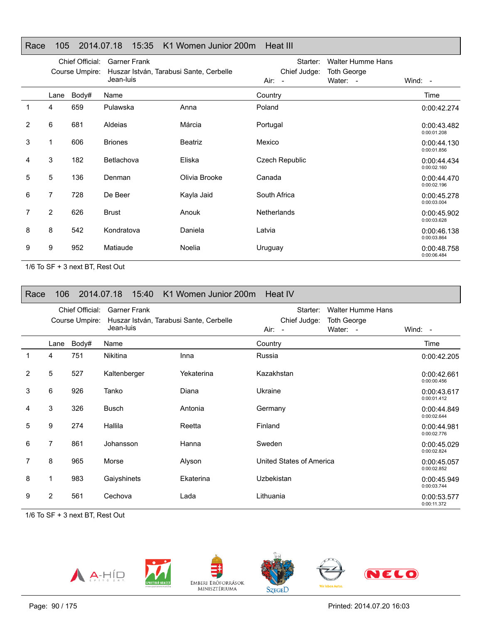## Race 105 2014.07.18 15:35 K1 Women Junior 200m Heat III

|   | Chief Official:<br>Course Umpire: |       | <b>Garner Frank</b><br>Huszar István, Tarabusi Sante, Cerbelle<br>Jean-luis |                | Starter:<br>Chief Judge: |          |                            |
|---|-----------------------------------|-------|-----------------------------------------------------------------------------|----------------|--------------------------|----------|----------------------------|
|   |                                   |       |                                                                             |                | $Air: -$                 | Water: - | Wind: -                    |
|   | Lane                              | Body# | Name                                                                        |                | Country                  |          | Time                       |
| 1 | 4                                 | 659   | Pulawska                                                                    | Anna           | Poland                   |          | 0:00:42.274                |
| 2 | 6                                 | 681   | Aldeias                                                                     | Márcia         | Portugal                 |          | 0:00:43.482<br>0:00:01.208 |
| 3 |                                   | 606   | <b>Briones</b>                                                              | <b>Beatriz</b> | Mexico                   |          | 0:00:44.130<br>0:00:01.856 |
| 4 | 3                                 | 182   | Betlachova                                                                  | Eliska         | Czech Republic           |          | 0:00:44.434<br>0:00:02.160 |
| 5 | 5                                 | 136   | Denman                                                                      | Olivia Brooke  | Canada                   |          | 0:00:44.470<br>0:00:02.196 |
| 6 | 7                                 | 728   | De Beer                                                                     | Kayla Jaid     | South Africa             |          | 0:00:45.278<br>0:00:03.004 |
| 7 | 2                                 | 626   | <b>Brust</b>                                                                | Anouk          | <b>Netherlands</b>       |          | 0:00:45.902<br>0:00:03.628 |
| 8 | 8                                 | 542   | Kondratova                                                                  | Daniela        | Latvia                   |          | 0:00:46.138<br>0:00:03.864 |
| 9 | 9                                 | 952   | Matiaude                                                                    | Noelia         | Uruguay                  |          | 0:00:48.758<br>0:00:06.484 |

1/6 To SF + 3 next BT, Rest Out

| Race           | 106 <sup>°</sup> |                                   |                                                                             | 2014.07.18    15:40    K1 Women Junior 200m    Heat IV |                                                                                                                  |                            |
|----------------|------------------|-----------------------------------|-----------------------------------------------------------------------------|--------------------------------------------------------|------------------------------------------------------------------------------------------------------------------|----------------------------|
|                |                  | Chief Official:<br>Course Umpire: | <b>Garner Frank</b><br>Huszar István, Tarabusi Sante, Cerbelle<br>Jean-luis |                                                        | <b>Walter Humme Hans</b><br>Starter:<br>Chief Judge:<br><b>Toth George</b><br>Water: -<br>Air:<br>$\blacksquare$ | Wind: -                    |
|                | Lane             | Body#                             | Name                                                                        |                                                        | Country                                                                                                          | Time                       |
| 1              | 4                | 751                               | <b>Nikitina</b>                                                             | Inna                                                   | Russia                                                                                                           | 0:00:42.205                |
| $\overline{2}$ | 5                | 527                               | Kaltenberger                                                                | Yekaterina                                             | Kazakhstan                                                                                                       | 0:00:42.661<br>0:00:00.456 |
| 3              | 6                | 926                               | Tanko                                                                       | Diana                                                  | Ukraine                                                                                                          | 0:00:43.617<br>0:00:01.412 |
| 4              | 3                | 326                               | <b>Busch</b>                                                                | Antonia                                                | Germany                                                                                                          | 0:00:44.849<br>0:00:02.644 |
| 5              | 9                | 274                               | Hallila                                                                     | Reetta                                                 | Finland                                                                                                          | 0:00:44.981<br>0:00:02.776 |
| 6              | 7                | 861                               | Johansson                                                                   | Hanna                                                  | Sweden                                                                                                           | 0:00:45.029<br>0:00:02.824 |
| 7              | 8                | 965                               | Morse                                                                       | Alyson                                                 | United States of America                                                                                         | 0:00:45.057<br>0:00:02.852 |
| 8              | 1                | 983                               | Gaiyshinets                                                                 | Ekaterina                                              | Uzbekistan                                                                                                       | 0:00:45.949<br>0:00:03.744 |
| 9              | $\overline{2}$   | 561                               | Cechova                                                                     | Lada                                                   | Lithuania                                                                                                        | 0:00:53.577<br>0:00:11.372 |

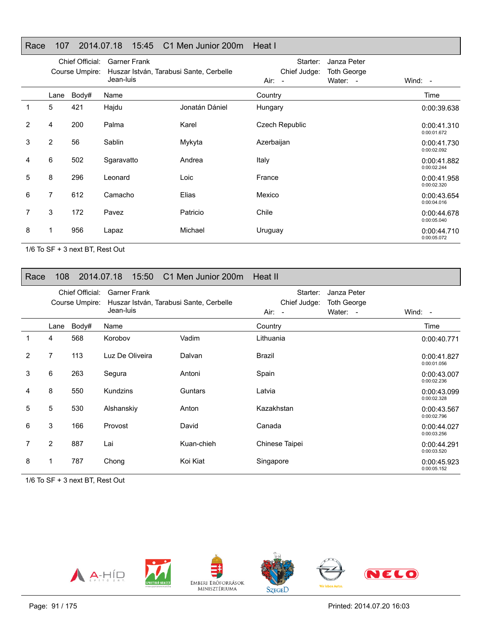## Race 107 2014.07.18 15:45 C1 Men Junior 200m Heat I

|                | Chief Official:<br>Course Umpire: |       | <b>Garner Frank</b><br>Huszar István, Tarabusi Sante, Cerbelle<br>Jean-luis |                | Starter:<br>Chief Judge:<br>Air:<br>$\sim$ | Janza Peter<br><b>Toth George</b><br>Water: - | Wind: $-$                  |
|----------------|-----------------------------------|-------|-----------------------------------------------------------------------------|----------------|--------------------------------------------|-----------------------------------------------|----------------------------|
|                | Lane                              | Body# | Name                                                                        |                | Country                                    |                                               | Time                       |
| 1              | 5                                 | 421   | Hajdu                                                                       | Jonatán Dániel | Hungary                                    |                                               | 0:00:39.638                |
| $\overline{2}$ | 4                                 | 200   | Palma                                                                       | Karel          | <b>Czech Republic</b>                      |                                               | 0:00:41.310<br>0:00:01.672 |
| 3              | $\overline{2}$                    | 56    | Sablin                                                                      | Mykyta         | Azerbaijan                                 |                                               | 0:00:41.730<br>0:00:02.092 |
| 4              | 6                                 | 502   | Sgaravatto                                                                  | Andrea         | Italy                                      |                                               | 0:00:41.882<br>0:00:02.244 |
| 5              | 8                                 | 296   | Leonard                                                                     | Loic           | France                                     |                                               | 0:00:41.958<br>0:00:02.320 |
| 6              | 7                                 | 612   | Camacho                                                                     | Elias          | Mexico                                     |                                               | 0:00:43.654<br>0:00:04.016 |
| 7              | 3                                 | 172   | Pavez                                                                       | Patricio       | Chile                                      |                                               | 0:00:44.678<br>0:00:05.040 |
| 8              |                                   | 956   | Lapaz                                                                       | Michael        | Uruguay                                    |                                               | 0:00:44.710<br>0:00:05.072 |

1/6 To SF + 3 next BT, Rest Out

### Race 108 2014.07.18 15:50 C1 Men Junior 200m Heat II

|                | Chief Official:<br>Course Umpire: |       | <b>Garner Frank</b><br>Huszar István, Tarabusi Sante, Cerbelle<br>Jean-luis |            | Starter:<br>Janza Peter<br>Chief Judge:<br><b>Toth George</b><br>Water: -<br>Air: - |  | Wind: $-$                  |
|----------------|-----------------------------------|-------|-----------------------------------------------------------------------------|------------|-------------------------------------------------------------------------------------|--|----------------------------|
|                | Lane                              | Body# | Name                                                                        |            | Country                                                                             |  | Time                       |
|                | 4                                 | 568   | Korobov                                                                     | Vadim      | Lithuania                                                                           |  | 0:00:40.771                |
| $\overline{2}$ | 7                                 | 113   | Luz De Oliveira                                                             | Dalvan     | Brazil                                                                              |  | 0:00:41.827<br>0:00:01.056 |
| 3              | 6                                 | 263   | Segura                                                                      | Antoni     | Spain                                                                               |  | 0:00:43.007<br>0:00:02.236 |
| 4              | 8                                 | 550   | Kundzins                                                                    | Guntars    | Latvia                                                                              |  | 0:00:43.099<br>0:00:02.328 |
| 5              | 5                                 | 530   | Alshanskiy                                                                  | Anton      | Kazakhstan                                                                          |  | 0:00:43.567<br>0:00:02.796 |
| 6              | 3                                 | 166   | Provost                                                                     | David      | Canada                                                                              |  | 0:00:44.027<br>0:00:03.256 |
|                | $\overline{2}$                    | 887   | Lai                                                                         | Kuan-chieh | Chinese Taipei                                                                      |  | 0:00:44.291<br>0:00:03.520 |
| 8              | 1                                 | 787   | Chong                                                                       | Koi Kiat   | Singapore                                                                           |  | 0:00:45.923<br>0:00:05.152 |

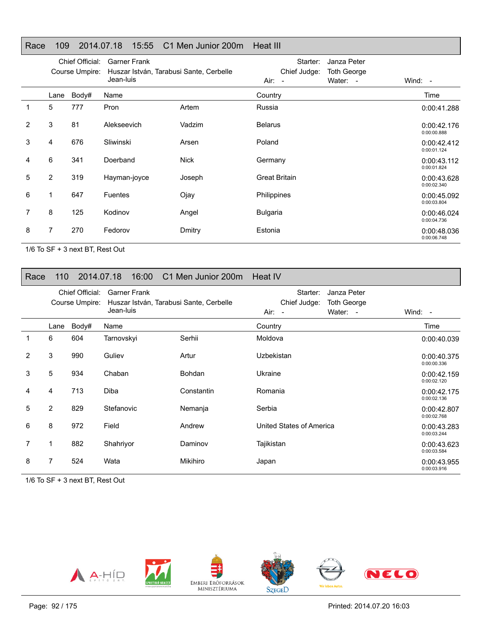#### Race 109 2014.07.18 15:55 C1 Men Junior 200m Heat III

|   | Chief Official:<br>Course Umpire: |       | <b>Garner Frank</b><br>Huszar István, Tarabusi Sante, Cerbelle<br>Jean-luis |             | Starter:<br>Chief Judge:<br>Air: - | Janza Peter<br><b>Toth George</b><br>Water: - | Wind: $-$                  |
|---|-----------------------------------|-------|-----------------------------------------------------------------------------|-------------|------------------------------------|-----------------------------------------------|----------------------------|
|   | Lane                              | Body# | Name                                                                        |             | Country                            |                                               | Time                       |
| 1 | 5                                 | 777   | Pron                                                                        | Artem       | Russia                             |                                               | 0:00:41.288                |
| 2 | 3                                 | 81    | Alekseevich                                                                 | Vadzim      | <b>Belarus</b>                     |                                               | 0:00:42.176<br>0:00:00.888 |
| 3 | 4                                 | 676   | Sliwinski                                                                   | Arsen       | Poland                             |                                               | 0:00:42.412<br>0:00:01.124 |
| 4 | 6                                 | 341   | Doerband                                                                    | <b>Nick</b> | Germany                            |                                               | 0:00:43.112<br>0:00:01.824 |
| 5 | $\overline{2}$                    | 319   | Hayman-joyce                                                                | Joseph      | <b>Great Britain</b>               |                                               | 0:00:43.628<br>0:00:02.340 |
| 6 | 1                                 | 647   | <b>Fuentes</b>                                                              | Ojay        | Philippines                        |                                               | 0:00:45.092<br>0:00:03.804 |
| 7 | 8                                 | 125   | Kodinov                                                                     | Angel       | <b>Bulgaria</b>                    |                                               | 0:00:46.024<br>0:00:04.736 |
| 8 | 7                                 | 270   | Fedorov                                                                     | Dmitry      | Estonia                            |                                               | 0:00:48.036<br>0:00:06.748 |

1/6 To SF + 3 next BT, Rest Out

### Race 110 2014.07.18 16:00 C1 Men Junior 200m Heat IV

|                |                | Chief Official:<br>Course Umpire: | <b>Garner Frank</b><br>Huszar István, Tarabusi Sante, Cerbelle<br>Jean-luis |               | Starter:<br>Janza Peter<br>Chief Judge:<br><b>Toth George</b><br>Water: -<br>Air:<br>$\sim$ | Wind: $-$                  |
|----------------|----------------|-----------------------------------|-----------------------------------------------------------------------------|---------------|---------------------------------------------------------------------------------------------|----------------------------|
|                | Lane           | Body#                             | Name                                                                        |               | Country                                                                                     | Time                       |
|                | 6              | 604                               | Tarnovskyi                                                                  | Serhii        | Moldova                                                                                     | 0:00:40.039                |
| $\overline{2}$ | 3              | 990                               | Guliev                                                                      | Artur         | Uzbekistan                                                                                  | 0:00:40.375<br>0:00:00.336 |
| 3              | 5              | 934                               | Chaban                                                                      | <b>Bohdan</b> | Ukraine                                                                                     | 0:00:42.159<br>0:00:02.120 |
| 4              | 4              | 713                               | Diba                                                                        | Constantin    | Romania                                                                                     | 0:00:42.175<br>0:00:02.136 |
| 5              | $\overline{2}$ | 829                               | Stefanovic                                                                  | Nemanja       | Serbia                                                                                      | 0:00:42.807<br>0:00:02.768 |
| 6              | 8              | 972                               | Field                                                                       | Andrew        | United States of America                                                                    | 0:00:43.283<br>0:00:03.244 |
| 7              | 1              | 882                               | Shahriyor                                                                   | Daminov       | Tajikistan                                                                                  | 0:00:43.623<br>0:00:03.584 |
| 8              | 7              | 524                               | Wata                                                                        | Mikihiro      | Japan                                                                                       | 0:00:43.955<br>0:00:03.916 |

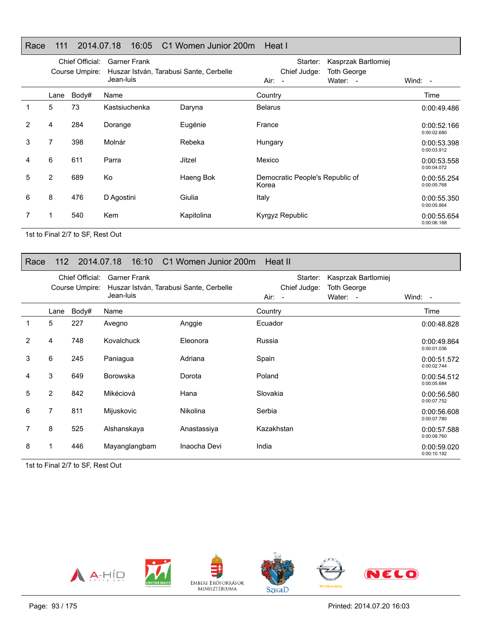## Race 111 2014.07.18 16:05 C1 Women Junior 200m Heat I

|   | Chief Official:<br>Course Umpire: |       | <b>Garner Frank</b><br>Huszar István, Tarabusi Sante, Cerbelle<br>Jean-luis |            | Starter:<br>Chief Judge:<br>$Air: -$     | Kasprzak Bartlomiej<br>Toth George<br>Water: - | Wind: -                    |
|---|-----------------------------------|-------|-----------------------------------------------------------------------------|------------|------------------------------------------|------------------------------------------------|----------------------------|
|   | Lane                              | Body# | Name                                                                        |            | Country                                  |                                                | Time                       |
| 1 | 5                                 | 73    | Kastsiuchenka                                                               | Daryna     | <b>Belarus</b>                           |                                                | 0:00:49.486                |
| 2 | 4                                 | 284   | Dorange                                                                     | Eugénie    | France                                   |                                                | 0:00:52.166<br>0:00:02.680 |
| 3 | 7                                 | 398   | Molnár                                                                      | Rebeka     | Hungary                                  |                                                | 0:00:53.398<br>0:00:03.912 |
| 4 | 6                                 | 611   | Parra                                                                       | Jitzel     | Mexico                                   |                                                | 0:00:53.558<br>0:00:04.072 |
| 5 | $\overline{2}$                    | 689   | Ko                                                                          | Haeng Bok  | Democratic People's Republic of<br>Korea |                                                | 0:00:55.254<br>0:00:05.768 |
| 6 | 8                                 | 476   | D Agostini                                                                  | Giulia     | Italy                                    |                                                | 0:00:55.350<br>0:00:05.864 |
|   | 1                                 | 540   | <b>Kem</b>                                                                  | Kapitolina | Kyrgyz Republic                          |                                                | 0:00:55.654<br>0:00:06.168 |

1st to Final 2/7 to SF, Rest Out

### Race 112 2014.07.18 16:10 C1 Women Junior 200m Heat II

|   | Chief Official:<br>Course Umpire: |       | <b>Garner Frank</b><br>Huszar István, Tarabusi Sante, Cerbelle<br>Jean-luis |              | Starter:<br>Chief Judge:<br>Air: - | Kasprzak Bartlomiej<br><b>Toth George</b><br>Water: - | Wind: $-$                  |
|---|-----------------------------------|-------|-----------------------------------------------------------------------------|--------------|------------------------------------|-------------------------------------------------------|----------------------------|
|   | Lane                              | Body# | Name                                                                        |              | Country                            |                                                       | Time                       |
|   | 5                                 | 227   | Avegno                                                                      | Anggie       | Ecuador                            |                                                       | 0:00:48.828                |
| 2 | 4                                 | 748   | Kovalchuck                                                                  | Eleonora     | Russia                             |                                                       | 0:00:49.864<br>0:00:01.036 |
| 3 | 6                                 | 245   | Paniagua                                                                    | Adriana      | Spain                              |                                                       | 0:00:51.572<br>0:00:02.744 |
| 4 | 3                                 | 649   | <b>Borowska</b>                                                             | Dorota       | Poland                             |                                                       | 0:00:54.512<br>0:00:05.684 |
| 5 | 2                                 | 842   | Mikéciová                                                                   | Hana         | Slovakia                           |                                                       | 0:00:56.580<br>0:00:07.752 |
| 6 | 7                                 | 811   | Mijuskovic                                                                  | Nikolina     | Serbia                             |                                                       | 0:00:56.608<br>0:00:07.780 |
| 7 | 8                                 | 525   | Alshanskaya                                                                 | Anastassiya  | Kazakhstan                         |                                                       | 0:00:57.588<br>0:00:08.760 |
| 8 |                                   | 446   | Mayanglangbam                                                               | Inaocha Devi | India                              |                                                       | 0:00:59.020<br>0:00:10.192 |

1st to Final 2/7 to SF, Rest Out

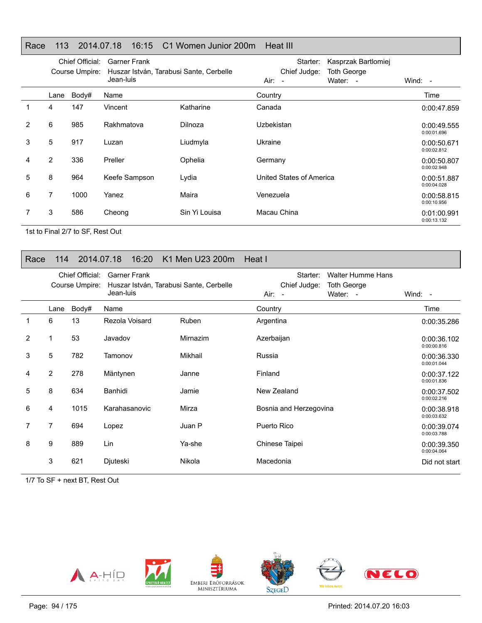## Race 113 2014.07.18 16:15 C1 Women Junior 200m Heat III

|   |                | Chief Official:<br>Course Umpire: | <b>Garner Frank</b><br>Huszar István, Tarabusi Sante, Cerbelle<br>Jean-luis |               | Starter:<br>Chief Judge:<br>$Air: -$ | Kasprzak Bartlomiej<br>Toth George<br>Water: - | Wind: -                    |
|---|----------------|-----------------------------------|-----------------------------------------------------------------------------|---------------|--------------------------------------|------------------------------------------------|----------------------------|
|   | Lane           | Body#                             | Name                                                                        |               | Country                              |                                                | Time                       |
|   | 4              | 147                               | Vincent                                                                     | Katharine     | Canada                               |                                                | 0:00:47.859                |
| 2 | 6              | 985                               | Rakhmatova                                                                  | Dilnoza       | Uzbekistan                           |                                                | 0:00:49.555<br>0:00:01.696 |
| 3 | 5              | 917                               | Luzan                                                                       | Liudmyla      | Ukraine                              |                                                | 0:00:50.671<br>0:00:02.812 |
| 4 | $\overline{2}$ | 336                               | Preller                                                                     | Ophelia       | Germany                              |                                                | 0:00:50.807<br>0:00:02.948 |
| 5 | 8              | 964                               | Keefe Sampson                                                               | Lydia         | United States of America             |                                                | 0:00:51.887<br>0:00:04.028 |
| 6 | 7              | 1000                              | Yanez                                                                       | Maira         | Venezuela                            |                                                | 0:00:58.815<br>0:00:10.956 |
|   | 3              | 586                               | Cheong                                                                      | Sin Yi Louisa | Macau China                          |                                                | 0:01:00.991<br>0:00:13.132 |

1st to Final 2/7 to SF, Rest Out

## Race 114 2014.07.18 16:20 K1 Men U23 200m Heat I

|                | Chief Official:<br>Course Umpire: |       | <b>Garner Frank</b><br>Huszar István, Tarabusi Sante, Cerbelle |              | <b>Walter Humme Hans</b><br>Starter:<br>Chief Judge:<br><b>Toth George</b> |                            |
|----------------|-----------------------------------|-------|----------------------------------------------------------------|--------------|----------------------------------------------------------------------------|----------------------------|
|                |                                   |       | Jean-luis                                                      |              | $Air: -$<br>Water: -                                                       | Wind: $-$                  |
|                | Lane                              | Body# | Name                                                           |              | Country                                                                    | Time                       |
| 1              | 6                                 | 13    | Rezola Voisard                                                 | <b>Ruben</b> | Argentina                                                                  | 0:00:35.286                |
| $\overline{2}$ |                                   | 53    | Javadov                                                        | Mirnazim     | Azerbaijan                                                                 | 0:00:36.102<br>0:00:00.816 |
| 3              | 5                                 | 782   | Tamonov                                                        | Mikhail      | Russia                                                                     | 0:00:36.330<br>0:00:01.044 |
| 4              | $\overline{2}$                    | 278   | Mäntynen                                                       | Janne        | Finland                                                                    | 0:00:37.122<br>0:00:01.836 |
| 5              | 8                                 | 634   | Banhidi                                                        | Jamie        | New Zealand                                                                | 0:00:37.502<br>0:00:02.216 |
| 6              | 4                                 | 1015  | Karahasanovic                                                  | Mirza        | Bosnia and Herzegovina                                                     | 0:00:38.918<br>0:00:03.632 |
| 7              | 7                                 | 694   | Lopez                                                          | Juan P       | Puerto Rico                                                                | 0:00:39.074<br>0:00:03.788 |
| 8              | 9                                 | 889   | Lin                                                            | Ya-she       | Chinese Taipei                                                             | 0:00:39.350<br>0:00:04.064 |
|                | 3                                 | 621   | Djuteski                                                       | Nikola       | Macedonia                                                                  | Did not start              |

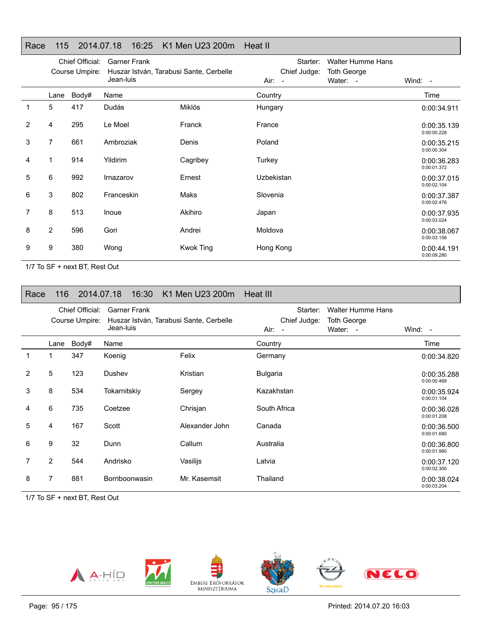## Race 115 2014.07.18 16:25 K1 Men U23 200m Heat II

|   | Chief Official:<br>Course Umpire: |       | <b>Garner Frank</b><br>Huszar István, Tarabusi Sante, Cerbelle<br>Jean-luis |                  | Starter:<br>Chief Judge:<br>Air: - | <b>Walter Humme Hans</b><br><b>Toth George</b><br>Water: - | Wind: $-$                  |
|---|-----------------------------------|-------|-----------------------------------------------------------------------------|------------------|------------------------------------|------------------------------------------------------------|----------------------------|
|   | Lane                              | Body# | Name                                                                        |                  | Country                            |                                                            | Time                       |
| 1 | 5                                 | 417   | Dudás                                                                       | Miklós           | Hungary                            |                                                            | 0:00:34.911                |
| 2 | 4                                 | 295   | Le Moel                                                                     | Franck           | France                             |                                                            | 0:00:35.139<br>0:00:00.228 |
| 3 | 7                                 | 661   | Ambroziak                                                                   | Denis            | Poland                             |                                                            | 0:00:35.215<br>0:00:00.304 |
| 4 | 1                                 | 914   | Yildirim                                                                    | Cagribey         | Turkey                             |                                                            | 0:00:36.283<br>0:00:01.372 |
| 5 | 6                                 | 992   | Irnazarov                                                                   | Ernest           | Uzbekistan                         |                                                            | 0:00:37.015<br>0:00:02.104 |
| 6 | 3                                 | 802   | Franceskin                                                                  | Maks             | Slovenia                           |                                                            | 0:00:37.387<br>0:00:02.476 |
| 7 | 8                                 | 513   | Inoue                                                                       | Akihiro          | Japan                              |                                                            | 0:00:37.935<br>0:00:03.024 |
| 8 | $\overline{2}$                    | 596   | Gori                                                                        | Andrei           | Moldova                            |                                                            | 0:00:38.067<br>0:00:03.156 |
| 9 | 9                                 | 380   | Wong                                                                        | <b>Kwok Ting</b> | Hong Kong                          |                                                            | 0:00:44.191<br>0:00:09.280 |

1/7 To SF + next BT, Rest Out

| Race           | 116                               |       | 16:30<br>2014.07.18              | K1 Men U23 200m                         | Heat III                             |                                                            |                            |
|----------------|-----------------------------------|-------|----------------------------------|-----------------------------------------|--------------------------------------|------------------------------------------------------------|----------------------------|
|                | Chief Official:<br>Course Umpire: |       | <b>Garner Frank</b><br>Jean-luis | Huszar István, Tarabusi Sante, Cerbelle | Starter:<br>Chief Judge:<br>$Air: -$ | <b>Walter Humme Hans</b><br><b>Toth George</b><br>Water: - | Wind: -                    |
|                | Lane                              | Body# | Name                             |                                         | Country                              |                                                            | Time                       |
| 1              |                                   | 347   | Koenig                           | Felix                                   | Germany                              |                                                            | 0:00:34.820                |
| $\overline{2}$ | 5                                 | 123   | Dushev                           | Kristian                                | <b>Bulgaria</b>                      |                                                            | 0:00:35.288<br>0:00:00.468 |
| 3              | 8                                 | 534   | Tokarnitskiy                     | Sergey                                  | Kazakhstan                           |                                                            | 0:00:35.924<br>0:00:01.104 |
| 4              | 6                                 | 735   | Coetzee                          | Chrisjan                                | South Africa                         |                                                            | 0:00:36.028<br>0:00:01.208 |
| 5              | 4                                 | 167   | Scott                            | Alexander John                          | Canada                               |                                                            | 0:00:36.500<br>0:00:01.680 |
| 6              | 9                                 | 32    | Dunn                             | Callum                                  | Australia                            |                                                            | 0:00:36.800<br>0:00:01.980 |
| 7              | $\overline{2}$                    | 544   | Andrisko                         | Vasilijs                                | Latvia                               |                                                            | 0:00:37.120<br>0:00:02.300 |
| 8              | 7                                 | 881   | Borriboonwasin                   | Mr. Kasemsit                            | Thailand                             |                                                            | 0:00:38.024<br>0:00:03.204 |

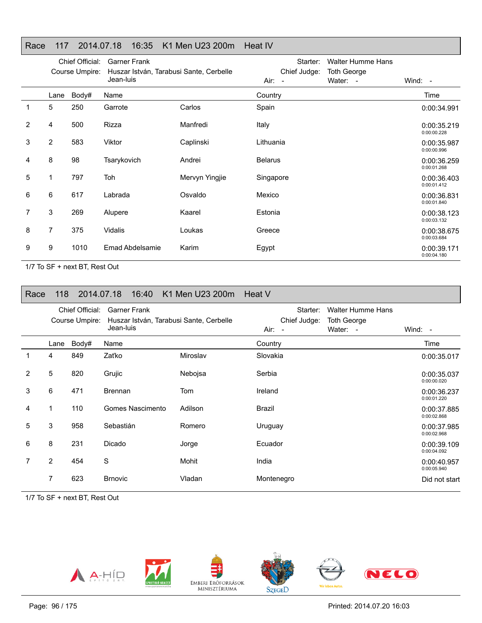## Race 117 2014.07.18 16:35 K1 Men U23 200m Heat IV

|   | Chief Official:<br>Course Umpire: |       | <b>Garner Frank</b><br>Huszar István, Tarabusi Sante, Cerbelle<br>Jean-luis |                | Starter:<br>Chief Judge:<br>Air:<br>$\sim$ | <b>Walter Humme Hans</b><br><b>Toth George</b><br>Water: - | Wind: $-$                  |
|---|-----------------------------------|-------|-----------------------------------------------------------------------------|----------------|--------------------------------------------|------------------------------------------------------------|----------------------------|
|   | Lane                              | Body# | Name                                                                        |                | Country                                    |                                                            | Time                       |
|   | 5                                 | 250   | Garrote                                                                     | Carlos         | Spain                                      |                                                            | 0:00:34.991                |
| 2 | 4                                 | 500   | <b>Rizza</b>                                                                | Manfredi       | Italy                                      |                                                            | 0:00:35.219<br>0:00:00.228 |
| 3 | $\overline{2}$                    | 583   | Viktor                                                                      | Caplinski      | Lithuania                                  |                                                            | 0:00:35.987<br>0:00:00.996 |
| 4 | 8                                 | 98    | Tsarykovich                                                                 | Andrei         | <b>Belarus</b>                             |                                                            | 0:00:36.259<br>0:00:01.268 |
| 5 | 1                                 | 797   | Toh                                                                         | Mervyn Yingjie | Singapore                                  |                                                            | 0:00:36.403<br>0:00:01.412 |
| 6 | 6                                 | 617   | Labrada                                                                     | Osvaldo        | Mexico                                     |                                                            | 0:00:36.831<br>0:00:01.840 |
| 7 | 3                                 | 269   | Alupere                                                                     | Kaarel         | Estonia                                    |                                                            | 0:00:38.123<br>0:00:03.132 |
| 8 | 7                                 | 375   | Vidalis                                                                     | Loukas         | Greece                                     |                                                            | 0:00:38.675<br>0:00:03.684 |
| 9 | 9                                 | 1010  | Emad Abdelsamie                                                             | Karim          | Egypt                                      |                                                            | 0:00:39.171<br>0:00:04.180 |

1/7 To SF + next BT, Rest Out

| Race           | 118  |                                   | 16:40<br>2014.07.18                                                         | K1 Men U23 200m Heat V |                                    |                                                            |                            |
|----------------|------|-----------------------------------|-----------------------------------------------------------------------------|------------------------|------------------------------------|------------------------------------------------------------|----------------------------|
|                |      | Chief Official:<br>Course Umpire: | <b>Garner Frank</b><br>Huszar István, Tarabusi Sante, Cerbelle<br>Jean-luis |                        | Starter:<br>Chief Judge:<br>Air: - | <b>Walter Humme Hans</b><br><b>Toth George</b><br>Water: - | Wind: $-$                  |
|                | Lane | Body#                             | Name                                                                        |                        | Country                            |                                                            | Time                       |
|                | 4    | 849                               | Zaťko                                                                       | Miroslav               | Slovakia                           |                                                            | 0:00:35.017                |
| $\overline{2}$ | 5    | 820                               | Grujic                                                                      | Nebojsa                | Serbia                             |                                                            | 0:00:35.037<br>0:00:00.020 |
| 3              | 6    | 471                               | <b>Brennan</b>                                                              | Tom                    | Ireland                            |                                                            | 0:00:36.237<br>0:00:01.220 |
| 4              | 1    | 110                               | Gomes Nascimento                                                            | Adilson                | Brazil                             |                                                            | 0:00:37.885<br>0:00:02.868 |
| 5              | 3    | 958                               | Sebastián                                                                   | Romero                 | Uruguay                            |                                                            | 0:00:37.985<br>0:00:02.968 |
| 6              | 8    | 231                               | Dicado                                                                      | Jorge                  | Ecuador                            |                                                            | 0:00:39.109<br>0:00:04.092 |
| 7              | 2    | 454                               | S                                                                           | Mohit                  | India                              |                                                            | 0:00:40.957<br>0:00:05.940 |
|                | 7    | 623                               | <b>Brnovic</b>                                                              | Vladan                 | Montenegro                         |                                                            | Did not start              |

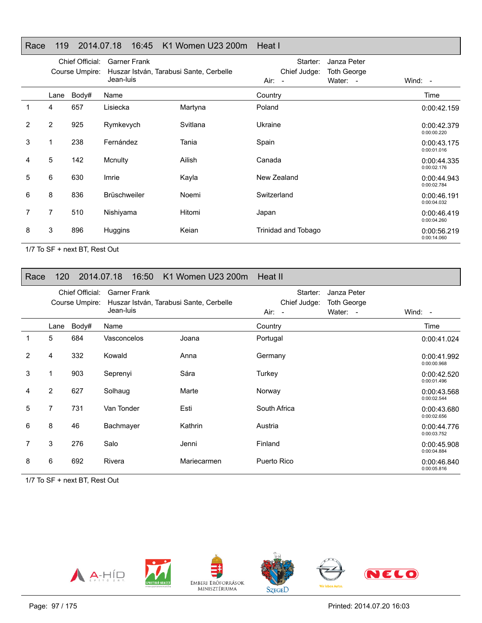#### Race 119 2014.07.18 16:45 K1 Women U23 200m Heat I

|                |                | Chief Official:<br>Course Umpire: | <b>Garner Frank</b><br>Huszar István, Tarabusi Sante, Cerbelle<br>Jean-luis |          | Starter:<br>Chief Judge:<br>$Air: -$ | Janza Peter<br><b>Toth George</b><br>Water: - | Wind: -                    |
|----------------|----------------|-----------------------------------|-----------------------------------------------------------------------------|----------|--------------------------------------|-----------------------------------------------|----------------------------|
|                | Lane           | Body#                             | Name                                                                        |          | Country                              |                                               | Time                       |
| 1              | 4              | 657                               | Lisiecka                                                                    | Martyna  | Poland                               |                                               | 0:00:42.159                |
| $\overline{2}$ | 2              | 925                               | Rymkevych                                                                   | Svitlana | Ukraine                              |                                               | 0:00:42.379<br>0:00:00.220 |
| 3              |                | 238                               | Fernández                                                                   | Tania    | Spain                                |                                               | 0:00:43.175<br>0:00:01.016 |
| 4              | 5              | 142                               | Mcnulty                                                                     | Ailish   | Canada                               |                                               | 0:00:44.335<br>0:00:02.176 |
| 5              | 6              | 630                               | Imrie                                                                       | Kayla    | New Zealand                          |                                               | 0:00:44.943<br>0:00:02.784 |
| 6              | 8              | 836                               | <b>Brüschweiler</b>                                                         | Noemi    | Switzerland                          |                                               | 0:00:46.191<br>0:00:04.032 |
| 7              | $\overline{7}$ | 510                               | Nishiyama                                                                   | Hitomi   | Japan                                |                                               | 0:00:46.419<br>0:00:04.260 |
| 8              | 3              | 896                               | Huggins                                                                     | Keian    | Trinidad and Tobago                  |                                               | 0:00:56.219<br>0:00:14.060 |

1/7 To SF + next BT, Rest Out

### Race 120 2014.07.18 16:50 K1 Women U23 200m Heat II

|                | Chief Official:<br>Course Umpire: |       | <b>Garner Frank</b><br>Huszar István, Tarabusi Sante, Cerbelle<br>Jean-luis |             | Starter:<br>Janza Peter<br>Chief Judge:<br><b>Toth George</b><br>Water: -<br>Air:<br>$\overline{\phantom{a}}$ |  | Wind: -                    |
|----------------|-----------------------------------|-------|-----------------------------------------------------------------------------|-------------|---------------------------------------------------------------------------------------------------------------|--|----------------------------|
|                | Lane                              | Body# | Name                                                                        |             | Country                                                                                                       |  | Time                       |
|                | 5                                 | 684   | Vasconcelos                                                                 | Joana       | Portugal                                                                                                      |  | 0:00:41.024                |
| $\overline{2}$ | 4                                 | 332   | Kowald                                                                      | Anna        | Germany                                                                                                       |  | 0:00:41.992<br>0:00:00.968 |
| 3              | 1                                 | 903   | Seprenyi                                                                    | Sára        | Turkey                                                                                                        |  | 0:00:42.520<br>0:00:01.496 |
| 4              | 2                                 | 627   | Solhaug                                                                     | Marte       | Norway                                                                                                        |  | 0:00:43.568<br>0:00:02.544 |
| 5              | 7                                 | 731   | Van Tonder                                                                  | Esti        | South Africa                                                                                                  |  | 0:00:43.680<br>0:00:02.656 |
| 6              | 8                                 | 46    | Bachmayer                                                                   | Kathrin     | Austria                                                                                                       |  | 0:00:44.776<br>0:00:03.752 |
| 7              | 3                                 | 276   | Salo                                                                        | Jenni       | Finland                                                                                                       |  | 0:00:45.908<br>0:00:04.884 |
| 8              | 6                                 | 692   | Rivera                                                                      | Mariecarmen | Puerto Rico                                                                                                   |  | 0:00:46.840<br>0:00:05.816 |

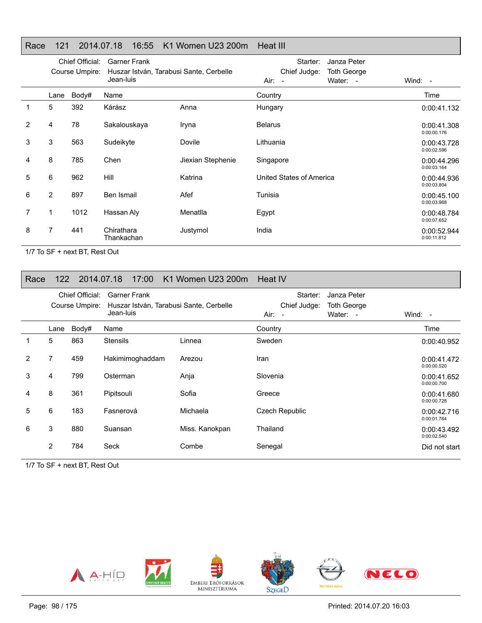#### Race 121 2014.07.18 16:55 K1 Women U23 200m Heat III

|                | Chief Official:<br>Course Umpire: |       | <b>Garner Frank</b><br>Huszar István, Tarabusi Sante, Cerbelle<br>Jean-luis |                   | Starter:<br>Janza Peter<br>Chief Judge:<br><b>Toth George</b><br>Water: -<br>Air: - | Wind: $-$                  |
|----------------|-----------------------------------|-------|-----------------------------------------------------------------------------|-------------------|-------------------------------------------------------------------------------------|----------------------------|
|                | Lane                              | Body# | Name                                                                        |                   | Country                                                                             | Time                       |
|                | 5                                 | 392   | Kárász                                                                      | Anna              | Hungary                                                                             | 0:00:41.132                |
| $\overline{2}$ | 4                                 | 78    | Sakalouskaya                                                                | Iryna             | <b>Belarus</b>                                                                      | 0:00:41.308<br>0:00:00.176 |
| 3              | 3                                 | 563   | Sudeikyte                                                                   | Dovile            | Lithuania                                                                           | 0:00:43.728<br>0:00:02.596 |
| 4              | 8                                 | 785   | Chen                                                                        | Jiexian Stephenie | Singapore                                                                           | 0:00:44.296<br>0:00:03.164 |
| 5              | 6                                 | 962   | <b>Hill</b>                                                                 | Katrina           | United States of America                                                            | 0:00:44.936<br>0:00:03.804 |
| 6              | $\overline{2}$                    | 897   | Ben Ismail                                                                  | Afef              | Tunisia                                                                             | 0:00:45.100<br>0:00:03.968 |
| 7              | 1                                 | 1012  | Hassan Aly                                                                  | Menatlla          | Egypt                                                                               | 0:00:48.784<br>0:00:07.652 |
| 8              | 7                                 | 441   | Chirathara<br>Thankachan                                                    | Justymol          | India                                                                               | 0:00:52.944<br>0:00:11.812 |

1/7 To SF + next BT, Rest Out

#### Race 122 2014.07.18 17:00 K1 Women U23 200m Heat IV

|   |                | Chief Official:<br>Course Umpire: | Garner Frank<br>Huszar István, Tarabusi Sante, Cerbelle<br>Jean-luis |                | Starter:<br>Chief Judge:<br>$Air: -$ | Janza Peter<br><b>Toth George</b><br>Water: - | Wind: $-$                  |
|---|----------------|-----------------------------------|----------------------------------------------------------------------|----------------|--------------------------------------|-----------------------------------------------|----------------------------|
|   | Lane           | Body#                             | Name                                                                 |                | Country                              |                                               | Time                       |
|   | 5              | 863                               | <b>Stensils</b>                                                      | Linnea         | Sweden                               |                                               | 0:00:40.952                |
| 2 | 7              | 459                               | Hakimimoghaddam                                                      | Arezou         | Iran                                 |                                               | 0:00:41.472<br>0:00:00.520 |
| 3 | 4              | 799                               | Osterman                                                             | Anja           | Slovenia                             |                                               | 0:00:41.652<br>0:00:00.700 |
| 4 | 8              | 361                               | Pipitsouli                                                           | Sofia          | Greece                               |                                               | 0:00:41.680<br>0:00:00.728 |
| 5 | 6              | 183                               | Fasnerová                                                            | Michaela       | Czech Republic                       |                                               | 0:00:42.716<br>0:00:01.764 |
| 6 | 3              | 880                               | Suansan                                                              | Miss. Kanokpan | Thailand                             |                                               | 0:00:43.492<br>0:00:02.540 |
|   | $\overline{2}$ | 784                               | Seck                                                                 | Combe          | Senegal                              |                                               | Did not start              |

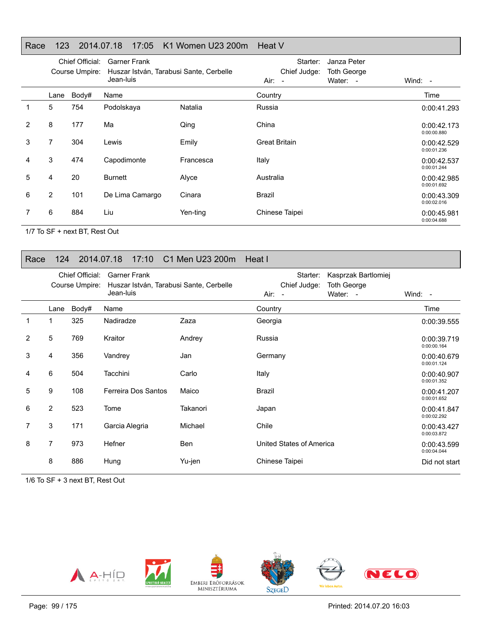## Race 123 2014.07.18 17:05 K1 Women U23 200m Heat V

|   | Chief Official:<br>Garner Frank<br>Huszar István, Tarabusi Sante, Cerbelle<br>Course Umpire:<br>Jean-luis |       |                 |           | Starter:<br>Chief Judge:<br>Air: - | Janza Peter<br>Toth George<br>Water: - | Wind: $-$                  |
|---|-----------------------------------------------------------------------------------------------------------|-------|-----------------|-----------|------------------------------------|----------------------------------------|----------------------------|
|   | Lane                                                                                                      | Body# | Name            |           | Country                            |                                        | Time                       |
|   | 5                                                                                                         | 754   | Podolskaya      | Natalia   | Russia                             |                                        | 0:00:41.293                |
| 2 | 8                                                                                                         | 177   | Ma              | Qing      | China                              |                                        | 0:00:42.173<br>0:00:00.880 |
| 3 | 7                                                                                                         | 304   | Lewis           | Emily     | <b>Great Britain</b>               |                                        | 0:00:42.529<br>0:00:01.236 |
| 4 | 3                                                                                                         | 474   | Capodimonte     | Francesca | Italy                              |                                        | 0:00:42.537<br>0:00:01.244 |
| 5 | 4                                                                                                         | 20    | <b>Burnett</b>  | Alyce     | Australia                          |                                        | 0:00:42.985<br>0:00:01.692 |
| 6 | $\overline{2}$                                                                                            | 101   | De Lima Camargo | Cinara    | Brazil                             |                                        | 0:00:43.309<br>0:00:02.016 |
|   | 6                                                                                                         | 884   | Liu             | Yen-ting  | Chinese Taipei                     |                                        | 0:00:45.981<br>0:00:04.688 |

1/7 To SF + next BT, Rest Out

## Race 124 2014.07.18 17:10 C1 Men U23 200m Heat I

|                |                | Chief Official:<br>Course Umpire: | <b>Garner Frank</b><br>Huszar István, Tarabusi Sante, Cerbelle<br>Jean-luis |            | Starter:<br>Kasprzak Bartlomiej<br>Chief Judge:<br><b>Toth George</b><br>Water: -<br>Air: - | Wind: -                    |
|----------------|----------------|-----------------------------------|-----------------------------------------------------------------------------|------------|---------------------------------------------------------------------------------------------|----------------------------|
|                | Lane           | Body#                             | Name                                                                        |            | Country                                                                                     | Time                       |
| $\mathbf{1}$   | 1              | 325                               | Nadiradze                                                                   | Zaza       | Georgia                                                                                     | 0:00:39.555                |
| $\overline{2}$ | 5              | 769                               | Kraitor                                                                     | Andrey     | Russia                                                                                      | 0:00:39.719<br>0:00:00.164 |
| 3              | 4              | 356                               | Vandrey                                                                     | Jan        | Germany                                                                                     | 0:00:40.679<br>0:00:01.124 |
| 4              | 6              | 504                               | Tacchini                                                                    | Carlo      | Italy                                                                                       | 0:00:40.907<br>0:00:01.352 |
| 5              | 9              | 108                               | Ferreira Dos Santos                                                         | Maico      | Brazil                                                                                      | 0:00:41.207<br>0:00:01.652 |
| 6              | $\overline{2}$ | 523                               | Tome                                                                        | Takanori   | Japan                                                                                       | 0:00:41.847<br>0:00:02.292 |
| 7              | 3              | 171                               | Garcia Alegria                                                              | Michael    | Chile                                                                                       | 0:00:43.427<br>0:00:03.872 |
| 8              | $\overline{7}$ | 973                               | Hefner                                                                      | <b>Ben</b> | United States of America                                                                    | 0:00:43.599<br>0:00:04.044 |
|                | 8              | 886                               | Hung                                                                        | Yu-jen     | Chinese Taipei                                                                              | Did not start              |

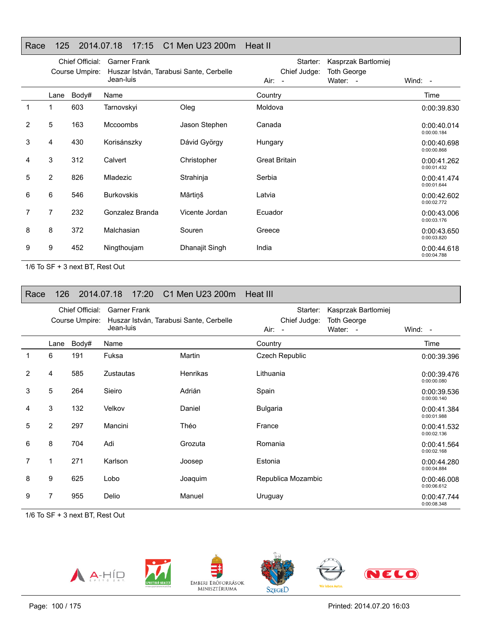## Race 125 2014.07.18 17:15 C1 Men U23 200m Heat II

|              | Chief Official:<br>Course Umpire: |       | <b>Garner Frank</b><br>Huszar István, Tarabusi Sante, Cerbelle<br>Jean-luis |                | Starter:<br>Chief Judge:<br>Air: - | Kasprzak Bartlomiej<br><b>Toth George</b><br>Water: - | Wind: -                    |
|--------------|-----------------------------------|-------|-----------------------------------------------------------------------------|----------------|------------------------------------|-------------------------------------------------------|----------------------------|
|              | Lane                              | Body# | Name                                                                        |                | Country                            |                                                       | Time                       |
| $\mathbf{1}$ | 1                                 | 603   | Tarnovskyi                                                                  | Oleg           | Moldova                            |                                                       | 0:00:39.830                |
| 2            | 5                                 | 163   | <b>Mccoombs</b>                                                             | Jason Stephen  | Canada                             |                                                       | 0:00:40.014<br>0:00:00.184 |
| 3            | 4                                 | 430   | Korisánszky                                                                 | Dávid György   | Hungary                            |                                                       | 0:00:40.698<br>0:00:00.868 |
| 4            | 3                                 | 312   | Calvert                                                                     | Christopher    | <b>Great Britain</b>               |                                                       | 0:00:41.262<br>0:00:01.432 |
| 5            | 2                                 | 826   | Mladezic                                                                    | Strahinja      | Serbia                             |                                                       | 0:00:41.474<br>0:00:01.644 |
| 6            | 6                                 | 546   | <b>Burkovskis</b>                                                           | Mārtiņš        | Latvia                             |                                                       | 0:00:42.602<br>0:00:02.772 |
|              | 7                                 | 232   | Gonzalez Branda                                                             | Vicente Jordan | Ecuador                            |                                                       | 0:00:43.006<br>0:00:03.176 |
| 8            | 8                                 | 372   | Malchasian                                                                  | Souren         | Greece                             |                                                       | 0:00:43.650<br>0:00:03.820 |
| 9            | 9                                 | 452   | Ningthoujam                                                                 | Dhanajit Singh | India                              |                                                       | 0:00:44.618<br>0:00:04.788 |

1/6 To SF + 3 next BT, Rest Out

| Race           | 126            |                                   | 2014.07.18 17:20 C1 Men U23 200m Heat III                                   |                 |                                            |                                                       |                            |
|----------------|----------------|-----------------------------------|-----------------------------------------------------------------------------|-----------------|--------------------------------------------|-------------------------------------------------------|----------------------------|
|                |                | Chief Official:<br>Course Umpire: | <b>Garner Frank</b><br>Huszar István, Tarabusi Sante, Cerbelle<br>Jean-luis |                 | Starter:<br>Chief Judge:<br>Air:<br>$\sim$ | Kasprzak Bartlomiej<br><b>Toth George</b><br>Water: - | Wind: $-$                  |
|                | Lane           | Body#                             | Name                                                                        |                 | Country                                    |                                                       | Time                       |
| 1              | 6              | 191                               | Fuksa                                                                       | Martin          | <b>Czech Republic</b>                      |                                                       | 0:00:39.396                |
| $\overline{2}$ | 4              | 585                               | <b>Zustautas</b>                                                            | <b>Henrikas</b> | Lithuania                                  |                                                       | 0:00:39.476<br>0:00:00.080 |
| 3              | 5              | 264                               | Sieiro                                                                      | Adrián          | Spain                                      |                                                       | 0:00:39.536<br>0:00:00.140 |
| 4              | 3              | 132                               | Velkov                                                                      | Daniel          | <b>Bulgaria</b>                            |                                                       | 0:00:41.384<br>0:00:01.988 |
| 5              | $\overline{2}$ | 297                               | Mancini                                                                     | Théo            | France                                     |                                                       | 0:00:41.532<br>0:00:02.136 |
| 6              | 8              | 704                               | Adi                                                                         | Grozuta         | Romania                                    |                                                       | 0:00:41.564<br>0:00:02.168 |
| 7              | 1              | 271                               | Karlson                                                                     | Joosep          | Estonia                                    |                                                       | 0:00:44.280<br>0:00:04.884 |
| 8              | 9              | 625                               | Lobo                                                                        | Joaquim         | Republica Mozambic                         |                                                       | 0:00:46.008<br>0:00:06.612 |
| 9              | 7              | 955                               | Delio                                                                       | Manuel          | Uruguay                                    |                                                       | 0:00:47.744<br>0:00:08.348 |







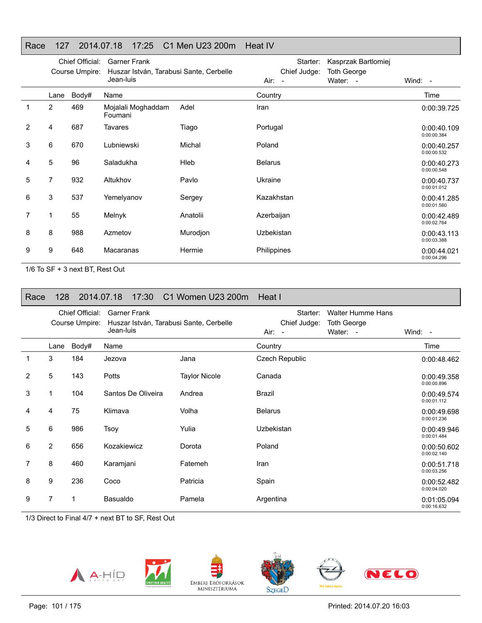## Race 127 2014.07.18 17:25 C1 Men U23 200m Heat IV

|              |                | Chief Official:<br>Course Umpire: | <b>Garner Frank</b><br>Huszar István, Tarabusi Sante, Cerbelle<br>Jean-luis |          | Starter:<br>Chief Judge:<br>Air: - | Kasprzak Bartlomiej<br><b>Toth George</b><br>Water: - | Wind: -                    |
|--------------|----------------|-----------------------------------|-----------------------------------------------------------------------------|----------|------------------------------------|-------------------------------------------------------|----------------------------|
|              | Lane           | Body#                             | Name                                                                        |          | Country                            |                                                       | Time                       |
| $\mathbf{1}$ | $\overline{2}$ | 469                               | Mojalali Moghaddam<br>Foumani                                               | Adel     | Iran                               |                                                       | 0:00:39.725                |
| 2            | 4              | 687                               | Tavares                                                                     | Tiago    | Portugal                           |                                                       | 0:00:40.109<br>0:00:00.384 |
| 3            | 6              | 670                               | Lubniewski                                                                  | Michal   | Poland                             |                                                       | 0:00:40.257<br>0:00:00.532 |
| 4            | 5              | 96                                | Saladukha                                                                   | Hleb     | <b>Belarus</b>                     |                                                       | 0:00:40.273<br>0:00:00.548 |
| 5            | 7              | 932                               | Altukhov                                                                    | Pavlo    | Ukraine                            |                                                       | 0:00:40.737<br>0:00:01.012 |
| 6            | 3              | 537                               | Yemelyanov                                                                  | Sergey   | Kazakhstan                         |                                                       | 0:00:41.285<br>0:00:01.560 |
| 7            | 1              | 55                                | Melnyk                                                                      | Anatolii | Azerbaijan                         |                                                       | 0:00:42.489<br>0:00:02.764 |
| 8            | 8              | 988                               | Azmetov                                                                     | Murodjon | Uzbekistan                         |                                                       | 0:00:43.113<br>0:00:03.388 |
| 9            | 9              | 648                               | Macaranas                                                                   | Hermie   | Philippines                        |                                                       | 0:00:44.021<br>0:00:04.296 |

1/6 To SF + 3 next BT, Rest Out

| Race           | 128            |                                   | 2014.07.18<br>17:30                                                         | C1 Women U23 200m    | Heat I                                     |                                                            |                            |
|----------------|----------------|-----------------------------------|-----------------------------------------------------------------------------|----------------------|--------------------------------------------|------------------------------------------------------------|----------------------------|
|                |                | Chief Official:<br>Course Umpire: | <b>Garner Frank</b><br>Huszar István, Tarabusi Sante, Cerbelle<br>Jean-luis |                      | Starter:<br>Chief Judge:<br>Air:<br>$\sim$ | <b>Walter Humme Hans</b><br><b>Toth George</b><br>Water: - | Wind: $-$                  |
|                | Lane           | Body#                             | Name                                                                        |                      | Country                                    |                                                            | Time                       |
| 1              | 3              | 184                               | Jezova                                                                      | Jana                 | Czech Republic                             |                                                            | 0:00:48.462                |
| 2              | 5              | 143                               | <b>Potts</b>                                                                | <b>Taylor Nicole</b> | Canada                                     |                                                            | 0:00:49.358<br>0:00:00.896 |
| 3              | 1              | 104                               | Santos De Oliveira                                                          | Andrea               | Brazil                                     |                                                            | 0:00:49.574<br>0:00:01.112 |
| 4              | 4              | 75                                | Klimava                                                                     | Volha                | <b>Belarus</b>                             |                                                            | 0:00:49.698<br>0:00:01.236 |
| 5              | 6              | 986                               | Tsoy                                                                        | Yulia                | Uzbekistan                                 |                                                            | 0:00:49.946<br>0:00:01.484 |
| 6              | $\overline{2}$ | 656                               | Kozakiewicz                                                                 | Dorota               | Poland                                     |                                                            | 0:00:50.602<br>0:00:02.140 |
| $\overline{7}$ | 8              | 460                               | Karamjani                                                                   | Fatemeh              | Iran                                       |                                                            | 0:00:51.718<br>0:00:03.256 |
| 8              | 9              | 236                               | Coco                                                                        | Patricia             | Spain                                      |                                                            | 0:00:52.482<br>0:00:04.020 |
| 9              | 7              | 1                                 | <b>Basualdo</b>                                                             | Pamela               | Argentina                                  |                                                            | 0:01:05.094<br>0:00:16.632 |

1/3 Direct to Final 4/7 + next BT to SF, Rest Out

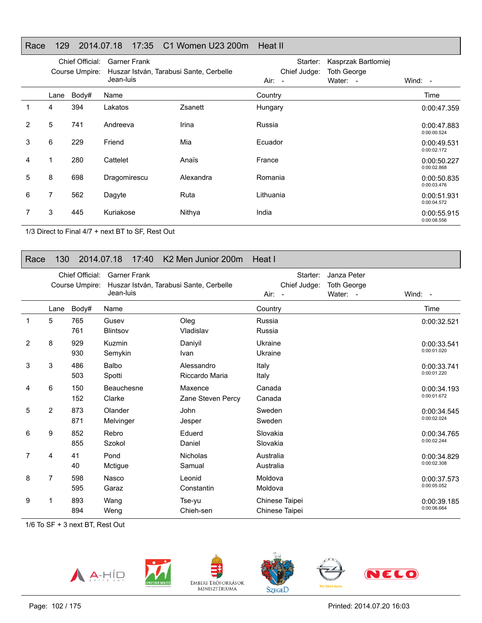## Race 129 2014.07.18 17:35 C1 Women U23 200m Heat II

|   |      | Chief Official:<br>Course Umpire: | <b>Garner Frank</b><br>Huszar István, Tarabusi Sante, Cerbelle<br>Jean-luis |           | Starter:<br>Chief Judge:<br>$Air: -$ | Kasprzak Bartlomiej<br><b>Toth George</b><br>Water: - | Wind: -                    |
|---|------|-----------------------------------|-----------------------------------------------------------------------------|-----------|--------------------------------------|-------------------------------------------------------|----------------------------|
|   | Lane | Body#                             | Name                                                                        |           | Country                              |                                                       | Time                       |
|   | 4    | 394                               | Lakatos                                                                     | Zsanett   | Hungary                              |                                                       | 0:00:47.359                |
| 2 | 5    | 741                               | Andreeva                                                                    | Irina     | Russia                               |                                                       | 0:00:47.883<br>0:00:00.524 |
| 3 | 6    | 229                               | Friend                                                                      | Mia       | Ecuador                              |                                                       | 0:00:49.531<br>0:00:02.172 |
| 4 | 1    | 280                               | Cattelet                                                                    | Anaïs     | France                               |                                                       | 0:00:50.227<br>0:00:02.868 |
| 5 | 8    | 698                               | Dragomirescu                                                                | Alexandra | Romania                              |                                                       | 0:00:50.835<br>0:00:03.476 |
| 6 | 7    | 562                               | Dagyte                                                                      | Ruta      | Lithuania                            |                                                       | 0:00:51.931<br>0:00:04.572 |
|   | 3    | 445                               | Kuriakose                                                                   | Nithya    | India                                |                                                       | 0:00:55.915<br>0:00:08.556 |

1/3 Direct to Final 4/7 + next BT to SF, Rest Out

## Race 130 2014.07.18 17:40 K2 Men Junior 200m Heat I

|   |                | Chief Official:<br>Course Umpire: | <b>Garner Frank</b><br>Huszar István, Tarabusi Sante, Cerbelle<br>Jean-luis |                              | Starter:<br>Chief Judge:<br>Air:<br>$\sim$ | Janza Peter<br><b>Toth George</b><br>Water: - | Wind: -                    |
|---|----------------|-----------------------------------|-----------------------------------------------------------------------------|------------------------------|--------------------------------------------|-----------------------------------------------|----------------------------|
|   | Lane           | Body#                             | Name                                                                        |                              | Country                                    |                                               | Time                       |
|   | 5              | 765<br>761                        | Gusev<br><b>Blintsov</b>                                                    | Oleg<br>Vladislav            | Russia<br>Russia                           |                                               | 0:00:32.521                |
| 2 | 8              | 929<br>930                        | Kuzmin<br>Semykin                                                           | Danivil<br>Ivan              | Ukraine<br>Ukraine                         |                                               | 0:00:33.541<br>0:00:01.020 |
| 3 | 3              | 486<br>503                        | Balbo<br>Spotti                                                             | Alessandro<br>Riccardo Maria | Italy<br>Italy                             |                                               | 0:00:33.741<br>0:00:01.220 |
| 4 | 6              | 150<br>152                        | Beauchesne<br>Clarke                                                        | Maxence<br>Zane Steven Percy | Canada<br>Canada                           |                                               | 0:00:34.193<br>0:00:01.672 |
| 5 | $\overline{2}$ | 873<br>871                        | Olander<br>Melvinger                                                        | John<br>Jesper               | Sweden<br>Sweden                           |                                               | 0:00:34.545<br>0:00:02.024 |
| 6 | 9              | 852<br>855                        | Rebro<br>Szokol                                                             | Eduerd<br>Daniel             | Slovakia<br>Slovakia                       |                                               | 0:00:34.765<br>0:00:02.244 |
| 7 | 4              | 41<br>40                          | Pond<br>Mctigue                                                             | <b>Nicholas</b><br>Samual    | Australia<br>Australia                     |                                               | 0:00:34.829<br>0:00:02.308 |
| 8 | 7              | 598<br>595                        | Nasco<br>Garaz                                                              | Leonid<br>Constantin         | Moldova<br>Moldova                         |                                               | 0:00:37.573<br>0:00:05.052 |
| 9 | 1              | 893<br>894                        | Wang<br>Weng                                                                | Tse-yu<br>Chieh-sen          | Chinese Taipei<br>Chinese Taipei           |                                               | 0:00:39.185<br>0:00:06.664 |

1/6 To SF + 3 next BT, Rest Out











Printed: 2014.07.20 16:03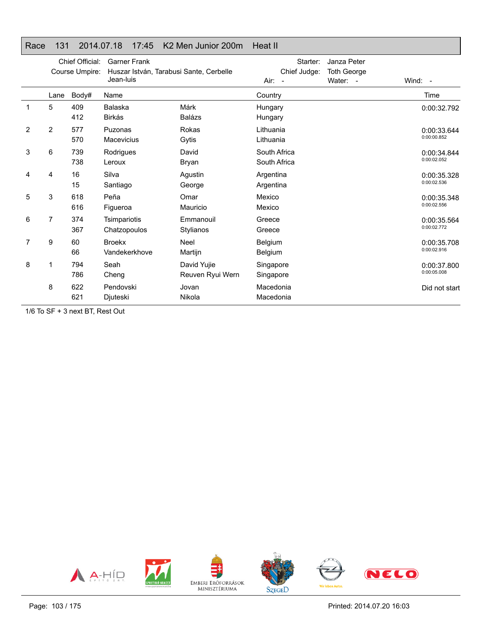## Race 131 2014.07.18 17:45 K2 Men Junior 200m Heat II

|   |      | Chief Official:<br>Course Umpire: | <b>Garner Frank</b><br>Huszar István, Tarabusi Sante, Cerbelle<br>Jean-luis |                                 | Starter:<br>Chief Judge:<br>Air:<br>$\sim$ | Janza Peter<br><b>Toth George</b><br>Water: - | Wind: -                    |
|---|------|-----------------------------------|-----------------------------------------------------------------------------|---------------------------------|--------------------------------------------|-----------------------------------------------|----------------------------|
|   | Lane | Body#                             | Name                                                                        |                                 | Country                                    |                                               | Time                       |
|   | 5    | 409<br>412                        | Balaska<br><b>Birkás</b>                                                    | Márk<br><b>Balázs</b>           | Hungary<br>Hungary                         |                                               | 0:00:32.792                |
| 2 | 2    | 577<br>570                        | Puzonas<br><b>Macevicius</b>                                                | Rokas<br>Gytis                  | Lithuania<br>Lithuania                     |                                               | 0:00:33.644<br>0:00:00.852 |
| 3 | 6    | 739<br>738                        | Rodrigues<br>Leroux                                                         | David<br>Bryan                  | South Africa<br>South Africa               |                                               | 0:00:34.844<br>0:00:02.052 |
| 4 | 4    | 16<br>15                          | Silva<br>Santiago                                                           | Agustin<br>George               | Argentina<br>Argentina                     |                                               | 0:00:35.328<br>0:00:02.536 |
| 5 | 3    | 618<br>616                        | Peña<br>Figueroa                                                            | Omar<br>Mauricio                | Mexico<br>Mexico                           |                                               | 0:00:35.348<br>0:00:02.556 |
| 6 | 7    | 374<br>367                        | Tsimpariotis<br>Chatzopoulos                                                | Emmanouil<br>Stylianos          | Greece<br>Greece                           |                                               | 0:00:35.564<br>0:00:02.772 |
| 7 | 9    | 60<br>66                          | <b>Broekx</b><br>Vandekerkhove                                              | Neel<br>Martijn                 | Belgium<br>Belgium                         |                                               | 0:00:35.708<br>0:00:02.916 |
| 8 | 1    | 794<br>786                        | Seah<br>Cheng                                                               | David Yujie<br>Reuven Ryui Wern | Singapore<br>Singapore                     |                                               | 0:00:37.800<br>0:00:05.008 |
|   | 8    | 622<br>621                        | Pendovski<br>Djuteski                                                       | Jovan<br>Nikola                 | Macedonia<br>Macedonia                     |                                               | Did not start              |

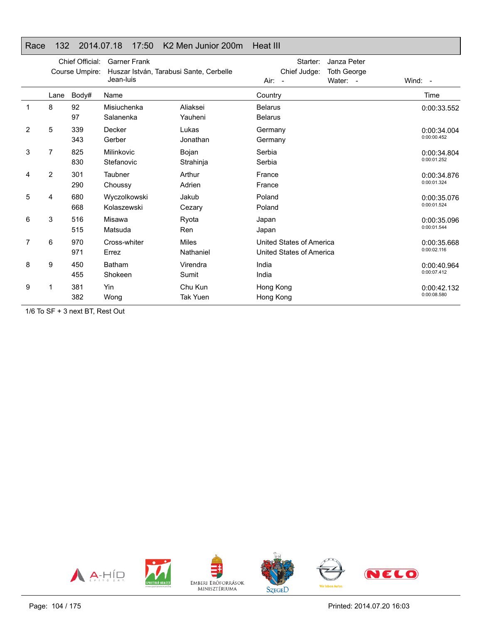## Race 132 2014.07.18 17:50 K2 Men Junior 200m Heat III

|                |      | Chief Official:<br>Course Umpire: | <b>Garner Frank</b><br>Huszar István, Tarabusi Sante, Cerbelle<br>Jean-luis |                            | Starter:<br>Janza Peter<br>Chief Judge:<br><b>Toth George</b><br>Water: -<br>Air:<br>$\sim$ | Wind: -                    |
|----------------|------|-----------------------------------|-----------------------------------------------------------------------------|----------------------------|---------------------------------------------------------------------------------------------|----------------------------|
|                | Lane | Body#                             | Name                                                                        |                            | Country                                                                                     | Time                       |
| 1              | 8    | 92<br>97                          | Misiuchenka<br>Salanenka                                                    | Aliaksei<br>Yauheni        | <b>Belarus</b><br><b>Belarus</b>                                                            | 0:00:33.552                |
| $\overline{2}$ | 5    | 339<br>343                        | Decker<br>Gerber                                                            | Lukas<br>Jonathan          | Germany<br>Germany                                                                          | 0:00:34.004<br>0:00:00.452 |
| 3              | 7    | 825<br>830                        | Milinkovic<br>Stefanovic                                                    | Bojan<br>Strahinja         | Serbia<br>Serbia                                                                            | 0:00:34.804<br>0:00:01.252 |
| 4              | 2    | 301<br>290                        | Taubner<br>Choussy                                                          | Arthur<br>Adrien           | France<br>France                                                                            | 0:00:34.876<br>0:00:01.324 |
| 5              | 4    | 680<br>668                        | Wyczolkowski<br>Kolaszewski                                                 | Jakub<br>Cezary            | Poland<br>Poland                                                                            | 0:00:35.076<br>0:00:01.524 |
| 6              | 3    | 516<br>515                        | Misawa<br>Matsuda                                                           | Ryota<br>Ren               | Japan<br>Japan                                                                              | 0:00:35.096<br>0:00:01.544 |
| 7              | 6    | 970<br>971                        | Cross-whiter<br>Errez                                                       | <b>Miles</b><br>Nathaniel  | United States of America<br>United States of America                                        | 0:00:35.668<br>0:00:02.116 |
| 8              | 9    | 450<br>455                        | <b>Batham</b><br>Shokeen                                                    | Virendra<br>Sumit          | India<br>India                                                                              | 0:00:40.964<br>0:00:07.412 |
| 9              | 1    | 381<br>382                        | Yin<br>Wong                                                                 | Chu Kun<br><b>Tak Yuen</b> | Hong Kong<br>Hong Kong                                                                      | 0:00:42.132<br>0:00:08.580 |

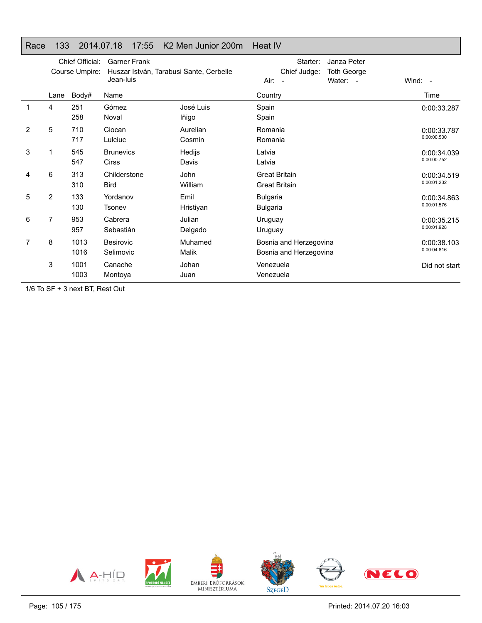## Race 133 2014.07.18 17:55 K2 Men Junior 200m Heat IV

|                |                | Chief Official:<br>Course Umpire: | <b>Garner Frank</b><br>Jean-luis | Huszar István, Tarabusi Sante, Cerbelle | Starter:<br>Janza Peter<br>Chief Judge:<br><b>Toth George</b><br>Water: -<br>Air:<br>$\overline{\phantom{a}}$ | Wind: -                    |
|----------------|----------------|-----------------------------------|----------------------------------|-----------------------------------------|---------------------------------------------------------------------------------------------------------------|----------------------------|
|                | Lane           | Body#                             | Name                             |                                         | Country                                                                                                       | Time                       |
|                | 4              | 251<br>258                        | Gómez<br>Noval                   | José Luis<br>lñigo                      | Spain<br>Spain                                                                                                | 0:00:33.287                |
| $\overline{2}$ | 5              | 710<br>717                        | Ciocan<br>Lulciuc                | Aurelian<br>Cosmin                      | Romania<br>Romania                                                                                            | 0:00:33.787<br>0:00:00.500 |
| 3              | 1              | 545<br>547                        | <b>Brunevics</b><br><b>Cirss</b> | Hedijs<br>Davis                         | Latvia<br>Latvia                                                                                              | 0:00:34.039<br>0:00:00.752 |
| 4              | 6              | 313<br>310                        | Childerstone<br><b>Bird</b>      | John<br>William                         | <b>Great Britain</b><br><b>Great Britain</b>                                                                  | 0:00:34.519<br>0:00:01.232 |
| 5              | $\overline{2}$ | 133<br>130                        | Yordanov<br>Tsonev               | Emil<br>Hristiyan                       | <b>Bulgaria</b><br><b>Bulgaria</b>                                                                            | 0:00:34.863<br>0:00:01.576 |
| 6              | 7              | 953<br>957                        | Cabrera<br>Sebastián             | Julian<br>Delgado                       | Uruguay<br>Uruguay                                                                                            | 0:00:35.215<br>0:00:01.928 |
| 7              | 8              | 1013<br>1016                      | Besirovic<br>Selimovic           | Muhamed<br>Malik                        | Bosnia and Herzegovina<br>Bosnia and Herzegovina                                                              | 0:00:38.103<br>0:00:04.816 |
|                | 3              | 1001<br>1003                      | Canache<br>Montova               | Johan<br>Juan                           | Venezuela<br>Venezuela                                                                                        | Did not start              |

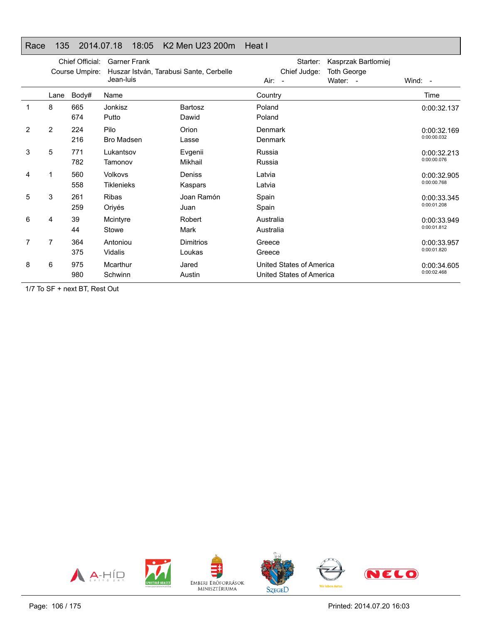## Race 135 2014.07.18 18:05 K2 Men U23 200m Heat I

|                |      | Chief Official:<br>Course Umpire: | <b>Garner Frank</b><br>Huszar István, Tarabusi Sante, Cerbelle<br>Jean-luis |                            | Air:<br>$\overline{\phantom{a}}$ | Starter:<br>Chief Judge:                             | Kasprzak Bartlomiej<br><b>Toth George</b><br>Water: - | Wind: $-$                  |
|----------------|------|-----------------------------------|-----------------------------------------------------------------------------|----------------------------|----------------------------------|------------------------------------------------------|-------------------------------------------------------|----------------------------|
|                | Lane | Body#                             | Name                                                                        |                            | Country                          |                                                      |                                                       | Time                       |
| 1              | 8    | 665<br>674                        | Jonkisz<br>Putto                                                            | Bartosz<br>Dawid           | Poland<br>Poland                 |                                                      |                                                       | 0:00:32.137                |
| $\overline{2}$ | 2    | 224<br>216                        | Pilo<br>Bro Madsen                                                          | Orion<br>Lasse             | Denmark<br>Denmark               |                                                      |                                                       | 0:00:32.169<br>0:00:00.032 |
| 3              | 5    | 771<br>782                        | Lukantsov<br>Tamonov                                                        | Evgenii<br>Mikhail         | Russia<br>Russia                 |                                                      |                                                       | 0:00:32.213<br>0:00:00.076 |
| 4              |      | 560<br>558                        | <b>Volkovs</b><br>Tiklenieks                                                | Deniss<br>Kaspars          | Latvia<br>Latvia                 |                                                      |                                                       | 0:00:32.905<br>0:00:00.768 |
| 5              | 3    | 261<br>259                        | <b>Ribas</b><br>Oriyés                                                      | Joan Ramón<br>Juan         | Spain<br>Spain                   |                                                      |                                                       | 0:00:33.345<br>0:00:01.208 |
| 6              | 4    | 39<br>44                          | Mcintyre<br>Stowe                                                           | Robert<br>Mark             | Australia<br>Australia           |                                                      |                                                       | 0:00:33.949<br>0:00:01.812 |
| 7              | 7    | 364<br>375                        | Antoniou<br>Vidalis                                                         | <b>Dimitrios</b><br>Loukas | Greece<br>Greece                 |                                                      |                                                       | 0:00:33.957<br>0:00:01.820 |
| 8              | 6    | 975<br>980                        | Mcarthur<br>Schwinn                                                         | Jared<br>Austin            |                                  | United States of America<br>United States of America |                                                       | 0:00:34.605<br>0:00:02.468 |

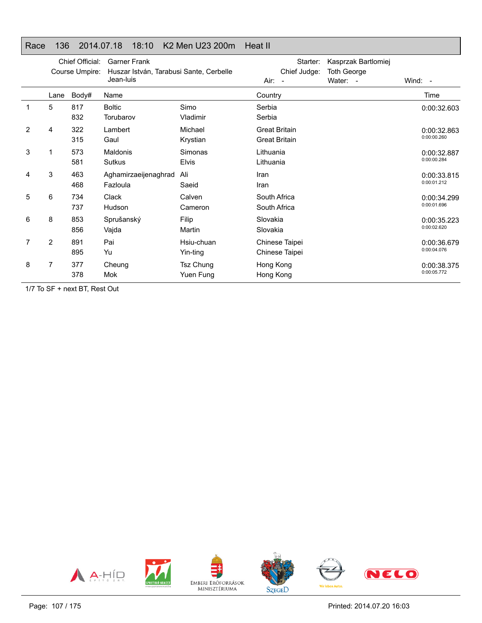## Race 136 2014.07.18 18:10 K2 Men U23 200m Heat II

|                |                | Chief Official:<br>Course Umpire: | <b>Garner Frank</b><br>Huszar István, Tarabusi Sante, Cerbelle<br>Jean-luis |                         | Air:                                         | Starter:<br>Chief Judge:<br>$\overline{\phantom{a}}$ | Kasprzak Bartlomiej<br><b>Toth George</b><br>Water: - | Wind: $-$                  |
|----------------|----------------|-----------------------------------|-----------------------------------------------------------------------------|-------------------------|----------------------------------------------|------------------------------------------------------|-------------------------------------------------------|----------------------------|
|                | Lane           | Body#                             | Name                                                                        |                         | Country                                      |                                                      |                                                       | Time                       |
| 1              | 5              | 817<br>832                        | <b>Boltic</b><br>Torubarov                                                  | Simo<br>Vladimir        | Serbia<br>Serbia                             |                                                      |                                                       | 0:00:32.603                |
| $\overline{2}$ | 4              | 322<br>315                        | Lambert<br>Gaul                                                             | Michael<br>Krystian     | <b>Great Britain</b><br><b>Great Britain</b> |                                                      |                                                       | 0:00:32.863<br>0:00:00.260 |
| 3              |                | 573<br>581                        | <b>Maldonis</b><br><b>Sutkus</b>                                            | Simonas<br><b>Elvis</b> | Lithuania<br>Lithuania                       |                                                      |                                                       | 0:00:32.887<br>0:00:00.284 |
| 4              | 3              | 463<br>468                        | Aghamirzaeijenaghrad<br>Fazloula                                            | Ali<br>Saeid            | Iran<br>Iran                                 |                                                      |                                                       | 0:00:33.815<br>0:00:01.212 |
| 5              | 6              | 734<br>737                        | <b>Clack</b><br>Hudson                                                      | Calven<br>Cameron       | South Africa<br>South Africa                 |                                                      |                                                       | 0:00:34.299<br>0:00:01.696 |
| 6              | 8              | 853<br>856                        | Sprušanský<br>Vajda                                                         | Filip<br>Martin         | Slovakia<br>Slovakia                         |                                                      |                                                       | 0:00:35.223<br>0:00:02.620 |
|                | $\overline{2}$ | 891<br>895                        | Pai<br>Yu                                                                   | Hsiu-chuan<br>Yin-ting  |                                              | Chinese Taipei<br>Chinese Taipei                     |                                                       | 0:00:36.679<br>0:00:04.076 |
| 8              | 7              | 377<br>378                        | Cheung<br><b>Mok</b>                                                        | Tsz Chung<br>Yuen Fung  | Hong Kong<br>Hong Kong                       |                                                      |                                                       | 0:00:38.375<br>0:00:05.772 |

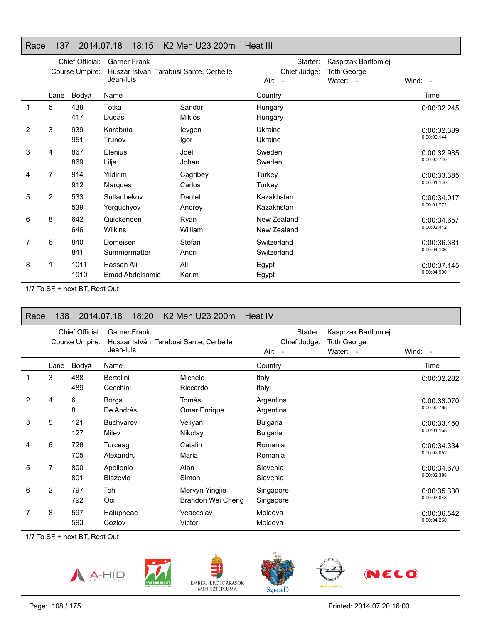# Race 137 2014.07.18 18:15 K2 Men U23 200m Heat III

|   |      | Chief Official:<br>Course Umpire: | <b>Garner Frank</b><br>Huszar István, Tarabusi Sante, Cerbelle<br>Jean-luis |                    | Starter:<br>Chief Judge:<br>Air:<br>$\overline{\phantom{a}}$ | Kasprzak Bartlomiej<br><b>Toth George</b><br>Water: - | Wind: -                    |
|---|------|-----------------------------------|-----------------------------------------------------------------------------|--------------------|--------------------------------------------------------------|-------------------------------------------------------|----------------------------|
|   | Lane | Body#                             | Name                                                                        |                    | Country                                                      |                                                       | Time                       |
| 1 | 5    | 438<br>417                        | Tótka<br>Dudás                                                              | Sándor<br>Miklós   | Hungary<br>Hungary                                           |                                                       | 0:00:32.245                |
| 2 | 3    | 939<br>951                        | Karabuta<br>Trunov                                                          | levgen<br>Igor     | Ukraine<br>Ukraine                                           |                                                       | 0:00:32.389<br>0:00:00.144 |
| 3 | 4    | 867<br>869                        | Elenius<br>Lilja                                                            | Joel<br>Johan      | Sweden<br>Sweden                                             |                                                       | 0:00:32.985<br>0:00:00.740 |
| 4 | 7    | 914<br>912                        | Yildirim<br>Marques                                                         | Cagribey<br>Carlos | Turkey<br>Turkey                                             |                                                       | 0:00:33.385<br>0:00:01.140 |
| 5 | 2    | 533<br>539                        | Sultanbekov<br>Yerguchyov                                                   | Daulet<br>Andrey   | Kazakhstan<br>Kazakhstan                                     |                                                       | 0:00:34.017<br>0:00:01.772 |
| 6 | 8    | 642<br>646                        | Quickenden<br>Wilkins                                                       | Ryan<br>William    | New Zealand<br>New Zealand                                   |                                                       | 0:00:34.657<br>0:00:02.412 |
| 7 | 6    | 840<br>841                        | Domeisen<br>Summermatter                                                    | Stefan<br>Andri    | Switzerland<br>Switzerland                                   |                                                       | 0:00:36.381<br>0:00:04.136 |
| 8 |      | 1011<br>1010                      | Hassan Ali<br>Emad Abdelsamie                                               | Ali<br>Karim       | Egypt<br>Egypt                                               |                                                       | 0:00:37.145<br>0:00:04.900 |

1/7 To SF + next BT, Rest Out

# Race 138 2014.07.18 18:20 K2 Men U23 200m Heat IV

|   |                | Chief Official:<br>Course Umpire: | <b>Garner Frank</b><br>Huszar István, Tarabusi Sante, Cerbelle<br>Jean-luis |                                     | Chief Judge:<br>Air: -             | Kasprzak Bartlomiej<br>Starter:<br><b>Toth George</b><br>Water: - | Wind: $-$                  |
|---|----------------|-----------------------------------|-----------------------------------------------------------------------------|-------------------------------------|------------------------------------|-------------------------------------------------------------------|----------------------------|
|   | Lane           | Body#                             | Name                                                                        |                                     | Country                            |                                                                   | Time                       |
|   | 3              | 488<br>489                        | <b>Bertolini</b><br>Cecchini                                                | Michele<br>Riccardo                 | Italy<br>Italy                     |                                                                   | 0:00:32.282                |
| 2 | 4              | 6<br>8                            | Borga<br>De Andrés                                                          | Tomás<br>Omar Enrique               | Argentina<br>Argentina             |                                                                   | 0:00:33.070<br>0:00:00.788 |
| 3 | 5              | 121<br>127                        | <b>Buchvarov</b><br>Milev                                                   | Veliyan<br>Nikolay                  | <b>Bulgaria</b><br><b>Bulgaria</b> |                                                                   | 0:00:33.450<br>0:00:01.168 |
| 4 | 6              | 726<br>705                        | Turceag<br>Alexandru                                                        | Catalin<br>Maria                    | Romania<br>Romania                 |                                                                   | 0:00:34.334<br>0:00:02.052 |
| 5 | 7              | 800<br>801                        | Apollonio<br><b>Blazevic</b>                                                | Alan<br>Simon                       | Slovenia<br>Slovenia               |                                                                   | 0:00:34.670<br>0:00:02.388 |
| 6 | $\overline{2}$ | 797<br>792                        | Toh<br>Ooi                                                                  | Mervyn Yingjie<br>Brandon Wei Cheng | Singapore<br>Singapore             |                                                                   | 0:00:35.330<br>0:00:03.048 |
|   | 8              | 597<br>593                        | Halupneac<br>Cozlov                                                         | Veaceslav<br>Victor                 | Moldova<br>Moldova                 |                                                                   | 0:00:36.542<br>0:00:04.260 |

1/7 To SF + next BT, Rest Out





EMBERI ERŐFORRÁSOK<br>MINISZTÉRIUMA





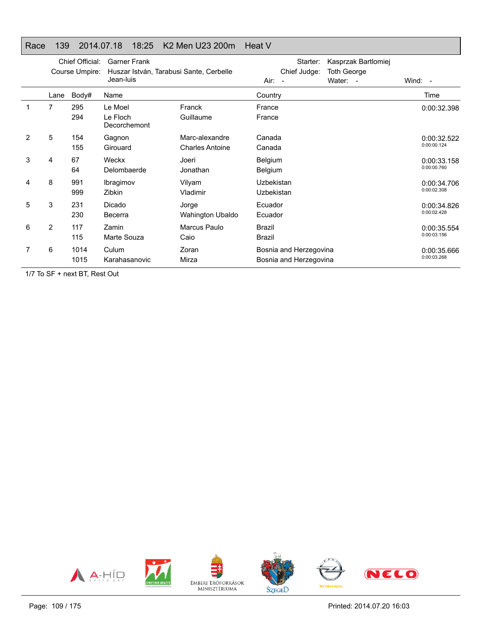# Race 139 2014.07.18 18:25 K2 Men U23 200m Heat V

|   | Chief Official:<br>Course Umpire: |              | <b>Garner Frank</b><br>Huszar István, Tarabusi Sante, Cerbelle<br>Jean-luis |                                          | Starter:<br>Chief Judge:<br>$Air: -$             | Kasprzak Bartlomiej<br><b>Toth George</b><br>Water: - | Wind: -                    |
|---|-----------------------------------|--------------|-----------------------------------------------------------------------------|------------------------------------------|--------------------------------------------------|-------------------------------------------------------|----------------------------|
|   | Lane                              | Body#        | Name                                                                        |                                          | Country                                          |                                                       | Time                       |
|   | 7                                 | 295<br>294   | Le Moel<br>Le Floch<br>Decorchemont                                         | Franck<br>Guillaume                      | France<br>France                                 |                                                       | 0:00:32.398                |
| 2 | 5                                 | 154<br>155   | Gagnon<br>Girouard                                                          | Marc-alexandre<br><b>Charles Antoine</b> | Canada<br>Canada                                 |                                                       | 0:00:32.522<br>0:00:00.124 |
| 3 | 4                                 | 67<br>64     | Weckx<br>Delombaerde                                                        | Joeri<br>Jonathan                        | <b>Belgium</b><br><b>Belgium</b>                 |                                                       | 0:00:33.158<br>0:00:00.760 |
| 4 | 8                                 | 991<br>999   | Ibragimov<br>Zibkin                                                         | Vilyam<br>Vladimir                       | Uzbekistan<br>Uzbekistan                         |                                                       | 0:00:34.706<br>0:00:02.308 |
| 5 | 3                                 | 231<br>230   | Dicado<br>Becerra                                                           | Jorge<br>Wahington Ubaldo                | Ecuador<br>Ecuador                               |                                                       | 0:00:34.826<br>0:00:02.428 |
| 6 | 2                                 | 117<br>115   | Zamin<br>Marte Souza                                                        | Marcus Paulo<br>Caio                     | Brazil<br>Brazil                                 |                                                       | 0:00:35.554<br>0:00:03.156 |
|   | 6                                 | 1014<br>1015 | Culum<br>Karahasanovic                                                      | Zoran<br>Mirza                           | Bosnia and Herzegovina<br>Bosnia and Herzegovina |                                                       | 0:00:35.666<br>0:00:03.268 |

1/7 To SF + next BT, Rest Out

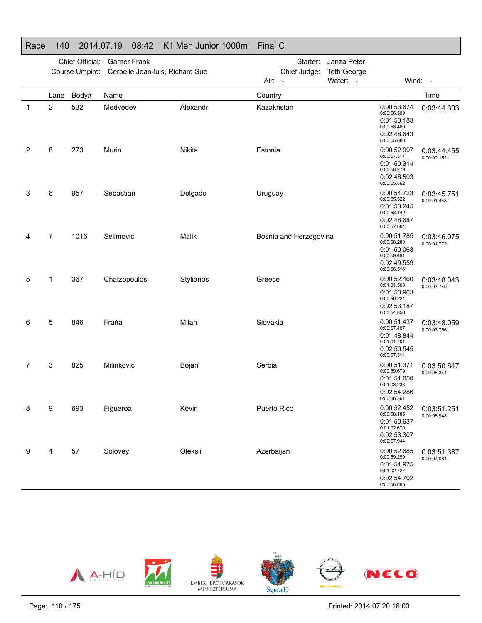#### Race 140 2014.07.19 08:42 K1 Men Junior 1000m Final C

|   |      | Chief Official: | <b>Garner Frank</b><br>Course Umpire: Cerbelle Jean-luis, Richard Sue |           | Starter:<br>Janza Peter<br>Chief Judge:<br><b>Toth George</b><br>Water: -<br>Air:<br>$\overline{\phantom{a}}$ |                        |  | Wind: -                                                                                |                            |
|---|------|-----------------|-----------------------------------------------------------------------|-----------|---------------------------------------------------------------------------------------------------------------|------------------------|--|----------------------------------------------------------------------------------------|----------------------------|
|   | Lane | Body#           | Name                                                                  |           | Country                                                                                                       |                        |  |                                                                                        | Time                       |
| 1 | 2    | 532             | Medvedev                                                              | Alexandr  | Kazakhstan                                                                                                    |                        |  | 0:00:53.674<br>0:00:56.509<br>0:01:50.183<br>0:00:58.460<br>0:02:48.643<br>0:00:55.660 | 0:03:44.303                |
| 2 | 8    | 273             | Murin                                                                 | Nikita    | Estonia                                                                                                       |                        |  | 0:00:52.997<br>0:00:57.317<br>0:01:50.314<br>0:00:58.279<br>0:02:48.593<br>0:00:55.862 | 0:03:44.455<br>0:00:00.152 |
| 3 | 6    | 957             | Sebastián                                                             | Delgado   | Uruguay                                                                                                       |                        |  | 0:00:54.723<br>0:00:55.522<br>0:01:50.245<br>0:00:58.442<br>0:02:48.687<br>0:00:57.064 | 0:03:45.751<br>0:00:01.448 |
| 4 | 7    | 1016            | Selimovic                                                             | Malik     |                                                                                                               | Bosnia and Herzegovina |  | 0:00:51.785<br>0:00:58.283<br>0:01:50.068<br>0:00:59.491<br>0:02:49.559<br>0:00:56.516 | 0:03:46.075<br>0:00:01.772 |
| 5 | 1    | 367             | Chatzopoulos                                                          | Stylianos | Greece                                                                                                        |                        |  | 0:00:52.460<br>0:01:01.503<br>0:01:53.963<br>0:00:59.224<br>0:02:53.187<br>0:00:54.856 | 0:03:48.043<br>0:00:03.740 |
| 6 | 5    | 846             | Fraňa                                                                 | Milan     | Slovakia                                                                                                      |                        |  | 0:00:51.437<br>0:00:57.407<br>0:01:48.844<br>0:01:01.701<br>0:02:50.545<br>0:00:57.514 | 0:03:48.059<br>0:00:03.756 |
| 7 | 3    | 825             | Milinkovic                                                            | Bojan     | Serbia                                                                                                        |                        |  | 0:00:51.371<br>0:00:59.679<br>0:01:51.050<br>0:01:03.236<br>0:02:54.286<br>0:00:56.361 | 0:03:50.647<br>0:00:06.344 |
| 8 | 9    | 693             | Figueroa                                                              | Kevin     | Puerto Rico                                                                                                   |                        |  | 0:00:52.452<br>0:00:58.185<br>0:01:50.637<br>0:01:02.670<br>0:02:53.307<br>0:00:57.944 | 0:03:51.251<br>0:00:06.948 |
| 9 | 4    | 57              | Solovey                                                               | Oleksii   | Azerbaijan                                                                                                    |                        |  | 0:00:52.685<br>0:00:59.290<br>0:01:51.975<br>0:01:02.727<br>0:02:54.702<br>0:00:56.685 | 0:03:51.387<br>0:00:07.084 |

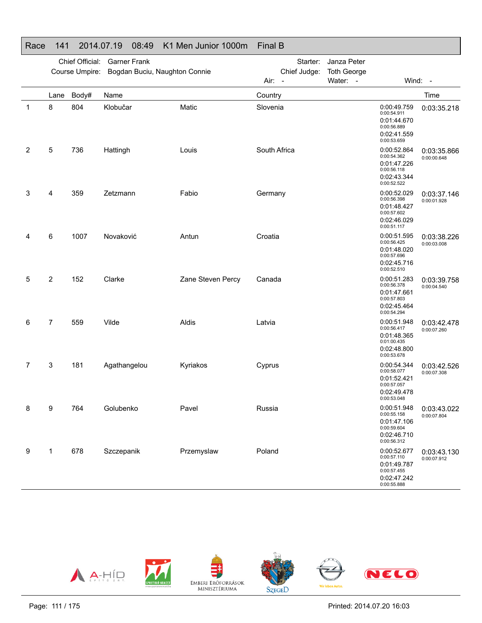#### Race 141 2014.07.19 08:49 K1 Men Junior 1000m Final B

|   |                | Chief Official:<br>Course Umpire: | <b>Garner Frank</b><br>Bogdan Buciu, Naughton Connie |                   |              | Starter:<br>Chief Judge: | Janza Peter<br><b>Toth George</b> |                                                                                        |                            |
|---|----------------|-----------------------------------|------------------------------------------------------|-------------------|--------------|--------------------------|-----------------------------------|----------------------------------------------------------------------------------------|----------------------------|
|   |                |                                   |                                                      |                   | Air: -       |                          | Water: -                          |                                                                                        | Wind: -                    |
|   | Lane           | Body#                             | Name                                                 |                   | Country      |                          |                                   |                                                                                        | Time                       |
| 1 | 8              | 804                               | Klobučar                                             | Matic             | Slovenia     |                          |                                   | 0:00:49.759<br>0:00:54.911<br>0:01:44.670<br>0:00:56.889<br>0:02:41.559<br>0:00:53.659 | 0:03:35.218                |
| 2 | 5              | 736                               | Hattingh                                             | Louis             | South Africa |                          |                                   | 0:00:52.864<br>0:00:54.362<br>0:01:47.226<br>0:00:56.118<br>0:02:43.344<br>0:00:52.522 | 0:03:35.866<br>0:00:00.648 |
| 3 | 4              | 359                               | Zetzmann                                             | Fabio             | Germany      |                          |                                   | 0:00:52.029<br>0:00:56.398<br>0:01:48.427<br>0:00:57.602<br>0:02:46.029<br>0:00:51.117 | 0:03:37.146<br>0:00:01.928 |
| 4 | 6              | 1007                              | Novaković                                            | Antun             | Croatia      |                          |                                   | 0:00:51.595<br>0:00:56.425<br>0:01:48.020<br>0:00:57.696<br>0:02:45.716<br>0:00:52.510 | 0:03:38.226<br>0:00:03.008 |
| 5 | $\overline{2}$ | 152                               | Clarke                                               | Zane Steven Percy | Canada       |                          |                                   | 0:00:51.283<br>0:00:56.378<br>0:01:47.661<br>0:00:57.803<br>0:02:45.464<br>0:00:54.294 | 0:03:39.758<br>0:00:04.540 |
| 6 | 7              | 559                               | Vilde                                                | Aldis             | Latvia       |                          |                                   | 0:00:51.948<br>0:00:56.417<br>0:01:48.365<br>0:01:00.435<br>0:02:48.800<br>0:00:53.678 | 0:03:42.478<br>0:00:07.260 |
| 7 | 3              | 181                               | Agathangelou                                         | Kyriakos          | Cyprus       |                          |                                   | 0:00:54.344<br>0:00:58.077<br>0:01:52.421<br>0:00:57.057<br>0:02:49.478<br>0:00:53.048 | 0:03:42.526<br>0:00:07.308 |
| 8 | 9              | 764                               | Golubenko                                            | Pavel             | Russia       |                          |                                   | 0:00:51.948<br>0:00:55.158<br>0:01:47.106<br>0:00:59.604<br>0:02:46.710<br>0:00:56.312 | 0:03:43.022<br>0:00:07.804 |
| 9 | $\mathbf{1}$   | 678                               | Szczepanik                                           | Przemyslaw        | Poland       |                          |                                   | 0:00:52.677<br>0:00:57.110<br>0:01:49.787<br>0:00:57.455<br>0:02:47.242<br>0:00:55.888 | 0:03:43.130<br>0:00:07.912 |

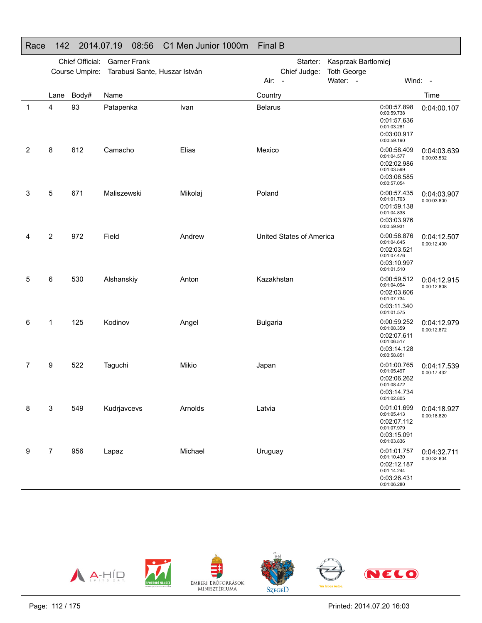# Race 142 2014.07.19 08:56 C1 Men Junior 1000m Final B

|   |                | Chief Official:<br>Course Umpire: | <b>Garner Frank</b><br>Tarabusi Sante, Huszar István |         | Kasprzak Bartlomiej<br>Starter:<br>Chief Judge:<br><b>Toth George</b> |                          |          |                                                                                        |                            |
|---|----------------|-----------------------------------|------------------------------------------------------|---------|-----------------------------------------------------------------------|--------------------------|----------|----------------------------------------------------------------------------------------|----------------------------|
|   |                |                                   |                                                      |         | Air: -                                                                |                          | Water: - |                                                                                        | Wind: -                    |
|   | Lane           | Body#                             | Name                                                 |         | Country                                                               |                          |          |                                                                                        | Time                       |
| 1 | 4              | 93                                | Patapenka                                            | Ivan    | <b>Belarus</b>                                                        |                          |          | 0:00:57.898<br>0:00:59.738<br>0:01:57.636<br>0:01:03.281<br>0:03:00.917<br>0:00:59.190 | 0:04:00.107                |
| 2 | 8              | 612                               | Camacho                                              | Elias   | Mexico                                                                |                          |          | 0:00:58.409<br>0:01:04.577<br>0:02:02.986<br>0:01:03.599<br>0:03:06.585<br>0:00:57.054 | 0:04:03.639<br>0:00:03.532 |
| 3 | 5              | 671                               | Maliszewski                                          | Mikolaj | Poland                                                                |                          |          | 0:00:57.435<br>0:01:01.703<br>0:01:59.138<br>0:01:04.838<br>0:03:03.976<br>0:00:59.931 | 0:04:03.907<br>0:00:03.800 |
| 4 | $\overline{2}$ | 972                               | Field                                                | Andrew  |                                                                       | United States of America |          | 0:00:58.876<br>0:01:04.645<br>0:02:03.521<br>0:01:07.476<br>0:03:10.997<br>0:01:01.510 | 0:04:12.507<br>0:00:12.400 |
| 5 | 6              | 530                               | Alshanskiy                                           | Anton   | Kazakhstan                                                            |                          |          | 0:00:59.512<br>0:01:04.094<br>0:02:03.606<br>0:01:07.734<br>0:03:11.340<br>0:01:01.575 | 0:04:12.915<br>0:00:12.808 |
| 6 | 1              | 125                               | Kodinov                                              | Angel   | <b>Bulgaria</b>                                                       |                          |          | 0:00:59.252<br>0:01:08.359<br>0:02:07.611<br>0:01:06.517<br>0:03:14.128<br>0:00:58.851 | 0:04:12.979<br>0:00:12.872 |
| 7 | 9              | 522                               | Taguchi                                              | Mikio   | Japan                                                                 |                          |          | 0:01:00.765<br>0:01:05.497<br>0:02:06.262<br>0:01:08.472<br>0:03:14.734<br>0:01:02.805 | 0:04:17.539<br>0:00:17.432 |
| 8 | $\mathbf{3}$   | 549                               | Kudrjavcevs                                          | Arnolds | Latvia                                                                |                          |          | 0:01:01.699<br>0:01:05.413<br>0:02:07.112<br>0:01:07.979<br>0:03:15.091<br>0:01:03.836 | 0:04:18.927<br>0:00:18.820 |
| 9 | $\overline{7}$ | 956                               | Lapaz                                                | Michael | Uruguay                                                               |                          |          | 0:01:01.757<br>0:01:10.430<br>0:02:12.187<br>0:01:14.244<br>0:03:26.431<br>0:01:06.280 | 0:04:32.711<br>0:00:32.604 |

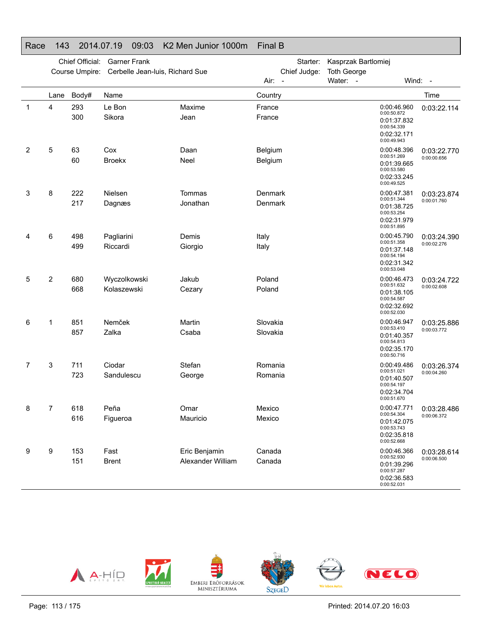#### Race 143 2014.07.19 09:03 K2 Men Junior 1000m Final B

|                |                | Chief Official: | <b>Garner Frank</b>             |                                    | Starter:                  | Kasprzak Bartlomiej                                                                    |                            |
|----------------|----------------|-----------------|---------------------------------|------------------------------------|---------------------------|----------------------------------------------------------------------------------------|----------------------------|
|                |                | Course Umpire:  | Cerbelle Jean-luis, Richard Sue |                                    | Chief Judge:<br>Air: -    | <b>Toth George</b><br>Water: -                                                         | Wind: -                    |
|                | Lane           | Body#           | Name                            |                                    | Country                   |                                                                                        | Time                       |
| 1              | 4              | 293<br>300      | Le Bon<br>Sikora                | Maxime<br>Jean                     | France<br>France          | 0:00:46.960<br>0:00:50.872<br>0:01:37.832<br>0:00:54.339<br>0:02:32.171<br>0:00:49.943 | 0:03:22.114                |
| $\overline{2}$ | 5              | 63<br>60        | Cox<br><b>Broekx</b>            | Daan<br>Neel                       | Belgium<br>Belgium        | 0:00:48.396<br>0:00:51.269<br>0:01:39.665<br>0:00:53.580<br>0:02:33.245<br>0:00:49.525 | 0:03:22.770<br>0:00:00.656 |
| 3              | 8              | 222<br>217      | Nielsen<br>Dagnæs               | Tommas<br>Jonathan                 | <b>Denmark</b><br>Denmark | 0:00:47.381<br>0:00:51.344<br>0:01:38.725<br>0:00:53.254<br>0:02:31.979<br>0:00:51.895 | 0:03:23.874<br>0:00:01.760 |
| 4              | 6              | 498<br>499      | Pagliarini<br>Riccardi          | Demis<br>Giorgio                   | Italy<br>Italy            | 0:00:45.790<br>0:00:51.358<br>0:01:37.148<br>0:00:54.194<br>0:02:31.342<br>0:00:53.048 | 0:03:24.390<br>0:00:02.276 |
| 5              | $\overline{2}$ | 680<br>668      | Wyczolkowski<br>Kolaszewski     | Jakub<br>Cezary                    | Poland<br>Poland          | 0:00:46.473<br>0:00:51.632<br>0:01:38.105<br>0:00:54.587<br>0:02:32.692<br>0:00:52.030 | 0:03:24.722<br>0:00:02.608 |
| 6              | $\mathbf 1$    | 851<br>857      | Nemček<br>Zalka                 | Martin<br>Csaba                    | Slovakia<br>Slovakia      | 0:00:46.947<br>0:00:53.410<br>0:01:40.357<br>0:00:54.813<br>0:02:35.170<br>0:00:50.716 | 0:03:25.886<br>0:00:03.772 |
| 7              | 3              | 711<br>723      | Ciodar<br>Sandulescu            | Stefan<br>George                   | Romania<br>Romania        | 0:00:49.486<br>0:00:51.021<br>0:01:40.507<br>0:00:54.197<br>0:02:34.704<br>0:00:51.670 | 0:03:26.374<br>0:00:04.260 |
| 8              | 7              | 618<br>616      | Peña<br>Figueroa                | Omar<br>Mauricio                   | Mexico<br>Mexico          | 0:00:47.771<br>0:00:54.304<br>0:01:42.075<br>0:00:53.743<br>0:02:35.818<br>0:00:52.668 | 0:03:28.486<br>0:00:06.372 |
| 9              | 9              | 153<br>151      | Fast<br><b>Brent</b>            | Eric Benjamin<br>Alexander William | Canada<br>Canada          | 0:00:46.366<br>0:00:52.930<br>0:01:39.296<br>0:00:57.287<br>0:02:36.583<br>0:00:52.031 | 0:03:28.614<br>0:00:06.500 |

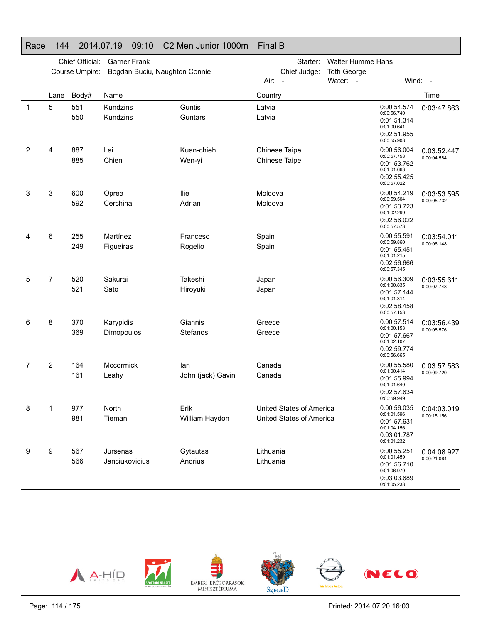#### Race 144 2014.07.19 09:10 C2 Men Junior 1000m Final B

|   | Chief Official:<br><b>Garner Frank</b><br>Course Umpire:<br>Bogdan Buciu, Naughton Connie |            |                            |                          | Walter Humme Hans<br>Starter:<br>Chief Judge:<br><b>Toth George</b><br>Water: -<br>Wind: -<br>Air:<br>$\overline{\phantom{a}}$ |                                                      |  |                                                                                        |                            |
|---|-------------------------------------------------------------------------------------------|------------|----------------------------|--------------------------|--------------------------------------------------------------------------------------------------------------------------------|------------------------------------------------------|--|----------------------------------------------------------------------------------------|----------------------------|
|   | Lane                                                                                      | Body#      | Name                       |                          | Country                                                                                                                        |                                                      |  |                                                                                        | Time                       |
| 1 | 5                                                                                         | 551<br>550 | Kundzins<br>Kundzins       | Guntis<br>Guntars        | Latvia<br>Latvia                                                                                                               |                                                      |  | 0:00:54.574<br>0:00:56.740<br>0:01:51.314<br>0:01:00.641<br>0:02:51.955<br>0:00:55.908 | 0:03:47.863                |
| 2 | 4                                                                                         | 887<br>885 | Lai<br>Chien               | Kuan-chieh<br>Wen-yi     | Chinese Taipei<br>Chinese Taipei                                                                                               |                                                      |  | 0:00:56.004<br>0:00:57.758<br>0:01:53.762<br>0:01:01.663<br>0:02:55.425<br>0:00:57.022 | 0:03:52.447<br>0:00:04.584 |
| 3 | 3                                                                                         | 600<br>592 | Oprea<br>Cerchina          | <b>Ilie</b><br>Adrian    | Moldova<br>Moldova                                                                                                             |                                                      |  | 0:00:54.219<br>0:00:59.504<br>0:01:53.723<br>0:01:02.299<br>0:02:56.022<br>0:00:57.573 | 0:03:53.595<br>0:00:05.732 |
| 4 | 6                                                                                         | 255<br>249 | Martínez<br>Figueiras      | Francesc<br>Rogelio      | Spain<br>Spain                                                                                                                 |                                                      |  | 0:00:55.591<br>0:00:59.860<br>0:01:55.451<br>0:01:01.215<br>0:02:56.666<br>0:00:57.345 | 0:03:54.011<br>0:00:06.148 |
| 5 | 7                                                                                         | 520<br>521 | Sakurai<br>Sato            | Takeshi<br>Hiroyuki      | Japan<br>Japan                                                                                                                 |                                                      |  | 0:00:56.309<br>0:01:00.835<br>0:01:57.144<br>0:01:01.314<br>0:02:58.458<br>0:00:57.153 | 0:03:55.611<br>0:00:07.748 |
| 6 | 8                                                                                         | 370<br>369 | Karypidis<br>Dimopoulos    | Giannis<br>Stefanos      | Greece<br>Greece                                                                                                               |                                                      |  | 0:00:57.514<br>0:01:00.153<br>0:01:57.667<br>0:01:02.107<br>0:02:59.774<br>0:00:56.665 | 0:03:56.439<br>0:00:08.576 |
| 7 | $\overline{2}$                                                                            | 164<br>161 | Mccormick<br>Leahy         | lan<br>John (jack) Gavin | Canada<br>Canada                                                                                                               |                                                      |  | 0:00:55.580<br>0:01:00.414<br>0:01:55.994<br>0:01:01.640<br>0:02:57.634<br>0:00:59.949 | 0:03:57.583<br>0:00:09.720 |
| 8 | 1                                                                                         | 977<br>981 | North<br>Tieman            | Erik<br>William Haydon   |                                                                                                                                | United States of America<br>United States of America |  | 0:00:56.035<br>0:01:01.596<br>0:01:57.631<br>0:01:04.156<br>0:03:01.787<br>0:01:01.232 | 0:04:03.019<br>0:00:15.156 |
| 9 | 9                                                                                         | 567<br>566 | Jursenas<br>Janciukovicius | Gytautas<br>Andrius      | Lithuania<br>Lithuania                                                                                                         |                                                      |  | 0:00:55.251<br>0:01:01.459<br>0:01:56.710<br>0:01:06.979<br>0:03:03.689<br>0:01:05.238 | 0:04:08.927<br>0:00:21.064 |

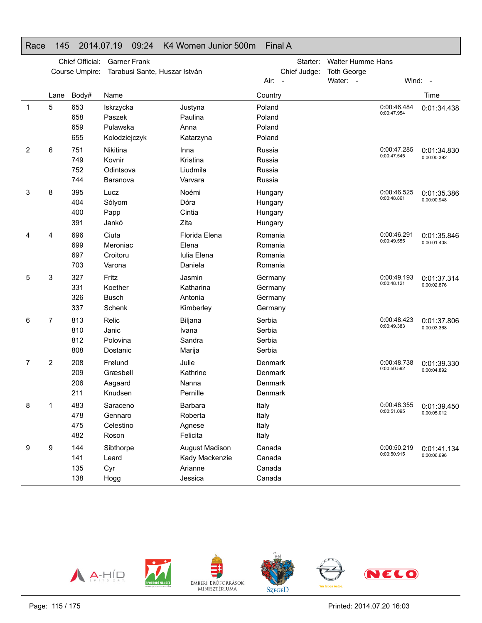# Race 145 2014.07.19 09:24 K4 Women Junior 500m Final A

|             |      | Chief Official: | <b>Garner Frank</b>           |                                  | Starter:           | <b>Walter Humme Hans</b> |                            |                                          |
|-------------|------|-----------------|-------------------------------|----------------------------------|--------------------|--------------------------|----------------------------|------------------------------------------|
|             |      | Course Umpire:  | Tarabusi Sante, Huszar István |                                  | Chief Judge:       | <b>Toth George</b>       |                            |                                          |
|             |      |                 |                               |                                  | Air: -             | Water: -                 |                            | Wind: -                                  |
|             | Lane | Body#           | Name                          |                                  | Country            |                          |                            | Time                                     |
| $\mathbf 1$ | 5    | 653             | Iskrzycka                     | Justyna                          | Poland             |                          | 0:00:46.484<br>0:00:47.954 | 0:01:34.438                              |
|             |      | 658             | Paszek                        | Paulina                          | Poland             |                          |                            |                                          |
|             |      | 659             | Pulawska                      | Anna                             | Poland             |                          |                            |                                          |
|             |      | 655             | Kolodziejczyk                 | Katarzyna                        | Poland             |                          |                            |                                          |
| 2           | 6    | 751             | Nikitina                      | Inna                             | Russia             |                          | 0:00:47.285<br>0:00:47.545 | 0:01:34.830                              |
|             |      | 749             | Kovnir                        | Kristina                         | Russia             |                          |                            | 0:00:00.392                              |
|             |      | 752             | Odintsova                     | Liudmila                         | Russia             |                          |                            |                                          |
|             |      | 744             | Baranova                      | Varvara                          | Russia             |                          |                            |                                          |
| 3           | 8    | 395             | Lucz                          | Noémi                            | Hungary            |                          | 0:00:46.525<br>0:00:48.861 | 0:01:35.386                              |
|             |      | 404             | Sólyom                        | Dóra                             | Hungary            |                          |                            | 0:00:00.948                              |
|             |      | 400             | Papp                          | Cintia                           | Hungary            |                          |                            |                                          |
|             |      | 391             | Jankó                         | Zita                             | Hungary            |                          |                            |                                          |
| 4           | 4    | 696             | Ciuta                         | Florida Elena                    | Romania            |                          | 0:00:46.291<br>0:00:49.555 | 0:01:35.846<br>0:00:01.408               |
|             |      | 699             | Meroniac                      | Elena                            | Romania            |                          |                            |                                          |
|             |      | 697             | Croitoru                      | Iulia Elena                      | Romania            |                          |                            |                                          |
|             |      | 703             | Varona                        | Daniela                          | Romania            |                          |                            |                                          |
| 5           | 3    | 327             | Fritz                         | Jasmin                           | Germany            |                          | 0:00:49.193<br>0:00:48.121 | 0:01:37.314<br>0:00:02.876               |
|             |      | 331             | Koether                       | Katharina                        | Germany            |                          |                            |                                          |
|             |      | 326             | <b>Busch</b>                  | Antonia                          | Germany            |                          |                            |                                          |
|             |      | 337             | Schenk                        | Kimberley                        | Germany            |                          |                            |                                          |
| 6           | 7    | 813             | Relic                         | Biljana                          | Serbia             |                          | 0:00:48.423<br>0:00:49.383 | 0:01:37.806<br>0:00:03.368               |
|             |      | 810<br>812      | Janic<br>Polovina             | Ivana                            | Serbia             |                          |                            |                                          |
|             |      | 808             | Dostanic                      | Sandra                           | Serbia<br>Serbia   |                          |                            |                                          |
|             |      |                 |                               | Marija                           |                    |                          |                            |                                          |
| 7           | 2    | 208             | Frølund                       | Julie                            | Denmark            |                          | 0:00:48.738<br>0:00:50.592 | 0:01:39.330<br>0:00:04.892               |
|             |      | 209<br>206      | Græsbøll                      | Kathrine<br>Nanna                | Denmark<br>Denmark |                          |                            |                                          |
|             |      | 211             | Aagaard<br>Knudsen            | Pernille                         | Denmark            |                          |                            |                                          |
|             |      |                 |                               |                                  |                    |                          |                            |                                          |
| 8           |      | 483<br>478      | Saraceno                      | Barbara<br>Roberta               | Italy              |                          | 0:00:51.095                | 0:00:48.355   0:01:39.450<br>0:00:05.012 |
|             |      | 475             | Gennaro<br>Celestino          | Agnese                           | Italy<br>Italy     |                          |                            |                                          |
|             |      | 482             | Roson                         | Felicita                         | Italy              |                          |                            |                                          |
|             |      |                 |                               |                                  |                    |                          | 0:00:50.219                |                                          |
| 9           | 9    | 144<br>141      | Sibthorpe<br>Leard            | August Madison<br>Kady Mackenzie | Canada<br>Canada   |                          | 0:00:50.915                | 0:01:41.134<br>0:00:06.696               |
|             |      | 135             | Cyr                           | Arianne                          | Canada             |                          |                            |                                          |
|             |      | 138             | Hogg                          | Jessica                          | Canada             |                          |                            |                                          |
|             |      |                 |                               |                                  |                    |                          |                            |                                          |

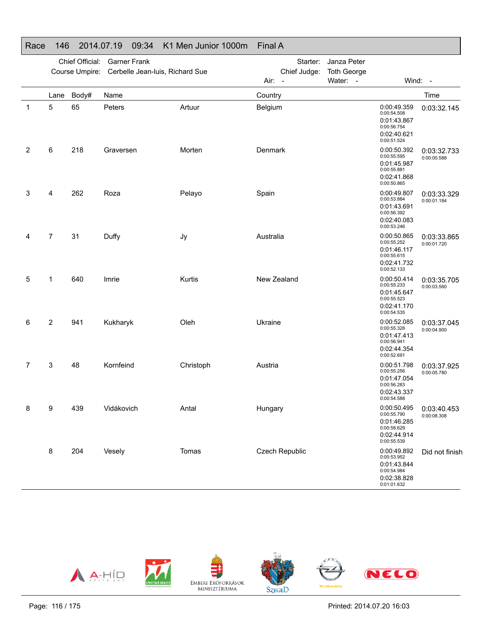#### Race 146 2014.07.19 09:34 K1 Men Junior 1000m Final A Chief Official: Garner Frank Course Umpire: Cerbelle Jean-luis, Richard SueStarter: Janza Peter Chief Judge: **Toth George** Air: -Water: - Wind: -Lane Body# Name**Country Country Country Country Country** Time 1 5 65 PetersArtuur Belgium Belgium 0:00:49.359 0:00:54.5080:01:43.8670:00:56.754 0:02:40.6210:00:51.5240:03:32.145 2 6 218 GraversenMorten Denmark 0:00:50.392 0:00:55.595 0:01:45.9870:00:55.8810:02:41.868 0:00:50.865 0:03:32.733 0:00:00.588 3 4 262 RozaPelayo Spain Spain 0:00:49.807 0:00:53.884 0:01:43.6910:00:56.3920:02:40.083 0:00:53.246 0:03:33.329 0:00:01.1844 7 31 Duffy Jy Australia 0:00:50.865 0:00:55.252 0:01:46.1170:00:55.615 0:02:41.732 0:00:52.133 0:03:33.8650:00:01.7205 1 640 ImrieKurtis New Zealand 0:00:50.414 0:00:55.2330:01:45.6470:00:55.523 0:02:41.170 0:00:54.5350:03:35.705 0:00:03.560 6 2 941 Kukharyk Oleh Ukraine 0:00:52.085 0:00:55.328 0:01:47.413 0:00:56.9410:02:44.3540:00:52.6910:03:37.045 0:00:04.900 7 3 48 Kornfeind Christoph Austria 0:00:51.798 0:00:55.256 0:01:47.0540:00:56.283 0:02:43.3370:00:54.588 0:03:37.925 0:00:05.780 8 9 439 VidákovichAntal Hungary 10:00:50.495 0:00:55.7900:01:46.285 0:00:58.629 0:02:44.9140:00:55.5390:03:40.453 0:00:08.308 8 204 VeselyTomas Czech Republic 0:00:49.892 0:00:53.952 0:01:43.8440:00:54.984 0:02:38.8280:01:01.632 Did not finish

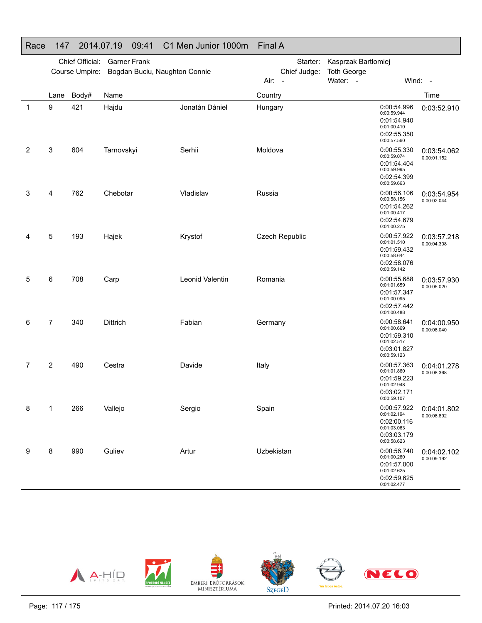# Race 147 2014.07.19 09:41 C1 Men Junior 1000m Final A

|   | Chief Official:<br><b>Garner Frank</b><br>Bogdan Buciu, Naughton Connie<br>Course Umpire: |              |                 |                 | Starter:<br>Chief Judge: | Kasprzak Bartlomiej<br><b>Toth George</b>                                              |                            |
|---|-------------------------------------------------------------------------------------------|--------------|-----------------|-----------------|--------------------------|----------------------------------------------------------------------------------------|----------------------------|
|   |                                                                                           |              |                 |                 | Air:<br>$\sim$ $-$       | Water: -                                                                               | Wind: -                    |
| 1 | Lane<br>9                                                                                 | Body#<br>421 | Name<br>Hajdu   | Jonatán Dániel  | Country<br>Hungary       | 0:00:54.996<br>0:00:59.944<br>0:01:54.940<br>0:01:00.410<br>0:02:55.350<br>0:00:57.560 | Time<br>0:03:52.910        |
| 2 | 3                                                                                         | 604          | Tarnovskyi      | Serhii          | Moldova                  | 0:00:55.330<br>0:00:59.074<br>0:01:54.404<br>0:00:59.995<br>0:02:54.399<br>0:00:59.663 | 0:03:54.062<br>0:00:01.152 |
| 3 | 4                                                                                         | 762          | Chebotar        | Vladislav       | Russia                   | 0:00:56.106<br>0:00:58.156<br>0:01:54.262<br>0:01:00.417<br>0:02:54.679<br>0:01:00.275 | 0:03:54.954<br>0:00:02.044 |
| 4 | 5                                                                                         | 193          | Hajek           | Krystof         | Czech Republic           | 0:00:57.922<br>0:01:01.510<br>0:01:59.432<br>0:00:58.644<br>0:02:58.076<br>0:00:59.142 | 0:03:57.218<br>0:00:04.308 |
| 5 | 6                                                                                         | 708          | Carp            | Leonid Valentin | Romania                  | 0:00:55.688<br>0:01:01.659<br>0:01:57.347<br>0:01:00.095<br>0:02:57.442<br>0:01:00.488 | 0:03:57.930<br>0:00:05.020 |
| 6 | $\overline{7}$                                                                            | 340          | <b>Dittrich</b> | Fabian          | Germany                  | 0:00:58.641<br>0:01:00.669<br>0:01:59.310<br>0:01:02.517<br>0:03:01.827<br>0:00:59.123 | 0:04:00.950<br>0:00:08.040 |
| 7 | 2                                                                                         | 490          | Cestra          | Davide          | Italy                    | 0:00:57.363<br>0:01:01.860<br>0:01:59.223<br>0:01:02.948<br>0:03:02.171<br>0:00:59.107 | 0:04:01.278<br>0:00:08.368 |
| 8 | 1                                                                                         | 266          | Vallejo         | Sergio          | Spain                    | 0:00:57.922<br>0:01:02.194<br>0:02:00.116<br>0:01:03.063<br>0:03:03.179<br>0:00:58.623 | 0:04:01.802<br>0:00:08.892 |
| 9 | 8                                                                                         | 990          | Guliev          | Artur           | Uzbekistan               | 0:00:56.740<br>0:01:00.260<br>0:01:57.000<br>0:01:02.625<br>0:02:59.625<br>0:01:02.477 | 0:04:02.102<br>0:00:09.192 |

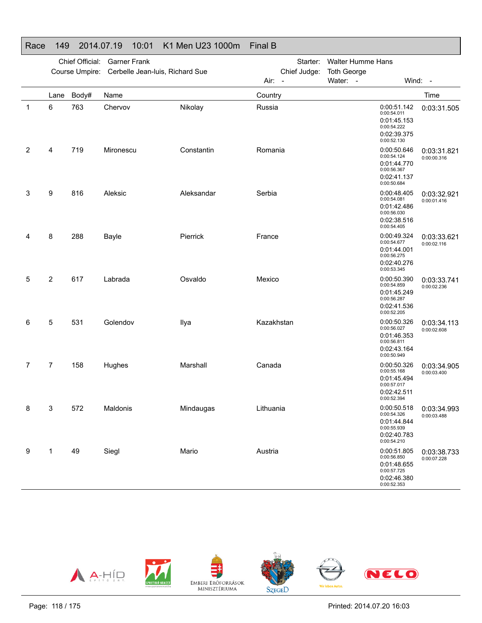# Race 149 2014.07.19 10:01 K1 Men U23 1000m Final B

|   |                | Chief Official: | <b>Garner Frank</b>             |            | <b>Walter Humme Hans</b><br>Starter: |                |                    |                                                                                        |                                          |
|---|----------------|-----------------|---------------------------------|------------|--------------------------------------|----------------|--------------------|----------------------------------------------------------------------------------------|------------------------------------------|
|   |                | Course Umpire:  | Cerbelle Jean-luis, Richard Sue |            |                                      | Chief Judge:   | <b>Toth George</b> |                                                                                        |                                          |
|   |                |                 |                                 |            | Air:                                 | $\blacksquare$ | Water: -           |                                                                                        | Wind: -                                  |
|   | Lane           | Body#           | Name                            |            | Country                              |                |                    |                                                                                        | Time                                     |
| 1 | 6              | 763             | Chervov                         | Nikolay    | Russia                               |                |                    | 0:00:51.142<br>0:00:54.011<br>0:01:45.153<br>0:00:54.222<br>0:02:39.375<br>0:00:52.130 | 0:03:31.505                              |
| 2 | 4              | 719             | Mironescu                       | Constantin | Romania                              |                |                    | 0:00:50.646<br>0:00:54.124<br>0:01:44.770<br>0:00:56.367<br>0:02:41.137<br>0:00:50.684 | 0:03:31.821<br>0:00:00.316               |
| 3 | 9              | 816             | Aleksic                         | Aleksandar | Serbia                               |                |                    | 0:00:48.405<br>0:00:54.081<br>0:01:42.486<br>0:00:56.030<br>0:02:38.516<br>0:00:54.405 | 0:03:32.921<br>0:00:01.416               |
| 4 | 8              | 288             | Bayle                           | Pierrick   | France                               |                |                    | 0:00:49.324<br>0:00:54.677<br>0:01:44.001<br>0:00:56.275<br>0:02:40.276<br>0:00:53.345 | 0:03:33.621<br>0:00:02.116               |
| 5 | $\overline{2}$ | 617             | Labrada                         | Osvaldo    | Mexico                               |                |                    | 0:00:50.390<br>0:00:54.859<br>0:01:45.249<br>0:00:56.287<br>0:02:41.536<br>0:00:52.205 | 0:03:33.741<br>0:00:02.236               |
| 6 | 5              | 531             | Golendov                        | Ilya       | Kazakhstan                           |                |                    | 0:00:50.326<br>0:00:56.027<br>0:01:46.353<br>0:00:56.811<br>0:02:43.164<br>0:00:50.949 | 0:03:34.113<br>0:00:02.608               |
| 7 | 7              | 158             | Hughes                          | Marshall   | Canada                               |                |                    | 0:00:50.326<br>0:00:55.168<br>0:01:45.494<br>0:00:57.017<br>0:02:42.511<br>0:00:52.394 | 0:03:34.905<br>0:00:03.400               |
| 8 | 3              | 572             | Maldonis                        | Mindaugas  | Lithuania                            |                |                    | 0:00:54.326<br>0:01:44.844<br>0:00:55.939<br>0:02:40.783<br>0:00:54.210                | 0:00:50.518   0:03:34.993<br>0:00:03.488 |
| 9 | 1              | 49              | Siegl                           | Mario      | Austria                              |                |                    | 0:00:51.805<br>0:00:56.850<br>0:01:48.655<br>0:00:57.725<br>0:02:46.380<br>0:00:52.353 | 0:03:38.733<br>0:00:07.228               |

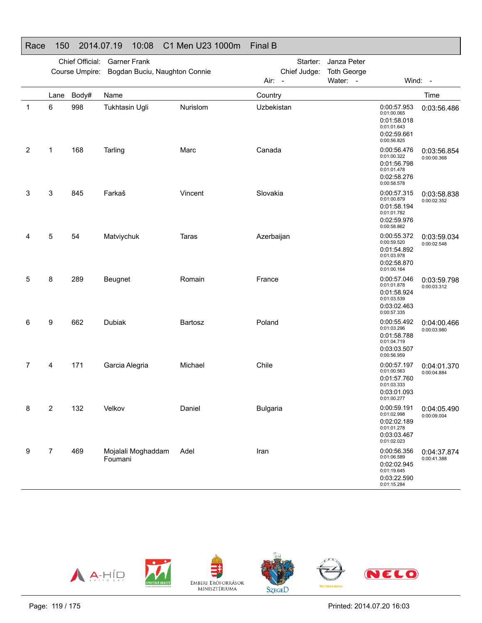#### Race 150 2014.07.19 10:08 C1 Men U23 1000m Final B

|   |      | Chief Official:<br>Course Umpire: | <b>Garner Frank</b><br>Bogdan Buciu, Naughton Connie |          | Starter:<br>Janza Peter<br>Chief Judge:<br><b>Toth George</b><br>Water: -<br>Wind: -<br>Air: - |  |                                                                                        |                            |
|---|------|-----------------------------------|------------------------------------------------------|----------|------------------------------------------------------------------------------------------------|--|----------------------------------------------------------------------------------------|----------------------------|
|   | Lane | Body#                             | Name                                                 |          | Country                                                                                        |  |                                                                                        | Time                       |
| 1 | 6    | 998                               | Tukhtasin Ugli                                       | Nurislom | Uzbekistan                                                                                     |  | 0:00:57.953<br>0:01:00.065<br>0:01:58.018<br>0:01:01.643<br>0:02:59.661<br>0:00:56.825 | 0:03:56.486                |
| 2 | 1    | 168                               | Tarling                                              | Marc     | Canada                                                                                         |  | 0:00:56.476<br>0:01:00.322<br>0:01:56.798<br>0:01:01.478<br>0:02:58.276<br>0:00:58.578 | 0:03:56.854<br>0:00:00.368 |
| 3 | 3    | 845                               | Farkaš                                               | Vincent  | Slovakia                                                                                       |  | 0:00:57.315<br>0:01:00.879<br>0:01:58.194<br>0:01:01.782<br>0:02:59.976<br>0:00:58.862 | 0:03:58.838<br>0:00:02.352 |
| 4 | 5    | 54                                | Matviychuk                                           | Taras    | Azerbaijan                                                                                     |  | 0:00:55.372<br>0:00:59.520<br>0:01:54.892<br>0:01:03.978<br>0:02:58.870<br>0:01:00.164 | 0:03:59.034<br>0:00:02.548 |
| 5 | 8    | 289                               | Beugnet                                              | Romain   | France                                                                                         |  | 0:00:57.046<br>0:01:01.878<br>0:01:58.924<br>0:01:03.539<br>0:03:02.463<br>0:00:57.335 | 0:03:59.798<br>0:00:03.312 |
| 6 | 9    | 662                               | Dubiak                                               | Bartosz  | Poland                                                                                         |  | 0:00:55.492<br>0:01:03.296<br>0:01:58.788<br>0:01:04.719<br>0:03:03.507<br>0:00:56.959 | 0:04:00.466<br>0:00:03.980 |
| 7 | 4    | 171                               | Garcia Alegria                                       | Michael  | Chile                                                                                          |  | 0:00:57.197<br>0:01:00.563<br>0:01:57.760<br>0:01:03.333<br>0:03:01.093<br>0:01:00.277 | 0:04:01.370<br>0:00:04.884 |
| 8 | 2    | 132                               | Velkov                                               | Daniel   | <b>Bulgaria</b>                                                                                |  | 0:00:59.191<br>0:01:02.998<br>0:02:02.189<br>0:01:01.278<br>0:03:03.467<br>0:01:02.023 | 0:04:05.490<br>0:00:09.004 |
| 9 | 7    | 469                               | Mojalali Moghaddam<br>Foumani                        | Adel     | Iran                                                                                           |  | 0:00:56.356<br>0:01:06.589<br>0:02:02.945<br>0:01:19.645<br>0:03:22.590<br>0:01:15.284 | 0:04:37.874<br>0:00:41.388 |

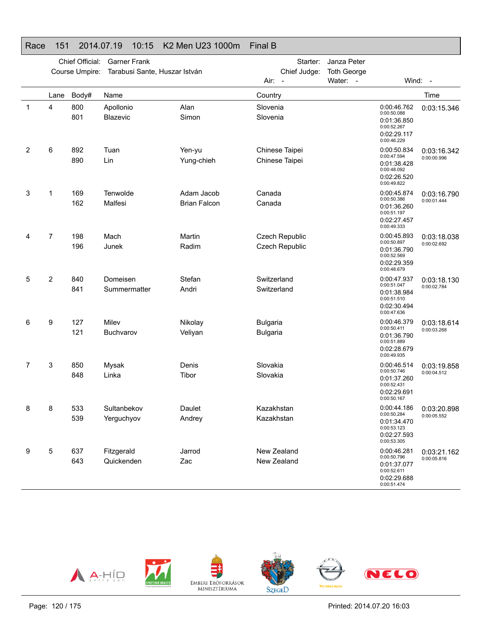#### Race 151 2014.07.19 10:15 K2 Men U23 1000m Final B

|   |                | Chief Official:<br>Course Umpire: | <b>Garner Frank</b><br>Tarabusi Sante, Huszar István |                                   | Starter:<br>Chief Judge:<br>Air:<br>$\overline{\phantom{a}}$ | Janza Peter<br><b>Toth George</b><br>Water: - |                                                                                        | Wind: $-$                  |
|---|----------------|-----------------------------------|------------------------------------------------------|-----------------------------------|--------------------------------------------------------------|-----------------------------------------------|----------------------------------------------------------------------------------------|----------------------------|
|   | Lane           | Body#                             | Name                                                 |                                   | Country                                                      |                                               |                                                                                        | Time                       |
| 1 | 4              | 800<br>801                        | Apollonio<br>Blazevic                                | Alan<br>Simon                     | Slovenia<br>Slovenia                                         |                                               | 0:00:46.762<br>0:00:50.088<br>0:01:36.850<br>0:00:52.267<br>0:02:29.117<br>0:00:46.229 | 0:03:15.346                |
| 2 | 6              | 892<br>890                        | Tuan<br>Lin                                          | Yen-yu<br>Yung-chieh              | Chinese Taipei<br>Chinese Taipei                             |                                               | 0:00:50.834<br>0:00:47.594<br>0:01:38.428<br>0:00:48.092<br>0:02:26.520<br>0:00:49.822 | 0:03:16.342<br>0:00:00.996 |
| 3 | 1              | 169<br>162                        | Tenwolde<br>Malfesi                                  | Adam Jacob<br><b>Brian Falcon</b> | Canada<br>Canada                                             |                                               | 0:00:45.874<br>0:00:50.386<br>0:01:36.260<br>0:00:51.197<br>0:02:27.457<br>0:00:49.333 | 0:03:16.790<br>0:00:01.444 |
| 4 | $\overline{7}$ | 198<br>196                        | Mach<br>Junek                                        | Martin<br>Radim                   | <b>Czech Republic</b><br><b>Czech Republic</b>               |                                               | 0:00:45.893<br>0:00:50.897<br>0:01:36.790<br>0:00:52.569<br>0:02:29.359<br>0:00:48.679 | 0:03:18.038<br>0:00:02.692 |
| 5 | 2              | 840<br>841                        | Domeisen<br>Summermatter                             | Stefan<br>Andri                   | Switzerland<br>Switzerland                                   |                                               | 0:00:47.937<br>0:00:51.047<br>0:01:38.984<br>0:00:51.510<br>0:02:30.494<br>0:00:47.636 | 0:03:18.130<br>0:00:02.784 |
| 6 | 9              | 127<br>121                        | Milev<br><b>Buchvarov</b>                            | Nikolay<br>Veliyan                | <b>Bulgaria</b><br><b>Bulgaria</b>                           |                                               | 0:00:46.379<br>0:00:50.411<br>0:01:36.790<br>0:00:51.889<br>0:02:28.679<br>0:00:49.935 | 0:03:18.614<br>0:00:03.268 |
| 7 | 3              | 850<br>848                        | Mysak<br>Linka                                       | Denis<br>Tibor                    | Slovakia<br>Slovakia                                         |                                               | 0:00:46.514<br>0:00:50.746<br>0:01:37.260<br>0:00:52.431<br>0:02:29.691<br>0:00:50.167 | 0:03:19.858<br>0:00:04.512 |
| 8 | 8              | 533<br>539                        | Sultanbekov<br>Yerguchyov                            | Daulet<br>Andrey                  | Kazakhstan<br>Kazakhstan                                     |                                               | 0:00:44.186<br>0:00:50.284<br>0:01:34.470<br>0:00:53.123<br>0:02:27.593<br>0:00:53.305 | 0:03:20.898<br>0:00:05.552 |
| 9 | 5              | 637<br>643                        | Fitzgerald<br>Quickenden                             | Jarrod<br>Zac                     | New Zealand<br>New Zealand                                   |                                               | 0:00:46.281<br>0:00:50.796<br>0:01:37.077<br>0:00:52.611<br>0:02:29.688<br>0:00:51.474 | 0:03:21.162<br>0:00:05.816 |

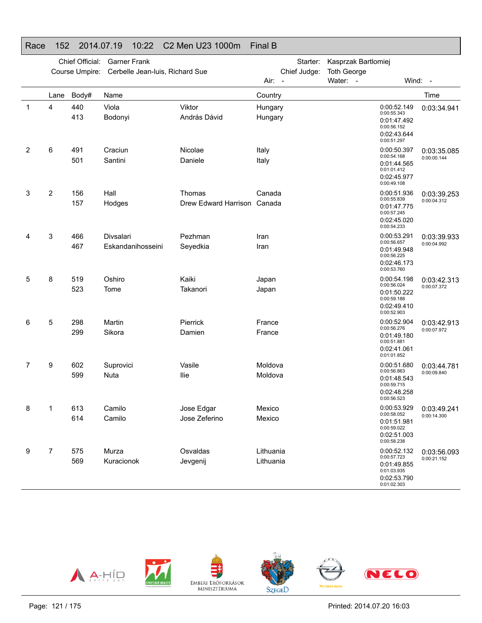# Race 152 2014.07.19 10:22 C2 Men U23 1000m Final B

|   |                | Chief Official:<br>Course Umpire: | <b>Garner Frank</b><br>Cerbelle Jean-luis, Richard Sue |                             | Starter:<br>Chief Judge:         | Kasprzak Bartlomiej<br><b>Toth George</b> |                                                                                        |             |
|---|----------------|-----------------------------------|--------------------------------------------------------|-----------------------------|----------------------------------|-------------------------------------------|----------------------------------------------------------------------------------------|-------------|
|   |                |                                   |                                                        |                             | Air:<br>$\overline{\phantom{a}}$ | Water: -                                  | Wind: -                                                                                |             |
|   | Lane           | Body#                             | Name                                                   |                             | Country                          |                                           |                                                                                        | Time        |
| 1 | 4              | 440<br>413                        | Viola<br>Bodonyi                                       | Viktor<br>András Dávid      | Hungary<br>Hungary               |                                           | 0:00:52.149<br>0:00:55.343<br>0:01:47.492<br>0:00:56.152<br>0:02:43.644<br>0:00:51.297 | 0:03:34.941 |
| 2 | 6              | 491                               | Craciun                                                | Nicolae                     | Italy                            |                                           | 0:00:50.397<br>0:00:54.168                                                             | 0:03:35.085 |
|   |                | 501                               | Santini                                                | Daniele                     | Italy                            |                                           | 0:01:44.565<br>0:01:01.412<br>0:02:45.977<br>0:00:49.108                               | 0:00:00.144 |
| 3 | $\overline{c}$ | 156                               | Hall                                                   | Thomas                      | Canada                           |                                           | 0:00:51.936                                                                            | 0:03:39.253 |
|   |                | 157                               | Hodges                                                 | Drew Edward Harrison Canada |                                  |                                           | 0:00:55.839<br>0:01:47.775<br>0:00:57.245<br>0:02:45.020<br>0:00:54.233                | 0:00:04.312 |
| 4 | 3              | 466                               | Divsalari                                              | Pezhman                     | Iran                             |                                           | 0:00:53.291                                                                            | 0:03:39.933 |
|   |                | 467                               | Eskandanihosseini                                      | Seyedkia                    | Iran                             |                                           | 0:00:56.657<br>0:01:49.948<br>0:00:56.225<br>0:02:46.173<br>0:00:53.760                | 0:00:04.992 |
| 5 | 8              | 519                               | Oshiro                                                 | Kaiki                       | Japan                            |                                           | 0:00:54.198                                                                            | 0:03:42.313 |
|   |                | 523                               | Tome                                                   | Takanori                    | Japan                            |                                           | 0:00:56.024<br>0:01:50.222<br>0:00:59.188<br>0:02:49.410<br>0:00:52.903                | 0:00:07.372 |
| 6 | 5              | 298                               | Martin                                                 | Pierrick                    | France                           |                                           | 0:00:52.904<br>0:00:56.276                                                             | 0:03:42.913 |
|   |                | 299                               | Sikora                                                 | Damien                      | France                           |                                           | 0:01:49.180<br>0:00:51.881<br>0:02:41.061<br>0:01:01.852                               | 0:00:07.972 |
| 7 | 9              | 602                               | Suprovici                                              | Vasile                      | Moldova                          |                                           | 0:00:51.680<br>0:00:56.863                                                             | 0:03:44.781 |
|   |                | 599                               | Nuta                                                   | llie                        | Moldova                          |                                           | 0:01:48.543<br>0:00:59.715<br>0:02:48.258<br>0:00:56.523                               | 0:00:09.840 |
| 8 | 1              | 613                               | Camilo                                                 | Jose Edgar                  | Mexico                           |                                           | 0:00:53.929                                                                            | 0:03:49.241 |
|   |                | 614                               | Camilo                                                 | Jose Zeferino               | Mexico                           |                                           | 0:00:58.052<br>0:01:51.981<br>0:00:59.022<br>0:02:51.003<br>0:00:58.238                | 0:00:14.300 |
| 9 | 7              | 575                               | Murza                                                  | Osvaldas                    | Lithuania                        |                                           | 0:00:52.132                                                                            | 0:03:56.093 |
|   |                | 569                               | Kuracionok                                             | Jevgenij                    | Lithuania                        |                                           | 0:00:57.723<br>0:01:49.855<br>0:01:03.935<br>0:02:53.790<br>0:01:02.303                | 0:00:21.152 |

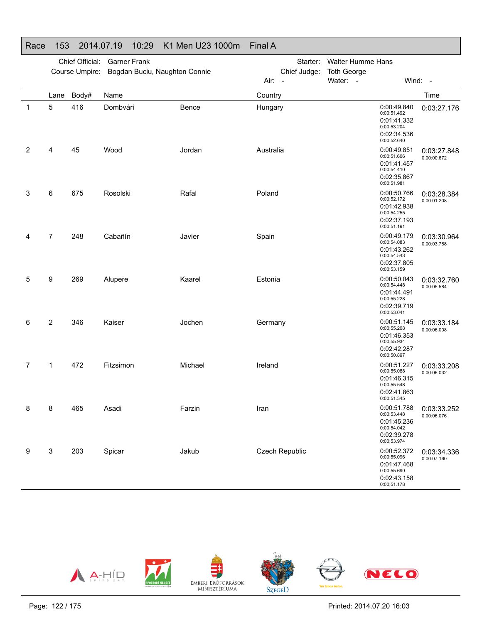### Race 153 2014.07.19 10:29 K1 Men U23 1000m Final A

|   |                | Chief Official:<br>Course Umpire: | <b>Garner Frank</b><br>Bogdan Buciu, Naughton Connie |         | Starter:<br>Chief Judge:<br>Air: - | <b>Walter Humme Hans</b><br><b>Toth George</b><br>Water: -                             | Wind: -                    |
|---|----------------|-----------------------------------|------------------------------------------------------|---------|------------------------------------|----------------------------------------------------------------------------------------|----------------------------|
|   | Lane           | Body#                             | Name                                                 |         | Country                            |                                                                                        | Time                       |
| 1 | 5              | 416                               | Dombvári                                             | Bence   | Hungary                            | 0:00:49.840<br>0:00:51.492<br>0:01:41.332<br>0:00:53.204<br>0:02:34.536<br>0:00:52.640 | 0:03:27.176                |
| 2 | 4              | 45                                | Wood                                                 | Jordan  | Australia                          | 0:00:49.851<br>0:00:51.606<br>0:01:41.457<br>0:00:54.410<br>0:02:35.867<br>0:00:51.981 | 0:03:27.848<br>0:00:00.672 |
| 3 | 6              | 675                               | Rosolski                                             | Rafal   | Poland                             | 0:00:50.766<br>0:00:52.172<br>0:01:42.938<br>0:00:54.255<br>0:02:37.193<br>0:00:51.191 | 0:03:28.384<br>0:00:01.208 |
| 4 | $\overline{7}$ | 248                               | Cabañín                                              | Javier  | Spain                              | 0:00:49.179<br>0:00:54.083<br>0:01:43.262<br>0:00:54.543<br>0:02:37.805<br>0:00:53.159 | 0:03:30.964<br>0:00:03.788 |
| 5 | 9              | 269                               | Alupere                                              | Kaarel  | Estonia                            | 0:00:50.043<br>0:00:54.448<br>0:01:44.491<br>0:00:55.228<br>0:02:39.719<br>0:00:53.041 | 0:03:32.760<br>0:00:05.584 |
| 6 | 2              | 346                               | Kaiser                                               | Jochen  | Germany                            | 0:00:51.145<br>0:00:55.208<br>0:01:46.353<br>0:00:55.934<br>0:02:42.287<br>0:00:50.897 | 0:03:33.184<br>0:00:06.008 |
| 7 | $\mathbf{1}$   | 472                               | Fitzsimon                                            | Michael | Ireland                            | 0:00:51.227<br>0:00:55.088<br>0:01:46.315<br>0:00:55.548<br>0:02:41.863<br>0:00:51.345 | 0:03:33.208<br>0:00:06.032 |
| 8 | 8              | 465                               | Asadi                                                | Farzin  | Iran                               | 0:00:51.788<br>0:00:53.448<br>0:01:45.236<br>0:00:54.042<br>0:02:39.278<br>0:00:53.974 | 0:03:33.252<br>0:00:06.076 |
| 9 | 3              | 203                               | Spicar                                               | Jakub   | <b>Czech Republic</b>              | 0:00:52.372<br>0:00:55.096<br>0:01:47.468<br>0:00:55.690<br>0:02:43.158<br>0:00:51.178 | 0:03:34.336<br>0:00:07.160 |

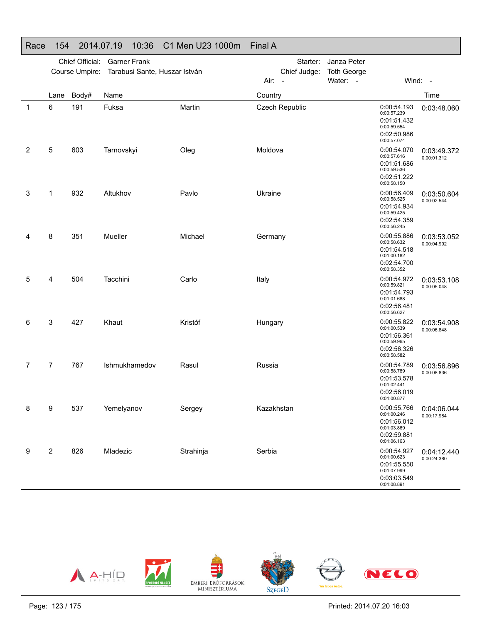| Race | 154  |                 | 2014.07.19          | 10:36         | C1 Men U23 1000m                             | <b>Final A</b>                     |                                               |                                                                                        |                            |
|------|------|-----------------|---------------------|---------------|----------------------------------------------|------------------------------------|-----------------------------------------------|----------------------------------------------------------------------------------------|----------------------------|
|      |      | Chief Official: | <b>Garner Frank</b> |               | Course Umpire: Tarabusi Sante, Huszar István | Starter:<br>Chief Judge:<br>Air: - | Janza Peter<br><b>Toth George</b><br>Water: - |                                                                                        | Wind: -                    |
|      | Lane | Body#           | Name                |               |                                              | Country                            |                                               |                                                                                        | Time                       |
| -1   | 6    | 191             | Fuksa               |               | Martin                                       | <b>Czech Republic</b>              |                                               | 0:00:54.193<br>0:00:57.239<br>0:01:51.432<br>0:00:59.554<br>0:02:50.986<br>0:00:57.074 | 0:03:48.060                |
| 2    | 5    | 603             | Tarnovskyi          |               | Oleg                                         | Moldova                            |                                               | 0:00:54.070<br>0:00:57.616<br>0:01:51.686<br>0:00:59.536<br>0:02:51.222<br>0:00:58.150 | 0:03:49.372<br>0:00:01.312 |
| 3    | 1    | 932             | Altukhov            |               | Pavlo                                        | Ukraine                            |                                               | 0:00:56.409<br>0:00:58.525<br>0:01:54.934<br>0:00:59.425<br>0:02:54.359<br>0:00:56.245 | 0:03:50.604<br>0:00:02.544 |
| 4    | 8    | 351             | Mueller             |               | Michael                                      | Germany                            |                                               | 0:00:55.886<br>0:00:58.632<br>0:01:54.518<br>0:01:00.182<br>0:02:54.700<br>0:00:58.352 | 0:03:53.052<br>0:00:04.992 |
| 5    | 4    | 504             | Tacchini            |               | Carlo                                        | Italy                              |                                               | 0:00:54.972<br>0:00:59.821<br>0:01:54.793<br>0:01:01.688<br>0:02:56.481<br>0:00:56.627 | 0:03:53.108<br>0:00:05.048 |
| 6    | 3    | 427             | Khaut               |               | Kristóf                                      | Hungary                            |                                               | 0:00:55.822<br>0:01:00.539<br>0:01:56.361<br>0:00:59.965<br>0:02:56.326<br>0:00:58.582 | 0:03:54.908<br>0:00:06.848 |
| 7    | 7    | 767             |                     | Ishmukhamedov | Rasul                                        | Russia                             |                                               | 0:00:54.789<br>0:00:58.789<br>0:01:53.578<br>0:01:02.441<br>0:02:56.019<br>0:01:00.877 | 0:03:56.896<br>0:00:08.836 |
| 8    | 9    | 537             | Yemelyanov          |               | Sergey                                       | Kazakhstan                         |                                               | 0:00:55.766<br>0:01:00.246<br>0:01:56.012<br>0:01:03.869<br>0:02:59.881<br>0:01:06.163 | 0:04:06.044<br>0:00:17.984 |
| 9    | 2    | 826             | Mladezic            |               | Strahinja                                    | Serbia                             |                                               | 0:00:54.927<br>0:01:00.623<br>0:01:55.550<br>0:01:07.999<br>0:03:03.549<br>0:01:08.891 | 0:04:12.440<br>0:00:24.380 |

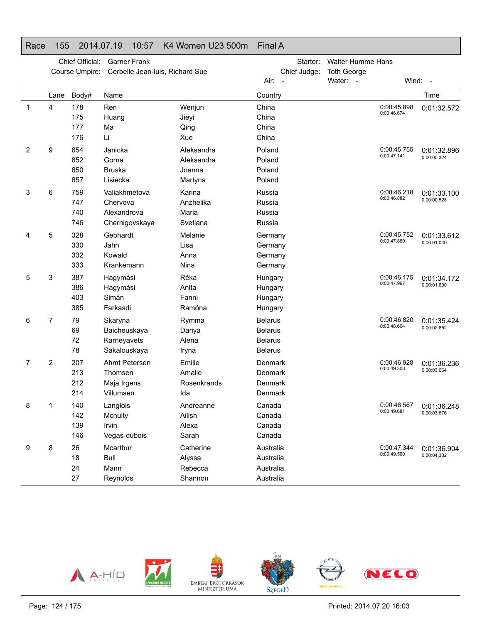# Race 155 2014.07.19 10:57 K4 Women U23 500m Final A

|   |      | Chief Official:<br>Course Umpire: | <b>Garner Frank</b><br>Cerbelle Jean-luis, Richard Sue     |                                               | Starter:<br>Chief Judge:                                             | <b>Walter Humme Hans</b><br><b>Toth George</b> |         |                            |
|---|------|-----------------------------------|------------------------------------------------------------|-----------------------------------------------|----------------------------------------------------------------------|------------------------------------------------|---------|----------------------------|
|   |      |                                   |                                                            |                                               | Air: -                                                               | Water: -                                       | Wind: - |                            |
|   | Lane | Body#                             | Name                                                       |                                               | Country                                                              |                                                |         | Time                       |
| 1 | 4    | 178<br>175<br>177<br>176          | Ren<br>Huang<br>Ma<br>Li                                   | Wenjun<br>Jieyi<br>Qing<br>Xue                | China<br>China<br>China<br>China                                     | 0:00:45.898<br>0:00:46.674                     |         | 0:01:32.572                |
| 2 | 9    | 654<br>652<br>650<br>657          | Janicka<br>Gorna<br><b>Bruska</b><br>Lisiecka              | Aleksandra<br>Aleksandra<br>Joanna<br>Martyna | Poland<br>Poland<br>Poland<br>Poland                                 | 0:00:45.755<br>0:00:47.141                     |         | 0:01:32.896<br>0:00:00.324 |
| 3 | 6    | 759<br>747<br>740<br>746          | Valiakhmetova<br>Chervova<br>Alexandrova<br>Chernigovskaya | Karina<br>Anzhelika<br>Maria<br>Svetlana      | Russia<br>Russia<br>Russia<br>Russia                                 | 0:00:46.218<br>0:00:46.882                     |         | 0:01:33.100<br>0:00:00.528 |
| 4 | 5    | 328<br>330<br>332<br>333          | Gebhardt<br>Jahn<br>Kowald<br>Krankemann                   | Melanie<br>Lisa<br>Anna<br>Nina               | Germany<br>Germany<br>Germany<br>Germany                             | 0:00:45.752<br>0:00:47.860                     |         | 0:01:33.612<br>0:00:01.040 |
| 5 | 3    | 387<br>386<br>403<br>385          | Hagymási<br>Hagymási<br>Simán<br>Farkasdi                  | Réka<br>Anita<br>Fanni<br>Ramóna              | Hungary<br>Hungary<br>Hungary<br>Hungary                             | 0:00:46.175<br>0:00:47.997                     |         | 0:01:34.172<br>0:00:01.600 |
| 6 | 7    | 79<br>69<br>72<br>78              | Skaryna<br>Baicheuskaya<br>Karneyavets<br>Sakalouskaya     | Rymma<br>Dariya<br>Alena<br>Iryna             | <b>Belarus</b><br><b>Belarus</b><br><b>Belarus</b><br><b>Belarus</b> | 0:00:46.820<br>0:00:48.604                     |         | 0:01:35.424<br>0:00:02.852 |
| 7 | 2    | 207<br>213<br>212<br>214          | Ahmt Petersen<br>Thomsen<br>Maja Irgens<br>Villumsen       | Emilie<br>Amalie<br>Rosenkrands<br>Ida        | Denmark<br>Denmark<br>Denmark<br>Denmark                             | 0:00:46.928<br>0:00:49.308                     |         | 0:01:36.236<br>0:00:03.664 |
| 8 |      | 140<br>142<br>139<br>146          | Langlois<br>Mcnulty<br>Irvin<br>Vegas-dubois               | Andreanne<br>Ailish<br>Alexa<br>Sarah         | Canada<br>Canada<br>Canada<br>Canada                                 | 0:00:46.567<br>0:00:49.681                     |         | 0:01:36.248<br>0:00:03.676 |
| 9 | 8    | 26<br>18<br>24<br>27              | Mcarthur<br>Bull<br>Mann<br>Reynolds                       | Catherine<br>Alyssa<br>Rebecca<br>Shannon     | Australia<br>Australia<br>Australia<br>Australia                     | 0:00:47.344<br>0:00:49.560                     |         | 0:01:36.904<br>0:00:04.332 |

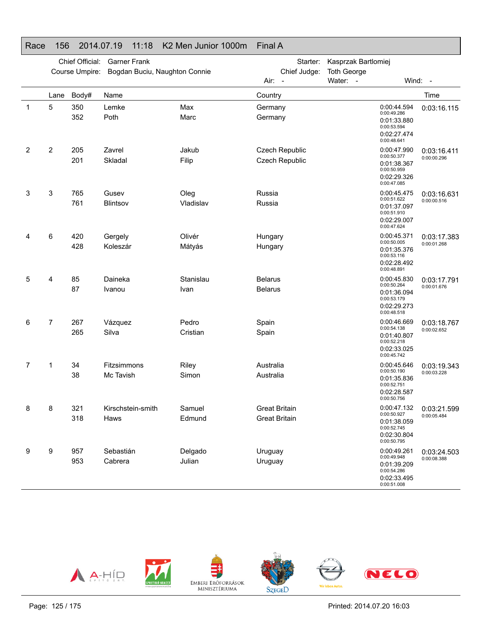#### Race 156 2014.07.19 11:18 K2 Men Junior 1000m Final A

|   |      | Chief Official:<br>Course Umpire: | <b>Garner Frank</b><br>Bogdan Buciu, Naughton Connie |                   | Starter:<br>Chief Judge: | Kasprzak Bartlomiej<br><b>Toth George</b>                                              |                            |
|---|------|-----------------------------------|------------------------------------------------------|-------------------|--------------------------|----------------------------------------------------------------------------------------|----------------------------|
|   |      |                                   |                                                      |                   | Air:<br>$\sim$           | Water: -                                                                               | Wind: -                    |
|   | Lane | Body#                             | Name                                                 |                   | Country                  |                                                                                        | Time                       |
| 1 | 5    | 350<br>352                        | Lemke<br>Poth                                        | Max<br>Marc       | Germany<br>Germany       | 0:00:44.594<br>0:00:49.286<br>0:01:33.880<br>0:00:53.594<br>0:02:27.474<br>0:00:48.641 | 0:03:16.115                |
| 2 | 2    | 205                               | Zavrel                                               | Jakub             | Czech Republic           | 0:00:47.990                                                                            | 0:03:16.411                |
|   |      | 201                               | Skladal                                              | Filip             | Czech Republic           | 0:00:50.377<br>0:01:38.367<br>0:00:50.959                                              | 0:00:00.296                |
|   |      |                                   |                                                      |                   |                          | 0:02:29.326<br>0:00:47.085                                                             |                            |
| 3 | 3    | 765                               | Gusev                                                | Oleg              | Russia                   | 0:00:45.475                                                                            | 0:03:16.631                |
|   |      | 761                               | Blintsov                                             | Vladislav         | Russia                   | 0:00:51.622<br>0:01:37.097<br>0:00:51.910<br>0:02:29.007<br>0:00:47.624                | 0:00:00.516                |
| 4 | 6    | 420                               | Gergely                                              | Olivér            | Hungary                  | 0:00:45.371                                                                            | 0:03:17.383                |
|   |      | 428                               | Koleszár                                             | Mátyás            | Hungary                  | 0:00:50.005<br>0:01:35.376<br>0:00:53.116<br>0:02:28.492                               | 0:00:01.268                |
| 5 | 4    | 85                                | Daineka                                              | Stanislau         | <b>Belarus</b>           | 0:00:48.891<br>0:00:45.830                                                             | 0:03:17.791                |
|   |      | 87                                | Ivanou                                               | Ivan              | <b>Belarus</b>           | 0:00:50.264<br>0:01:36.094<br>0:00:53.179<br>0:02:29.273<br>0:00:48.518                | 0:00:01.676                |
| 6 | 7    | 267                               | Vázquez                                              | Pedro             | Spain                    | 0:00:46.669                                                                            | 0:03:18.767                |
|   |      | 265                               | Silva                                                | Cristian          | Spain                    | 0:00:54.138<br>0:01:40.807<br>0:00:52.218<br>0:02:33.025<br>0:00:45.742                | 0:00:02.652                |
| 7 | 1    | 34                                | Fitzsimmons                                          | Riley             | Australia                | 0:00:45.646<br>0:00:50.190                                                             | 0:03:19.343                |
|   |      | 38                                | Mc Tavish                                            | Simon             | Australia                | 0:01:35.836<br>0:00:52.751<br>0:02:28.587<br>0:00:50.756                               | 0:00:03.228                |
| 8 | 8    | 321                               | Kirschstein-smith                                    | Samuel            | <b>Great Britain</b>     | 0:00:47.132                                                                            | 0:03:21.599                |
|   |      | 318                               | Haws                                                 | Edmund            | <b>Great Britain</b>     | 0:00:50.927<br>0:01:38.059<br>0:00:52.745<br>0:02:30.804                               | 0:00:05.484                |
|   |      |                                   |                                                      |                   |                          | 0:00:50.795                                                                            |                            |
| 9 | 9    | 957<br>953                        | Sebastián<br>Cabrera                                 | Delgado<br>Julian | Uruguay<br>Uruguay       | 0:00:49.261<br>0:00:49.948<br>0:01:39.209<br>0:00:54.286<br>0:02:33.495<br>0:00:51.008 | 0:03:24.503<br>0:00:08.388 |

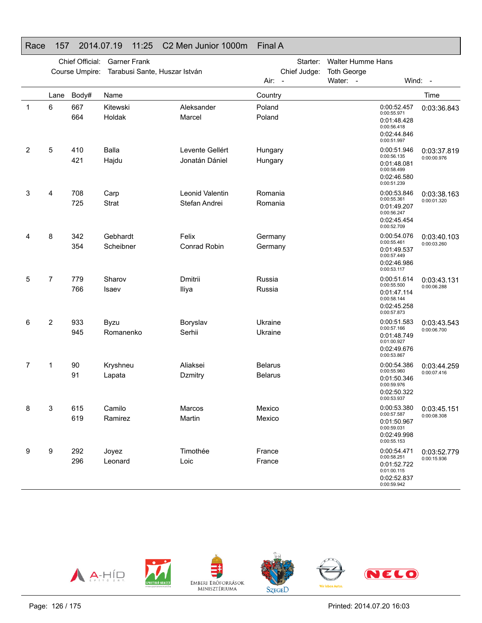# Race 157 2014.07.19 11:25 C2 Men Junior 1000m Final A

|   |      | Chief Official:<br>Course Umpire: | <b>Garner Frank</b><br>Tarabusi Sante, Huszar István |                                   | Starter:<br>Chief Judge:<br>Air: - | Walter Humme Hans<br><b>Toth George</b><br>Water: -                                    | Wind: -                    |
|---|------|-----------------------------------|------------------------------------------------------|-----------------------------------|------------------------------------|----------------------------------------------------------------------------------------|----------------------------|
|   | Lane | Body#                             | Name                                                 |                                   | Country                            |                                                                                        | Time                       |
| 1 | 6    | 667<br>664                        | Kitewski<br>Holdak                                   | Aleksander<br>Marcel              | Poland<br>Poland                   | 0:00:52.457<br>0:00:55.971<br>0:01:48.428<br>0:00:56.418<br>0:02:44.846<br>0:00:51.997 | 0:03:36.843                |
| 2 | 5    | 410<br>421                        | Balla<br>Hajdu                                       | Levente Gellért<br>Jonatán Dániel | Hungary<br>Hungary                 | 0:00:51.946<br>0:00:56.135<br>0:01:48.081<br>0:00:58.499<br>0:02:46.580<br>0:00:51.239 | 0:03:37.819<br>0:00:00.976 |
| 3 | 4    | 708<br>725                        | Carp<br><b>Strat</b>                                 | Leonid Valentin<br>Stefan Andrei  | Romania<br>Romania                 | 0:00:53.846<br>0:00:55.361<br>0:01:49.207<br>0:00:56.247<br>0:02:45.454<br>0:00:52.709 | 0:03:38.163<br>0:00:01.320 |
| 4 | 8    | 342<br>354                        | Gebhardt<br>Scheibner                                | Felix<br><b>Conrad Robin</b>      | Germany<br>Germany                 | 0:00:54.076<br>0:00:55.461<br>0:01:49.537<br>0:00:57.449<br>0:02:46.986<br>0:00:53.117 | 0:03:40.103<br>0:00:03.260 |
| 5 | 7    | 779<br>766                        | Sharov<br>Isaev                                      | Dmitrii<br>Iliya                  | Russia<br>Russia                   | 0:00:51.614<br>0:00:55.500<br>0:01:47.114<br>0:00:58.144<br>0:02:45.258<br>0:00:57.873 | 0:03:43.131<br>0:00:06.288 |
| 6 | 2    | 933<br>945                        | Byzu<br>Romanenko                                    | Boryslav<br>Serhii                | Ukraine<br>Ukraine                 | 0:00:51.583<br>0:00:57.166<br>0:01:48.749<br>0:01:00.927<br>0:02:49.676<br>0:00:53.867 | 0:03:43.543<br>0:00:06.700 |
| 7 | 1    | 90<br>91                          | Kryshneu<br>Lapata                                   | Aliaksei<br>Dzmitry               | <b>Belarus</b><br><b>Belarus</b>   | 0:00:54.386<br>0:00:55.960<br>0:01:50.346<br>0:00:59.976<br>0:02:50.322<br>0:00:53.937 | 0:03:44.259<br>0:00:07.416 |
| 8 | 3    | 615<br>619                        | Camilo<br>Ramirez                                    | Marcos<br>Martin                  | Mexico<br>Mexico                   | 0:00:53.380<br>0:00:57.587<br>0:01:50.967<br>0:00:59.031<br>0:02:49.998<br>0:00:55.153 | 0:03:45.151<br>0:00:08.308 |
| 9 | 9    | 292<br>296                        | Joyez<br>Leonard                                     | Timothée<br>Loic                  | France<br>France                   | 0:00:54.471<br>0:00:58.251<br>0:01:52.722<br>0:01:00.115<br>0:02:52.837<br>0:00:59.942 | 0:03:52.779<br>0:00:15.936 |

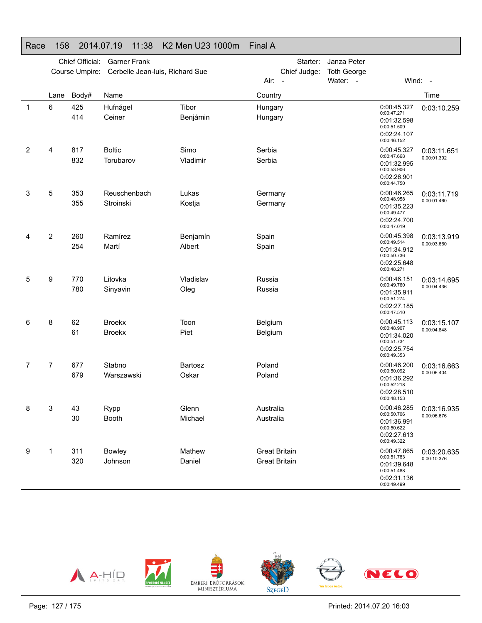# Race 158 2014.07.19 11:38 K2 Men U23 1000m Final A

|   |                | Chief Official:<br>Course Umpire: | <b>Garner Frank</b><br>Cerbelle Jean-luis, Richard Sue |                   | Starter:<br>Chief Judge: | Janza Peter<br><b>Toth George</b> |                                                                                        |             |
|---|----------------|-----------------------------------|--------------------------------------------------------|-------------------|--------------------------|-----------------------------------|----------------------------------------------------------------------------------------|-------------|
|   |                |                                   |                                                        |                   | Air:<br>$\sim$           | Water: -                          |                                                                                        | Wind: $-$   |
|   | Lane           | Body#                             | Name                                                   |                   | Country                  |                                   |                                                                                        | Time        |
| 1 | 6              | 425<br>414                        | Hufnágel<br>Ceiner                                     | Tibor<br>Benjámin | Hungary<br>Hungary       |                                   | 0:00:45.327<br>0:00:47.271<br>0:01:32.598<br>0:00:51.509<br>0:02:24.107<br>0:00:46.152 | 0:03:10.259 |
| 2 | 4              | 817                               | <b>Boltic</b>                                          | Simo              | Serbia                   |                                   | 0:00:45.327                                                                            | 0:03:11.651 |
|   |                | 832                               | Torubarov                                              | Vladimir          | Serbia                   |                                   | 0:00:47.668<br>0:01:32.995<br>0:00:53.906<br>0:02:26.901<br>0:00:44.750                | 0:00:01.392 |
| 3 | 5              | 353                               | Reuschenbach                                           | Lukas             | Germany                  |                                   | 0:00:46.265                                                                            | 0:03:11.719 |
|   |                | 355                               | Stroinski                                              | Kostja            | Germany                  |                                   | 0:00:48.958<br>0:01:35.223<br>0:00:49.477<br>0:02:24.700<br>0:00:47.019                | 0:00:01.460 |
| 4 | $\overline{2}$ | 260                               | Ramírez                                                | Benjamín          | Spain                    |                                   | 0:00:45.398                                                                            | 0:03:13.919 |
|   |                | 254                               | Martí                                                  | Albert            | Spain                    |                                   | 0:00:49.514<br>0:01:34.912<br>0:00:50.736<br>0:02:25.648<br>0:00:48.271                | 0:00:03.660 |
| 5 | 9              | 770                               | Litovka                                                | Vladislav         | Russia                   |                                   | 0:00:46.151                                                                            | 0:03:14.695 |
|   |                | 780                               | Sinyavin                                               | Oleg              | Russia                   |                                   | 0:00:49.760<br>0:01:35.911<br>0:00:51.274<br>0:02:27.185<br>0:00:47.510                | 0:00:04.436 |
| 6 | 8              | 62                                | <b>Broekx</b>                                          | Toon              | Belgium                  |                                   | 0:00:45.113<br>0:00:48.907                                                             | 0:03:15.107 |
|   |                | 61                                | <b>Broekx</b>                                          | Piet              | Belgium                  |                                   | 0:01:34.020<br>0:00:51.734<br>0:02:25.754<br>0:00:49.353                               | 0:00:04.848 |
| 7 | 7              | 677                               | Stabno                                                 | Bartosz           | Poland                   |                                   | 0:00:46.200<br>0:00:50.092                                                             | 0:03:16.663 |
|   |                | 679                               | Warszawski                                             | Oskar             | Poland                   |                                   | 0:01:36.292<br>0:00:52.218<br>0:02:28.510<br>0:00:48.153                               | 0:00:06.404 |
| 8 | 3              | 43                                | Rypp                                                   | Glenn             | Australia                |                                   | 0:00:46.285<br>0:00:50.706                                                             | 0:03:16.935 |
|   |                | 30                                | <b>Booth</b>                                           | Michael           | Australia                |                                   | 0:01:36.991<br>0:00:50.622<br>0:02:27.613<br>0:00:49.322                               | 0:00:06.676 |
| 9 | 1              | 311                               | <b>Bowley</b>                                          | Mathew            | <b>Great Britain</b>     |                                   | 0:00:47.865                                                                            | 0:03:20.635 |
|   |                | 320                               | Johnson                                                | Daniel            | <b>Great Britain</b>     |                                   | 0:00:51.783<br>0:01:39.648<br>0:00:51.488<br>0:02:31.136<br>0:00:49.499                | 0:00:10.376 |

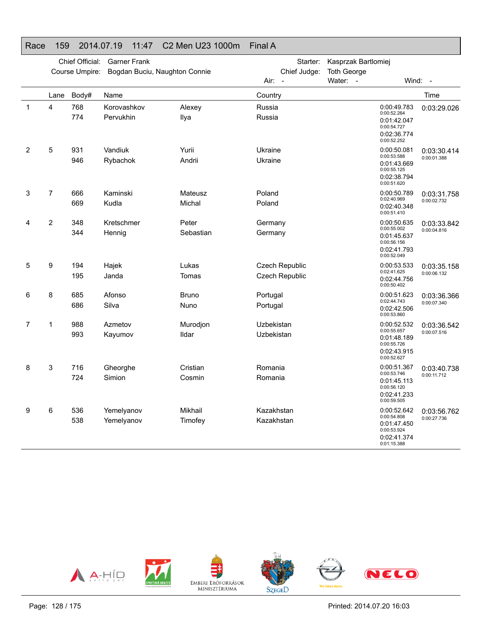# Race 159 2014.07.19 11:47 C2 Men U23 1000m Final A

|   |                | Chief Official:<br>Course Umpire: | <b>Garner Frank</b><br>Bogdan Buciu, Naughton Connie |                | Starter:<br>Chief Judge: | Kasprzak Bartlomiej<br><b>Toth George</b> |                                                                                        |             |
|---|----------------|-----------------------------------|------------------------------------------------------|----------------|--------------------------|-------------------------------------------|----------------------------------------------------------------------------------------|-------------|
|   |                |                                   |                                                      |                | Air: -                   | Water: -                                  |                                                                                        | Wind: -     |
|   | Lane           | Body#                             | Name                                                 |                | Country                  |                                           |                                                                                        | Time        |
| 1 | 4              | 768<br>774                        | Korovashkov<br>Pervukhin                             | Alexey<br>Ilya | Russia<br>Russia         |                                           | 0:00:49.783<br>0:00:52.264<br>0:01:42.047<br>0:00:54.727<br>0:02:36.774<br>0:00:52.252 | 0:03:29.026 |
| 2 | 5              | 931                               | Vandiuk                                              | Yurii          | Ukraine                  |                                           | 0:00:50.081                                                                            | 0:03:30.414 |
|   |                | 946                               | Rybachok                                             | Andrii         | Ukraine                  |                                           | 0:00:53.588<br>0:01:43.669<br>0:00:55.125<br>0:02:38.794<br>0:00:51.620                | 0:00:01.388 |
| 3 | 7              | 666                               | Kaminski                                             | Mateusz        | Poland                   |                                           | 0:00:50.789                                                                            | 0:03:31.758 |
|   |                | 669                               | Kudla                                                | Michal         | Poland                   |                                           | 0:02:40.969<br>0:02:40.348<br>0:00:51.410                                              | 0:00:02.732 |
| 4 | $\overline{c}$ | 348                               | Kretschmer                                           | Peter          | Germany                  |                                           | 0:00:50.635                                                                            | 0:03:33.842 |
|   |                | 344                               | Hennig                                               | Sebastian      | Germany                  |                                           | 0:00:55.002<br>0:01:45.637<br>0:00:56.156<br>0:02:41.793<br>0:00:52.049                | 0:00:04.816 |
| 5 | 9              | 194                               | Hajek                                                | Lukas          | Czech Republic           |                                           | 0:00:53.533                                                                            | 0:03:35.158 |
|   |                | 195                               | Janda                                                | Tomas          | <b>Czech Republic</b>    |                                           | 0:02:41.625<br>0:02:44.756<br>0:00:50.402                                              | 0:00:06.132 |
| 6 | 8              | 685                               | Afonso                                               | <b>Bruno</b>   | Portugal                 |                                           | 0:00:51.623                                                                            | 0:03:36.366 |
|   |                | 686                               | Silva                                                | Nuno           | Portugal                 |                                           | 0:02:44.743<br>0:02:42.506<br>0:00:53.860                                              | 0:00:07.340 |
| 7 | 1              | 988                               | Azmetov                                              | Murodjon       | Uzbekistan               |                                           | 0:00:52.532                                                                            | 0:03:36.542 |
|   |                | 993                               | Kayumov                                              | Ildar          | Uzbekistan               |                                           | 0:00:55.657<br>0:01:48.189<br>0:00:55.726<br>0:02:43.915<br>0:00:52.627                | 0:00:07.516 |
| 8 | 3              | 716                               | Gheorghe                                             | Cristian       | Romania                  |                                           | 0:00:51.367                                                                            | 0:03:40.738 |
|   |                | 724                               | Simion                                               | Cosmin         | Romania                  |                                           | 0:00:53.746<br>0:01:45.113<br>0:00:56.120<br>0:02:41.233<br>0:00:59.505                | 0:00:11.712 |
| 9 | 6              | 536                               | Yemelyanov                                           | Mikhail        | Kazakhstan               |                                           | 0:00:52.642<br>0:00:54.808                                                             | 0:03:56.762 |
|   |                | 538                               | Yemelyanov                                           | Timofey        | Kazakhstan               |                                           | 0:01:47.450<br>0:00:53.924<br>0:02:41.374<br>0:01:15.388                               | 0:00:27.736 |

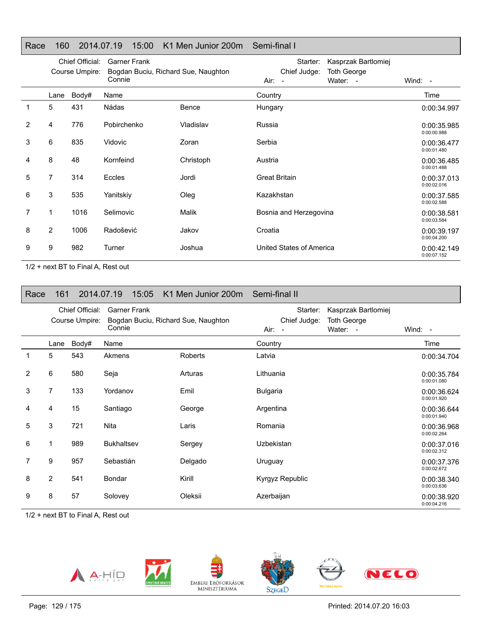# Race 160 2014.07.19 15:00 K1 Men Junior 200m Semi-final I

|   | Chief Official:<br>Course Umpire: |       | <b>Garner Frank</b>                           |           | Starter:                 | Kasprzak Bartlomiej            |                            |
|---|-----------------------------------|-------|-----------------------------------------------|-----------|--------------------------|--------------------------------|----------------------------|
|   |                                   |       | Bogdan Buciu, Richard Sue, Naughton<br>Connie |           | Chief Judge:<br>Air: -   | <b>Toth George</b><br>Water: - | Wind: -                    |
|   |                                   |       |                                               |           |                          |                                |                            |
|   | Lane                              | Body# | Name                                          |           | Country                  |                                | Time                       |
|   | 5                                 | 431   | Nádas                                         | Bence     | Hungary                  |                                | 0:00:34.997                |
| 2 | 4                                 | 776   | Pobirchenko                                   | Vladislav | Russia                   |                                | 0:00:35.985<br>0:00:00.988 |
| 3 | 6                                 | 835   | Vidovic                                       | Zoran     | Serbia                   |                                | 0:00:36.477<br>0:00:01.480 |
| 4 | 8                                 | 48    | Kornfeind                                     | Christoph | Austria                  |                                | 0:00:36.485<br>0:00:01.488 |
| 5 | $\overline{7}$                    | 314   | Eccles                                        | Jordi     | <b>Great Britain</b>     |                                | 0:00:37.013<br>0:00:02.016 |
| 6 | 3                                 | 535   | Yanitskiy                                     | Oleg      | Kazakhstan               |                                | 0:00:37.585<br>0:00:02.588 |
| 7 | 1                                 | 1016  | Selimovic                                     | Malik     | Bosnia and Herzegovina   |                                | 0:00:38.581<br>0:00:03.584 |
| 8 | $\overline{2}$                    | 1006  | Radošević                                     | Jakov     | Croatia                  |                                | 0:00:39.197<br>0:00:04.200 |
| 9 | 9                                 | 982   | Turner                                        | Joshua    | United States of America |                                | 0:00:42.149<br>0:00:07.152 |

1/2 + next BT to Final A, Rest out

| Race | 161            |                                   | 2014.07.19<br>15:05           | K1 Men Junior 200m Semi-final II    |                                      |                                                       |                            |
|------|----------------|-----------------------------------|-------------------------------|-------------------------------------|--------------------------------------|-------------------------------------------------------|----------------------------|
|      |                | Chief Official:<br>Course Umpire: | <b>Garner Frank</b><br>Connie | Bogdan Buciu, Richard Sue, Naughton | Starter:<br>Chief Judge:<br>$Air: -$ | Kasprzak Bartlomiej<br><b>Toth George</b><br>Water: - | Wind: -                    |
|      | Lane           | Body#                             | Name                          |                                     | Country                              |                                                       | Time                       |
| 1    | 5              | 543                               | Akmens                        | <b>Roberts</b>                      | Latvia                               |                                                       | 0:00:34.704                |
| 2    | 6              | 580                               | Seja                          | Arturas                             | Lithuania                            |                                                       | 0:00:35.784<br>0:00:01.080 |
| 3    | 7              | 133                               | Yordanov                      | Emil                                | <b>Bulgaria</b>                      |                                                       | 0:00:36.624<br>0:00:01.920 |
| 4    | 4              | 15                                | Santiago                      | George                              | Argentina                            |                                                       | 0:00:36.644<br>0:00:01.940 |
| 5    | 3              | 721                               | <b>Nita</b>                   | Laris                               | Romania                              |                                                       | 0:00:36.968<br>0:00:02.264 |
| 6    | 1              | 989                               | <b>Bukhaltsev</b>             | Sergey                              | <b>Uzbekistan</b>                    |                                                       | 0:00:37.016<br>0:00:02.312 |
| 7    | 9              | 957                               | Sebastián                     | Delgado                             | Uruguay                              |                                                       | 0:00:37.376<br>0:00:02.672 |
| 8    | $\overline{2}$ | 541                               | Bondar                        | Kirill                              | Kyrgyz Republic                      |                                                       | 0:00:38.340<br>0:00:03.636 |
| 9    | 8              | 57                                | Solovey                       | Oleksii                             | Azerbaijan                           |                                                       | 0:00:38.920<br>0:00:04.216 |

1/2 + next BT to Final A, Rest out





EMBERI ERŐFORRÁSOK<br>MINISZTÉRIUMA



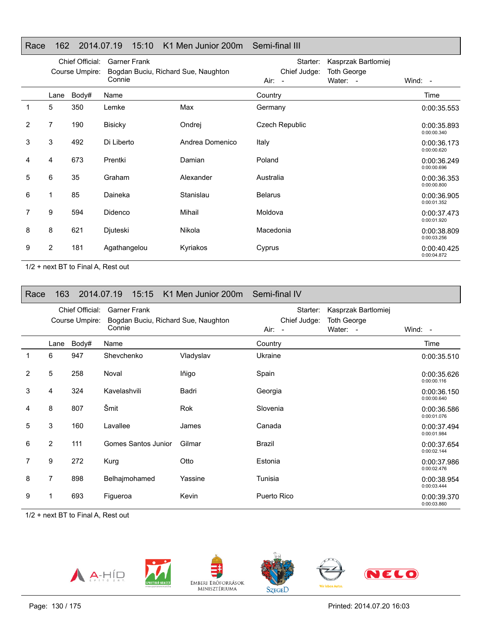# Race 162 2014.07.19 15:10 K1 Men Junior 200m Semi-final III

|   |                | Chief Official:<br>Course Umpire: | <b>Garner Frank</b><br>Bogdan Buciu, Richard Sue, Naughton |                 | Starter:<br>Chief Judge: | Kasprzak Bartlomiej<br><b>Toth George</b> |                            |
|---|----------------|-----------------------------------|------------------------------------------------------------|-----------------|--------------------------|-------------------------------------------|----------------------------|
|   |                |                                   | Connie                                                     |                 | $Air: -$                 | Water: -                                  | Wind: -                    |
|   | Lane           | Body#                             | Name                                                       |                 | Country                  |                                           | Time                       |
| 1 | 5              | 350                               | Lemke                                                      | Max             | Germany                  |                                           | 0:00:35.553                |
| 2 | $\overline{7}$ | 190                               | <b>Bisicky</b>                                             | Ondrej          | Czech Republic           |                                           | 0:00:35.893<br>0:00:00.340 |
| 3 | 3              | 492                               | Di Liberto                                                 | Andrea Domenico | Italy                    |                                           | 0:00:36.173<br>0:00:00.620 |
| 4 | 4              | 673                               | Prentki                                                    | Damian          | Poland                   |                                           | 0:00:36.249<br>0:00:00.696 |
| 5 | 6              | 35                                | Graham                                                     | Alexander       | Australia                |                                           | 0:00:36.353<br>0:00:00.800 |
| 6 | $\mathbf 1$    | 85                                | Daineka                                                    | Stanislau       | <b>Belarus</b>           |                                           | 0:00:36.905<br>0:00:01.352 |
|   | 9              | 594                               | Didenco                                                    | Mihail          | Moldova                  |                                           | 0:00:37.473<br>0:00:01.920 |
| 8 | 8              | 621                               | Djuteski                                                   | Nikola          | Macedonia                |                                           | 0:00:38.809<br>0:00:03.256 |
| 9 | 2              | 181                               | Agathangelou                                               | Kyriakos        | Cyprus                   |                                           | 0:00:40.425<br>0:00:04.872 |

1/2 + next BT to Final A, Rest out

| Race           | 163                               |       | 2014.07.19<br>15:15                                                  | K1 Men Junior 200m Semi-final IV |                                                              |                                                       |                            |
|----------------|-----------------------------------|-------|----------------------------------------------------------------------|----------------------------------|--------------------------------------------------------------|-------------------------------------------------------|----------------------------|
|                | Chief Official:<br>Course Umpire: |       | <b>Garner Frank</b><br>Bogdan Buciu, Richard Sue, Naughton<br>Connie |                                  | Starter:<br>Chief Judge:<br>Air:<br>$\overline{\phantom{a}}$ | Kasprzak Bartlomiej<br><b>Toth George</b><br>Water: - | Wind: $-$                  |
|                | Lane                              | Body# | Name                                                                 |                                  | Country                                                      |                                                       | Time                       |
| 1              | 6                                 | 947   | Shevchenko                                                           | Vladyslav                        | Ukraine                                                      |                                                       | 0:00:35.510                |
| $\overline{2}$ | 5                                 | 258   | Noval                                                                | lñigo                            | Spain                                                        |                                                       | 0:00:35.626<br>0:00:00.116 |
| 3              | 4                                 | 324   | Kavelashvili                                                         | Badri                            | Georgia                                                      |                                                       | 0:00:36.150<br>0:00:00.640 |
| 4              | 8                                 | 807   | Šmit                                                                 | <b>Rok</b>                       | Slovenia                                                     |                                                       | 0:00:36.586<br>0:00:01.076 |
| 5              | 3                                 | 160   | Lavallee                                                             | James                            | Canada                                                       |                                                       | 0:00:37.494<br>0:00:01.984 |
| 6              | $\overline{2}$                    | 111   | Gomes Santos Junior                                                  | Gilmar                           | <b>Brazil</b>                                                |                                                       | 0:00:37.654<br>0:00:02.144 |
| 7              | 9                                 | 272   | Kurg                                                                 | Otto                             | Estonia                                                      |                                                       | 0:00:37.986<br>0:00:02.476 |
| 8              | 7                                 | 898   | Belhajmohamed                                                        | Yassine                          | Tunisia                                                      |                                                       | 0:00:38.954<br>0:00:03.444 |
| 9              |                                   | 693   | Figueroa                                                             | Kevin                            | Puerto Rico                                                  |                                                       | 0:00:39.370<br>0:00:03.860 |

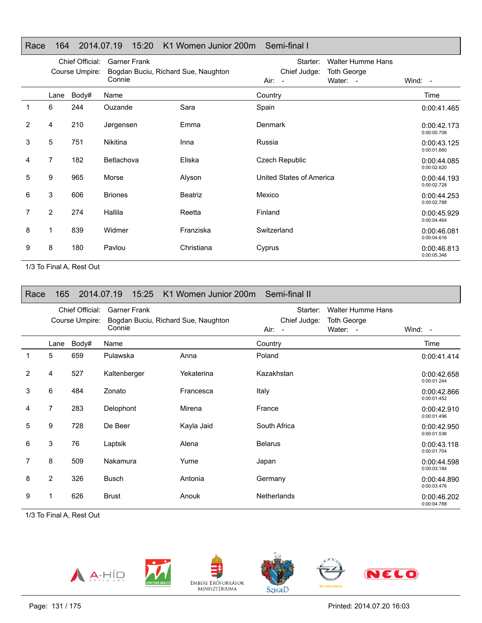# Race 164 2014.07.19 15:20 K1 Women Junior 200m Semi-final I

|                |      | Chief Official:<br>Course Umpire: | <b>Garner Frank</b><br>Bogdan Buciu, Richard Sue, Naughton |            | <b>Walter Humme Hans</b><br>Starter:<br>Chief Judge:<br><b>Toth George</b> |                            |
|----------------|------|-----------------------------------|------------------------------------------------------------|------------|----------------------------------------------------------------------------|----------------------------|
|                |      |                                   | Connie                                                     |            | Water: -<br>Air: -                                                         | Wind: -                    |
|                | Lane | Body#                             | Name                                                       |            | Country                                                                    | Time                       |
| 1              | 6    | 244                               | Ouzande                                                    | Sara       | Spain                                                                      | 0:00:41.465                |
| 2              | 4    | 210                               | Jørgensen                                                  | Emma       | <b>Denmark</b>                                                             | 0:00:42.173<br>0:00:00.708 |
| 3              | 5    | 751                               | <b>Nikitina</b>                                            | Inna       | Russia                                                                     | 0:00:43.125<br>0:00:01.660 |
| 4              | 7    | 182                               | Betlachova                                                 | Eliska     | Czech Republic                                                             | 0:00:44.085<br>0:00:02.620 |
| 5              | 9    | 965                               | Morse                                                      | Alyson     | United States of America                                                   | 0:00:44.193<br>0:00:02.728 |
| 6              | 3    | 606                               | <b>Briones</b>                                             | Beatriz    | Mexico                                                                     | 0:00:44.253<br>0:00:02.788 |
| $\overline{7}$ | 2    | 274                               | Hallila                                                    | Reetta     | Finland                                                                    | 0:00:45.929<br>0:00:04.464 |
| 8              | 1    | 839                               | Widmer                                                     | Franziska  | Switzerland                                                                | 0:00:46.081<br>0:00:04.616 |
| 9              | 8    | 180                               | Pavlou                                                     | Christiana | Cyprus                                                                     | 0:00:46.813<br>0:00:05.348 |

1/3 To Final A, Rest Out

| Race         | 165            |                                   | 15:25<br>2014.07.19           | K1 Women Junior 200m Semi-final II  |                                    |                                                            |                            |
|--------------|----------------|-----------------------------------|-------------------------------|-------------------------------------|------------------------------------|------------------------------------------------------------|----------------------------|
|              |                | Chief Official:<br>Course Umpire: | <b>Garner Frank</b><br>Connie | Bogdan Buciu, Richard Sue, Naughton | Starter:<br>Chief Judge:<br>Air: - | <b>Walter Humme Hans</b><br><b>Toth George</b><br>Water: - | Wind: -                    |
|              | Lane           | Body#                             | Name                          |                                     | Country                            |                                                            | Time                       |
| $\mathbf{1}$ | 5              | 659                               | Pulawska                      | Anna                                | Poland                             |                                                            | 0:00:41.414                |
| 2            | 4              | 527                               | Kaltenberger                  | Yekaterina                          | Kazakhstan                         |                                                            | 0:00:42.658<br>0:00:01.244 |
| 3            | 6              | 484                               | Zonato                        | Francesca                           | Italy                              |                                                            | 0:00:42.866<br>0:00:01.452 |
| 4            | $\overline{7}$ | 283                               | Delophont                     | Mirena                              | France                             |                                                            | 0:00:42.910<br>0:00:01.496 |
| 5            | 9              | 728                               | De Beer                       | Kayla Jaid                          | South Africa                       |                                                            | 0:00:42.950<br>0:00:01.536 |
| 6            | 3              | 76                                | Laptsik                       | Alena                               | <b>Belarus</b>                     |                                                            | 0:00:43.118<br>0:00:01.704 |
| 7            | 8              | 509                               | Nakamura                      | Yume                                | Japan                              |                                                            | 0:00:44.598<br>0:00:03.184 |
| 8            | $\overline{2}$ | 326                               | <b>Busch</b>                  | Antonia                             | Germany                            |                                                            | 0:00:44.890<br>0:00:03.476 |
| 9            |                | 626                               | <b>Brust</b>                  | Anouk                               | <b>Netherlands</b>                 |                                                            | 0:00:46.202<br>0:00:04.788 |

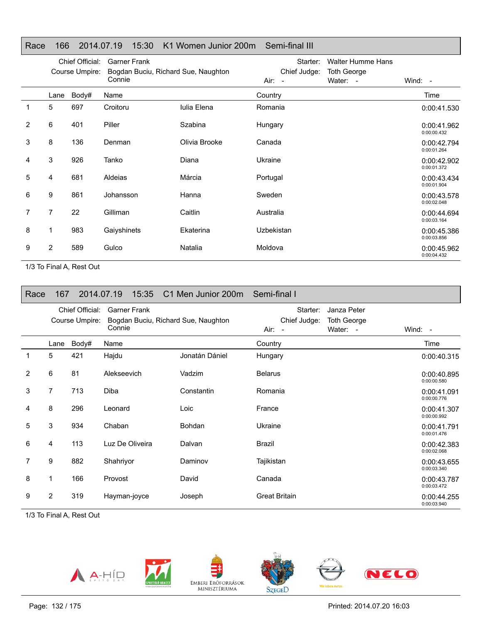| Race | 166            |                                   | 15:30<br>2014.07.19           | K1 Women Junior 200m Semi-final III |                                      |                                                            |                            |
|------|----------------|-----------------------------------|-------------------------------|-------------------------------------|--------------------------------------|------------------------------------------------------------|----------------------------|
|      |                | Chief Official:<br>Course Umpire: | <b>Garner Frank</b><br>Connie | Bogdan Buciu, Richard Sue, Naughton | Starter:<br>Chief Judge:<br>$Air: -$ | <b>Walter Humme Hans</b><br><b>Toth George</b><br>Water: - | Wind: $-$                  |
|      | Lane           | Body#                             | Name                          |                                     | Country                              |                                                            | Time                       |
| 1    | 5              | 697                               | Croitoru                      | <b>Iulia Elena</b>                  | Romania                              |                                                            | 0:00:41.530                |
| 2    | 6              | 401                               | Piller                        | Szabina                             | Hungary                              |                                                            | 0:00:41.962<br>0:00:00.432 |
| 3    | 8              | 136                               | Denman                        | Olivia Brooke                       | Canada                               |                                                            | 0:00:42.794<br>0:00:01.264 |
| 4    | 3              | 926                               | Tanko                         | Diana                               | Ukraine                              |                                                            | 0:00:42.902<br>0:00:01.372 |
| 5    | 4              | 681                               | Aldeias                       | Márcia                              | Portugal                             |                                                            | 0:00:43.434<br>0:00:01.904 |
| 6    | 9              | 861                               | Johansson                     | Hanna                               | Sweden                               |                                                            | 0:00:43.578<br>0:00:02.048 |
| 7    | 7              | 22                                | Gilliman                      | Caitlin                             | Australia                            |                                                            | 0:00:44.694<br>0:00:03.164 |
| 8    | 1              | 983                               | Gaiyshinets                   | Ekaterina                           | Uzbekistan                           |                                                            | 0:00:45.386<br>0:00:03.856 |
| 9    | $\overline{2}$ | 589                               | Gulco                         | Natalia                             | Moldova                              |                                                            | 0:00:45.962<br>0:00:04.432 |

| Race           | 167                               |       | 2014.07.19<br>15:35                                                  | C1 Men Junior 200m Semi-final I |                                      |                                               |                            |
|----------------|-----------------------------------|-------|----------------------------------------------------------------------|---------------------------------|--------------------------------------|-----------------------------------------------|----------------------------|
|                | Chief Official:<br>Course Umpire: |       | <b>Garner Frank</b><br>Bogdan Buciu, Richard Sue, Naughton<br>Connie |                                 | Starter:<br>Chief Judge:<br>$Air: -$ | Janza Peter<br><b>Toth George</b><br>Water: - | Wind: -                    |
|                | Lane                              | Body# | Name                                                                 |                                 | Country                              |                                               | Time                       |
| 1              | 5                                 | 421   | Hajdu                                                                | Jonatán Dániel                  | Hungary                              |                                               | 0:00:40.315                |
| 2              | 6                                 | 81    | Alekseevich                                                          | Vadzim                          | <b>Belarus</b>                       |                                               | 0:00:40.895<br>0:00:00.580 |
| 3              | 7                                 | 713   | <b>Diba</b>                                                          | Constantin                      | Romania                              |                                               | 0:00:41.091<br>0:00:00.776 |
| 4              | 8                                 | 296   | Leonard                                                              | Loic                            | France                               |                                               | 0:00:41.307<br>0:00:00.992 |
| 5              | 3                                 | 934   | Chaban                                                               | <b>Bohdan</b>                   | Ukraine                              |                                               | 0:00:41.791<br>0:00:01.476 |
| 6              | 4                                 | 113   | Luz De Oliveira                                                      | Dalvan                          | <b>Brazil</b>                        |                                               | 0:00:42.383<br>0:00:02.068 |
| $\overline{7}$ | 9                                 | 882   | Shahriyor                                                            | Daminov                         | Tajikistan                           |                                               | 0:00:43.655<br>0:00:03.340 |
| 8              | 1                                 | 166   | Provost                                                              | David                           | Canada                               |                                               | 0:00:43.787<br>0:00:03.472 |
| 9              | $\overline{2}$                    | 319   | Hayman-joyce                                                         | Joseph                          | <b>Great Britain</b>                 |                                               | 0:00:44.255<br>0:00:03.940 |

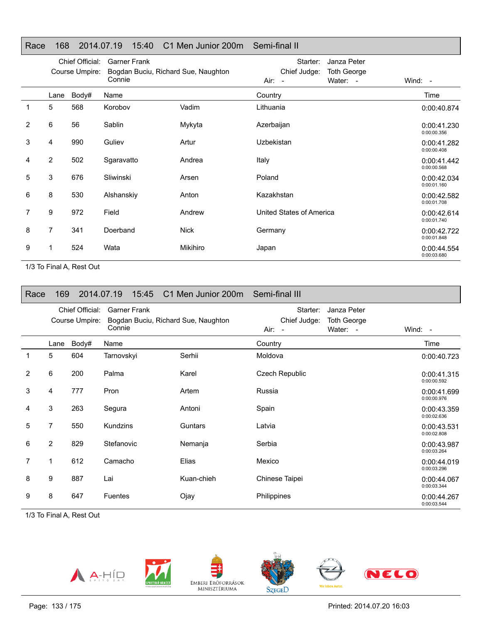| Race           | 168                               |       | 2014.07.19<br>15:40                                                  | C1 Men Junior 200m Semi-final II |                                                                                     |                            |
|----------------|-----------------------------------|-------|----------------------------------------------------------------------|----------------------------------|-------------------------------------------------------------------------------------|----------------------------|
|                | Chief Official:<br>Course Umpire: |       | <b>Garner Frank</b><br>Bogdan Buciu, Richard Sue, Naughton<br>Connie |                                  | Starter:<br>Janza Peter<br>Chief Judge:<br><b>Toth George</b><br>Water: -<br>Air: - | Wind: $-$                  |
|                | Lane                              | Body# | Name                                                                 |                                  | Country                                                                             | Time                       |
| 1              | 5                                 | 568   | Korobov                                                              | Vadim                            | Lithuania                                                                           | 0:00:40.874                |
| 2              | 6                                 | 56    | Sablin                                                               | Mykyta                           | Azerbaijan                                                                          | 0:00:41.230<br>0:00:00.356 |
| 3              | 4                                 | 990   | Guliev                                                               | Artur                            | Uzbekistan                                                                          | 0:00:41.282<br>0:00:00.408 |
| 4              | 2                                 | 502   | Sgaravatto                                                           | Andrea                           | Italy                                                                               | 0:00:41.442<br>0:00:00.568 |
| 5              | 3                                 | 676   | Sliwinski                                                            | Arsen                            | Poland                                                                              | 0:00:42.034<br>0:00:01.160 |
| 6              | 8                                 | 530   | Alshanskiy                                                           | Anton                            | Kazakhstan                                                                          | 0:00:42.582<br>0:00:01.708 |
| $\overline{7}$ | 9                                 | 972   | Field                                                                | Andrew                           | United States of America                                                            | 0:00:42.614<br>0:00:01.740 |
| 8              | 7                                 | 341   | Doerband                                                             | Nick                             | Germany                                                                             | 0:00:42.722<br>0:00:01.848 |
| 9              | 1                                 | 524   | Wata                                                                 | Mikihiro                         | Japan                                                                               | 0:00:44.554<br>0:00:03.680 |

| Race        | 169            |                                   | 2014.07.19<br>15:45           | C1 Men Junior 200m Semi-final III   |                                                                                       |                            |
|-------------|----------------|-----------------------------------|-------------------------------|-------------------------------------|---------------------------------------------------------------------------------------|----------------------------|
|             |                | Chief Official:<br>Course Umpire: | <b>Garner Frank</b><br>Connie | Bogdan Buciu, Richard Sue, Naughton | Starter:<br>Janza Peter<br>Chief Judge:<br><b>Toth George</b><br>Water: -<br>$Air: -$ | Wind: -                    |
|             | Lane           | Body#                             | Name                          |                                     | Country                                                                               | Time                       |
| $\mathbf 1$ | 5              | 604                               | Tarnovskyi                    | Serhii                              | Moldova                                                                               | 0:00:40.723                |
| 2           | 6              | 200                               | Palma                         | Karel                               | Czech Republic                                                                        | 0:00:41.315<br>0:00:00.592 |
| 3           | 4              | 777                               | Pron                          | Artem                               | Russia                                                                                | 0:00:41.699<br>0:00:00.976 |
| 4           | 3              | 263                               | Segura                        | Antoni                              | Spain                                                                                 | 0:00:43.359<br>0:00:02.636 |
| 5           | 7              | 550                               | Kundzins                      | Guntars                             | Latvia                                                                                | 0:00:43.531<br>0:00:02.808 |
| 6           | $\overline{2}$ | 829                               | Stefanovic                    | Nemanja                             | Serbia                                                                                | 0:00:43.987<br>0:00:03.264 |
| 7           | 1              | 612                               | Camacho                       | Elias                               | Mexico                                                                                | 0:00:44.019<br>0:00:03.296 |
| 8           | 9              | 887                               | Lai                           | Kuan-chieh                          | Chinese Taipei                                                                        | 0:00:44.067<br>0:00:03.344 |
| 9           | 8              | 647                               | <b>Fuentes</b>                | Ojay                                | Philippines                                                                           | 0:00:44.267<br>0:00:03.544 |

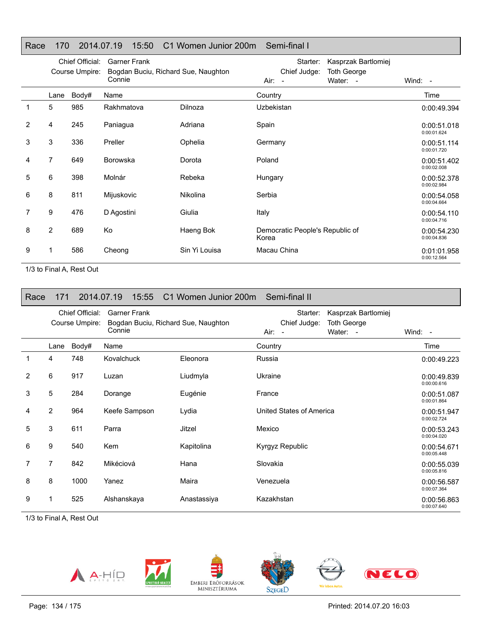# Race 170 2014.07.19 15:50 C1 Women Junior 200m Semi-final I

|                |      | Chief Official:<br>Course Umpire: | <b>Garner Frank</b><br>Bogdan Buciu, Richard Sue, Naughton |               | Kasprzak Bartlomiej<br>Starter:<br>Chief Judge:<br><b>Toth George</b> |                            |
|----------------|------|-----------------------------------|------------------------------------------------------------|---------------|-----------------------------------------------------------------------|----------------------------|
|                |      |                                   | Connie                                                     |               | Water: -<br>$Air: -$                                                  | Wind: -                    |
|                | Lane | Body#                             | Name                                                       |               | Country                                                               | Time                       |
| 1              | 5    | 985                               | Rakhmatova                                                 | Dilnoza       | <b>Uzbekistan</b>                                                     | 0:00:49.394                |
| $\overline{2}$ | 4    | 245                               | Paniagua                                                   | Adriana       | Spain                                                                 | 0:00:51.018<br>0:00:01.624 |
| 3              | 3    | 336                               | Preller                                                    | Ophelia       | Germany                                                               | 0:00:51.114<br>0:00:01.720 |
| 4              | 7    | 649                               | <b>Borowska</b>                                            | Dorota        | Poland                                                                | 0:00:51.402<br>0:00:02.008 |
| 5              | 6    | 398                               | Molnár                                                     | Rebeka        | Hungary                                                               | 0:00:52.378<br>0:00:02.984 |
| 6              | 8    | 811                               | Mijuskovic                                                 | Nikolina      | Serbia                                                                | 0:00:54.058<br>0:00:04.664 |
| 7              | 9    | 476                               | D Agostini                                                 | Giulia        | Italy                                                                 | 0:00:54.110<br>0:00:04.716 |
| 8              | 2    | 689                               | Ko                                                         | Haeng Bok     | Democratic People's Republic of<br>Korea                              | 0:00:54.230<br>0:00:04.836 |
| 9              |      | 586                               | Cheong                                                     | Sin Yi Louisa | Macau China                                                           | 0:01:01.958<br>0:00:12.564 |

1/3 to Final A, Rest Out

| Race | 171  |                                   | 2014.07.19<br>15:55                                                  | C1 Women Junior 200m | Semi-final II                                                                                |                            |
|------|------|-----------------------------------|----------------------------------------------------------------------|----------------------|----------------------------------------------------------------------------------------------|----------------------------|
|      |      | Chief Official:<br>Course Umpire: | <b>Garner Frank</b><br>Bogdan Buciu, Richard Sue, Naughton<br>Connie |                      | Starter:<br>Kasprzak Bartlomiej<br>Chief Judge:<br>Toth George<br>Water: -<br>Air:<br>$\sim$ | Wind: -                    |
|      | Lane | Body#                             | Name                                                                 |                      | Country                                                                                      | Time                       |
|      | 4    | 748                               | Kovalchuck                                                           | Eleonora             | Russia                                                                                       | 0:00:49.223                |
| 2    | 6    | 917                               | Luzan                                                                | Liudmyla             | Ukraine                                                                                      | 0:00:49.839<br>0:00:00.616 |
| 3    | 5    | 284                               | Dorange                                                              | Eugénie              | France                                                                                       | 0:00:51.087<br>0:00:01.864 |
| 4    | 2    | 964                               | Keefe Sampson                                                        | Lydia                | United States of America                                                                     | 0:00:51.947<br>0:00:02.724 |
| 5    | 3    | 611                               | Parra                                                                | Jitzel               | Mexico                                                                                       | 0:00:53.243<br>0:00:04.020 |
| 6    | 9    | 540                               | <b>Kem</b>                                                           | Kapitolina           | Kyrgyz Republic                                                                              | 0:00:54.671<br>0:00:05.448 |
| 7    | 7    | 842                               | Mikéciová                                                            | Hana                 | Slovakia                                                                                     | 0:00:55.039<br>0:00:05.816 |
| 8    | 8    | 1000                              | Yanez                                                                | Maira                | Venezuela                                                                                    | 0:00:56.587<br>0:00:07.364 |
| 9    | 1    | 525                               | Alshanskaya                                                          | Anastassiya          | Kazakhstan                                                                                   | 0:00:56.863<br>0:00:07.640 |









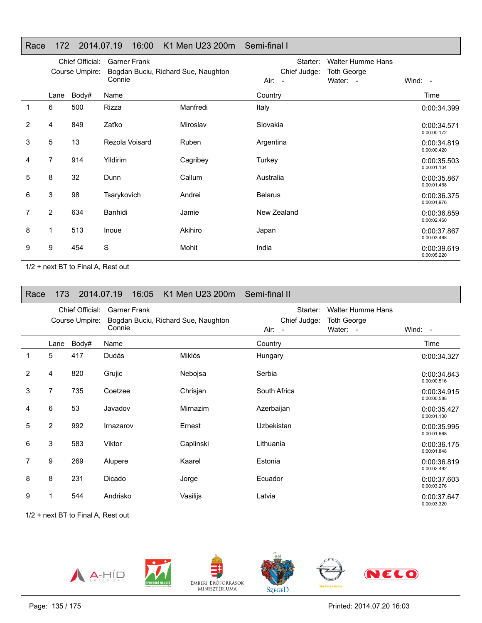# Race 172 2014.07.19 16:00 K1 Men U23 200m Semi-final I

|   | Chief Official: |                | <b>Garner Frank</b>                 |          | Starter:       | <b>Walter Humme Hans</b> |                            |
|---|-----------------|----------------|-------------------------------------|----------|----------------|--------------------------|----------------------------|
|   |                 | Course Umpire: | Bogdan Buciu, Richard Sue, Naughton |          | Chief Judge:   | <b>Toth George</b>       |                            |
|   |                 |                | Connie                              |          | Air:<br>$\sim$ | Water: -                 | Wind: $-$                  |
|   | Lane            | Body#          | Name                                |          | Country        |                          | Time                       |
| 1 | 6               | 500            | Rizza                               | Manfredi | Italy          |                          | 0:00:34.399                |
| 2 | 4               | 849            | Zaťko                               | Miroslav | Slovakia       |                          | 0:00:34.571<br>0:00:00.172 |
| 3 | 5               | 13             | Rezola Voisard                      | Ruben    | Argentina      |                          | 0:00:34.819<br>0:00:00.420 |
| 4 | 7               | 914            | Yildirim                            | Cagribey | Turkey         |                          | 0:00:35.503<br>0:00:01.104 |
| 5 | 8               | 32             | Dunn                                | Callum   | Australia      |                          | 0:00:35.867<br>0:00:01.468 |
| 6 | 3               | 98             | Tsarykovich                         | Andrei   | <b>Belarus</b> |                          | 0:00:36.375<br>0:00:01.976 |
| 7 | $\overline{2}$  | 634            | Banhidi                             | Jamie    | New Zealand    |                          | 0:00:36.859<br>0:00:02.460 |
| 8 | 1               | 513            | Inoue                               | Akihiro  | Japan          |                          | 0:00:37.867<br>0:00:03.468 |
| 9 | 9               | 454            | S                                   | Mohit    | India          |                          | 0:00:39.619<br>0:00:05.220 |

1/2 + next BT to Final A, Rest out

| Race           | 173            |                                   | 2014.07.19<br>16:05           | K1 Men U23 200m                     | Semi-final II                      |                                                            |                            |
|----------------|----------------|-----------------------------------|-------------------------------|-------------------------------------|------------------------------------|------------------------------------------------------------|----------------------------|
|                |                | Chief Official:<br>Course Umpire: | <b>Garner Frank</b><br>Connie | Bogdan Buciu, Richard Sue, Naughton | Starter:<br>Chief Judge:<br>Air: - | <b>Walter Humme Hans</b><br><b>Toth George</b><br>Water: - | Wind: $-$                  |
|                | Lane           | Body#                             | Name                          |                                     | Country                            |                                                            | Time                       |
| 1              | 5              | 417                               | Dudás                         | Miklós                              | Hungary                            |                                                            | 0:00:34.327                |
| $\overline{2}$ | 4              | 820                               | Grujic                        | Nebojsa                             | Serbia                             |                                                            | 0:00:34.843<br>0:00:00.516 |
| 3              | 7              | 735                               | Coetzee                       | Chrisjan                            | South Africa                       |                                                            | 0:00:34.915<br>0:00:00.588 |
| 4              | 6              | 53                                | Javadov                       | Mirnazim                            | Azerbaijan                         |                                                            | 0:00:35.427<br>0:00:01.100 |
| 5              | $\overline{2}$ | 992                               | Irnazarov                     | Ernest                              | Uzbekistan                         |                                                            | 0:00:35.995<br>0:00:01.668 |
| 6              | 3              | 583                               | Viktor                        | Caplinski                           | Lithuania                          |                                                            | 0:00:36.175<br>0:00:01.848 |
| 7              | 9              | 269                               | Alupere                       | Kaarel                              | Estonia                            |                                                            | 0:00:36.819<br>0:00:02.492 |
| 8              | 8              | 231                               | Dicado                        | Jorge                               | Ecuador                            |                                                            | 0:00:37.603<br>0:00:03.276 |
| 9              |                | 544                               | Andrisko                      | Vasilijs                            | Latvia                             |                                                            | 0:00:37.647<br>0:00:03.320 |

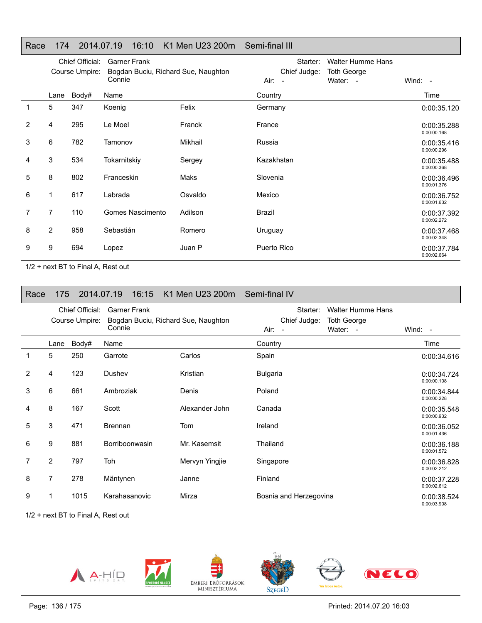# Race 174 2014.07.19 16:10 K1 Men U23 200m Semi-final III

|   | Chief Official:<br>Course Umpire: |       | <b>Garner Frank</b><br>Bogdan Buciu, Richard Sue, Naughton |         | Starter:<br>Chief Judge: |                                |                            |
|---|-----------------------------------|-------|------------------------------------------------------------|---------|--------------------------|--------------------------------|----------------------------|
|   |                                   |       | Connie                                                     |         |                          | <b>Toth George</b><br>Water: - | Wind: $-$                  |
|   | Lane                              | Body# | Name                                                       |         | Country                  |                                | Time                       |
|   | 5                                 | 347   | Koenig                                                     | Felix   | Germany                  |                                | 0:00:35.120                |
| 2 | 4                                 | 295   | Le Moel                                                    | Franck  | France                   |                                | 0:00:35.288<br>0:00:00.168 |
| 3 | 6                                 | 782   | Tamonov                                                    | Mikhail | Russia                   |                                | 0:00:35.416<br>0:00:00.296 |
| 4 | 3                                 | 534   | Tokarnitskiy                                               | Sergey  | Kazakhstan               |                                | 0:00:35.488<br>0:00:00.368 |
| 5 | 8                                 | 802   | Franceskin                                                 | Maks    | Slovenia                 |                                | 0:00:36.496<br>0:00:01.376 |
| 6 | 1                                 | 617   | Labrada                                                    | Osvaldo | Mexico                   |                                | 0:00:36.752<br>0:00:01.632 |
| 7 | 7                                 | 110   | Gomes Nascimento                                           | Adilson | Brazil                   |                                | 0:00:37.392<br>0:00:02.272 |
| 8 | $\overline{2}$                    | 958   | Sebastián                                                  | Romero  | Uruguay                  |                                | 0:00:37.468<br>0:00:02.348 |
| 9 | 9                                 | 694   | Lopez                                                      | Juan P  | Puerto Rico              |                                | 0:00:37.784<br>0:00:02.664 |

1/2 + next BT to Final A, Rest out

| Race           | 175            |                                   | 2014.07.19<br>16:15           | K1 Men U23 200m Semi-final IV       |                                            |                                                            |                            |
|----------------|----------------|-----------------------------------|-------------------------------|-------------------------------------|--------------------------------------------|------------------------------------------------------------|----------------------------|
|                |                | Chief Official:<br>Course Umpire: | <b>Garner Frank</b><br>Connie | Bogdan Buciu, Richard Sue, Naughton | Starter:<br>Chief Judge:<br>Air:<br>$\sim$ | <b>Walter Humme Hans</b><br><b>Toth George</b><br>Water: - | Wind: $-$                  |
|                | Lane           | Body#                             | Name                          |                                     | Country                                    |                                                            | Time                       |
| 1              | 5              | 250                               | Garrote                       | Carlos                              | Spain                                      |                                                            | 0:00:34.616                |
| $\overline{2}$ | 4              | 123                               | Dushev                        | Kristian                            | <b>Bulgaria</b>                            |                                                            | 0:00:34.724<br>0:00:00.108 |
| 3              | 6              | 661                               | Ambroziak                     | Denis                               | Poland                                     |                                                            | 0:00:34.844<br>0:00:00.228 |
| 4              | 8              | 167                               | Scott                         | Alexander John                      | Canada                                     |                                                            | 0:00:35.548<br>0:00:00.932 |
| 5              | 3              | 471                               | <b>Brennan</b>                | Tom                                 | Ireland                                    |                                                            | 0:00:36.052<br>0:00:01.436 |
| 6              | 9              | 881                               | Borriboonwasin                | Mr. Kasemsit                        | Thailand                                   |                                                            | 0:00:36.188<br>0:00:01.572 |
| 7              | $\overline{2}$ | 797                               | Toh                           | Mervyn Yingjie                      | Singapore                                  |                                                            | 0:00:36.828<br>0:00:02.212 |
| 8              | $\overline{7}$ | 278                               | Mäntynen                      | Janne                               | Finland                                    |                                                            | 0:00:37.228<br>0:00:02.612 |
| 9              |                | 1015                              | Karahasanovic                 | Mirza                               | Bosnia and Herzegovina                     |                                                            | 0:00:38.524<br>0:00:03.908 |









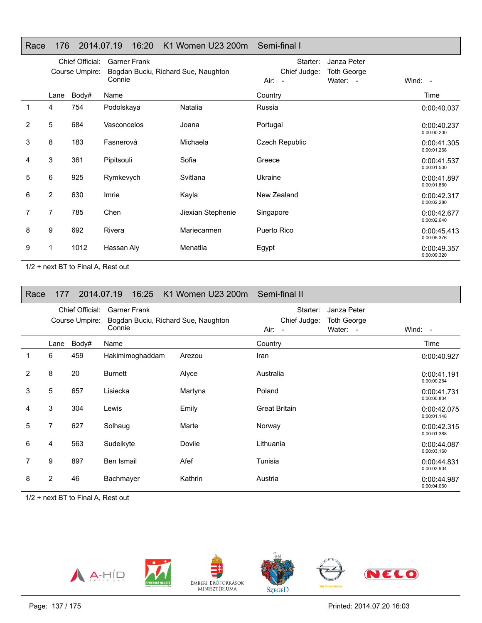# Race 176 2014.07.19 16:20 K1 Women U23 200m Semi-final I

|   |                | Chief Official:<br>Course Umpire: | <b>Garner Frank</b><br>Bogdan Buciu, Richard Sue, Naughton<br>Connie |                   | Starter:<br>Chief Judge:<br>Air: - | Janza Peter<br><b>Toth George</b><br>Water: - | Wind: -                    |
|---|----------------|-----------------------------------|----------------------------------------------------------------------|-------------------|------------------------------------|-----------------------------------------------|----------------------------|
|   | Lane           | Body#                             | Name                                                                 |                   | Country                            |                                               | Time                       |
| 1 | 4              | 754                               | Podolskaya                                                           | Natalia           | Russia                             |                                               | 0:00:40.037                |
| 2 | 5              | 684                               | Vasconcelos                                                          | Joana             | Portugal                           |                                               | 0:00:40.237<br>0:00:00.200 |
| 3 | 8              | 183                               | Fasnerová                                                            | Michaela          | Czech Republic                     |                                               | 0:00:41.305<br>0:00:01.268 |
| 4 | 3              | 361                               | Pipitsouli                                                           | Sofia             | Greece                             |                                               | 0:00:41.537<br>0:00:01.500 |
| 5 | 6              | 925                               | Rymkevych                                                            | Svitlana          | Ukraine                            |                                               | 0:00:41.897<br>0:00:01.860 |
| 6 | $\overline{2}$ | 630                               | Imrie                                                                | Kayla             | New Zealand                        |                                               | 0:00:42.317<br>0:00:02.280 |
| 7 | 7              | 785                               | Chen                                                                 | Jiexian Stephenie | Singapore                          |                                               | 0:00:42.677<br>0:00:02.640 |
| 8 | 9              | 692                               | Rivera                                                               | Mariecarmen       | Puerto Rico                        |                                               | 0:00:45.413<br>0:00:05.376 |
| 9 |                | 1012                              | Hassan Aly                                                           | Menatlla          | Egypt                              |                                               | 0:00:49.357<br>0:00:09.320 |

1/2 + next BT to Final A, Rest out

| Race | 177            |                                   | 2014.07.19<br>16:25                                                  | K1 Women U23 200m | Semi-final II                                                                       |                            |
|------|----------------|-----------------------------------|----------------------------------------------------------------------|-------------------|-------------------------------------------------------------------------------------|----------------------------|
|      |                | Chief Official:<br>Course Umpire: | <b>Garner Frank</b><br>Bogdan Buciu, Richard Sue, Naughton<br>Connie |                   | Starter:<br>Janza Peter<br>Chief Judge:<br><b>Toth George</b><br>Water: -<br>Air: - | Wind: $-$                  |
|      | Lane           | Body#                             | Name                                                                 |                   | Country                                                                             | Time                       |
| 1    | 6              | 459                               | Hakimimoghaddam                                                      | Arezou            | Iran                                                                                | 0:00:40.927                |
| 2    | 8              | 20                                | <b>Burnett</b>                                                       | Alyce             | Australia                                                                           | 0:00:41.191<br>0:00:00.264 |
| 3    | 5              | 657                               | Lisiecka                                                             | Martyna           | Poland                                                                              | 0:00:41.731<br>0:00:00.804 |
| 4    | 3              | 304                               | Lewis                                                                | Emily             | <b>Great Britain</b>                                                                | 0:00:42.075<br>0:00:01.148 |
| 5    | 7              | 627                               | Solhaug                                                              | Marte             | Norway                                                                              | 0:00:42.315<br>0:00:01.388 |
| 6    | 4              | 563                               | Sudeikyte                                                            | Dovile            | Lithuania                                                                           | 0:00:44.087<br>0:00:03.160 |
| 7    | 9              | 897                               | Ben Ismail                                                           | Afef              | Tunisia                                                                             | 0:00:44.831<br>0:00:03.904 |
| 8    | $\overline{2}$ | 46                                | Bachmayer                                                            | Kathrin           | Austria                                                                             | 0:00:44.987<br>0:00:04.060 |

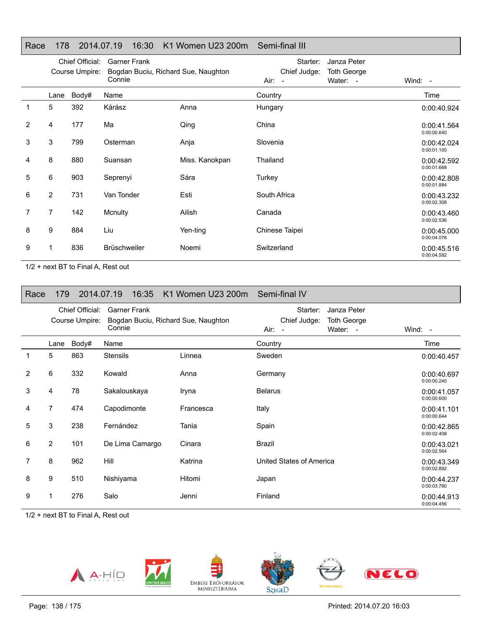# Race 178 2014.07.19 16:30 K1 Women U23 200m Semi-final III

|                |                | Chief Official:<br>Course Umpire: | <b>Garner Frank</b><br>Bogdan Buciu, Richard Sue, Naughton |                | Starter:<br>Chief Judge: | Janza Peter<br><b>Toth George</b> |                            |
|----------------|----------------|-----------------------------------|------------------------------------------------------------|----------------|--------------------------|-----------------------------------|----------------------------|
|                |                |                                   | Connie                                                     |                | Air: -                   | Water: -                          | Wind: -                    |
|                | Lane           | Body#                             | Name                                                       |                | Country                  |                                   | Time                       |
| 1              | 5              | 392                               | Kárász                                                     | Anna           | Hungary                  |                                   | 0:00:40.924                |
| $\overline{2}$ | 4              | 177                               | Ma                                                         | Qing           | China                    |                                   | 0:00:41.564<br>0:00:00.640 |
| 3              | 3              | 799                               | Osterman                                                   | Anja           | Slovenia                 |                                   | 0:00:42.024<br>0:00:01.100 |
| 4              | 8              | 880                               | Suansan                                                    | Miss. Kanokpan | Thailand                 |                                   | 0:00:42.592<br>0:00:01.668 |
| 5              | 6              | 903                               | Seprenyi                                                   | Sára           | Turkey                   |                                   | 0:00:42.808<br>0:00:01.884 |
| 6              | $\overline{2}$ | 731                               | Van Tonder                                                 | Esti           | South Africa             |                                   | 0:00:43.232<br>0:00:02.308 |
| 7              | $\overline{7}$ | 142                               | Mcnulty                                                    | Ailish         | Canada                   |                                   | 0:00:43.460<br>0:00:02.536 |
| 8              | 9              | 884                               | Liu                                                        | Yen-ting       | Chinese Taipei           |                                   | 0:00:45.000<br>0:00:04.076 |
| 9              |                | 836                               | <b>Brüschweiler</b>                                        | Noemi          | Switzerland              |                                   | 0:00:45.516<br>0:00:04.592 |

1/2 + next BT to Final A, Rest out

| Race | 179            |                                   | 16:35<br>2014.07.19                                                  | K1 Women U23 200m | Semi-final IV                                                                       |                            |
|------|----------------|-----------------------------------|----------------------------------------------------------------------|-------------------|-------------------------------------------------------------------------------------|----------------------------|
|      |                | Chief Official:<br>Course Umpire: | <b>Garner Frank</b><br>Bogdan Buciu, Richard Sue, Naughton<br>Connie |                   | Janza Peter<br>Starter:<br>Chief Judge:<br><b>Toth George</b><br>Water: -<br>Air: - | Wind: $-$                  |
|      | Lane           | Body#                             | Name                                                                 |                   | Country                                                                             | Time                       |
| 1    | 5              | 863                               | <b>Stensils</b>                                                      | Linnea            | Sweden                                                                              | 0:00:40.457                |
| 2    | 6              | 332                               | Kowald                                                               | Anna              | Germany                                                                             | 0:00:40.697<br>0:00:00.240 |
| 3    | 4              | 78                                | Sakalouskaya                                                         | Iryna             | <b>Belarus</b>                                                                      | 0:00:41.057<br>0:00:00.600 |
| 4    | $\overline{7}$ | 474                               | Capodimonte                                                          | Francesca         | Italy                                                                               | 0:00:41.101<br>0:00:00.644 |
| 5    | 3              | 238                               | Fernández                                                            | Tania             | Spain                                                                               | 0:00:42.865<br>0:00:02.408 |
| 6    | $\overline{2}$ | 101                               | De Lima Camargo                                                      | Cinara            | Brazil                                                                              | 0:00:43.021<br>0:00:02.564 |
| 7    | 8              | 962                               | Hill                                                                 | Katrina           | United States of America                                                            | 0:00:43.349<br>0:00:02.892 |
| 8    | 9              | 510                               | Nishiyama                                                            | Hitomi            | Japan                                                                               | 0:00:44.237<br>0:00:03.780 |
| 9    |                | 276                               | Salo                                                                 | Jenni             | Finland                                                                             | 0:00:44.913<br>0:00:04.456 |

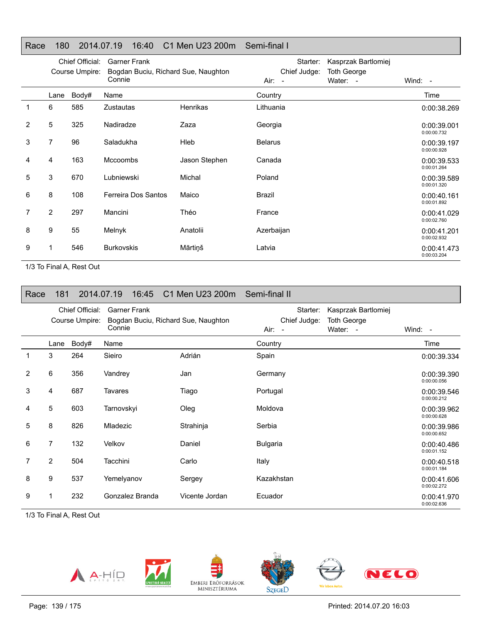# Race 180 2014.07.19 16:40 C1 Men U23 200m Semi-final I

|                |      | Chief Official: | <b>Garner Frank</b>                           |                 | Starter:       | Kasprzak Bartlomiej |                            |
|----------------|------|-----------------|-----------------------------------------------|-----------------|----------------|---------------------|----------------------------|
|                |      | Course Umpire:  | Bogdan Buciu, Richard Sue, Naughton<br>Connie |                 | Chief Judge:   | <b>Toth George</b>  |                            |
|                |      |                 |                                               |                 | Air: -         | Water: -            | Wind: $-$                  |
|                | Lane | Body#           | Name                                          |                 | Country        |                     | Time                       |
|                | 6    | 585             | Zustautas                                     | <b>Henrikas</b> | Lithuania      |                     | 0:00:38.269                |
| $\overline{2}$ | 5    | 325             | Nadiradze                                     | Zaza            | Georgia        |                     | 0:00:39.001<br>0:00:00.732 |
| 3              | 7    | 96              | Saladukha                                     | Hleb            | <b>Belarus</b> |                     | 0:00:39.197<br>0:00:00.928 |
| 4              | 4    | 163             | <b>Mccoombs</b>                               | Jason Stephen   | Canada         |                     | 0:00:39.533<br>0:00:01.264 |
| 5              | 3    | 670             | Lubniewski                                    | Michal          | Poland         |                     | 0:00:39.589<br>0:00:01.320 |
| 6              | 8    | 108             | Ferreira Dos Santos                           | Maico           | Brazil         |                     | 0:00:40.161<br>0:00:01.892 |
| $\overline{7}$ | 2    | 297             | Mancini                                       | Théo            | France         |                     | 0:00:41.029<br>0:00:02.760 |
| 8              | 9    | 55              | Melnyk                                        | Anatolii        | Azerbaijan     |                     | 0:00:41.201<br>0:00:02.932 |
| 9              | 1    | 546             | <b>Burkovskis</b>                             | Mārtiņš         | Latvia         |                     | 0:00:41.473<br>0:00:03.204 |

1/3 To Final A, Rest Out

| Race | 181            |                                   | 2014.07.19<br>16:45           | C1 Men U23 200m                     | Semi-final II                      |                                                       |                            |
|------|----------------|-----------------------------------|-------------------------------|-------------------------------------|------------------------------------|-------------------------------------------------------|----------------------------|
|      |                | Chief Official:<br>Course Umpire: | <b>Garner Frank</b><br>Connie | Bogdan Buciu, Richard Sue, Naughton | Starter:<br>Chief Judge:<br>Air: - | Kasprzak Bartlomiej<br><b>Toth George</b><br>Water: - | Wind: $-$                  |
|      | Lane           | Body#                             | Name                          |                                     | Country                            |                                                       | Time                       |
| 1    | 3              | 264                               | Sieiro                        | Adrián                              | Spain                              |                                                       | 0:00:39.334                |
| 2    | 6              | 356                               | Vandrey                       | Jan                                 | Germany                            |                                                       | 0:00:39.390<br>0:00:00.056 |
| 3    | 4              | 687                               | Tavares                       | Tiago                               | Portugal                           |                                                       | 0:00:39.546<br>0:00:00.212 |
| 4    | 5              | 603                               | Tarnovskyi                    | Oleg                                | Moldova                            |                                                       | 0:00:39.962<br>0:00:00.628 |
| 5    | 8              | 826                               | Mladezic                      | Strahinja                           | Serbia                             |                                                       | 0:00:39.986<br>0:00:00.652 |
| 6    | $\overline{7}$ | 132                               | Velkov                        | Daniel                              | <b>Bulgaria</b>                    |                                                       | 0:00:40.486<br>0:00:01.152 |
| 7    | $\overline{2}$ | 504                               | Tacchini                      | Carlo                               | Italy                              |                                                       | 0:00:40.518<br>0:00:01.184 |
| 8    | 9              | 537                               | Yemelyanov                    | Sergey                              | Kazakhstan                         |                                                       | 0:00:41.606<br>0:00:02.272 |
| 9    |                | 232                               | Gonzalez Branda               | Vicente Jordan                      | Ecuador                            |                                                       | 0:00:41.970<br>0:00:02.636 |









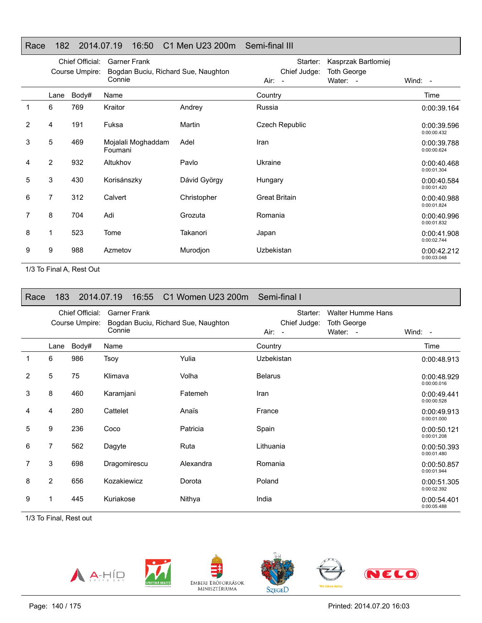# Race 182 2014.07.19 16:50 C1 Men U23 200m Semi-final III

|   |                | Chief Official:<br>Course Umpire: | <b>Garner Frank</b><br>Bogdan Buciu, Richard Sue, Naughton |              | Starter:<br>Chief Judge: | Kasprzak Bartlomiej<br><b>Toth George</b> |                            |
|---|----------------|-----------------------------------|------------------------------------------------------------|--------------|--------------------------|-------------------------------------------|----------------------------|
|   |                |                                   | Connie                                                     |              | Air: -                   | Water: -                                  | Wind: -                    |
|   | Lane           | Body#                             | Name                                                       |              | Country                  |                                           | Time                       |
| 1 | 6              | 769                               | Kraitor                                                    | Andrey       | Russia                   |                                           | 0:00:39.164                |
| 2 | 4              | 191                               | Fuksa                                                      | Martin       | Czech Republic           |                                           | 0:00:39.596<br>0:00:00.432 |
| 3 | 5              | 469                               | Mojalali Moghaddam<br>Foumani                              | Adel         | Iran                     |                                           | 0:00:39.788<br>0:00:00.624 |
| 4 | $\overline{2}$ | 932                               | Altukhov                                                   | Pavlo        | Ukraine                  |                                           | 0:00:40.468<br>0:00:01.304 |
| 5 | 3              | 430                               | Korisánszky                                                | Dávid György | Hungary                  |                                           | 0:00:40.584<br>0:00:01.420 |
| 6 | 7              | 312                               | Calvert                                                    | Christopher  | <b>Great Britain</b>     |                                           | 0:00:40.988<br>0:00:01.824 |
| 7 | 8              | 704                               | Adi                                                        | Grozuta      | Romania                  |                                           | 0:00:40.996<br>0:00:01.832 |
| 8 | 1              | 523                               | Tome                                                       | Takanori     | Japan                    |                                           | 0:00:41.908<br>0:00:02.744 |
| 9 | 9              | 988                               | Azmetov                                                    | Murodjon     | Uzbekistan               |                                           | 0:00:42.212<br>0:00:03.048 |

1/3 To Final A, Rest Out

| Race           | 183            |                                   | 2014.07.19<br>16:55           | C1 Women U23 200m Semi-final I      |                                    |                                                            |                            |
|----------------|----------------|-----------------------------------|-------------------------------|-------------------------------------|------------------------------------|------------------------------------------------------------|----------------------------|
|                |                | Chief Official:<br>Course Umpire: | <b>Garner Frank</b><br>Connie | Bogdan Buciu, Richard Sue, Naughton | Starter:<br>Chief Judge:<br>Air: - | <b>Walter Humme Hans</b><br><b>Toth George</b><br>Water: - | Wind: -                    |
|                | Lane           | Body#                             | Name                          |                                     | Country                            |                                                            | Time                       |
| 1              | 6              | 986                               | Tsoy                          | Yulia                               | Uzbekistan                         |                                                            | 0:00:48.913                |
| $\overline{2}$ | 5              | 75                                | Klimava                       | Volha                               | <b>Belarus</b>                     |                                                            | 0:00:48.929<br>0:00:00.016 |
| 3              | 8              | 460                               | Karamjani                     | Fatemeh                             | Iran                               |                                                            | 0:00:49.441<br>0:00:00.528 |
| 4              | 4              | 280                               | Cattelet                      | Anaïs                               | France                             |                                                            | 0:00:49.913<br>0:00:01.000 |
| 5              | 9              | 236                               | Coco                          | Patricia                            | Spain                              |                                                            | 0:00:50.121<br>0:00:01.208 |
| 6              | 7              | 562                               | Dagyte                        | Ruta                                | Lithuania                          |                                                            | 0:00:50.393<br>0:00:01.480 |
| 7              | 3              | 698                               | Dragomirescu                  | Alexandra                           | Romania                            |                                                            | 0:00:50.857<br>0:00:01.944 |
| 8              | $\overline{2}$ | 656                               | Kozakiewicz                   | Dorota                              | Poland                             |                                                            | 0:00:51.305<br>0:00:02.392 |
| 9              | 1              | 445                               | Kuriakose                     | Nithya                              | India                              |                                                            | 0:00:54.401<br>0:00:05.488 |

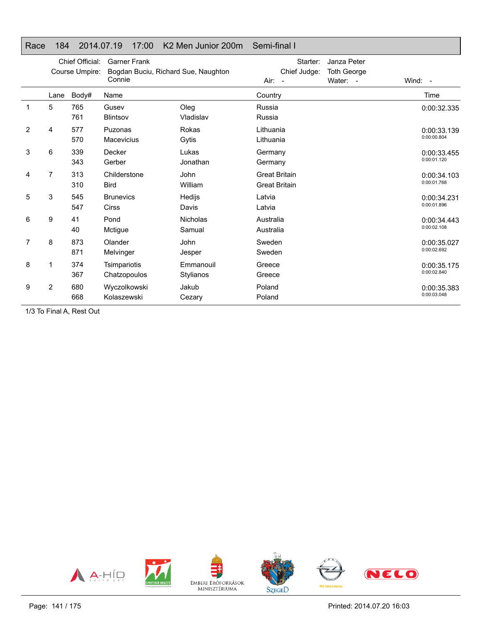|  |  | Race 184 2014.07.19 17:00 K2 Men Junior 200m Semi-final I |  |
|--|--|-----------------------------------------------------------|--|

|   | Chief Official:<br>Course Umpire: |            | <b>Garner Frank</b><br>Bogdan Buciu, Richard Sue, Naughton<br>Connie |                           | Starter:<br>Chief Judge:<br>Air:<br>$\sim$   | Janza Peter<br><b>Toth George</b><br>Water: - | Wind: -                    |
|---|-----------------------------------|------------|----------------------------------------------------------------------|---------------------------|----------------------------------------------|-----------------------------------------------|----------------------------|
|   | Lane                              | Body#      | Name                                                                 |                           | Country                                      |                                               | Time                       |
| 1 | 5                                 | 765<br>761 | Gusev<br>Blintsov                                                    | Oleg<br>Vladislav         | Russia<br>Russia                             |                                               | 0:00:32.335                |
| 2 | 4                                 | 577<br>570 | Puzonas<br><b>Macevicius</b>                                         | Rokas<br>Gytis            | Lithuania<br>Lithuania                       |                                               | 0:00:33.139<br>0:00:00.804 |
| 3 | 6                                 | 339<br>343 | Decker<br>Gerber                                                     | Lukas<br>Jonathan         | Germany<br>Germany                           |                                               | 0:00:33.455<br>0:00:01.120 |
| 4 | 7                                 | 313<br>310 | Childerstone<br><b>Bird</b>                                          | John<br>William           | <b>Great Britain</b><br><b>Great Britain</b> |                                               | 0:00:34.103<br>0:00:01.768 |
| 5 | 3                                 | 545<br>547 | <b>Brunevics</b><br><b>Cirss</b>                                     | Hedijs<br>Davis           | Latvia<br>Latvia                             |                                               | 0:00:34.231<br>0:00:01.896 |
| 6 | 9                                 | 41<br>40   | Pond<br>Mctigue                                                      | <b>Nicholas</b><br>Samual | Australia<br>Australia                       |                                               | 0:00:34.443<br>0:00:02.108 |
| 7 | 8                                 | 873<br>871 | Olander<br>Melvinger                                                 | John<br>Jesper            | Sweden<br>Sweden                             |                                               | 0:00:35.027<br>0:00:02.692 |
| 8 |                                   | 374<br>367 | Tsimpariotis<br>Chatzopoulos                                         | Emmanouil<br>Stylianos    | Greece<br>Greece                             |                                               | 0:00:35.175<br>0:00:02.840 |
| 9 | $\overline{2}$                    | 680<br>668 | Wyczolkowski<br>Kolaszewski                                          | Jakub<br>Cezary           | Poland<br>Poland                             |                                               | 0:00:35.383<br>0:00:03.048 |

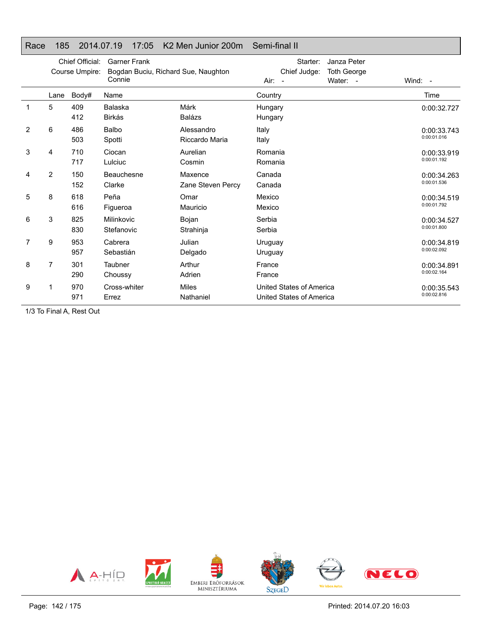|  |  | Race 185 2014.07.19 17:05 K2 Men Junior 200m Semi-final II |  |
|--|--|------------------------------------------------------------|--|

|   | Chief Official:<br><b>Garner Frank</b><br>Course Umpire:<br>Bogdan Buciu, Richard Sue, Naughton<br>Connie |            |                          |                              | Starter:<br>Chief Judge:<br>$Air: -$                 | Janza Peter<br><b>Toth George</b><br>Water: - | Wind: $-$                  |
|---|-----------------------------------------------------------------------------------------------------------|------------|--------------------------|------------------------------|------------------------------------------------------|-----------------------------------------------|----------------------------|
|   | Lane                                                                                                      | Body#      | Name                     |                              | Country                                              |                                               | Time                       |
| 1 | 5                                                                                                         | 409<br>412 | Balaska<br><b>Birkás</b> | Márk<br><b>Balázs</b>        | Hungary<br>Hungary                                   |                                               | 0:00:32.727                |
| 2 | 6                                                                                                         | 486<br>503 | Balbo<br>Spotti          | Alessandro<br>Riccardo Maria | Italy<br>Italy                                       |                                               | 0:00:33.743<br>0:00:01.016 |
| 3 | 4                                                                                                         | 710<br>717 | Ciocan<br>Lulciuc        | Aurelian<br>Cosmin           | Romania<br>Romania                                   |                                               | 0:00:33.919<br>0:00:01.192 |
| 4 | $\overline{2}$                                                                                            | 150<br>152 | Beauchesne<br>Clarke     | Maxence<br>Zane Steven Percy | Canada<br>Canada                                     |                                               | 0:00:34.263<br>0:00:01.536 |
| 5 | 8                                                                                                         | 618<br>616 | Peña<br>Figueroa         | Omar<br>Mauricio             | Mexico<br>Mexico                                     |                                               | 0:00:34.519<br>0:00:01.792 |
| 6 | 3                                                                                                         | 825<br>830 | Milinkovic<br>Stefanovic | Bojan<br>Strahinja           | Serbia<br>Serbia                                     |                                               | 0:00:34.527<br>0:00:01.800 |
| 7 | 9                                                                                                         | 953<br>957 | Cabrera<br>Sebastián     | Julian<br>Delgado            | Uruguay<br>Uruguay                                   |                                               | 0:00:34.819<br>0:00:02.092 |
| 8 | 7                                                                                                         | 301<br>290 | Taubner<br>Choussy       | Arthur<br>Adrien             | France<br>France                                     |                                               | 0:00:34.891<br>0:00:02.164 |
| 9 |                                                                                                           | 970<br>971 | Cross-whiter<br>Errez    | <b>Miles</b><br>Nathaniel    | United States of America<br>United States of America |                                               | 0:00:35.543<br>0:00:02.816 |

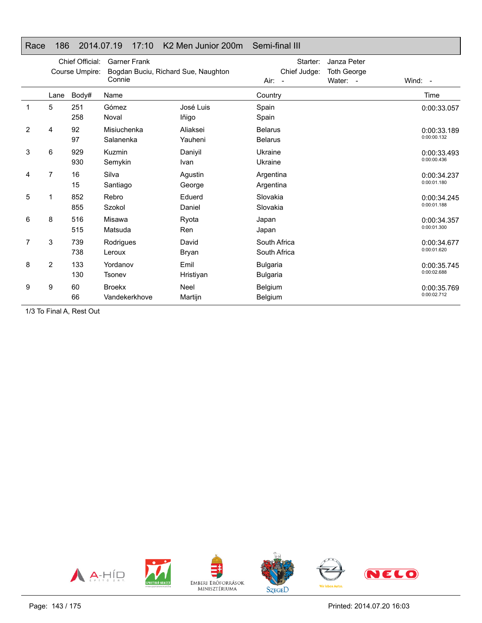|  |  | Race 186 2014.07.19 17:10 K2 Men Junior 200m Semi-final III |  |
|--|--|-------------------------------------------------------------|--|

|                | Chief Official:<br><b>Garner Frank</b><br>Course Umpire:<br>Bogdan Buciu, Richard Sue, Naughton<br>Connie |            |                                |                        | Starter:<br>Chief Judge:<br>Air:<br>$\overline{\phantom{a}}$ | Janza Peter<br><b>Toth George</b><br>Water: - | Wind: -                    |
|----------------|-----------------------------------------------------------------------------------------------------------|------------|--------------------------------|------------------------|--------------------------------------------------------------|-----------------------------------------------|----------------------------|
|                | Lane                                                                                                      | Body#      | Name                           |                        | Country                                                      |                                               | Time                       |
| 1              | 5                                                                                                         | 251<br>258 | Gómez<br>Noval                 | José Luis<br>lñigo     | Spain<br>Spain                                               |                                               | 0:00:33.057                |
| $\overline{2}$ | 4                                                                                                         | 92<br>97   | Misiuchenka<br>Salanenka       | Aliaksei<br>Yauheni    | <b>Belarus</b><br><b>Belarus</b>                             |                                               | 0:00:33.189<br>0:00:00.132 |
| 3              | 6                                                                                                         | 929<br>930 | Kuzmin<br>Semykin              | Daniyil<br>Ivan        | Ukraine<br>Ukraine                                           |                                               | 0:00:33.493<br>0:00:00.436 |
| 4              | 7                                                                                                         | 16<br>15   | Silva<br>Santiago              | Agustin<br>George      | Argentina<br>Argentina                                       |                                               | 0:00:34.237<br>0:00:01.180 |
| 5              |                                                                                                           | 852<br>855 | Rebro<br>Szokol                | Eduerd<br>Daniel       | Slovakia<br>Slovakia                                         |                                               | 0:00:34.245<br>0:00:01.188 |
| 6              | 8                                                                                                         | 516<br>515 | Misawa<br>Matsuda              | Ryota<br>Ren           | Japan<br>Japan                                               |                                               | 0:00:34.357<br>0:00:01.300 |
| 7              | 3                                                                                                         | 739<br>738 | Rodrigues<br>Leroux            | David<br>Bryan         | South Africa<br>South Africa                                 |                                               | 0:00:34.677<br>0:00:01.620 |
| 8              | $\overline{2}$                                                                                            | 133<br>130 | Yordanov<br>Tsonev             | Emil<br>Hristiyan      | <b>Bulgaria</b><br><b>Bulgaria</b>                           |                                               | 0:00:35.745<br>0:00:02.688 |
| 9              | 9                                                                                                         | 60<br>66   | <b>Broekx</b><br>Vandekerkhove | <b>Neel</b><br>Martijn | Belgium<br>Belgium                                           |                                               | 0:00:35.769<br>0:00:02.712 |

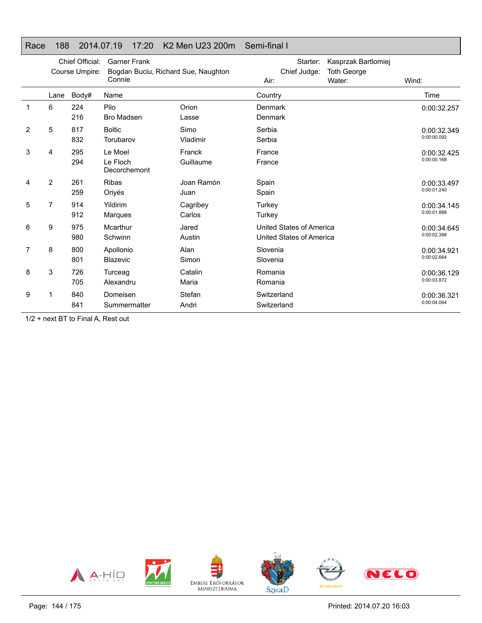#### Race 188 2014.07.19 17:20 K2 Men U23 200m Semi-final I

|                | Chief Official:<br><b>Garner Frank</b><br>Course Umpire:<br>Bogdan Buciu, Richard Sue, Naughton<br>Connie |            |                                     | Starter:<br>Chief Judge:<br>Air: | Kasprzak Bartlomiej<br><b>Toth George</b><br>Water:  | Wind: |                            |
|----------------|-----------------------------------------------------------------------------------------------------------|------------|-------------------------------------|----------------------------------|------------------------------------------------------|-------|----------------------------|
|                | Lane                                                                                                      | Body#      | Name                                |                                  | Country                                              |       | Time                       |
| 1              | 6                                                                                                         | 224<br>216 | Pilo<br><b>Bro Madsen</b>           | Orion<br>Lasse                   | Denmark<br>Denmark                                   |       | 0:00:32.257                |
| $\overline{2}$ | 5                                                                                                         | 817<br>832 | <b>Boltic</b><br>Torubarov          | Simo<br>Vladimir                 | Serbia<br>Serbia                                     |       | 0:00:32.349<br>0:00:00.092 |
| 3              | 4                                                                                                         | 295<br>294 | Le Moel<br>Le Floch<br>Decorchemont | Franck<br>Guillaume              | France<br>France                                     |       | 0:00:32.425<br>0:00:00.168 |
| 4              | $\overline{2}$                                                                                            | 261<br>259 | <b>Ribas</b><br>Oriyés              | Joan Ramón<br>Juan               | Spain<br>Spain                                       |       | 0:00:33.497<br>0:00:01.240 |
| 5              | 7                                                                                                         | 914<br>912 | Yildirim<br><b>Margues</b>          | Cagribey<br>Carlos               | Turkey<br>Turkey                                     |       | 0:00:34.145<br>0:00:01.888 |
| 6              | 9                                                                                                         | 975<br>980 | Mcarthur<br>Schwinn                 | Jared<br>Austin                  | United States of America<br>United States of America |       | 0:00:34.645<br>0:00:02.388 |
| 7              | 8                                                                                                         | 800<br>801 | Apollonio<br><b>Blazevic</b>        | Alan<br>Simon                    | Slovenia<br>Slovenia                                 |       | 0:00:34.921<br>0:00:02.664 |
| 8              | 3                                                                                                         | 726<br>705 | Turceag<br>Alexandru                | Catalin<br>Maria                 | Romania<br>Romania                                   |       | 0:00:36.129<br>0:00:03.872 |
| 9              |                                                                                                           | 840<br>841 | Domeisen<br>Summermatter            | Stefan<br>Andri                  | Switzerland<br>Switzerland                           |       | 0:00:36.321<br>0:00:04.064 |

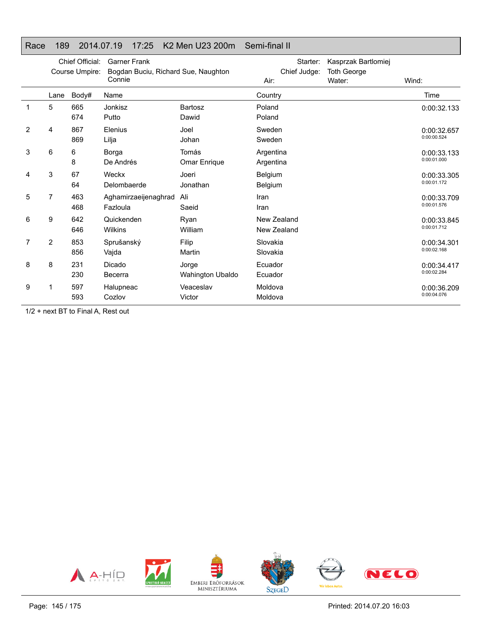#### Race 189 2014.07.19 17:25 K2 Men U23 200m Semi-final II

|                | Chief Official:<br>Course Umpire: |            | <b>Garner Frank</b><br>Bogdan Buciu, Richard Sue, Naughton<br>Connie |                           | Starter:<br>Chief Judge:<br>Air: | Kasprzak Bartlomiej<br><b>Toth George</b><br>Water: | Wind:                      |
|----------------|-----------------------------------|------------|----------------------------------------------------------------------|---------------------------|----------------------------------|-----------------------------------------------------|----------------------------|
|                | Lane                              | Body#      | Name                                                                 |                           | Country                          |                                                     | Time                       |
| 1              | 5                                 | 665<br>674 | Jonkisz<br>Putto                                                     | <b>Bartosz</b><br>Dawid   | Poland<br>Poland                 |                                                     | 0:00:32.133                |
| $\overline{2}$ | 4                                 | 867<br>869 | Elenius<br>Lilja                                                     | Joel<br>Johan             | Sweden<br>Sweden                 |                                                     | 0:00:32.657<br>0:00:00.524 |
| 3              | 6                                 | 6<br>8     | Borga<br>De Andrés                                                   | Tomás<br>Omar Enrique     | Argentina<br>Argentina           |                                                     | 0:00:33.133<br>0:00:01.000 |
| 4              | 3                                 | 67<br>64   | Weckx<br>Delombaerde                                                 | Joeri<br>Jonathan         | Belgium<br>Belgium               |                                                     | 0:00:33.305<br>0:00:01.172 |
| 5              | 7                                 | 463<br>468 | Aghamirzaeijenaghrad<br>Fazloula                                     | Ali<br>Saeid              | Iran<br>Iran                     |                                                     | 0:00:33.709<br>0:00:01.576 |
| 6              | 9                                 | 642<br>646 | Quickenden<br><b>Wilkins</b>                                         | Ryan<br>William           | New Zealand<br>New Zealand       |                                                     | 0:00:33.845<br>0:00:01.712 |
| 7              | 2                                 | 853<br>856 | Sprušanský<br>Vajda                                                  | Filip<br>Martin           | Slovakia<br>Slovakia             |                                                     | 0:00:34.301<br>0:00:02.168 |
| 8              | 8                                 | 231<br>230 | Dicado<br>Becerra                                                    | Jorge<br>Wahington Ubaldo | Ecuador<br>Ecuador               |                                                     | 0:00:34.417<br>0:00:02.284 |
| 9              |                                   | 597<br>593 | Halupneac<br>Cozlov                                                  | Veaceslav<br>Victor       | Moldova<br>Moldova               |                                                     | 0:00:36.209<br>0:00:04.076 |

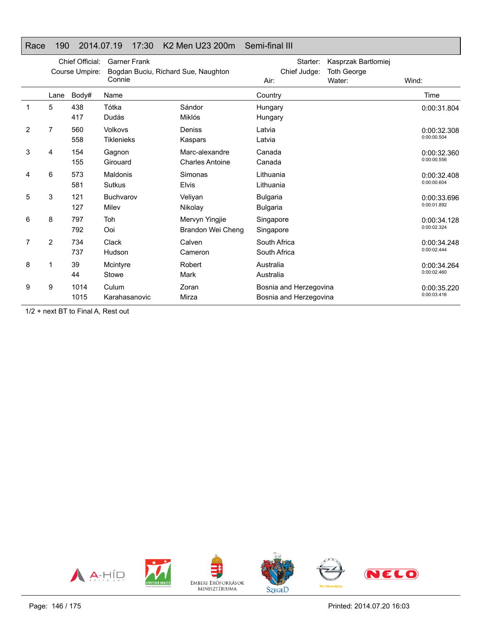#### Race 190 2014.07.19 17:30 K2 Men U23 200m Semi-final III

|   | Chief Official:<br>Course Umpire: |              | <b>Garner Frank</b><br>Bogdan Buciu, Richard Sue, Naughton<br>Connie |                                          | Starter:<br>Chief Judge:<br>Air:                 | Kasprzak Bartlomiej<br><b>Toth George</b><br>Water: | Wind:                      |
|---|-----------------------------------|--------------|----------------------------------------------------------------------|------------------------------------------|--------------------------------------------------|-----------------------------------------------------|----------------------------|
|   | Lane                              | Body#        | Name                                                                 |                                          | Country                                          |                                                     | Time                       |
| 1 | 5                                 | 438<br>417   | Tótka<br>Dudás                                                       | Sándor<br>Miklós                         | Hungary<br>Hungary                               |                                                     | 0:00:31.804                |
| 2 | 7                                 | 560<br>558   | Volkovs<br><b>Tiklenieks</b>                                         | Deniss<br>Kaspars                        | Latvia<br>Latvia                                 |                                                     | 0:00:32.308<br>0:00:00.504 |
| 3 | 4                                 | 154<br>155   | Gagnon<br>Girouard                                                   | Marc-alexandre<br><b>Charles Antoine</b> | Canada<br>Canada                                 |                                                     | 0:00:32.360<br>0:00:00.556 |
| 4 | 6                                 | 573<br>581   | Maldonis<br><b>Sutkus</b>                                            | Simonas<br><b>Elvis</b>                  | Lithuania<br>Lithuania                           |                                                     | 0:00:32.408<br>0:00:00.604 |
| 5 | 3                                 | 121<br>127   | Buchvarov<br>Milev                                                   | Veliyan<br>Nikolay                       | <b>Bulgaria</b><br><b>Bulgaria</b>               |                                                     | 0:00:33.696<br>0:00:01.892 |
| 6 | 8                                 | 797<br>792   | Toh<br>Ooi                                                           | Mervyn Yingjie<br>Brandon Wei Cheng      | Singapore<br>Singapore                           |                                                     | 0:00:34.128<br>0:00:02.324 |
| 7 | 2                                 | 734<br>737   | Clack<br>Hudson                                                      | Calven<br>Cameron                        | South Africa<br>South Africa                     |                                                     | 0:00:34.248<br>0:00:02.444 |
| 8 |                                   | 39<br>44     | Mcintyre<br>Stowe                                                    | Robert<br>Mark                           | Australia<br>Australia                           |                                                     | 0:00:34.264<br>0:00:02.460 |
| 9 | 9                                 | 1014<br>1015 | Culum<br>Karahasanovic                                               | Zoran<br>Mirza                           | Bosnia and Herzegovina<br>Bosnia and Herzegovina |                                                     | 0:00:35.220<br>0:00:03.416 |

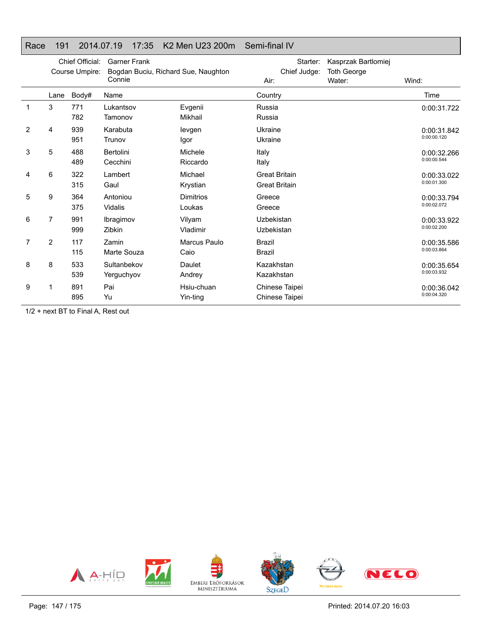### Race 191 2014.07.19 17:35 K2 Men U23 200m Semi-final IV

|   | Chief Official:<br>Course Umpire: |            | <b>Garner Frank</b><br>Bogdan Buciu, Richard Sue, Naughton<br>Connie |                            | Starter:<br>Chief Judge:<br>Air:             | Kasprzak Bartlomiej<br><b>Toth George</b><br>Water: | Wind:                      |
|---|-----------------------------------|------------|----------------------------------------------------------------------|----------------------------|----------------------------------------------|-----------------------------------------------------|----------------------------|
|   | Lane                              | Body#      | Name                                                                 |                            | Country                                      |                                                     | Time                       |
| 1 | 3                                 | 771<br>782 | Lukantsov<br>Tamonov                                                 | Evgenii<br>Mikhail         | Russia<br>Russia                             |                                                     | 0:00:31.722                |
| 2 | 4                                 | 939<br>951 | Karabuta<br>Trunov                                                   | levgen<br>Igor             | Ukraine<br>Ukraine                           |                                                     | 0:00:31.842<br>0:00:00.120 |
| 3 | 5                                 | 488<br>489 | Bertolini<br>Cecchini                                                | Michele<br>Riccardo        | Italy<br>Italy                               |                                                     | 0:00:32.266<br>0:00:00.544 |
| 4 | 6                                 | 322<br>315 | Lambert<br>Gaul                                                      | Michael<br>Krystian        | <b>Great Britain</b><br><b>Great Britain</b> |                                                     | 0:00:33.022<br>0:00:01.300 |
| 5 | 9                                 | 364<br>375 | Antoniou<br>Vidalis                                                  | <b>Dimitrios</b><br>Loukas | Greece<br>Greece                             |                                                     | 0:00:33.794<br>0:00:02.072 |
| 6 | 7                                 | 991<br>999 | Ibragimov<br>Zibkin                                                  | Vilyam<br>Vladimir         | Uzbekistan<br>Uzbekistan                     |                                                     | 0:00:33.922<br>0:00:02.200 |
| 7 | 2                                 | 117<br>115 | Zamin<br>Marte Souza                                                 | Marcus Paulo<br>Caio       | <b>Brazil</b><br><b>Brazil</b>               |                                                     | 0:00:35.586<br>0:00:03.864 |
| 8 | 8                                 | 533<br>539 | Sultanbekov<br>Yerguchyov                                            | Daulet<br>Andrey           | Kazakhstan<br>Kazakhstan                     |                                                     | 0:00:35.654<br>0:00:03.932 |
| 9 |                                   | 891<br>895 | Pai<br>Yu                                                            | Hsiu-chuan<br>Yin-ting     | Chinese Taipei<br>Chinese Taipei             |                                                     | 0:00:36.042<br>0:00:04.320 |

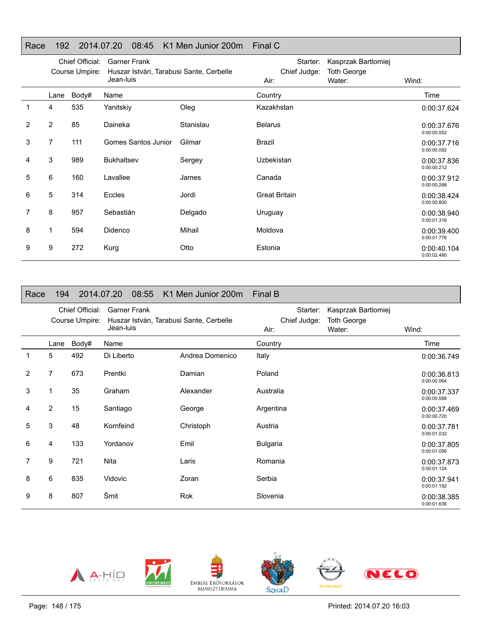#### Race 192 2014.07.20 08:45 K1 Men Junior 200m Final C

|   | Chief Official:<br>Course Umpire: |       | <b>Garner Frank</b><br>Huszar István, Tarabusi Sante, Cerbelle<br>Jean-luis |           | Starter:<br>Chief Judge:<br>Air: | Kasprzak Bartlomiej<br><b>Toth George</b><br>Water: | Wind:                      |
|---|-----------------------------------|-------|-----------------------------------------------------------------------------|-----------|----------------------------------|-----------------------------------------------------|----------------------------|
|   | Lane                              | Body# | Name                                                                        |           | Country                          |                                                     | Time                       |
|   | 4                                 | 535   | Yanitskiy                                                                   | Oleg      | Kazakhstan                       |                                                     | 0:00:37.624                |
| 2 | $\overline{2}$                    | 85    | Daineka                                                                     | Stanislau | <b>Belarus</b>                   |                                                     | 0:00:37.676<br>0:00:00.052 |
| 3 | 7                                 | 111   | Gomes Santos Junior                                                         | Gilmar    | Brazil                           |                                                     | 0:00:37.716<br>0:00:00.092 |
| 4 | 3                                 | 989   | <b>Bukhaltsev</b>                                                           | Sergey    | Uzbekistan                       |                                                     | 0:00:37.836<br>0:00:00.212 |
| 5 | 6                                 | 160   | Lavallee                                                                    | James     | Canada                           |                                                     | 0:00:37.912<br>0:00:00.288 |
| 6 | 5                                 | 314   | Eccles                                                                      | Jordi     | <b>Great Britain</b>             |                                                     | 0:00:38.424<br>0:00:00.800 |
| 7 | 8                                 | 957   | Sebastián                                                                   | Delgado   | Uruguay                          |                                                     | 0:00:38.940<br>0:00:01.316 |
| 8 |                                   | 594   | Didenco                                                                     | Mihail    | Moldova                          |                                                     | 0:00:39.400<br>0:00:01.776 |
| 9 | 9                                 | 272   | <b>Kurg</b>                                                                 | Otto      | Estonia                          |                                                     | 0:00:40.104<br>0:00:02.480 |

| Race           | 194            |                                   | 2014.07.20<br>08:55              | K1 Men Junior 200m                      | Final B                          |                                                     |                            |
|----------------|----------------|-----------------------------------|----------------------------------|-----------------------------------------|----------------------------------|-----------------------------------------------------|----------------------------|
|                |                | Chief Official:<br>Course Umpire: | <b>Garner Frank</b><br>Jean-luis | Huszar István, Tarabusi Sante, Cerbelle | Starter:<br>Chief Judge:<br>Air: | Kasprzak Bartlomiej<br><b>Toth George</b><br>Water: | Wind:                      |
|                | Lane           | Body#                             | Name                             |                                         | Country                          |                                                     | Time                       |
| 1              | 5              | 492                               | Di Liberto                       | Andrea Domenico                         | Italy                            |                                                     | 0:00:36.749                |
| $\overline{2}$ | 7              | 673                               | Prentki                          | Damian                                  | Poland                           |                                                     | 0:00:36.813<br>0:00:00.064 |
| 3              | 1              | 35                                | Graham                           | Alexander                               | Australia                        |                                                     | 0:00:37.337<br>0:00:00.588 |
| 4              | $\overline{2}$ | 15                                | Santiago                         | George                                  | Argentina                        |                                                     | 0:00:37.469<br>0:00:00.720 |
| 5              | 3              | 48                                | Kornfeind                        | Christoph                               | Austria                          |                                                     | 0:00:37.781<br>0:00:01.032 |
| 6              | 4              | 133                               | Yordanov                         | Emil                                    | <b>Bulgaria</b>                  |                                                     | 0:00:37.805<br>0:00:01.056 |
| 7              | 9              | 721                               | <b>Nita</b>                      | Laris                                   | Romania                          |                                                     | 0:00:37.873<br>0:00:01.124 |
| 8              | 6              | 835                               | Vidovic                          | Zoran                                   | Serbia                           |                                                     | 0:00:37.941<br>0:00:01.192 |
| 9              | 8              | 807                               | Šmit                             | <b>Rok</b>                              | Slovenia                         |                                                     | 0:00:38.385<br>0:00:01.636 |









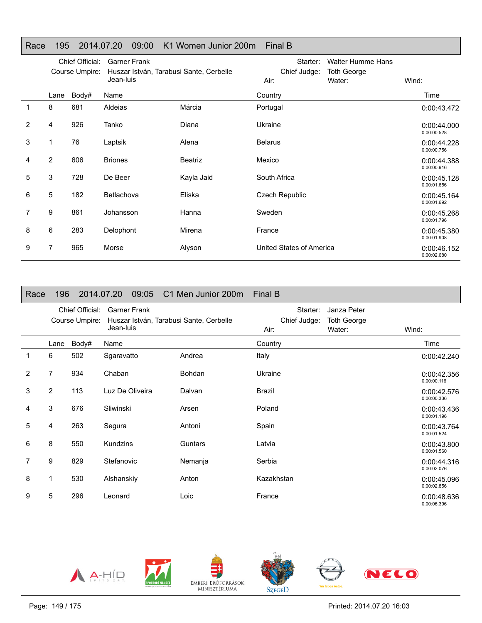#### Race 195 2014.07.20 09:00 K1 Women Junior 200m Final B

|                | Chief Official:<br>Course Umpire: |       | <b>Garner Frank</b><br>Huszar István, Tarabusi Sante, Cerbelle<br>Jean-luis |                | Starter:<br>Chief Judge:<br>Air: | <b>Walter Humme Hans</b><br><b>Toth George</b><br>Water: | Wind:                      |
|----------------|-----------------------------------|-------|-----------------------------------------------------------------------------|----------------|----------------------------------|----------------------------------------------------------|----------------------------|
|                | Lane                              | Body# | Name                                                                        |                | Country                          |                                                          | Time                       |
| 1              | 8                                 | 681   | Aldeias                                                                     | Márcia         | Portugal                         |                                                          | 0:00:43.472                |
| $\overline{2}$ | 4                                 | 926   | Tanko                                                                       | Diana          | Ukraine                          |                                                          | 0:00:44.000<br>0:00:00.528 |
| 3              |                                   | 76    | Laptsik                                                                     | Alena          | <b>Belarus</b>                   |                                                          | 0:00:44.228<br>0:00:00.756 |
| 4              | $\overline{2}$                    | 606   | <b>Briones</b>                                                              | <b>Beatriz</b> | Mexico                           |                                                          | 0:00:44.388<br>0:00:00.916 |
| 5              | 3                                 | 728   | De Beer                                                                     | Kayla Jaid     | South Africa                     |                                                          | 0:00:45.128<br>0:00:01.656 |
| 6              | 5                                 | 182   | Betlachova                                                                  | Eliska         | Czech Republic                   |                                                          | 0:00:45.164<br>0:00:01.692 |
|                | 9                                 | 861   | Johansson                                                                   | Hanna          | Sweden                           |                                                          | 0:00:45.268<br>0:00:01.796 |
| 8              | 6                                 | 283   | Delophont                                                                   | Mirena         | France                           |                                                          | 0:00:45.380<br>0:00:01.908 |
| 9              | 7                                 | 965   | Morse                                                                       | Alyson         | United States of America         |                                                          | 0:00:46.152<br>0:00:02.680 |

| Race | 196            |                                   | 2014.07.20<br>09:05              | C1 Men Junior 200m                      | Final B                                                                         |                            |
|------|----------------|-----------------------------------|----------------------------------|-----------------------------------------|---------------------------------------------------------------------------------|----------------------------|
|      |                | Chief Official:<br>Course Umpire: | <b>Garner Frank</b><br>Jean-luis | Huszar István, Tarabusi Sante, Cerbelle | Starter:<br>Janza Peter<br>Chief Judge:<br><b>Toth George</b><br>Water:<br>Air: | Wind:                      |
|      | Lane           | Body#                             | Name                             |                                         | Country                                                                         | Time                       |
| 1    | 6              | 502                               | Sgaravatto                       | Andrea                                  | Italy                                                                           | 0:00:42.240                |
| 2    | 7              | 934                               | Chaban                           | Bohdan                                  | Ukraine                                                                         | 0:00:42.356<br>0:00:00.116 |
| 3    | $\overline{2}$ | 113                               | Luz De Oliveira                  | Dalvan                                  | Brazil                                                                          | 0:00:42.576<br>0:00:00.336 |
| 4    | 3              | 676                               | Sliwinski                        | Arsen                                   | Poland                                                                          | 0:00:43.436<br>0:00:01.196 |
| 5    | 4              | 263                               | Segura                           | Antoni                                  | Spain                                                                           | 0:00:43.764<br>0:00:01.524 |
| 6    | 8              | 550                               | Kundzins                         | Guntars                                 | Latvia                                                                          | 0:00:43.800<br>0:00:01.560 |
| 7    | 9              | 829                               | Stefanovic                       | Nemanja                                 | Serbia                                                                          | 0:00:44.316<br>0:00:02.076 |
| 8    | 1              | 530                               | Alshanskiy                       | Anton                                   | Kazakhstan                                                                      | 0:00:45.096<br>0:00:02.856 |
| 9    | 5              | 296                               | Leonard                          | Loic                                    | France                                                                          | 0:00:48.636<br>0:00:06.396 |





EMBERI ERŐFORRÁSOK<br>MINISZTÉRIUMA



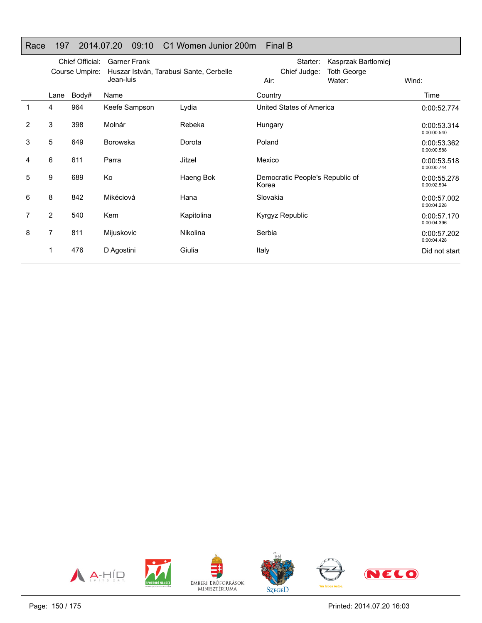## Race 197 2014.07.20 09:10 C1 Women Junior 200m Final B

|   | Chief Official:<br>Course Umpire: |       | <b>Garner Frank</b><br>Huszar István, Tarabusi Sante, Cerbelle<br>Jean-luis |            | Starter:<br>Kasprzak Bartlomiej<br>Chief Judge:<br><b>Toth George</b> |        |                            |
|---|-----------------------------------|-------|-----------------------------------------------------------------------------|------------|-----------------------------------------------------------------------|--------|----------------------------|
|   |                                   |       |                                                                             |            | Air:                                                                  | Water: | Wind:                      |
|   | Lane                              | Body# | Name                                                                        |            | Country                                                               |        | Time                       |
| 1 | 4                                 | 964   | Keefe Sampson                                                               | Lydia      | United States of America                                              |        | 0:00:52.774                |
| 2 | 3                                 | 398   | Molnár                                                                      | Rebeka     | Hungary                                                               |        | 0:00:53.314<br>0:00:00.540 |
| 3 | 5                                 | 649   | <b>Borowska</b>                                                             | Dorota     | Poland                                                                |        | 0:00:53.362<br>0:00:00.588 |
| 4 | 6                                 | 611   | Parra                                                                       | Jitzel     | Mexico                                                                |        | 0:00:53.518<br>0:00:00.744 |
| 5 | 9                                 | 689   | Ko                                                                          | Haeng Bok  | Democratic People's Republic of<br>Korea                              |        | 0:00:55.278<br>0:00:02.504 |
| 6 | 8                                 | 842   | Mikéciová                                                                   | Hana       | Slovakia                                                              |        | 0:00:57.002<br>0:00:04.228 |
| 7 | $\overline{2}$                    | 540   | <b>Kem</b>                                                                  | Kapitolina | Kyrgyz Republic                                                       |        | 0:00:57.170<br>0:00:04.396 |
| 8 | 7                                 | 811   | Mijuskovic                                                                  | Nikolina   | Serbia                                                                |        | 0:00:57.202<br>0:00:04.428 |
|   |                                   | 476   | D Agostini                                                                  | Giulia     | Italy                                                                 |        | Did not start              |

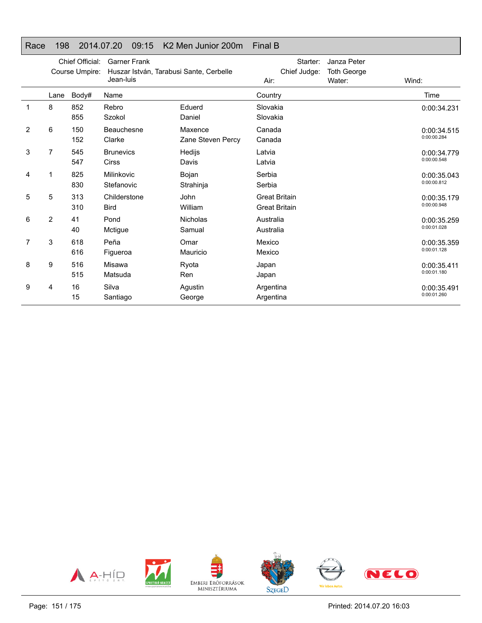#### Race 198 2014.07.20 09:15 K2 Men Junior 200m Final B

|   | Chief Official:<br>Course Umpire: |            | <b>Garner Frank</b><br>Huszar István, Tarabusi Sante, Cerbelle<br>Jean-luis |                              | Starter:<br>Chief Judge:<br>Air:             | Janza Peter<br><b>Toth George</b><br>Water: | Wind:                      |
|---|-----------------------------------|------------|-----------------------------------------------------------------------------|------------------------------|----------------------------------------------|---------------------------------------------|----------------------------|
|   | Lane                              | Body#      | Name                                                                        |                              | Country                                      |                                             | Time                       |
| 1 | 8                                 | 852<br>855 | Rebro<br>Szokol                                                             | Eduerd<br>Daniel             | Slovakia<br>Slovakia                         |                                             | 0:00:34.231                |
| 2 | 6                                 | 150<br>152 | Beauchesne<br>Clarke                                                        | Maxence<br>Zane Steven Percy | Canada<br>Canada                             |                                             | 0:00:34.515<br>0:00:00.284 |
| 3 | 7                                 | 545<br>547 | <b>Brunevics</b><br><b>Cirss</b>                                            | Hedijs<br>Davis              | Latvia<br>Latvia                             |                                             | 0:00:34.779<br>0:00:00.548 |
| 4 | 1                                 | 825<br>830 | Milinkovic<br>Stefanovic                                                    | Bojan<br>Strahinja           | Serbia<br>Serbia                             |                                             | 0:00:35.043<br>0:00:00.812 |
| 5 | 5                                 | 313<br>310 | Childerstone<br><b>Bird</b>                                                 | John<br>William              | <b>Great Britain</b><br><b>Great Britain</b> |                                             | 0:00:35.179<br>0:00:00.948 |
| 6 | 2                                 | 41<br>40   | Pond<br>Mctigue                                                             | <b>Nicholas</b><br>Samual    | Australia<br>Australia                       |                                             | 0:00:35.259<br>0:00:01.028 |
| 7 | 3                                 | 618<br>616 | Peña<br>Figueroa                                                            | Omar<br>Mauricio             | Mexico<br>Mexico                             |                                             | 0:00:35.359<br>0:00:01.128 |
| 8 | 9                                 | 516<br>515 | Misawa<br>Matsuda                                                           | Ryota<br>Ren                 | Japan<br>Japan                               |                                             | 0:00:35.411<br>0:00:01.180 |
| 9 | 4                                 | 16<br>15   | Silva<br>Santiago                                                           | Agustin<br>George            | Argentina<br>Argentina                       |                                             | 0:00:35.491<br>0:00:01.260 |

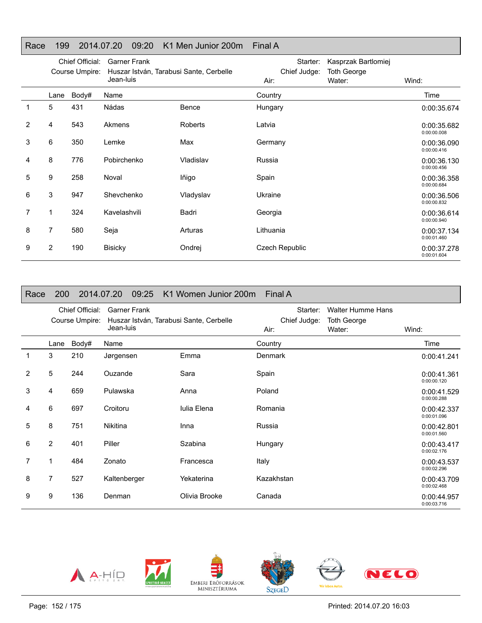#### Race 199 2014.07.20 09:20 K1 Men Junior 200m Final A

|                | Chief Official:<br>Course Umpire: |       | <b>Garner Frank</b><br>Huszar István, Tarabusi Sante, Cerbelle<br>Jean-luis |                | Starter:<br>Chief Judge:<br>Air: | Kasprzak Bartlomiej<br><b>Toth George</b><br>Water: | Wind:                      |
|----------------|-----------------------------------|-------|-----------------------------------------------------------------------------|----------------|----------------------------------|-----------------------------------------------------|----------------------------|
|                | Lane                              | Body# | Name                                                                        |                | Country                          |                                                     | Time                       |
| 1              | 5                                 | 431   | Nádas                                                                       | Bence          | Hungary                          |                                                     | 0:00:35.674                |
| $\overline{2}$ | 4                                 | 543   | Akmens                                                                      | <b>Roberts</b> | Latvia                           |                                                     | 0:00:35.682<br>0:00:00.008 |
| 3              | 6                                 | 350   | Lemke                                                                       | Max            | Germany                          |                                                     | 0:00:36.090<br>0:00:00.416 |
| 4              | 8                                 | 776   | Pobirchenko                                                                 | Vladislav      | Russia                           |                                                     | 0:00:36.130<br>0:00:00.456 |
| 5              | 9                                 | 258   | Noval                                                                       | lñigo          | Spain                            |                                                     | 0:00:36.358<br>0:00:00.684 |
| 6              | 3                                 | 947   | Shevchenko                                                                  | Vladyslav      | Ukraine                          |                                                     | 0:00:36.506<br>0:00:00.832 |
|                | 1                                 | 324   | Kavelashvili                                                                | Badri          | Georgia                          |                                                     | 0:00:36.614<br>0:00:00.940 |
| 8              | 7                                 | 580   | Seja                                                                        | Arturas        | Lithuania                        |                                                     | 0:00:37.134<br>0:00:01.460 |
| 9              | $\overline{2}$                    | 190   | <b>Bisicky</b>                                                              | Ondrej         | Czech Republic                   |                                                     | 0:00:37.278<br>0:00:01.604 |

| Race | <b>200</b>     |                                   | 2014.07.20 09:25                                                            | K1 Women Junior 200m Final A |                                  |                                                          |                            |
|------|----------------|-----------------------------------|-----------------------------------------------------------------------------|------------------------------|----------------------------------|----------------------------------------------------------|----------------------------|
|      |                | Chief Official:<br>Course Umpire: | <b>Garner Frank</b><br>Huszar István, Tarabusi Sante, Cerbelle<br>Jean-luis |                              | Starter:<br>Chief Judge:<br>Air: | <b>Walter Humme Hans</b><br><b>Toth George</b><br>Water: | Wind:                      |
|      | Lane           | Body#                             | Name                                                                        |                              | Country                          |                                                          | Time                       |
|      | 3              | 210                               | Jørgensen                                                                   | Emma                         | Denmark                          |                                                          | 0:00:41.241                |
| 2    | 5              | 244                               | Ouzande                                                                     | Sara                         | Spain                            |                                                          | 0:00:41.361<br>0:00:00.120 |
| 3    | 4              | 659                               | Pulawska                                                                    | Anna                         | Poland                           |                                                          | 0:00:41.529<br>0:00:00.288 |
| 4    | 6              | 697                               | Croitoru                                                                    | Iulia Elena                  | Romania                          |                                                          | 0:00:42.337<br>0:00:01.096 |
| 5    | 8              | 751                               | <b>Nikitina</b>                                                             | Inna                         | Russia                           |                                                          | 0:00:42.801<br>0:00:01.560 |
| 6    | $\overline{2}$ | 401                               | Piller                                                                      | Szabina                      | Hungary                          |                                                          | 0:00:43.417<br>0:00:02.176 |
| 7    | 1              | 484                               | Zonato                                                                      | Francesca                    | Italy                            |                                                          | 0:00:43.537<br>0:00:02.296 |
| 8    | 7              | 527                               | Kaltenberger                                                                | Yekaterina                   | Kazakhstan                       |                                                          | 0:00:43.709<br>0:00:02.468 |
| 9    | 9              | 136                               | Denman                                                                      | Olivia Brooke                | Canada                           |                                                          | 0:00:44.957<br>0:00:03.716 |









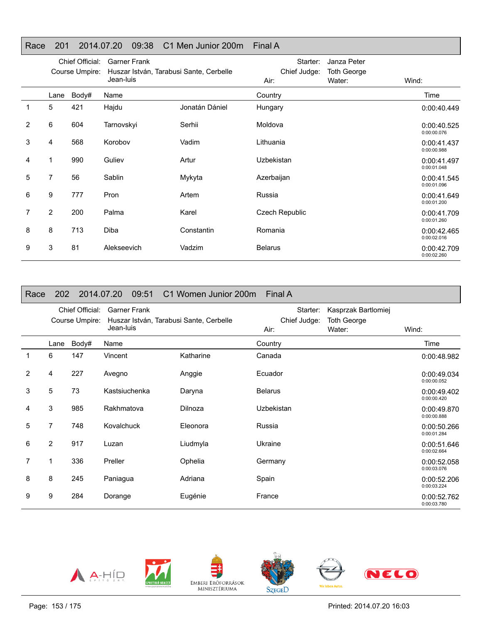#### Race 201 2014.07.20 09:38 C1 Men Junior 200m Final A

|   |                | Chief Official:<br>Course Umpire: | <b>Garner Frank</b><br>Huszar István, Tarabusi Sante, Cerbelle |                | Starter:<br>Chief Judge: | Janza Peter<br><b>Toth George</b> |                            |
|---|----------------|-----------------------------------|----------------------------------------------------------------|----------------|--------------------------|-----------------------------------|----------------------------|
|   |                |                                   | Jean-luis                                                      |                | Air:                     | Water:                            | Wind:                      |
|   | Lane           | Body#                             | Name                                                           |                | Country                  |                                   | Time                       |
| 1 | 5              | 421                               | Hajdu                                                          | Jonatán Dániel | Hungary                  |                                   | 0:00:40.449                |
| 2 | 6              | 604                               | Tarnovskyi                                                     | Serhii         | Moldova                  |                                   | 0:00:40.525<br>0:00:00.076 |
| 3 | 4              | 568                               | Korobov                                                        | Vadim          | Lithuania                |                                   | 0:00:41.437<br>0:00:00.988 |
| 4 | 1              | 990                               | Guliev                                                         | Artur          | Uzbekistan               |                                   | 0:00:41.497<br>0:00:01.048 |
| 5 | 7              | 56                                | Sablin                                                         | Mykyta         | Azerbaijan               |                                   | 0:00:41.545<br>0:00:01.096 |
| 6 | 9              | 777                               | Pron                                                           | Artem          | Russia                   |                                   | 0:00:41.649<br>0:00:01.200 |
| 7 | $\overline{2}$ | 200                               | Palma                                                          | Karel          | Czech Republic           |                                   | 0:00:41.709<br>0:00:01.260 |
| 8 | 8              | 713                               | Diba                                                           | Constantin     | Romania                  |                                   | 0:00:42.465<br>0:00:02.016 |
| 9 | 3              | 81                                | Alekseevich                                                    | Vadzim         | <b>Belarus</b>           |                                   | 0:00:42.709<br>0:00:02.260 |

| Race           | <b>202</b> |                                   | 2014.07.20<br>09:51                                                         | C1 Women Junior 200m Final A |                                  |                                                     |                            |
|----------------|------------|-----------------------------------|-----------------------------------------------------------------------------|------------------------------|----------------------------------|-----------------------------------------------------|----------------------------|
|                |            | Chief Official:<br>Course Umpire: | <b>Garner Frank</b><br>Huszar István, Tarabusi Sante, Cerbelle<br>Jean-luis |                              | Starter:<br>Chief Judge:<br>Air: | Kasprzak Bartlomiej<br><b>Toth George</b><br>Water: | Wind:                      |
|                | Lane       | Body#                             | Name                                                                        |                              | Country                          |                                                     | Time                       |
| 1              | 6          | 147                               | Vincent                                                                     | Katharine                    | Canada                           |                                                     | 0:00:48.982                |
| $\overline{2}$ | 4          | 227                               | Avegno                                                                      | Anggie                       | Ecuador                          |                                                     | 0:00:49.034<br>0:00:00.052 |
| 3              | 5          | 73                                | Kastsiuchenka                                                               | Daryna                       | <b>Belarus</b>                   |                                                     | 0:00:49.402<br>0:00:00.420 |
| 4              | 3          | 985                               | Rakhmatova                                                                  | Dilnoza                      | Uzbekistan                       |                                                     | 0:00:49.870<br>0:00:00.888 |
| 5              | 7          | 748                               | Kovalchuck                                                                  | Eleonora                     | Russia                           |                                                     | 0:00:50.266<br>0:00:01.284 |
| 6              | 2          | 917                               | Luzan                                                                       | Liudmyla                     | Ukraine                          |                                                     | 0:00:51.646<br>0:00:02.664 |
| 7              | 1          | 336                               | Preller                                                                     | Ophelia                      | Germany                          |                                                     | 0:00:52.058<br>0:00:03.076 |
| 8              | 8          | 245                               | Paniagua                                                                    | Adriana                      | Spain                            |                                                     | 0:00:52.206<br>0:00:03.224 |
| 9              | 9          | 284                               | Dorange                                                                     | Eugénie                      | France                           |                                                     | 0:00:52.762<br>0:00:03.780 |





EMBERI ERŐFORRÁSOK<br>MINISZTÉRIUMA



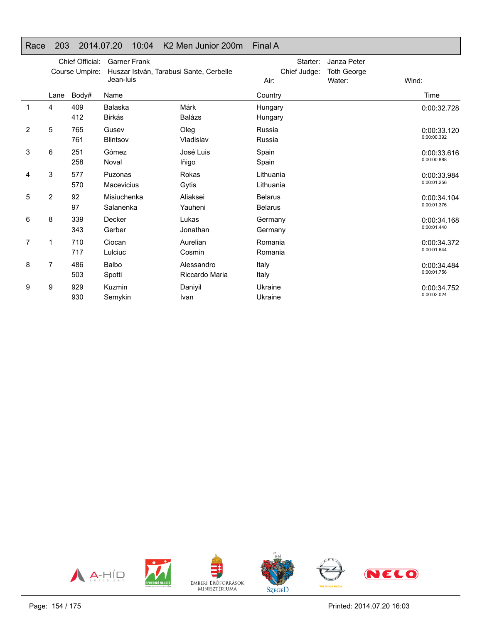#### Race 203 2014.07.20 10:04 K2 Men Junior 200m Final A

|   |                | Chief Official:<br>Course Umpire: | <b>Garner Frank</b><br>Huszar István, Tarabusi Sante, Cerbelle<br>Jean-luis |                              | Starter:<br>Chief Judge:<br>Air: | Janza Peter<br><b>Toth George</b><br>Water: | Wind:                      |
|---|----------------|-----------------------------------|-----------------------------------------------------------------------------|------------------------------|----------------------------------|---------------------------------------------|----------------------------|
|   | Lane           | Body#                             | Name                                                                        |                              | Country                          |                                             | Time                       |
| 1 | 4              | 409<br>412                        | Balaska<br>Birkás                                                           | Márk<br><b>Balázs</b>        | Hungary<br>Hungary               |                                             | 0:00:32.728                |
| 2 | 5              | 765<br>761                        | Gusev<br><b>Blintsov</b>                                                    | Oleg<br>Vladislav            | Russia<br>Russia                 |                                             | 0:00:33.120<br>0:00:00.392 |
| 3 | 6              | 251<br>258                        | Gómez<br>Noval                                                              | José Luis<br>lñigo           | Spain<br>Spain                   |                                             | 0:00:33.616<br>0:00:00.888 |
| 4 | 3              | 577<br>570                        | Puzonas<br><b>Macevicius</b>                                                | Rokas<br>Gytis               | Lithuania<br>Lithuania           |                                             | 0:00:33.984<br>0:00:01.256 |
| 5 | $\overline{2}$ | 92<br>97                          | Misiuchenka<br>Salanenka                                                    | Aliaksei<br>Yauheni          | <b>Belarus</b><br><b>Belarus</b> |                                             | 0:00:34.104<br>0:00:01.376 |
| 6 | 8              | 339<br>343                        | Decker<br>Gerber                                                            | Lukas<br>Jonathan            | Germany<br>Germany               |                                             | 0:00:34.168<br>0:00:01.440 |
| 7 | 1              | 710<br>717                        | Ciocan<br>Lulciuc                                                           | Aurelian<br>Cosmin           | Romania<br>Romania               |                                             | 0:00:34.372<br>0:00:01.644 |
| 8 | 7              | 486<br>503                        | Balbo<br>Spotti                                                             | Alessandro<br>Riccardo Maria | Italy<br>Italy                   |                                             | 0:00:34.484<br>0:00:01.756 |
| 9 | 9              | 929<br>930                        | Kuzmin<br>Semykin                                                           | Daniyil<br>Ivan              | Ukraine<br>Ukraine               |                                             | 0:00:34.752<br>0:00:02.024 |

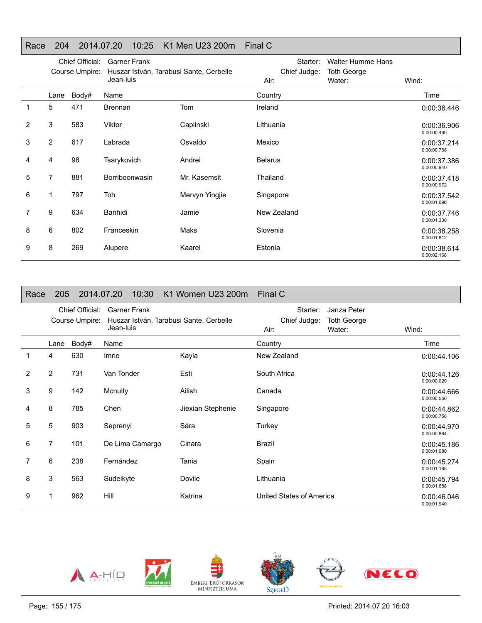### Race 204 2014.07.20 10:25 K1 Men U23 200m Final C

|   | Chief Official:<br>Course Umpire: |       | <b>Garner Frank</b><br>Huszar István, Tarabusi Sante, Cerbelle |                | Starter:<br><b>Walter Humme Hans</b><br>Chief Judge:<br><b>Toth George</b> |        |                            |
|---|-----------------------------------|-------|----------------------------------------------------------------|----------------|----------------------------------------------------------------------------|--------|----------------------------|
|   |                                   |       | Jean-luis                                                      |                | Air:                                                                       | Water: | Wind:                      |
|   | Lane                              | Body# | Name                                                           |                | Country                                                                    |        | Time                       |
| 1 | 5                                 | 471   | <b>Brennan</b>                                                 | Tom            | Ireland                                                                    |        | 0:00:36.446                |
| 2 | 3                                 | 583   | Viktor                                                         | Caplinski      | Lithuania                                                                  |        | 0:00:36.906<br>0:00:00.460 |
| 3 | $\overline{2}$                    | 617   | Labrada                                                        | Osvaldo        | Mexico                                                                     |        | 0:00:37.214<br>0:00:00.768 |
| 4 | 4                                 | 98    | Tsarykovich                                                    | Andrei         | <b>Belarus</b>                                                             |        | 0:00:37.386<br>0:00:00.940 |
| 5 | $\overline{7}$                    | 881   | Borriboonwasin                                                 | Mr. Kasemsit   | Thailand                                                                   |        | 0:00:37.418<br>0:00:00.972 |
| 6 | 1                                 | 797   | Toh                                                            | Mervyn Yingjie | Singapore                                                                  |        | 0:00:37.542<br>0:00:01.096 |
|   | 9                                 | 634   | Banhidi                                                        | Jamie          | New Zealand                                                                |        | 0:00:37.746<br>0:00:01.300 |
| 8 | 6                                 | 802   | Franceskin                                                     | Maks           | Slovenia                                                                   |        | 0:00:38.258<br>0:00:01.812 |
| 9 | 8                                 | 269   | Alupere                                                        | Kaarel         | Estonia                                                                    |        | 0:00:38.614<br>0:00:02.168 |

| Race           | 205                               |       | 10:30<br>2014.07.20                                                         | K1 Women U23 200m | Final C                          |                                             |                            |
|----------------|-----------------------------------|-------|-----------------------------------------------------------------------------|-------------------|----------------------------------|---------------------------------------------|----------------------------|
|                | Chief Official:<br>Course Umpire: |       | <b>Garner Frank</b><br>Huszar István, Tarabusi Sante, Cerbelle<br>Jean-luis |                   | Starter:<br>Chief Judge:<br>Air: | Janza Peter<br><b>Toth George</b><br>Water: | Wind:                      |
|                | Lane                              | Body# | Name                                                                        |                   | Country                          |                                             | Time                       |
| 1              | 4                                 | 630   | Imrie                                                                       | Kayla             | New Zealand                      |                                             | 0:00:44.106                |
| $\overline{2}$ | $\overline{2}$                    | 731   | Van Tonder                                                                  | Esti              | South Africa                     |                                             | 0:00:44.126<br>0:00:00.020 |
| 3              | 9                                 | 142   | Mcnulty                                                                     | Ailish            | Canada                           |                                             | 0:00:44.666<br>0:00:00.560 |
| 4              | 8                                 | 785   | Chen                                                                        | Jiexian Stephenie | Singapore                        |                                             | 0:00:44.862<br>0:00:00.756 |
| 5              | 5                                 | 903   | Seprenyi                                                                    | Sára              | Turkey                           |                                             | 0:00:44.970<br>0:00:00.864 |
| 6              | 7                                 | 101   | De Lima Camargo                                                             | Cinara            | Brazil                           |                                             | 0:00:45.186<br>0:00:01.080 |
| 7              | 6                                 | 238   | Fernández                                                                   | Tania             | Spain                            |                                             | 0:00:45.274<br>0:00:01.168 |
| 8              | 3                                 | 563   | Sudeikyte                                                                   | Dovile            | Lithuania                        |                                             | 0:00:45.794<br>0:00:01.688 |
| 9              |                                   | 962   | Hill                                                                        | Katrina           | United States of America         |                                             | 0:00:46.046<br>0:00:01.940 |





EMBERI ERŐFORRÁSOK<br>MINISZTÉRIUMA



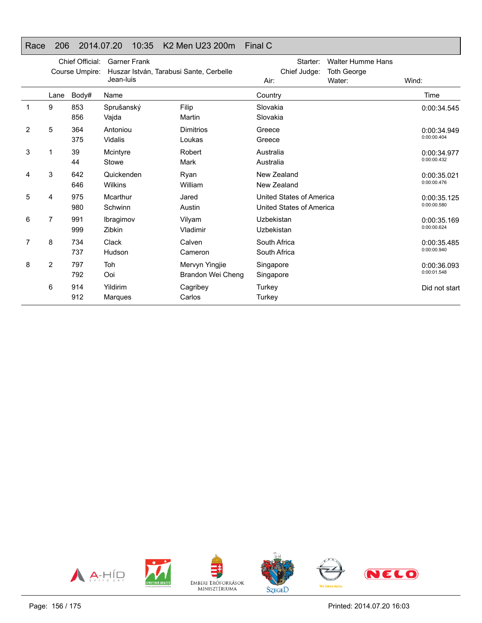#### Race 206 2014.07.20 10:35 K2 Men U23 200m Final C

|   | Chief Official:<br>Course Umpire: |            | <b>Garner Frank</b><br>Huszar István, Tarabusi Sante, Cerbelle<br>Jean-luis |                                     | <b>Walter Humme Hans</b><br>Starter:<br>Chief Judge:<br><b>Toth George</b><br>Water:<br>Air: |  | Wind:                      |
|---|-----------------------------------|------------|-----------------------------------------------------------------------------|-------------------------------------|----------------------------------------------------------------------------------------------|--|----------------------------|
|   | Lane                              | Body#      | Name                                                                        |                                     | Country                                                                                      |  | Time                       |
|   | 9                                 | 853<br>856 | Sprušanský<br>Vajda                                                         | Filip<br>Martin                     | Slovakia<br>Slovakia                                                                         |  | 0:00:34.545                |
| 2 | 5                                 | 364<br>375 | Antoniou<br>Vidalis                                                         | <b>Dimitrios</b><br>Loukas          | Greece<br>Greece                                                                             |  | 0:00:34.949<br>0:00:00.404 |
| 3 | 1                                 | 39<br>44   | Mcintyre<br>Stowe                                                           | Robert<br>Mark                      | Australia<br>Australia                                                                       |  | 0:00:34.977<br>0:00:00.432 |
| 4 | 3                                 | 642<br>646 | Quickenden<br>Wilkins                                                       | Ryan<br>William                     | New Zealand<br>New Zealand                                                                   |  | 0:00:35.021<br>0:00:00.476 |
| 5 | 4                                 | 975<br>980 | Mcarthur<br>Schwinn                                                         | Jared<br>Austin                     | United States of America<br>United States of America                                         |  | 0:00:35.125<br>0:00:00.580 |
| 6 | 7                                 | 991<br>999 | Ibragimov<br>Zibkin                                                         | Vilyam<br>Vladimir                  | Uzbekistan<br><b>Uzbekistan</b>                                                              |  | 0:00:35.169<br>0:00:00.624 |
| 7 | 8                                 | 734<br>737 | <b>Clack</b><br>Hudson                                                      | Calven<br>Cameron                   | South Africa<br>South Africa                                                                 |  | 0:00:35.485<br>0:00:00.940 |
| 8 | 2                                 | 797<br>792 | Toh<br>Ooi                                                                  | Mervyn Yingjie<br>Brandon Wei Cheng | Singapore<br>Singapore                                                                       |  | 0:00:36.093<br>0:00:01.548 |
|   | 6                                 | 914<br>912 | Yildirim<br>Marques                                                         | Cagribey<br>Carlos                  | Turkey<br>Turkey                                                                             |  | Did not start              |

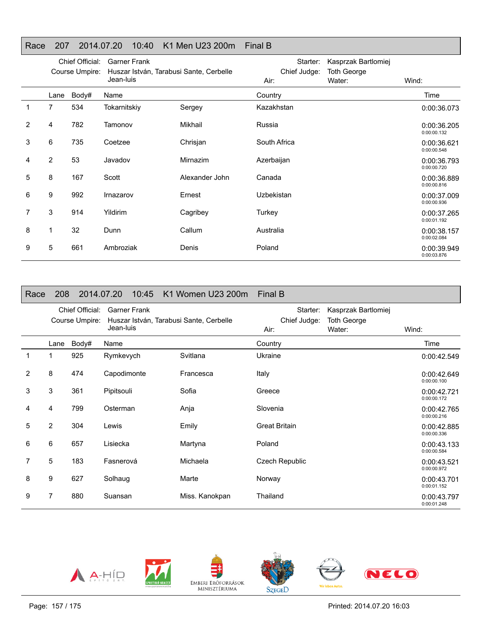### Race 207 2014.07.20 10:40 K1 Men U23 200m Final B

|                | Chief Official:<br>Course Umpire: |       | <b>Garner Frank</b><br>Huszar István, Tarabusi Sante, Cerbelle |                | Starter:<br>Chief Judge: | Kasprzak Bartlomiej<br><b>Toth George</b> |                            |
|----------------|-----------------------------------|-------|----------------------------------------------------------------|----------------|--------------------------|-------------------------------------------|----------------------------|
|                |                                   |       | Jean-luis                                                      |                | Air:                     | Water:                                    | Wind:                      |
|                | Lane                              | Body# | Name                                                           |                | Country                  |                                           | Time                       |
| $\mathbf 1$    | $\overline{7}$                    | 534   | Tokarnitskiy                                                   | Sergey         | Kazakhstan               |                                           | 0:00:36.073                |
| $\overline{2}$ | 4                                 | 782   | Tamonov                                                        | Mikhail        | Russia                   |                                           | 0:00:36.205<br>0:00:00.132 |
| 3              | 6                                 | 735   | Coetzee                                                        | Chrisjan       | South Africa             |                                           | 0:00:36.621<br>0:00:00.548 |
| 4              | $\overline{2}$                    | 53    | Javadov                                                        | Mirnazim       | Azerbaijan               |                                           | 0:00:36.793<br>0:00:00.720 |
| 5              | 8                                 | 167   | Scott                                                          | Alexander John | Canada                   |                                           | 0:00:36.889<br>0:00:00.816 |
| 6              | 9                                 | 992   | Irnazarov                                                      | Ernest         | Uzbekistan               |                                           | 0:00:37.009<br>0:00:00.936 |
|                | 3                                 | 914   | Yildirim                                                       | Cagribey       | Turkey                   |                                           | 0:00:37.265<br>0:00:01.192 |
| 8              |                                   | 32    | Dunn                                                           | Callum         | Australia                |                                           | 0:00:38.157<br>0:00:02.084 |
| 9              | 5                                 | 661   | Ambroziak                                                      | Denis          | Poland                   |                                           | 0:00:39.949<br>0:00:03.876 |

| Race           | 208                               |       | 2014.07.20                                                                  | 10:45<br>K1 Women U23 200m | <b>Final B</b>                   |                                                     |                            |
|----------------|-----------------------------------|-------|-----------------------------------------------------------------------------|----------------------------|----------------------------------|-----------------------------------------------------|----------------------------|
|                | Chief Official:<br>Course Umpire: |       | <b>Garner Frank</b><br>Huszar István, Tarabusi Sante, Cerbelle<br>Jean-luis |                            | Starter:<br>Chief Judge:<br>Air: | Kasprzak Bartlomiej<br><b>Toth George</b><br>Water: | Wind:                      |
|                | Lane                              | Body# | Name                                                                        |                            | Country                          |                                                     | Time                       |
| 1              | 1                                 | 925   | Rymkevych                                                                   | Svitlana                   | Ukraine                          |                                                     | 0:00:42.549                |
| 2              | 8                                 | 474   | Capodimonte                                                                 | Francesca                  | Italy                            |                                                     | 0:00:42.649<br>0:00:00.100 |
| 3              | 3                                 | 361   | Pipitsouli                                                                  | Sofia                      | Greece                           |                                                     | 0:00:42.721<br>0:00:00.172 |
| 4              | 4                                 | 799   | Osterman                                                                    | Anja                       | Slovenia                         |                                                     | 0:00:42.765<br>0:00:00.216 |
| 5              | 2                                 | 304   | Lewis                                                                       | Emily                      | <b>Great Britain</b>             |                                                     | 0:00:42.885<br>0:00:00.336 |
| 6              | 6                                 | 657   | Lisiecka                                                                    | Martyna                    | Poland                           |                                                     | 0:00:43.133<br>0:00:00.584 |
| $\overline{7}$ | 5                                 | 183   | Fasnerová                                                                   | Michaela                   | Czech Republic                   |                                                     | 0:00:43.521<br>0:00:00.972 |
| 8              | 9                                 | 627   | Solhaug                                                                     | Marte                      | Norway                           |                                                     | 0:00:43.701<br>0:00:01.152 |
| 9              | 7                                 | 880   | Suansan                                                                     | Miss. Kanokpan             | Thailand                         |                                                     | 0:00:43.797<br>0:00:01.248 |









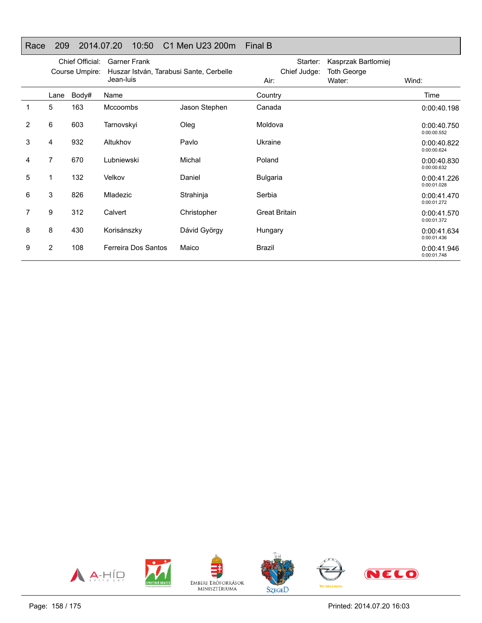## Race 209 2014.07.20 10:50 C1 Men U23 200m Final B

|   | Chief Official:<br>Course Umpire: |       | <b>Garner Frank</b><br>Huszar István, Tarabusi Sante, Cerbelle<br>Jean-luis |               | Starter:<br>Chief Judge:<br>Air: | Kasprzak Bartlomiej<br><b>Toth George</b><br>Water: | Wind:                      |
|---|-----------------------------------|-------|-----------------------------------------------------------------------------|---------------|----------------------------------|-----------------------------------------------------|----------------------------|
|   | Lane                              | Body# | Name                                                                        |               | Country                          |                                                     | Time                       |
|   | 5                                 | 163   | <b>Mccoombs</b>                                                             | Jason Stephen | Canada                           |                                                     | 0:00:40.198                |
| 2 | 6                                 | 603   | Tarnovskyi                                                                  | Oleg          | Moldova                          |                                                     | 0:00:40.750<br>0:00:00.552 |
| 3 | 4                                 | 932   | Altukhov                                                                    | Pavlo         | Ukraine                          |                                                     | 0:00:40.822<br>0:00:00.624 |
| 4 | 7                                 | 670   | Lubniewski                                                                  | Michal        | Poland                           |                                                     | 0:00:40.830<br>0:00:00.632 |
| 5 | 1                                 | 132   | Velkov                                                                      | Daniel        | <b>Bulgaria</b>                  |                                                     | 0:00:41.226<br>0:00:01.028 |
| 6 | 3                                 | 826   | Mladezic                                                                    | Strahinja     | Serbia                           |                                                     | 0:00:41.470<br>0:00:01.272 |
| 7 | 9                                 | 312   | Calvert                                                                     | Christopher   | <b>Great Britain</b>             |                                                     | 0:00:41.570<br>0:00:01.372 |
| 8 | 8                                 | 430   | Korisánszky                                                                 | Dávid György  | Hungary                          |                                                     | 0:00:41.634<br>0:00:01.436 |
| 9 | 2                                 | 108   | Ferreira Dos Santos                                                         | Maico         | Brazil                           |                                                     | 0:00:41.946<br>0:00:01.748 |

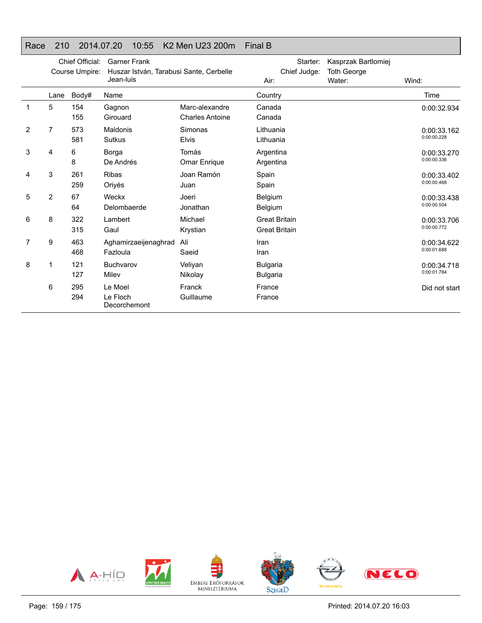#### Race 210 2014.07.20 10:55 K2 Men U23 200m Final B

|                | Chief Official:<br>Course Umpire: |            | <b>Garner Frank</b><br>Huszar István, Tarabusi Sante, Cerbelle<br>Jean-luis |                                          | Starter:<br>Chief Judge:<br>Air:             | Kasprzak Bartlomiej<br><b>Toth George</b><br>Water: | Wind:                      |
|----------------|-----------------------------------|------------|-----------------------------------------------------------------------------|------------------------------------------|----------------------------------------------|-----------------------------------------------------|----------------------------|
|                | Lane                              | Body#      | Name                                                                        |                                          | Country                                      |                                                     | Time                       |
| 1              | 5                                 | 154<br>155 | Gagnon<br>Girouard                                                          | Marc-alexandre<br><b>Charles Antoine</b> | Canada<br>Canada                             |                                                     | 0:00:32.934                |
| $\overline{2}$ | 7                                 | 573<br>581 | Maldonis<br><b>Sutkus</b>                                                   | Simonas<br><b>Elvis</b>                  | Lithuania<br>Lithuania                       |                                                     | 0:00:33.162<br>0:00:00.228 |
| 3              | 4                                 | 6<br>8     | Borga<br>De Andrés                                                          | Tomás<br>Omar Enrique                    | Argentina<br>Argentina                       |                                                     | 0:00:33.270<br>0:00:00.336 |
| 4              | 3                                 | 261<br>259 | <b>Ribas</b><br>Oriyés                                                      | Joan Ramón<br>Juan                       | Spain<br>Spain                               |                                                     | 0:00:33.402<br>0:00:00.468 |
| 5              | 2                                 | 67<br>64   | Weckx<br>Delombaerde                                                        | Joeri<br>Jonathan                        | Belgium<br><b>Belgium</b>                    |                                                     | 0:00:33.438<br>0:00:00.504 |
| 6              | 8                                 | 322<br>315 | Lambert<br>Gaul                                                             | Michael<br>Krystian                      | <b>Great Britain</b><br><b>Great Britain</b> |                                                     | 0:00:33.706<br>0:00:00.772 |
| 7              | 9                                 | 463<br>468 | Aghamirzaeijenaghrad<br>Fazloula                                            | Ali<br>Saeid                             | Iran<br>Iran                                 |                                                     | 0:00:34.622<br>0:00:01.688 |
| 8              | 1                                 | 121<br>127 | Buchvarov<br>Milev                                                          | Veliyan<br>Nikolay                       | <b>Bulgaria</b><br><b>Bulgaria</b>           |                                                     | 0:00:34.718<br>0:00:01.784 |
|                | 6                                 | 295<br>294 | Le Moel<br>Le Floch<br>Decorchemont                                         | Franck<br>Guillaume                      | France<br>France                             |                                                     | Did not start              |

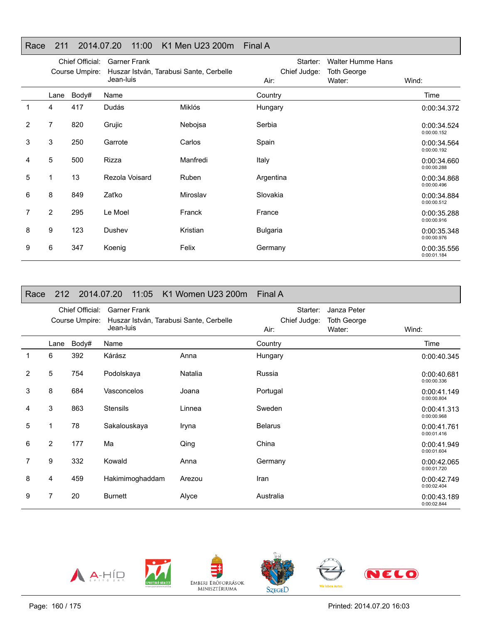## Race 211 2014.07.20 11:00 K1 Men U23 200m Final A

|   | Chief Official:<br>Course Umpire: |       | <b>Garner Frank</b><br>Huszar István, Tarabusi Sante, Cerbelle |          | Starter:<br>Chief Judge: |                              |                            |
|---|-----------------------------------|-------|----------------------------------------------------------------|----------|--------------------------|------------------------------|----------------------------|
|   |                                   |       | Jean-luis                                                      |          | Air:                     | <b>Toth George</b><br>Water: | Wind:                      |
|   | Lane                              | Body# | Name                                                           |          | Country                  |                              | Time                       |
|   | 4                                 | 417   | Dudás                                                          | Miklós   | Hungary                  |                              | 0:00:34.372                |
| 2 | 7                                 | 820   | Grujic                                                         | Nebojsa  | Serbia                   |                              | 0:00:34.524<br>0:00:00.152 |
| 3 | 3                                 | 250   | Garrote                                                        | Carlos   | Spain                    |                              | 0:00:34.564<br>0:00:00.192 |
| 4 | 5                                 | 500   | Rizza                                                          | Manfredi | Italy                    |                              | 0:00:34.660<br>0:00:00.288 |
| 5 | 1                                 | 13    | Rezola Voisard                                                 | Ruben    | Argentina                |                              | 0:00:34.868<br>0:00:00.496 |
| 6 | 8                                 | 849   | Zaťko                                                          | Miroslav | Slovakia                 |                              | 0:00:34.884<br>0:00:00.512 |
| 7 | $\overline{2}$                    | 295   | Le Moel                                                        | Franck   | France                   |                              | 0:00:35.288<br>0:00:00.916 |
| 8 | 9                                 | 123   | Dushev                                                         | Kristian | <b>Bulgaria</b>          |                              | 0:00:35.348<br>0:00:00.976 |
| 9 | 6                                 | 347   | Koenig                                                         | Felix    | Germany                  |                              | 0:00:35.556<br>0:00:01.184 |

| Race           |                | 212 2014.07.20                    | 11:05                                                                       | K1 Women U23 200m | <b>Final A</b>                   |                                             |                            |
|----------------|----------------|-----------------------------------|-----------------------------------------------------------------------------|-------------------|----------------------------------|---------------------------------------------|----------------------------|
|                |                | Chief Official:<br>Course Umpire: | <b>Garner Frank</b><br>Huszar István, Tarabusi Sante, Cerbelle<br>Jean-luis |                   | Starter:<br>Chief Judge:<br>Air: | Janza Peter<br><b>Toth George</b><br>Water: | Wind:                      |
|                | Lane           | Body#                             | Name                                                                        |                   | Country                          |                                             | Time                       |
| 1              | 6              | 392                               | Kárász                                                                      | Anna              | Hungary                          |                                             | 0:00:40.345                |
| $\overline{2}$ | 5              | 754                               | Podolskaya                                                                  | Natalia           | Russia                           |                                             | 0:00:40.681<br>0:00:00.336 |
| 3              | 8              | 684                               | Vasconcelos                                                                 | Joana             | Portugal                         |                                             | 0:00:41.149<br>0:00:00.804 |
| 4              | 3              | 863                               | <b>Stensils</b>                                                             | Linnea            | Sweden                           |                                             | 0:00:41.313<br>0:00:00.968 |
| 5              | 1              | 78                                | Sakalouskaya                                                                | Iryna             | <b>Belarus</b>                   |                                             | 0:00:41.761<br>0:00:01.416 |
| 6              | $\overline{2}$ | 177                               | Ma                                                                          | Qing              | China                            |                                             | 0:00:41.949<br>0:00:01.604 |
| 7              | 9              | 332                               | Kowald                                                                      | Anna              | Germany                          |                                             | 0:00:42.065<br>0:00:01.720 |
| 8              | 4              | 459                               | Hakimimoghaddam                                                             | Arezou            | Iran                             |                                             | 0:00:42.749<br>0:00:02.404 |
| 9              | 7              | 20                                | <b>Burnett</b>                                                              | Alyce             | Australia                        |                                             | 0:00:43.189<br>0:00:02.844 |









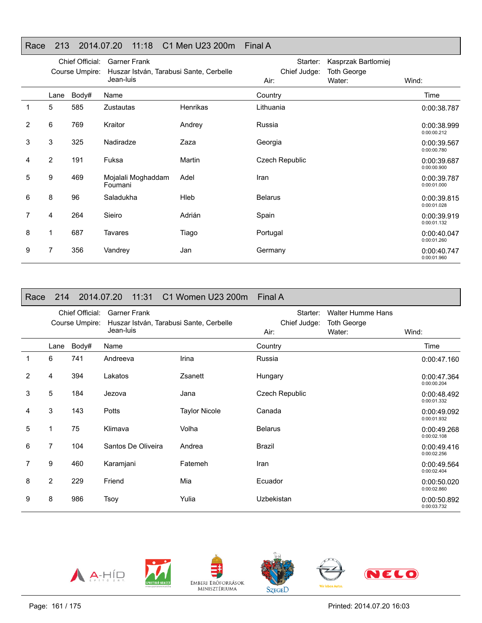## Race 213 2014.07.20 11:18 C1 Men U23 200m Final A

|                | Chief Official:<br>Course Umpire: |       | <b>Garner Frank</b><br>Huszar István, Tarabusi Sante, Cerbelle |          | Starter:<br>Chief Judge: | Kasprzak Bartlomiej<br><b>Toth George</b> |                            |
|----------------|-----------------------------------|-------|----------------------------------------------------------------|----------|--------------------------|-------------------------------------------|----------------------------|
|                |                                   |       | Jean-luis                                                      |          | Air:                     | Water:                                    | Wind:                      |
|                | Lane                              | Body# | Name                                                           |          | Country                  |                                           | Time                       |
|                | 5                                 | 585   | <b>Zustautas</b>                                               | Henrikas | Lithuania                |                                           | 0:00:38.787                |
| $\overline{2}$ | 6                                 | 769   | Kraitor                                                        | Andrey   | Russia                   |                                           | 0:00:38.999<br>0:00:00.212 |
| 3              | 3                                 | 325   | Nadiradze                                                      | Zaza     | Georgia                  |                                           | 0:00:39.567<br>0:00:00.780 |
| 4              | $\overline{2}$                    | 191   | Fuksa                                                          | Martin   | Czech Republic           |                                           | 0:00:39.687<br>0:00:00.900 |
| 5              | 9                                 | 469   | Mojalali Moghaddam<br>Foumani                                  | Adel     | Iran                     |                                           | 0:00:39.787<br>0:00:01.000 |
| 6              | 8                                 | 96    | Saladukha                                                      | Hleb     | <b>Belarus</b>           |                                           | 0:00:39.815<br>0:00:01.028 |
| 7              | 4                                 | 264   | Sieiro                                                         | Adrián   | Spain                    |                                           | 0:00:39.919<br>0:00:01.132 |
| 8              | 1                                 | 687   | Tavares                                                        | Tiago    | Portugal                 |                                           | 0:00:40.047<br>0:00:01.260 |
| 9              | 7                                 | 356   | Vandrey                                                        | Jan      | Germany                  |                                           | 0:00:40.747<br>0:00:01.960 |

| Race |                | 214 2014.07.20                    | 11:31                            | C1 Women U23 200m                       | Final A                          |                                                          |                            |
|------|----------------|-----------------------------------|----------------------------------|-----------------------------------------|----------------------------------|----------------------------------------------------------|----------------------------|
|      |                | Chief Official:<br>Course Umpire: | <b>Garner Frank</b><br>Jean-luis | Huszar István, Tarabusi Sante, Cerbelle | Starter:<br>Chief Judge:<br>Air: | <b>Walter Humme Hans</b><br><b>Toth George</b><br>Water: | Wind:                      |
|      | Lane           | Body#                             | Name                             |                                         | Country                          |                                                          | Time                       |
| 1    | 6              | 741                               | Andreeva                         | Irina                                   | Russia                           |                                                          | 0:00:47.160                |
| 2    | 4              | 394                               | Lakatos                          | Zsanett                                 | Hungary                          |                                                          | 0:00:47.364<br>0:00:00.204 |
| 3    | 5              | 184                               | Jezova                           | Jana                                    | <b>Czech Republic</b>            |                                                          | 0:00:48.492<br>0:00:01.332 |
| 4    | 3              | 143                               | Potts                            | <b>Taylor Nicole</b>                    | Canada                           |                                                          | 0:00:49.092<br>0:00:01.932 |
| 5    | 1              | 75                                | Klimava                          | Volha                                   | <b>Belarus</b>                   |                                                          | 0:00:49.268<br>0:00:02.108 |
| 6    | 7              | 104                               | Santos De Oliveira               | Andrea                                  | Brazil                           |                                                          | 0:00:49.416<br>0:00:02.256 |
| 7    | 9              | 460                               | Karamjani                        | Fatemeh                                 | Iran                             |                                                          | 0:00:49.564<br>0:00:02.404 |
| 8    | $\overline{2}$ | 229                               | Friend                           | Mia                                     | Ecuador                          |                                                          | 0:00:50.020<br>0:00:02.860 |
| 9    | 8              | 986                               | Tsoy                             | Yulia                                   | Uzbekistan                       |                                                          | 0:00:50.892<br>0:00:03.732 |









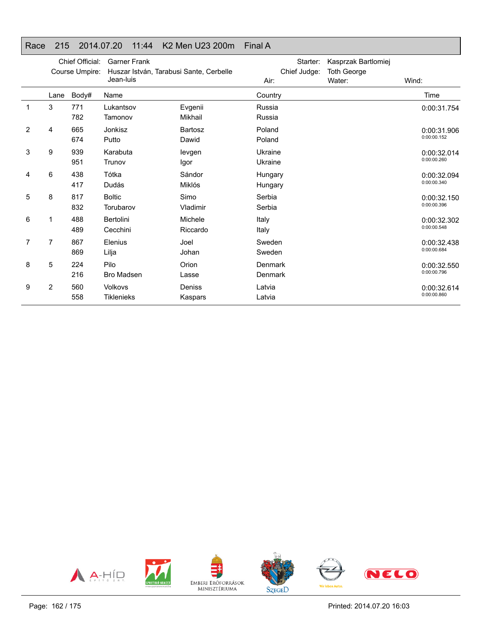#### Race 215 2014.07.20 11:44 K2 Men U23 200m Final A

|                |      | Chief Official:<br>Course Umpire: | <b>Garner Frank</b><br>Huszar István, Tarabusi Sante, Cerbelle |                | Starter:<br>Chief Judge: | Kasprzak Bartlomiej<br><b>Toth George</b> |             |
|----------------|------|-----------------------------------|----------------------------------------------------------------|----------------|--------------------------|-------------------------------------------|-------------|
|                |      |                                   | Jean-luis                                                      |                | Air:                     | Water:                                    | Wind:       |
|                | Lane | Body#                             | Name                                                           |                | Country                  |                                           | Time        |
| 1              | 3    | 771                               | Lukantsov                                                      | Evgenii        | Russia                   |                                           | 0:00:31.754 |
|                |      | 782                               | Tamonov                                                        | Mikhail        | Russia                   |                                           |             |
| $\overline{2}$ | 4    | 665                               | Jonkisz                                                        | <b>Bartosz</b> | Poland                   |                                           | 0:00:31.906 |
|                |      | 674                               | Putto                                                          | Dawid          | Poland                   |                                           | 0:00:00.152 |
| 3              | 9    | 939                               | Karabuta                                                       | levgen         | Ukraine                  |                                           | 0:00:32.014 |
|                |      | 951                               | Trunov                                                         | Igor           | Ukraine                  |                                           | 0:00:00.260 |
| 4              | 6    | 438                               | Tótka                                                          | Sándor         | Hungary                  |                                           | 0:00:32.094 |
|                |      | 417                               | Dudás                                                          | Miklós         | Hungary                  |                                           | 0:00:00.340 |
| 5              | 8    | 817                               | <b>Boltic</b>                                                  | Simo           | Serbia                   |                                           | 0:00:32.150 |
|                |      | 832                               | Torubarov                                                      | Vladimir       | Serbia                   |                                           | 0:00:00.396 |
| 6              | 1    | 488                               | Bertolini                                                      | Michele        | Italy                    |                                           | 0:00:32.302 |
|                |      | 489                               | Cecchini                                                       | Riccardo       | Italy                    |                                           | 0:00:00.548 |
| 7              | 7    | 867                               | Elenius                                                        | Joel           | Sweden                   |                                           | 0:00:32.438 |
|                |      | 869                               | Lilja                                                          | Johan          | Sweden                   |                                           | 0:00:00.684 |
| 8              | 5    | 224                               | Pilo                                                           | Orion          | Denmark                  |                                           | 0:00:32.550 |
|                |      | 216                               | <b>Bro Madsen</b>                                              | Lasse          | Denmark                  |                                           | 0:00:00.796 |
| 9              | 2    | 560                               | Volkovs                                                        | Deniss         | Latvia                   |                                           | 0:00:32.614 |
|                |      | 558                               | <b>Tiklenieks</b>                                              | Kaspars        | Latvia                   |                                           | 0:00:00.860 |

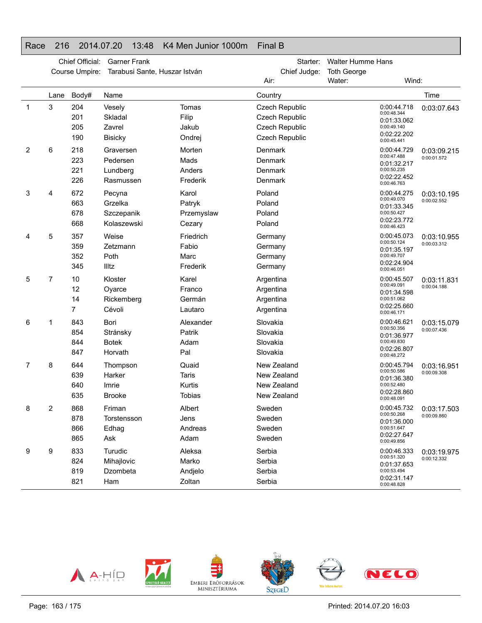### Race 216 2014.07.20 13:48 K4 Men Junior 1000m Final B

|    | Chief Official:<br><b>Garner Frank</b><br>Tarabusi Sante, Huszar István |                          |                                                | Starter:                                         | <b>Walter Humme Hans</b>                                                           |                    |                                                                                        |                                          |
|----|-------------------------------------------------------------------------|--------------------------|------------------------------------------------|--------------------------------------------------|------------------------------------------------------------------------------------|--------------------|----------------------------------------------------------------------------------------|------------------------------------------|
|    |                                                                         | Course Umpire:           |                                                |                                                  | Chief Judge:                                                                       | <b>Toth George</b> |                                                                                        |                                          |
|    |                                                                         |                          |                                                |                                                  | Air:                                                                               | Water:             | Wind:                                                                                  |                                          |
|    | Lane                                                                    | Body#                    | Name                                           |                                                  | Country                                                                            |                    |                                                                                        | Time                                     |
| -1 | 3                                                                       | 204<br>201<br>205<br>190 | Vesely<br>Skladal<br>Zavrel<br><b>Bisicky</b>  | Tomas<br>Filip<br>Jakub<br>Ondrej                | <b>Czech Republic</b><br>Czech Republic<br><b>Czech Republic</b><br>Czech Republic |                    | 0:00:44.718<br>0:00:48.344<br>0:01:33.062<br>0:00:49.140<br>0:02:22.202<br>0:00:45.441 | 0:03:07.643                              |
| 2  | 6                                                                       | 218<br>223<br>221<br>226 | Graversen<br>Pedersen<br>Lundberg<br>Rasmussen | Morten<br>Mads<br>Anders<br>Frederik             | Denmark<br>Denmark<br>Denmark<br>Denmark                                           |                    | 0:00:44.729<br>0:00:47.488<br>0:01:32.217<br>0:00:50.235<br>0:02:22.452<br>0:00:46.763 | 0:03:09.215<br>0:00:01.572               |
| 3  | 4                                                                       | 672<br>663<br>678<br>668 | Pecyna<br>Grzelka<br>Szczepanik<br>Kolaszewski | Karol<br>Patryk<br>Przemyslaw<br>Cezary          | Poland<br>Poland<br>Poland<br>Poland                                               |                    | 0:00:44.275<br>0:00:49.070<br>0:01:33.345<br>0:00:50.427<br>0:02:23.772<br>0:00:46.423 | 0:03:10.195<br>0:00:02.552               |
| 4  | 5                                                                       | 357<br>359<br>352<br>345 | Weise<br>Zetzmann<br>Poth<br>Illtz             | Friedrich<br>Fabio<br>Marc<br>Frederik           | Germany<br>Germany<br>Germany<br>Germany                                           |                    | 0:00:45.073<br>0:00:50.124<br>0:01:35.197<br>0:00:49.707<br>0:02:24.904<br>0:00:46.051 | 0:03:10.955<br>0:00:03.312               |
| 5  | 7                                                                       | 10<br>12<br>14<br>7      | Kloster<br>Oyarce<br>Rickemberg<br>Cévoli      | Karel<br>Franco<br>Germán<br>Lautaro             | Argentina<br>Argentina<br>Argentina<br>Argentina                                   |                    | 0:00:45.507<br>0:00:49.091<br>0:01:34.598<br>0:00:51.062<br>0:02:25.660<br>0:00:46.171 | 0:03:11.831<br>0:00:04.188               |
| 6  | 1                                                                       | 843<br>854<br>844<br>847 | Bori<br>Stránsky<br><b>Botek</b><br>Horvath    | Alexander<br>Patrik<br>Adam<br>Pal               | Slovakia<br>Slovakia<br>Slovakia<br>Slovakia                                       |                    | 0:00:46.621<br>0:00:50.356<br>0:01:36.977<br>0:00:49.830<br>0:02:26.807<br>0:00:48.272 | 0:03:15.079<br>0:00:07.436               |
| 7  | 8                                                                       | 644<br>639<br>640<br>635 | Thompson<br>Harker<br>Imrie<br><b>Brooke</b>   | Quaid<br><b>Taris</b><br>Kurtis<br><b>Tobias</b> | New Zealand<br>New Zealand<br>New Zealand<br>New Zealand                           |                    | 0:00:45.794<br>0:00:50.586<br>0:01:36.380<br>0:00:52.480<br>0:02:28.860<br>0:00:48.091 | 0:03:16.951<br>0:00:09.308               |
| 8  | 2                                                                       | 868<br>878<br>866<br>865 | Friman<br>Torstensson<br>Edhag<br>Ask          | Albert<br>Jens<br>Andreas<br>Adam                | Sweden<br>Sweden<br>Sweden<br>Sweden                                               |                    | 0:00:50.268<br>0:01:36.000<br>0:00:51.647<br>0:02:27.647<br>0:00:49.856                | 0:00:45.732   0:03:17.503<br>0:00:09.860 |
| 9  | 9                                                                       | 833<br>824<br>819<br>821 | Turudic<br>Mihajlovic<br>Dzombeta<br>Ham       | Aleksa<br>Marko<br>Andjelo<br>Zoltan             | Serbia<br>Serbia<br>Serbia<br>Serbia                                               |                    | 0:00:46.333<br>0:00:51.320<br>0:01:37.653<br>0:00:53.494<br>0:02:31.147<br>0:00:48.828 | 0:03:19.975<br>0:00:12.332               |

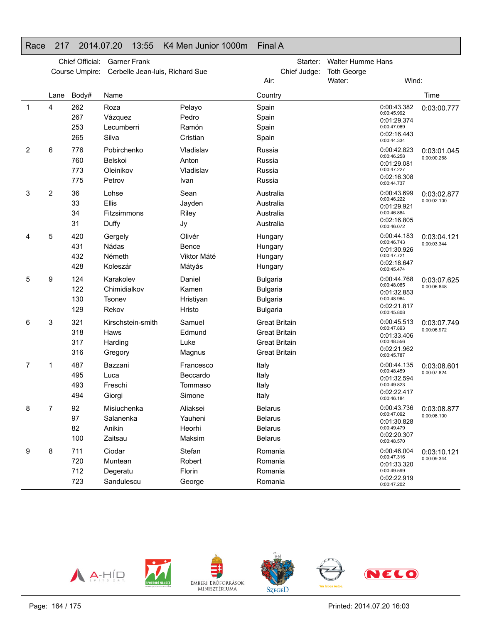#### Race 217 2014.07.20 13:55 K4 Men Junior 1000m Final A

|   | Chief Official:<br><b>Garner Frank</b> |                          |                                                 |                                            | Starter:                                                                                     | <b>Walter Humme Hans</b> |                                                                                        |                            |
|---|----------------------------------------|--------------------------|-------------------------------------------------|--------------------------------------------|----------------------------------------------------------------------------------------------|--------------------------|----------------------------------------------------------------------------------------|----------------------------|
|   |                                        | Course Umpire:           | Cerbelle Jean-luis, Richard Sue                 |                                            | Chief Judge:                                                                                 | <b>Toth George</b>       |                                                                                        |                            |
|   |                                        |                          |                                                 |                                            | Air:                                                                                         | Water:                   | Wind:                                                                                  |                            |
|   | Lane                                   | Body#                    | Name                                            |                                            | Country                                                                                      |                          |                                                                                        | Time                       |
| 1 | 4                                      | 262<br>267<br>253<br>265 | Roza<br>Vázquez<br>Lecumberri<br>Silva          | Pelayo<br>Pedro<br>Ramón<br>Cristian       | Spain<br>Spain<br>Spain<br>Spain                                                             |                          | 0:00:43.382<br>0:00:45.992<br>0:01:29.374<br>0:00:47.069<br>0:02:16.443<br>0:00:44.334 | 0:03:00.777                |
| 2 | 6                                      | 776<br>760<br>773<br>775 | Pobirchenko<br>Belskoi<br>Oleinikov<br>Petrov   | Vladislav<br>Anton<br>Vladislav<br>Ivan    | Russia<br>Russia<br>Russia<br>Russia                                                         |                          | 0:00:42.823<br>0:00:46.258<br>0:01:29.081<br>0:00:47.227<br>0:02:16.308<br>0:00:44.737 | 0:03:01.045<br>0:00:00.268 |
| 3 | 2                                      | 36<br>33<br>34<br>31     | Lohse<br>Ellis<br>Fitzsimmons<br>Duffy          | Sean<br>Jayden<br>Riley<br>Jy              | Australia<br>Australia<br>Australia<br>Australia                                             |                          | 0:00:43.699<br>0:00:46.222<br>0:01:29.921<br>0:00:46.884<br>0:02:16.805<br>0:00:46.072 | 0:03:02.877<br>0:00:02.100 |
| 4 | 5                                      | 420<br>431<br>432<br>428 | Gergely<br>Nádas<br>Németh<br>Koleszár          | Olivér<br>Bence<br>Viktor Máté<br>Mátyás   | Hungary<br>Hungary<br>Hungary<br>Hungary                                                     |                          | 0:00:44.183<br>0:00:46.743<br>0:01:30.926<br>0:00:47.721<br>0:02:18.647<br>0:00:45.474 | 0:03:04.121<br>0:00:03.344 |
| 5 | 9                                      | 124<br>122<br>130<br>129 | Karakolev<br>Chimidialkov<br>Tsonev<br>Rekov    | Daniel<br>Kamen<br>Hristiyan<br>Hristo     | <b>Bulgaria</b><br><b>Bulgaria</b><br><b>Bulgaria</b><br><b>Bulgaria</b>                     |                          | 0:00:44.768<br>0:00:48.085<br>0:01:32.853<br>0:00:48.964<br>0:02:21.817<br>0:00:45.808 | 0:03:07.625<br>0:00:06.848 |
| 6 | 3                                      | 321<br>318<br>317<br>316 | Kirschstein-smith<br>Haws<br>Harding<br>Gregory | Samuel<br>Edmund<br>Luke<br>Magnus         | <b>Great Britain</b><br><b>Great Britain</b><br><b>Great Britain</b><br><b>Great Britain</b> |                          | 0:00:45.513<br>0:00:47.893<br>0:01:33.406<br>0:00:48.556<br>0:02:21.962<br>0:00:45.787 | 0:03:07.749<br>0:00:06.972 |
| 7 | 1                                      | 487<br>495<br>493<br>494 | Bazzani<br>Luca<br>Freschi<br>Giorgi            | Francesco<br>Beccardo<br>Tommaso<br>Simone | Italy<br>Italy<br>Italy<br>Italy                                                             |                          | 0:00:44.135<br>0:00:48.459<br>0:01:32.594<br>0:00:49.823<br>0:02:22.417<br>0:00:46.184 | 0:03:08.601<br>0:00:07.824 |
| 8 | 7                                      | 92<br>97<br>82<br>100    | Misiuchenka<br>Salanenka<br>Anikin<br>Zaitsau   | Aliaksei<br>Yauheni<br>Heorhi<br>Maksim    | Belarus<br><b>Belarus</b><br><b>Belarus</b><br><b>Belarus</b>                                |                          | 0:00:43.736<br>0:00:47.092<br>0:01:30.828<br>0:00:49.479<br>0:02:20.307<br>0:00:48.570 | 0:03:08.877<br>0:00:08.100 |
| 9 | 8                                      | 711<br>720<br>712<br>723 | Ciodar<br>Muntean<br>Degeratu<br>Sandulescu     | Stefan<br>Robert<br>Florin<br>George       | Romania<br>Romania<br>Romania<br>Romania                                                     |                          | 0:00:46.004<br>0:00:47.316<br>0:01:33.320<br>0:00:49.599<br>0:02:22.919<br>0:00:47.202 | 0:03:10.121<br>0:00:09.344 |

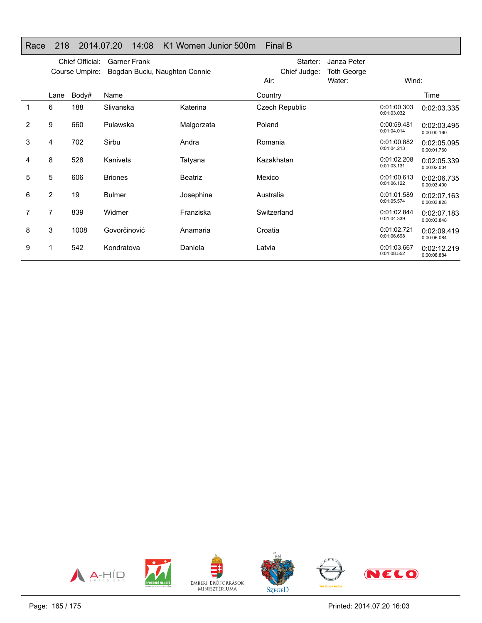## Race 218 2014.07.20 14:08 K1 Women Junior 500m Final B

|   | Chief Official:<br><b>Garner Frank</b><br>Course Umpire:<br>Bogdan Buciu, Naughton Connie |       |                |                | Starter:<br>Chief Judge: | Janza Peter<br><b>Toth George</b> |                            |                            |
|---|-------------------------------------------------------------------------------------------|-------|----------------|----------------|--------------------------|-----------------------------------|----------------------------|----------------------------|
|   |                                                                                           |       |                |                | Air:                     | Water:                            | Wind:                      |                            |
|   | Lane                                                                                      | Body# | Name           |                | Country                  |                                   |                            | Time                       |
|   | 6                                                                                         | 188   | Slivanska      | Katerina       | Czech Republic           |                                   | 0:01:00.303<br>0:01:03.032 | 0:02:03.335                |
| 2 | 9                                                                                         | 660   | Pulawska       | Malgorzata     | Poland                   |                                   | 0:00:59.481<br>0:01:04.014 | 0:02:03.495<br>0:00:00.160 |
| 3 | 4                                                                                         | 702   | Sirbu          | Andra          | Romania                  |                                   | 0:01:00.882<br>0:01:04.213 | 0:02:05.095<br>0:00:01.760 |
| 4 | 8                                                                                         | 528   | Kanivets       | Tatyana        | Kazakhstan               |                                   | 0:01:02.208<br>0:01:03.131 | 0:02:05.339<br>0:00:02.004 |
| 5 | 5                                                                                         | 606   | <b>Briones</b> | <b>Beatriz</b> | Mexico                   |                                   | 0:01:00.613<br>0:01:06.122 | 0:02:06.735<br>0:00:03.400 |
| 6 | $\overline{2}$                                                                            | 19    | <b>Bulmer</b>  | Josephine      | Australia                |                                   | 0:01:01.589<br>0:01:05.574 | 0:02:07.163<br>0:00:03.828 |
| 7 | 7                                                                                         | 839   | Widmer         | Franziska      | Switzerland              |                                   | 0:01:02.844<br>0:01:04.339 | 0:02:07.183<br>0:00:03.848 |
| 8 | 3                                                                                         | 1008  | Govorčinović   | Anamaria       | Croatia                  |                                   | 0:01:02.721<br>0:01:06.698 | 0:02:09.419<br>0:00:06.084 |
| 9 |                                                                                           | 542   | Kondratova     | Daniela        | Latvia                   |                                   | 0:01:03.667<br>0:01:08.552 | 0:02:12.219<br>0:00:08.884 |

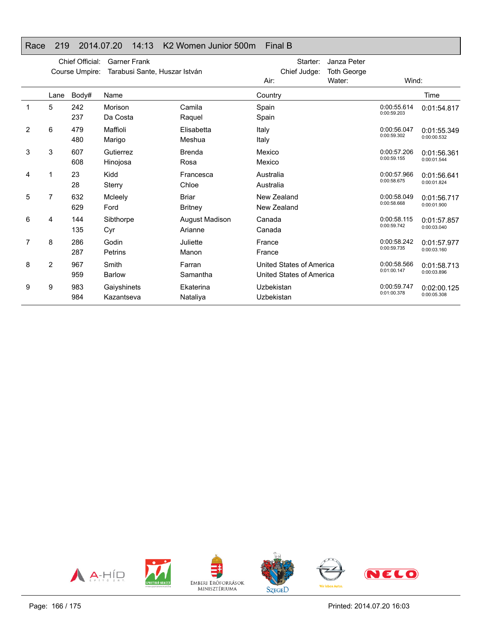## Race 219 2014.07.20 14:13 K2 Women Junior 500m Final B

|   | Chief Official:<br><b>Garner Frank</b><br>Course Umpire:<br>Tarabusi Sante, Huszar István |            |                           |                                | Starter:<br>Chief Judge:                             | Janza Peter<br><b>Toth George</b> |                            |                            |
|---|-------------------------------------------------------------------------------------------|------------|---------------------------|--------------------------------|------------------------------------------------------|-----------------------------------|----------------------------|----------------------------|
|   |                                                                                           |            |                           |                                | Air:                                                 | Water:                            | Wind:                      |                            |
|   | Lane                                                                                      | Body#      | Name                      |                                | Country                                              |                                   |                            | Time                       |
|   | 5                                                                                         | 242<br>237 | Morison<br>Da Costa       | Camila<br>Raquel               | Spain<br>Spain                                       |                                   | 0:00:55.614<br>0:00:59.203 | 0:01:54.817                |
| 2 | 6                                                                                         | 479<br>480 | Maffioli<br>Marigo        | Elisabetta<br>Meshua           | Italy<br>Italy                                       |                                   | 0:00:56.047<br>0:00:59.302 | 0:01:55.349<br>0:00:00.532 |
| 3 | 3                                                                                         | 607<br>608 | Gutierrez<br>Hinojosa     | <b>Brenda</b><br>Rosa          | Mexico<br>Mexico                                     |                                   | 0:00:57.206<br>0:00:59.155 | 0:01:56.361<br>0:00:01.544 |
| 4 | 1                                                                                         | 23<br>28   | Kidd<br>Sterry            | Francesca<br>Chloe             | Australia<br>Australia                               |                                   | 0:00:57.966<br>0:00:58.675 | 0:01:56.641<br>0:00:01.824 |
| 5 | $\overline{7}$                                                                            | 632<br>629 | Mcleely<br>Ford           | <b>Briar</b><br><b>Britney</b> | New Zealand<br>New Zealand                           |                                   | 0:00:58.049<br>0:00:58.668 | 0:01:56.717<br>0:00:01.900 |
| 6 | 4                                                                                         | 144<br>135 | Sibthorpe<br>Cyr          | August Madison<br>Arianne      | Canada<br>Canada                                     |                                   | 0:00:58.115<br>0:00:59.742 | 0:01:57.857<br>0:00:03.040 |
| 7 | 8                                                                                         | 286<br>287 | Godin<br>Petrins          | Juliette<br>Manon              | France<br>France                                     |                                   | 0:00:58.242<br>0:00:59.735 | 0:01:57.977<br>0:00:03.160 |
| 8 | $\overline{2}$                                                                            | 967<br>959 | Smith<br><b>Barlow</b>    | Farran<br>Samantha             | United States of America<br>United States of America |                                   | 0:00:58.566<br>0:01:00.147 | 0:01:58.713<br>0:00:03.896 |
| 9 | 9                                                                                         | 983<br>984 | Gaiyshinets<br>Kazantseva | Ekaterina<br>Nataliya          | Uzbekistan<br>Uzbekistan                             |                                   | 0:00:59.747<br>0:01:00.378 | 0:02:00.125<br>0:00:05.308 |

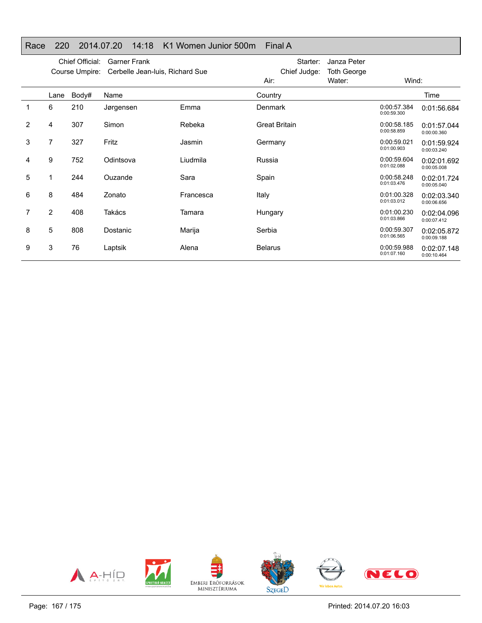## Race 220 2014.07.20 14:18 K1 Women Junior 500m Final A

|                | Chief Official:<br><b>Garner Frank</b><br>Cerbelle Jean-luis, Richard Sue<br>Course Umpire: |       |           |           | Starter:<br>Chief Judge: | Janza Peter<br><b>Toth George</b> |                            |                            |
|----------------|---------------------------------------------------------------------------------------------|-------|-----------|-----------|--------------------------|-----------------------------------|----------------------------|----------------------------|
|                |                                                                                             |       |           |           | Air:                     | Water:                            | Wind:                      |                            |
|                | Lane                                                                                        | Body# | Name      |           | Country                  |                                   |                            | Time                       |
| 1              | 6                                                                                           | 210   | Jørgensen | Emma      | Denmark                  |                                   | 0:00:57.384<br>0:00:59.300 | 0:01:56.684                |
| $\overline{2}$ | 4                                                                                           | 307   | Simon     | Rebeka    | <b>Great Britain</b>     |                                   | 0:00:58.185<br>0:00:58.859 | 0:01:57.044<br>0:00:00.360 |
| 3              | 7                                                                                           | 327   | Fritz     | Jasmin    | Germany                  |                                   | 0:00:59.021<br>0:01:00.903 | 0:01:59.924<br>0:00:03.240 |
| 4              | 9                                                                                           | 752   | Odintsova | Liudmila  | Russia                   |                                   | 0:00:59.604<br>0:01:02.088 | 0:02:01.692<br>0:00:05.008 |
| 5              |                                                                                             | 244   | Ouzande   | Sara      | Spain                    |                                   | 0:00:58.248<br>0:01:03.476 | 0:02:01.724<br>0:00:05.040 |
| 6              | 8                                                                                           | 484   | Zonato    | Francesca | Italy                    |                                   | 0:01:00.328<br>0:01:03.012 | 0:02:03.340<br>0:00:06.656 |
| 7              | $\overline{2}$                                                                              | 408   | Takács    | Tamara    | Hungary                  |                                   | 0:01:00.230<br>0:01:03.866 | 0:02:04.096<br>0:00:07.412 |
| 8              | 5                                                                                           | 808   | Dostanic  | Marija    | Serbia                   |                                   | 0:00:59.307<br>0:01:06.565 | 0:02:05.872<br>0:00:09.188 |
| 9              | 3                                                                                           | 76    | Laptsik   | Alena     | <b>Belarus</b>           |                                   | 0:00:59.988<br>0:01:07.160 | 0:02:07.148<br>0:00:10.464 |

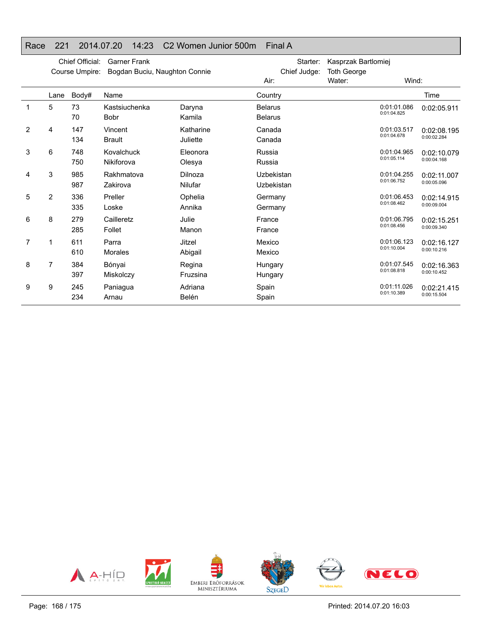## Race 221 2014.07.20 14:23 C2 Women Junior 500m Final A

|             | Chief Official:<br><b>Garner Frank</b><br>Bogdan Buciu, Naughton Connie<br>Course Umpire: |            |                              |                       | Starter:<br>Chief Judge:         | Kasprzak Bartlomiej<br><b>Toth George</b> |                            |                            |
|-------------|-------------------------------------------------------------------------------------------|------------|------------------------------|-----------------------|----------------------------------|-------------------------------------------|----------------------------|----------------------------|
|             |                                                                                           |            |                              |                       | Air:                             | Water:                                    | Wind:                      |                            |
|             | Lane                                                                                      | Body#      | Name                         |                       | Country                          |                                           |                            | Time                       |
| $\mathbf 1$ | 5                                                                                         | 73<br>70   | Kastsiuchenka<br><b>Bobr</b> | Daryna<br>Kamila      | <b>Belarus</b><br><b>Belarus</b> |                                           | 0:01:01.086<br>0:01:04.825 | 0:02:05.911                |
| 2           | 4                                                                                         | 147<br>134 | Vincent<br><b>Brault</b>     | Katharine<br>Juliette | Canada<br>Canada                 |                                           | 0:01:03.517<br>0:01:04.678 | 0:02:08.195<br>0:00:02.284 |
| 3           | 6                                                                                         | 748<br>750 | Kovalchuck<br>Nikiforova     | Eleonora<br>Olesya    | Russia<br>Russia                 |                                           | 0:01:04.965<br>0:01:05.114 | 0:02:10.079<br>0:00:04.168 |
| 4           | 3                                                                                         | 985<br>987 | Rakhmatova<br>Zakirova       | Dilnoza<br>Nilufar    | Uzbekistan<br>Uzbekistan         |                                           | 0:01:04.255<br>0:01:06.752 | 0:02:11.007<br>0:00:05.096 |
| 5           | 2                                                                                         | 336<br>335 | Preller<br>Loske             | Ophelia<br>Annika     | Germany<br>Germany               |                                           | 0:01:06.453<br>0:01:08.462 | 0:02:14.915<br>0:00:09.004 |
| 6           | 8                                                                                         | 279<br>285 | Cailleretz<br>Follet         | Julie<br>Manon        | France<br>France                 |                                           | 0:01:06.795<br>0:01:08.456 | 0:02:15.251<br>0:00:09.340 |
| 7           | 1                                                                                         | 611<br>610 | Parra<br>Morales             | Jitzel<br>Abigail     | Mexico<br>Mexico                 |                                           | 0:01:06.123<br>0:01:10.004 | 0:02:16.127<br>0:00:10.216 |
| 8           | $\overline{7}$                                                                            | 384<br>397 | Bónyai<br>Miskolczy          | Regina<br>Fruzsina    | Hungary<br>Hungary               |                                           | 0:01:07.545<br>0:01:08.818 | 0:02:16.363<br>0:00:10.452 |
| 9           | 9                                                                                         | 245<br>234 | Paniagua<br>Arnau            | Adriana<br>Belén      | Spain<br>Spain                   |                                           | 0:01:11.026<br>0:01:10.389 | 0:02:21.415<br>0:00:15.504 |

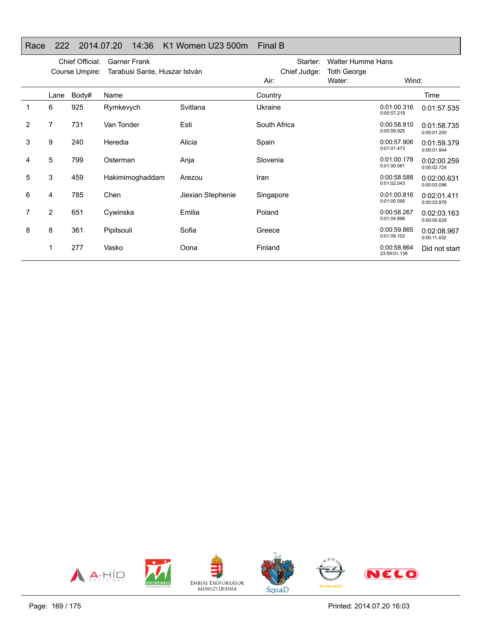### Race 222 2014.07.20 14:36 K1 Women U23 500m Final B

|   | Chief Official:<br><b>Garner Frank</b><br>Tarabusi Sante, Huszar István<br>Course Umpire: |       |                 |                   | Starter:<br>Chief Judge: | <b>Walter Humme Hans</b><br><b>Toth George</b> |                             |                            |
|---|-------------------------------------------------------------------------------------------|-------|-----------------|-------------------|--------------------------|------------------------------------------------|-----------------------------|----------------------------|
|   |                                                                                           |       |                 |                   | Air:                     | Water:                                         | Wind:                       |                            |
|   | Lane                                                                                      | Body# | Name            |                   | Country                  |                                                |                             | Time                       |
|   | 6                                                                                         | 925   | Rymkevych       | Svitlana          | Ukraine                  |                                                | 0:01:00.316<br>0:00:57.219  | 0:01:57.535                |
| 2 | 7                                                                                         | 731   | Van Tonder      | Esti              | South Africa             |                                                | 0:00:58.810<br>0:00:59.925  | 0:01:58.735<br>0:00:01.200 |
| 3 | 9                                                                                         | 240   | Heredia         | Alicia            | Spain                    |                                                | 0:00:57.906<br>0:01:01.473  | 0:01:59.379<br>0:00:01.844 |
| 4 | 5                                                                                         | 799   | Osterman        | Anja              | Slovenia                 |                                                | 0:01:00.178<br>0:01:00.081  | 0:02:00.259<br>0:00:02.724 |
| 5 | 3                                                                                         | 459   | Hakimimoghaddam | Arezou            | Iran                     |                                                | 0:00:58.588<br>0:01:02.043  | 0:02:00.631<br>0:00:03.096 |
| 6 | 4                                                                                         | 785   | Chen            | Jiexian Stephenie | Singapore                |                                                | 0:01:00.816<br>0:01:00.595  | 0:02:01.411<br>0:00:03.876 |
| 7 | $\overline{2}$                                                                            | 651   | Cywinska        | Emilia            | Poland                   |                                                | 0:00:58.267<br>0:01:04.896  | 0:02:03.163<br>0:00:05.628 |
| 8 | 8                                                                                         | 361   | Pipitsouli      | Sofia             | Greece                   |                                                | 0:00:59.865<br>0:01:09.102  | 0:02:08.967<br>0:00:11.432 |
|   |                                                                                           | 277   | Vasko           | Oona              | Finland                  |                                                | 0:00:58.864<br>23:59:01.136 | Did not start              |

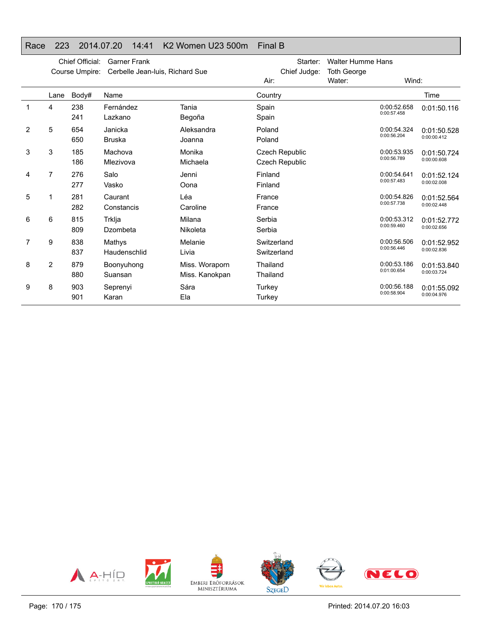### Race 223 2014.07.20 14:41 K2 Women U23 500m Final B

|   | Chief Official:<br><b>Garner Frank</b><br>Course Umpire:<br>Cerbelle Jean-luis, Richard Sue |            |                          |                                  | Starter:<br>Chief Judge:                | <b>Walter Humme Hans</b><br><b>Toth George</b> |                            |                            |
|---|---------------------------------------------------------------------------------------------|------------|--------------------------|----------------------------------|-----------------------------------------|------------------------------------------------|----------------------------|----------------------------|
|   |                                                                                             |            |                          |                                  | Air:                                    | Water:                                         | Wind:                      |                            |
|   | Lane                                                                                        | Body#      | Name                     |                                  | Country                                 |                                                |                            | Time                       |
| 1 | 4                                                                                           | 238<br>241 | Fernández<br>Lazkano     | Tania<br>Begoña                  | Spain<br>Spain                          |                                                | 0:00:52.658<br>0:00:57.458 | 0:01:50.116                |
| 2 | 5                                                                                           | 654<br>650 | Janicka<br><b>Bruska</b> | Aleksandra<br>Joanna             | Poland<br>Poland                        |                                                | 0:00:54.324<br>0:00:56.204 | 0:01:50.528<br>0:00:00.412 |
| 3 | 3                                                                                           | 185<br>186 | Machova<br>Mlezivova     | Monika<br>Michaela               | Czech Republic<br><b>Czech Republic</b> |                                                | 0:00:53.935<br>0:00:56.789 | 0:01:50.724<br>0:00:00.608 |
| 4 | 7                                                                                           | 276<br>277 | Salo<br>Vasko            | Jenni<br>Oona                    | Finland<br>Finland                      |                                                | 0:00:54.641<br>0:00:57.483 | 0:01:52.124<br>0:00:02.008 |
| 5 | 1                                                                                           | 281<br>282 | Caurant<br>Constancis    | Léa<br>Caroline                  | France<br>France                        |                                                | 0:00:54.826<br>0:00:57.738 | 0:01:52.564<br>0:00:02.448 |
| 6 | 6                                                                                           | 815<br>809 | Trklja<br>Dzombeta       | Milana<br>Nikoleta               | Serbia<br>Serbia                        |                                                | 0:00:53.312<br>0:00:59.460 | 0:01:52.772<br>0:00:02.656 |
| 7 | 9                                                                                           | 838<br>837 | Mathys<br>Haudenschlid   | Melanie<br>Livia                 | Switzerland<br>Switzerland              |                                                | 0:00:56.506<br>0:00:56.446 | 0:01:52.952<br>0:00:02.836 |
| 8 | 2                                                                                           | 879<br>880 | Boonyuhong<br>Suansan    | Miss. Woraporn<br>Miss. Kanokpan | Thailand<br>Thailand                    |                                                | 0:00:53.186<br>0:01:00.654 | 0:01:53.840<br>0:00:03.724 |
| 9 | 8                                                                                           | 903<br>901 | Seprenyi<br>Karan        | Sára<br>Ela                      | Turkey<br>Turkey                        |                                                | 0:00:56.188<br>0:00:58.904 | 0:01:55.092<br>0:00:04.976 |

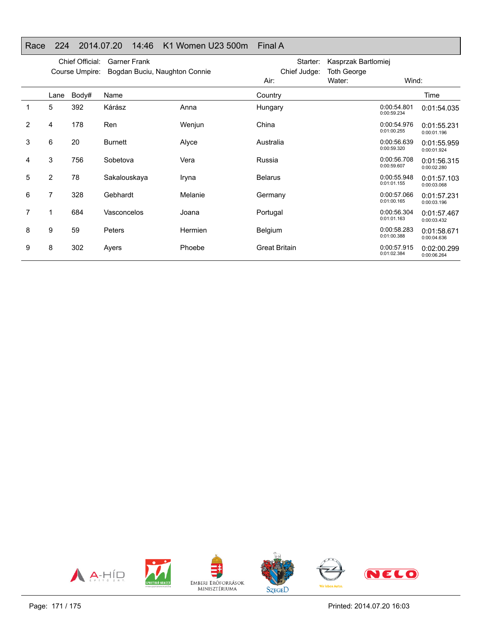## Race 224 2014.07.20 14:46 K1 Women U23 500m Final A

|   | Chief Official:<br><b>Garner Frank</b><br>Course Umpire:<br>Bogdan Buciu, Naughton Connie |       |                |                | Starter:<br>Chief Judge: | Kasprzak Bartlomiej<br><b>Toth George</b> |                            |                            |
|---|-------------------------------------------------------------------------------------------|-------|----------------|----------------|--------------------------|-------------------------------------------|----------------------------|----------------------------|
|   |                                                                                           |       |                |                | Air:                     | Water:                                    | Wind:                      |                            |
|   | Lane                                                                                      | Body# | Name           |                | Country                  |                                           |                            | Time                       |
| 1 | 5                                                                                         | 392   | Kárász         | Anna           | Hungary                  |                                           | 0:00:54.801<br>0:00:59.234 | 0:01:54.035                |
| 2 | 4                                                                                         | 178   | Ren            | Wenjun         | China                    |                                           | 0:00:54.976<br>0:01:00.255 | 0:01:55.231<br>0:00:01.196 |
| 3 | 6                                                                                         | 20    | <b>Burnett</b> | Alyce          | Australia                |                                           | 0:00:56.639<br>0:00:59.320 | 0:01:55.959<br>0:00:01.924 |
| 4 | 3                                                                                         | 756   | Sobetova       | Vera           | Russia                   |                                           | 0:00:56.708<br>0:00:59.607 | 0:01:56.315<br>0:00:02.280 |
| 5 | $\overline{2}$                                                                            | 78    | Sakalouskaya   | Iryna          | <b>Belarus</b>           |                                           | 0:00:55.948<br>0:01:01.155 | 0:01:57.103<br>0:00:03.068 |
| 6 | $\overline{7}$                                                                            | 328   | Gebhardt       | Melanie        | Germany                  |                                           | 0:00:57.066<br>0:01:00.165 | 0:01:57.231<br>0:00:03.196 |
| 7 |                                                                                           | 684   | Vasconcelos    | Joana          | Portugal                 |                                           | 0:00:56.304<br>0:01:01.163 | 0:01:57.467<br>0:00:03.432 |
| 8 | 9                                                                                         | 59    | <b>Peters</b>  | <b>Hermien</b> | Belgium                  |                                           | 0:00:58.283<br>0:01:00.388 | 0:01:58.671<br>0:00:04.636 |
| 9 | 8                                                                                         | 302   | Ayers          | Phoebe         | <b>Great Britain</b>     |                                           | 0:00:57.915<br>0:01:02.384 | 0:02:00.299<br>0:00:06.264 |

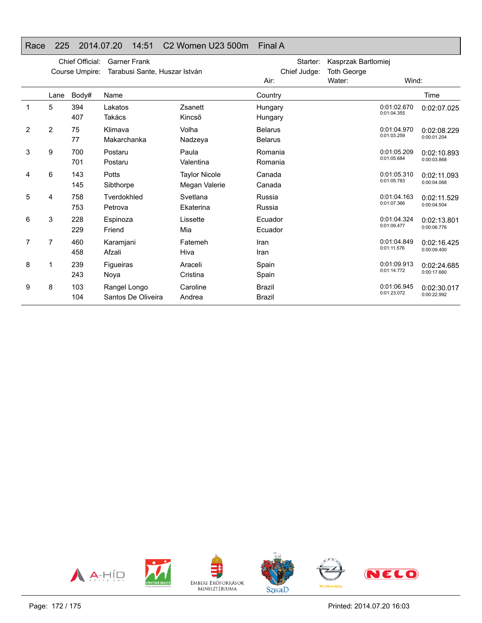#### Race 225 2014.07.20 14:51 C2 Women U23 500m Final A

|   |      | Chief Official:<br>Course Umpire: | <b>Garner Frank</b><br>Tarabusi Sante, Huszar István |                                       | Starter:<br>Chief Judge:         | Kasprzak Bartlomiej<br><b>Toth George</b> |                            |                            |
|---|------|-----------------------------------|------------------------------------------------------|---------------------------------------|----------------------------------|-------------------------------------------|----------------------------|----------------------------|
|   |      |                                   |                                                      |                                       | Water:                           | Wind:                                     |                            |                            |
|   | Lane | Body#                             | Name                                                 |                                       | Country                          |                                           |                            | Time                       |
| 1 | 5    | 394<br>407                        | Lakatos<br>Takács                                    | Zsanett<br>Kincső                     | Hungary<br>Hungary               |                                           | 0:01:02.670<br>0:01:04.355 | 0:02:07.025                |
| 2 | 2    | 75<br>77                          | Klimava<br>Makarchanka                               | Volha<br>Nadzeya                      | <b>Belarus</b><br><b>Belarus</b> |                                           | 0:01:04.970<br>0:01:03.259 | 0:02:08.229<br>0:00:01.204 |
| 3 | 9    | 700<br>701                        | Postaru<br>Postaru                                   | Paula<br>Valentina                    | Romania<br>Romania               |                                           | 0:01:05.209<br>0:01:05.684 | 0:02:10.893<br>0:00:03.868 |
| 4 | 6    | 143<br>145                        | Potts<br>Sibthorpe                                   | <b>Taylor Nicole</b><br>Megan Valerie | Canada<br>Canada                 |                                           | 0:01:05.310<br>0:01:05.783 | 0:02:11.093<br>0:00:04.068 |
| 5 | 4    | 758<br>753                        | Tverdokhled<br>Petrova                               | Svetlana<br>Ekaterina                 | Russia<br>Russia                 |                                           | 0:01:04.163<br>0:01:07.366 | 0:02:11.529<br>0:00:04.504 |
| 6 | 3    | 228<br>229                        | Espinoza<br>Friend                                   | Lissette<br>Mia                       | Ecuador<br>Ecuador               |                                           | 0:01:04.324<br>0:01:09.477 | 0:02:13.801<br>0:00:06.776 |
| 7 | 7    | 460<br>458                        | Karamjani<br>Afzali                                  | Fatemeh<br>Hiva                       | Iran<br>Iran                     |                                           | 0:01:04.849<br>0:01:11.576 | 0:02:16.425<br>0:00:09.400 |
| 8 |      | 239<br>243                        | Figueiras<br>Noya                                    | Araceli<br>Cristina                   | Spain<br>Spain                   |                                           | 0:01:09.913<br>0:01:14.772 | 0:02:24.685<br>0:00:17.660 |
| 9 | 8    | 103<br>104                        | Rangel Longo<br>Santos De Oliveira                   | Caroline<br>Andrea                    | <b>Brazil</b><br><b>Brazil</b>   |                                           | 0:01:06.945<br>0:01:23.072 | 0:02:30.017<br>0:00:22.992 |

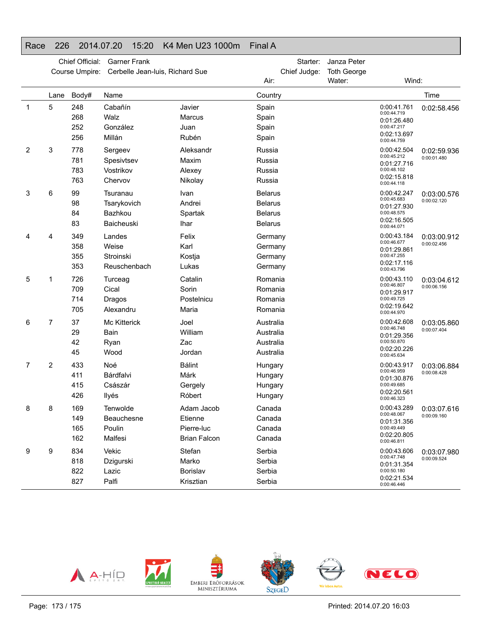#### Race 226 2014.07.20 15:20 K4 Men U23 1000m Final A

|             | Chief Official:<br>Course Umpire: |                          | <b>Garner Frank</b><br>Cerbelle Jean-luis, Richard Sue |                                                            | Starter:<br>Chief Judge:<br>Air:                                     | Janza Peter<br><b>Toth George</b><br>Water: | Wind:                                                                                  |                            |  |  |  |  |
|-------------|-----------------------------------|--------------------------|--------------------------------------------------------|------------------------------------------------------------|----------------------------------------------------------------------|---------------------------------------------|----------------------------------------------------------------------------------------|----------------------------|--|--|--|--|
|             | Lane                              | Body#                    | Name                                                   | Country                                                    |                                                                      |                                             |                                                                                        |                            |  |  |  |  |
| $\mathbf 1$ | 5                                 | 248<br>268<br>252<br>256 | Cabañín<br>Walz<br>González<br>Millán                  | Javier<br>Marcus<br>Juan<br>Rubén                          | Spain<br>Spain<br>Spain<br>Spain                                     |                                             | 0:00:41.761<br>0:00:44.719<br>0:01:26.480<br>0:00:47.217<br>0:02:13.697<br>0:00:44.759 | Time<br>0:02:58.456        |  |  |  |  |
| 2           | 3                                 | 778<br>781<br>783<br>763 | Sergeev<br>Spesivtsev<br>Vostrikov<br>Chervov          | Aleksandr<br>Maxim<br>Alexey<br>Nikolay                    | Russia<br>Russia<br>Russia<br>Russia                                 |                                             | 0:00:42.504<br>0:00:45.212<br>0:01:27.716<br>0:00:48.102<br>0:02:15.818<br>0:00:44.118 | 0:02:59.936<br>0:00:01.480 |  |  |  |  |
| 3           | 6                                 | 99<br>98<br>84<br>83     | Tsuranau<br>Tsarykovich<br>Bazhkou<br>Baicheuski       | Ivan<br>Andrei<br>Spartak<br><b>Ihar</b>                   | <b>Belarus</b><br><b>Belarus</b><br><b>Belarus</b><br><b>Belarus</b> |                                             | 0:00:42.247<br>0:00:45.683<br>0:01:27.930<br>0:00:48.575<br>0:02:16.505<br>0:00:44.071 | 0:03:00.576<br>0:00:02.120 |  |  |  |  |
| 4           | 4                                 | 349<br>358<br>355<br>353 | Landes<br>Weise<br>Stroinski<br>Reuschenbach           | Felix<br>Karl<br>Kostja<br>Lukas                           | Germany<br>Germany<br>Germany<br>Germany                             |                                             | 0:00:43.184<br>0:00:46.677<br>0:01:29.861<br>0:00:47.255<br>0:02:17.116<br>0:00:43.796 | 0:03:00.912<br>0:00:02.456 |  |  |  |  |
| 5           | 1                                 | 726<br>709<br>714<br>705 | Turceag<br>Cical<br>Dragos<br>Alexandru                | Catalin<br>Sorin<br>Postelnicu<br>Maria                    | Romania<br>Romania<br>Romania<br>Romania                             |                                             | 0:00:43.110<br>0:00:46.807<br>0:01:29.917<br>0:00:49.725<br>0:02:19.642<br>0:00:44.970 | 0:03:04.612<br>0:00:06.156 |  |  |  |  |
| 6           | 7                                 | 37<br>29<br>42<br>45     | <b>Mc Kitterick</b><br>Bain<br>Ryan<br>Wood            | Joel<br>William<br>Zac<br>Jordan                           | Australia<br>Australia<br>Australia<br>Australia                     |                                             | 0:00:42.608<br>0:00:46.748<br>0:01:29.356<br>0:00:50.870<br>0:02:20.226<br>0:00:45.634 | 0:03:05.860<br>0:00:07.404 |  |  |  |  |
| 7           | $\overline{c}$                    | 433<br>411<br>415<br>426 | Noé<br>Bárdfalvi<br>Császár<br>Ilyés                   | <b>Bálint</b><br>Márk<br>Gergely<br>Róbert                 | Hungary<br>Hungary<br>Hungary<br>Hungary                             |                                             | 0:00:43.917<br>0:00:46.959<br>0:01:30.876<br>0:00:49.685<br>0:02:20.561<br>0:00:46.323 | 0:03:06.884<br>0:00:08.428 |  |  |  |  |
| 8           | 8                                 | 169<br>149<br>165<br>162 | Tenwolde<br>Beauchesne<br>Poulin<br>Malfesi            | Adam Jacob<br>Etienne<br>Pierre-luc<br><b>Brian Falcon</b> | Canada<br>Canada<br>Canada<br>Canada                                 |                                             | 0:00:43.289<br>0:00:48.067<br>0:01:31.356<br>0:00:49.449<br>0:02:20.805<br>0:00:46.811 | 0:03:07.616<br>0:00:09.160 |  |  |  |  |
| 9           | 9                                 | 834<br>818<br>822<br>827 | Vekic<br>Dzigurski<br>Lazic<br>Palfi                   | Stefan<br>Marko<br>Borislav<br>Krisztian                   | Serbia<br>Serbia<br>Serbia<br>Serbia                                 |                                             | 0:00:43.606<br>0:00:47.748<br>0:01:31.354<br>0:00:50.180<br>0:02:21.534<br>0:00:46.446 | 0:03:07.980<br>0:00:09.524 |  |  |  |  |

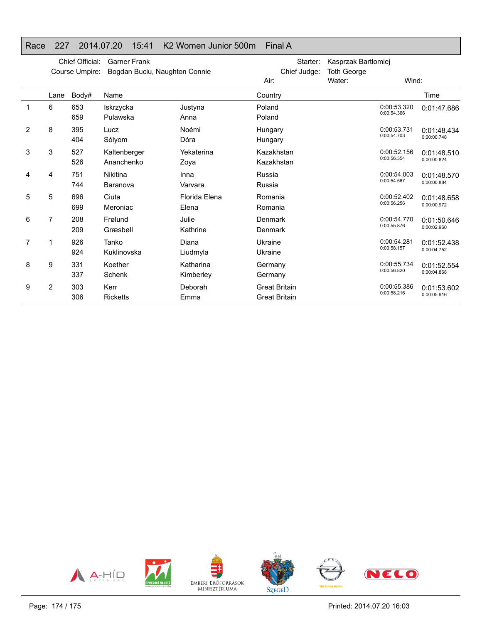## Race 227 2014.07.20 15:41 K2 Women Junior 500m Final A

|   |                | Chief Official:<br>Course Umpire: | <b>Garner Frank</b><br>Bogdan Buciu, Naughton Connie |                        | Starter:<br>Chief Judge:                     | Kasprzak Bartlomiej<br><b>Toth George</b> |                            |                            |
|---|----------------|-----------------------------------|------------------------------------------------------|------------------------|----------------------------------------------|-------------------------------------------|----------------------------|----------------------------|
|   |                |                                   |                                                      |                        | Air:                                         | Water:                                    | Wind:                      |                            |
|   | Lane           | Body#                             | Name                                                 |                        | Country                                      |                                           |                            | Time                       |
|   | 6              | 653<br>659                        | Iskrzycka<br>Pulawska                                | Justyna<br>Anna        | Poland<br>Poland                             |                                           | 0:00:53.320<br>0:00:54.366 | 0:01:47.686                |
| 2 | 8              | 395<br>404                        | Lucz<br>Sólyom                                       | Noémi<br>Dóra          | Hungary<br>Hungary                           |                                           | 0:00:53.731<br>0:00:54.703 | 0:01:48.434<br>0:00:00.748 |
| 3 | 3              | 527<br>526                        | Kaltenberger<br>Ananchenko                           | Yekaterina<br>Zoya     | Kazakhstan<br>Kazakhstan                     |                                           | 0:00:52.156<br>0:00:56.354 | 0:01:48.510<br>0:00:00.824 |
| 4 | 4              | 751<br>744                        | Nikitina<br>Baranova                                 | Inna<br>Varvara        | Russia<br>Russia                             |                                           | 0:00:54.003<br>0:00:54.567 | 0:01:48.570<br>0:00:00.884 |
| 5 | 5              | 696<br>699                        | Ciuta<br>Meroniac                                    | Florida Elena<br>Elena | Romania<br>Romania                           |                                           | 0:00:52.402<br>0:00:56.256 | 0:01:48.658<br>0:00:00.972 |
| 6 | 7              | 208<br>209                        | Frølund<br>Græsbøll                                  | Julie<br>Kathrine      | Denmark<br>Denmark                           |                                           | 0:00:54.770<br>0:00:55.876 | 0:01:50.646<br>0:00:02.960 |
| 7 | 1              | 926<br>924                        | Tanko<br>Kuklinovska                                 | Diana<br>Liudmyla      | Ukraine<br>Ukraine                           |                                           | 0:00:54.281<br>0:00:58.157 | 0:01:52.438<br>0:00:04.752 |
| 8 | 9              | 331<br>337                        | Koether<br>Schenk                                    | Katharina<br>Kimberley | Germany<br>Germany                           |                                           | 0:00:55.734<br>0:00:56.820 | 0:01:52.554<br>0:00:04.868 |
| 9 | $\overline{2}$ | 303<br>306                        | Kerr<br><b>Ricketts</b>                              | Deborah<br>Emma        | <b>Great Britain</b><br><b>Great Britain</b> |                                           | 0:00:55.386<br>0:00:58.216 | 0:01:53.602<br>0:00:05.916 |

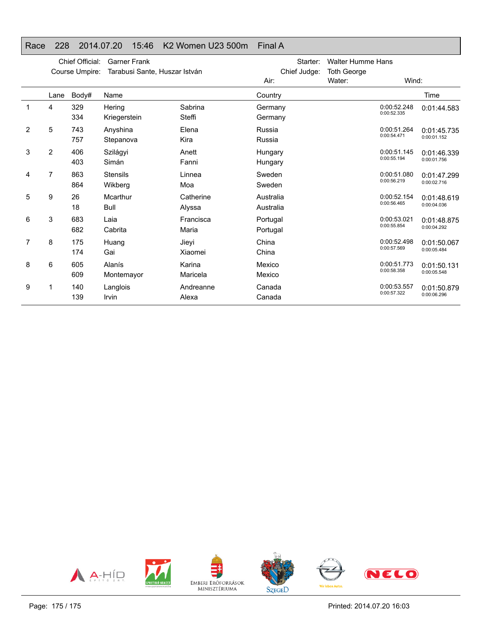#### Race 228 2014.07.20 15:46 K2 Women U23 500m Final A

|   |                | Chief Official:<br>Course Umpire: | <b>Garner Frank</b><br>Tarabusi Sante, Huszar István |                     | Chief Judge:           | Starter: | <b>Walter Humme Hans</b><br><b>Toth George</b> |                            |                            |
|---|----------------|-----------------------------------|------------------------------------------------------|---------------------|------------------------|----------|------------------------------------------------|----------------------------|----------------------------|
|   |                |                                   |                                                      |                     | Air:                   |          | Water:                                         | Wind:                      |                            |
|   | Lane           | Body#                             | Name                                                 |                     | Country                |          |                                                |                            | Time                       |
|   | 4              | 329<br>334                        | Hering<br>Kriegerstein                               | Sabrina<br>Steffi   | Germany<br>Germany     |          |                                                | 0:00:52.248<br>0:00:52.335 | 0:01:44.583                |
| 2 | 5              | 743<br>757                        | Anyshina<br>Stepanova                                | Elena<br>Kira       | Russia<br>Russia       |          |                                                | 0:00:51.264<br>0:00:54.471 | 0:01:45.735<br>0:00:01.152 |
| 3 | $\overline{2}$ | 406<br>403                        | Szilágyi<br>Simán                                    | Anett<br>Fanni      | Hungary<br>Hungary     |          |                                                | 0:00:51.145<br>0:00:55.194 | 0:01:46.339<br>0:00:01.756 |
| 4 | 7              | 863<br>864                        | <b>Stensils</b><br>Wikberg                           | Linnea<br>Moa       | Sweden<br>Sweden       |          |                                                | 0:00:51.080<br>0:00:56.219 | 0:01:47.299<br>0:00:02.716 |
| 5 | 9              | 26<br>18                          | Mcarthur<br>Bull                                     | Catherine<br>Alyssa | Australia<br>Australia |          |                                                | 0:00:52.154<br>0:00:56.465 | 0:01:48.619<br>0:00:04.036 |
| 6 | 3              | 683<br>682                        | Laia<br>Cabrita                                      | Francisca<br>Maria  | Portugal<br>Portugal   |          |                                                | 0:00:53.021<br>0:00:55.854 | 0:01:48.875<br>0:00:04.292 |
| 7 | 8              | 175<br>174                        | Huang<br>Gai                                         | Jieyi<br>Xiaomei    | China<br>China         |          |                                                | 0:00:52.498<br>0:00:57.569 | 0:01:50.067<br>0:00:05.484 |
| 8 | 6              | 605<br>609                        | Alanís<br>Montemayor                                 | Karina<br>Maricela  | Mexico<br>Mexico       |          |                                                | 0:00:51.773<br>0:00:58.358 | 0:01:50.131<br>0:00:05.548 |
| 9 | 1              | 140<br>139                        | Langlois<br>Irvin                                    | Andreanne<br>Alexa  | Canada<br>Canada       |          |                                                | 0:00:53.557<br>0:00:57.322 | 0:01:50.879<br>0:00:06.296 |

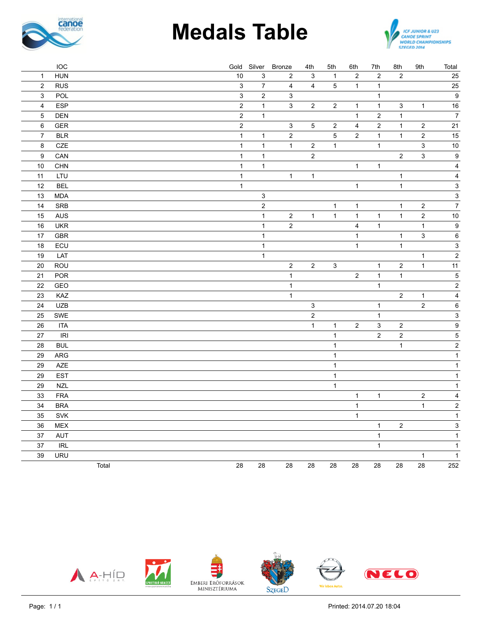

# **Medals Table**



|                           | <b>IOC</b>                         |       |                  |                           | Gold Silver Bronze        | 4th                       | 5th            | 6th            | 7th                     | 8th              | 9th                       | Total                     |
|---------------------------|------------------------------------|-------|------------------|---------------------------|---------------------------|---------------------------|----------------|----------------|-------------------------|------------------|---------------------------|---------------------------|
| $\mathbf{1}$              | <b>HUN</b>                         |       | $10$             | $\ensuremath{\mathsf{3}}$ | $\overline{\mathbf{c}}$   | 3                         | $\mathbf{1}$   | $\overline{c}$ | $\sqrt{2}$              | $\sqrt{2}$       |                           | 25                        |
| $\overline{c}$            | <b>RUS</b>                         |       | $\mathbf{3}$     | $\overline{7}$            | $\overline{4}$            | $\overline{4}$            | 5              | $\mathbf{1}$   | $\mathbf{1}$            |                  |                           | 25                        |
| $\ensuremath{\mathsf{3}}$ | POL                                |       | $\mathsf 3$      | $\boldsymbol{2}$          | $\ensuremath{\mathsf{3}}$ |                           |                |                | $\mathbf{1}$            |                  |                           | $\boldsymbol{9}$          |
| $\overline{4}$            | <b>ESP</b>                         |       | $\boldsymbol{2}$ | $\mathbf{1}$              | $\mathbf{3}$              | $\overline{c}$            | $\overline{c}$ | $\mathbf{1}$   | $\mathbf{1}$            | $\mathbf{3}$     | $\mathbf{1}$              | 16                        |
| 5                         | <b>DEN</b>                         |       | $\mathbf 2$      | $\mathbf{1}$              |                           |                           |                | $\mathbf{1}$   | $\overline{\mathbf{c}}$ | $\mathbf 1$      |                           | $\overline{7}$            |
| $\,6\,$                   | <b>GER</b>                         |       | $\mathbf 2$      |                           | 3                         | $\overline{5}$            | $\overline{c}$ | $\overline{4}$ | $\sqrt{2}$              | $\mathbf{1}$     | $\mathbf 2$               | 21                        |
| $\overline{7}$            | $BLR$                              |       | $\mathbf{1}$     | $\mathbf{1}$              | $\overline{c}$            |                           | 5              | $\overline{2}$ | $\mathbf{1}$            | $\mathbf{1}$     | $\mathbf 2$               | 15                        |
| 8                         | CZE                                |       | $\mathbf{1}$     | $\mathbf{1}$              | $\mathbf{1}$              | $\sqrt{2}$                | $\mathbf{1}$   |                | $\mathbf{1}$            |                  | $\ensuremath{\mathsf{3}}$ | $10$                      |
| $\boldsymbol{9}$          | CAN                                |       | $\mathbf{1}$     | $\mathbf{1}$              |                           | $\overline{2}$            |                |                |                         | $\boldsymbol{2}$ | $\mathsf 3$               | $\boldsymbol{9}$          |
| $10$                      | CHN                                |       | $\mathbf 1$      | $\mathbf{1}$              |                           |                           |                | $\mathbf{1}$   | $\mathbf{1}$            |                  |                           | $\overline{\mathbf{4}}$   |
| 11                        | LTU                                |       | $\mathbf{1}$     |                           | $\mathbf{1}$              | $\mathbf{1}$              |                |                |                         | $\mathbf{1}$     |                           | $\overline{\mathbf{4}}$   |
| 12                        | <b>BEL</b>                         |       | $\mathbf{1}$     |                           |                           |                           |                | $\mathbf{1}$   |                         | $\mathbf{1}$     |                           | $\mathbf{3}$              |
| 13                        | <b>MDA</b>                         |       |                  | $\mathsf 3$               |                           |                           |                |                |                         |                  |                           | $\ensuremath{\mathsf{3}}$ |
| 14                        | SRB                                |       |                  | $\boldsymbol{2}$          |                           |                           | $\mathbf{1}$   | 1              |                         | $\mathbf{1}$     | $\boldsymbol{2}$          | $\overline{7}$            |
| 15                        | <b>AUS</b>                         |       |                  | $\mathbf{1}$              | $\sqrt{2}$                | $\mathbf{1}$              | $\mathbf{1}$   | $\mathbf{1}$   | $\mathbf{1}$            | $\mathbf{1}$     | $\boldsymbol{2}$          | $10$                      |
| 16                        | <b>UKR</b>                         |       |                  | $\mathbf{1}$              | $\overline{c}$            |                           |                | 4              | $\mathbf{1}$            |                  | $\mathbf{1}$              | $\boldsymbol{9}$          |
| 17                        | <b>GBR</b>                         |       |                  | $\mathbf{1}$              |                           |                           |                | $\mathbf{1}$   |                         | $\mathbf{1}$     | $\mathbf{3}$              | $\boldsymbol{6}$          |
| 18                        | ECU                                |       |                  | $\mathbf{1}$              |                           |                           |                | $\mathbf{1}$   |                         | $\mathbf{1}$     |                           | $\ensuremath{\mathsf{3}}$ |
| 19                        | LAT                                |       |                  | $\mathbf{1}$              |                           |                           |                |                |                         |                  | $\mathbf{1}$              | $\mathbf 2$               |
| 20                        | ROU                                |       |                  |                           | $\overline{c}$            | $\sqrt{2}$                | $\sqrt{3}$     |                | $\mathbf{1}$            | $\sqrt{2}$       | $\mathbf{1}$              | 11                        |
| 21                        | POR                                |       |                  |                           | $\mathbf{1}$              |                           |                | $\mathbf 2$    | $\mathbf{1}$            | $\mathbf{1}$     |                           | $\overline{\mathbf{5}}$   |
| 22                        | GEO                                |       |                  |                           | $\mathbf{1}$              |                           |                |                | $\mathbf{1}$            |                  |                           | $\mathbf 2$               |
| 23                        | KAZ                                |       |                  |                           | $\mathbf{1}$              |                           |                |                |                         | $\overline{2}$   | $\mathbf{1}$              | $\overline{\mathbf{4}}$   |
| 24                        | <b>UZB</b>                         |       |                  |                           |                           | $\ensuremath{\mathsf{3}}$ |                |                | $\mathbf{1}$            |                  | $\overline{2}$            | $\, 6$                    |
| 25                        | SWE                                |       |                  |                           |                           | $\boldsymbol{2}$          |                |                | $\mathbf{1}$            |                  |                           | $\ensuremath{\mathsf{3}}$ |
| $26\,$                    | <b>ITA</b>                         |       |                  |                           |                           | $\mathbf{1}$              | $\mathbf{1}$   | $\mathbf 2$    | $\mathsf 3$             | $\boldsymbol{2}$ |                           | $\overline{9}$            |
| 27                        | $\ensuremath{\mathsf{IRl}}\xspace$ |       |                  |                           |                           |                           | $\mathbf{1}$   |                | $\overline{2}$          | $\mathbf 2$      |                           | $\overline{5}$            |
| 28                        | <b>BUL</b>                         |       |                  |                           |                           |                           | $\mathbf{1}$   |                |                         | $\mathbf{1}$     |                           | $\overline{2}$            |
| 29                        | ARG                                |       |                  |                           |                           |                           | $\mathbf{1}$   |                |                         |                  |                           | $\overline{1}$            |
| 29                        | <b>AZE</b>                         |       |                  |                           |                           |                           | $\mathbf{1}$   |                |                         |                  |                           | $\mathbf{1}$              |
| 29                        | <b>EST</b>                         |       |                  |                           |                           |                           | $\mathbf{1}$   |                |                         |                  |                           | $\mathbf{1}$              |
| 29                        | <b>NZL</b>                         |       |                  |                           |                           |                           | $\mathbf{1}$   |                |                         |                  |                           | $\mathbf{1}$              |
| 33                        | <b>FRA</b>                         |       |                  |                           |                           |                           |                | $\mathbf{1}$   | $\mathbf{1}$            |                  | $\mathbf 2$               | $\overline{\mathbf{4}}$   |
| 34                        | <b>BRA</b>                         |       |                  |                           |                           |                           |                | $\mathbf{1}$   |                         |                  | $\mathbf{1}$              | $\overline{\mathbf{c}}$   |
| 35                        | SVK                                |       |                  |                           |                           |                           |                | $\mathbf{1}$   |                         |                  |                           | $\mathbf{1}$              |
| 36                        | MEX                                |       |                  |                           |                           |                           |                |                | $\mathbf{1}$            | $\sqrt{2}$       |                           | $\overline{3}$            |
| 37                        | AUT                                |       |                  |                           |                           |                           |                |                | $\mathbf{1}$            |                  |                           | $\mathbf{1}$              |
| 37                        | <b>IRL</b>                         |       |                  |                           |                           |                           |                |                | $\mathbf{1}$            |                  |                           | $\mathbf{1}$              |
| 39                        | <b>URU</b>                         |       |                  |                           |                           |                           |                |                |                         |                  | $\mathbf{1}$              | $\mathbf{1}$              |
|                           |                                    | Total | 28               | 28                        | 28                        | 28                        | 28             | 28             | 28                      | 28               | 28                        | 252                       |

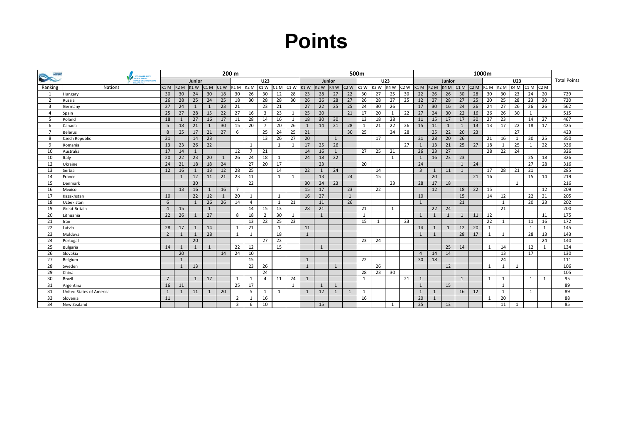## **Point<sup>s</sup>**

| <b>Decimon</b> | <b>ICF JUNIOR &amp; U23</b> | 200 m            |                |                  |                  |              |                |                |                   |              | 500m         |             |              |              |              |                  |                  |              |                  | 1000m          |              |        |                                               |    |    |              |      |                  |                  |                     |
|----------------|-----------------------------|------------------|----------------|------------------|------------------|--------------|----------------|----------------|-------------------|--------------|--------------|-------------|--------------|--------------|--------------|------------------|------------------|--------------|------------------|----------------|--------------|--------|-----------------------------------------------|----|----|--------------|------|------------------|------------------|---------------------|
|                | <b>CANOE SPRINT</b>         | Junior           |                |                  |                  |              |                |                | <b>U23</b>        |              |              |             | Junior       |              |              |                  | U23              |              |                  |                |              | Junior |                                               |    |    |              | U23  |                  |                  | <b>Total Points</b> |
| Ranking        | Nations                     | K <sub>1</sub> M | K2M            | K <sub>1</sub> W | C <sub>1</sub> M | $C1$ W       | K1 M K2 M      |                | $K1W$ $C1M$ $C1W$ |              |              | $K1W$ $K2W$ |              | K4W          | $C2$ W       | K <sub>1</sub> W | K <sub>2</sub> W | K4W          | C <sub>2</sub> W | $K1 M$ $K2 M$  |              |        | $K4M$ C <sub>1</sub> M C <sub>2</sub> M $K1M$ |    |    | K2M          | K4 M | C <sub>1</sub> M | C <sub>2</sub> M |                     |
|                | Hungary                     | 30               | 30             | 24               | 30               | 18           | 30             | 26             | 30                | 12           | 28           | 23          | 28           | 27           | 22           | 30               | 27               | 25           | 30               | 22             | 26           | 26     | 30                                            | 28 | 30 | 30           | 23   | 24               | 20               | 729                 |
| $\overline{2}$ | Russia                      | 26               | 28             | 25               | 24               | 25           | 18             | 30             | 28                | 28           | 30           | 26          | 26           | 28           | 27           | 26               | 28               | 27           | 25               | 12             | 27           | 28     | 27                                            | 25 | 20 | 25           | 28   | 23               | 30               | 720                 |
| $\overline{3}$ | Germany                     | 27               | 24             |                  | $\mathbf{1}$     | 23           | 21             |                | 23                | 21           |              | 27          | 22           | 25           | 25           | 24               | 30               | 26           |                  | 17             | 30           | 16     | 24                                            | 26 | 24 | 27           | 26   | 26               | 26               | 562                 |
| $\overline{4}$ | Spain                       | 25               | 27             | 28               | 15               | 22           | 27             | 16             | 3                 | 23           | 1            | 25          | 20           |              | 21           | 17               | 20               | $\mathbf{1}$ | 22               | 27             | 24           | 30     | 22                                            | 16 | 26 | 26           | 30   | $\mathbf{1}$     |                  | 515                 |
| .5             | Poland                      | 18               | $\overline{1}$ | 27               | 16               | 17           | 11             | 28             | 14                | 16           | 1            | 18          | 30           | 30           |              | 13               | 18               | 28           |                  | 11             | 15           | 17     | 17                                            | 30 | 27 | 23           |      | 14               | 27               | 467                 |
| -6             | Canada                      | 5                | 18             | 21               | $\mathbf{1}$     | 30           | 15             | 20             | $\overline{7}$    | 20           | 26           | 1           | 14           | 21           | 28           | 1                | 21               | 22           | 26               | 15             | 11           | 1      | 1                                             | 13 | 13 | 17           | 22   | 18               | 17               | 425                 |
| $\mathbf{z}$   | Belarus                     | 8                | 25             | 17               | 21               | 27           | 6              |                | 25                | 24           | 25           | 21          |              |              | 30           | 25               |                  | 24           | 28               |                | 25           | 22     | 20                                            | 23 |    |              | 27   |                  |                  | 423                 |
| -8             | Czech Republic              | 21               |                | 14               | 23               |              |                |                | 13                | 26           | 27           | 20          |              | $\mathbf{1}$ |              |                  | 17               |              |                  | 21             | 28           | 20     | 26                                            |    | 21 | 16           | 1    | 30               | 25               | 350                 |
| -9             | <b>IRomania</b>             | 13               | 23             | 26               | 22               |              |                | 1              |                   | 1            | 1            | 17          | 25           | 26           |              |                  |                  |              | 27               | 1              | 13           | 21     | 25                                            | 27 | 18 | $\mathbf{1}$ | 25   | 1                | 22               | 336                 |
| 10             | Australia                   | 17               | 14             |                  |                  |              | 12             | $\overline{7}$ | 21                |              |              | 14          | 16           | $\mathbf{1}$ |              | 27               | 25               | 21           |                  | 26             | 23           | 27     |                                               |    | 28 | 22           | 24   |                  |                  | 326                 |
| 10             | <b>Italy</b>                | 20               | 22             | 23               | 20               | $\mathbf{1}$ | 26             | 24             | 18                | 1            |              | 24          | 18           | 22           |              |                  |                  | 1            |                  | 1              | 16           | 23     | 23                                            |    |    |              |      | 25               | 18               | 326                 |
| 12             | <b>IUkraine</b>             | 24               | 21             | 18               | 18               | 24           |                | 27             | 20                | 17           |              |             | 23           |              |              | 20               |                  |              |                  | 24             |              |        | $\mathbf{1}$                                  | 24 |    |              |      | 27               | 28               | 316                 |
| 13             | Serbia                      | 12               | 16             |                  | 13               | 12           | 28             | 25             |                   | 14           |              | 22          | 1            | 24           |              |                  | 14               |              |                  | $\overline{3}$ | 1            | 11     | 1                                             |    | 17 | 28           | 21   | 21               |                  | 285                 |
| 14             | France                      |                  | $\mathbf{1}$   | 12               | 11               | 21           | 23             | 11             |                   | 1            | 1            |             | 13           |              | 24           |                  | 15               |              |                  |                | 20           |        |                                               | 21 | 16 |              |      | 15               | 14               | 219                 |
| 15             | Denmark                     |                  |                | 30               |                  |              |                | 22             |                   |              |              | 30          | 24           | 23           |              |                  |                  | 23           |                  | 28             | 17           | 18     |                                               |    |    |              | 1    |                  |                  | 216                 |
| 16             | Mexico                      |                  | 13             | 16               | $\mathbf{1}$     | 16           | $\overline{7}$ |                |                   |              |              | 15          | 17           |              | 23           |                  | 22               |              |                  |                | 12           |        | 18                                            | 22 | 15 |              |      |                  | 12               | 209                 |
| 17             | Kazakhstan                  | 10               |                | 22               | 12               | 1            | 20             | 1              |                   | 1            |              | 16          | 27           |              | $\mathbf{1}$ |                  |                  |              |                  | 10             |              |        | 15                                            |    | 14 | 12           |      | 22               | 21               | 205                 |
| 18             | Uzbekistan                  | 6                |                |                  | 26               | 26           | 14             | $\overline{4}$ |                   | $\mathbf{1}$ | 21           |             | 11           |              | 26           |                  |                  |              |                  | 1              |              |        | 21                                            |    |    | $\mathbf{1}$ |      | 20               | 23               | 202                 |
| 19             | Great Britain               | $\Delta$         | 15             |                  | $\overline{1}$   |              |                | 14             | 15                | 13           |              | 28          | 21           |              |              | 21               |                  | 1            |                  |                | 22           | 24     |                                               |    |    | 21           |      |                  |                  | 200                 |
| 20             | Lithuania                   | 22               | 26             |                  | 27               |              | 8              | 18             | $\overline{2}$    | 30           | $\mathbf{1}$ |             | $\mathbf{1}$ |              |              | $\mathbf{1}$     |                  |              |                  | 1              | $\mathbf{1}$ | 1      | 1                                             | 11 | 12 |              |      |                  | 11               | 175                 |
| 21             | Iran                        |                  |                |                  |                  |              |                | 13             | 22                | 25           | 23           |             |              |              |              | 15               | 1                |              | 23               |                |              |        |                                               |    | 22 | $\mathbf{1}$ |      | 11               | 16               | 172                 |
| 22             | Latvia                      | 28               | 17             |                  | 14               |              | 1              | 21             |                   | 1            |              | 11          |              |              |              |                  |                  |              |                  | 14             | $\mathbf{1}$ | 1      | 12                                            | 20 | 1  |              |      | $\mathbf{1}$     | 1                | 145                 |
| 23             | Moldova                     | $\overline{2}$   | $\mathbf{1}$   |                  | 28               |              | 1              | $\mathbf{1}$   |                   | 18           |              | 1           |              |              |              |                  |                  |              |                  | 1              | $\mathbf{1}$ |        | 28                                            | 17 | 1  | 1            |      | 28               | 13               | 143                 |
| 24             | Portugal                    |                  |                | 20               |                  |              |                |                | 27                | 22           |              |             |              |              |              | 23               | 24               |              |                  |                |              |        |                                               |    |    |              |      |                  | 24               | 140                 |
| 25             | Bulgaria                    | 14               | $\mathbf{1}$   |                  | 1                |              | 22             | 12             |                   | 15           |              |             | 1            |              |              |                  |                  |              |                  |                |              | 25     | 14                                            |    | 1  | 14           |      | 12               | $\mathbf{1}$     | 134                 |
| 26             | Slovakia                    |                  | 20             |                  |                  | 14           | 24             | 10             |                   |              |              |             |              |              |              |                  |                  |              |                  | $\overline{4}$ | 14           | 14     |                                               |    |    | 13           |      | 17               |                  | 130                 |
| 27             | Belgium                     |                  | 1              |                  |                  |              |                | 15             |                   |              |              | 1           |              |              |              | 22               |                  |              |                  | 30             | 18           |        |                                               |    |    | 24           |      |                  |                  | 111                 |
| 28             | Sweden                      |                  | 1              | 13               |                  |              |                | 23             | 26                |              |              | 1           |              | $\mathbf{1}$ |              |                  | 26               |              |                  |                |              | 12     |                                               |    | 1  | 1            | 1    |                  |                  | 106                 |
| 29             | <b>China</b>                |                  |                |                  |                  |              |                |                | 24                |              |              |             |              |              |              | 28               | 23               | 30           |                  |                |              |        |                                               |    |    |              |      |                  |                  | 105                 |
| 30             | Brazil                      | $7\overline{ }$  |                | 1                | 17               |              | 1              | $\mathbf{1}$   | $\overline{4}$    | 11           | 24           | 1           |              |              |              | 1                |                  |              | 21               | 1              |              |        | 1                                             |    | 1  | $\mathbf{1}$ |      | $\mathbf{1}$     | $\mathbf{1}$     | 95                  |
| 31             | Argentina                   | 16               | 11             |                  |                  |              | 25             | 17             |                   |              | 1            |             | 1            | $\mathbf{1}$ |              |                  |                  |              |                  | 1              |              | 15     |                                               |    |    | $\mathbf{1}$ |      |                  |                  | 89                  |
| 31             | United States of America    | 1                | $\mathbf{1}$   | 11               | $\mathbf{1}$     | 20           |                | 5              | 1                 | 1            |              | 1           | 12           | $\mathbf{1}$ | $\mathbf{1}$ | 1                |                  |              |                  | 1              | $\mathbf{1}$ |        | 16                                            | 12 |    | $\mathbf{1}$ |      | $\mathbf{1}$     |                  | 89                  |
| 33             | Slovenia                    | 11               |                |                  |                  |              | $\overline{2}$ | $\mathbf{1}$   | 16                |              |              |             |              |              |              | 16               |                  |              |                  | 20             | $\mathbf{1}$ |        |                                               |    | 1  | 20           |      |                  |                  | 88                  |
| 34             | New Zealand                 |                  |                |                  |                  |              | 3              | 6              | 10                |              |              |             | 15           |              |              |                  |                  | 1            |                  | 25             |              | 13     |                                               |    |    | 11           | 1    |                  |                  | 85                  |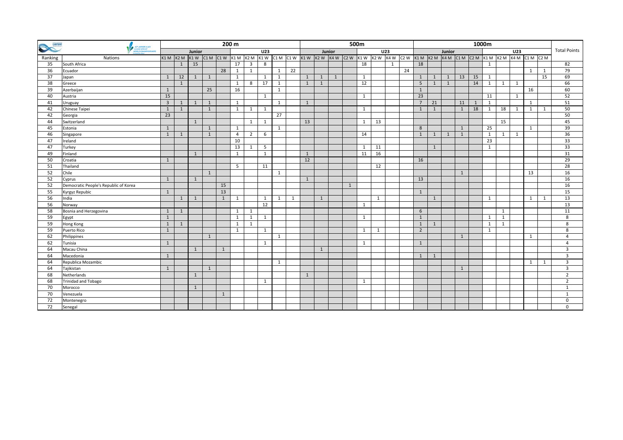| <b>Decanoe</b>  | 200 m                                                              |                      |              |              |              |    |                |                         |                 | 500m            |        |                                                                              |              |              |                 |    |              |   | 1000m                                                         |                |              |   |              |                 |                 |              |                     |              |    |                 |
|-----------------|--------------------------------------------------------------------|----------------------|--------------|--------------|--------------|----|----------------|-------------------------|-----------------|-----------------|--------|------------------------------------------------------------------------------|--------------|--------------|-----------------|----|--------------|---|---------------------------------------------------------------|----------------|--------------|---|--------------|-----------------|-----------------|--------------|---------------------|--------------|----|-----------------|
|                 | ICE JUNIOR & U23<br>CANOE SPRINT<br>WORLD CHAMPIONS<br>IZEGED 2014 | <b>U23</b><br>Junior |              |              |              |    |                |                         |                 |                 | Junior |                                                                              |              |              | U <sub>23</sub> |    |              |   | Junior                                                        |                |              |   |              | U <sub>23</sub> |                 |              | <b>Total Points</b> |              |    |                 |
| Ranking         | Nations                                                            | $K1 M$ $K2 M$        |              |              |              |    |                |                         |                 |                 |        | $k1$ W $c1$ M $c1$ W $k2$ M $k3$ M $c1$ W $c1$ M $c1$ W $k1$ W $k2$ W $k4$ W |              |              |                 |    |              |   | $C2W$ K1W K2W K4W C2W K1M K2M K4M C1M C2M K1M K2M K4M C1M C2M |                |              |   |              |                 |                 |              |                     |              |    |                 |
| 35              | South Africa                                                       |                      | 1            | 15           |              |    | 17             | $\overline{\mathbf{3}}$ | 8               |                 |        |                                                                              |              |              |                 | 18 |              | 1 |                                                               | 18             |              |   |              |                 | 1               |              |                     |              |    | 82              |
| 36              | Ecuador                                                            |                      |              |              |              | 28 | 1              | $\mathbf{1}$            |                 | $\mathbf{1}$    | 22     |                                                                              |              |              |                 |    |              |   | 24                                                            |                |              |   |              |                 |                 |              |                     | 1            | 1  | 79              |
| $\overline{37}$ | Japan                                                              | $\mathbf{1}$         | 12           | $\mathbf{1}$ | 1            |    | $\mathbf{1}$   |                         | $\mathbf{1}$    | $\mathbf{1}$    |        | 1                                                                            | $\mathbf{1}$ | $\mathbf{1}$ |                 | 1  |              |   |                                                               | 1              | 1            | 1 | 13           | 15              | 1               |              |                     |              | 15 | 69              |
| 38              | Greece                                                             |                      | $\mathbf{1}$ |              |              |    | 1              | 8                       | $\overline{17}$ | 1               |        | 1                                                                            | 1            |              |                 | 12 |              |   |                                                               | 5              | 1            | 1 |              | 14              | 1               | $\mathbf{1}$ | 1                   |              |    | 66              |
| 39              | Azerbaijan                                                         | $\mathbf{1}$         |              |              | 25           |    | 16             |                         |                 | 1               |        |                                                                              |              |              |                 |    |              |   |                                                               | $\mathbf{1}$   |              |   |              |                 |                 |              |                     | 16           |    | 60              |
| 40              | Austria                                                            | 15                   |              |              |              |    |                |                         | $\mathbf{1}$    |                 |        |                                                                              |              |              |                 | 1  |              |   |                                                               | 23             |              |   |              |                 | 11              |              | 1                   |              |    | 52              |
| 41              | Uruguay                                                            | $\overline{3}$       | $\mathbf{1}$ | 1            | 1            |    | 1              |                         |                 | 1               |        | 1                                                                            |              |              |                 |    |              |   |                                                               | $\overline{7}$ | 21           |   | 11           | 1               | 1               |              |                     | 1            |    | 51              |
| 42              | Chinese Taipei                                                     | $\mathbf{1}$         | $\mathbf{1}$ |              | $\mathbf{1}$ |    | $\mathbf{1}$   | $\mathbf{1}$            | 1               |                 |        |                                                                              |              |              |                 | 1  |              |   |                                                               | 1              | 1            |   | $\mathbf{1}$ | 18              | $\mathbf{1}$    | 18           | 1                   | 1            | 1  | 50              |
| 42              | Georgia                                                            | $\overline{23}$      |              |              |              |    |                |                         |                 | $\overline{27}$ |        |                                                                              |              |              |                 |    |              |   |                                                               |                |              |   |              |                 |                 |              |                     |              |    | 50              |
| 44              | Switzerland                                                        |                      |              | 1            |              |    |                | 1                       | 1               |                 |        | 13                                                                           |              |              |                 | 1  | 13           |   |                                                               |                |              |   |              |                 |                 | 15           |                     |              |    | 45              |
| 45              | Estonia                                                            | 1                    |              |              | $\mathbf{1}$ |    | 1              |                         |                 | 1               |        |                                                                              |              |              |                 |    |              |   |                                                               | 8              |              |   | 1            |                 | 25              |              |                     | $\mathbf{1}$ |    | 39              |
| 46              | Singapore                                                          | 1                    | $\mathbf{1}$ |              | $\mathbf{1}$ |    | $\overline{4}$ | $\overline{2}$          | 6               |                 |        |                                                                              |              |              |                 | 14 |              |   |                                                               | 1              | 1            | 1 | 1            |                 | 1               | 1            | 1                   |              |    | 36              |
| 47              | Ireland                                                            |                      |              |              |              |    | 10             |                         |                 |                 |        |                                                                              |              |              |                 |    |              |   |                                                               |                |              |   |              |                 | $\overline{23}$ |              |                     |              |    | $\overline{33}$ |
| 47              | Turkey                                                             |                      |              |              |              |    | 13             | <sup>1</sup>            | 5               |                 |        |                                                                              |              |              |                 | 1  | 11           |   |                                                               |                | $\mathbf{1}$ |   |              |                 | 1               |              |                     |              |    | $\overline{33}$ |
| 49              | Finland                                                            |                      |              | $\mathbf{1}$ |              |    | 1              |                         | $\mathbf{1}$    |                 |        | 1                                                                            |              |              |                 | 11 | 16           |   |                                                               |                |              |   |              |                 |                 |              |                     |              |    | 31              |
| 50              | Croatia                                                            | 1                    |              |              |              |    |                |                         |                 |                 |        | 12                                                                           |              |              |                 |    |              |   |                                                               | 16             |              |   |              |                 |                 |              |                     |              |    | 29              |
| 51              | Thailand                                                           |                      |              |              |              |    | 5              |                         | 11              |                 |        |                                                                              |              |              |                 |    | 12           |   |                                                               |                |              |   |              |                 |                 |              |                     |              |    | 28              |
| 52              | Chile                                                              |                      |              |              | $\mathbf{1}$ |    |                |                         |                 | 1               |        |                                                                              |              |              |                 |    |              |   |                                                               |                |              |   | 1            |                 |                 |              |                     | 13           |    | 16              |
| 52              | Cyprus                                                             | $\mathbf{1}$         |              | 1            |              |    |                |                         |                 |                 |        | $\mathbf{1}$                                                                 |              |              |                 |    |              |   |                                                               | 13             |              |   |              |                 |                 |              |                     |              |    | 16              |
| 52              | Democratic People's Republic of Korea                              |                      |              |              |              | 15 |                |                         |                 |                 |        |                                                                              |              |              | $\mathbf{1}$    |    |              |   |                                                               |                |              |   |              |                 |                 |              |                     |              |    | 16              |
| 55              | Kyrgyz Repubic                                                     | 1                    |              |              |              | 13 |                |                         |                 |                 |        |                                                                              |              |              |                 |    |              |   |                                                               | $\mathbf{1}$   |              |   |              |                 |                 |              |                     |              |    | 15              |
| 56              | India                                                              |                      | 1            | 1            |              | 1  | 1              |                         | 1               | 1               | 1      |                                                                              | 1            |              |                 |    | $\mathbf{1}$ |   |                                                               |                | 1            |   |              |                 | 1               |              |                     | 1            | 1  | 13              |
| 56              | Norway                                                             |                      |              |              |              |    |                |                         | $\overline{12}$ |                 |        |                                                                              |              |              |                 | 1  |              |   |                                                               |                |              |   |              |                 |                 |              |                     |              |    | 13              |
| 58              | Bosnia and Herzegovina                                             | 1                    | $\mathbf{1}$ |              |              |    | 1              | 1                       |                 |                 |        |                                                                              |              |              |                 |    |              |   |                                                               | 6              |              |   |              |                 |                 | $\mathbf{1}$ |                     |              |    | 11              |
| 59              | Egypt                                                              | $\mathbf{1}$         |              |              |              |    | 1              | 1                       | 1               |                 |        |                                                                              |              |              |                 | 1  |              |   |                                                               | $\mathbf{1}$   |              |   |              |                 | 1               | 1            |                     |              |    | 8               |
| 59              | Hong Kong                                                          | 1                    | 1            |              |              |    | 1              | 1                       |                 |                 |        |                                                                              |              |              |                 |    |              |   |                                                               | 1              | 1            |   |              |                 | $\mathbf{1}$    | $\mathbf{1}$ |                     |              |    | 8               |
| 59              | Puerto Rico                                                        | $\mathbf{1}$         |              |              |              |    | 1              |                         | 1               |                 |        |                                                                              |              |              |                 | 1  | 1            |   |                                                               | $\overline{2}$ |              |   |              |                 | $\mathbf{1}$    |              |                     |              |    | 8               |
| 62              | Philippines                                                        |                      |              |              | $\mathbf{1}$ |    |                |                         |                 | 1               |        |                                                                              |              |              |                 |    |              |   |                                                               |                |              |   | 1            |                 |                 |              |                     | 1            |    | $\overline{4}$  |
| 62              | Tunisia                                                            | $\mathbf{1}$         |              |              |              |    |                |                         | 1               |                 |        |                                                                              |              |              |                 | 1  |              |   |                                                               | 1              |              |   |              |                 |                 |              |                     |              |    | $\overline{4}$  |
| 64              | Macau China                                                        |                      |              | 1            |              | 1  |                |                         |                 |                 |        |                                                                              | 1            |              |                 |    |              |   |                                                               |                |              |   |              |                 |                 |              |                     |              |    | 3               |
| 64              | Macedonia                                                          | $\mathbf{1}$         |              |              |              |    |                |                         |                 |                 |        |                                                                              |              |              |                 |    |              |   |                                                               | 1              | 1            |   |              |                 |                 |              |                     |              |    | $\mathbf{3}$    |
| 64              | Republica Mozambic                                                 |                      |              |              |              |    |                |                         |                 | 1               |        |                                                                              |              |              |                 |    |              |   |                                                               |                |              |   |              |                 |                 |              |                     | 1            | 1  | $\overline{3}$  |
| 64              | Tajikistan                                                         | $\mathbf{1}$         |              |              | 1            |    |                |                         |                 |                 |        |                                                                              |              |              |                 |    |              |   |                                                               |                |              |   | 1            |                 |                 |              |                     |              |    | 3               |
| 68              | Netherlands                                                        |                      |              | 1            |              |    |                |                         |                 |                 |        | 1                                                                            |              |              |                 |    |              |   |                                                               |                |              |   |              |                 |                 |              |                     |              |    | $\overline{2}$  |
| 68              | Trinidad and Tobago                                                |                      |              |              |              |    |                |                         | 1               |                 |        |                                                                              |              |              |                 | 1  |              |   |                                                               |                |              |   |              |                 |                 |              |                     |              |    | $\overline{2}$  |
| 70              | Morocco                                                            |                      |              | 1            |              |    |                |                         |                 |                 |        |                                                                              |              |              |                 |    |              |   |                                                               |                |              |   |              |                 |                 |              |                     |              |    | 1               |
| 70              | Venezuela                                                          |                      |              |              |              | 1  |                |                         |                 |                 |        |                                                                              |              |              |                 |    |              |   |                                                               |                |              |   |              |                 |                 |              |                     |              |    | 1               |
| 72              | Montenegro                                                         |                      |              |              |              |    |                |                         |                 |                 |        |                                                                              |              |              |                 |    |              |   |                                                               |                |              |   |              |                 |                 |              |                     |              |    | $\mathbf 0$     |
| $\overline{72}$ | Senegal                                                            |                      |              |              |              |    |                |                         |                 |                 |        |                                                                              |              |              |                 |    |              |   |                                                               |                |              |   |              |                 |                 |              |                     |              |    | $\mathbf 0$     |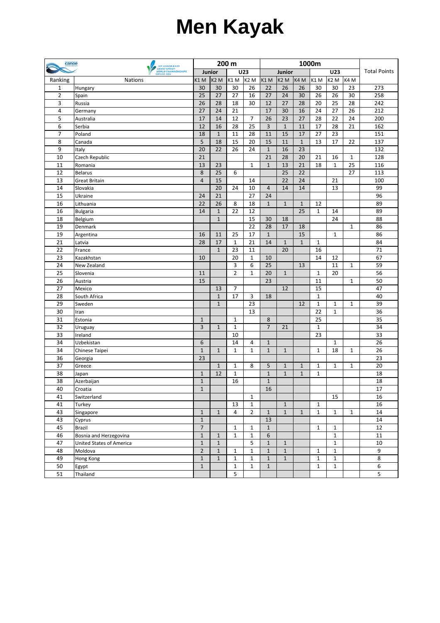## **Men Kayak**

| 200 m<br>canoe                                                                                                                         | 1000m            |              |                     |  |  |  |  |  |  |
|----------------------------------------------------------------------------------------------------------------------------------------|------------------|--------------|---------------------|--|--|--|--|--|--|
| ICE JUNIOR & U23<br>CANOE SPRINT<br>WORLD CHAMPIONSHIPS<br><b>U23</b><br>Junior<br>Junior<br><b>SZEGED 2014</b>                        | U23              |              | <b>Total Points</b> |  |  |  |  |  |  |
| Ranking<br>K <sub>2</sub> M<br>K1M<br>K <sub>2</sub> M<br>K1M<br>K <sub>2</sub> M<br>K4 M<br>K1M<br><b>Nations</b><br>K1 M             | K <sub>2</sub> M | K4 M         |                     |  |  |  |  |  |  |
| 30<br>26<br>26<br>$\mathbf{1}$<br>30<br>30<br>26<br>22<br>30<br>Hungary                                                                | 30               | 23           | 273                 |  |  |  |  |  |  |
| $\overline{2}$<br>$\overline{27}$<br>25<br>27<br>16<br>27<br>24<br>30<br>26<br>Spain                                                   | 26               | 30           | 258                 |  |  |  |  |  |  |
| 3<br>26<br>28<br>18<br>27<br>28<br>30<br>12<br>20<br>Russia                                                                            | 25               | 28           | 242                 |  |  |  |  |  |  |
| 27<br>24<br>17<br>$30\,$<br>16<br>24<br>4<br>21<br>Germany                                                                             | 27               | 26           | 212                 |  |  |  |  |  |  |
| 23<br>5<br>14<br>12<br>26<br>27<br>28<br>17<br>7<br>Australia                                                                          | 22               | 24           | 200                 |  |  |  |  |  |  |
| 16<br>3<br>$\mathbf{1}$<br>6<br>12<br>28<br>25<br>11<br>17<br>Serbia                                                                   | 28               | 21           | 162                 |  |  |  |  |  |  |
| 15<br>18<br>$\mathbf{1}$<br>11<br>28<br>11<br>17<br>27<br>7<br>Poland                                                                  | 23               |              | 151                 |  |  |  |  |  |  |
| 5<br>18<br>15<br>8<br>20<br>15<br>11<br>$\mathbf{1}$<br>13<br>Canada                                                                   | 17               | 22           | 137                 |  |  |  |  |  |  |
| 9<br>22<br>16<br>20<br>26<br>24<br>$\mathbf{1}$<br>23<br>Italy                                                                         |                  |              | 132                 |  |  |  |  |  |  |
| 28<br>10<br>21<br>21<br>20<br>21<br>Czech Republic                                                                                     | 16               | $\mathbf{1}$ | 128                 |  |  |  |  |  |  |
| 13<br>21<br>18<br>11<br>13<br>23<br>$\mathbf{1}$<br>$\mathbf{1}$<br>Romania                                                            | $\mathbf{1}$     | 25           | 116                 |  |  |  |  |  |  |
| 8<br>25<br>25<br>22<br>12<br>6<br><b>Belarus</b>                                                                                       |                  | 27           | 113                 |  |  |  |  |  |  |
| $\overline{4}$<br>15<br>22<br>13<br>14<br>24<br><b>Great Britain</b>                                                                   | 21               |              | 100                 |  |  |  |  |  |  |
| 20<br>$\overline{4}$<br>14<br>14<br>24<br>10<br>14<br>Slovakia                                                                         | 13               |              | 99                  |  |  |  |  |  |  |
| 15<br>27<br>Ukraine<br>21<br>24<br>24                                                                                                  |                  |              | 96                  |  |  |  |  |  |  |
| 26<br>8<br>18<br>$\mathbf{1}$<br>16<br>22<br>$\mathbf{1}$<br>$\mathbf{1}$<br>Lithuania<br>12                                           |                  |              | 89                  |  |  |  |  |  |  |
| 25<br>16<br>$\mathbf{1}$<br>22<br>12<br>$\mathbf{1}$<br><b>Bulgaria</b><br>14                                                          | 14               |              | 89                  |  |  |  |  |  |  |
| $\mathbf{1}$<br>18<br>15<br>30<br>18<br>Belgium                                                                                        | 24               |              | 88                  |  |  |  |  |  |  |
| 19<br>22<br>17<br>Denmark<br>28<br>18                                                                                                  |                  | 1            | 86                  |  |  |  |  |  |  |
| 19<br>17<br>$\mathbf{1}$<br>15<br>16<br>11<br>25<br>Argentina                                                                          | $\mathbf{1}$     |              | 86                  |  |  |  |  |  |  |
| 21<br>17<br>28<br>$\mathbf{1}$<br>21<br>14<br>$\mathbf{1}$<br>$\mathbf{1}$<br>$\mathbf{1}$<br>Latvia                                   |                  |              | 84                  |  |  |  |  |  |  |
| $\mathbf{1}$<br>23<br>20<br>16<br>22<br>11<br>France                                                                                   |                  |              | 71                  |  |  |  |  |  |  |
| 23<br>20<br>14<br>Kazakhstan<br>10<br>$\mathbf{1}$<br>10                                                                               | 12               |              | 67                  |  |  |  |  |  |  |
| 24<br>6<br>13<br>3<br>25<br>New Zealand                                                                                                | 11               | $\mathbf{1}$ | 59                  |  |  |  |  |  |  |
| $\overline{2}$<br>25<br>11<br>$\mathbf{1}$<br>20<br>$\mathbf{1}$<br>$\mathbf{1}$<br>Slovenia                                           | 20               |              | 56                  |  |  |  |  |  |  |
| 26<br>15<br>23<br>11<br>Austria                                                                                                        |                  | $\mathbf{1}$ | 50                  |  |  |  |  |  |  |
| 27<br>$\overline{7}$<br>15<br>13<br>12<br>Mexico                                                                                       |                  |              | 47                  |  |  |  |  |  |  |
| 28<br>$\mathbf{1}$<br>17<br>$\mathbf{1}$<br>3<br>18<br>South Africa                                                                    |                  |              | 40                  |  |  |  |  |  |  |
| 29<br>23<br>$\mathbf{1}$<br>12<br>$\mathbf{1}$<br>Sweden                                                                               | $\mathbf{1}$     | $\mathbf{1}$ | 39                  |  |  |  |  |  |  |
| 30<br>13<br>22<br>Iran                                                                                                                 | $\mathbf{1}$     |              | 36                  |  |  |  |  |  |  |
| 31<br>25<br>$\mathbf{1}$<br>8<br>$\mathbf{1}$<br>Estonia                                                                               |                  |              | 35                  |  |  |  |  |  |  |
| $\overline{3}$<br>$\overline{7}$<br>32<br>$\mathbf{1}$<br>$\mathbf{1}$<br>21<br>$\mathbf{1}$<br>Uruguay                                |                  |              | 34                  |  |  |  |  |  |  |
| 33<br>10<br>23<br>Ireland                                                                                                              |                  |              | 33                  |  |  |  |  |  |  |
| 34<br>6<br>14<br>Uzbekistan<br>$\mathbf{1}$<br>4                                                                                       | $\mathbf{1}$     |              | 26                  |  |  |  |  |  |  |
| $\mathbf{1}$<br>34<br>$\mathbf{1}$<br>$\mathbf{1}$<br>$\mathbf{1}$<br>$\mathbf{1}$<br>$\mathbf{1}$<br>$\mathbf{1}$<br>Chinese Taipei   | 18               | $\mathbf{1}$ | 26                  |  |  |  |  |  |  |
| 36<br>23<br>Georgia                                                                                                                    |                  |              | 23                  |  |  |  |  |  |  |
| 37<br>$\mathbf{1}$<br>$\mathbf{1}$<br>8<br>5<br>$\mathbf{1}$<br>$\mathbf{1}$<br>$\mathbf{1}$<br>Greece                                 | $\mathbf{1}$     | $\mathbf{1}$ | 20                  |  |  |  |  |  |  |
| 12<br>38<br>$\mathbf{1}$<br>$\mathbf{1}$<br>$\mathbf{1}$<br>$\mathbf{1}$<br>$\mathbf{1}$<br>$\mathbf{1}$<br>Japan                      |                  |              | 18                  |  |  |  |  |  |  |
| 38<br>$\mathbf 1$<br>16<br>$\mathbf{1}$<br>Azerbaijan                                                                                  |                  |              | 18                  |  |  |  |  |  |  |
| $16$<br>40<br>$\mathbf 1$<br>Croatia                                                                                                   |                  |              | 17                  |  |  |  |  |  |  |
| $\mathbf{1}$<br>41<br>Switzerland                                                                                                      | 15               |              | 16                  |  |  |  |  |  |  |
| 41<br>Turkey<br>13<br>$\mathbf{1}$<br>$\mathbf{1}$<br>$\mathbf{1}$                                                                     |                  |              | 16                  |  |  |  |  |  |  |
| $\mathbf{1}$<br>$\mathbf{1}$<br>43<br>$\mathbf{1}$<br>4<br>$\overline{2}$<br>$\mathbf{1}$<br>$\mathbf{1}$<br>$\mathbf{1}$<br>Singapore | $\mathbf{1}$     | $\mathbf{1}$ | 14                  |  |  |  |  |  |  |
| 13<br>43<br>$\mathbf{1}$<br>Cyprus                                                                                                     |                  |              | 14                  |  |  |  |  |  |  |
| $\overline{7}$<br>45<br>$\mathbf{1}$<br>Brazil<br>$\mathbf{1}$<br>$\mathbf{1}$<br>$\mathbf{1}$                                         | $\mathbf{1}$     |              | 12                  |  |  |  |  |  |  |
| 46<br>Bosnia and Herzegovina<br>$\mathbf{1}$<br>$\mathbf{1}$<br>$\mathbf{1}$<br>6<br>$\mathbf{1}$                                      | $\mathbf{1}$     |              | 11                  |  |  |  |  |  |  |
| 5<br>47<br>$\mathbf{1}$<br>$\mathbf{1}$<br>$\mathbf{1}$<br>United States of America<br>$\mathbf{1}$                                    | $\mathbf{1}$     |              | 10                  |  |  |  |  |  |  |
| $\overline{2}$<br>$\mathbf{1}$<br>$\mathbf{1}$<br>$\mathbf{1}$<br>48<br>Moldova<br>$\mathbf{1}$<br>$\mathbf{1}$<br>$\mathbf{1}$        | $\mathbf{1}$     |              | 9                   |  |  |  |  |  |  |
| 49<br>$\mathbf{1}$<br>$\mathbf{1}$<br>$\mathbf{1}$<br>$\mathbf{1}$<br>$\mathbf{1}$<br>$\mathbf{1}$<br>$\mathbf{1}$<br>Hong Kong        | $\mathbf{1}$     |              | 8                   |  |  |  |  |  |  |
| 50<br>$\mathbf{1}$<br>$\mathbf{1}$<br>Egypt<br>$\mathbf{1}$<br>$\mathbf{1}$<br>$\mathbf{1}$                                            | $\mathbf{1}$     |              | 6                   |  |  |  |  |  |  |
| 51<br>5<br>Thailand                                                                                                                    |                  |              | 5                   |  |  |  |  |  |  |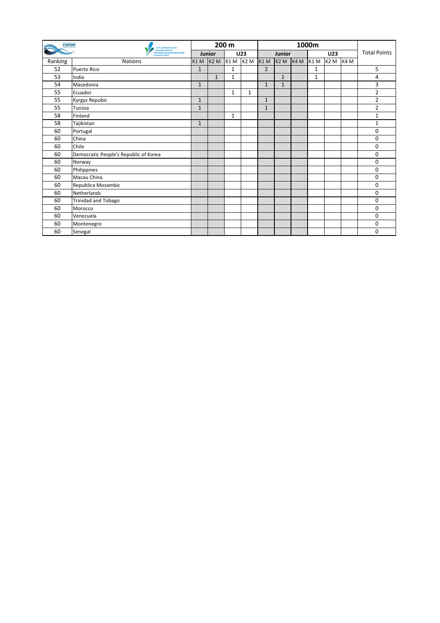| canoe   | <b>ICF JUNIOR &amp; U23</b>                                             |              | 200 m          |   |     |                |               |            |   |                  |      |                     |
|---------|-------------------------------------------------------------------------|--------------|----------------|---|-----|----------------|---------------|------------|---|------------------|------|---------------------|
|         | <b>CANOE SPRINT</b><br><b>WORLD CHAMPIONSHIPS</b><br><b>SZEGED 2014</b> |              | Junior         |   | U23 |                | <b>Junior</b> |            |   | U23              |      | <b>Total Points</b> |
| Ranking | <b>Nations</b>                                                          | $K1$ M       | K2 M K1 M K2 M |   |     | $K1 M$ $K2 M$  |               | $K4M$ K1 M |   | K <sub>2</sub> M | K4 M |                     |
| 52      | <b>Puerto Rico</b>                                                      | $\mathbf{1}$ |                | 1 |     | $\overline{2}$ |               |            | 1 |                  |      | 5                   |
| 53      | India                                                                   |              | $\mathbf{1}$   | 1 |     |                | $\mathbf{1}$  |            | 1 |                  |      | 4                   |
| 54      | Macedonia                                                               | $\mathbf{1}$ |                |   |     | $\mathbf{1}$   | 1             |            |   |                  |      | 3                   |
| 55      | Ecuador                                                                 |              |                | 1 | 1   |                |               |            |   |                  |      | 2                   |
| 55      | Kyrgyz Repubic                                                          | $\mathbf{1}$ |                |   |     | $\mathbf{1}$   |               |            |   |                  |      | 2                   |
| 55      | lTunisia                                                                | $\mathbf{1}$ |                |   |     | $\mathbf{1}$   |               |            |   |                  |      | $\overline{2}$      |
| 58      | Finland                                                                 |              |                | 1 |     |                |               |            |   |                  |      | 1                   |
| 58      | Tajikistan                                                              | $\mathbf{1}$ |                |   |     |                |               |            |   |                  |      | $\mathbf{1}$        |
| 60      | Portugal                                                                |              |                |   |     |                |               |            |   |                  |      | 0                   |
| 60      | China                                                                   |              |                |   |     |                |               |            |   |                  |      | 0                   |
| 60      | Chile                                                                   |              |                |   |     |                |               |            |   |                  |      | $\mathbf 0$         |
| 60      | Democratic People's Republic of Korea                                   |              |                |   |     |                |               |            |   |                  |      | $\mathbf 0$         |
| 60      | Norway                                                                  |              |                |   |     |                |               |            |   |                  |      | $\mathbf 0$         |
| 60      | Philippines                                                             |              |                |   |     |                |               |            |   |                  |      | $\mathbf 0$         |
| 60      | Macau China                                                             |              |                |   |     |                |               |            |   |                  |      | $\mathbf 0$         |
| 60      | Republica Mozambic                                                      |              |                |   |     |                |               |            |   |                  |      | $\mathbf 0$         |
| 60      | Netherlands                                                             |              |                |   |     |                |               |            |   |                  |      | $\mathbf 0$         |
| 60      | Trinidad and Tobago                                                     |              |                |   |     |                |               |            |   |                  |      | $\mathbf 0$         |
| 60      | Morocco                                                                 |              |                |   |     |                |               |            |   |                  |      | $\mathbf 0$         |
| 60      | Venezuela                                                               |              |                |   |     |                |               |            |   |                  |      | 0                   |
| 60      | Montenegro                                                              |              |                |   |     |                |               |            |   |                  |      | $\mathbf 0$         |
| 60      | Senegal                                                                 |              |                |   |     |                |               |            |   |                  |      | 0                   |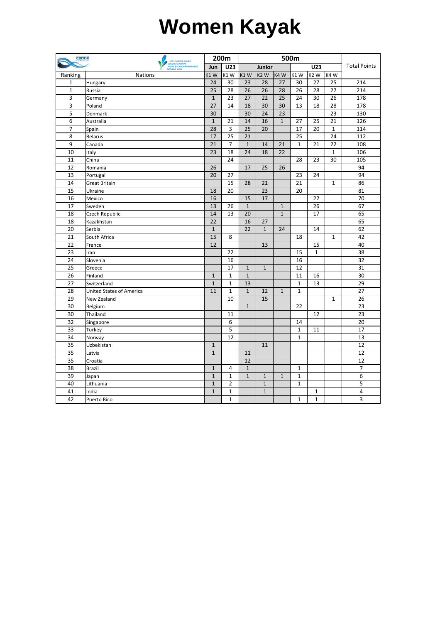## **Women Kayak**

| canoe           |                                                                        | 200m         |                | 500m             |                  |                  |                 |                  |                 |                     |
|-----------------|------------------------------------------------------------------------|--------------|----------------|------------------|------------------|------------------|-----------------|------------------|-----------------|---------------------|
|                 | ICF JUNIOR & U23<br>CANOE SPRINT<br>WORLD CHAMPIONSHIPS<br>SZEGED 2014 | Jun          | U23            |                  | Junior           |                  |                 | U23              |                 | <b>Total Points</b> |
| Ranking         | <b>Nations</b>                                                         | K1W          | K1W            | K <sub>1</sub> W | K <sub>2</sub> W | K <sub>4</sub> W | K1W             | K <sub>2</sub> W | K4W             |                     |
| $\mathbf{1}$    | Hungary                                                                | 24           | 30             | 23               | 28               | 27               | 30              | 27               | 25              | 214                 |
| $\overline{1}$  | Russia                                                                 | 25           | 28             | 26               | 26               | 28               | 26              | 28               | 27              | 214                 |
| 3               | Germany                                                                | $\mathbf{1}$ | 23             | 27               | 22               | 25               | 24              | 30               | 26              | 178                 |
| 3               | Poland                                                                 | 27           | 14             | 18               | 30               | 30               | 13              | 18               | 28              | 178                 |
| $\overline{5}$  | Denmark                                                                | 30           |                | 30               | 24               | 23               |                 |                  | 23              | 130                 |
| 6               | Australia                                                              | $\mathbf 1$  | 21             | 14               | 16               | $\mathbf{1}$     | 27              | 25               | 21              | 126                 |
| $\overline{7}$  | Spain                                                                  | 28           | $\overline{3}$ | 25               | 20               |                  | 17              | 20               | $\mathbf{1}$    | 114                 |
| 8               | <b>Belarus</b>                                                         | 17           | 25             | 21               |                  |                  | $\overline{25}$ |                  | $\overline{24}$ | 112                 |
| 9               | Canada                                                                 | 21           | $\overline{7}$ | $\mathbf 1$      | 14               | 21               | $\mathbf{1}$    | 21               | 22              | 108                 |
| 10              | Italy                                                                  | 23           | 18             | 24               | 18               | 22               |                 |                  | $\mathbf{1}$    | 106                 |
| 11              | China                                                                  |              | 24             |                  |                  |                  | 28              | 23               | 30              | 105                 |
| 12              | Romania                                                                | 26           |                | 17               | 25               | 26               |                 |                  |                 | 94                  |
| 13              | Portugal                                                               | 20           | 27             |                  |                  |                  | 23              | 24               |                 | 94                  |
| 14              | <b>Great Britain</b>                                                   |              | 15             | 28               | 21               |                  | 21              |                  | $\mathbf{1}$    | 86                  |
| $\overline{15}$ | Ukraine                                                                | 18           | 20             |                  | 23               |                  | 20              |                  |                 | 81                  |
| 16              | Mexico                                                                 | 16           |                | 15               | 17               |                  |                 | 22               |                 | 70                  |
| 17              | Sweden                                                                 | 13           | 26             | $\mathbf{1}$     |                  | $\mathbf{1}$     |                 | 26               |                 | 67                  |
| 18              | Czech Republic                                                         | 14           | 13             | 20               |                  | $\mathbf{1}$     |                 | 17               |                 | 65                  |
| 18              | Kazakhstan                                                             | 22           |                | 16               | 27               |                  |                 |                  |                 | 65                  |
| 20              | Serbia                                                                 | $\mathbf{1}$ |                | 22               | $\mathbf{1}$     | 24               |                 | 14               |                 | 62                  |
| 21              | South Africa                                                           | 15           | 8              |                  |                  |                  | 18              |                  | $\mathbf{1}$    | 42                  |
| 22              | France                                                                 | 12           |                |                  | 13               |                  |                 | 15               |                 | 40                  |
| 23              | Iran                                                                   |              | 22             |                  |                  |                  | 15              | $\mathbf{1}$     |                 | 38                  |
| 24              | Slovenia                                                               |              | 16             |                  |                  |                  | 16              |                  |                 | 32                  |
| $\overline{25}$ | Greece                                                                 |              | 17             | $\mathbf{1}$     | $\mathbf{1}$     |                  | 12              |                  |                 | $\overline{31}$     |
| $\overline{26}$ | Finland                                                                | $\mathbf{1}$ | $\mathbf{1}$   | $\mathbf{1}$     |                  |                  | 11              | 16               |                 | $\overline{30}$     |
| 27              | Switzerland                                                            | $\mathbf 1$  | $\mathbf 1$    | 13               |                  |                  | $\mathbf{1}$    | 13               |                 | 29                  |
| 28              | <b>United States of America</b>                                        | 11           | $\mathbf{1}$   | $\mathbf{1}$     | 12               | $\mathbf{1}$     | $\mathbf{1}$    |                  |                 | 27                  |
| 29              | New Zealand                                                            |              | 10             |                  | 15               |                  |                 |                  | $\mathbf{1}$    | 26                  |
| 30              | Belgium                                                                |              |                | $\mathbf{1}$     |                  |                  | 22              |                  |                 | 23                  |
| $\overline{30}$ | Thailand                                                               |              | 11             |                  |                  |                  |                 | 12               |                 | $\overline{23}$     |
| 32              | Singapore                                                              |              | 6              |                  |                  |                  | 14              |                  |                 | 20                  |
| 33              | Turkey                                                                 |              | 5              |                  |                  |                  | $\mathbf{1}$    | 11               |                 | 17                  |
| 34              | Norway                                                                 |              | 12             |                  |                  |                  | $\mathbf{1}$    |                  |                 | 13                  |
| 35              | Uzbekistan                                                             | $\mathbf 1$  |                |                  | 11               |                  |                 |                  |                 | 12                  |
| 35              | Latvia                                                                 | $\mathbf{1}$ |                | 11               |                  |                  |                 |                  |                 | 12                  |
| $\overline{35}$ | Croatia                                                                |              |                | 12               |                  |                  |                 |                  |                 | 12                  |
| 38              | Brazil                                                                 | $\mathbf{1}$ | 4              | $\mathbf{1}$     |                  |                  | 1               |                  |                 | $\overline{7}$      |
| 39              | Japan                                                                  | $\mathbf 1$  | $\mathbf 1$    | $\mathbf{1}$     | $\mathbf{1}$     | $\overline{1}$   | $\mathbf{1}$    |                  |                 | 6                   |
| 40              | Lithuania                                                              | $\mathbf{1}$ | $\overline{2}$ |                  | $\mathbf{1}$     |                  | $\mathbf{1}$    |                  |                 | 5                   |
| 41              | India                                                                  | $\mathbf{1}$ | $\mathbf{1}$   |                  | $\mathbf{1}$     |                  |                 | 1                |                 | 4                   |
| 42              | Puerto Rico                                                            |              | $\mathbf{1}$   |                  |                  |                  | $\mathbf{1}$    | $\mathbf{1}$     |                 | 3                   |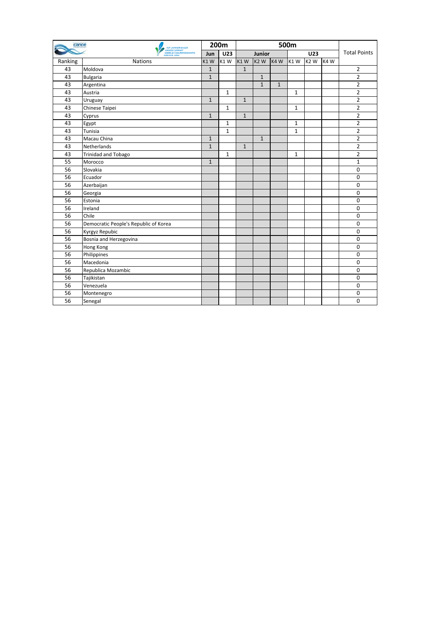| canoe   | <b>ICF JUNIOR &amp; U23</b><br><b>CANOE SPRINT</b><br><b>WORLD CHAMPIONSHIPS</b><br><b>SZEGED 2014</b> | 200m         |              |              |              |              |              |                  |      |                     |
|---------|--------------------------------------------------------------------------------------------------------|--------------|--------------|--------------|--------------|--------------|--------------|------------------|------|---------------------|
|         |                                                                                                        | Jun          | <b>U23</b>   |              | Junior       |              |              | <b>U23</b>       |      | <b>Total Points</b> |
| Ranking | <b>Nations</b>                                                                                         | K1W          | K1W          | K1W          | lk2 w        | K4W          | K1W          | K <sub>2</sub> W | K4 W |                     |
| 43      | Moldova                                                                                                | $\mathbf{1}$ |              | $\mathbf{1}$ |              |              |              |                  |      | 2                   |
| 43      | <b>Bulgaria</b>                                                                                        | $\mathbf{1}$ |              |              | $\mathbf{1}$ |              |              |                  |      | $\overline{2}$      |
| 43      | Argentina                                                                                              |              |              |              | $\mathbf{1}$ | $\mathbf{1}$ |              |                  |      | $\overline{2}$      |
| 43      | Austria                                                                                                |              | $\mathbf{1}$ |              |              |              | $\mathbf{1}$ |                  |      | $\overline{2}$      |
| 43      | Uruguay                                                                                                | $\mathbf{1}$ |              | $\mathbf{1}$ |              |              |              |                  |      | $\overline{2}$      |
| 43      | Chinese Taipei                                                                                         |              | $\mathbf{1}$ |              |              |              | $\mathbf{1}$ |                  |      | $\overline{2}$      |
| 43      | Cyprus                                                                                                 | $\mathbf{1}$ |              | $\mathbf{1}$ |              |              |              |                  |      | 2                   |
| 43      | Egypt                                                                                                  |              | $\mathbf{1}$ |              |              |              | $\mathbf{1}$ |                  |      | $\overline{2}$      |
| 43      | Tunisia                                                                                                |              | $\mathbf{1}$ |              |              |              | $\mathbf{1}$ |                  |      | $\overline{2}$      |
| 43      | Macau China                                                                                            | $\mathbf{1}$ |              |              | $\mathbf{1}$ |              |              |                  |      | $\overline{2}$      |
| 43      | Netherlands                                                                                            | $\mathbf{1}$ |              | $\mathbf{1}$ |              |              |              |                  |      | $\overline{2}$      |
| 43      | <b>Trinidad and Tobago</b>                                                                             |              | $\mathbf{1}$ |              |              |              | $\mathbf{1}$ |                  |      | $\overline{2}$      |
| 55      | Morocco                                                                                                | $\mathbf{1}$ |              |              |              |              |              |                  |      | $\mathbf{1}$        |
| 56      | Slovakia                                                                                               |              |              |              |              |              |              |                  |      | 0                   |
| 56      | Ecuador                                                                                                |              |              |              |              |              |              |                  |      | $\mathbf 0$         |
| 56      | Azerbaijan                                                                                             |              |              |              |              |              |              |                  |      | $\mathbf 0$         |
| 56      | Georgia                                                                                                |              |              |              |              |              |              |                  |      | 0                   |
| 56      | Estonia                                                                                                |              |              |              |              |              |              |                  |      | $\mathbf 0$         |
| 56      | Ireland                                                                                                |              |              |              |              |              |              |                  |      | $\mathbf 0$         |
| 56      | Chile                                                                                                  |              |              |              |              |              |              |                  |      | $\mathbf 0$         |
| 56      | Democratic People's Republic of Korea                                                                  |              |              |              |              |              |              |                  |      | $\mathbf 0$         |
| 56      | Kyrgyz Repubic                                                                                         |              |              |              |              |              |              |                  |      | $\mathbf 0$         |
| 56      | Bosnia and Herzegovina                                                                                 |              |              |              |              |              |              |                  |      | $\mathbf 0$         |
| 56      | Hong Kong                                                                                              |              |              |              |              |              |              |                  |      | $\mathbf 0$         |
| 56      | Philippines                                                                                            |              |              |              |              |              |              |                  |      | $\mathbf 0$         |
| 56      | Macedonia                                                                                              |              |              |              |              |              |              |                  |      | $\mathbf 0$         |
| 56      | Republica Mozambic                                                                                     |              |              |              |              |              |              |                  |      | $\mathbf 0$         |
| 56      | Tajikistan                                                                                             |              |              |              |              |              |              |                  |      | 0                   |
| 56      | Venezuela                                                                                              |              |              |              |              |              |              |                  |      | 0                   |
| 56      | Montenegro                                                                                             |              |              |              |              |              |              |                  |      | $\mathbf 0$         |
| 56      | Senegal                                                                                                |              |              |              |              |              |              |                  |      | $\mathbf 0$         |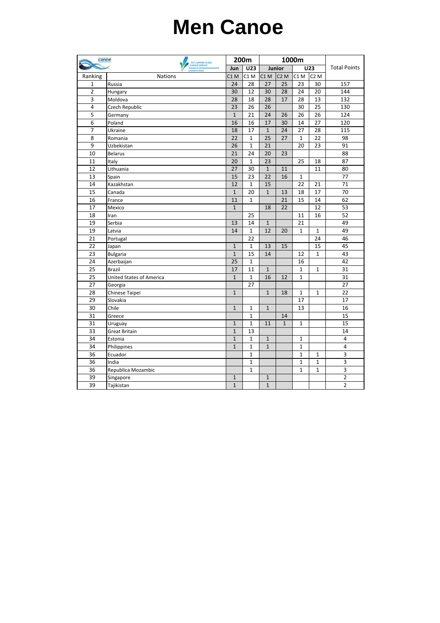## **Men Canoe**

| canoe<br><b>ICF JUNIOR &amp; U23</b> |                                    | 200m            |                  |                 | 1000m            |                  |                  |                     |
|--------------------------------------|------------------------------------|-----------------|------------------|-----------------|------------------|------------------|------------------|---------------------|
|                                      | CANOE SPRINT<br><b>SZEGED 2014</b> |                 | U23              | Junior          |                  |                  | <b>U23</b>       | <b>Total Points</b> |
| Ranking                              | <b>Nations</b>                     | $C1$ M          | C <sub>1</sub> M | C1 M            | C <sub>2</sub> M | C <sub>1</sub> M | C <sub>2</sub> M |                     |
| $\mathbf{1}$                         | Russia                             | 24              | 28               | 27              | 25               | 23               | 30               | 157                 |
| $\overline{2}$                       | Hungary                            | 30              | 12               | 30              | 28               | 24               | $\overline{20}$  | 144                 |
| $\overline{3}$                       | Moldova                            | 28              | 18               | 28              | 17               | 28               | 13               | 132                 |
| $\overline{4}$                       | Czech Republic                     | 23              | 26               | 26              |                  | 30               | 25               | 130                 |
| 5                                    | Germany                            | $\mathbf{1}$    | 21               | 24              | 26               | 26               | 26               | 124                 |
| 6                                    | Poland                             | 16              | 16               | 17              | 30               | 14               | 27               | 120                 |
| $\overline{7}$                       | Ukraine                            | 18              | 17               | $\mathbf{1}$    | 24               | 27               | 28               | 115                 |
| 8                                    | Romania                            | 22              | $\mathbf{1}$     | $\overline{25}$ | 27               | $\mathbf{1}$     | 22               | 98                  |
| 9                                    | Uzbekistan                         | $\overline{26}$ | $\mathbf{1}$     | 21              |                  | 20               | 23               | 91                  |
| 10                                   | <b>Belarus</b>                     | 21              | 24               | 20              | 23               |                  |                  | 88                  |
| 11                                   | Italy                              | 20              | $\mathbf{1}$     | 23              |                  | 25               | 18               | 87                  |
| 12                                   | Lithuania                          | 27              | 30               | $\mathbf{1}$    | 11               |                  | 11               | 80                  |
| 13                                   | Spain                              | 15              | 23               | 22              | 16               | 1                |                  | 77                  |
| 14                                   | Kazakhstan                         | 12              | $\mathbf{1}$     | 15              |                  | 22               | 21               | 71                  |
| 15                                   | Canada                             | $\mathbf{1}$    | 20               | $\mathbf{1}$    | 13               | 18               | 17               | $\overline{70}$     |
| 16                                   | France                             | 11              | $\mathbf{1}$     |                 | 21               | 15               | 14               | 62                  |
| 17                                   | Mexico                             | $\mathbf{1}$    |                  | 18              | 22               |                  | 12               | 53                  |
| 18                                   | Iran                               |                 | 25               |                 |                  | 11               | 16               | 52                  |
| 19                                   | Serbia                             | 13              | 14               | $\mathbf{1}$    |                  | 21               |                  | 49                  |
| 19                                   | Latvia                             | 14              | $\mathbf{1}$     | 12              | 20               | $\mathbf{1}$     | $\mathbf{1}$     | 49                  |
| 21                                   | Portugal                           |                 | 22               |                 |                  |                  | 24               | 46                  |
| $\overline{22}$                      | Japan                              | $\mathbf{1}$    | $\mathbf 1$      | 13              | 15               |                  | 15               | 45                  |
| 23                                   | <b>Bulgaria</b>                    | $\mathbf{1}$    | 15               | 14              |                  | 12               | $\mathbf{1}$     | 43                  |
| 24                                   | Azerbaijan                         | 25              | $\mathbf{1}$     |                 |                  | 16               |                  | 42                  |
| 25                                   | <b>Brazil</b>                      | 17              | 11               | $\mathbf{1}$    |                  | $\mathbf 1$      | $\mathbf{1}$     | 31                  |
| 25                                   | <b>United States of America</b>    | $\mathbf{1}$    | $\mathbf{1}$     | $\overline{16}$ | 12               | $\mathbf{1}$     |                  | 31                  |
| 27                                   | Georgia                            |                 | 27               |                 |                  |                  |                  | 27                  |
| 28                                   | Chinese Taipei                     | $\mathbf{1}$    |                  | $\mathbf{1}$    | 18               | $\mathbf{1}$     | $\mathbf{1}$     | 22                  |
| $\overline{29}$                      | Slovakia                           |                 |                  |                 |                  | 17               |                  | 17                  |
| 30                                   | Chile                              | $\mathbf{1}$    | $\mathbf{1}$     | $\mathbf{1}$    |                  | 13               |                  | 16                  |
| 31                                   | Greece                             |                 | $\mathbf{1}$     |                 | 14               |                  |                  | 15                  |
| 31                                   | Uruguay                            | $\mathbf{1}$    | $\mathbf{1}$     | 11              | $\mathbf{1}$     | $\mathbf{1}$     |                  | 15                  |
| 33                                   | Great Britain                      | $\mathbf{1}$    | 13               |                 |                  |                  |                  | 14                  |
| 34                                   | Estonia                            | $\mathbf{1}$    | $\mathbf{1}$     | $\mathbf{1}$    |                  | $\mathbf{1}$     |                  | 4                   |
| 34                                   | Philippines                        | $\mathbf{1}$    | $\mathbf{1}$     | $\mathbf{1}$    |                  | $\mathbf{1}$     |                  | 4                   |
| 36                                   | Ecuador                            |                 | $\mathbf{1}$     |                 |                  | $\mathbf{1}$     | 1                | 3                   |
| 36                                   | India                              |                 | $\mathbf{1}$     |                 |                  | $\mathbf{1}$     | $\mathbf{1}$     | 3                   |
| 36                                   | Republica Mozambic                 |                 | $\mathbf{1}$     |                 |                  | $\mathbf{1}$     | $\mathbf{1}$     | 3                   |
| 39                                   | Singapore                          | $\mathbf{1}$    |                  | $\mathbf{1}$    |                  |                  |                  | 2                   |
| $\overline{39}$                      | Tajikistan                         | $\mathbf{1}$    |                  | $\mathbf{1}$    |                  |                  |                  | $\overline{2}$      |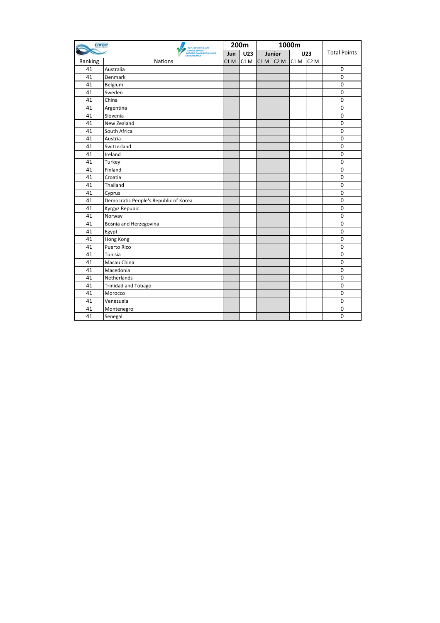| canoe   | <b>ICF JUNIOR &amp; U23</b>           | 200m            |                 |     | 1000m            |      |                  |                     |
|---------|---------------------------------------|-----------------|-----------------|-----|------------------|------|------------------|---------------------|
|         | CANOE SPRINT<br><b>SZEGED 2014</b>    |                 | <b>U23</b>      |     | Junior           |      | <b>U23</b>       | <b>Total Points</b> |
| Ranking | <b>Nations</b>                        | C1 <sub>M</sub> | C1 <sub>M</sub> | C1M | C <sub>2</sub> M | C1 M | C <sub>2</sub> M |                     |
| 41      | Australia                             |                 |                 |     |                  |      |                  | $\boldsymbol{0}$    |
| 41      | Denmark                               |                 |                 |     |                  |      |                  | $\mathbf 0$         |
| 41      | Belgium                               |                 |                 |     |                  |      |                  | $\mathbf 0$         |
| 41      | Sweden                                |                 |                 |     |                  |      |                  | $\mathbf 0$         |
| 41      | China                                 |                 |                 |     |                  |      |                  | $\mathbf 0$         |
| 41      | Argentina                             |                 |                 |     |                  |      |                  | $\mathbf 0$         |
| 41      | Slovenia                              |                 |                 |     |                  |      |                  | $\mathbf 0$         |
| 41      | New Zealand                           |                 |                 |     |                  |      |                  | $\mathbf 0$         |
| 41      | South Africa                          |                 |                 |     |                  |      |                  | $\mathbf 0$         |
| 41      | Austria                               |                 |                 |     |                  |      |                  | $\mathbf 0$         |
| 41      | Switzerland                           |                 |                 |     |                  |      |                  | $\mathbf 0$         |
| 41      | Ireland                               |                 |                 |     |                  |      |                  | $\mathbf 0$         |
| 41      | Turkey                                |                 |                 |     |                  |      |                  | $\mathbf 0$         |
| 41      | Finland                               |                 |                 |     |                  |      |                  | $\mathbf 0$         |
| 41      | Croatia                               |                 |                 |     |                  |      |                  | $\mathbf 0$         |
| 41      | Thailand                              |                 |                 |     |                  |      |                  | $\mathbf 0$         |
| 41      | Cyprus                                |                 |                 |     |                  |      |                  | $\mathbf 0$         |
| 41      | Democratic People's Republic of Korea |                 |                 |     |                  |      |                  | $\mathbf 0$         |
| 41      | Kyrgyz Repubic                        |                 |                 |     |                  |      |                  | $\mathbf 0$         |
| 41      | Norway                                |                 |                 |     |                  |      |                  | $\mathbf 0$         |
| 41      | Bosnia and Herzegovina                |                 |                 |     |                  |      |                  | $\mathbf 0$         |
| 41      | Egypt                                 |                 |                 |     |                  |      |                  | $\mathbf 0$         |
| 41      | Hong Kong                             |                 |                 |     |                  |      |                  | $\mathbf 0$         |
| 41      | Puerto Rico                           |                 |                 |     |                  |      |                  | $\mathbf 0$         |
| 41      | Tunisia                               |                 |                 |     |                  |      |                  | $\mathbf 0$         |
| 41      | Macau China                           |                 |                 |     |                  |      |                  | $\mathbf 0$         |
| 41      | Macedonia                             |                 |                 |     |                  |      |                  | $\mathbf 0$         |
| 41      | Netherlands                           |                 |                 |     |                  |      |                  | $\mathbf 0$         |
| 41      | <b>Trinidad and Tobago</b>            |                 |                 |     |                  |      |                  | $\mathbf 0$         |
| 41      | Morocco                               |                 |                 |     |                  |      |                  | $\mathbf 0$         |
| 41      | Venezuela                             |                 |                 |     |                  |      |                  | $\mathbf 0$         |
| 41      | Montenegro                            |                 |                 |     |                  |      |                  | $\mathbf 0$         |
| 41      | Senegal                               |                 |                 |     |                  |      |                  | $\Omega$            |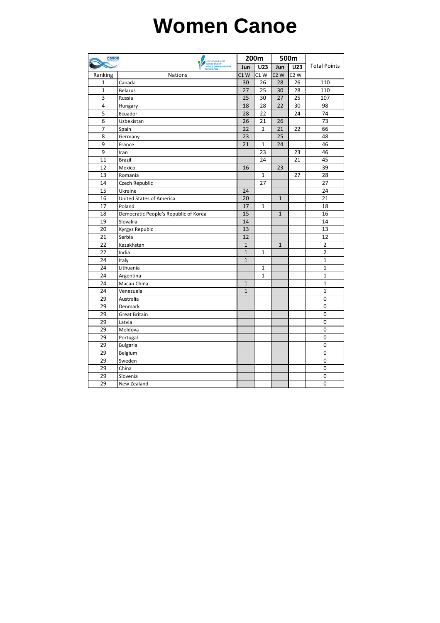## **Women Canoe**

| canoe           |                                                                        |              | 200m         | 500m             |                  |                     |  |
|-----------------|------------------------------------------------------------------------|--------------|--------------|------------------|------------------|---------------------|--|
|                 | ICF JUNIOR & U23<br>CANOE SPRINT<br>WORLD CHAMPIONSHIPS<br>SZEGED 2014 |              | U23          | Jun              | U23              | <b>Total Points</b> |  |
| Ranking         | <b>Nations</b>                                                         | $C1$ W       | $C1$ W       | C <sub>2</sub> W | C <sub>2</sub> W |                     |  |
| $\mathbf{1}$    | Canada                                                                 | 30           | 26           | 28               | 26               | 110                 |  |
| $\mathbf{1}$    | <b>Belarus</b>                                                         | 27           | 25           | 30               | 28               | 110                 |  |
| 3               | Russia                                                                 | 25           | 30           | 27               | 25               | 107                 |  |
| 4               | Hungary                                                                | 18           | 28           | 22               | 30               | 98                  |  |
| $\overline{5}$  | Ecuador                                                                | 28           | 22           |                  | 24               | 74                  |  |
| 6               | Uzbekistan                                                             | 26           | 21           | 26               |                  | 73                  |  |
| $\overline{7}$  | Spain                                                                  | 22           | $\mathbf{1}$ | 21               | 22               | 66                  |  |
| 8               | Germany                                                                | 23           |              | 25               |                  | 48                  |  |
| 9               | France                                                                 | 21           | $\mathbf{1}$ | 24               |                  | 46                  |  |
| 9               | Iran                                                                   |              | 23           |                  | 23               | 46                  |  |
| $\overline{11}$ | <b>Brazil</b>                                                          |              | 24           |                  | 21               | 45                  |  |
| 12              | Mexico                                                                 | 16           |              | 23               |                  | 39                  |  |
| 13              | Romania                                                                |              | $\mathbf{1}$ |                  | 27               | 28                  |  |
| 14              | Czech Republic                                                         |              | 27           |                  |                  | 27                  |  |
| 15              | Ukraine                                                                | 24           |              |                  |                  | 24                  |  |
| 16              | <b>United States of America</b>                                        | 20           |              | $\mathbf{1}$     |                  | 21                  |  |
| 17              | Poland                                                                 | 17           | 1            |                  |                  | 18                  |  |
| 18              | Democratic People's Republic of Korea                                  | 15           |              | $\mathbf{1}$     |                  | 16                  |  |
| 19              | Slovakia                                                               | 14           |              |                  |                  | 14                  |  |
| 20              | Kyrgyz Repubic                                                         | 13           |              |                  |                  | 13                  |  |
| 21              | Serbia                                                                 | 12           |              |                  |                  | 12                  |  |
| 22              | Kazakhstan                                                             | $\mathbf{1}$ |              | $\mathbf{1}$     |                  | $\overline{2}$      |  |
| 22              | India                                                                  | $\mathbf{1}$ | $\mathbf{1}$ |                  |                  | $\overline{2}$      |  |
| 24              | Italy                                                                  | $\mathbf{1}$ |              |                  |                  | $\mathbf{1}$        |  |
| 24              | Lithuania                                                              |              | $\mathbf{1}$ |                  |                  | $\mathbf{1}$        |  |
| 24              | Argentina                                                              |              | $\mathbf{1}$ |                  |                  | $\mathbf{1}$        |  |
| 24              | Macau China                                                            | $\mathbf{1}$ |              |                  |                  | $\mathbf{1}$        |  |
| 24              | Venezuela                                                              | $\mathbf{1}$ |              |                  |                  | $\mathbf{1}$        |  |
| 29              | Australia                                                              |              |              |                  |                  | 0                   |  |
| 29              | Denmark                                                                |              |              |                  |                  | 0                   |  |
| 29              | <b>Great Britain</b>                                                   |              |              |                  |                  | 0                   |  |
| 29              | Latvia                                                                 |              |              |                  |                  | 0                   |  |
| 29              | Moldova                                                                |              |              |                  |                  | 0                   |  |
| 29              | Portugal                                                               |              |              |                  |                  | $\mathbf 0$         |  |
| 29              | <b>Bulgaria</b>                                                        |              |              |                  |                  | 0                   |  |
| 29              | Belgium                                                                |              |              |                  |                  | 0                   |  |
| 29              | Sweden                                                                 |              |              |                  |                  | 0                   |  |
| 29              | China                                                                  |              |              |                  |                  | 0                   |  |
| 29              | Slovenia                                                               |              |              |                  |                  | 0                   |  |
| 29              | New Zealand                                                            |              |              |                  |                  | $\overline{0}$      |  |